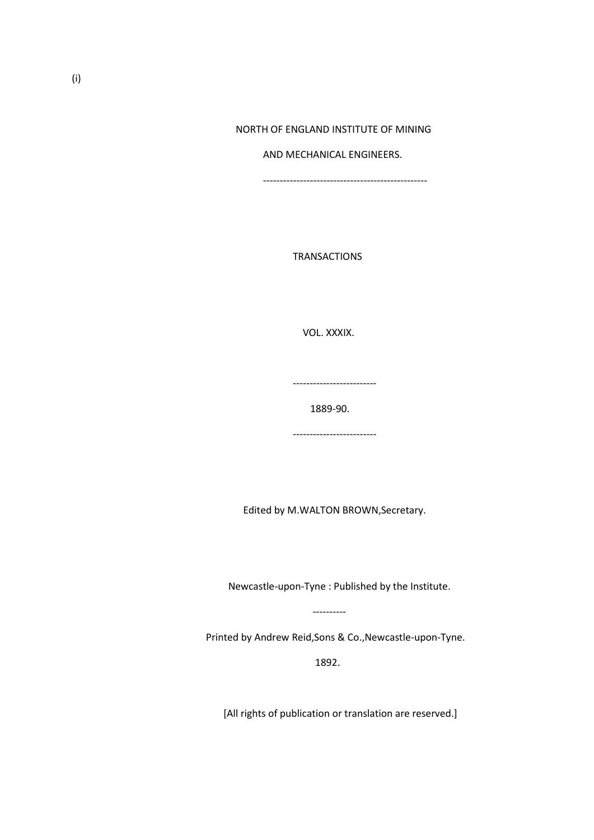## NORTH OF ENGLAND INSTITUTE OF MINING

### AND MECHANICAL ENGINEERS.

-------------------------------------------------

TRANSACTIONS

VOL. XXXIX.

-------------------------

1889-90.

-------------------------

Edited by M.WALTON BROWN,Secretary.

Newcastle-upon-Tyne : Published by the Institute.

Printed by Andrew Reid,Sons & Co.,Newcastle-upon-Tyne.

 $1892.$ 

----------

[All rights of publication or translation are reserved.]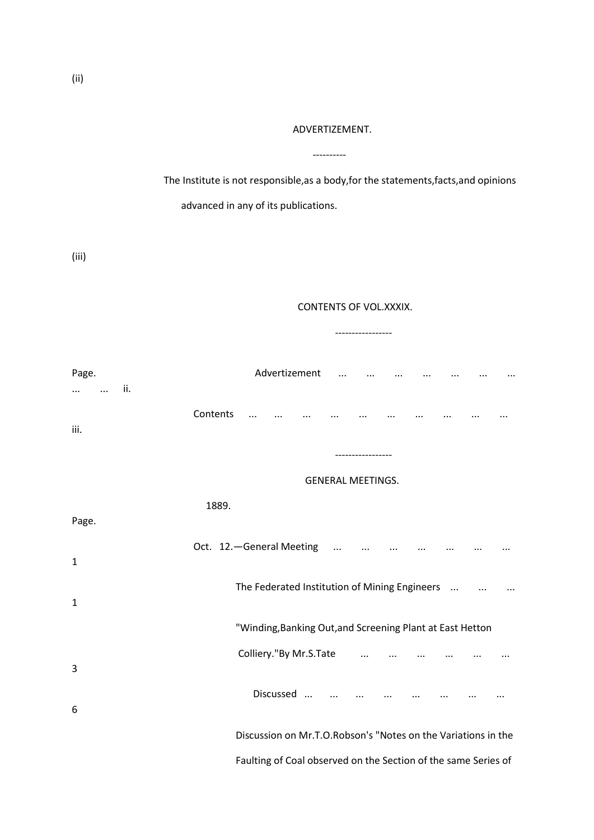## ADVERTIZEMENT.

----------

 The Institute is not responsible,as a body,for the statements,facts,and opinions advanced in any of its publications.

(iii)

# CONTENTS OF VOL.XXXIX.

-----------------

Page. Advertizement ... ... ... ... ... ... ... ... ... ii. Contents ... ... ... ... ... ... ... ... ... ... iii. ----------------- GENERAL MEETINGS. 1889. Page. Oct. 12. - General Meeting ... ... ... ... ... ... ... ... ... 1 The Federated Institution of Mining Engineers ... ... ... ... 1 "Winding,Banking Out,and Screening Plant at East Hetton Colliery."By Mr.S.Tate ... ... ... ... ... ... ... ... 3 Discussed ... ... ... ... ... ... ... ... 6 Discussion on Mr.T.O.Robson's "Notes on the Variations in the Faulting of Coal observed on the Section of the same Series of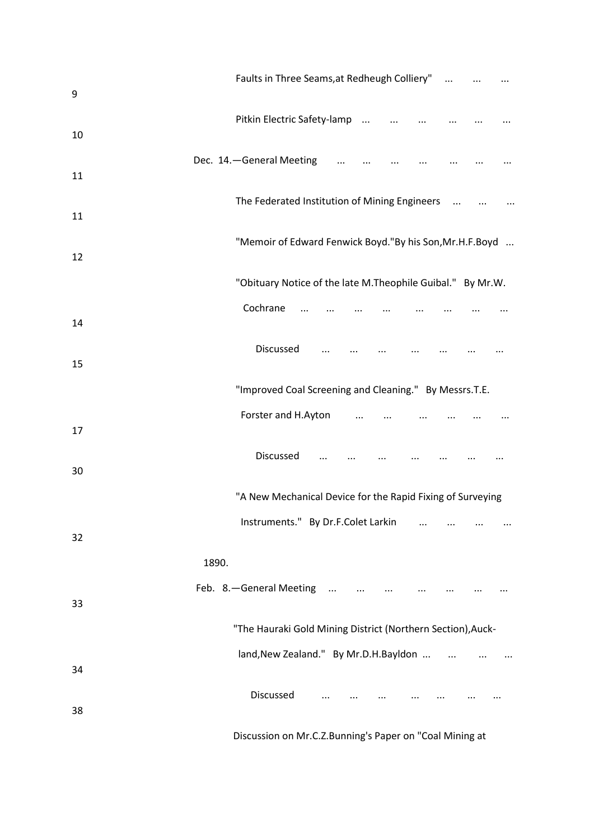| 9  | Faults in Three Seams, at Redheugh Colliery"                |
|----|-------------------------------------------------------------|
| 10 | Pitkin Electric Safety-lamp<br>$\ldots$                     |
| 11 | Dec. 14. - General Meeting                                  |
| 11 | The Federated Institution of Mining Engineers               |
| 12 | "Memoir of Edward Fenwick Boyd."By his Son, Mr. H. F. Boyd  |
|    | "Obituary Notice of the late M. Theophile Guibal." By Mr.W. |
| 14 | Cochrane                                                    |
| 15 | Discussed                                                   |
|    | "Improved Coal Screening and Cleaning." By Messrs.T.E.      |
| 17 | Forster and H.Ayton                                         |
| 30 | Discussed                                                   |
|    | "A New Mechanical Device for the Rapid Fixing of Surveying  |
| 32 | Instruments." By Dr.F.Colet Larkin                          |
|    | 1890.                                                       |
| 33 | Feb. 8. - General Meeting<br>$\ldots$                       |
|    | "The Hauraki Gold Mining District (Northern Section), Auck- |
| 34 | land, New Zealand." By Mr.D.H. Bayldon                      |
| 38 | Discussed                                                   |
|    | Discussion on Mr.C.Z.Bunning's Paper on "Coal Mining at     |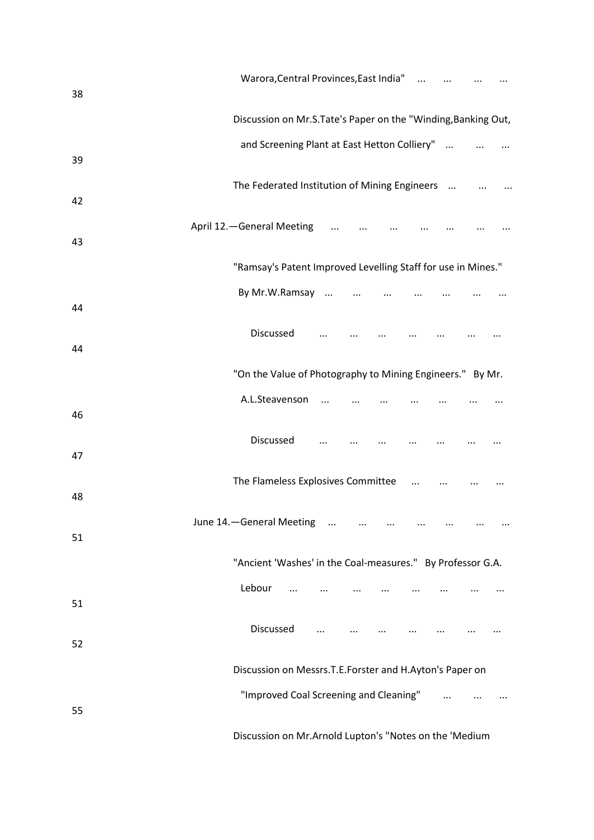| 38 | Warora, Central Provinces, East India"                        |  |
|----|---------------------------------------------------------------|--|
|    | Discussion on Mr.S.Tate's Paper on the "Winding, Banking Out, |  |
| 39 | and Screening Plant at East Hetton Colliery"                  |  |
| 42 | The Federated Institution of Mining Engineers                 |  |
| 43 | April 12. - General Meeting                                   |  |
|    | "Ramsay's Patent Improved Levelling Staff for use in Mines."  |  |
| 44 | By Mr.W.Ramsay                                                |  |
| 44 | Discussed                                                     |  |
|    | "On the Value of Photography to Mining Engineers." By Mr.     |  |
| 46 | A.L.Steavenson                                                |  |
| 47 | Discussed                                                     |  |
| 48 | The Flameless Explosives Committee                            |  |
| 51 | June 14. - General Meeting                                    |  |
|    | "Ancient 'Washes' in the Coal-measures." By Professor G.A.    |  |
| 51 | Lebour<br>$\cdots$                                            |  |
| 52 | Discussed<br>$\cdots$                                         |  |
|    | Discussion on Messrs.T.E.Forster and H.Ayton's Paper on       |  |
| 55 | "Improved Coal Screening and Cleaning"<br>$\sim$ 100 $\sim$   |  |
|    | Discussion on Mr.Arnold Lupton's "Notes on the 'Medium        |  |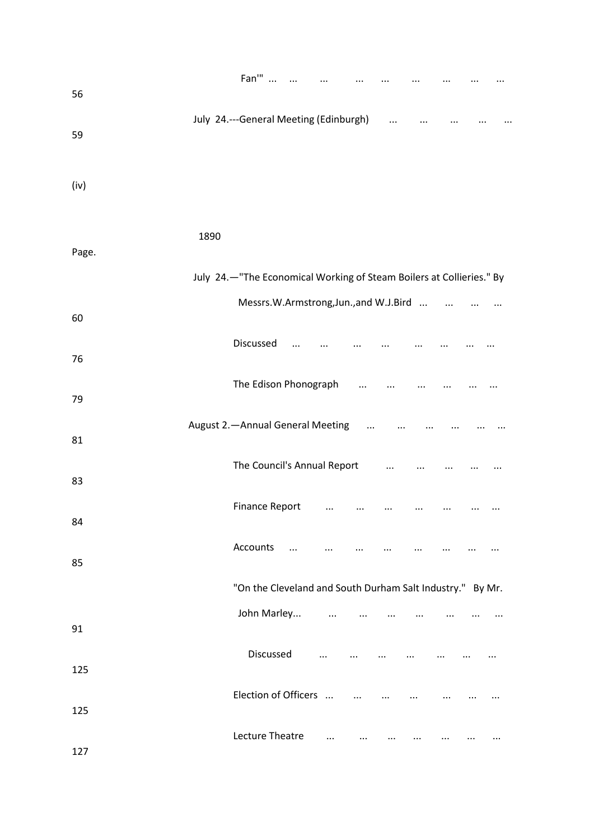| 56    |      | Fan'"                                                                |           |           |            |            |          |           |  |
|-------|------|----------------------------------------------------------------------|-----------|-----------|------------|------------|----------|-----------|--|
| 59    |      | July 24 .--- General Meeting (Edinburgh)                             |           |           |            | $\cdots$   |          |           |  |
| (iv)  |      |                                                                      |           |           |            |            |          |           |  |
| Page. | 1890 |                                                                      |           |           |            |            |          |           |  |
|       |      | July 24.-"The Economical Working of Steam Boilers at Collieries." By |           |           |            |            |          |           |  |
| 60    |      | Messrs.W.Armstrong,Jun.,and W.J.Bird                                 |           |           |            |            |          | $\ddotsc$ |  |
| 76    |      | Discussed                                                            |           |           |            |            |          |           |  |
| 79    |      | The Edison Phonograph                                                |           |           |            |            |          |           |  |
| 81    |      | August 2. - Annual General Meeting                                   |           |           | $\cdots$   |            |          |           |  |
| 83    |      | The Council's Annual Report                                          |           |           |            | $\dddotsc$ |          | $\cdots$  |  |
| 84    |      | <b>Finance Report</b>                                                |           | $\cdots$  | $\cdots$   |            |          |           |  |
| 85    |      | Accounts                                                             | $\ddotsc$ |           |            |            |          |           |  |
|       |      | "On the Cleveland and South Durham Salt Industry." By Mr.            |           |           |            |            |          |           |  |
| 91    |      | John Marley                                                          |           | $\ddotsc$ |            |            |          |           |  |
| 125   |      | Discussed                                                            |           | $\cdots$  | $\ldots$   | $\cdots$   | $\cdots$ |           |  |
| 125   |      | Election of Officers                                                 |           |           | $\dddotsc$ |            |          |           |  |
| 127   |      | Lecture Theatre                                                      |           | $\cdots$  |            |            |          |           |  |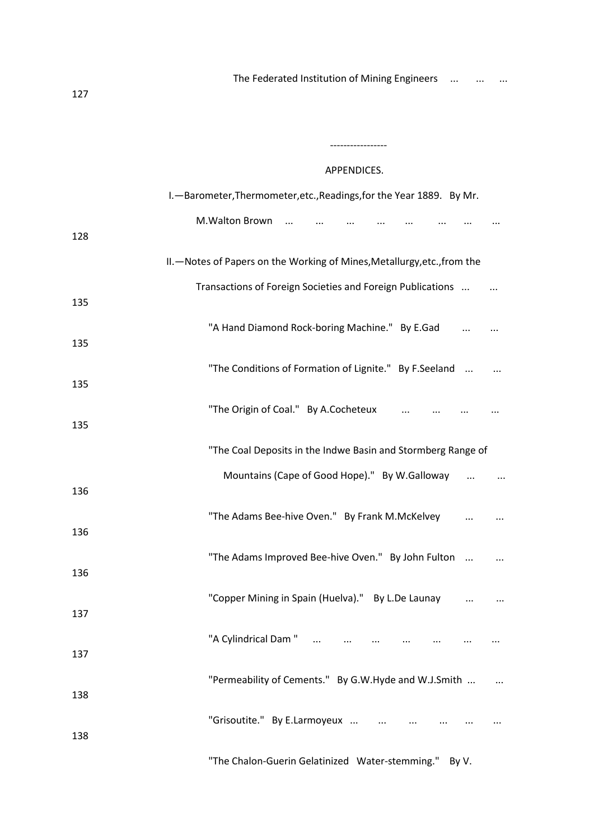-----------------

# APPENDICES.

|     | I. - Barometer, Thermometer, etc., Readings, for the Year 1889. By Mr.    |
|-----|---------------------------------------------------------------------------|
| 128 | M.Walton Brown                                                            |
|     | II. - Notes of Papers on the Working of Mines, Metallurgy, etc., from the |
| 135 | Transactions of Foreign Societies and Foreign Publications                |
| 135 | "A Hand Diamond Rock-boring Machine." By E.Gad                            |
| 135 | "The Conditions of Formation of Lignite." By F.Seeland                    |
| 135 | "The Origin of Coal." By A.Cocheteux                                      |
|     | "The Coal Deposits in the Indwe Basin and Stormberg Range of              |
| 136 | Mountains (Cape of Good Hope)." By W.Galloway                             |
| 136 | "The Adams Bee-hive Oven." By Frank M.McKelvey                            |
| 136 | "The Adams Improved Bee-hive Oven." By John Fulton                        |
| 137 | "Copper Mining in Spain (Huelva)." By L.De Launay                         |
| 137 | "A Cylindrical Dam "                                                      |
| 138 | "Permeability of Cements." By G.W.Hyde and W.J.Smith                      |
| 138 | "Grisoutite." By E.Larmoyeux                                              |
|     | "The Chalon-Guerin Gelatinized Water-stemming." By V.                     |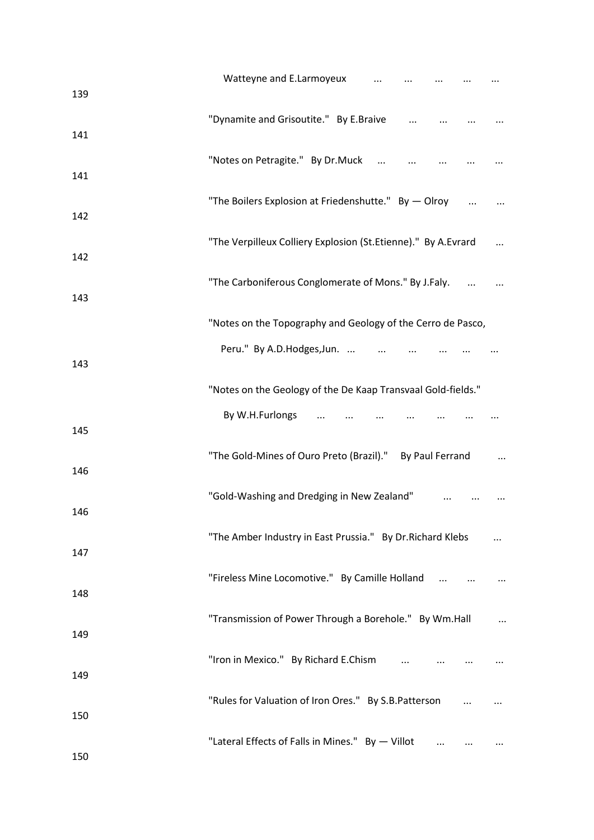| 139 | Watteyne and E.Larmoyeux<br>$\ldots$                          |  |
|-----|---------------------------------------------------------------|--|
| 141 | "Dynamite and Grisoutite." By E.Braive                        |  |
| 141 | "Notes on Petragite." By Dr.Muck                              |  |
| 142 | "The Boilers Explosion at Friedenshutte." By - Olroy          |  |
| 142 | "The Verpilleux Colliery Explosion (St.Etienne)." By A.Evrard |  |
| 143 | "The Carboniferous Conglomerate of Mons." By J.Faly.          |  |
|     | "Notes on the Topography and Geology of the Cerro de Pasco,   |  |
| 143 | Peru." By A.D.Hodges, Jun.                                    |  |
|     | "Notes on the Geology of the De Kaap Transvaal Gold-fields."  |  |
| 145 | By W.H.Furlongs                                               |  |
| 146 | "The Gold-Mines of Ouro Preto (Brazil)." By Paul Ferrand      |  |
| 146 | "Gold-Washing and Dredging in New Zealand"                    |  |
| 147 | "The Amber Industry in East Prussia." By Dr. Richard Klebs    |  |
| 148 | "Fireless Mine Locomotive." By Camille Holland                |  |
| 149 | "Transmission of Power Through a Borehole." By Wm.Hall        |  |
| 149 | "Iron in Mexico." By Richard E.Chism                          |  |
| 150 | "Rules for Valuation of Iron Ores." By S.B.Patterson          |  |
| 150 | "Lateral Effects of Falls in Mines." By - Villot              |  |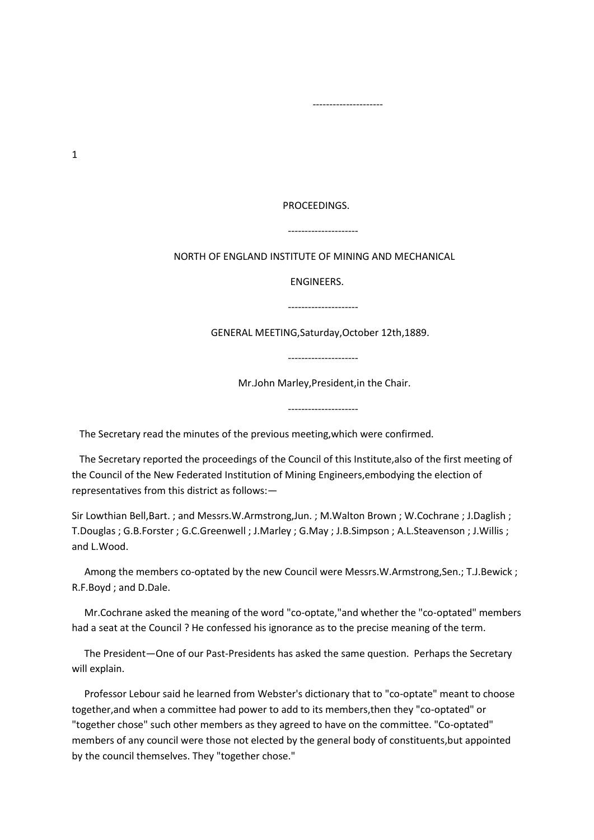1

#### PROCEEDINGS.

### ---------------------

### NORTH OF ENGLAND INSTITUTE OF MINING AND MECHANICAL

#### ENGINEERS.

GENERAL MEETING,Saturday,October 12th,1889.

---------------------

Mr.John Marley,President,in the Chair.

---------------------

The Secretary read the minutes of the previous meeting,which were confirmed.

---------------------

---------------------

 The Secretary reported the proceedings of the Council of this Institute,also of the first meeting of the Council of the New Federated Institution of Mining Engineers,embodying the election of representatives from this district as follows:—

Sir Lowthian Bell,Bart. ; and Messrs.W.Armstrong,Jun. ; M.Walton Brown ; W.Cochrane ; J.Daglish ; T.Douglas ; G.B.Forster ; G.C.Greenwell ; J.Marley ; G.May ; J.B.Simpson ; A.L.Steavenson ; J.Willis ; and L.Wood.

 Among the members co-optated by the new Council were Messrs.W.Armstrong,Sen.; T.J.Bewick ; R.F.Boyd ; and D.Dale.

 Mr.Cochrane asked the meaning of the word "co-optate,"and whether the "co-optated" members had a seat at the Council ? He confessed his ignorance as to the precise meaning of the term.

 The President—One of our Past-Presidents has asked the same question. Perhaps the Secretary will explain.

 Professor Lebour said he learned from Webster's dictionary that to "co-optate" meant to choose together,and when a committee had power to add to its members,then they "co-optated" or "together chose" such other members as they agreed to have on the committee. "Co-optated" members of any council were those not elected by the general body of constituents,but appointed by the council themselves. They "together chose."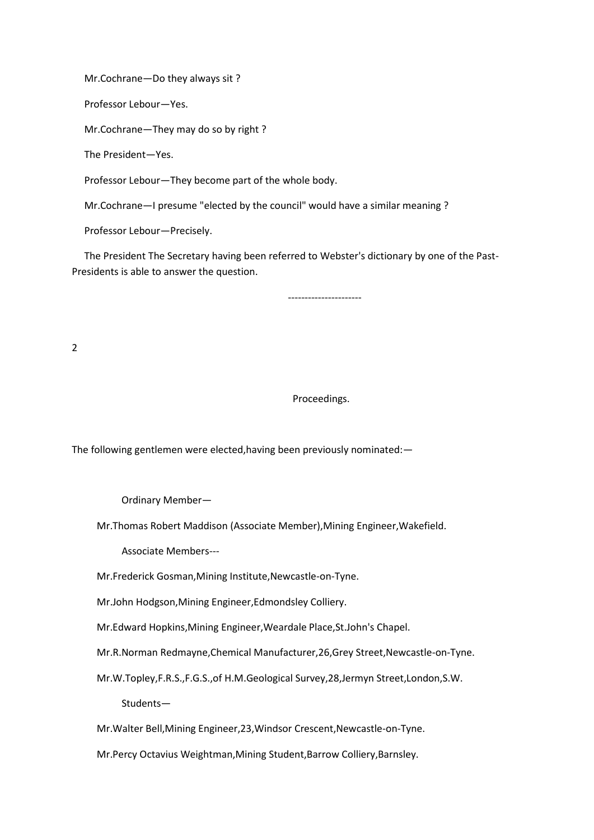Mr.Cochrane—Do they always sit ?

Professor Lebour—Yes.

Mr.Cochrane—They may do so by right ?

The President—Yes.

Professor Lebour—They become part of the whole body.

Mr.Cochrane—I presume "elected by the council" would have a similar meaning ?

Professor Lebour—Precisely.

 The President The Secretary having been referred to Webster's dictionary by one of the Past-Presidents is able to answer the question.

----------------------

2

Proceedings.

The following gentlemen were elected,having been previously nominated:—

Ordinary Member—

Mr.Thomas Robert Maddison (Associate Member),Mining Engineer,Wakefield.

Associate Members---

Mr.Frederick Gosman,Mining Institute,Newcastle-on-Tyne.

Mr.John Hodgson,Mining Engineer,Edmondsley Colliery.

Mr.Edward Hopkins,Mining Engineer,Weardale Place,St.John's Chapel.

Mr.R.Norman Redmayne,Chemical Manufacturer,26,Grey Street,Newcastle-on-Tyne.

Mr.W.Topley,F.R.S.,F.G.S.,of H.M.Geological Survey,28,Jermyn Street,London,S.W.

Students—

Mr.Walter Bell,Mining Engineer,23,Windsor Crescent,Newcastle-on-Tyne.

Mr.Percy Octavius Weightman,Mining Student,Barrow Colliery,Barnsley.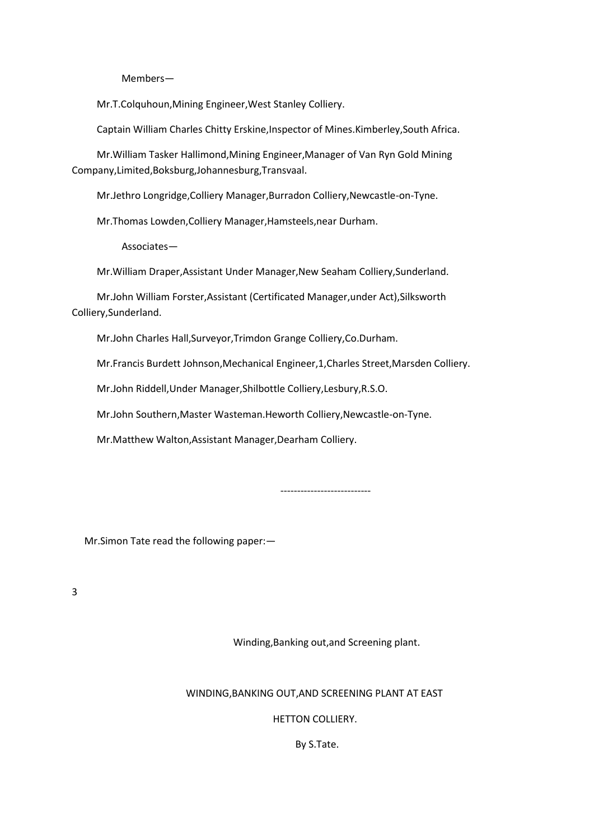Members—

Mr.T.Colquhoun,Mining Engineer,West Stanley Colliery.

Captain William Charles Chitty Erskine,Inspector of Mines.Kimberley,South Africa.

 Mr.William Tasker Hallimond,Mining Engineer,Manager of Van Ryn Gold Mining Company,Limited,Boksburg,Johannesburg,Transvaal.

Mr.Jethro Longridge,Colliery Manager,Burradon Colliery,Newcastle-on-Tyne.

Mr.Thomas Lowden,Colliery Manager,Hamsteels,near Durham.

Associates—

Mr.William Draper,Assistant Under Manager,New Seaham Colliery,Sunderland.

 Mr.John William Forster,Assistant (Certificated Manager,under Act),Silksworth Colliery,Sunderland.

Mr.John Charles Hall,Surveyor,Trimdon Grange Colliery,Co.Durham.

Mr.Francis Burdett Johnson,Mechanical Engineer,1,Charles Street,Marsden Colliery.

Mr.John Riddell,Under Manager,Shilbottle Colliery,Lesbury,R.S.O.

Mr.John Southern,Master Wasteman.Heworth Colliery,Newcastle-on-Tyne.

Mr.Matthew Walton,Assistant Manager,Dearham Colliery.

---------------------------

Mr.Simon Tate read the following paper:—

3

Winding,Banking out,and Screening plant.

WINDING,BANKING OUT,AND SCREENING PLANT AT EAST

HETTON COLLIERY.

By S.Tate.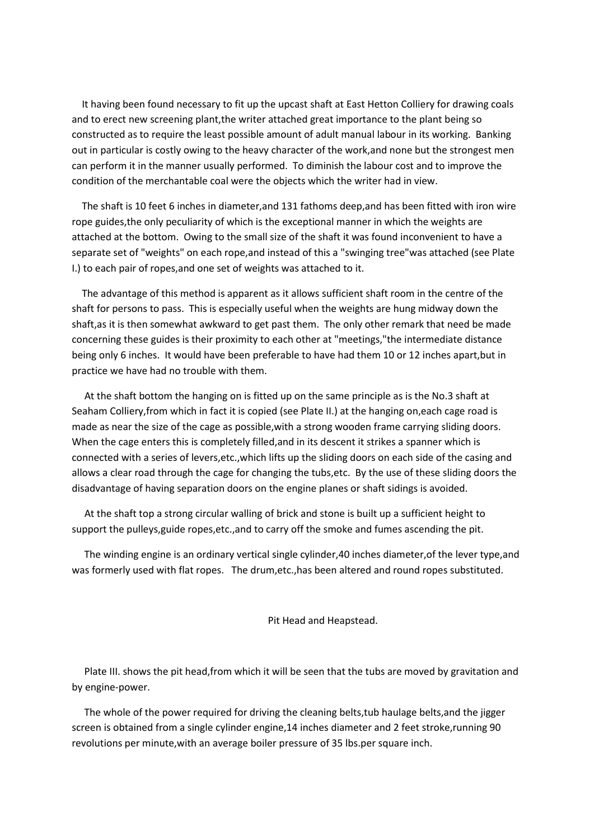It having been found necessary to fit up the upcast shaft at East Hetton Colliery for drawing coals and to erect new screening plant,the writer attached great importance to the plant being so constructed as to require the least possible amount of adult manual labour in its working. Banking out in particular is costly owing to the heavy character of the work,and none but the strongest men can perform it in the manner usually performed. To diminish the labour cost and to improve the condition of the merchantable coal were the objects which the writer had in view.

 The shaft is 10 feet 6 inches in diameter,and 131 fathoms deep,and has been fitted with iron wire rope guides,the only peculiarity of which is the exceptional manner in which the weights are attached at the bottom. Owing to the small size of the shaft it was found inconvenient to have a separate set of "weights" on each rope,and instead of this a "swinging tree"was attached (see Plate I.) to each pair of ropes,and one set of weights was attached to it.

 The advantage of this method is apparent as it allows sufficient shaft room in the centre of the shaft for persons to pass. This is especially useful when the weights are hung midway down the shaft,as it is then somewhat awkward to get past them. The only other remark that need be made concerning these guides is their proximity to each other at "meetings,"the intermediate distance being only 6 inches. It would have been preferable to have had them 10 or 12 inches apart,but in practice we have had no trouble with them.

 At the shaft bottom the hanging on is fitted up on the same principle as is the No.3 shaft at Seaham Colliery,from which in fact it is copied (see Plate II.) at the hanging on,each cage road is made as near the size of the cage as possible,with a strong wooden frame carrying sliding doors. When the cage enters this is completely filled,and in its descent it strikes a spanner which is connected with a series of levers,etc.,which lifts up the sliding doors on each side of the casing and allows a clear road through the cage for changing the tubs,etc. By the use of these sliding doors the disadvantage of having separation doors on the engine planes or shaft sidings is avoided.

 At the shaft top a strong circular walling of brick and stone is built up a sufficient height to support the pulleys,guide ropes,etc.,and to carry off the smoke and fumes ascending the pit.

 The winding engine is an ordinary vertical single cylinder,40 inches diameter,of the lever type,and was formerly used with flat ropes. The drum,etc.,has been altered and round ropes substituted.

Pit Head and Heapstead.

 Plate III. shows the pit head,from which it will be seen that the tubs are moved by gravitation and by engine-power.

 The whole of the power required for driving the cleaning belts,tub haulage belts,and the jigger screen is obtained from a single cylinder engine,14 inches diameter and 2 feet stroke,running 90 revolutions per minute,with an average boiler pressure of 35 lbs.per square inch.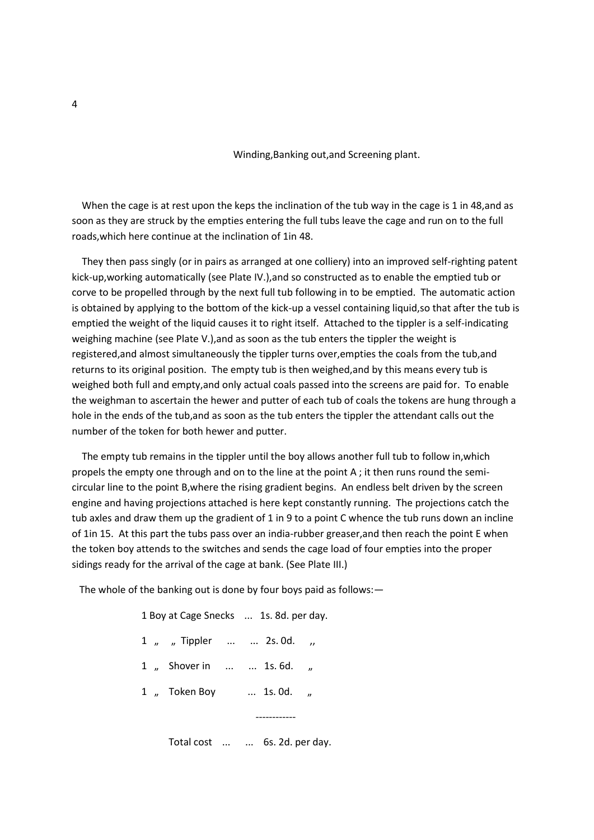Winding,Banking out,and Screening plant.

When the cage is at rest upon the keps the inclination of the tub way in the cage is 1 in 48,and as soon as they are struck by the empties entering the full tubs leave the cage and run on to the full roads,which here continue at the inclination of 1in 48.

 They then pass singly (or in pairs as arranged at one colliery) into an improved self-righting patent kick-up,working automatically (see Plate IV.),and so constructed as to enable the emptied tub or corve to be propelled through by the next full tub following in to be emptied. The automatic action is obtained by applying to the bottom of the kick-up a vessel containing liquid,so that after the tub is emptied the weight of the liquid causes it to right itself. Attached to the tippler is a self-indicating weighing machine (see Plate V.), and as soon as the tub enters the tippler the weight is registered,and almost simultaneously the tippler turns over,empties the coals from the tub,and returns to its original position. The empty tub is then weighed,and by this means every tub is weighed both full and empty,and only actual coals passed into the screens are paid for. To enable the weighman to ascertain the hewer and putter of each tub of coals the tokens are hung through a hole in the ends of the tub,and as soon as the tub enters the tippler the attendant calls out the number of the token for both hewer and putter.

 The empty tub remains in the tippler until the boy allows another full tub to follow in,which propels the empty one through and on to the line at the point A ; it then runs round the semicircular line to the point B,where the rising gradient begins. An endless belt driven by the screen engine and having projections attached is here kept constantly running. The projections catch the tub axles and draw them up the gradient of 1 in 9 to a point C whence the tub runs down an incline of 1in 15. At this part the tubs pass over an india-rubber greaser,and then reach the point E when the token boy attends to the switches and sends the cage load of four empties into the proper sidings ready for the arrival of the cage at bank. (See Plate III.)

The whole of the banking out is done by four boys paid as follows:—

|  |                               | 1 Boy at Cage Snecks  1s. 8d. per day. |  |  |  |
|--|-------------------------------|----------------------------------------|--|--|--|
|  | 1, Tippler   2s.0d.,          |                                        |  |  |  |
|  | 1, Shover in   1s.6d.         |                                        |  |  |  |
|  | 1 , Token Boy  1s. 0d.        |                                        |  |  |  |
|  |                               |                                        |  |  |  |
|  | Total cost   6s. 2d. per day. |                                        |  |  |  |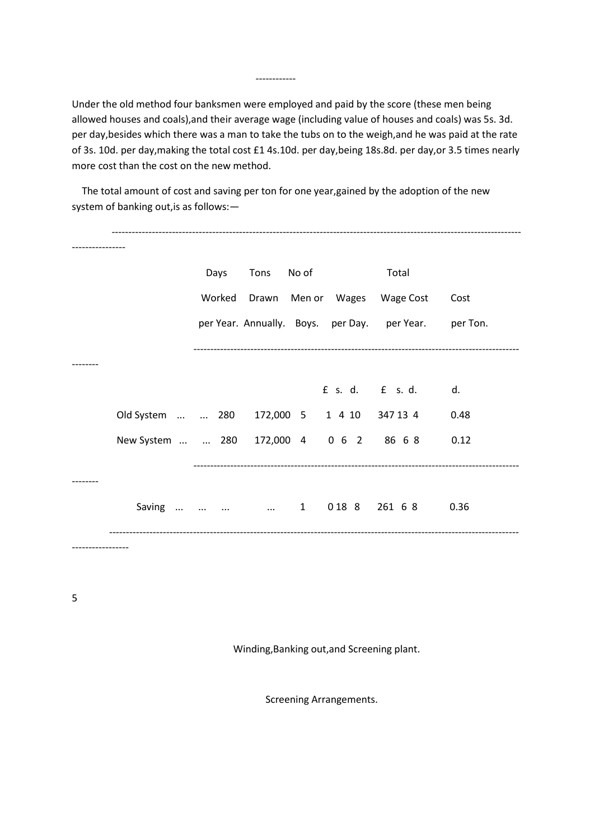Under the old method four banksmen were employed and paid by the score (these men being allowed houses and coals),and their average wage (including value of houses and coals) was 5s. 3d. per day,besides which there was a man to take the tubs on to the weigh,and he was paid at the rate of 3s. 10d. per day,making the total cost £1 4s.10d. per day,being 18s.8d. per day,or 3.5 times nearly more cost than the cost on the new method.

 The total amount of cost and saving per ton for one year,gained by the adoption of the new system of banking out,is as follows:—

------------

|                                            | Days   | Tons  | No of | Total                                                 |      |
|--------------------------------------------|--------|-------|-------|-------------------------------------------------------|------|
|                                            | Worked | Drawn |       | Men or Wages Wage Cost                                | Cost |
|                                            |        |       |       | per Year. Annually. Boys. per Day. per Year. per Ton. |      |
|                                            |        |       |       |                                                       |      |
|                                            |        |       |       |                                                       | d.   |
| Old System   280 172,000 5 1 4 10 347 13 4 |        |       |       |                                                       | 0.48 |
| New System   280 172,000 4 0 6 2 86 6 8    |        |       |       |                                                       | 0.12 |
|                                            |        |       |       |                                                       |      |
| Saving     1 018 8 261 6 8                 |        |       |       |                                                       | 0.36 |
|                                            |        |       |       |                                                       |      |

5

Winding,Banking out,and Screening plant.

Screening Arrangements.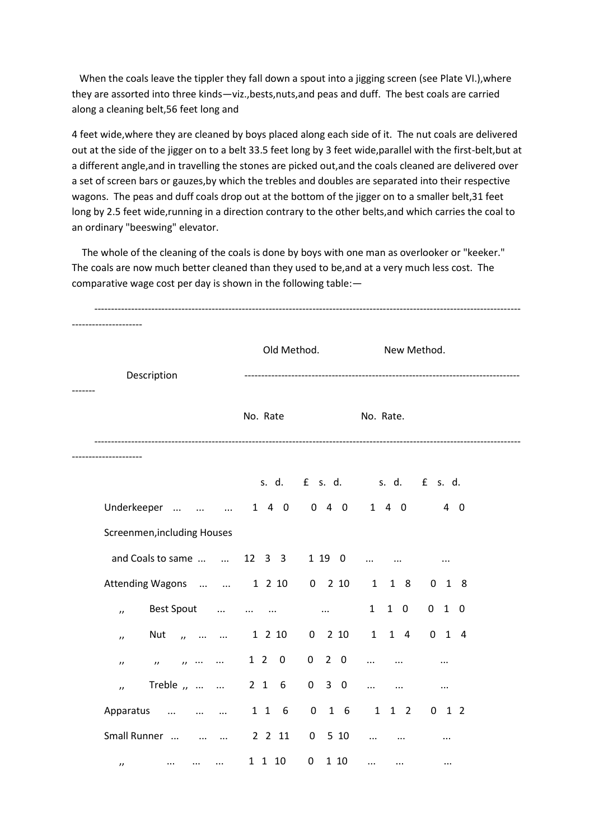When the coals leave the tippler they fall down a spout into a jigging screen (see Plate VI.), where they are assorted into three kinds—viz.,bests,nuts,and peas and duff. The best coals are carried along a cleaning belt,56 feet long and

4 feet wide,where they are cleaned by boys placed along each side of it. The nut coals are delivered out at the side of the jigger on to a belt 33.5 feet long by 3 feet wide,parallel with the first-belt,but at a different angle,and in travelling the stones are picked out,and the coals cleaned are delivered over a set of screen bars or gauzes,by which the trebles and doubles are separated into their respective wagons. The peas and duff coals drop out at the bottom of the jigger on to a smaller belt,31 feet long by 2.5 feet wide,running in a direction contrary to the other belts, and which carries the coal to an ordinary "beeswing" elevator.

 The whole of the cleaning of the coals is done by boys with one man as overlooker or "keeker." The coals are now much better cleaned than they used to be,and at a very much less cost. The comparative wage cost per day is shown in the following table:—

| Description                                                        |                      | Old Method.               | New Method.                 |            |  |  |
|--------------------------------------------------------------------|----------------------|---------------------------|-----------------------------|------------|--|--|
|                                                                    | No. Rate             |                           | No. Rate.                   |            |  |  |
|                                                                    |                      |                           | s. d. f s. d. s. d. f s. d. |            |  |  |
| Underkeeper    1 4 0 0 4 0 1 4 0                                   |                      |                           |                             | $4\quad 0$ |  |  |
| Screenmen, including Houses                                        |                      |                           |                             |            |  |  |
| and Coals to same   12 3 3 1 19 0                                  |                      |                           | $\cdots$                    | $\cdots$   |  |  |
| Attending Wagons   1 2 10 0 2 10                                   |                      |                           | $\mathbf{1}$<br>1 8         | $0$ 1 8    |  |  |
| Best Spout<br>$\prime$                                             | $\cdots$<br>$\cdots$ | $\sim 100$ km s $^{-1}$ . | 1 0<br>1                    | $0$ 1 0    |  |  |
| Nut<br>$\ldots$<br>$\overline{u}$<br>$\sim$ $\sim$<br>$\mathbf{r}$ | 1 2 10               |                           | 0 2 10 1 1 4                | $0$ 1 4    |  |  |
| $\cdots$<br>$\boldsymbol{\mu}$<br>$\overline{u}$<br>$\prime$       | 1 2 0                | $0$ 2 $0$                 | $\cdots$<br>$\cdots$        | $\cdots$   |  |  |
| Treble ,   2 1 6<br>$\overline{U}$                                 |                      | $0\quad 3\quad 0$         | $\ddotsc$<br>$\cdots$       | $\cdots$   |  |  |
| Apparatus<br>and the company of the company of the                 | 116                  | $0$ 1 6                   | $1\quad1\quad2$             | $0$ 1 2    |  |  |
| Small Runner                                                       | 2 2 11               |                           | $0 5 10$                    | $\cdots$   |  |  |
| $\cdots$<br>$\cdots$<br>$\cdots$<br>$^{\prime}$                    | 1 1 10               | $\mathbf 0$<br>1 10       | $\cdots$<br>$\cdots$        | $\cdots$   |  |  |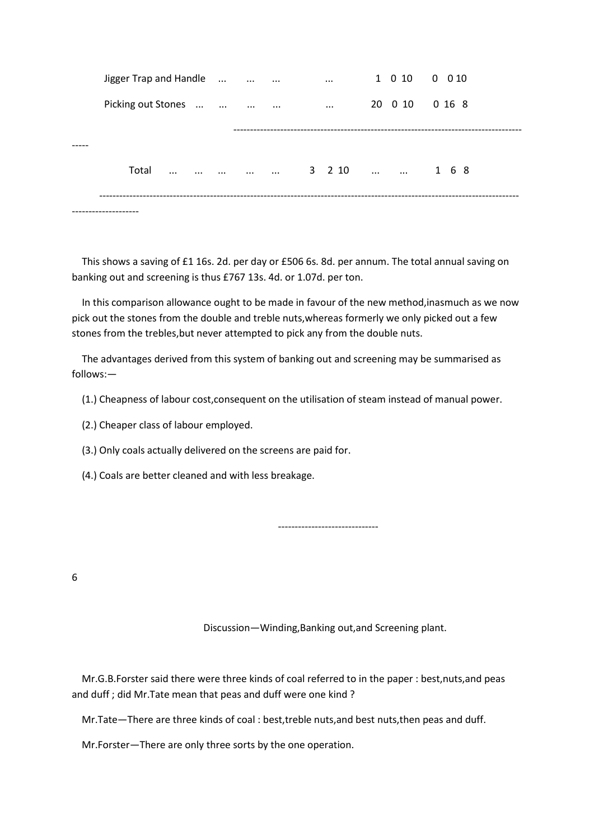| Jigger Trap and Handle |               |                          |               | $\cdots$ |  | 1 0 10 0 0 10  |
|------------------------|---------------|--------------------------|---------------|----------|--|----------------|
| Picking out Stones     |               |                          | $\sim$ $\sim$ | $\cdots$ |  | 20 0 10 0 16 8 |
|                        |               |                          |               |          |  |                |
| Total<br>$\ldots$      | $\sim$ $\sim$ | المنافس المنافس والمنافس |               |          |  | 3 2 10   1 6 8 |
|                        |               |                          |               |          |  |                |
|                        |               |                          |               |          |  |                |

 This shows a saving of £1 16s. 2d. per day or £506 6s. 8d. per annum. The total annual saving on banking out and screening is thus £767 13s. 4d. or 1.07d. per ton.

 In this comparison allowance ought to be made in favour of the new method,inasmuch as we now pick out the stones from the double and treble nuts,whereas formerly we only picked out a few stones from the trebles,but never attempted to pick any from the double nuts.

 The advantages derived from this system of banking out and screening may be summarised as follows:—

(1.) Cheapness of labour cost,consequent on the utilisation of steam instead of manual power.

(2.) Cheaper class of labour employed.

(3.) Only coals actually delivered on the screens are paid for.

(4.) Coals are better cleaned and with less breakage.

------------------------------

6

Discussion—Winding,Banking out,and Screening plant.

 Mr.G.B.Forster said there were three kinds of coal referred to in the paper : best,nuts,and peas and duff ; did Mr.Tate mean that peas and duff were one kind ?

Mr.Tate—There are three kinds of coal : best,treble nuts,and best nuts,then peas and duff.

Mr.Forster—There are only three sorts by the one operation.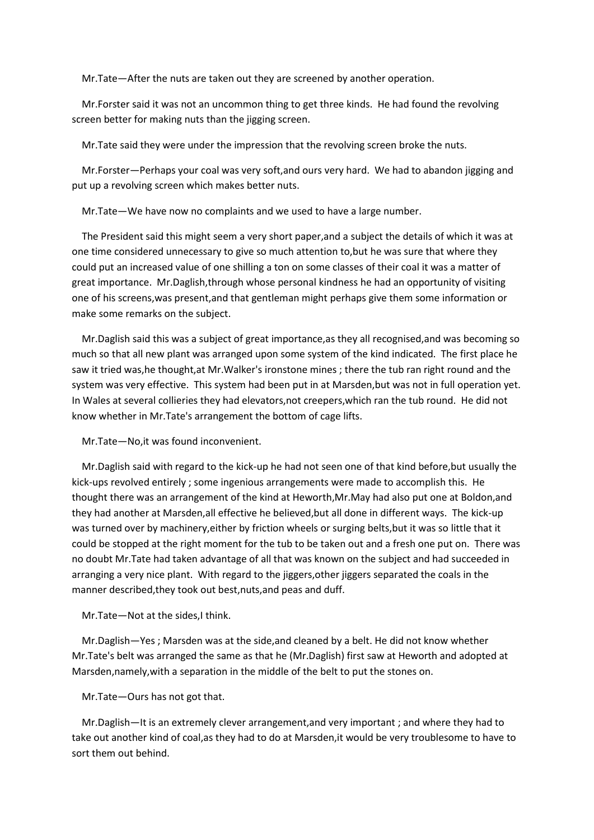Mr.Tate—After the nuts are taken out they are screened by another operation.

 Mr.Forster said it was not an uncommon thing to get three kinds. He had found the revolving screen better for making nuts than the jigging screen.

Mr.Tate said they were under the impression that the revolving screen broke the nuts.

 Mr.Forster—Perhaps your coal was very soft,and ours very hard. We had to abandon jigging and put up a revolving screen which makes better nuts.

Mr.Tate—We have now no complaints and we used to have a large number.

 The President said this might seem a very short paper,and a subject the details of which it was at one time considered unnecessary to give so much attention to,but he was sure that where they could put an increased value of one shilling a ton on some classes of their coal it was a matter of great importance. Mr.Daglish,through whose personal kindness he had an opportunity of visiting one of his screens,was present,and that gentleman might perhaps give them some information or make some remarks on the subject.

 Mr.Daglish said this was a subject of great importance,as they all recognised,and was becoming so much so that all new plant was arranged upon some system of the kind indicated. The first place he saw it tried was,he thought,at Mr.Walker's ironstone mines ; there the tub ran right round and the system was very effective. This system had been put in at Marsden,but was not in full operation yet. In Wales at several collieries they had elevators,not creepers,which ran the tub round. He did not know whether in Mr.Tate's arrangement the bottom of cage lifts.

Mr.Tate—No,it was found inconvenient.

 Mr.Daglish said with regard to the kick-up he had not seen one of that kind before,but usually the kick-ups revolved entirely ; some ingenious arrangements were made to accomplish this. He thought there was an arrangement of the kind at Heworth,Mr.May had also put one at Boldon,and they had another at Marsden,all effective he believed,but all done in different ways. The kick-up was turned over by machinery,either by friction wheels or surging belts,but it was so little that it could be stopped at the right moment for the tub to be taken out and a fresh one put on. There was no doubt Mr.Tate had taken advantage of all that was known on the subject and had succeeded in arranging a very nice plant. With regard to the jiggers,other jiggers separated the coals in the manner described,they took out best,nuts,and peas and duff.

Mr.Tate—Not at the sides,I think.

 Mr.Daglish—Yes ; Marsden was at the side,and cleaned by a belt. He did not know whether Mr.Tate's belt was arranged the same as that he (Mr.Daglish) first saw at Heworth and adopted at Marsden,namely,with a separation in the middle of the belt to put the stones on.

Mr.Tate—Ours has not got that.

 Mr.Daglish—It is an extremely clever arrangement,and very important ; and where they had to take out another kind of coal,as they had to do at Marsden,it would be very troublesome to have to sort them out behind.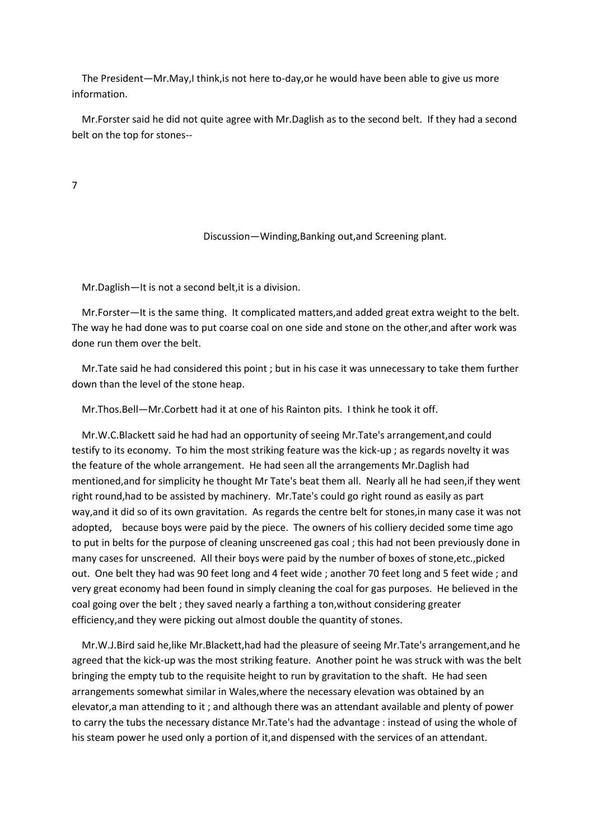The President—Mr.May,I think,is not here to-day,or he would have been able to give us more information.

 Mr.Forster said he did not quite agree with Mr.Daglish as to the second belt. If they had a second belt on the top for stones--

7

Discussion—Winding,Banking out,and Screening plant.

Mr.Daglish—It is not a second belt,it is a division.

 Mr.Forster—It is the same thing. It complicated matters,and added great extra weight to the belt. The way he had done was to put coarse coal on one side and stone on the other,and after work was done run them over the belt.

 Mr.Tate said he had considered this point ; but in his case it was unnecessary to take them further down than the level of the stone heap.

Mr.Thos.Bell—Mr.Corbett had it at one of his Rainton pits. I think he took it off.

 Mr.W.C.Blackett said he had had an opportunity of seeing Mr.Tate's arrangement,and could testify to its economy. To him the most striking feature was the kick-up ; as regards novelty it was the feature of the whole arrangement. He had seen all the arrangements Mr.Daglish had mentioned,and for simplicity he thought Mr Tate's beat them all. Nearly all he had seen,if they went right round,had to be assisted by machinery. Mr.Tate's could go right round as easily as part way,and it did so of its own gravitation. As regards the centre belt for stones,in many case it was not adopted, because boys were paid by the piece. The owners of his colliery decided some time ago to put in belts for the purpose of cleaning unscreened gas coal ; this had not been previously done in many cases for unscreened. All their boys were paid by the number of boxes of stone,etc.,picked out. One belt they had was 90 feet long and 4 feet wide ; another 70 feet long and 5 feet wide ; and very great economy had been found in simply cleaning the coal for gas purposes. He believed in the coal going over the belt ; they saved nearly a farthing a ton,without considering greater efficiency,and they were picking out almost double the quantity of stones.

 Mr.W.J.Bird said he,like Mr.Blackett,had had the pleasure of seeing Mr.Tate's arrangement,and he agreed that the kick-up was the most striking feature. Another point he was struck with was the belt bringing the empty tub to the requisite height to run by gravitation to the shaft. He had seen arrangements somewhat similar in Wales,where the necessary elevation was obtained by an elevator,a man attending to it ; and although there was an attendant available and plenty of power to carry the tubs the necessary distance Mr.Tate's had the advantage : instead of using the whole of his steam power he used only a portion of it,and dispensed with the services of an attendant.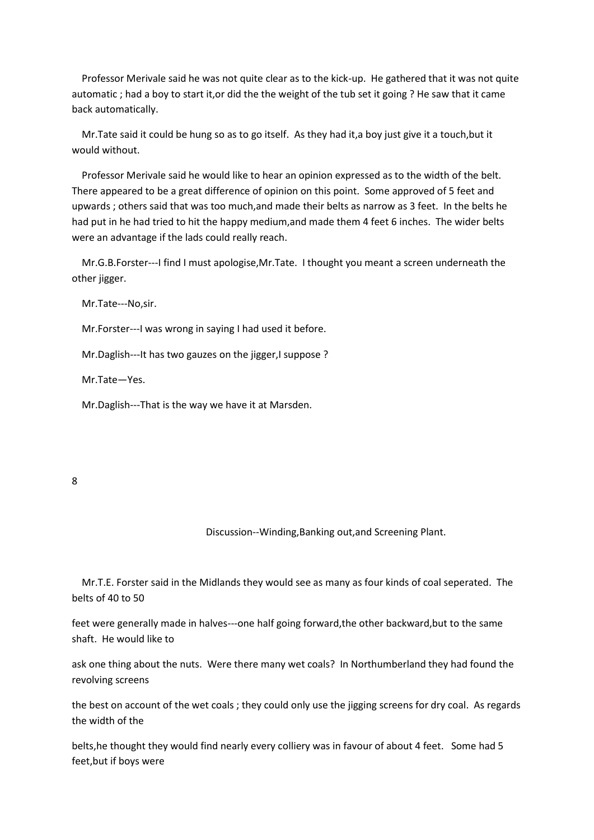Professor Merivale said he was not quite clear as to the kick-up. He gathered that it was not quite automatic ; had a boy to start it,or did the the weight of the tub set it going ? He saw that it came back automatically.

 Mr.Tate said it could be hung so as to go itself. As they had it,a boy just give it a touch,but it would without.

 Professor Merivale said he would like to hear an opinion expressed as to the width of the belt. There appeared to be a great difference of opinion on this point. Some approved of 5 feet and upwards ; others said that was too much,and made their belts as narrow as 3 feet. In the belts he had put in he had tried to hit the happy medium,and made them 4 feet 6 inches. The wider belts were an advantage if the lads could really reach.

 Mr.G.B.Forster---I find I must apologise,Mr.Tate. I thought you meant a screen underneath the other jigger.

Mr.Tate---No,sir.

Mr.Forster---I was wrong in saying I had used it before.

Mr.Daglish---It has two gauzes on the jigger, I suppose ?

Mr.Tate—Yes.

Mr.Daglish---That is the way we have it at Marsden.

#### 8

#### Discussion--Winding,Banking out,and Screening Plant.

 Mr.T.E. Forster said in the Midlands they would see as many as four kinds of coal seperated. The belts of 40 to 50

feet were generally made in halves---one half going forward,the other backward,but to the same shaft. He would like to

ask one thing about the nuts. Were there many wet coals? In Northumberland they had found the revolving screens

the best on account of the wet coals ; they could only use the jigging screens for dry coal. As regards the width of the

belts,he thought they would find nearly every colliery was in favour of about 4 feet. Some had 5 feet,but if boys were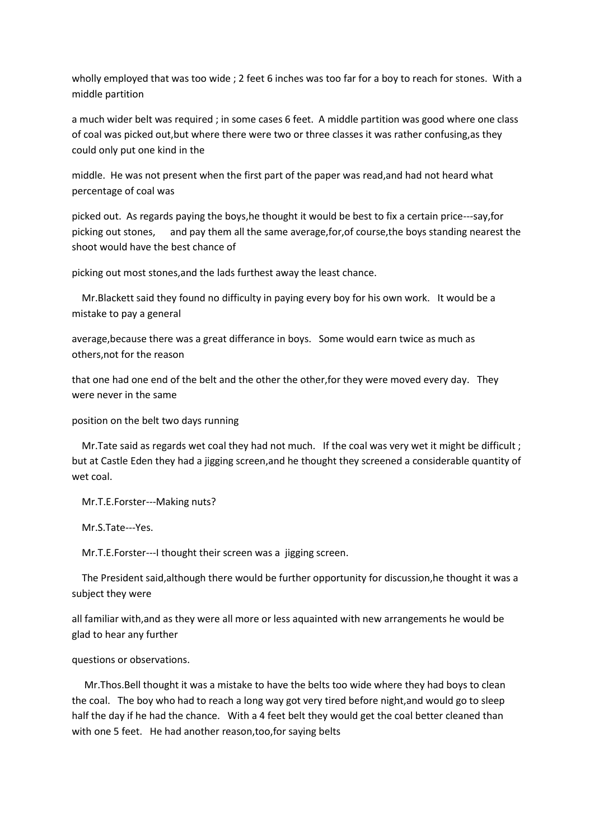wholly employed that was too wide ; 2 feet 6 inches was too far for a boy to reach for stones. With a middle partition

a much wider belt was required ; in some cases 6 feet. A middle partition was good where one class of coal was picked out,but where there were two or three classes it was rather confusing,as they could only put one kind in the

middle. He was not present when the first part of the paper was read,and had not heard what percentage of coal was

picked out. As regards paying the boys,he thought it would be best to fix a certain price---say,for picking out stones, and pay them all the same average,for,of course,the boys standing nearest the shoot would have the best chance of

picking out most stones,and the lads furthest away the least chance.

 Mr.Blackett said they found no difficulty in paying every boy for his own work. It would be a mistake to pay a general

average,because there was a great differance in boys. Some would earn twice as much as others,not for the reason

that one had one end of the belt and the other the other,for they were moved every day. They were never in the same

position on the belt two days running

Mr. Tate said as regards wet coal they had not much. If the coal was very wet it might be difficult ; but at Castle Eden they had a jigging screen,and he thought they screened a considerable quantity of wet coal.

Mr.T.E.Forster---Making nuts?

Mr.S.Tate---Yes.

Mr.T.E.Forster---I thought their screen was a jigging screen.

 The President said,although there would be further opportunity for discussion,he thought it was a subject they were

all familiar with,and as they were all more or less aquainted with new arrangements he would be glad to hear any further

questions or observations.

 Mr.Thos.Bell thought it was a mistake to have the belts too wide where they had boys to clean the coal. The boy who had to reach a long way got very tired before night,and would go to sleep half the day if he had the chance. With a 4 feet belt they would get the coal better cleaned than with one 5 feet. He had another reason,too,for saying belts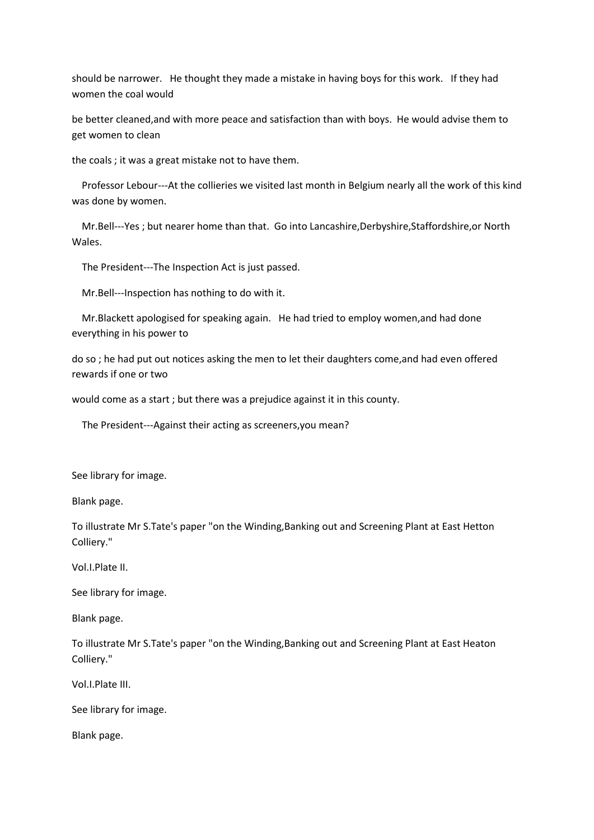should be narrower. He thought they made a mistake in having boys for this work. If they had women the coal would

be better cleaned,and with more peace and satisfaction than with boys. He would advise them to get women to clean

the coals ; it was a great mistake not to have them.

 Professor Lebour---At the collieries we visited last month in Belgium nearly all the work of this kind was done by women.

 Mr.Bell---Yes ; but nearer home than that. Go into Lancashire,Derbyshire,Staffordshire,or North Wales.

The President---The Inspection Act is just passed.

Mr.Bell---Inspection has nothing to do with it.

 Mr.Blackett apologised for speaking again. He had tried to employ women,and had done everything in his power to

do so ; he had put out notices asking the men to let their daughters come,and had even offered rewards if one or two

would come as a start ; but there was a prejudice against it in this county.

The President---Against their acting as screeners,you mean?

See library for image.

Blank page.

To illustrate Mr S.Tate's paper "on the Winding,Banking out and Screening Plant at East Hetton Colliery."

Vol.I.Plate II.

See library for image.

Blank page.

To illustrate Mr S.Tate's paper "on the Winding,Banking out and Screening Plant at East Heaton Colliery."

Vol.I.Plate III.

See library for image.

Blank page.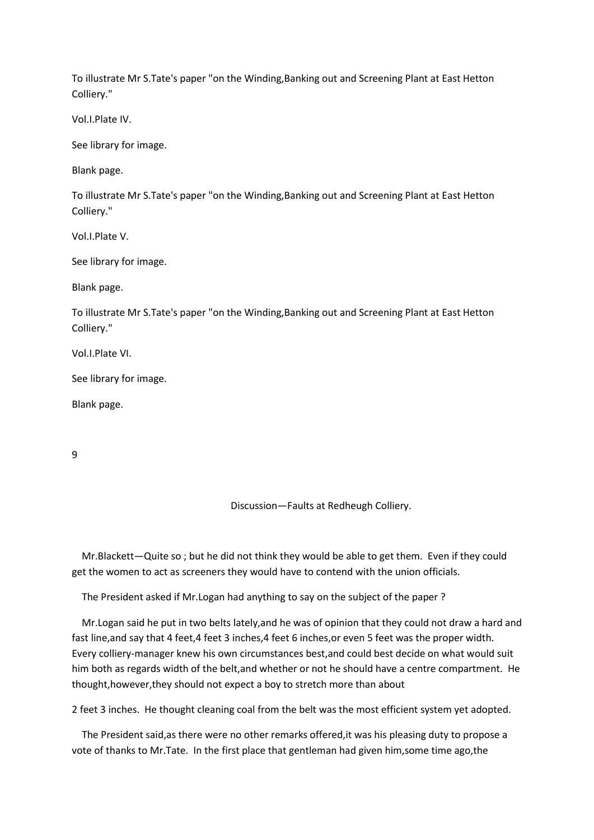To illustrate Mr S.Tate's paper "on the Winding,Banking out and Screening Plant at East Hetton Colliery."

Vol.I.Plate IV.

See library for image.

Blank page.

To illustrate Mr S.Tate's paper "on the Winding,Banking out and Screening Plant at East Hetton Colliery."

Vol.I.Plate V.

See library for image.

Blank page.

To illustrate Mr S.Tate's paper "on the Winding,Banking out and Screening Plant at East Hetton Colliery."

Vol.I.Plate VI.

See library for image.

Blank page.

9

Discussion—Faults at Redheugh Colliery.

 Mr.Blackett—Quite so ; but he did not think they would be able to get them. Even if they could get the women to act as screeners they would have to contend with the union officials.

The President asked if Mr.Logan had anything to say on the subject of the paper ?

 Mr.Logan said he put in two belts lately,and he was of opinion that they could not draw a hard and fast line, and say that 4 feet, 4 feet 3 inches, 4 feet 6 inches, or even 5 feet was the proper width. Every colliery-manager knew his own circumstances best,and could best decide on what would suit him both as regards width of the belt,and whether or not he should have a centre compartment. He thought,however,they should not expect a boy to stretch more than about

2 feet 3 inches. He thought cleaning coal from the belt was the most efficient system yet adopted.

 The President said,as there were no other remarks offered,it was his pleasing duty to propose a vote of thanks to Mr.Tate. In the first place that gentleman had given him,some time ago,the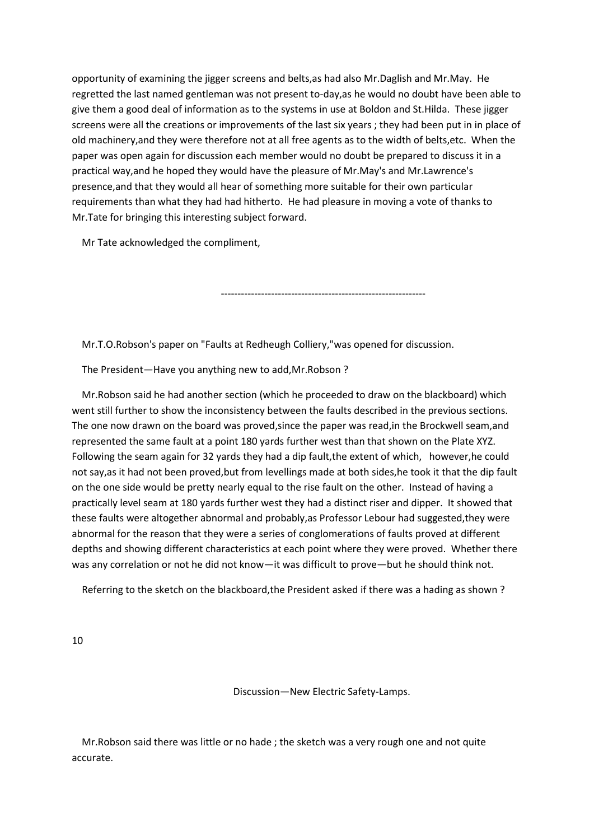opportunity of examining the jigger screens and belts,as had also Mr.Daglish and Mr.May. He regretted the last named gentleman was not present to-day,as he would no doubt have been able to give them a good deal of information as to the systems in use at Boldon and St.Hilda. These jigger screens were all the creations or improvements of the last six years ; they had been put in in place of old machinery,and they were therefore not at all free agents as to the width of belts,etc. When the paper was open again for discussion each member would no doubt be prepared to discuss it in a practical way,and he hoped they would have the pleasure of Mr.May's and Mr.Lawrence's presence,and that they would all hear of something more suitable for their own particular requirements than what they had had hitherto. He had pleasure in moving a vote of thanks to Mr.Tate for bringing this interesting subject forward.

Mr Tate acknowledged the compliment,

-------------------------------------------------------------

Mr.T.O.Robson's paper on "Faults at Redheugh Colliery,"was opened for discussion.

The President—Have you anything new to add,Mr.Robson ?

 Mr.Robson said he had another section (which he proceeded to draw on the blackboard) which went still further to show the inconsistency between the faults described in the previous sections. The one now drawn on the board was proved,since the paper was read,in the Brockwell seam,and represented the same fault at a point 180 yards further west than that shown on the Plate XYZ. Following the seam again for 32 yards they had a dip fault,the extent of which, however,he could not say,as it had not been proved,but from levellings made at both sides,he took it that the dip fault on the one side would be pretty nearly equal to the rise fault on the other. Instead of having a practically level seam at 180 yards further west they had a distinct riser and dipper. It showed that these faults were altogether abnormal and probably,as Professor Lebour had suggested,they were abnormal for the reason that they were a series of conglomerations of faults proved at different depths and showing different characteristics at each point where they were proved. Whether there was any correlation or not he did not know—it was difficult to prove—but he should think not.

Referring to the sketch on the blackboard,the President asked if there was a hading as shown ?

10

Discussion—New Electric Safety-Lamps.

 Mr.Robson said there was little or no hade ; the sketch was a very rough one and not quite accurate.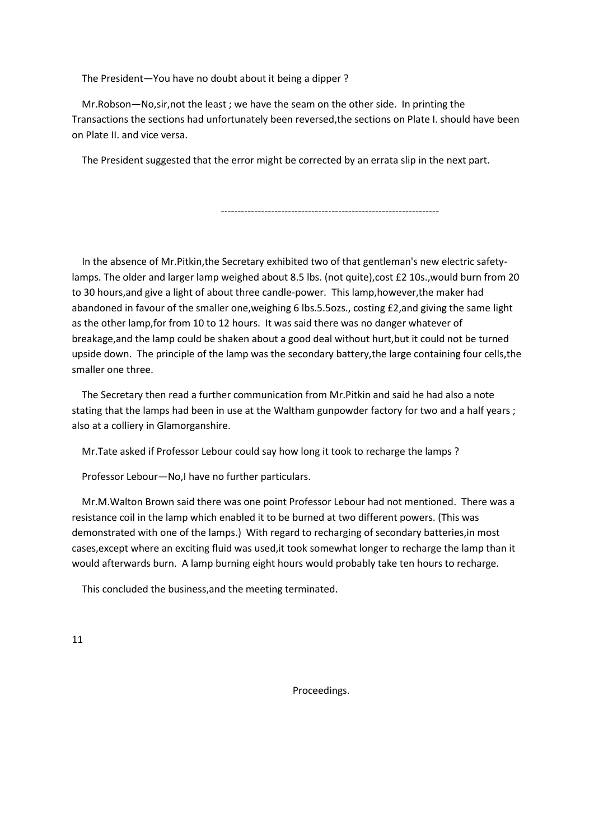The President—You have no doubt about it being a dipper ?

 Mr.Robson—No,sir,not the least ; we have the seam on the other side. In printing the Transactions the sections had unfortunately been reversed,the sections on Plate I. should have been on Plate II. and vice versa.

The President suggested that the error might be corrected by an errata slip in the next part.

-----------------------------------------------------------------

 In the absence of Mr.Pitkin,the Secretary exhibited two of that gentleman's new electric safetylamps. The older and larger lamp weighed about 8.5 lbs. (not quite),cost £2 10s.,would burn from 20 to 30 hours,and give a light of about three candle-power. This lamp,however,the maker had abandoned in favour of the smaller one,weighing 6 lbs.5.5ozs., costing £2,and giving the same light as the other lamp,for from 10 to 12 hours. It was said there was no danger whatever of breakage,and the lamp could be shaken about a good deal without hurt,but it could not be turned upside down. The principle of the lamp was the secondary battery,the large containing four cells,the smaller one three.

 The Secretary then read a further communication from Mr.Pitkin and said he had also a note stating that the lamps had been in use at the Waltham gunpowder factory for two and a half years ; also at a colliery in Glamorganshire.

Mr.Tate asked if Professor Lebour could say how long it took to recharge the lamps ?

Professor Lebour—No,I have no further particulars.

 Mr.M.Walton Brown said there was one point Professor Lebour had not mentioned. There was a resistance coil in the lamp which enabled it to be burned at two different powers. (This was demonstrated with one of the lamps.) With regard to recharging of secondary batteries,in most cases,except where an exciting fluid was used,it took somewhat longer to recharge the lamp than it would afterwards burn. A lamp burning eight hours would probably take ten hours to recharge.

This concluded the business,and the meeting terminated.

11

Proceedings.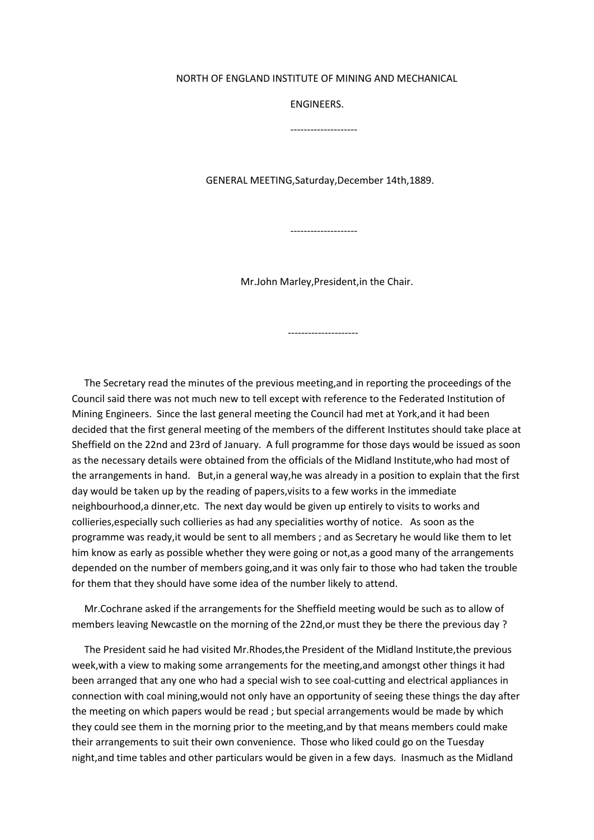#### NORTH OF ENGLAND INSTITUTE OF MINING AND MECHANICAL

ENGINEERS.

--------------------

GENERAL MEETING,Saturday,December 14th,1889.

--------------------

Mr.John Marley,President,in the Chair.

---------------------

 The Secretary read the minutes of the previous meeting,and in reporting the proceedings of the Council said there was not much new to tell except with reference to the Federated Institution of Mining Engineers. Since the last general meeting the Council had met at York,and it had been decided that the first general meeting of the members of the different Institutes should take place at Sheffield on the 22nd and 23rd of January. A full programme for those days would be issued as soon as the necessary details were obtained from the officials of the Midland Institute,who had most of the arrangements in hand. But,in a general way,he was already in a position to explain that the first day would be taken up by the reading of papers,visits to a few works in the immediate neighbourhood,a dinner,etc. The next day would be given up entirely to visits to works and collieries,especially such collieries as had any specialities worthy of notice. As soon as the programme was ready,it would be sent to all members ; and as Secretary he would like them to let him know as early as possible whether they were going or not,as a good many of the arrangements depended on the number of members going,and it was only fair to those who had taken the trouble for them that they should have some idea of the number likely to attend.

 Mr.Cochrane asked if the arrangements for the Sheffield meeting would be such as to allow of members leaving Newcastle on the morning of the 22nd,or must they be there the previous day ?

 The President said he had visited Mr.Rhodes,the President of the Midland Institute,the previous week,with a view to making some arrangements for the meeting,and amongst other things it had been arranged that any one who had a special wish to see coal-cutting and electrical appliances in connection with coal mining,would not only have an opportunity of seeing these things the day after the meeting on which papers would be read ; but special arrangements would be made by which they could see them in the morning prior to the meeting,and by that means members could make their arrangements to suit their own convenience. Those who liked could go on the Tuesday night,and time tables and other particulars would be given in a few days. Inasmuch as the Midland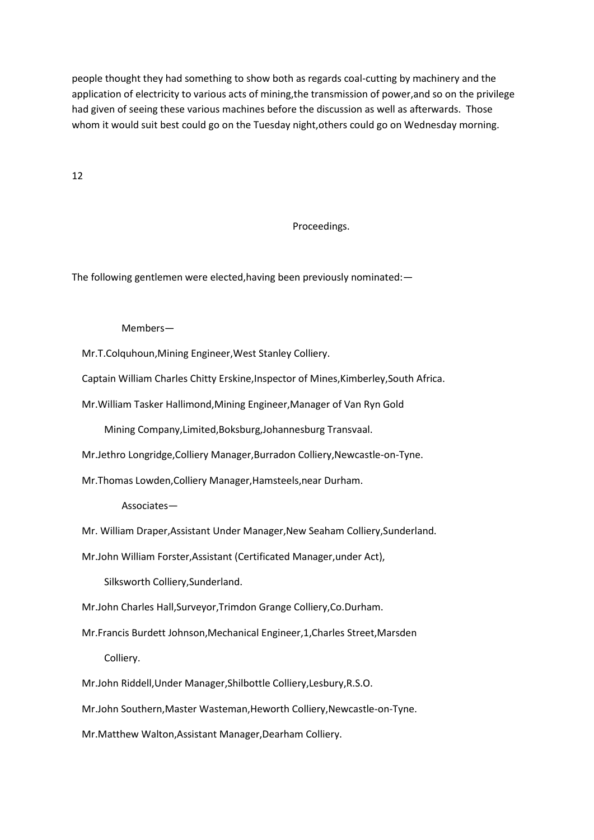people thought they had something to show both as regards coal-cutting by machinery and the application of electricity to various acts of mining,the transmission of power,and so on the privilege had given of seeing these various machines before the discussion as well as afterwards. Those whom it would suit best could go on the Tuesday night,others could go on Wednesday morning.

12

# Proceedings.

The following gentlemen were elected,having been previously nominated:—

### Members—

Mr.T.Colquhoun,Mining Engineer,West Stanley Colliery.

Captain William Charles Chitty Erskine,Inspector of Mines,Kimberley,South Africa.

Mr.William Tasker Hallimond,Mining Engineer,Manager of Van Ryn Gold

Mining Company,Limited,Boksburg,Johannesburg Transvaal.

Mr.Jethro Longridge,Colliery Manager,Burradon Colliery,Newcastle-on-Tyne.

Mr.Thomas Lowden,Colliery Manager,Hamsteels,near Durham.

Associates—

Mr. William Draper,Assistant Under Manager,New Seaham Colliery,Sunderland.

Mr.John William Forster,Assistant (Certificated Manager,under Act),

Silksworth Colliery,Sunderland.

Mr.John Charles Hall,Surveyor,Trimdon Grange Colliery,Co.Durham.

 Mr.Francis Burdett Johnson,Mechanical Engineer,1,Charles Street,Marsden Colliery.

Mr.John Riddell,Under Manager,Shilbottle Colliery,Lesbury,R.S.O.

Mr.John Southern,Master Wasteman,Heworth Colliery,Newcastle-on-Tyne.

Mr.Matthew Walton,Assistant Manager,Dearham Colliery.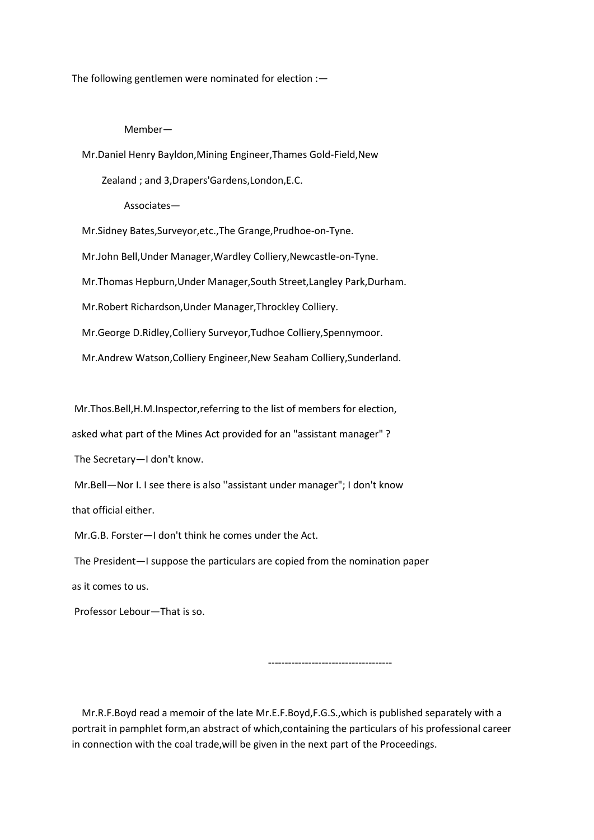The following gentlemen were nominated for election :—

### Member—

Mr.Daniel Henry Bayldon,Mining Engineer,Thames Gold-Field,New

Zealand ; and 3,Drapers'Gardens,London,E.C.

Associates—

Mr.Sidney Bates,Surveyor,etc.,The Grange,Prudhoe-on-Tyne.

Mr.John Bell,Under Manager,Wardley Colliery,Newcastle-on-Tyne.

Mr.Thomas Hepburn,Under Manager,South Street,Langley Park,Durham.

Mr.Robert Richardson,Under Manager,Throckley Colliery.

Mr.George D.Ridley,Colliery Surveyor,Tudhoe Colliery,Spennymoor.

Mr.Andrew Watson,Colliery Engineer,New Seaham Colliery,Sunderland.

Mr.Thos.Bell,H.M.Inspector,referring to the list of members for election,

asked what part of the Mines Act provided for an "assistant manager" ?

The Secretary—I don't know.

Mr.Bell—Nor I. I see there is also ''assistant under manager"; I don't know

that official either.

Mr.G.B. Forster—I don't think he comes under the Act.

The President—I suppose the particulars are copied from the nomination paper

as it comes to us.

Professor Lebour—That is so.

-------------------------------------

 Mr.R.F.Boyd read a memoir of the late Mr.E.F.Boyd,F.G.S.,which is published separately with a portrait in pamphlet form,an abstract of which,containing the particulars of his professional career in connection with the coal trade,will be given in the next part of the Proceedings.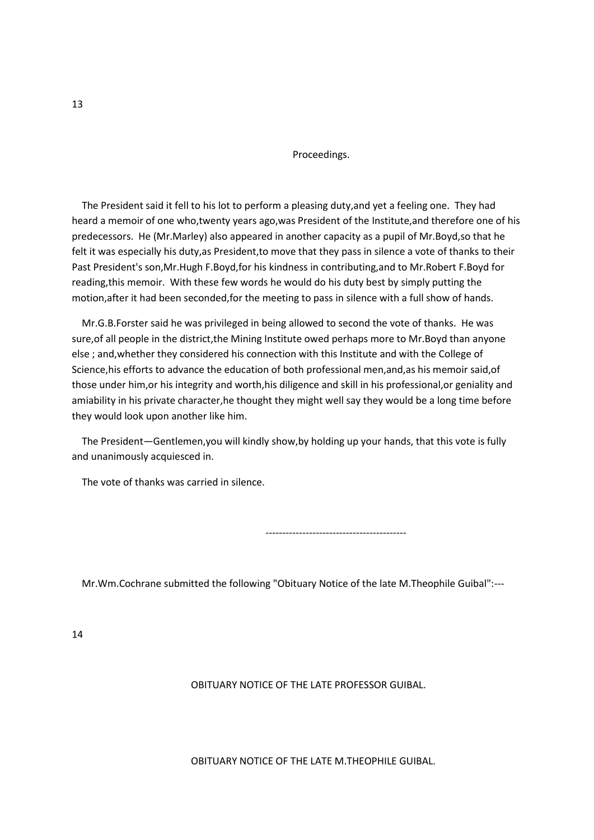Proceedings.

 The President said it fell to his lot to perform a pleasing duty,and yet a feeling one. They had heard a memoir of one who,twenty years ago,was President of the Institute,and therefore one of his predecessors. He (Mr.Marley) also appeared in another capacity as a pupil of Mr.Boyd,so that he felt it was especially his duty,as President,to move that they pass in silence a vote of thanks to their Past President's son,Mr.Hugh F.Boyd,for his kindness in contributing,and to Mr.Robert F.Boyd for reading,this memoir. With these few words he would do his duty best by simply putting the motion,after it had been seconded,for the meeting to pass in silence with a full show of hands.

 Mr.G.B.Forster said he was privileged in being allowed to second the vote of thanks. He was sure, of all people in the district, the Mining Institute owed perhaps more to Mr. Boyd than anyone else ; and,whether they considered his connection with this Institute and with the College of Science,his efforts to advance the education of both professional men,and,as his memoir said,of those under him,or his integrity and worth,his diligence and skill in his professional,or geniality and amiability in his private character,he thought they might well say they would be a long time before they would look upon another like him.

 The President—Gentlemen,you will kindly show,by holding up your hands, that this vote is fully and unanimously acquiesced in.

The vote of thanks was carried in silence.

------------------------------------------

Mr.Wm.Cochrane submitted the following "Obituary Notice of the late M.Theophile Guibal":---

14

OBITUARY NOTICE OF THE LATE PROFESSOR GUIBAL.

OBITUARY NOTICE OF THE LATE M.THEOPHILE GUIBAL.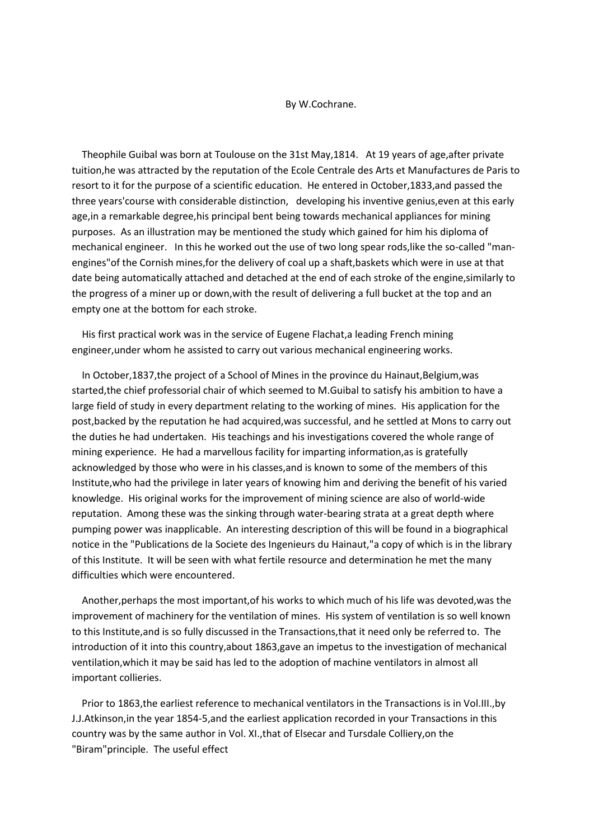#### By W.Cochrane.

 Theophile Guibal was born at Toulouse on the 31st May,1814. At 19 years of age,after private tuition,he was attracted by the reputation of the Ecole Centrale des Arts et Manufactures de Paris to resort to it for the purpose of a scientific education. He entered in October,1833,and passed the three years'course with considerable distinction, developing his inventive genius,even at this early age,in a remarkable degree,his principal bent being towards mechanical appliances for mining purposes. As an illustration may be mentioned the study which gained for him his diploma of mechanical engineer. In this he worked out the use of two long spear rods,like the so-called "manengines"of the Cornish mines,for the delivery of coal up a shaft,baskets which were in use at that date being automatically attached and detached at the end of each stroke of the engine,similarly to the progress of a miner up or down,with the result of delivering a full bucket at the top and an empty one at the bottom for each stroke.

 His first practical work was in the service of Eugene Flachat,a leading French mining engineer,under whom he assisted to carry out various mechanical engineering works.

 In October,1837,the project of a School of Mines in the province du Hainaut,Belgium,was started,the chief professorial chair of which seemed to M.Guibal to satisfy his ambition to have a large field of study in every department relating to the working of mines. His application for the post,backed by the reputation he had acquired,was successful, and he settled at Mons to carry out the duties he had undertaken. His teachings and his investigations covered the whole range of mining experience. He had a marvellous facility for imparting information,as is gratefully acknowledged by those who were in his classes,and is known to some of the members of this Institute,who had the privilege in later years of knowing him and deriving the benefit of his varied knowledge. His original works for the improvement of mining science are also of world-wide reputation. Among these was the sinking through water-bearing strata at a great depth where pumping power was inapplicable. An interesting description of this will be found in a biographical notice in the "Publications de la Societe des Ingenieurs du Hainaut,"a copy of which is in the library of this Institute. It will be seen with what fertile resource and determination he met the many difficulties which were encountered.

 Another,perhaps the most important,of his works to which much of his life was devoted,was the improvement of machinery for the ventilation of mines. His system of ventilation is so well known to this Institute,and is so fully discussed in the Transactions,that it need only be referred to. The introduction of it into this country,about 1863,gave an impetus to the investigation of mechanical ventilation,which it may be said has led to the adoption of machine ventilators in almost all important collieries.

 Prior to 1863,the earliest reference to mechanical ventilators in the Transactions is in Vol.III.,by J.J.Atkinson,in the year 1854-5,and the earliest application recorded in your Transactions in this country was by the same author in Vol. XI.,that of Elsecar and Tursdale Colliery,on the "Biram"principle. The useful effect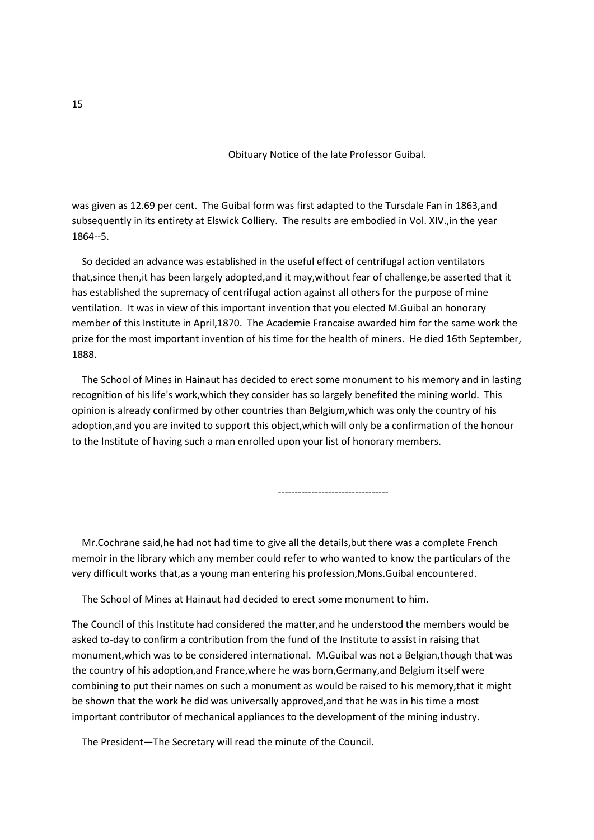Obituary Notice of the late Professor Guibal.

was given as 12.69 per cent. The Guibal form was first adapted to the Tursdale Fan in 1863,and subsequently in its entirety at Elswick Colliery. The results are embodied in Vol. XIV.,in the year 1864--5.

 So decided an advance was established in the useful effect of centrifugal action ventilators that,since then,it has been largely adopted,and it may,without fear of challenge,be asserted that it has established the supremacy of centrifugal action against all others for the purpose of mine ventilation. It was in view of this important invention that you elected M.Guibal an honorary member of this Institute in April,1870. The Academie Francaise awarded him for the same work the prize for the most important invention of his time for the health of miners. He died 16th September, 1888.

 The School of Mines in Hainaut has decided to erect some monument to his memory and in lasting recognition of his life's work,which they consider has so largely benefited the mining world. This opinion is already confirmed by other countries than Belgium,which was only the country of his adoption,and you are invited to support this object,which will only be a confirmation of the honour to the Institute of having such a man enrolled upon your list of honorary members.

---------------------------------

 Mr.Cochrane said,he had not had time to give all the details,but there was a complete French memoir in the library which any member could refer to who wanted to know the particulars of the very difficult works that,as a young man entering his profession,Mons.Guibal encountered.

The School of Mines at Hainaut had decided to erect some monument to him.

The Council of this Institute had considered the matter,and he understood the members would be asked to-day to confirm a contribution from the fund of the Institute to assist in raising that monument,which was to be considered international. M.Guibal was not a Belgian,though that was the country of his adoption,and France,where he was born,Germany,and Belgium itself were combining to put their names on such a monument as would be raised to his memory,that it might be shown that the work he did was universally approved,and that he was in his time a most important contributor of mechanical appliances to the development of the mining industry.

The President—The Secretary will read the minute of the Council.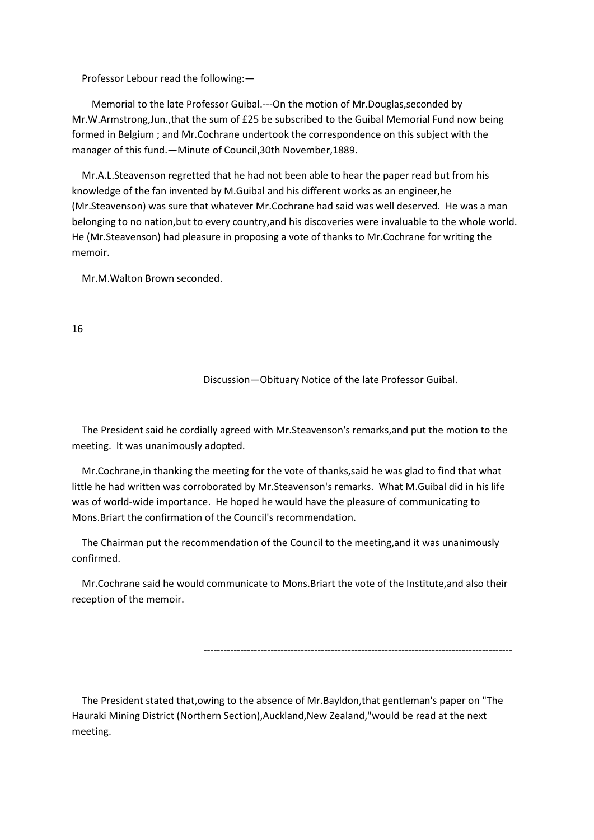Professor Lebour read the following:—

 Memorial to the late Professor Guibal.---On the motion of Mr.Douglas,seconded by Mr.W.Armstrong,Jun.,that the sum of £25 be subscribed to the Guibal Memorial Fund now being formed in Belgium ; and Mr.Cochrane undertook the correspondence on this subject with the manager of this fund.—Minute of Council,30th November,1889.

 Mr.A.L.Steavenson regretted that he had not been able to hear the paper read but from his knowledge of the fan invented by M.Guibal and his different works as an engineer,he (Mr.Steavenson) was sure that whatever Mr.Cochrane had said was well deserved. He was a man belonging to no nation,but to every country,and his discoveries were invaluable to the whole world. He (Mr.Steavenson) had pleasure in proposing a vote of thanks to Mr.Cochrane for writing the memoir.

Mr.M.Walton Brown seconded.

16

Discussion—Obituary Notice of the late Professor Guibal.

 The President said he cordially agreed with Mr.Steavenson's remarks,and put the motion to the meeting. It was unanimously adopted.

 Mr.Cochrane,in thanking the meeting for the vote of thanks,said he was glad to find that what little he had written was corroborated by Mr.Steavenson's remarks. What M.Guibal did in his life was of world-wide importance. He hoped he would have the pleasure of communicating to Mons.Briart the confirmation of the Council's recommendation.

 The Chairman put the recommendation of the Council to the meeting,and it was unanimously confirmed.

 Mr.Cochrane said he would communicate to Mons.Briart the vote of the Institute,and also their reception of the memoir.

--------------------------------------------------------------------------------------------

 The President stated that,owing to the absence of Mr.Bayldon,that gentleman's paper on "The Hauraki Mining District (Northern Section),Auckland,New Zealand,"would be read at the next meeting.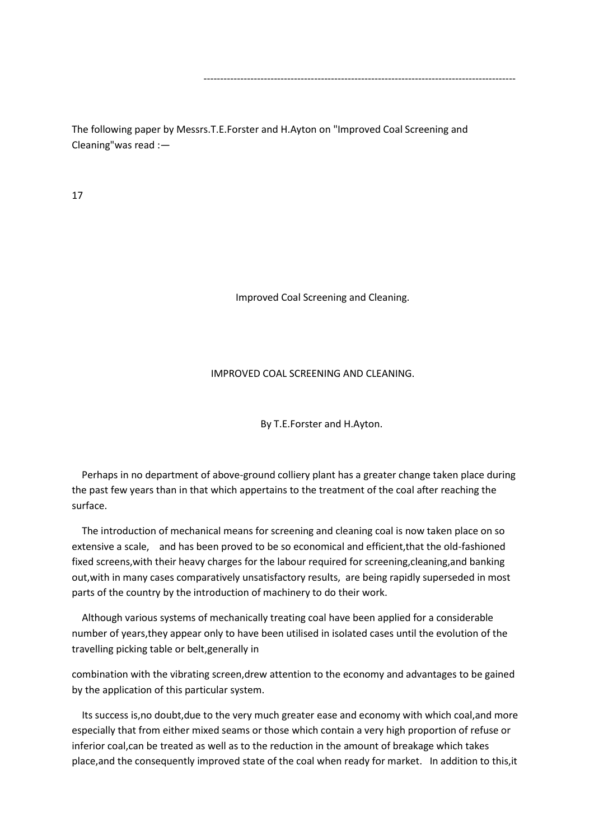The following paper by Messrs.T.E.Forster and H.Ayton on "Improved Coal Screening and Cleaning"was read :—

---------------------------------------------------------------------------------------------

17

Improved Coal Screening and Cleaning.

## IMPROVED COAL SCREENING AND CLEANING.

By T.E.Forster and H.Ayton.

 Perhaps in no department of above-ground colliery plant has a greater change taken place during the past few years than in that which appertains to the treatment of the coal after reaching the surface.

 The introduction of mechanical means for screening and cleaning coal is now taken place on so extensive a scale, and has been proved to be so economical and efficient,that the old-fashioned fixed screens,with their heavy charges for the labour required for screening,cleaning,and banking out,with in many cases comparatively unsatisfactory results, are being rapidly superseded in most parts of the country by the introduction of machinery to do their work.

 Although various systems of mechanically treating coal have been applied for a considerable number of years,they appear only to have been utilised in isolated cases until the evolution of the travelling picking table or belt,generally in

combination with the vibrating screen,drew attention to the economy and advantages to be gained by the application of this particular system.

 Its success is,no doubt,due to the very much greater ease and economy with which coal,and more especially that from either mixed seams or those which contain a very high proportion of refuse or inferior coal,can be treated as well as to the reduction in the amount of breakage which takes place,and the consequently improved state of the coal when ready for market. In addition to this,it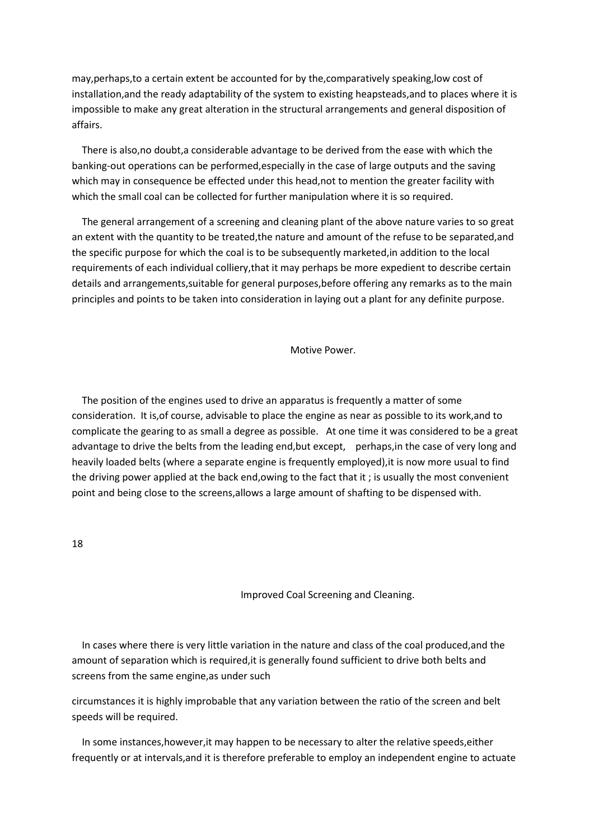may,perhaps,to a certain extent be accounted for by the,comparatively speaking,low cost of installation,and the ready adaptability of the system to existing heapsteads,and to places where it is impossible to make any great alteration in the structural arrangements and general disposition of affairs.

 There is also,no doubt,a considerable advantage to be derived from the ease with which the banking-out operations can be performed,especially in the case of large outputs and the saving which may in consequence be effected under this head,not to mention the greater facility with which the small coal can be collected for further manipulation where it is so required.

 The general arrangement of a screening and cleaning plant of the above nature varies to so great an extent with the quantity to be treated,the nature and amount of the refuse to be separated,and the specific purpose for which the coal is to be subsequently marketed,in addition to the local requirements of each individual colliery,that it may perhaps be more expedient to describe certain details and arrangements,suitable for general purposes,before offering any remarks as to the main principles and points to be taken into consideration in laying out a plant for any definite purpose.

Motive Power.

 The position of the engines used to drive an apparatus is frequently a matter of some consideration. It is,of course, advisable to place the engine as near as possible to its work,and to complicate the gearing to as small a degree as possible. At one time it was considered to be a great advantage to drive the belts from the leading end,but except, perhaps,in the case of very long and heavily loaded belts (where a separate engine is frequently employed),it is now more usual to find the driving power applied at the back end,owing to the fact that it ; is usually the most convenient point and being close to the screens,allows a large amount of shafting to be dispensed with.

18

Improved Coal Screening and Cleaning.

 In cases where there is very little variation in the nature and class of the coal produced,and the amount of separation which is required,it is generally found sufficient to drive both belts and screens from the same engine,as under such

circumstances it is highly improbable that any variation between the ratio of the screen and belt speeds will be required.

 In some instances,however,it may happen to be necessary to alter the relative speeds,either frequently or at intervals,and it is therefore preferable to employ an independent engine to actuate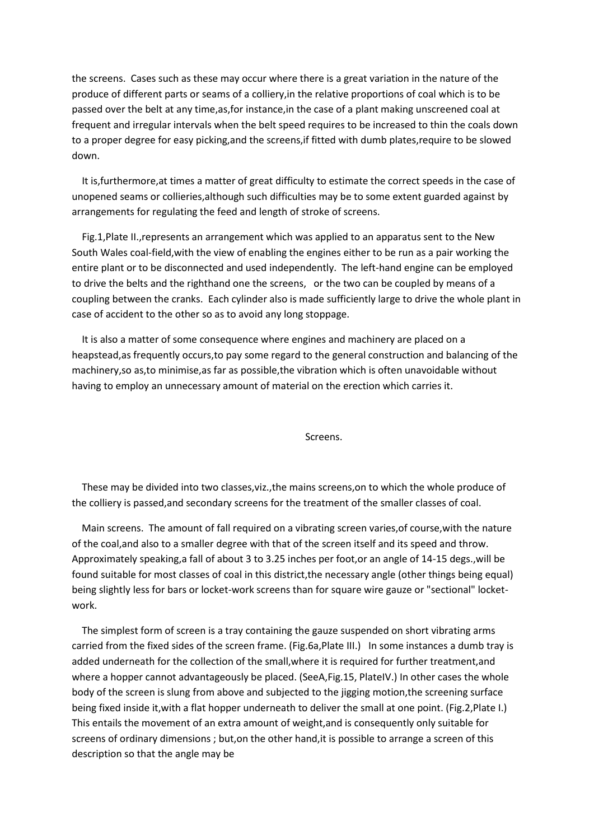the screens. Cases such as these may occur where there is a great variation in the nature of the produce of different parts or seams of a colliery,in the relative proportions of coal which is to be passed over the belt at any time,as,for instance,in the case of a plant making unscreened coal at frequent and irregular intervals when the belt speed requires to be increased to thin the coals down to a proper degree for easy picking,and the screens,if fitted with dumb plates,require to be slowed down.

 It is,furthermore,at times a matter of great difficulty to estimate the correct speeds in the case of unopened seams or collieries,although such difficulties may be to some extent guarded against by arrangements for regulating the feed and length of stroke of screens.

 Fig.1,Plate II.,represents an arrangement which was applied to an apparatus sent to the New South Wales coal-field,with the view of enabling the engines either to be run as a pair working the entire plant or to be disconnected and used independently. The left-hand engine can be employed to drive the belts and the righthand one the screens, or the two can be coupled by means of a coupling between the cranks. Each cylinder also is made sufficiently large to drive the whole plant in case of accident to the other so as to avoid any long stoppage.

 It is also a matter of some consequence where engines and machinery are placed on a heapstead,as frequently occurs,to pay some regard to the general construction and balancing of the machinery,so as,to minimise,as far as possible,the vibration which is often unavoidable without having to employ an unnecessary amount of material on the erection which carries it.

Screens.

 These may be divided into two classes,viz.,the mains screens,on to which the whole produce of the colliery is passed,and secondary screens for the treatment of the smaller classes of coal.

 Main screens. The amount of fall required on a vibrating screen varies,of course,with the nature of the coal,and also to a smaller degree with that of the screen itself and its speed and throw. Approximately speaking,a fall of about 3 to 3.25 inches per foot,or an angle of 14-15 degs.,will be found suitable for most classes of coal in this district,the necessary angle (other things being equal) being slightly less for bars or locket-work screens than for square wire gauze or "sectional" locketwork.

 The simplest form of screen is a tray containing the gauze suspended on short vibrating arms carried from the fixed sides of the screen frame. (Fig.6a,Plate III.) In some instances a dumb tray is added underneath for the collection of the small,where it is required for further treatment,and where a hopper cannot advantageously be placed. (SeeA,Fig.15, PlateIV.) In other cases the whole body of the screen is slung from above and subjected to the jigging motion,the screening surface being fixed inside it,with a flat hopper underneath to deliver the small at one point. (Fig.2,Plate I.) This entails the movement of an extra amount of weight,and is consequently only suitable for screens of ordinary dimensions ; but,on the other hand,it is possible to arrange a screen of this description so that the angle may be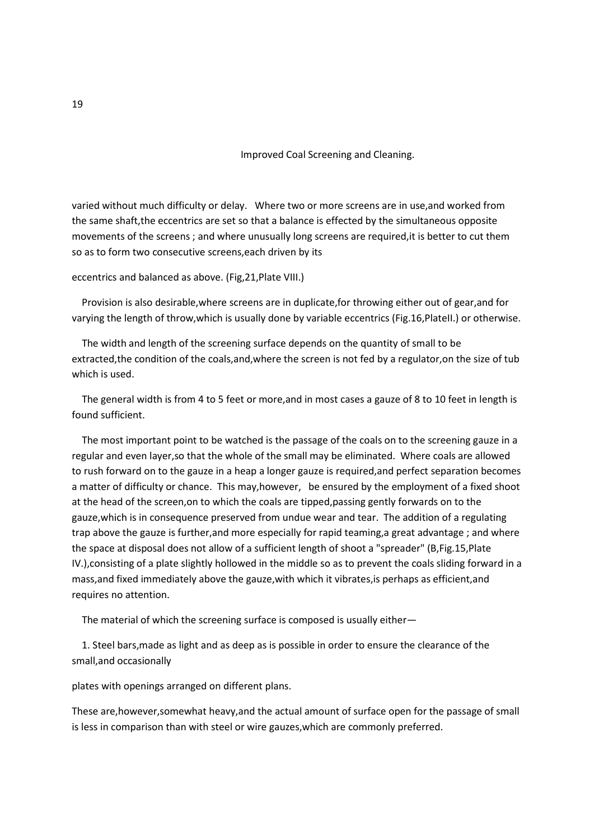Improved Coal Screening and Cleaning.

varied without much difficulty or delay. Where two or more screens are in use,and worked from the same shaft,the eccentrics are set so that a balance is effected by the simultaneous opposite movements of the screens ; and where unusually long screens are required,it is better to cut them so as to form two consecutive screens,each driven by its

#### eccentrics and balanced as above. (Fig,21,Plate VIII.)

 Provision is also desirable,where screens are in duplicate,for throwing either out of gear,and for varying the length of throw,which is usually done by variable eccentrics (Fig.16,PlateII.) or otherwise.

 The width and length of the screening surface depends on the quantity of small to be extracted,the condition of the coals,and,where the screen is not fed by a regulator,on the size of tub which is used.

 The general width is from 4 to 5 feet or more,and in most cases a gauze of 8 to 10 feet in length is found sufficient.

 The most important point to be watched is the passage of the coals on to the screening gauze in a regular and even layer,so that the whole of the small may be eliminated. Where coals are allowed to rush forward on to the gauze in a heap a longer gauze is required,and perfect separation becomes a matter of difficulty or chance. This may,however, be ensured by the employment of a fixed shoot at the head of the screen,on to which the coals are tipped,passing gently forwards on to the gauze,which is in consequence preserved from undue wear and tear. The addition of a regulating trap above the gauze is further,and more especially for rapid teaming,a great advantage ; and where the space at disposal does not allow of a sufficient length of shoot a "spreader" (B,Fig.15,Plate IV.),consisting of a plate slightly hollowed in the middle so as to prevent the coals sliding forward in a mass,and fixed immediately above the gauze,with which it vibrates,is perhaps as efficient,and requires no attention.

The material of which the screening surface is composed is usually either—

 1. Steel bars,made as light and as deep as is possible in order to ensure the clearance of the small,and occasionally

plates with openings arranged on different plans.

These are,however,somewhat heavy,and the actual amount of surface open for the passage of small is less in comparison than with steel or wire gauzes,which are commonly preferred.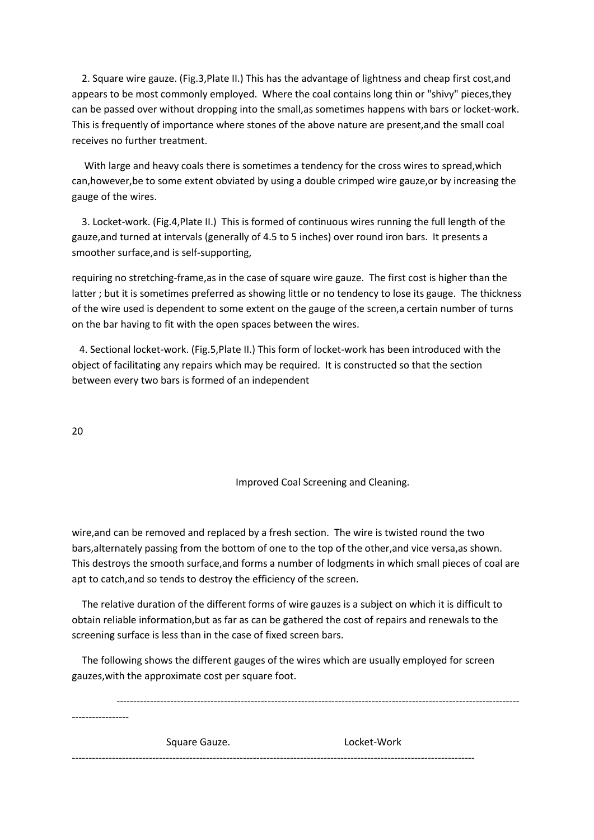2. Square wire gauze. (Fig.3,Plate II.) This has the advantage of lightness and cheap first cost,and appears to be most commonly employed. Where the coal contains long thin or "shivy" pieces,they can be passed over without dropping into the small,as sometimes happens with bars or locket-work. This is frequently of importance where stones of the above nature are present,and the small coal receives no further treatment.

 With large and heavy coals there is sometimes a tendency for the cross wires to spread,which can,however,be to some extent obviated by using a double crimped wire gauze,or by increasing the gauge of the wires.

 3. Locket-work. (Fig.4,Plate II.) This is formed of continuous wires running the full length of the gauze,and turned at intervals (generally of 4.5 to 5 inches) over round iron bars. It presents a smoother surface,and is self-supporting,

requiring no stretching-frame,as in the case of square wire gauze. The first cost is higher than the latter ; but it is sometimes preferred as showing little or no tendency to lose its gauge. The thickness of the wire used is dependent to some extent on the gauge of the screen,a certain number of turns on the bar having to fit with the open spaces between the wires.

 4. Sectional locket-work. (Fig.5,Plate II.) This form of locket-work has been introduced with the object of facilitating any repairs which may be required. It is constructed so that the section between every two bars is formed of an independent

20

## Improved Coal Screening and Cleaning.

wire,and can be removed and replaced by a fresh section. The wire is twisted round the two bars,alternately passing from the bottom of one to the top of the other,and vice versa,as shown. This destroys the smooth surface,and forms a number of lodgments in which small pieces of coal are apt to catch,and so tends to destroy the efficiency of the screen.

 The relative duration of the different forms of wire gauzes is a subject on which it is difficult to obtain reliable information,but as far as can be gathered the cost of repairs and renewals to the screening surface is less than in the case of fixed screen bars.

 The following shows the different gauges of the wires which are usually employed for screen gauzes,with the approximate cost per square foot.

 ------------------------------------------------------------------------------------------------------------------------ ----------------- Square Gauze. The Cooket-Work ------------------------------------------------------------------------------------------------------------------------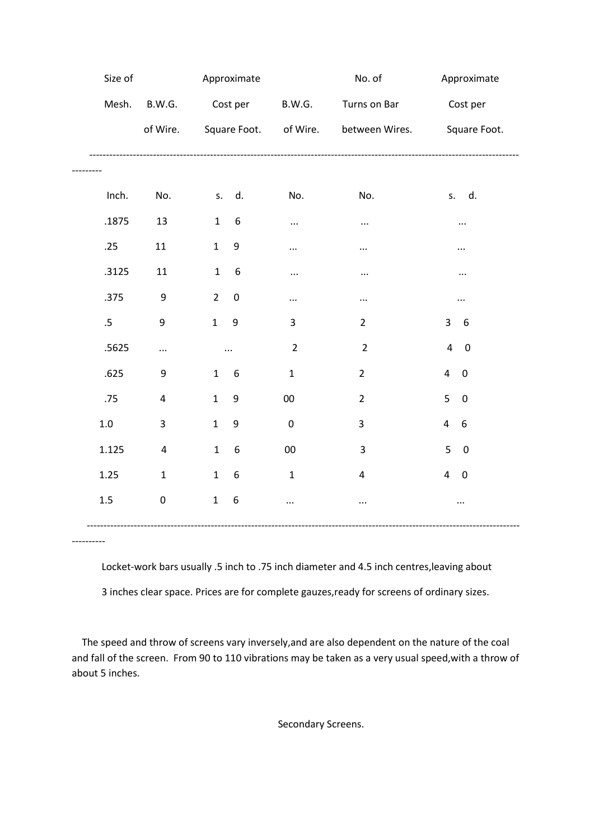| Size of         |                         |                | Approximate      |                       | No. of         | Approximate                        |
|-----------------|-------------------------|----------------|------------------|-----------------------|----------------|------------------------------------|
| Mesh.           | B.W.G.                  |                | Cost per         | <b>B.W.G.</b>         | Turns on Bar   | Cost per                           |
|                 | of Wire.                |                |                  | Square Foot. of Wire. | between Wires. | Square Foot.                       |
|                 |                         |                |                  |                       |                |                                    |
|                 |                         |                |                  |                       |                |                                    |
| Inch.           | No.                     | S.             | d.               | No.                   | No.            | s. d.                              |
| .1875           | 13                      | $1\,$          | $\boldsymbol{6}$ | $\cdots$              | $\cdots$       |                                    |
| .25             | 11                      | $\mathbf 1$    | 9                | $\cdots$              | $\cdots$       |                                    |
| .3125           | $11\,$                  | $1\,$          | 6                | $\cdots$              | $\cdots$       |                                    |
| .375            | $\boldsymbol{9}$        | $\overline{2}$ | $\boldsymbol{0}$ | $\cdots$              | $\cdots$       | $\cdots$                           |
| $.5\phantom{0}$ | 9                       | $\mathbf{1}$   | 9                | 3                     | $\overline{2}$ | 3<br>6                             |
| .5625           | $\cdots$                | $\ddotsc$      |                  | $\overline{2}$        | $\overline{2}$ | $\overline{4}$<br>$\mathbf 0$      |
| .625            | 9                       | $\mathbf{1}$   | 6                | $\mathbf{1}$          | $\overline{2}$ | 4<br>$\mathbf 0$                   |
| .75             | $\overline{\mathbf{4}}$ | $\mathbf{1}$   | $\boldsymbol{9}$ | $00\,$                | $\overline{2}$ | 5<br>$\mathbf 0$                   |
| $1.0\,$         | $\mathbf{3}$            | $\mathbf{1}$   | $9\,$            | $\pmb{0}$             | 3              | $\overline{4}$<br>$\boldsymbol{6}$ |
| 1.125           | $\pmb{4}$               | $\mathbf{1}$   | 6                | $00\,$                | 3              | 5<br>$\pmb{0}$                     |
| 1.25            | $\mathbf 1$             | $\mathbf{1}$   | $\boldsymbol{6}$ | $\mathbf 1$           | 4              | $\overline{4}$<br>$\boldsymbol{0}$ |
| $1.5\,$         | $\pmb{0}$               | $\mathbf{1}$   | $\boldsymbol{6}$ | $\cdots$              | $\cdots$       |                                    |
|                 |                         |                |                  |                       |                |                                    |

 Locket-work bars usually .5 inch to .75 inch diameter and 4.5 inch centres,leaving about 3 inches clear space. Prices are for complete gauzes,ready for screens of ordinary sizes.

----------

 The speed and throw of screens vary inversely,and are also dependent on the nature of the coal and fall of the screen. From 90 to 110 vibrations may be taken as a very usual speed,with a throw of about 5 inches.

Secondary Screens.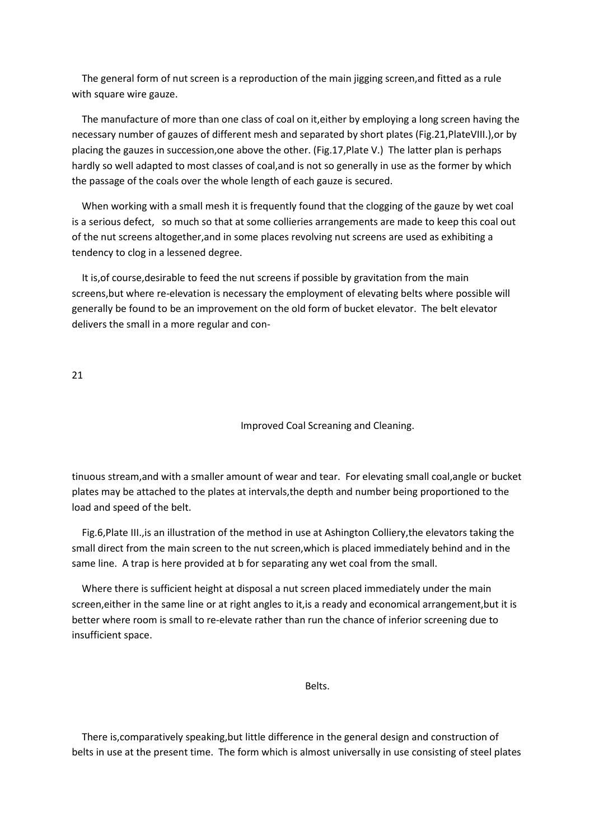The general form of nut screen is a reproduction of the main jigging screen,and fitted as a rule with square wire gauze.

 The manufacture of more than one class of coal on it,either by employing a long screen having the necessary number of gauzes of different mesh and separated by short plates (Fig.21,PlateVIII.),or by placing the gauzes in succession,one above the other. (Fig.17,Plate V.) The latter plan is perhaps hardly so well adapted to most classes of coal,and is not so generally in use as the former by which the passage of the coals over the whole length of each gauze is secured.

 When working with a small mesh it is frequently found that the clogging of the gauze by wet coal is a serious defect, so much so that at some collieries arrangements are made to keep this coal out of the nut screens altogether,and in some places revolving nut screens are used as exhibiting a tendency to clog in a lessened degree.

 It is,of course,desirable to feed the nut screens if possible by gravitation from the main screens,but where re-elevation is necessary the employment of elevating belts where possible will generally be found to be an improvement on the old form of bucket elevator. The belt elevator delivers the small in a more regular and con-

21

Improved Coal Screaning and Cleaning.

tinuous stream,and with a smaller amount of wear and tear. For elevating small coal,angle or bucket plates may be attached to the plates at intervals,the depth and number being proportioned to the load and speed of the belt.

 Fig.6,Plate III.,is an illustration of the method in use at Ashington Colliery,the elevators taking the small direct from the main screen to the nut screen,which is placed immediately behind and in the same line. A trap is here provided at b for separating any wet coal from the small.

 Where there is sufficient height at disposal a nut screen placed immediately under the main screen,either in the same line or at right angles to it,is a ready and economical arrangement,but it is better where room is small to re-elevate rather than run the chance of inferior screening due to insufficient space.

**Belts.** The contract of the contract of the Belts.

 There is,comparatively speaking,but little difference in the general design and construction of belts in use at the present time. The form which is almost universally in use consisting of steel plates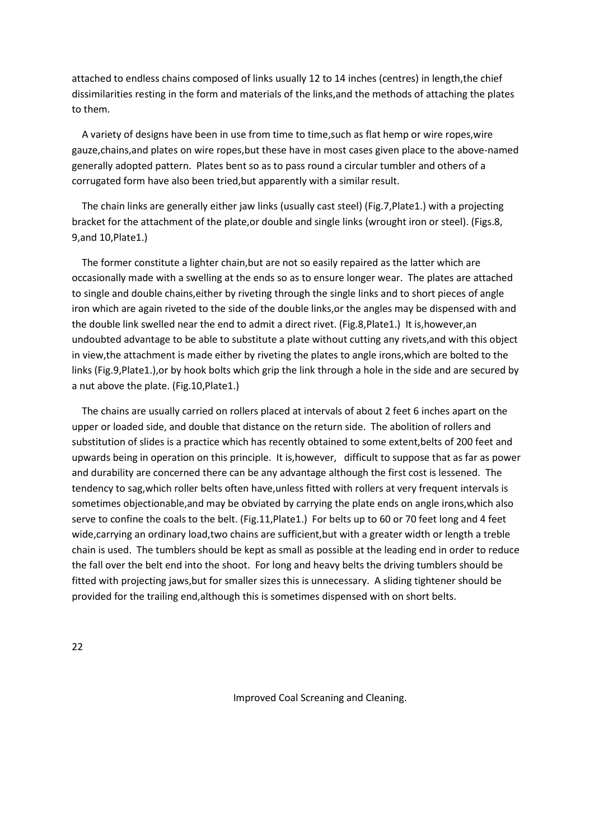attached to endless chains composed of links usually 12 to 14 inches (centres) in length,the chief dissimilarities resting in the form and materials of the links,and the methods of attaching the plates to them.

 A variety of designs have been in use from time to time,such as flat hemp or wire ropes,wire gauze,chains,and plates on wire ropes,but these have in most cases given place to the above-named generally adopted pattern. Plates bent so as to pass round a circular tumbler and others of a corrugated form have also been tried,but apparently with a similar result.

 The chain links are generally either jaw links (usually cast steel) (Fig.7,Plate1.) with a projecting bracket for the attachment of the plate,or double and single links (wrought iron or steel). (Figs.8, 9,and 10,Plate1.)

 The former constitute a lighter chain,but are not so easily repaired as the latter which are occasionally made with a swelling at the ends so as to ensure longer wear. The plates are attached to single and double chains,either by riveting through the single links and to short pieces of angle iron which are again riveted to the side of the double links,or the angles may be dispensed with and the double link swelled near the end to admit a direct rivet. (Fig.8,Plate1.) It is,however,an undoubted advantage to be able to substitute a plate without cutting any rivets,and with this object in view,the attachment is made either by riveting the plates to angle irons,which are bolted to the links (Fig.9,Plate1.),or by hook bolts which grip the link through a hole in the side and are secured by a nut above the plate. (Fig.10,Plate1.)

 The chains are usually carried on rollers placed at intervals of about 2 feet 6 inches apart on the upper or loaded side, and double that distance on the return side. The abolition of rollers and substitution of slides is a practice which has recently obtained to some extent,belts of 200 feet and upwards being in operation on this principle. It is,however, difficult to suppose that as far as power and durability are concerned there can be any advantage although the first cost is lessened. The tendency to sag,which roller belts often have,unless fitted with rollers at very frequent intervals is sometimes objectionable, and may be obviated by carrying the plate ends on angle irons, which also serve to confine the coals to the belt. (Fig.11,Plate1.) For belts up to 60 or 70 feet long and 4 feet wide,carrying an ordinary load,two chains are sufficient,but with a greater width or length a treble chain is used. The tumblers should be kept as small as possible at the leading end in order to reduce the fall over the belt end into the shoot. For long and heavy belts the driving tumblers should be fitted with projecting jaws,but for smaller sizes this is unnecessary. A sliding tightener should be provided for the trailing end,although this is sometimes dispensed with on short belts.

22

Improved Coal Screaning and Cleaning.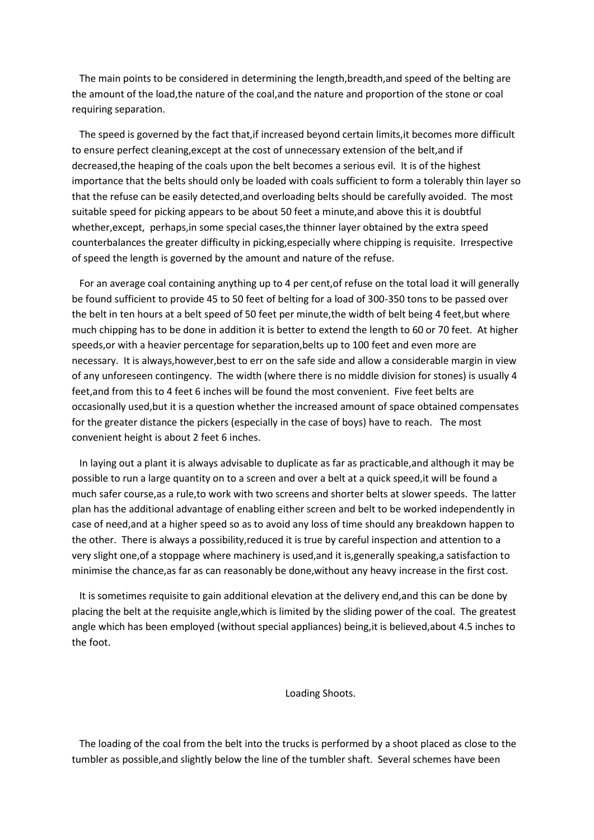The main points to be considered in determining the length,breadth,and speed of the belting are the amount of the load,the nature of the coal,and the nature and proportion of the stone or coal requiring separation.

 The speed is governed by the fact that,if increased beyond certain limits,it becomes more difficult to ensure perfect cleaning,except at the cost of unnecessary extension of the belt,and if decreased,the heaping of the coals upon the belt becomes a serious evil. It is of the highest importance that the belts should only be loaded with coals sufficient to form a tolerably thin layer so that the refuse can be easily detected,and overloading belts should be carefully avoided. The most suitable speed for picking appears to be about 50 feet a minute,and above this it is doubtful whether,except, perhaps,in some special cases,the thinner layer obtained by the extra speed counterbalances the greater difficulty in picking,especially where chipping is requisite. Irrespective of speed the length is governed by the amount and nature of the refuse.

 For an average coal containing anything up to 4 per cent,of refuse on the total load it will generally be found sufficient to provide 45 to 50 feet of belting for a load of 300-350 tons to be passed over the belt in ten hours at a belt speed of 50 feet per minute,the width of belt being 4 feet,but where much chipping has to be done in addition it is better to extend the length to 60 or 70 feet. At higher speeds,or with a heavier percentage for separation,belts up to 100 feet and even more are necessary. It is always,however,best to err on the safe side and allow a considerable margin in view of any unforeseen contingency. The width (where there is no middle division for stones) is usually 4 feet,and from this to 4 feet 6 inches will be found the most convenient. Five feet belts are occasionally used,but it is a question whether the increased amount of space obtained compensates for the greater distance the pickers (especially in the case of boys) have to reach. The most convenient height is about 2 feet 6 inches.

 In laying out a plant it is always advisable to duplicate as far as practicable,and although it may be possible to run a large quantity on to a screen and over a belt at a quick speed,it will be found a much safer course,as a rule,to work with two screens and shorter belts at slower speeds. The latter plan has the additional advantage of enabling either screen and belt to be worked independently in case of need,and at a higher speed so as to avoid any loss of time should any breakdown happen to the other. There is always a possibility,reduced it is true by careful inspection and attention to a very slight one,of a stoppage where machinery is used,and it is,generally speaking,a satisfaction to minimise the chance,as far as can reasonably be done,without any heavy increase in the first cost.

 It is sometimes requisite to gain additional elevation at the delivery end,and this can be done by placing the belt at the requisite angle,which is limited by the sliding power of the coal. The greatest angle which has been employed (without special appliances) being,it is believed,about 4.5 inches to the foot.

Loading Shoots.

 The loading of the coal from the belt into the trucks is performed by a shoot placed as close to the tumbler as possible,and slightly below the line of the tumbler shaft. Several schemes have been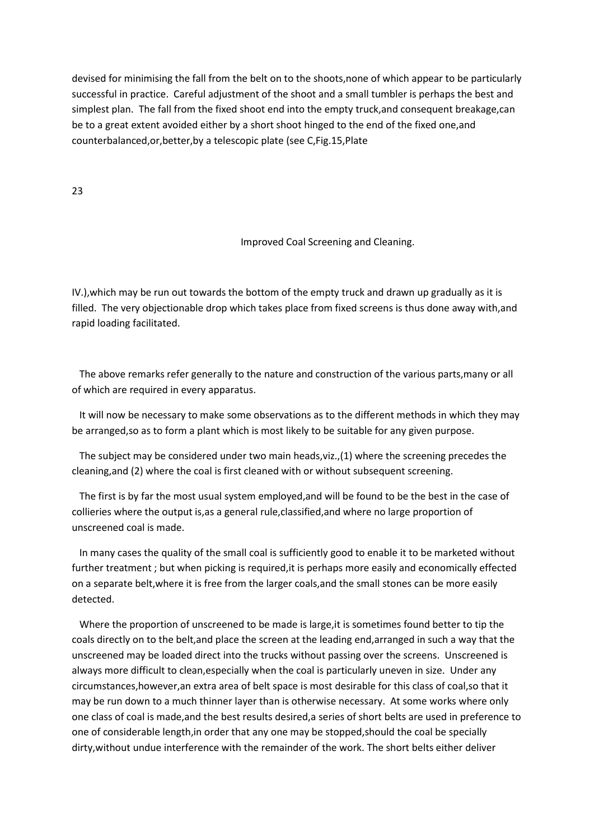devised for minimising the fall from the belt on to the shoots,none of which appear to be particularly successful in practice. Careful adjustment of the shoot and a small tumbler is perhaps the best and simplest plan. The fall from the fixed shoot end into the empty truck,and consequent breakage,can be to a great extent avoided either by a short shoot hinged to the end of the fixed one,and counterbalanced,or,better,by a telescopic plate (see C,Fig.15,Plate

23

# Improved Coal Screening and Cleaning.

IV.),which may be run out towards the bottom of the empty truck and drawn up gradually as it is filled. The very objectionable drop which takes place from fixed screens is thus done away with,and rapid loading facilitated.

 The above remarks refer generally to the nature and construction of the various parts,many or all of which are required in every apparatus.

 It will now be necessary to make some observations as to the different methods in which they may be arranged,so as to form a plant which is most likely to be suitable for any given purpose.

 The subject may be considered under two main heads,viz.,(1) where the screening precedes the cleaning,and (2) where the coal is first cleaned with or without subsequent screening.

 The first is by far the most usual system employed,and will be found to be the best in the case of collieries where the output is,as a general rule,classified,and where no large proportion of unscreened coal is made.

 In many cases the quality of the small coal is sufficiently good to enable it to be marketed without further treatment ; but when picking is required,it is perhaps more easily and economically effected on a separate belt,where it is free from the larger coals,and the small stones can be more easily detected.

 Where the proportion of unscreened to be made is large,it is sometimes found better to tip the coals directly on to the belt,and place the screen at the leading end,arranged in such a way that the unscreened may be loaded direct into the trucks without passing over the screens. Unscreened is always more difficult to clean,especially when the coal is particularly uneven in size. Under any circumstances,however,an extra area of belt space is most desirable for this class of coal,so that it may be run down to a much thinner layer than is otherwise necessary. At some works where only one class of coal is made,and the best results desired,a series of short belts are used in preference to one of considerable length,in order that any one may be stopped,should the coal be specially dirty,without undue interference with the remainder of the work. The short belts either deliver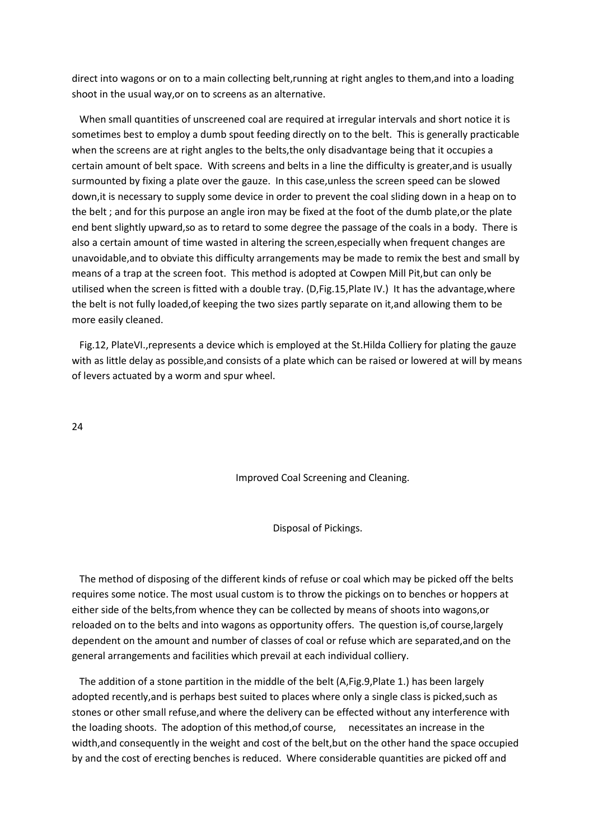direct into wagons or on to a main collecting belt,running at right angles to them,and into a loading shoot in the usual way,or on to screens as an alternative.

 When small quantities of unscreened coal are required at irregular intervals and short notice it is sometimes best to employ a dumb spout feeding directly on to the belt. This is generally practicable when the screens are at right angles to the belts,the only disadvantage being that it occupies a certain amount of belt space. With screens and belts in a line the difficulty is greater,and is usually surmounted by fixing a plate over the gauze. In this case,unless the screen speed can be slowed down,it is necessary to supply some device in order to prevent the coal sliding down in a heap on to the belt ; and for this purpose an angle iron may be fixed at the foot of the dumb plate,or the plate end bent slightly upward,so as to retard to some degree the passage of the coals in a body. There is also a certain amount of time wasted in altering the screen,especially when frequent changes are unavoidable,and to obviate this difficulty arrangements may be made to remix the best and small by means of a trap at the screen foot. This method is adopted at Cowpen Mill Pit,but can only be utilised when the screen is fitted with a double tray. (D,Fig.15,Plate IV.) It has the advantage,where the belt is not fully loaded,of keeping the two sizes partly separate on it,and allowing them to be more easily cleaned.

 Fig.12, PlateVI.,represents a device which is employed at the St.Hilda Colliery for plating the gauze with as little delay as possible,and consists of a plate which can be raised or lowered at will by means of levers actuated by a worm and spur wheel.

24

Improved Coal Screening and Cleaning.

Disposal of Pickings.

 The method of disposing of the different kinds of refuse or coal which may be picked off the belts requires some notice. The most usual custom is to throw the pickings on to benches or hoppers at either side of the belts,from whence they can be collected by means of shoots into wagons,or reloaded on to the belts and into wagons as opportunity offers. The question is,of course,largely dependent on the amount and number of classes of coal or refuse which are separated,and on the general arrangements and facilities which prevail at each individual colliery.

 The addition of a stone partition in the middle of the belt (A,Fig.9,Plate 1.) has been largely adopted recently,and is perhaps best suited to places where only a single class is picked,such as stones or other small refuse,and where the delivery can be effected without any interference with the loading shoots. The adoption of this method,of course, necessitates an increase in the width,and consequently in the weight and cost of the belt,but on the other hand the space occupied by and the cost of erecting benches is reduced. Where considerable quantities are picked off and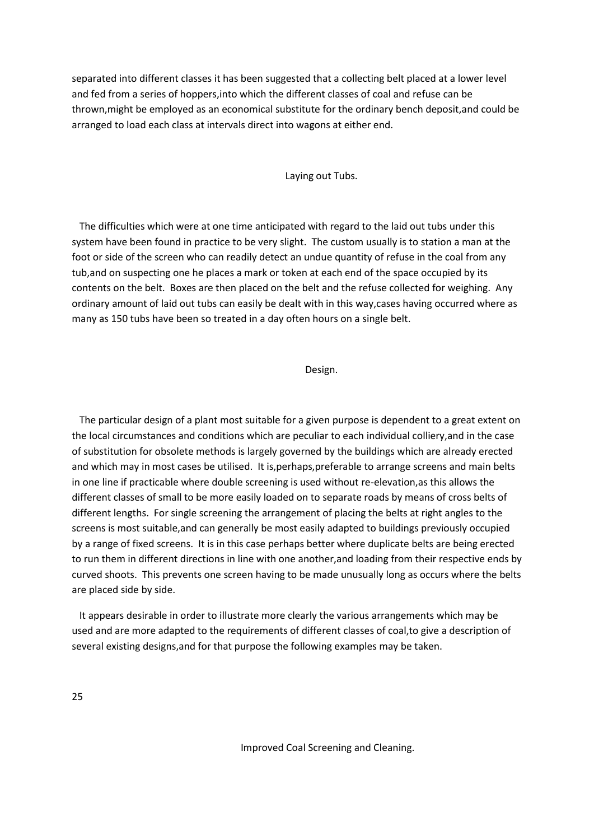separated into different classes it has been suggested that a collecting belt placed at a lower level and fed from a series of hoppers,into which the different classes of coal and refuse can be thrown,might be employed as an economical substitute for the ordinary bench deposit,and could be arranged to load each class at intervals direct into wagons at either end.

#### Laying out Tubs.

 The difficulties which were at one time anticipated with regard to the laid out tubs under this system have been found in practice to be very slight. The custom usually is to station a man at the foot or side of the screen who can readily detect an undue quantity of refuse in the coal from any tub,and on suspecting one he places a mark or token at each end of the space occupied by its contents on the belt. Boxes are then placed on the belt and the refuse collected for weighing. Any ordinary amount of laid out tubs can easily be dealt with in this way,cases having occurred where as many as 150 tubs have been so treated in a day often hours on a single belt.

#### Design.

 The particular design of a plant most suitable for a given purpose is dependent to a great extent on the local circumstances and conditions which are peculiar to each individual colliery,and in the case of substitution for obsolete methods is largely governed by the buildings which are already erected and which may in most cases be utilised. It is,perhaps,preferable to arrange screens and main belts in one line if practicable where double screening is used without re-elevation,as this allows the different classes of small to be more easily loaded on to separate roads by means of cross belts of different lengths. For single screening the arrangement of placing the belts at right angles to the screens is most suitable,and can generally be most easily adapted to buildings previously occupied by a range of fixed screens. It is in this case perhaps better where duplicate belts are being erected to run them in different directions in line with one another,and loading from their respective ends by curved shoots. This prevents one screen having to be made unusually long as occurs where the belts are placed side by side.

 It appears desirable in order to illustrate more clearly the various arrangements which may be used and are more adapted to the requirements of different classes of coal,to give a description of several existing designs,and for that purpose the following examples may be taken.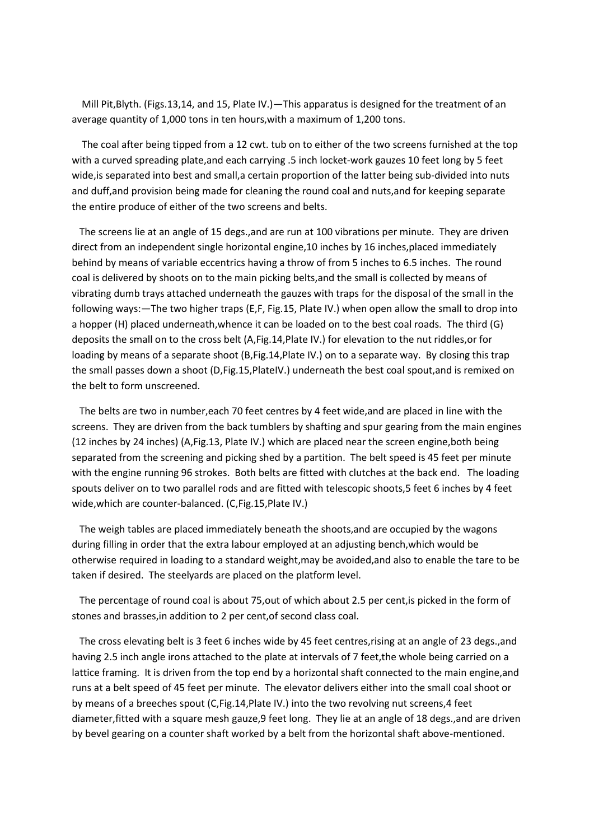Mill Pit,Blyth. (Figs.13,14, and 15, Plate IV.)—This apparatus is designed for the treatment of an average quantity of 1,000 tons in ten hours,with a maximum of 1,200 tons.

 The coal after being tipped from a 12 cwt. tub on to either of the two screens furnished at the top with a curved spreading plate,and each carrying .5 inch locket-work gauzes 10 feet long by 5 feet wide,is separated into best and small,a certain proportion of the latter being sub-divided into nuts and duff,and provision being made for cleaning the round coal and nuts,and for keeping separate the entire produce of either of the two screens and belts.

 The screens lie at an angle of 15 degs.,and are run at 100 vibrations per minute. They are driven direct from an independent single horizontal engine,10 inches by 16 inches,placed immediately behind by means of variable eccentrics having a throw of from 5 inches to 6.5 inches. The round coal is delivered by shoots on to the main picking belts,and the small is collected by means of vibrating dumb trays attached underneath the gauzes with traps for the disposal of the small in the following ways:—The two higher traps (E,F, Fig.15, Plate IV.) when open allow the small to drop into a hopper (H) placed underneath,whence it can be loaded on to the best coal roads. The third (G) deposits the small on to the cross belt (A,Fig.14,Plate IV.) for elevation to the nut riddles,or for loading by means of a separate shoot (B, Fig. 14, Plate IV.) on to a separate way. By closing this trap the small passes down a shoot (D,Fig.15,PlateIV.) underneath the best coal spout,and is remixed on the belt to form unscreened.

 The belts are two in number,each 70 feet centres by 4 feet wide,and are placed in line with the screens. They are driven from the back tumblers by shafting and spur gearing from the main engines (12 inches by 24 inches) (A,Fig.13, Plate IV.) which are placed near the screen engine,both being separated from the screening and picking shed by a partition. The belt speed is 45 feet per minute with the engine running 96 strokes. Both belts are fitted with clutches at the back end. The loading spouts deliver on to two parallel rods and are fitted with telescopic shoots,5 feet 6 inches by 4 feet wide,which are counter-balanced. (C,Fig.15,Plate IV.)

 The weigh tables are placed immediately beneath the shoots,and are occupied by the wagons during filling in order that the extra labour employed at an adjusting bench,which would be otherwise required in loading to a standard weight,may be avoided,and also to enable the tare to be taken if desired. The steelyards are placed on the platform level.

 The percentage of round coal is about 75,out of which about 2.5 per cent,is picked in the form of stones and brasses,in addition to 2 per cent,of second class coal.

 The cross elevating belt is 3 feet 6 inches wide by 45 feet centres,rising at an angle of 23 degs.,and having 2.5 inch angle irons attached to the plate at intervals of 7 feet,the whole being carried on a lattice framing. It is driven from the top end by a horizontal shaft connected to the main engine,and runs at a belt speed of 45 feet per minute. The elevator delivers either into the small coal shoot or by means of a breeches spout (C,Fig.14,Plate IV.) into the two revolving nut screens,4 feet diameter,fitted with a square mesh gauze,9 feet long. They lie at an angle of 18 degs.,and are driven by bevel gearing on a counter shaft worked by a belt from the horizontal shaft above-mentioned.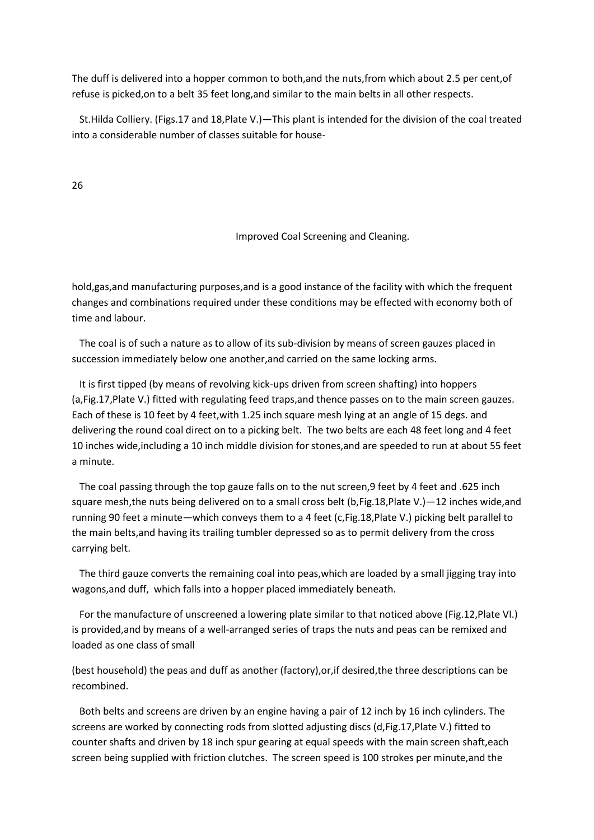The duff is delivered into a hopper common to both,and the nuts,from which about 2.5 per cent,of refuse is picked,on to a belt 35 feet long,and similar to the main belts in all other respects.

 St.Hilda Colliery. (Figs.17 and 18,Plate V.)—This plant is intended for the division of the coal treated into a considerable number of classes suitable for house-

26

# Improved Coal Screening and Cleaning.

hold,gas,and manufacturing purposes,and is a good instance of the facility with which the frequent changes and combinations required under these conditions may be effected with economy both of time and labour.

 The coal is of such a nature as to allow of its sub-division by means of screen gauzes placed in succession immediately below one another,and carried on the same locking arms.

 It is first tipped (by means of revolving kick-ups driven from screen shafting) into hoppers (a,Fig.17,Plate V.) fitted with regulating feed traps,and thence passes on to the main screen gauzes. Each of these is 10 feet by 4 feet,with 1.25 inch square mesh lying at an angle of 15 degs. and delivering the round coal direct on to a picking belt. The two belts are each 48 feet long and 4 feet 10 inches wide,including a 10 inch middle division for stones,and are speeded to run at about 55 feet a minute.

 The coal passing through the top gauze falls on to the nut screen,9 feet by 4 feet and .625 inch square mesh,the nuts being delivered on to a small cross belt (b, Fig. 18, Plate V.)—12 inches wide, and running 90 feet a minute—which conveys them to a 4 feet (c,Fig.18,Plate V.) picking belt parallel to the main belts,and having its trailing tumbler depressed so as to permit delivery from the cross carrying belt.

 The third gauze converts the remaining coal into peas,which are loaded by a small jigging tray into wagons,and duff, which falls into a hopper placed immediately beneath.

 For the manufacture of unscreened a lowering plate similar to that noticed above (Fig.12,Plate VI.) is provided,and by means of a well-arranged series of traps the nuts and peas can be remixed and loaded as one class of small

(best household) the peas and duff as another (factory),or,if desired,the three descriptions can be recombined.

 Both belts and screens are driven by an engine having a pair of 12 inch by 16 inch cylinders. The screens are worked by connecting rods from slotted adjusting discs (d,Fig.17,Plate V.) fitted to counter shafts and driven by 18 inch spur gearing at equal speeds with the main screen shaft,each screen being supplied with friction clutches. The screen speed is 100 strokes per minute,and the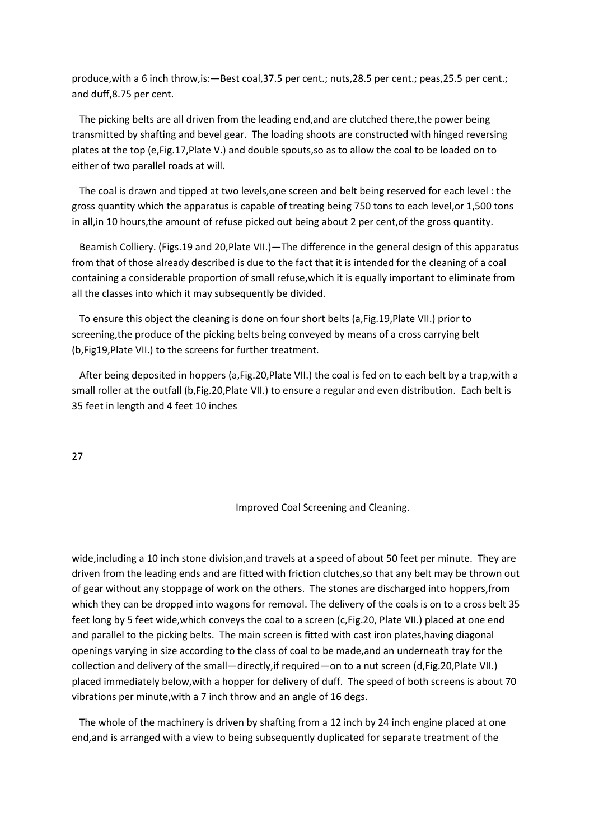produce,with a 6 inch throw,is:—Best coal,37.5 per cent.; nuts,28.5 per cent.; peas,25.5 per cent.; and duff,8.75 per cent.

 The picking belts are all driven from the leading end,and are clutched there,the power being transmitted by shafting and bevel gear. The loading shoots are constructed with hinged reversing plates at the top (e,Fig.17,Plate V.) and double spouts,so as to allow the coal to be loaded on to either of two parallel roads at will.

 The coal is drawn and tipped at two levels,one screen and belt being reserved for each level : the gross quantity which the apparatus is capable of treating being 750 tons to each level,or 1,500 tons in all,in 10 hours,the amount of refuse picked out being about 2 per cent,of the gross quantity.

 Beamish Colliery. (Figs.19 and 20,Plate VII.)—The difference in the general design of this apparatus from that of those already described is due to the fact that it is intended for the cleaning of a coal containing a considerable proportion of small refuse,which it is equally important to eliminate from all the classes into which it may subsequently be divided.

 To ensure this object the cleaning is done on four short belts (a,Fig.19,Plate VII.) prior to screening,the produce of the picking belts being conveyed by means of a cross carrying belt (b,Fig19,Plate VII.) to the screens for further treatment.

 After being deposited in hoppers (a,Fig.20,Plate VII.) the coal is fed on to each belt by a trap,with a small roller at the outfall (b,Fig.20,Plate VII.) to ensure a regular and even distribution. Each belt is 35 feet in length and 4 feet 10 inches

27

Improved Coal Screening and Cleaning.

wide,including a 10 inch stone division,and travels at a speed of about 50 feet per minute. They are driven from the leading ends and are fitted with friction clutches,so that any belt may be thrown out of gear without any stoppage of work on the others. The stones are discharged into hoppers,from which they can be dropped into wagons for removal. The delivery of the coals is on to a cross belt 35 feet long by 5 feet wide,which conveys the coal to a screen (c,Fig.20, Plate VII.) placed at one end and parallel to the picking belts. The main screen is fitted with cast iron plates,having diagonal openings varying in size according to the class of coal to be made,and an underneath tray for the collection and delivery of the small—directly,if required—on to a nut screen (d,Fig.20,Plate VII.) placed immediately below,with a hopper for delivery of duff. The speed of both screens is about 70 vibrations per minute,with a 7 inch throw and an angle of 16 degs.

 The whole of the machinery is driven by shafting from a 12 inch by 24 inch engine placed at one end,and is arranged with a view to being subsequently duplicated for separate treatment of the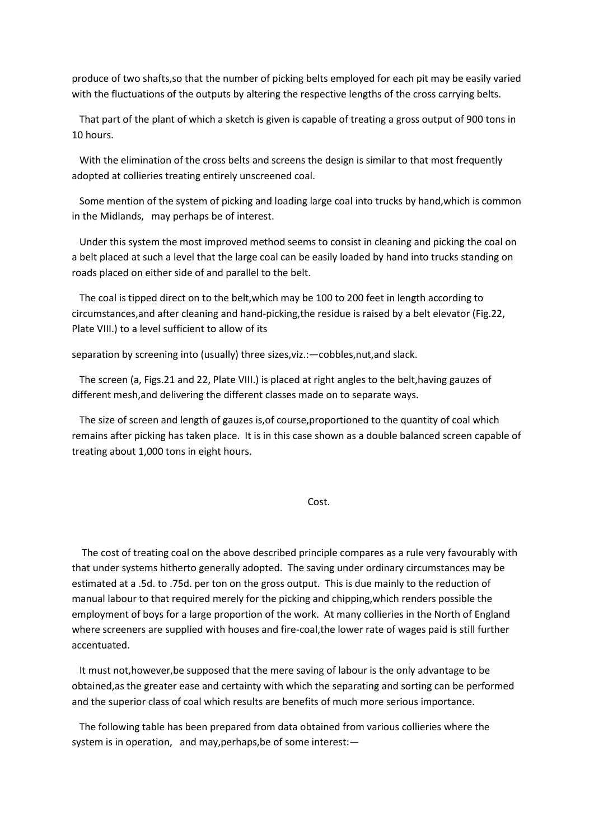produce of two shafts,so that the number of picking belts employed for each pit may be easily varied with the fluctuations of the outputs by altering the respective lengths of the cross carrying belts.

 That part of the plant of which a sketch is given is capable of treating a gross output of 900 tons in 10 hours.

 With the elimination of the cross belts and screens the design is similar to that most frequently adopted at collieries treating entirely unscreened coal.

 Some mention of the system of picking and loading large coal into trucks by hand,which is common in the Midlands, may perhaps be of interest.

 Under this system the most improved method seems to consist in cleaning and picking the coal on a belt placed at such a level that the large coal can be easily loaded by hand into trucks standing on roads placed on either side of and parallel to the belt.

 The coal is tipped direct on to the belt,which may be 100 to 200 feet in length according to circumstances,and after cleaning and hand-picking,the residue is raised by a belt elevator (Fig.22, Plate VIII.) to a level sufficient to allow of its

separation by screening into (usually) three sizes,viz.:—cobbles,nut,and slack.

 The screen (a, Figs.21 and 22, Plate VIII.) is placed at right angles to the belt,having gauzes of different mesh,and delivering the different classes made on to separate ways.

 The size of screen and length of gauzes is,of course,proportioned to the quantity of coal which remains after picking has taken place. It is in this case shown as a double balanced screen capable of treating about 1,000 tons in eight hours.

**Cost.** The contract of the cost.

 The cost of treating coal on the above described principle compares as a rule very favourably with that under systems hitherto generally adopted. The saving under ordinary circumstances may be estimated at a .5d. to .75d. per ton on the gross output. This is due mainly to the reduction of manual labour to that required merely for the picking and chipping,which renders possible the employment of boys for a large proportion of the work. At many collieries in the North of England where screeners are supplied with houses and fire-coal,the lower rate of wages paid is still further accentuated.

 It must not,however,be supposed that the mere saving of labour is the only advantage to be obtained,as the greater ease and certainty with which the separating and sorting can be performed and the superior class of coal which results are benefits of much more serious importance.

 The following table has been prepared from data obtained from various collieries where the system is in operation, and may,perhaps,be of some interest:—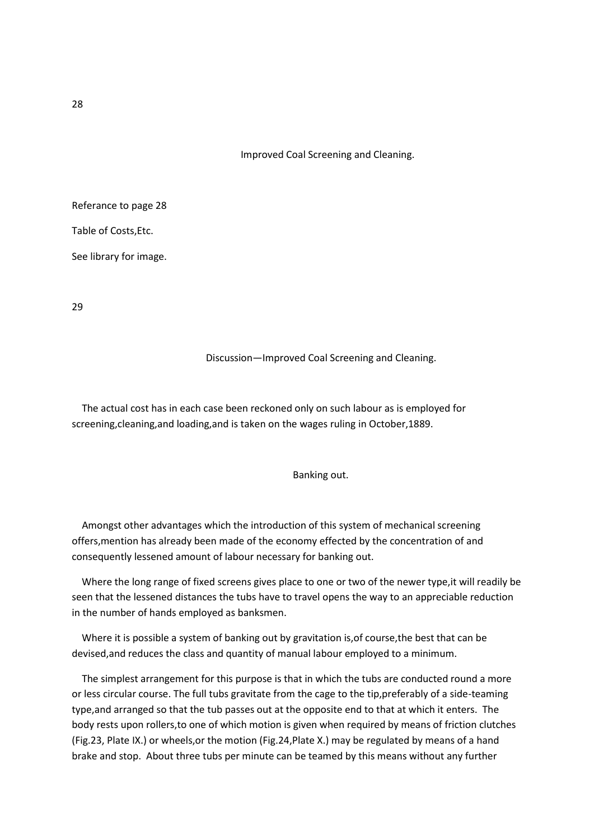Improved Coal Screening and Cleaning.

Referance to page 28

Table of Costs,Etc.

See library for image.

29

#### Discussion—Improved Coal Screening and Cleaning.

 The actual cost has in each case been reckoned only on such labour as is employed for screening,cleaning,and loading,and is taken on the wages ruling in October,1889.

# Banking out.

 Amongst other advantages which the introduction of this system of mechanical screening offers,mention has already been made of the economy effected by the concentration of and consequently lessened amount of labour necessary for banking out.

 Where the long range of fixed screens gives place to one or two of the newer type,it will readily be seen that the lessened distances the tubs have to travel opens the way to an appreciable reduction in the number of hands employed as banksmen.

Where it is possible a system of banking out by gravitation is, of course, the best that can be devised,and reduces the class and quantity of manual labour employed to a minimum.

 The simplest arrangement for this purpose is that in which the tubs are conducted round a more or less circular course. The full tubs gravitate from the cage to the tip,preferably of a side-teaming type,and arranged so that the tub passes out at the opposite end to that at which it enters. The body rests upon rollers,to one of which motion is given when required by means of friction clutches (Fig.23, Plate IX.) or wheels,or the motion (Fig.24,Plate X.) may be regulated by means of a hand brake and stop. About three tubs per minute can be teamed by this means without any further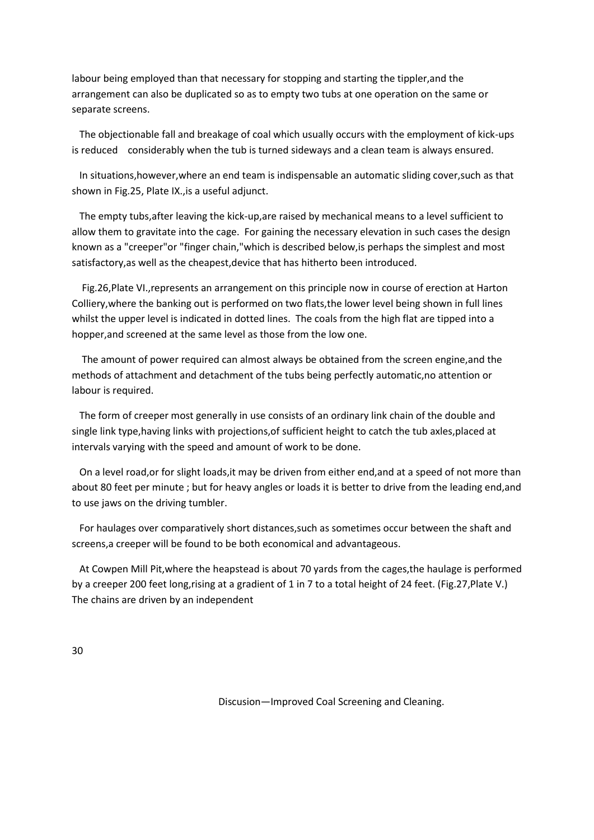labour being employed than that necessary for stopping and starting the tippler,and the arrangement can also be duplicated so as to empty two tubs at one operation on the same or separate screens.

 The objectionable fall and breakage of coal which usually occurs with the employment of kick-ups is reduced considerably when the tub is turned sideways and a clean team is always ensured.

 In situations,however,where an end team is indispensable an automatic sliding cover,such as that shown in Fig.25, Plate IX.,is a useful adjunct.

 The empty tubs,after leaving the kick-up,are raised by mechanical means to a level sufficient to allow them to gravitate into the cage. For gaining the necessary elevation in such cases the design known as a "creeper"or "finger chain,"which is described below,is perhaps the simplest and most satisfactory,as well as the cheapest,device that has hitherto been introduced.

 Fig.26,Plate VI.,represents an arrangement on this principle now in course of erection at Harton Colliery,where the banking out is performed on two flats,the lower level being shown in full lines whilst the upper level is indicated in dotted lines. The coals from the high flat are tipped into a hopper,and screened at the same level as those from the low one.

 The amount of power required can almost always be obtained from the screen engine,and the methods of attachment and detachment of the tubs being perfectly automatic,no attention or labour is required.

 The form of creeper most generally in use consists of an ordinary link chain of the double and single link type,having links with projections,of sufficient height to catch the tub axles,placed at intervals varying with the speed and amount of work to be done.

 On a level road,or for slight loads,it may be driven from either end,and at a speed of not more than about 80 feet per minute ; but for heavy angles or loads it is better to drive from the leading end,and to use jaws on the driving tumbler.

 For haulages over comparatively short distances,such as sometimes occur between the shaft and screens,a creeper will be found to be both economical and advantageous.

 At Cowpen Mill Pit,where the heapstead is about 70 yards from the cages,the haulage is performed by a creeper 200 feet long,rising at a gradient of 1 in 7 to a total height of 24 feet. (Fig.27,Plate V.) The chains are driven by an independent

30

Discusion—Improved Coal Screening and Cleaning.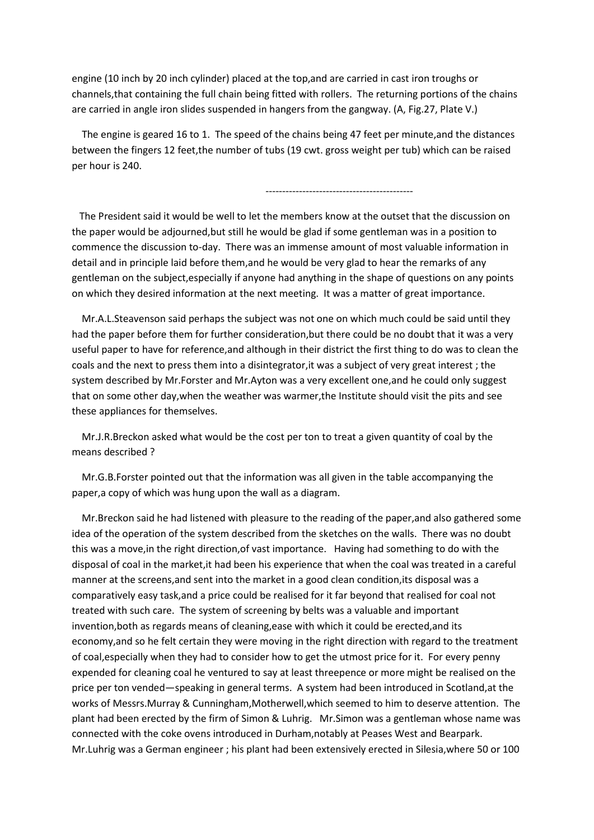engine (10 inch by 20 inch cylinder) placed at the top,and are carried in cast iron troughs or channels,that containing the full chain being fitted with rollers. The returning portions of the chains are carried in angle iron slides suspended in hangers from the gangway. (A, Fig.27, Plate V.)

 The engine is geared 16 to 1. The speed of the chains being 47 feet per minute,and the distances between the fingers 12 feet,the number of tubs (19 cwt. gross weight per tub) which can be raised per hour is 240.

--------------------------------------------

 The President said it would be well to let the members know at the outset that the discussion on the paper would be adjourned,but still he would be glad if some gentleman was in a position to commence the discussion to-day. There was an immense amount of most valuable information in detail and in principle laid before them,and he would be very glad to hear the remarks of any gentleman on the subject,especially if anyone had anything in the shape of questions on any points on which they desired information at the next meeting. It was a matter of great importance.

 Mr.A.L.Steavenson said perhaps the subject was not one on which much could be said until they had the paper before them for further consideration,but there could be no doubt that it was a very useful paper to have for reference,and although in their district the first thing to do was to clean the coals and the next to press them into a disintegrator,it was a subject of very great interest ; the system described by Mr.Forster and Mr.Ayton was a very excellent one,and he could only suggest that on some other day,when the weather was warmer,the Institute should visit the pits and see these appliances for themselves.

 Mr.J.R.Breckon asked what would be the cost per ton to treat a given quantity of coal by the means described ?

 Mr.G.B.Forster pointed out that the information was all given in the table accompanying the paper,a copy of which was hung upon the wall as a diagram.

 Mr.Breckon said he had listened with pleasure to the reading of the paper,and also gathered some idea of the operation of the system described from the sketches on the walls. There was no doubt this was a move,in the right direction,of vast importance. Having had something to do with the disposal of coal in the market,it had been his experience that when the coal was treated in a careful manner at the screens,and sent into the market in a good clean condition,its disposal was a comparatively easy task,and a price could be realised for it far beyond that realised for coal not treated with such care. The system of screening by belts was a valuable and important invention,both as regards means of cleaning,ease with which it could be erected,and its economy,and so he felt certain they were moving in the right direction with regard to the treatment of coal,especially when they had to consider how to get the utmost price for it. For every penny expended for cleaning coal he ventured to say at least threepence or more might be realised on the price per ton vended—speaking in general terms. A system had been introduced in Scotland,at the works of Messrs.Murray & Cunningham,Motherwell,which seemed to him to deserve attention. The plant had been erected by the firm of Simon & Luhrig. Mr.Simon was a gentleman whose name was connected with the coke ovens introduced in Durham,notably at Peases West and Bearpark. Mr.Luhrig was a German engineer ; his plant had been extensively erected in Silesia,where 50 or 100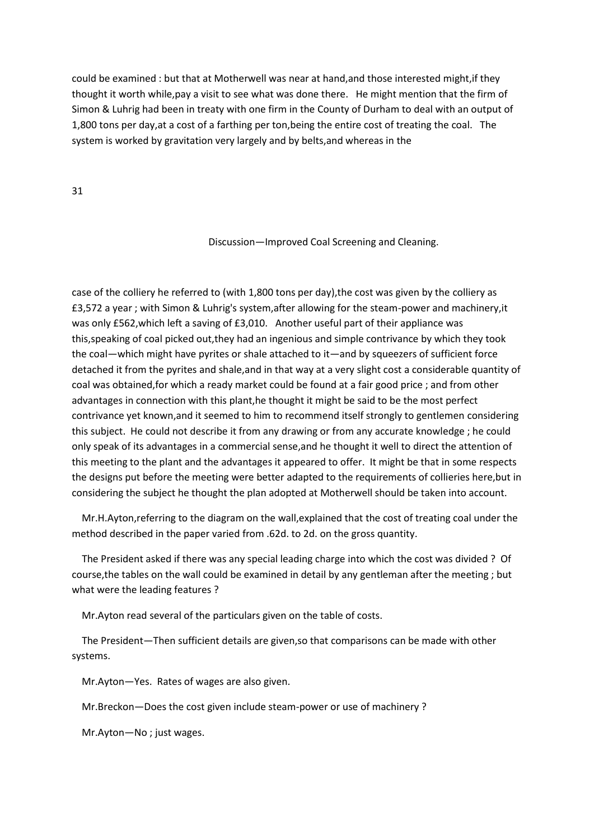could be examined : but that at Motherwell was near at hand,and those interested might,if they thought it worth while,pay a visit to see what was done there. He might mention that the firm of Simon & Luhrig had been in treaty with one firm in the County of Durham to deal with an output of 1,800 tons per day,at a cost of a farthing per ton,being the entire cost of treating the coal. The system is worked by gravitation very largely and by belts,and whereas in the

31

## Discussion—Improved Coal Screening and Cleaning.

case of the colliery he referred to (with 1,800 tons per day),the cost was given by the colliery as £3,572 a year ; with Simon & Luhrig's system,after allowing for the steam-power and machinery,it was only £562,which left a saving of £3,010. Another useful part of their appliance was this,speaking of coal picked out,they had an ingenious and simple contrivance by which they took the coal—which might have pyrites or shale attached to it—and by squeezers of sufficient force detached it from the pyrites and shale,and in that way at a very slight cost a considerable quantity of coal was obtained,for which a ready market could be found at a fair good price ; and from other advantages in connection with this plant,he thought it might be said to be the most perfect contrivance yet known,and it seemed to him to recommend itself strongly to gentlemen considering this subject. He could not describe it from any drawing or from any accurate knowledge ; he could only speak of its advantages in a commercial sense,and he thought it well to direct the attention of this meeting to the plant and the advantages it appeared to offer. It might be that in some respects the designs put before the meeting were better adapted to the requirements of collieries here,but in considering the subject he thought the plan adopted at Motherwell should be taken into account.

 Mr.H.Ayton,referring to the diagram on the wall,explained that the cost of treating coal under the method described in the paper varied from .62d. to 2d. on the gross quantity.

 The President asked if there was any special leading charge into which the cost was divided ? Of course,the tables on the wall could be examined in detail by any gentleman after the meeting ; but what were the leading features ?

Mr.Ayton read several of the particulars given on the table of costs.

 The President—Then sufficient details are given,so that comparisons can be made with other systems.

Mr.Ayton—Yes. Rates of wages are also given.

Mr.Breckon—Does the cost given include steam-power or use of machinery ?

Mr.Ayton—No ; just wages.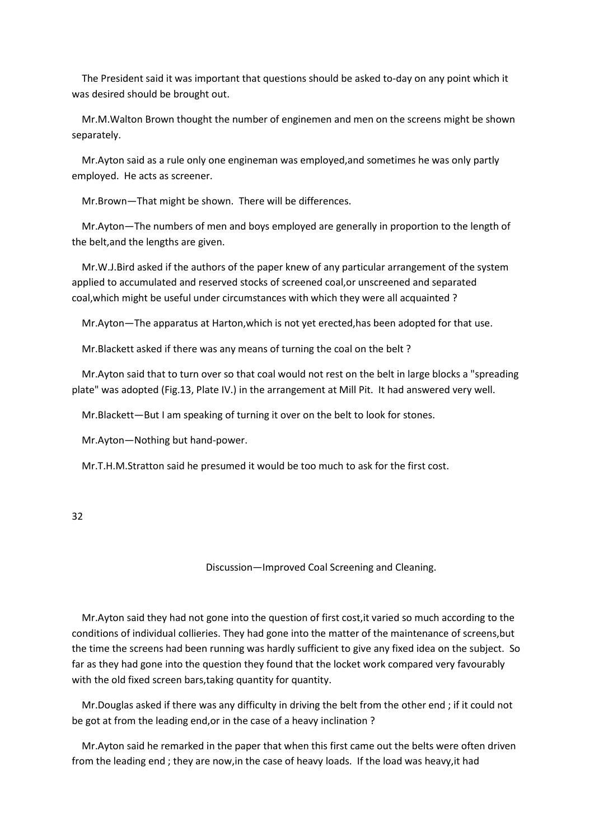The President said it was important that questions should be asked to-day on any point which it was desired should be brought out.

 Mr.M.Walton Brown thought the number of enginemen and men on the screens might be shown separately.

 Mr.Ayton said as a rule only one engineman was employed,and sometimes he was only partly employed. He acts as screener.

Mr.Brown—That might be shown. There will be differences.

 Mr.Ayton—The numbers of men and boys employed are generally in proportion to the length of the belt,and the lengths are given.

 Mr.W.J.Bird asked if the authors of the paper knew of any particular arrangement of the system applied to accumulated and reserved stocks of screened coal,or unscreened and separated coal,which might be useful under circumstances with which they were all acquainted ?

Mr.Ayton—The apparatus at Harton,which is not yet erected,has been adopted for that use.

Mr.Blackett asked if there was any means of turning the coal on the belt ?

 Mr.Ayton said that to turn over so that coal would not rest on the belt in large blocks a "spreading plate" was adopted (Fig.13, Plate IV.) in the arrangement at Mill Pit. It had answered very well.

Mr.Blackett—But I am speaking of turning it over on the belt to look for stones.

Mr.Ayton—Nothing but hand-power.

Mr.T.H.M.Stratton said he presumed it would be too much to ask for the first cost.

32

Discussion—Improved Coal Screening and Cleaning.

 Mr.Ayton said they had not gone into the question of first cost,it varied so much according to the conditions of individual collieries. They had gone into the matter of the maintenance of screens,but the time the screens had been running was hardly sufficient to give any fixed idea on the subject. So far as they had gone into the question they found that the locket work compared very favourably with the old fixed screen bars,taking quantity for quantity.

 Mr.Douglas asked if there was any difficulty in driving the belt from the other end ; if it could not be got at from the leading end,or in the case of a heavy inclination ?

 Mr.Ayton said he remarked in the paper that when this first came out the belts were often driven from the leading end ; they are now,in the case of heavy loads. If the load was heavy,it had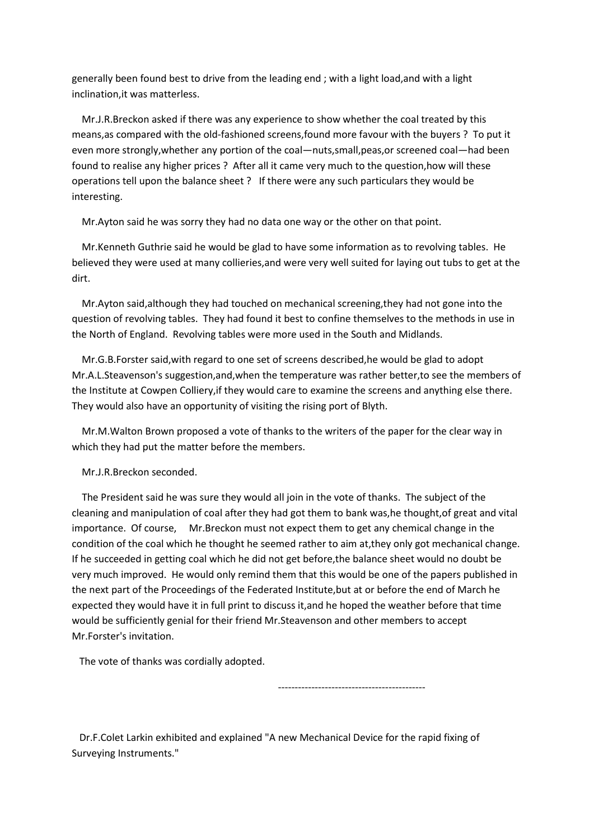generally been found best to drive from the leading end ; with a light load,and with a light inclination,it was matterless.

 Mr.J.R.Breckon asked if there was any experience to show whether the coal treated by this means,as compared with the old-fashioned screens,found more favour with the buyers ? To put it even more strongly,whether any portion of the coal—nuts,small,peas,or screened coal—had been found to realise any higher prices ? After all it came very much to the question,how will these operations tell upon the balance sheet ? If there were any such particulars they would be interesting.

Mr.Ayton said he was sorry they had no data one way or the other on that point.

 Mr.Kenneth Guthrie said he would be glad to have some information as to revolving tables. He believed they were used at many collieries,and were very well suited for laying out tubs to get at the dirt.

 Mr.Ayton said,although they had touched on mechanical screening,they had not gone into the question of revolving tables. They had found it best to confine themselves to the methods in use in the North of England. Revolving tables were more used in the South and Midlands.

 Mr.G.B.Forster said,with regard to one set of screens described,he would be glad to adopt Mr.A.L.Steavenson's suggestion,and,when the temperature was rather better,to see the members of the Institute at Cowpen Colliery,if they would care to examine the screens and anything else there. They would also have an opportunity of visiting the rising port of Blyth.

 Mr.M.Walton Brown proposed a vote of thanks to the writers of the paper for the clear way in which they had put the matter before the members.

Mr.J.R.Breckon seconded.

 The President said he was sure they would all join in the vote of thanks. The subject of the cleaning and manipulation of coal after they had got them to bank was,he thought,of great and vital importance. Of course, Mr.Breckon must not expect them to get any chemical change in the condition of the coal which he thought he seemed rather to aim at,they only got mechanical change. If he succeeded in getting coal which he did not get before,the balance sheet would no doubt be very much improved. He would only remind them that this would be one of the papers published in the next part of the Proceedings of the Federated Institute,but at or before the end of March he expected they would have it in full print to discuss it,and he hoped the weather before that time would be sufficiently genial for their friend Mr.Steavenson and other members to accept Mr.Forster's invitation.

The vote of thanks was cordially adopted.

--------------------------------------------

 Dr.F.Colet Larkin exhibited and explained "A new Mechanical Device for the rapid fixing of Surveying Instruments."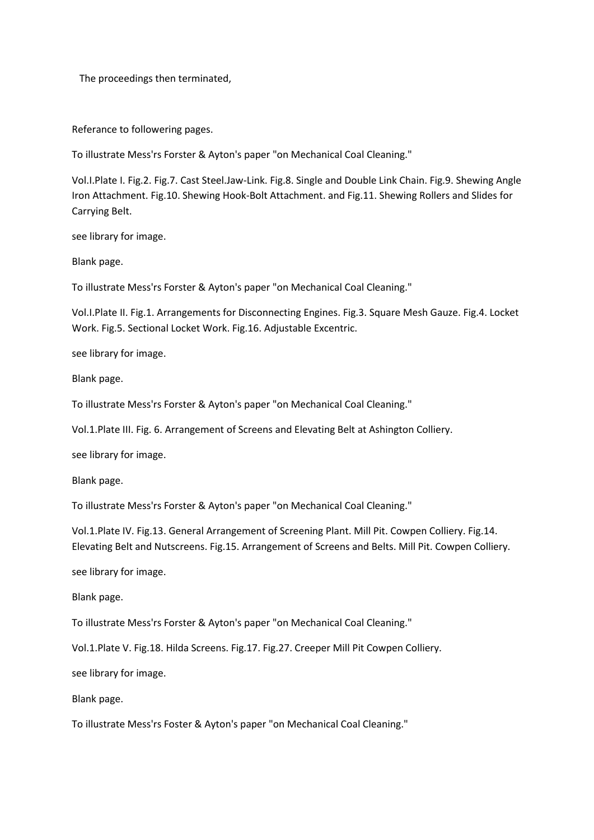The proceedings then terminated,

Referance to followering pages.

To illustrate Mess'rs Forster & Ayton's paper "on Mechanical Coal Cleaning."

Vol.I.Plate I. Fig.2. Fig.7. Cast Steel.Jaw-Link. Fig.8. Single and Double Link Chain. Fig.9. Shewing Angle Iron Attachment. Fig.10. Shewing Hook-Bolt Attachment. and Fig.11. Shewing Rollers and Slides for Carrying Belt.

see library for image.

Blank page.

To illustrate Mess'rs Forster & Ayton's paper "on Mechanical Coal Cleaning."

Vol.I.Plate II. Fig.1. Arrangements for Disconnecting Engines. Fig.3. Square Mesh Gauze. Fig.4. Locket Work. Fig.5. Sectional Locket Work. Fig.16. Adjustable Excentric.

see library for image.

Blank page.

To illustrate Mess'rs Forster & Ayton's paper "on Mechanical Coal Cleaning."

Vol.1.Plate III. Fig. 6. Arrangement of Screens and Elevating Belt at Ashington Colliery.

see library for image.

Blank page.

To illustrate Mess'rs Forster & Ayton's paper "on Mechanical Coal Cleaning."

Vol.1.Plate IV. Fig.13. General Arrangement of Screening Plant. Mill Pit. Cowpen Colliery. Fig.14. Elevating Belt and Nutscreens. Fig.15. Arrangement of Screens and Belts. Mill Pit. Cowpen Colliery.

see library for image.

Blank page.

To illustrate Mess'rs Forster & Ayton's paper "on Mechanical Coal Cleaning."

Vol.1.Plate V. Fig.18. Hilda Screens. Fig.17. Fig.27. Creeper Mill Pit Cowpen Colliery.

see library for image.

Blank page.

To illustrate Mess'rs Foster & Ayton's paper "on Mechanical Coal Cleaning."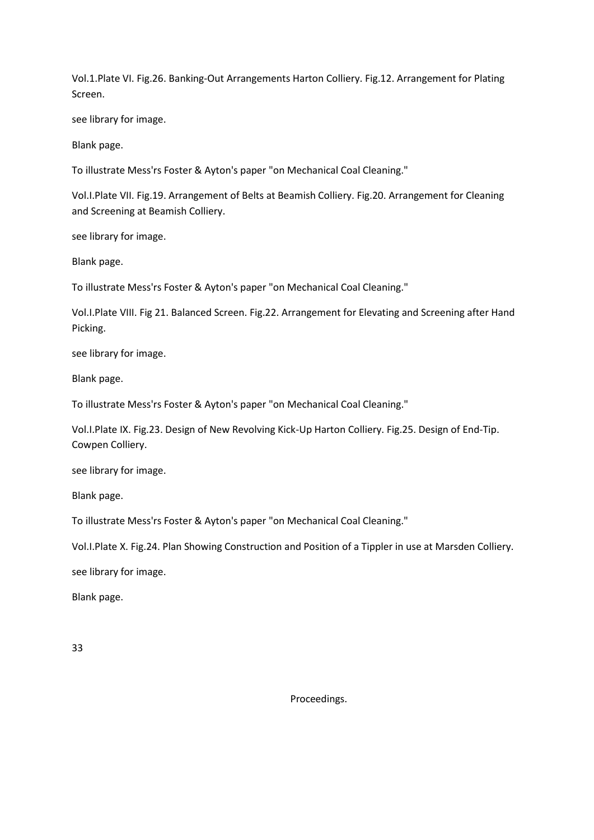Vol.1.Plate VI. Fig.26. Banking-Out Arrangements Harton Colliery. Fig.12. Arrangement for Plating Screen.

see library for image.

Blank page.

To illustrate Mess'rs Foster & Ayton's paper "on Mechanical Coal Cleaning."

Vol.I.Plate VII. Fig.19. Arrangement of Belts at Beamish Colliery. Fig.20. Arrangement for Cleaning and Screening at Beamish Colliery.

see library for image.

Blank page.

To illustrate Mess'rs Foster & Ayton's paper "on Mechanical Coal Cleaning."

Vol.I.Plate VIII. Fig 21. Balanced Screen. Fig.22. Arrangement for Elevating and Screening after Hand Picking.

see library for image.

Blank page.

To illustrate Mess'rs Foster & Ayton's paper "on Mechanical Coal Cleaning."

Vol.I.Plate IX. Fig.23. Design of New Revolving Kick-Up Harton Colliery. Fig.25. Design of End-Tip. Cowpen Colliery.

see library for image.

Blank page.

To illustrate Mess'rs Foster & Ayton's paper "on Mechanical Coal Cleaning."

Vol.I.Plate X. Fig.24. Plan Showing Construction and Position of a Tippler in use at Marsden Colliery.

see library for image.

Blank page.

33

Proceedings.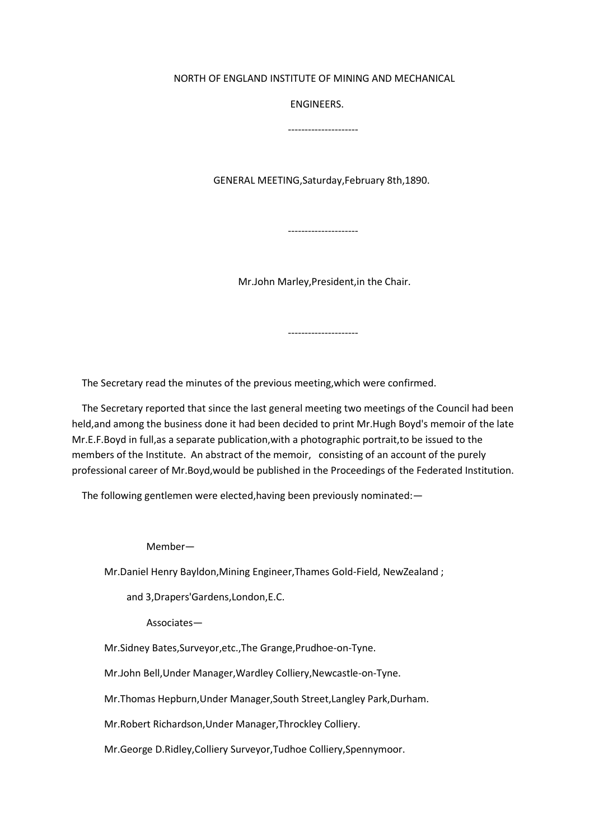## NORTH OF ENGLAND INSTITUTE OF MINING AND MECHANICAL

ENGINEERS.

---------------------

GENERAL MEETING,Saturday,February 8th,1890.

Mr.John Marley,President,in the Chair.

---------------------

---------------------

The Secretary read the minutes of the previous meeting,which were confirmed.

 The Secretary reported that since the last general meeting two meetings of the Council had been held,and among the business done it had been decided to print Mr.Hugh Boyd's memoir of the late Mr.E.F.Boyd in full,as a separate publication,with a photographic portrait,to be issued to the members of the Institute. An abstract of the memoir, consisting of an account of the purely professional career of Mr.Boyd,would be published in the Proceedings of the Federated Institution.

The following gentlemen were elected,having been previously nominated:—

Member—

Mr.Daniel Henry Bayldon,Mining Engineer,Thames Gold-Field, NewZealand ;

and 3,Drapers'Gardens,London,E.C.

Associates—

Mr.Sidney Bates,Surveyor,etc.,The Grange,Prudhoe-on-Tyne.

Mr.John Bell,Under Manager,Wardley Colliery,Newcastle-on-Tyne.

Mr.Thomas Hepburn,Under Manager,South Street,Langley Park,Durham.

Mr.Robert Richardson,Under Manager,Throckley Colliery.

Mr.George D.Ridley,Colliery Surveyor,Tudhoe Colliery,Spennymoor.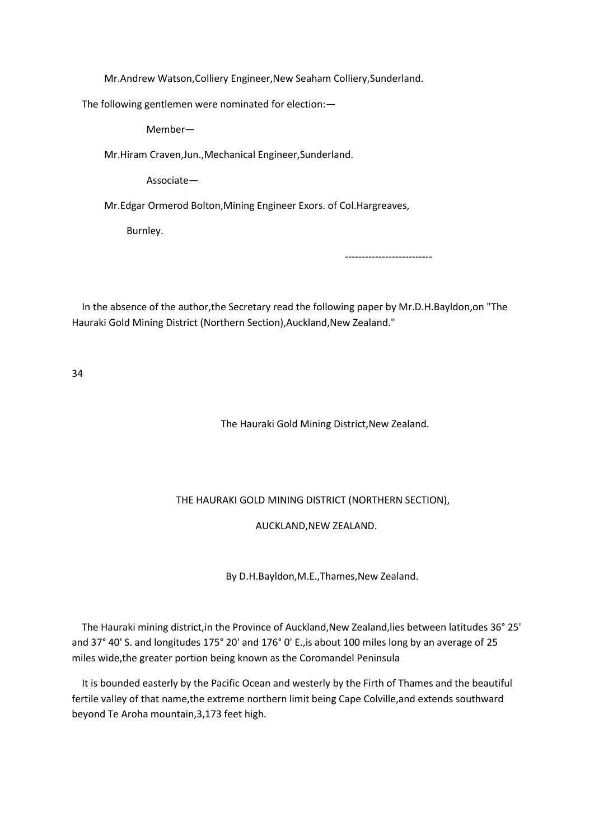Mr.Andrew Watson,Colliery Engineer,New Seaham Colliery,Sunderland.

The following gentlemen were nominated for election:—

Member—

Mr.Hiram Craven,Jun.,Mechanical Engineer,Sunderland.

Associate—

Mr.Edgar Ormerod Bolton,Mining Engineer Exors. of Col.Hargreaves,

Burnley.

--------------------------

 In the absence of the author,the Secretary read the following paper by Mr.D.H.Bayldon,on "The Hauraki Gold Mining District (Northern Section), Auckland, New Zealand."

34

The Hauraki Gold Mining District,New Zealand.

THE HAURAKI GOLD MINING DISTRICT (NORTHERN SECTION),

AUCKLAND,NEW ZEALAND.

By D.H.Bayldon,M.E.,Thames,New Zealand.

 The Hauraki mining district,in the Province of Auckland,New Zealand,lies between latitudes 36° 25' and 37° 40' S. and longitudes 175° 20' and 176° 0' E.,is about 100 miles long by an average of 25 miles wide,the greater portion being known as the Coromandel Peninsula

 It is bounded easterly by the Pacific Ocean and westerly by the Firth of Thames and the beautiful fertile valley of that name,the extreme northern limit being Cape Colville,and extends southward beyond Te Aroha mountain,3,173 feet high.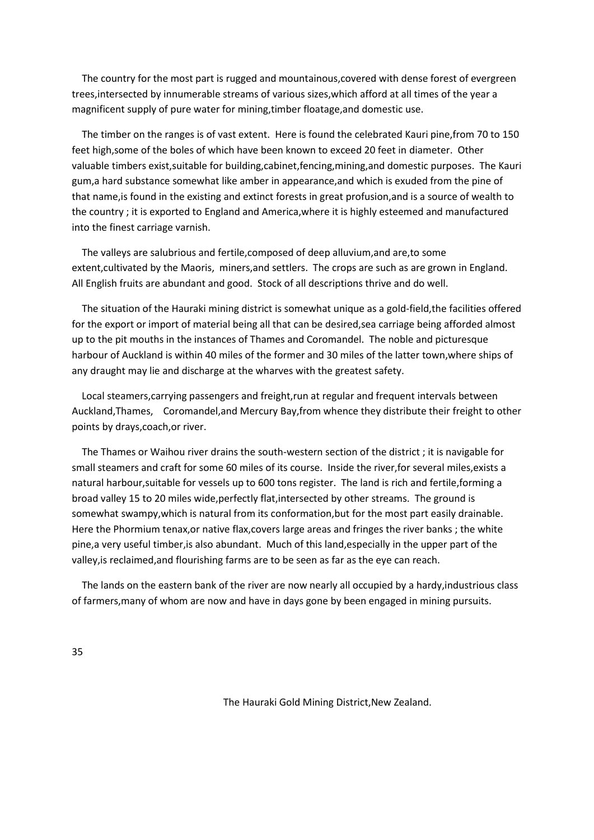The country for the most part is rugged and mountainous,covered with dense forest of evergreen trees,intersected by innumerable streams of various sizes,which afford at all times of the year a magnificent supply of pure water for mining,timber floatage,and domestic use.

 The timber on the ranges is of vast extent. Here is found the celebrated Kauri pine,from 70 to 150 feet high,some of the boles of which have been known to exceed 20 feet in diameter. Other valuable timbers exist,suitable for building,cabinet,fencing,mining,and domestic purposes. The Kauri gum,a hard substance somewhat like amber in appearance,and which is exuded from the pine of that name,is found in the existing and extinct forests in great profusion,and is a source of wealth to the country ; it is exported to England and America,where it is highly esteemed and manufactured into the finest carriage varnish.

 The valleys are salubrious and fertile,composed of deep alluvium,and are,to some extent,cultivated by the Maoris, miners,and settlers. The crops are such as are grown in England. All English fruits are abundant and good. Stock of all descriptions thrive and do well.

 The situation of the Hauraki mining district is somewhat unique as a gold-field,the facilities offered for the export or import of material being all that can be desired,sea carriage being afforded almost up to the pit mouths in the instances of Thames and Coromandel. The noble and picturesque harbour of Auckland is within 40 miles of the former and 30 miles of the latter town,where ships of any draught may lie and discharge at the wharves with the greatest safety.

 Local steamers,carrying passengers and freight,run at regular and frequent intervals between Auckland,Thames, Coromandel,and Mercury Bay,from whence they distribute their freight to other points by drays,coach,or river.

 The Thames or Waihou river drains the south-western section of the district ; it is navigable for small steamers and craft for some 60 miles of its course. Inside the river,for several miles,exists a natural harbour,suitable for vessels up to 600 tons register. The land is rich and fertile,forming a broad valley 15 to 20 miles wide,perfectly flat,intersected by other streams. The ground is somewhat swampy,which is natural from its conformation,but for the most part easily drainable. Here the Phormium tenax,or native flax,covers large areas and fringes the river banks ; the white pine,a very useful timber,is also abundant. Much of this land,especially in the upper part of the valley,is reclaimed,and flourishing farms are to be seen as far as the eye can reach.

 The lands on the eastern bank of the river are now nearly all occupied by a hardy,industrious class of farmers,many of whom are now and have in days gone by been engaged in mining pursuits.

35

The Hauraki Gold Mining District,New Zealand.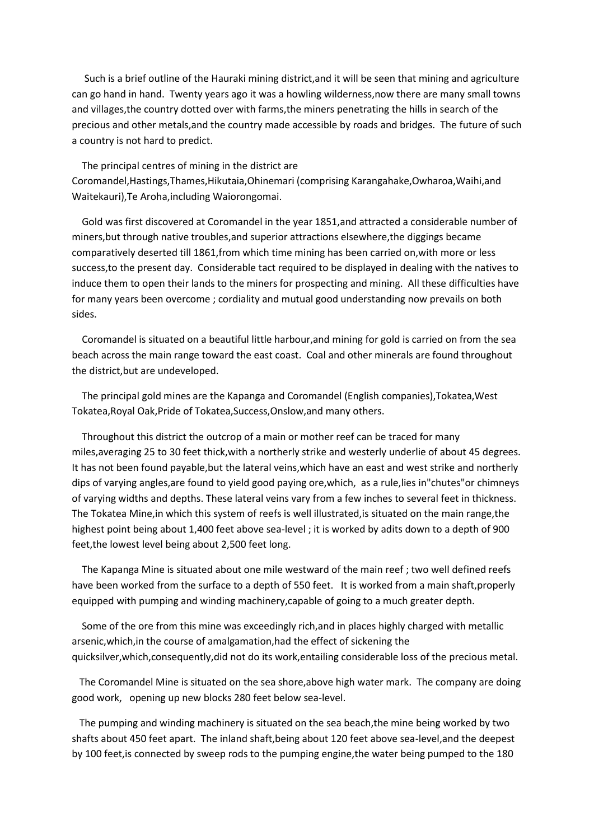Such is a brief outline of the Hauraki mining district,and it will be seen that mining and agriculture can go hand in hand. Twenty years ago it was a howling wilderness,now there are many small towns and villages,the country dotted over with farms,the miners penetrating the hills in search of the precious and other metals,and the country made accessible by roads and bridges. The future of such a country is not hard to predict.

 The principal centres of mining in the district are Coromandel,Hastings,Thames,Hikutaia,Ohinemari (comprising Karangahake,Owharoa,Waihi,and Waitekauri),Te Aroha,including Waiorongomai.

 Gold was first discovered at Coromandel in the year 1851,and attracted a considerable number of miners,but through native troubles,and superior attractions elsewhere,the diggings became comparatively deserted till 1861,from which time mining has been carried on,with more or less success,to the present day. Considerable tact required to be displayed in dealing with the natives to induce them to open their lands to the miners for prospecting and mining. All these difficulties have for many years been overcome ; cordiality and mutual good understanding now prevails on both sides.

 Coromandel is situated on a beautiful little harbour,and mining for gold is carried on from the sea beach across the main range toward the east coast. Coal and other minerals are found throughout the district,but are undeveloped.

 The principal gold mines are the Kapanga and Coromandel (English companies),Tokatea,West Tokatea,Royal Oak,Pride of Tokatea,Success,Onslow,and many others.

 Throughout this district the outcrop of a main or mother reef can be traced for many miles,averaging 25 to 30 feet thick,with a northerly strike and westerly underlie of about 45 degrees. It has not been found payable,but the lateral veins,which have an east and west strike and northerly dips of varying angles,are found to yield good paying ore,which, as a rule,lies in"chutes"or chimneys of varying widths and depths. These lateral veins vary from a few inches to several feet in thickness. The Tokatea Mine,in which this system of reefs is well illustrated,is situated on the main range,the highest point being about 1,400 feet above sea-level ; it is worked by adits down to a depth of 900 feet,the lowest level being about 2,500 feet long.

 The Kapanga Mine is situated about one mile westward of the main reef ; two well defined reefs have been worked from the surface to a depth of 550 feet. It is worked from a main shaft, properly equipped with pumping and winding machinery,capable of going to a much greater depth.

 Some of the ore from this mine was exceedingly rich,and in places highly charged with metallic arsenic,which,in the course of amalgamation,had the effect of sickening the quicksilver,which,consequently,did not do its work,entailing considerable loss of the precious metal.

 The Coromandel Mine is situated on the sea shore,above high water mark. The company are doing good work, opening up new blocks 280 feet below sea-level.

 The pumping and winding machinery is situated on the sea beach,the mine being worked by two shafts about 450 feet apart. The inland shaft,being about 120 feet above sea-level,and the deepest by 100 feet,is connected by sweep rods to the pumping engine,the water being pumped to the 180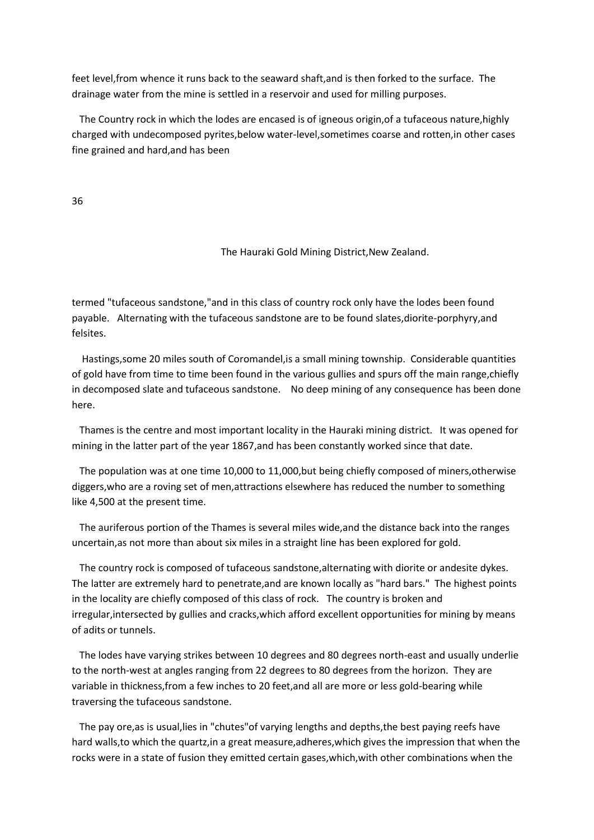feet level,from whence it runs back to the seaward shaft,and is then forked to the surface. The drainage water from the mine is settled in a reservoir and used for milling purposes.

 The Country rock in which the lodes are encased is of igneous origin,of a tufaceous nature,highly charged with undecomposed pyrites,below water-level,sometimes coarse and rotten,in other cases fine grained and hard,and has been

36

The Hauraki Gold Mining District,New Zealand.

termed "tufaceous sandstone,"and in this class of country rock only have the lodes been found payable. Alternating with the tufaceous sandstone are to be found slates,diorite-porphyry,and felsites.

 Hastings,some 20 miles south of Coromandel,is a small mining township. Considerable quantities of gold have from time to time been found in the various gullies and spurs off the main range,chiefly in decomposed slate and tufaceous sandstone. No deep mining of any consequence has been done here.

 Thames is the centre and most important locality in the Hauraki mining district. It was opened for mining in the latter part of the year 1867,and has been constantly worked since that date.

 The population was at one time 10,000 to 11,000,but being chiefly composed of miners,otherwise diggers,who are a roving set of men,attractions elsewhere has reduced the number to something like 4,500 at the present time.

 The auriferous portion of the Thames is several miles wide,and the distance back into the ranges uncertain,as not more than about six miles in a straight line has been explored for gold.

 The country rock is composed of tufaceous sandstone,alternating with diorite or andesite dykes. The latter are extremely hard to penetrate,and are known locally as "hard bars." The highest points in the locality are chiefly composed of this class of rock. The country is broken and irregular,intersected by gullies and cracks,which afford excellent opportunities for mining by means of adits or tunnels.

 The lodes have varying strikes between 10 degrees and 80 degrees north-east and usually underlie to the north-west at angles ranging from 22 degrees to 80 degrees from the horizon. They are variable in thickness,from a few inches to 20 feet,and all are more or less gold-bearing while traversing the tufaceous sandstone.

 The pay ore,as is usual,lies in "chutes"of varying lengths and depths,the best paying reefs have hard walls,to which the quartz,in a great measure,adheres,which gives the impression that when the rocks were in a state of fusion they emitted certain gases,which,with other combinations when the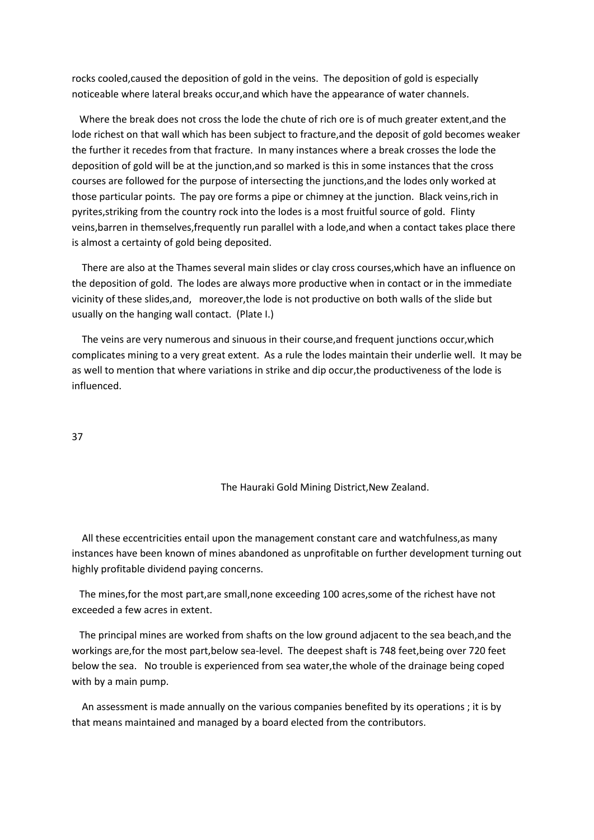rocks cooled,caused the deposition of gold in the veins. The deposition of gold is especially noticeable where lateral breaks occur,and which have the appearance of water channels.

 Where the break does not cross the lode the chute of rich ore is of much greater extent,and the lode richest on that wall which has been subject to fracture,and the deposit of gold becomes weaker the further it recedes from that fracture. In many instances where a break crosses the lode the deposition of gold will be at the junction,and so marked is this in some instances that the cross courses are followed for the purpose of intersecting the junctions,and the lodes only worked at those particular points. The pay ore forms a pipe or chimney at the junction. Black veins,rich in pyrites,striking from the country rock into the lodes is a most fruitful source of gold. Flinty veins,barren in themselves,frequently run parallel with a lode,and when a contact takes place there is almost a certainty of gold being deposited.

 There are also at the Thames several main slides or clay cross courses,which have an influence on the deposition of gold. The lodes are always more productive when in contact or in the immediate vicinity of these slides,and, moreover,the lode is not productive on both walls of the slide but usually on the hanging wall contact. (Plate I.)

 The veins are very numerous and sinuous in their course,and frequent junctions occur,which complicates mining to a very great extent. As a rule the lodes maintain their underlie well. It may be as well to mention that where variations in strike and dip occur,the productiveness of the lode is influenced.

#### 37

#### The Hauraki Gold Mining District,New Zealand.

 All these eccentricities entail upon the management constant care and watchfulness,as many instances have been known of mines abandoned as unprofitable on further development turning out highly profitable dividend paying concerns.

 The mines,for the most part,are small,none exceeding 100 acres,some of the richest have not exceeded a few acres in extent.

 The principal mines are worked from shafts on the low ground adjacent to the sea beach,and the workings are,for the most part,below sea-level. The deepest shaft is 748 feet,being over 720 feet below the sea. No trouble is experienced from sea water,the whole of the drainage being coped with by a main pump.

 An assessment is made annually on the various companies benefited by its operations ; it is by that means maintained and managed by a board elected from the contributors.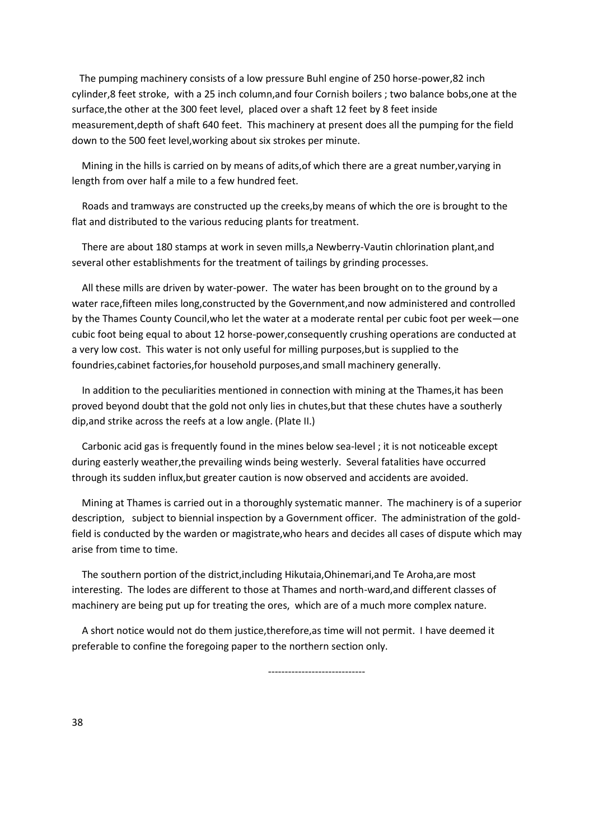The pumping machinery consists of a low pressure Buhl engine of 250 horse-power,82 inch cylinder,8 feet stroke, with a 25 inch column,and four Cornish boilers ; two balance bobs,one at the surface,the other at the 300 feet level, placed over a shaft 12 feet by 8 feet inside measurement,depth of shaft 640 feet. This machinery at present does all the pumping for the field down to the 500 feet level,working about six strokes per minute.

 Mining in the hills is carried on by means of adits,of which there are a great number,varying in length from over half a mile to a few hundred feet.

 Roads and tramways are constructed up the creeks,by means of which the ore is brought to the flat and distributed to the various reducing plants for treatment.

 There are about 180 stamps at work in seven mills,a Newberry-Vautin chlorination plant,and several other establishments for the treatment of tailings by grinding processes.

 All these mills are driven by water-power. The water has been brought on to the ground by a water race,fifteen miles long,constructed by the Government,and now administered and controlled by the Thames County Council,who let the water at a moderate rental per cubic foot per week—one cubic foot being equal to about 12 horse-power,consequently crushing operations are conducted at a very low cost. This water is not only useful for milling purposes,but is supplied to the foundries,cabinet factories,for household purposes,and small machinery generally.

 In addition to the peculiarities mentioned in connection with mining at the Thames,it has been proved beyond doubt that the gold not only lies in chutes,but that these chutes have a southerly dip,and strike across the reefs at a low angle. (Plate II.)

 Carbonic acid gas is frequently found in the mines below sea-level ; it is not noticeable except during easterly weather,the prevailing winds being westerly. Several fatalities have occurred through its sudden influx,but greater caution is now observed and accidents are avoided.

 Mining at Thames is carried out in a thoroughly systematic manner. The machinery is of a superior description, subject to biennial inspection by a Government officer. The administration of the goldfield is conducted by the warden or magistrate,who hears and decides all cases of dispute which may arise from time to time.

 The southern portion of the district,including Hikutaia,Ohinemari,and Te Aroha,are most interesting. The lodes are different to those at Thames and north-ward,and different classes of machinery are being put up for treating the ores, which are of a much more complex nature.

 A short notice would not do them justice,therefore,as time will not permit. I have deemed it preferable to confine the foregoing paper to the northern section only.

-----------------------------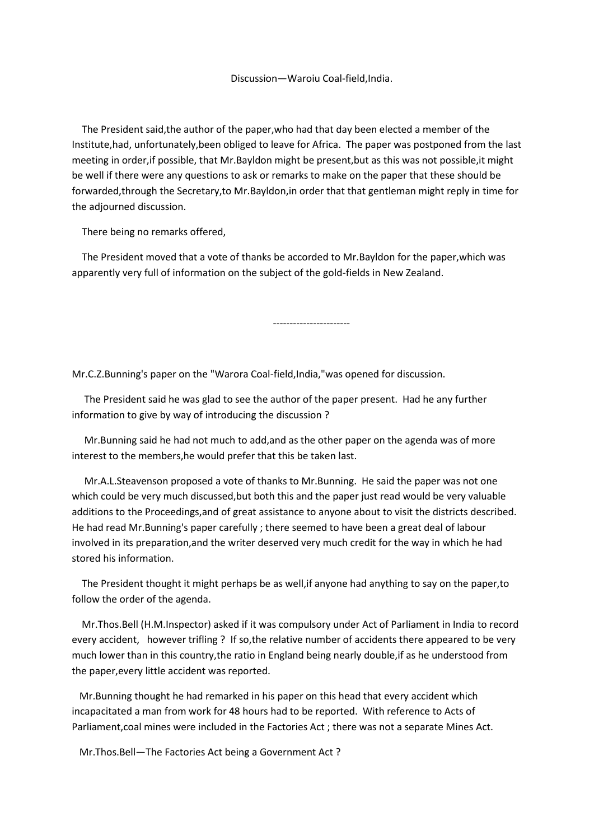The President said,the author of the paper,who had that day been elected a member of the Institute,had, unfortunately,been obliged to leave for Africa. The paper was postponed from the last meeting in order,if possible, that Mr.Bayldon might be present,but as this was not possible,it might be well if there were any questions to ask or remarks to make on the paper that these should be forwarded,through the Secretary,to Mr.Bayldon,in order that that gentleman might reply in time for the adjourned discussion.

There being no remarks offered,

 The President moved that a vote of thanks be accorded to Mr.Bayldon for the paper,which was apparently very full of information on the subject of the gold-fields in New Zealand.

Mr.C.Z.Bunning's paper on the "Warora Coal-field,India,"was opened for discussion.

-----------------------

 The President said he was glad to see the author of the paper present. Had he any further information to give by way of introducing the discussion ?

 Mr.Bunning said he had not much to add,and as the other paper on the agenda was of more interest to the members,he would prefer that this be taken last.

 Mr.A.L.Steavenson proposed a vote of thanks to Mr.Bunning. He said the paper was not one which could be very much discussed,but both this and the paper just read would be very valuable additions to the Proceedings,and of great assistance to anyone about to visit the districts described. He had read Mr.Bunning's paper carefully ; there seemed to have been a great deal of labour involved in its preparation,and the writer deserved very much credit for the way in which he had stored his information.

 The President thought it might perhaps be as well,if anyone had anything to say on the paper,to follow the order of the agenda.

 Mr.Thos.Bell (H.M.Inspector) asked if it was compulsory under Act of Parliament in India to record every accident, however trifling ? If so,the relative number of accidents there appeared to be very much lower than in this country,the ratio in England being nearly double,if as he understood from the paper,every little accident was reported.

 Mr.Bunning thought he had remarked in his paper on this head that every accident which incapacitated a man from work for 48 hours had to be reported. With reference to Acts of Parliament,coal mines were included in the Factories Act ; there was not a separate Mines Act.

Mr.Thos.Bell—The Factories Act being a Government Act ?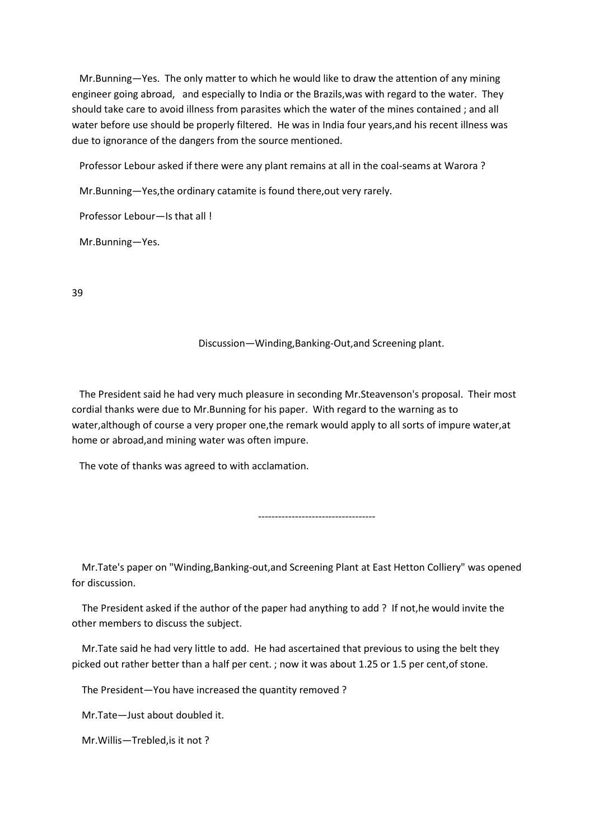Mr.Bunning—Yes. The only matter to which he would like to draw the attention of any mining engineer going abroad, and especially to India or the Brazils,was with regard to the water. They should take care to avoid illness from parasites which the water of the mines contained ; and all water before use should be properly filtered. He was in India four years,and his recent illness was due to ignorance of the dangers from the source mentioned.

Professor Lebour asked if there were any plant remains at all in the coal-seams at Warora ?

Mr.Bunning—Yes,the ordinary catamite is found there,out very rarely.

Professor Lebour—Is that all !

Mr.Bunning—Yes.

39

#### Discussion—Winding,Banking-Out,and Screening plant.

 The President said he had very much pleasure in seconding Mr.Steavenson's proposal. Their most cordial thanks were due to Mr.Bunning for his paper. With regard to the warning as to water,although of course a very proper one,the remark would apply to all sorts of impure water,at home or abroad,and mining water was often impure.

The vote of thanks was agreed to with acclamation.

-----------------------------------

 Mr.Tate's paper on "Winding,Banking-out,and Screening Plant at East Hetton Colliery" was opened for discussion.

 The President asked if the author of the paper had anything to add ? If not,he would invite the other members to discuss the subject.

 Mr.Tate said he had very little to add. He had ascertained that previous to using the belt they picked out rather better than a half per cent. ; now it was about 1.25 or 1.5 per cent,of stone.

The President—You have increased the quantity removed ?

Mr.Tate—Just about doubled it.

Mr.Willis—Trebled,is it not ?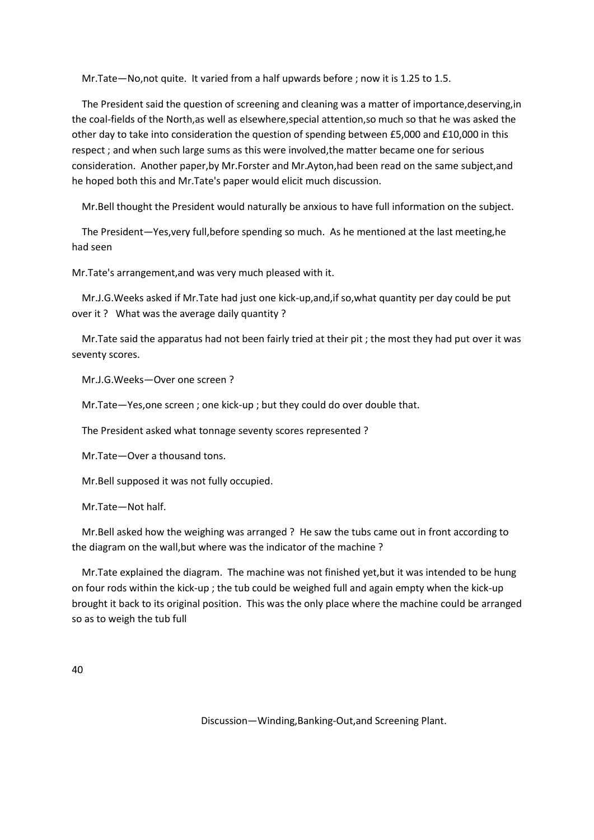Mr.Tate—No,not quite. It varied from a half upwards before ; now it is 1.25 to 1.5.

 The President said the question of screening and cleaning was a matter of importance,deserving,in the coal-fields of the North,as well as elsewhere,special attention,so much so that he was asked the other day to take into consideration the question of spending between £5,000 and £10,000 in this respect ; and when such large sums as this were involved,the matter became one for serious consideration. Another paper,by Mr.Forster and Mr.Ayton,had been read on the same subject,and he hoped both this and Mr.Tate's paper would elicit much discussion.

Mr.Bell thought the President would naturally be anxious to have full information on the subject.

 The President—Yes,very full,before spending so much. As he mentioned at the last meeting,he had seen

Mr.Tate's arrangement,and was very much pleased with it.

 Mr.J.G.Weeks asked if Mr.Tate had just one kick-up,and,if so,what quantity per day could be put over it ? What was the average daily quantity ?

 Mr.Tate said the apparatus had not been fairly tried at their pit ; the most they had put over it was seventy scores.

Mr.J.G.Weeks—Over one screen ?

Mr.Tate—Yes,one screen ; one kick-up ; but they could do over double that.

The President asked what tonnage seventy scores represented ?

Mr.Tate—Over a thousand tons.

Mr.Bell supposed it was not fully occupied.

Mr.Tate—Not half.

 Mr.Bell asked how the weighing was arranged ? He saw the tubs came out in front according to the diagram on the wall,but where was the indicator of the machine ?

 Mr.Tate explained the diagram. The machine was not finished yet,but it was intended to be hung on four rods within the kick-up ; the tub could be weighed full and again empty when the kick-up brought it back to its original position. This was the only place where the machine could be arranged so as to weigh the tub full

40

Discussion—Winding,Banking-Out,and Screening Plant.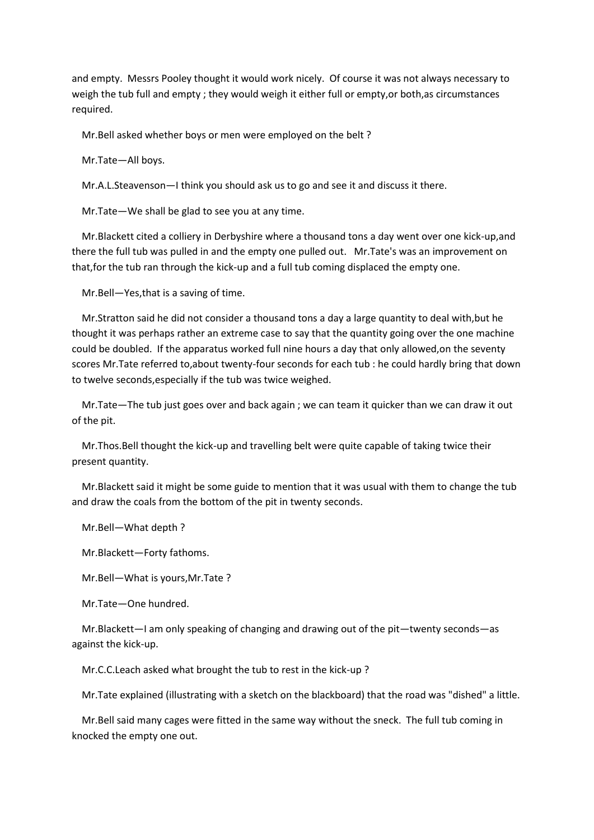and empty. Messrs Pooley thought it would work nicely. Of course it was not always necessary to weigh the tub full and empty ; they would weigh it either full or empty,or both,as circumstances required.

Mr.Bell asked whether boys or men were employed on the belt ?

Mr.Tate—All boys.

Mr.A.L.Steavenson—I think you should ask us to go and see it and discuss it there.

Mr.Tate—We shall be glad to see you at any time.

 Mr.Blackett cited a colliery in Derbyshire where a thousand tons a day went over one kick-up,and there the full tub was pulled in and the empty one pulled out. Mr.Tate's was an improvement on that,for the tub ran through the kick-up and a full tub coming displaced the empty one.

Mr.Bell—Yes,that is a saving of time.

 Mr.Stratton said he did not consider a thousand tons a day a large quantity to deal with,but he thought it was perhaps rather an extreme case to say that the quantity going over the one machine could be doubled. If the apparatus worked full nine hours a day that only allowed,on the seventy scores Mr.Tate referred to,about twenty-four seconds for each tub : he could hardly bring that down to twelve seconds,especially if the tub was twice weighed.

 Mr.Tate—The tub just goes over and back again ; we can team it quicker than we can draw it out of the pit.

 Mr.Thos.Bell thought the kick-up and travelling belt were quite capable of taking twice their present quantity.

 Mr.Blackett said it might be some guide to mention that it was usual with them to change the tub and draw the coals from the bottom of the pit in twenty seconds.

Mr.Bell—What depth ?

Mr.Blackett—Forty fathoms.

Mr.Bell—What is yours,Mr.Tate ?

Mr.Tate—One hundred.

 Mr.Blackett—I am only speaking of changing and drawing out of the pit—twenty seconds—as against the kick-up.

Mr.C.C.Leach asked what brought the tub to rest in the kick-up ?

Mr.Tate explained (illustrating with a sketch on the blackboard) that the road was "dished" a little.

 Mr.Bell said many cages were fitted in the same way without the sneck. The full tub coming in knocked the empty one out.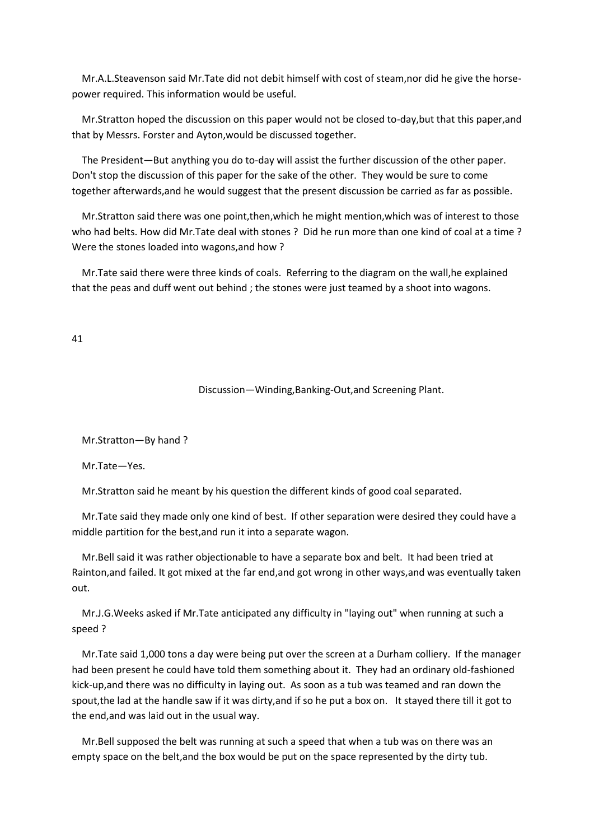Mr.A.L.Steavenson said Mr.Tate did not debit himself with cost of steam,nor did he give the horsepower required. This information would be useful.

 Mr.Stratton hoped the discussion on this paper would not be closed to-day,but that this paper,and that by Messrs. Forster and Ayton,would be discussed together.

 The President—But anything you do to-day will assist the further discussion of the other paper. Don't stop the discussion of this paper for the sake of the other. They would be sure to come together afterwards,and he would suggest that the present discussion be carried as far as possible.

 Mr.Stratton said there was one point,then,which he might mention,which was of interest to those who had belts. How did Mr.Tate deal with stones ? Did he run more than one kind of coal at a time ? Were the stones loaded into wagons,and how ?

 Mr.Tate said there were three kinds of coals. Referring to the diagram on the wall,he explained that the peas and duff went out behind ; the stones were just teamed by a shoot into wagons.

#### 41

Discussion—Winding,Banking-Out,and Screening Plant.

Mr.Stratton—By hand ?

Mr.Tate—Yes.

Mr.Stratton said he meant by his question the different kinds of good coal separated.

 Mr.Tate said they made only one kind of best. If other separation were desired they could have a middle partition for the best,and run it into a separate wagon.

 Mr.Bell said it was rather objectionable to have a separate box and belt. It had been tried at Rainton,and failed. It got mixed at the far end,and got wrong in other ways,and was eventually taken out.

 Mr.J.G.Weeks asked if Mr.Tate anticipated any difficulty in "laying out" when running at such a speed ?

 Mr.Tate said 1,000 tons a day were being put over the screen at a Durham colliery. If the manager had been present he could have told them something about it. They had an ordinary old-fashioned kick-up,and there was no difficulty in laying out. As soon as a tub was teamed and ran down the spout,the lad at the handle saw if it was dirty,and if so he put a box on. It stayed there till it got to the end,and was laid out in the usual way.

 Mr.Bell supposed the belt was running at such a speed that when a tub was on there was an empty space on the belt,and the box would be put on the space represented by the dirty tub.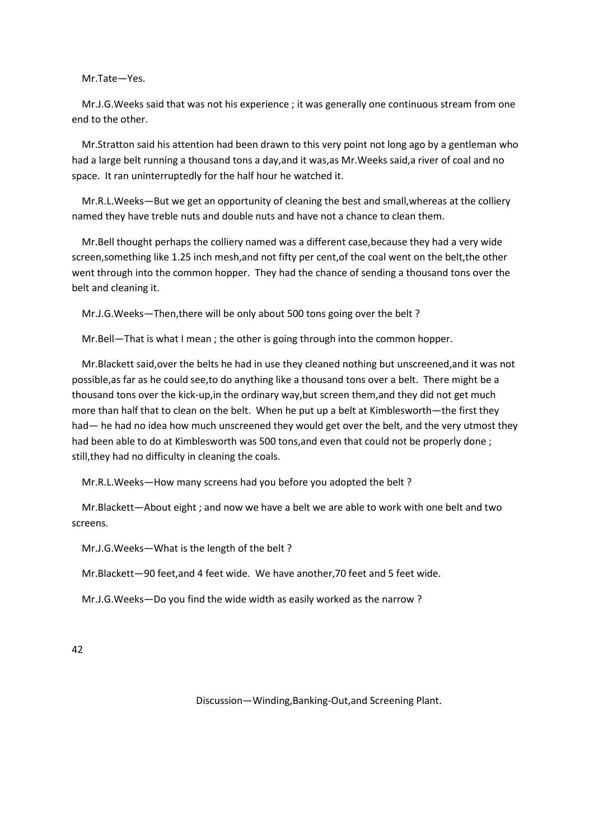Mr.Tate—Yes.

 Mr.J.G.Weeks said that was not his experience ; it was generally one continuous stream from one end to the other.

 Mr.Stratton said his attention had been drawn to this very point not long ago by a gentleman who had a large belt running a thousand tons a day,and it was,as Mr.Weeks said,a river of coal and no space. It ran uninterruptedly for the half hour he watched it.

 Mr.R.L.Weeks—But we get an opportunity of cleaning the best and small,whereas at the colliery named they have treble nuts and double nuts and have not a chance to clean them.

 Mr.Bell thought perhaps the colliery named was a different case,because they had a very wide screen,something like 1.25 inch mesh,and not fifty per cent,of the coal went on the belt,the other went through into the common hopper. They had the chance of sending a thousand tons over the belt and cleaning it.

Mr.J.G.Weeks—Then,there will be only about 500 tons going over the belt ?

Mr.Bell—That is what I mean ; the other is going through into the common hopper.

 Mr.Blackett said,over the belts he had in use they cleaned nothing but unscreened,and it was not possible,as far as he could see,to do anything like a thousand tons over a belt. There might be a thousand tons over the kick-up,in the ordinary way,but screen them,and they did not get much more than half that to clean on the belt. When he put up a belt at Kimblesworth—the first they had— he had no idea how much unscreened they would get over the belt, and the very utmost they had been able to do at Kimblesworth was 500 tons,and even that could not be properly done ; still,they had no difficulty in cleaning the coals.

Mr.R.L.Weeks—How many screens had you before you adopted the belt ?

 Mr.Blackett—About eight ; and now we have a belt we are able to work with one belt and two screens.

Mr.J.G.Weeks—What is the length of the belt ?

Mr.Blackett—90 feet,and 4 feet wide. We have another,70 feet and 5 feet wide.

Mr.J.G.Weeks—Do you find the wide width as easily worked as the narrow ?

42

Discussion—Winding,Banking-Out,and Screening Plant.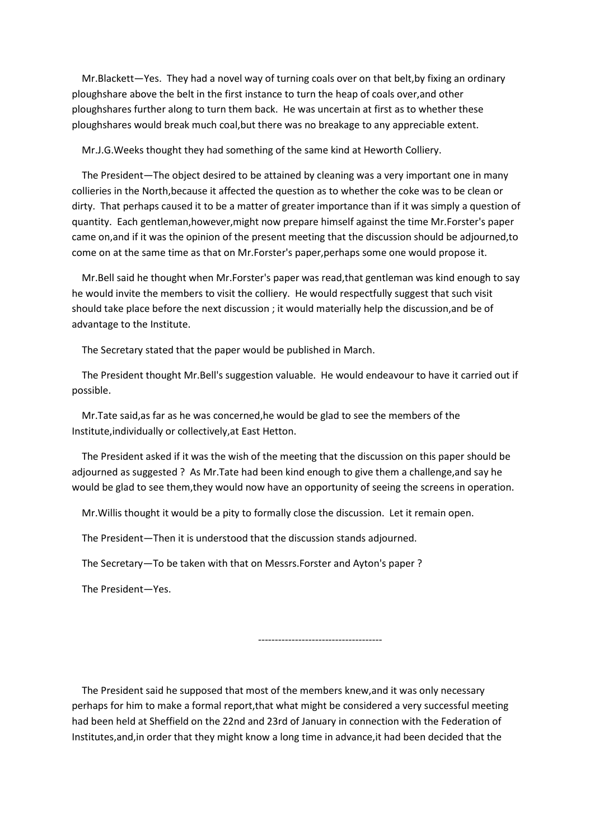Mr.Blackett—Yes. They had a novel way of turning coals over on that belt,by fixing an ordinary ploughshare above the belt in the first instance to turn the heap of coals over,and other ploughshares further along to turn them back. He was uncertain at first as to whether these ploughshares would break much coal,but there was no breakage to any appreciable extent.

Mr.J.G.Weeks thought they had something of the same kind at Heworth Colliery.

 The President—The object desired to be attained by cleaning was a very important one in many collieries in the North,because it affected the question as to whether the coke was to be clean or dirty. That perhaps caused it to be a matter of greater importance than if it was simply a question of quantity. Each gentleman,however,might now prepare himself against the time Mr.Forster's paper came on,and if it was the opinion of the present meeting that the discussion should be adjourned,to come on at the same time as that on Mr.Forster's paper,perhaps some one would propose it.

 Mr.Bell said he thought when Mr.Forster's paper was read,that gentleman was kind enough to say he would invite the members to visit the colliery. He would respectfully suggest that such visit should take place before the next discussion ; it would materially help the discussion,and be of advantage to the Institute.

The Secretary stated that the paper would be published in March.

 The President thought Mr.Bell's suggestion valuable. He would endeavour to have it carried out if possible.

 Mr.Tate said,as far as he was concerned,he would be glad to see the members of the Institute,individually or collectively,at East Hetton.

 The President asked if it was the wish of the meeting that the discussion on this paper should be adjourned as suggested ? As Mr.Tate had been kind enough to give them a challenge,and say he would be glad to see them,they would now have an opportunity of seeing the screens in operation.

Mr.Willis thought it would be a pity to formally close the discussion. Let it remain open.

The President—Then it is understood that the discussion stands adjourned.

The Secretary—To be taken with that on Messrs.Forster and Ayton's paper ?

The President—Yes.

-------------------------------------

 The President said he supposed that most of the members knew,and it was only necessary perhaps for him to make a formal report,that what might be considered a very successful meeting had been held at Sheffield on the 22nd and 23rd of January in connection with the Federation of Institutes,and,in order that they might know a long time in advance,it had been decided that the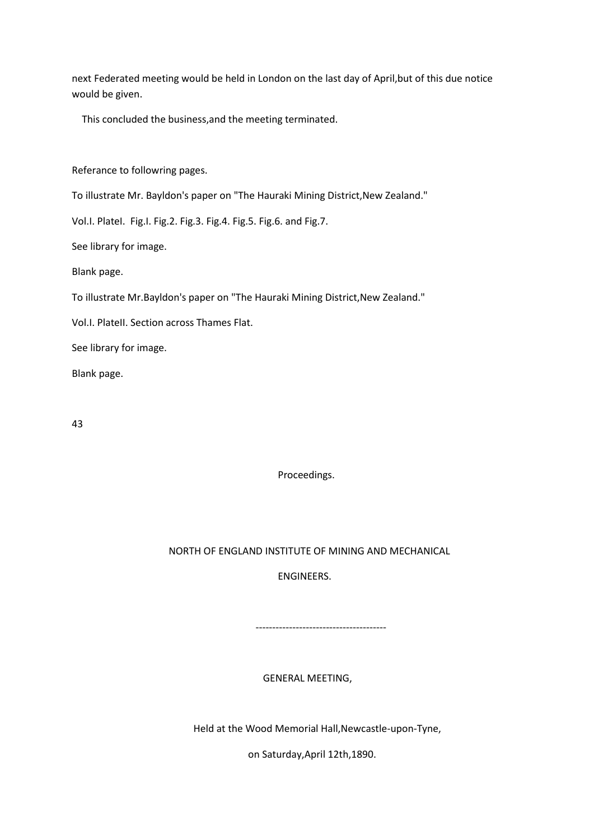next Federated meeting would be held in London on the last day of April,but of this due notice would be given.

This concluded the business,and the meeting terminated.

Referance to followring pages.

To illustrate Mr. Bayldon's paper on "The Hauraki Mining District,New Zealand."

Vol.I. PlateI. Fig.I. Fig.2. Fig.3. Fig.4. Fig.5. Fig.6. and Fig.7.

See library for image.

Blank page.

To illustrate Mr.Bayldon's paper on "The Hauraki Mining District,New Zealand."

Vol.I. PlateII. Section across Thames Flat.

See library for image.

Blank page.

43

Proceedings.

# NORTH OF ENGLAND INSTITUTE OF MINING AND MECHANICAL

ENGINEERS.

---------------------------------------

# GENERAL MEETING,

Held at the Wood Memorial Hall,Newcastle-upon-Tyne,

on Saturday,April 12th,1890.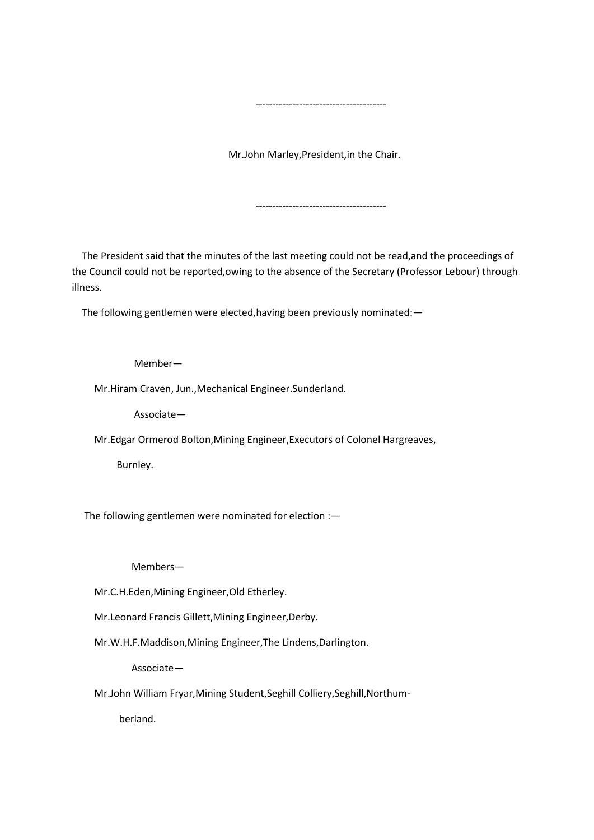Mr.John Marley,President,in the Chair.

---------------------------------------

---------------------------------------

 The President said that the minutes of the last meeting could not be read,and the proceedings of the Council could not be reported,owing to the absence of the Secretary (Professor Lebour) through illness.

The following gentlemen were elected,having been previously nominated:—

Member—

Mr.Hiram Craven, Jun.,Mechanical Engineer.Sunderland.

Associate—

Mr.Edgar Ormerod Bolton,Mining Engineer,Executors of Colonel Hargreaves,

Burnley.

The following gentlemen were nominated for election :—

Members—

Mr.C.H.Eden,Mining Engineer,Old Etherley.

Mr.Leonard Francis Gillett,Mining Engineer,Derby.

Mr.W.H.F.Maddison,Mining Engineer,The Lindens,Darlington.

Associate—

Mr.John William Fryar,Mining Student,Seghill Colliery,Seghill,Northum-

berland.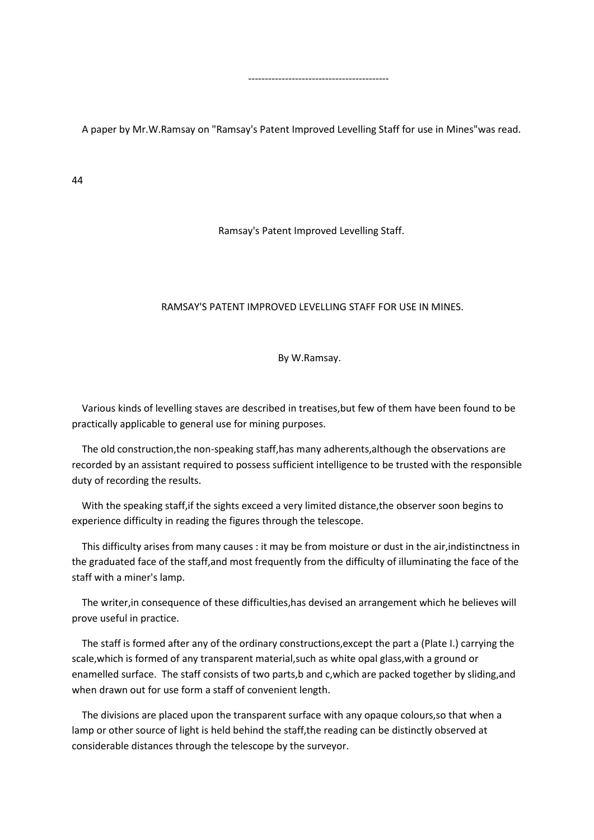A paper by Mr.W.Ramsay on "Ramsay's Patent Improved Levelling Staff for use in Mines"was read.

------------------------------------------

44

Ramsay's Patent Improved Levelling Staff.

## RAMSAY'S PATENT IMPROVED LEVELLING STAFF FOR USE IN MINES.

By W.Ramsay.

 Various kinds of levelling staves are described in treatises,but few of them have been found to be practically applicable to general use for mining purposes.

 The old construction,the non-speaking staff,has many adherents,although the observations are recorded by an assistant required to possess sufficient intelligence to be trusted with the responsible duty of recording the results.

 With the speaking staff,if the sights exceed a very limited distance,the observer soon begins to experience difficulty in reading the figures through the telescope.

 This difficulty arises from many causes : it may be from moisture or dust in the air,indistinctness in the graduated face of the staff,and most frequently from the difficulty of illuminating the face of the staff with a miner's lamp.

 The writer,in consequence of these difficulties,has devised an arrangement which he believes will prove useful in practice.

 The staff is formed after any of the ordinary constructions,except the part a (Plate I.) carrying the scale,which is formed of any transparent material,such as white opal glass,with a ground or enamelled surface. The staff consists of two parts,b and c,which are packed together by sliding,and when drawn out for use form a staff of convenient length.

 The divisions are placed upon the transparent surface with any opaque colours,so that when a lamp or other source of light is held behind the staff,the reading can be distinctly observed at considerable distances through the telescope by the surveyor.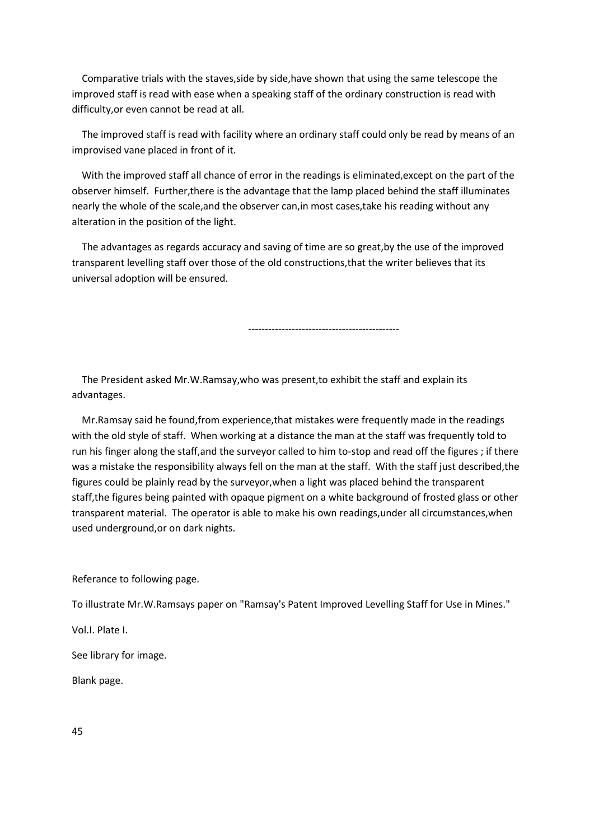Comparative trials with the staves,side by side,have shown that using the same telescope the improved staff is read with ease when a speaking staff of the ordinary construction is read with difficulty,or even cannot be read at all.

 The improved staff is read with facility where an ordinary staff could only be read by means of an improvised vane placed in front of it.

 With the improved staff all chance of error in the readings is eliminated,except on the part of the observer himself. Further,there is the advantage that the lamp placed behind the staff illuminates nearly the whole of the scale,and the observer can,in most cases,take his reading without any alteration in the position of the light.

 The advantages as regards accuracy and saving of time are so great,by the use of the improved transparent levelling staff over those of the old constructions,that the writer believes that its universal adoption will be ensured.

---------------------------------------------

 The President asked Mr.W.Ramsay,who was present,to exhibit the staff and explain its advantages.

 Mr.Ramsay said he found,from experience,that mistakes were frequently made in the readings with the old style of staff. When working at a distance the man at the staff was frequently told to run his finger along the staff,and the surveyor called to him to-stop and read off the figures ; if there was a mistake the responsibility always fell on the man at the staff. With the staff just described,the figures could be plainly read by the surveyor,when a light was placed behind the transparent staff,the figures being painted with opaque pigment on a white background of frosted glass or other transparent material. The operator is able to make his own readings,under all circumstances,when used underground,or on dark nights.

Referance to following page.

To illustrate Mr.W.Ramsays paper on "Ramsay's Patent Improved Levelling Staff for Use in Mines."

Vol.I. Plate I.

See library for image.

Blank page.

45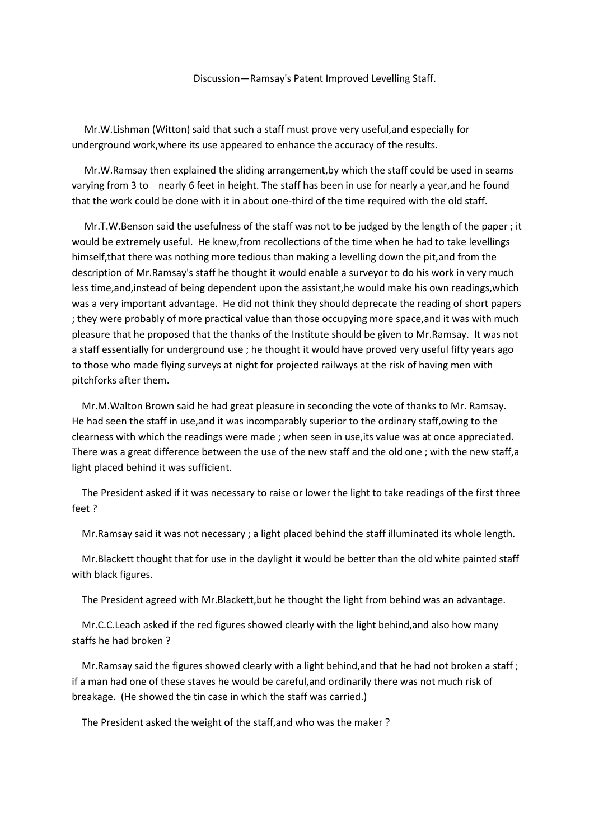#### Discussion—Ramsay's Patent Improved Levelling Staff.

 Mr.W.Lishman (Witton) said that such a staff must prove very useful,and especially for underground work,where its use appeared to enhance the accuracy of the results.

 Mr.W.Ramsay then explained the sliding arrangement,by which the staff could be used in seams varying from 3 to nearly 6 feet in height. The staff has been in use for nearly a year,and he found that the work could be done with it in about one-third of the time required with the old staff.

 Mr.T.W.Benson said the usefulness of the staff was not to be judged by the length of the paper ; it would be extremely useful. He knew,from recollections of the time when he had to take levellings himself,that there was nothing more tedious than making a levelling down the pit,and from the description of Mr.Ramsay's staff he thought it would enable a surveyor to do his work in very much less time,and,instead of being dependent upon the assistant,he would make his own readings,which was a very important advantage. He did not think they should deprecate the reading of short papers ; they were probably of more practical value than those occupying more space,and it was with much pleasure that he proposed that the thanks of the Institute should be given to Mr.Ramsay. It was not a staff essentially for underground use ; he thought it would have proved very useful fifty years ago to those who made flying surveys at night for projected railways at the risk of having men with pitchforks after them.

 Mr.M.Walton Brown said he had great pleasure in seconding the vote of thanks to Mr. Ramsay. He had seen the staff in use,and it was incomparably superior to the ordinary staff,owing to the clearness with which the readings were made ; when seen in use,its value was at once appreciated. There was a great difference between the use of the new staff and the old one ; with the new staff,a light placed behind it was sufficient.

 The President asked if it was necessary to raise or lower the light to take readings of the first three feet ?

Mr.Ramsay said it was not necessary ; a light placed behind the staff illuminated its whole length.

 Mr.Blackett thought that for use in the daylight it would be better than the old white painted staff with black figures.

The President agreed with Mr.Blackett,but he thought the light from behind was an advantage.

 Mr.C.C.Leach asked if the red figures showed clearly with the light behind,and also how many staffs he had broken ?

Mr. Ramsay said the figures showed clearly with a light behind, and that he had not broken a staff; if a man had one of these staves he would be careful,and ordinarily there was not much risk of breakage. (He showed the tin case in which the staff was carried.)

The President asked the weight of the staff,and who was the maker ?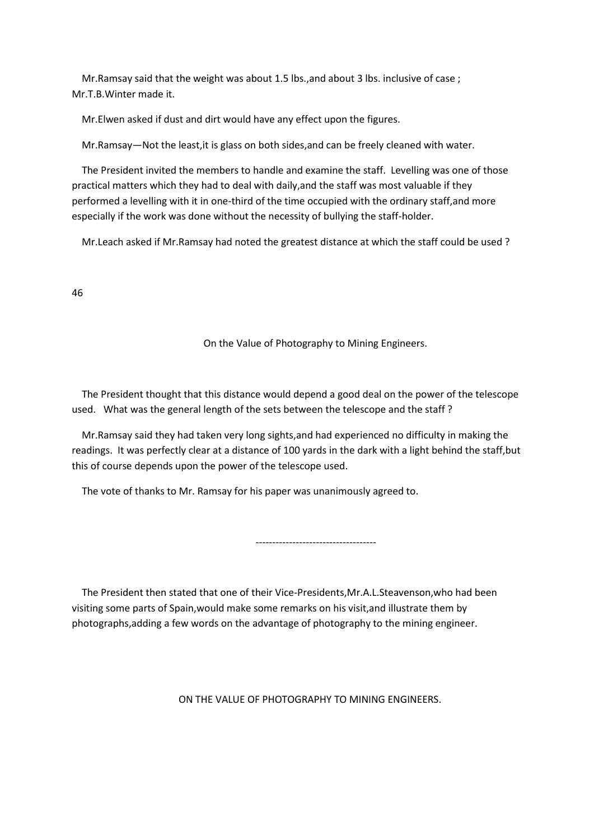Mr.Ramsay said that the weight was about 1.5 lbs.,and about 3 lbs. inclusive of case ; Mr.T.B.Winter made it.

Mr.Elwen asked if dust and dirt would have any effect upon the figures.

Mr.Ramsay—Not the least,it is glass on both sides,and can be freely cleaned with water.

 The President invited the members to handle and examine the staff. Levelling was one of those practical matters which they had to deal with daily,and the staff was most valuable if they performed a levelling with it in one-third of the time occupied with the ordinary staff,and more especially if the work was done without the necessity of bullying the staff-holder.

Mr.Leach asked if Mr.Ramsay had noted the greatest distance at which the staff could be used ?

46

## On the Value of Photography to Mining Engineers.

 The President thought that this distance would depend a good deal on the power of the telescope used. What was the general length of the sets between the telescope and the staff ?

 Mr.Ramsay said they had taken very long sights,and had experienced no difficulty in making the readings. It was perfectly clear at a distance of 100 yards in the dark with a light behind the staff,but this of course depends upon the power of the telescope used.

The vote of thanks to Mr. Ramsay for his paper was unanimously agreed to.

------------------------------------

 The President then stated that one of their Vice-Presidents,Mr.A.L.Steavenson,who had been visiting some parts of Spain,would make some remarks on his visit,and illustrate them by photographs,adding a few words on the advantage of photography to the mining engineer.

ON THE VALUE OF PHOTOGRAPHY TO MINING ENGINEERS.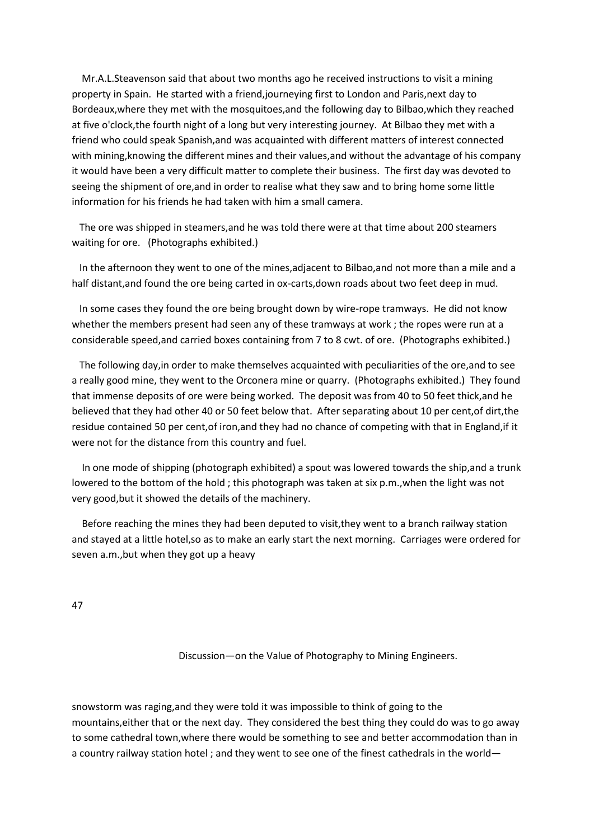Mr.A.L.Steavenson said that about two months ago he received instructions to visit a mining property in Spain. He started with a friend,journeying first to London and Paris,next day to Bordeaux,where they met with the mosquitoes,and the following day to Bilbao,which they reached at five o'clock,the fourth night of a long but very interesting journey. At Bilbao they met with a friend who could speak Spanish,and was acquainted with different matters of interest connected with mining,knowing the different mines and their values,and without the advantage of his company it would have been a very difficult matter to complete their business. The first day was devoted to seeing the shipment of ore,and in order to realise what they saw and to bring home some little information for his friends he had taken with him a small camera.

 The ore was shipped in steamers,and he was told there were at that time about 200 steamers waiting for ore. (Photographs exhibited.)

 In the afternoon they went to one of the mines,adjacent to Bilbao,and not more than a mile and a half distant,and found the ore being carted in ox-carts,down roads about two feet deep in mud.

 In some cases they found the ore being brought down by wire-rope tramways. He did not know whether the members present had seen any of these tramways at work ; the ropes were run at a considerable speed,and carried boxes containing from 7 to 8 cwt. of ore. (Photographs exhibited.)

 The following day,in order to make themselves acquainted with peculiarities of the ore,and to see a really good mine, they went to the Orconera mine or quarry. (Photographs exhibited.) They found that immense deposits of ore were being worked. The deposit was from 40 to 50 feet thick, and he believed that they had other 40 or 50 feet below that. After separating about 10 per cent,of dirt,the residue contained 50 per cent,of iron,and they had no chance of competing with that in England,if it were not for the distance from this country and fuel.

 In one mode of shipping (photograph exhibited) a spout was lowered towards the ship,and a trunk lowered to the bottom of the hold ; this photograph was taken at six p.m.,when the light was not very good,but it showed the details of the machinery.

 Before reaching the mines they had been deputed to visit,they went to a branch railway station and stayed at a little hotel,so as to make an early start the next morning. Carriages were ordered for seven a.m.,but when they got up a heavy

47

Discussion—on the Value of Photography to Mining Engineers.

snowstorm was raging,and they were told it was impossible to think of going to the mountains,either that or the next day. They considered the best thing they could do was to go away to some cathedral town,where there would be something to see and better accommodation than in a country railway station hotel ; and they went to see one of the finest cathedrals in the world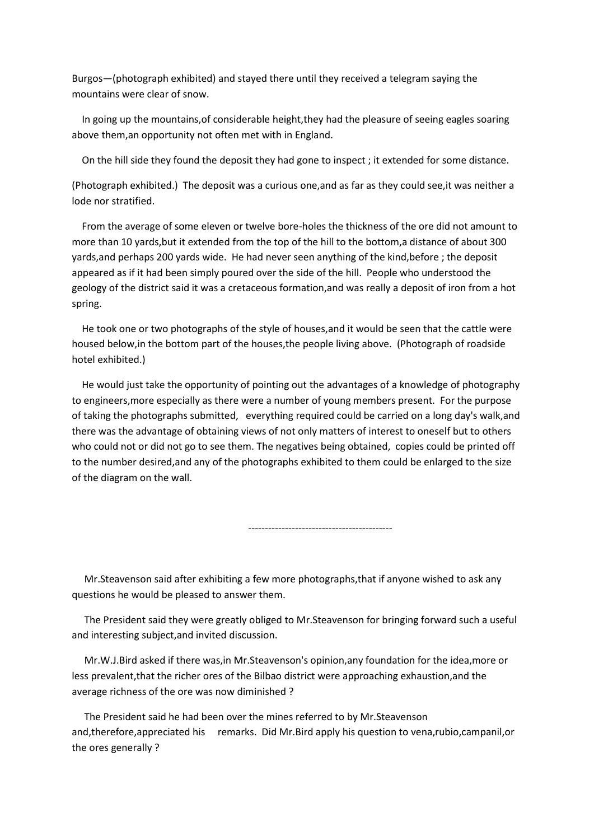Burgos—(photograph exhibited) and stayed there until they received a telegram saying the mountains were clear of snow.

 In going up the mountains,of considerable height,they had the pleasure of seeing eagles soaring above them,an opportunity not often met with in England.

On the hill side they found the deposit they had gone to inspect ; it extended for some distance.

(Photograph exhibited.) The deposit was a curious one,and as far as they could see,it was neither a lode nor stratified.

 From the average of some eleven or twelve bore-holes the thickness of the ore did not amount to more than 10 yards,but it extended from the top of the hill to the bottom,a distance of about 300 yards,and perhaps 200 yards wide. He had never seen anything of the kind,before ; the deposit appeared as if it had been simply poured over the side of the hill. People who understood the geology of the district said it was a cretaceous formation,and was really a deposit of iron from a hot spring.

 He took one or two photographs of the style of houses,and it would be seen that the cattle were housed below,in the bottom part of the houses,the people living above. (Photograph of roadside hotel exhibited.)

 He would just take the opportunity of pointing out the advantages of a knowledge of photography to engineers,more especially as there were a number of young members present. For the purpose of taking the photographs submitted, everything required could be carried on a long day's walk,and there was the advantage of obtaining views of not only matters of interest to oneself but to others who could not or did not go to see them. The negatives being obtained, copies could be printed off to the number desired,and any of the photographs exhibited to them could be enlarged to the size of the diagram on the wall.

-------------------------------------------

 Mr.Steavenson said after exhibiting a few more photographs,that if anyone wished to ask any questions he would be pleased to answer them.

 The President said they were greatly obliged to Mr.Steavenson for bringing forward such a useful and interesting subject,and invited discussion.

 Mr.W.J.Bird asked if there was,in Mr.Steavenson's opinion,any foundation for the idea,more or less prevalent,that the richer ores of the Bilbao district were approaching exhaustion,and the average richness of the ore was now diminished ?

 The President said he had been over the mines referred to by Mr.Steavenson and,therefore,appreciated his remarks. Did Mr.Bird apply his question to vena,rubio,campanil,or the ores generally ?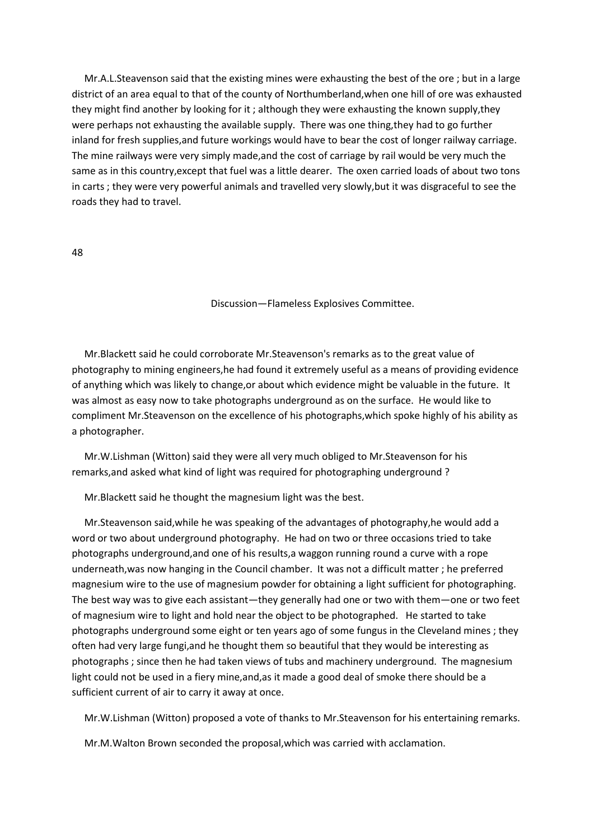Mr.A.L.Steavenson said that the existing mines were exhausting the best of the ore ; but in a large district of an area equal to that of the county of Northumberland,when one hill of ore was exhausted they might find another by looking for it ; although they were exhausting the known supply,they were perhaps not exhausting the available supply. There was one thing,they had to go further inland for fresh supplies,and future workings would have to bear the cost of longer railway carriage. The mine railways were very simply made,and the cost of carriage by rail would be very much the same as in this country,except that fuel was a little dearer. The oxen carried loads of about two tons in carts ; they were very powerful animals and travelled very slowly,but it was disgraceful to see the roads they had to travel.

48

Discussion—Flameless Explosives Committee.

 Mr.Blackett said he could corroborate Mr.Steavenson's remarks as to the great value of photography to mining engineers,he had found it extremely useful as a means of providing evidence of anything which was likely to change,or about which evidence might be valuable in the future. It was almost as easy now to take photographs underground as on the surface. He would like to compliment Mr.Steavenson on the excellence of his photographs,which spoke highly of his ability as a photographer.

 Mr.W.Lishman (Witton) said they were all very much obliged to Mr.Steavenson for his remarks,and asked what kind of light was required for photographing underground ?

Mr.Blackett said he thought the magnesium light was the best.

 Mr.Steavenson said,while he was speaking of the advantages of photography,he would add a word or two about underground photography. He had on two or three occasions tried to take photographs underground,and one of his results,a waggon running round a curve with a rope underneath,was now hanging in the Council chamber. It was not a difficult matter ; he preferred magnesium wire to the use of magnesium powder for obtaining a light sufficient for photographing. The best way was to give each assistant—they generally had one or two with them—one or two feet of magnesium wire to light and hold near the object to be photographed. He started to take photographs underground some eight or ten years ago of some fungus in the Cleveland mines ; they often had very large fungi,and he thought them so beautiful that they would be interesting as photographs ; since then he had taken views of tubs and machinery underground. The magnesium light could not be used in a fiery mine,and,as it made a good deal of smoke there should be a sufficient current of air to carry it away at once.

Mr.W.Lishman (Witton) proposed a vote of thanks to Mr.Steavenson for his entertaining remarks.

Mr.M.Walton Brown seconded the proposal,which was carried with acclamation.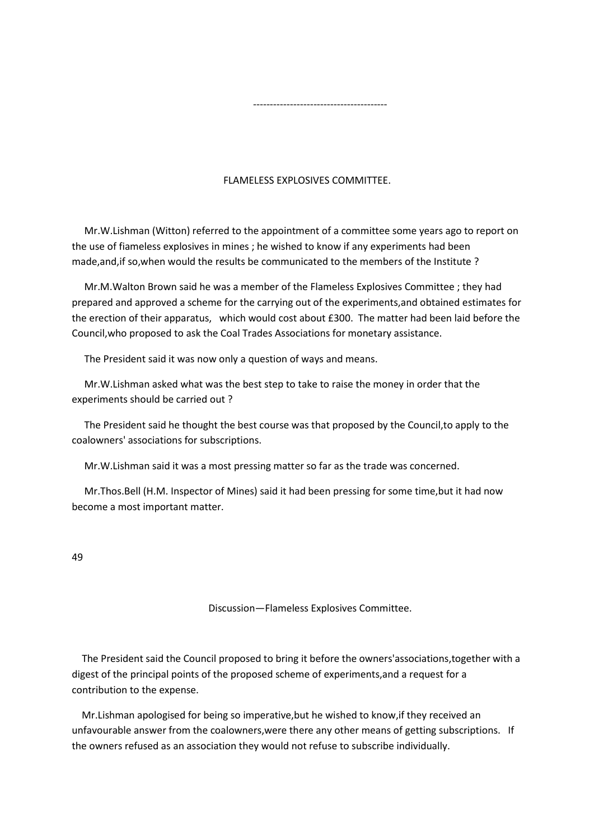## FLAMELESS EXPLOSIVES COMMITTEE.

 Mr.W.Lishman (Witton) referred to the appointment of a committee some years ago to report on the use of fiameless explosives in mines ; he wished to know if any experiments had been made,and,if so,when would the results be communicated to the members of the Institute ?

 Mr.M.Walton Brown said he was a member of the Flameless Explosives Committee ; they had prepared and approved a scheme for the carrying out of the experiments,and obtained estimates for the erection of their apparatus, which would cost about £300. The matter had been laid before the Council,who proposed to ask the Coal Trades Associations for monetary assistance.

The President said it was now only a question of ways and means.

----------------------------------------

 Mr.W.Lishman asked what was the best step to take to raise the money in order that the experiments should be carried out ?

 The President said he thought the best course was that proposed by the Council,to apply to the coalowners' associations for subscriptions.

Mr.W.Lishman said it was a most pressing matter so far as the trade was concerned.

 Mr.Thos.Bell (H.M. Inspector of Mines) said it had been pressing for some time,but it had now become a most important matter.

49

Discussion—Flameless Explosives Committee.

 The President said the Council proposed to bring it before the owners'associations,together with a digest of the principal points of the proposed scheme of experiments,and a request for a contribution to the expense.

 Mr.Lishman apologised for being so imperative,but he wished to know,if they received an unfavourable answer from the coalowners,were there any other means of getting subscriptions. If the owners refused as an association they would not refuse to subscribe individually.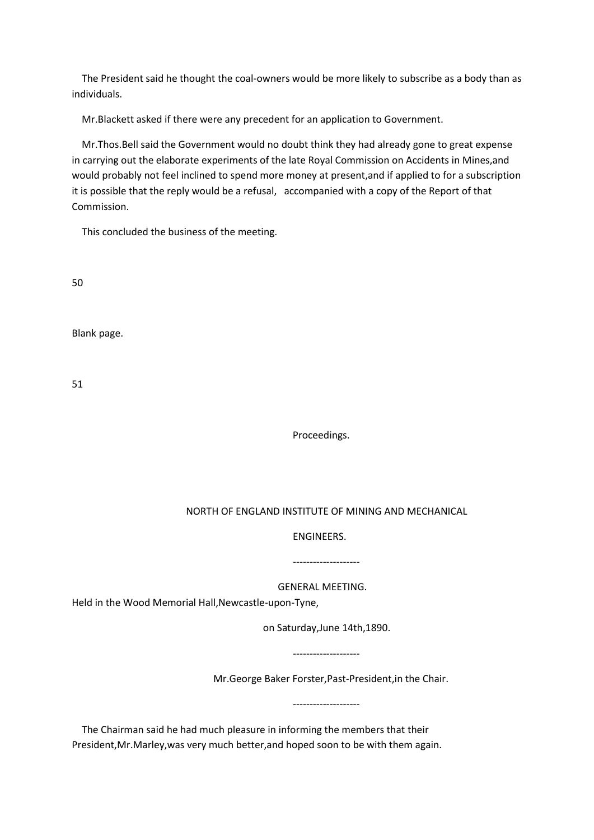The President said he thought the coal-owners would be more likely to subscribe as a body than as individuals.

Mr.Blackett asked if there were any precedent for an application to Government.

 Mr.Thos.Bell said the Government would no doubt think they had already gone to great expense in carrying out the elaborate experiments of the late Royal Commission on Accidents in Mines,and would probably not feel inclined to spend more money at present,and if applied to for a subscription it is possible that the reply would be a refusal, accompanied with a copy of the Report of that Commission.

This concluded the business of the meeting.

50

Blank page.

51

Proceedings.

## NORTH OF ENGLAND INSTITUTE OF MINING AND MECHANICAL

## ENGINEERS.

## --------------------

GENERAL MEETING.

Held in the Wood Memorial Hall,Newcastle-upon-Tyne,

on Saturday,June 14th,1890.

--------------------

--------------------

Mr.George Baker Forster,Past-President,in the Chair.

 The Chairman said he had much pleasure in informing the members that their President,Mr.Marley,was very much better,and hoped soon to be with them again.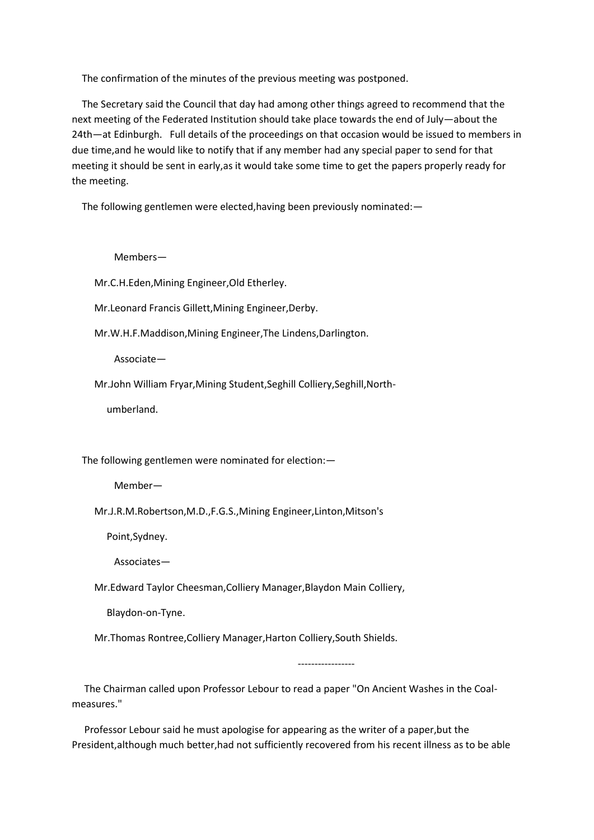The confirmation of the minutes of the previous meeting was postponed.

 The Secretary said the Council that day had among other things agreed to recommend that the next meeting of the Federated Institution should take place towards the end of July—about the 24th—at Edinburgh. Full details of the proceedings on that occasion would be issued to members in due time,and he would like to notify that if any member had any special paper to send for that meeting it should be sent in early,as it would take some time to get the papers properly ready for the meeting.

The following gentlemen were elected,having been previously nominated:—

Members—

Mr.C.H.Eden,Mining Engineer,Old Etherley.

Mr.Leonard Francis Gillett,Mining Engineer,Derby.

Mr.W.H.F.Maddison,Mining Engineer,The Lindens,Darlington.

Associate—

Mr.John William Fryar,Mining Student,Seghill Colliery,Seghill,North-

umberland.

The following gentlemen were nominated for election:—

Member—

Mr.J.R.M.Robertson,M.D.,F.G.S.,Mining Engineer,Linton,Mitson's

Point,Sydney.

Associates—

Mr.Edward Taylor Cheesman,Colliery Manager,Blaydon Main Colliery,

Blaydon-on-Tyne.

Mr.Thomas Rontree,Colliery Manager,Harton Colliery,South Shields.

-----------------

 The Chairman called upon Professor Lebour to read a paper "On Ancient Washes in the Coalmeasures."

 Professor Lebour said he must apologise for appearing as the writer of a paper,but the President,although much better,had not sufficiently recovered from his recent illness as to be able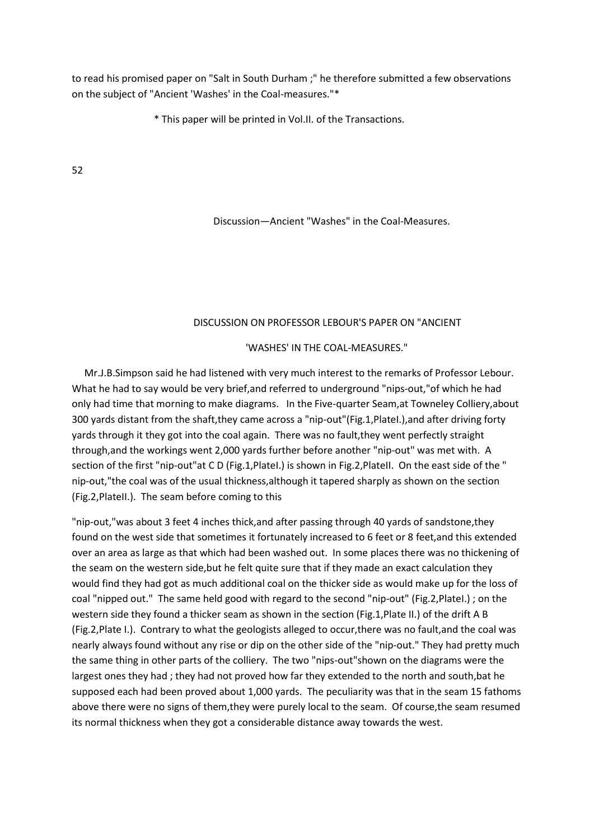to read his promised paper on "Salt in South Durham ;" he therefore submitted a few observations on the subject of "Ancient 'Washes' in the Coal-measures."\*

\* This paper will be printed in Vol.II. of the Transactions.

52

Discussion—Ancient "Washes" in the Coal-Measures.

## DISCUSSION ON PROFESSOR LEBOUR'S PAPER ON "ANCIENT

'WASHES' IN THE COAL-MEASURES."

 Mr.J.B.Simpson said he had listened with very much interest to the remarks of Professor Lebour. What he had to say would be very brief,and referred to underground "nips-out,"of which he had only had time that morning to make diagrams. In the Five-quarter Seam,at Towneley Colliery,about 300 yards distant from the shaft,they came across a "nip-out"(Fig.1,PlateI.),and after driving forty yards through it they got into the coal again. There was no fault,they went perfectly straight through,and the workings went 2,000 yards further before another "nip-out" was met with. A section of the first "nip-out"at C D (Fig.1, Platel.) is shown in Fig.2, Platell. On the east side of the " nip-out,"the coal was of the usual thickness,although it tapered sharply as shown on the section (Fig.2,PlateII.). The seam before coming to this

"nip-out,"was about 3 feet 4 inches thick,and after passing through 40 yards of sandstone,they found on the west side that sometimes it fortunately increased to 6 feet or 8 feet,and this extended over an area as large as that which had been washed out. In some places there was no thickening of the seam on the western side,but he felt quite sure that if they made an exact calculation they would find they had got as much additional coal on the thicker side as would make up for the loss of coal "nipped out." The same held good with regard to the second "nip-out" (Fig.2,PlateI.) ; on the western side they found a thicker seam as shown in the section (Fig.1,Plate II.) of the drift A B (Fig.2,Plate I.). Contrary to what the geologists alleged to occur,there was no fault,and the coal was nearly always found without any rise or dip on the other side of the "nip-out." They had pretty much the same thing in other parts of the colliery. The two "nips-out"shown on the diagrams were the largest ones they had ; they had not proved how far they extended to the north and south,bat he supposed each had been proved about 1,000 yards. The peculiarity was that in the seam 15 fathoms above there were no signs of them,they were purely local to the seam. Of course,the seam resumed its normal thickness when they got a considerable distance away towards the west.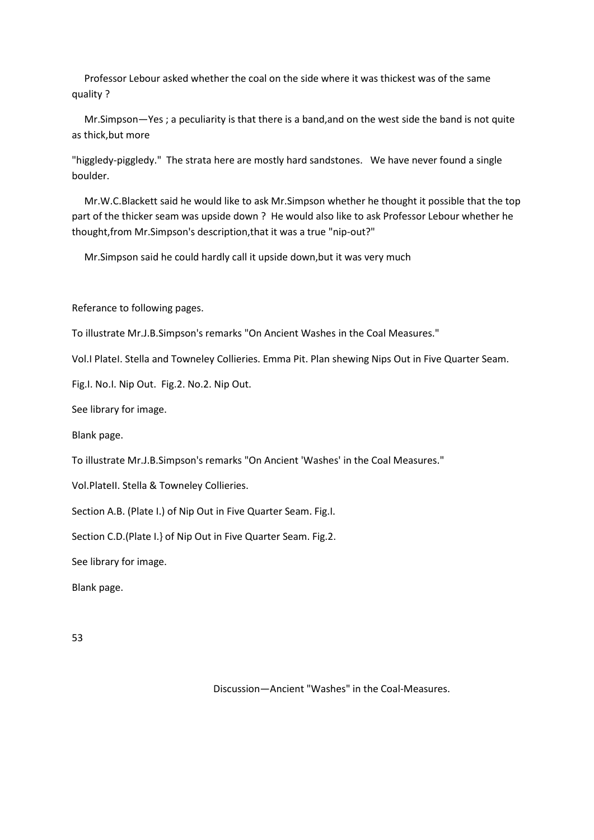Professor Lebour asked whether the coal on the side where it was thickest was of the same quality ?

 Mr.Simpson—Yes ; a peculiarity is that there is a band,and on the west side the band is not quite as thick,but more

"higgledy-piggledy." The strata here are mostly hard sandstones. We have never found a single boulder.

 Mr.W.C.Blackett said he would like to ask Mr.Simpson whether he thought it possible that the top part of the thicker seam was upside down ? He would also like to ask Professor Lebour whether he thought,from Mr.Simpson's description,that it was a true "nip-out?"

Mr.Simpson said he could hardly call it upside down,but it was very much

Referance to following pages.

To illustrate Mr.J.B.Simpson's remarks "On Ancient Washes in the Coal Measures."

Vol.I PlateI. Stella and Towneley Collieries. Emma Pit. Plan shewing Nips Out in Five Quarter Seam.

Fig.I. No.I. Nip Out. Fig.2. No.2. Nip Out.

See library for image.

Blank page.

To illustrate Mr.J.B.Simpson's remarks "On Ancient 'Washes' in the Coal Measures."

Vol.PlateII. Stella & Towneley Collieries.

Section A.B. (Plate I.) of Nip Out in Five Quarter Seam. Fig.I.

Section C.D.(Plate I.} of Nip Out in Five Quarter Seam. Fig.2.

See library for image.

Blank page.

53

Discussion—Ancient "Washes" in the Coal-Measures.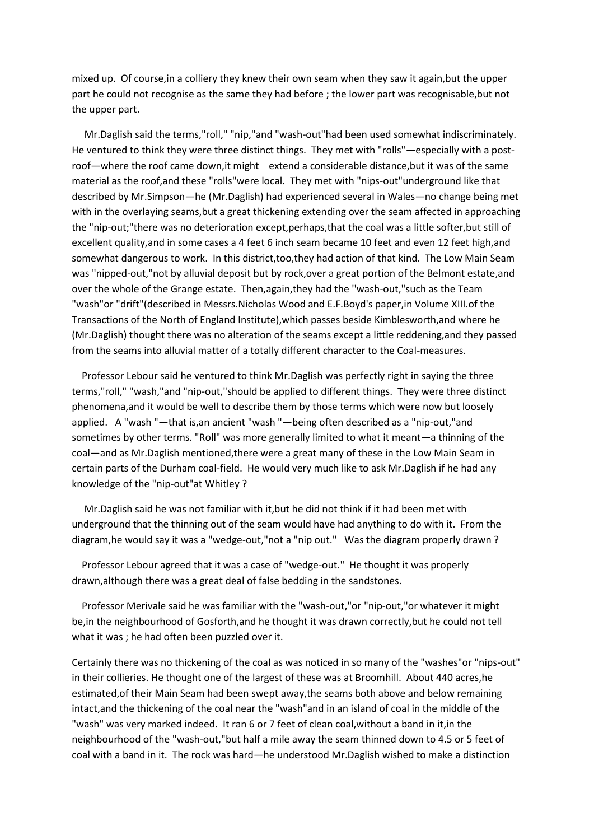mixed up. Of course,in a colliery they knew their own seam when they saw it again,but the upper part he could not recognise as the same they had before ; the lower part was recognisable,but not the upper part.

 Mr.Daglish said the terms,"roll," "nip,"and "wash-out"had been used somewhat indiscriminately. He ventured to think they were three distinct things. They met with "rolls"—especially with a postroof—where the roof came down,it might extend a considerable distance,but it was of the same material as the roof,and these "rolls"were local. They met with "nips-out"underground like that described by Mr.Simpson—he (Mr.Daglish) had experienced several in Wales—no change being met with in the overlaying seams,but a great thickening extending over the seam affected in approaching the "nip-out;"there was no deterioration except,perhaps,that the coal was a little softer,but still of excellent quality,and in some cases a 4 feet 6 inch seam became 10 feet and even 12 feet high,and somewhat dangerous to work. In this district,too,they had action of that kind. The Low Main Seam was "nipped-out,"not by alluvial deposit but by rock,over a great portion of the Belmont estate,and over the whole of the Grange estate. Then,again,they had the ''wash-out,"such as the Team "wash"or "drift"(described in Messrs.Nicholas Wood and E.F.Boyd's paper,in Volume XIII.of the Transactions of the North of England Institute),which passes beside Kimblesworth,and where he (Mr.Daglish) thought there was no alteration of the seams except a little reddening,and they passed from the seams into alluvial matter of a totally different character to the Coal-measures.

 Professor Lebour said he ventured to think Mr.Daglish was perfectly right in saying the three terms,"roll," "wash,"and "nip-out,"should be applied to different things. They were three distinct phenomena,and it would be well to describe them by those terms which were now but loosely applied. A "wash "—that is,an ancient "wash "—being often described as a "nip-out,"and sometimes by other terms. "Roll" was more generally limited to what it meant—a thinning of the coal—and as Mr.Daglish mentioned,there were a great many of these in the Low Main Seam in certain parts of the Durham coal-field. He would very much like to ask Mr.Daglish if he had any knowledge of the "nip-out"at Whitley ?

 Mr.Daglish said he was not familiar with it,but he did not think if it had been met with underground that the thinning out of the seam would have had anything to do with it. From the diagram,he would say it was a "wedge-out,"not a "nip out." Was the diagram properly drawn ?

 Professor Lebour agreed that it was a case of "wedge-out." He thought it was properly drawn,although there was a great deal of false bedding in the sandstones.

 Professor Merivale said he was familiar with the "wash-out,"or "nip-out,"or whatever it might be,in the neighbourhood of Gosforth,and he thought it was drawn correctly,but he could not tell what it was ; he had often been puzzled over it.

Certainly there was no thickening of the coal as was noticed in so many of the "washes"or "nips-out" in their collieries. He thought one of the largest of these was at Broomhill. About 440 acres,he estimated,of their Main Seam had been swept away,the seams both above and below remaining intact,and the thickening of the coal near the "wash"and in an island of coal in the middle of the "wash" was very marked indeed. It ran 6 or 7 feet of clean coal,without a band in it,in the neighbourhood of the "wash-out,"but half a mile away the seam thinned down to 4.5 or 5 feet of coal with a band in it. The rock was hard—he understood Mr.Daglish wished to make a distinction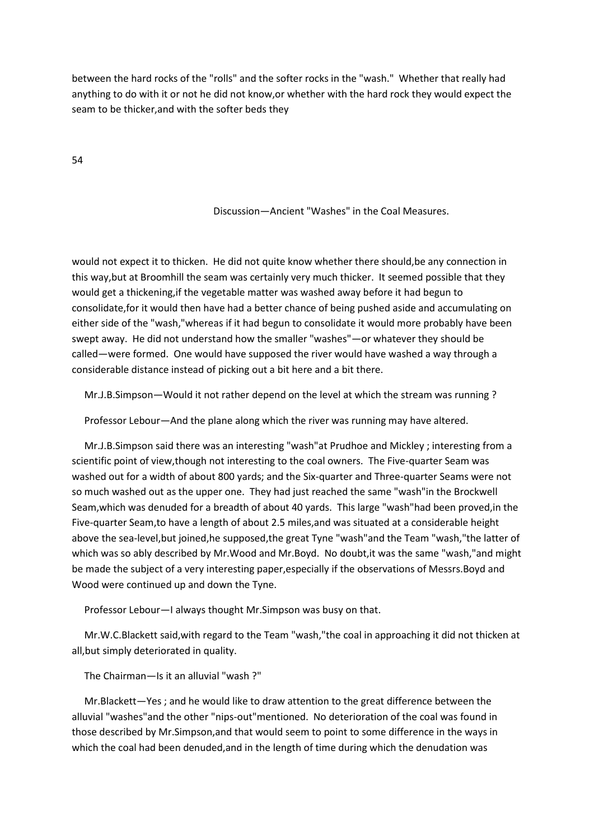between the hard rocks of the "rolls" and the softer rocks in the "wash." Whether that really had anything to do with it or not he did not know,or whether with the hard rock they would expect the seam to be thicker,and with the softer beds they

54

## Discussion—Ancient "Washes" in the Coal Measures.

would not expect it to thicken. He did not quite know whether there should,be any connection in this way,but at Broomhill the seam was certainly very much thicker. It seemed possible that they would get a thickening,if the vegetable matter was washed away before it had begun to consolidate,for it would then have had a better chance of being pushed aside and accumulating on either side of the "wash,"whereas if it had begun to consolidate it would more probably have been swept away. He did not understand how the smaller "washes"—or whatever they should be called—were formed. One would have supposed the river would have washed a way through a considerable distance instead of picking out a bit here and a bit there.

Mr.J.B.Simpson—Would it not rather depend on the level at which the stream was running ?

Professor Lebour—And the plane along which the river was running may have altered.

 Mr.J.B.Simpson said there was an interesting "wash"at Prudhoe and Mickley ; interesting from a scientific point of view,though not interesting to the coal owners. The Five-quarter Seam was washed out for a width of about 800 yards; and the Six-quarter and Three-quarter Seams were not so much washed out as the upper one. They had just reached the same "wash"in the Brockwell Seam,which was denuded for a breadth of about 40 yards. This large "wash"had been proved,in the Five-quarter Seam,to have a length of about 2.5 miles,and was situated at a considerable height above the sea-level,but joined,he supposed,the great Tyne "wash"and the Team "wash,"the latter of which was so ably described by Mr.Wood and Mr.Boyd. No doubt,it was the same "wash,"and might be made the subject of a very interesting paper,especially if the observations of Messrs.Boyd and Wood were continued up and down the Tyne.

Professor Lebour—I always thought Mr.Simpson was busy on that.

 Mr.W.C.Blackett said,with regard to the Team "wash,"the coal in approaching it did not thicken at all,but simply deteriorated in quality.

The Chairman—Is it an alluvial "wash ?"

 Mr.Blackett—Yes ; and he would like to draw attention to the great difference between the alluvial "washes"and the other "nips-out"mentioned. No deterioration of the coal was found in those described by Mr.Simpson,and that would seem to point to some difference in the ways in which the coal had been denuded,and in the length of time during which the denudation was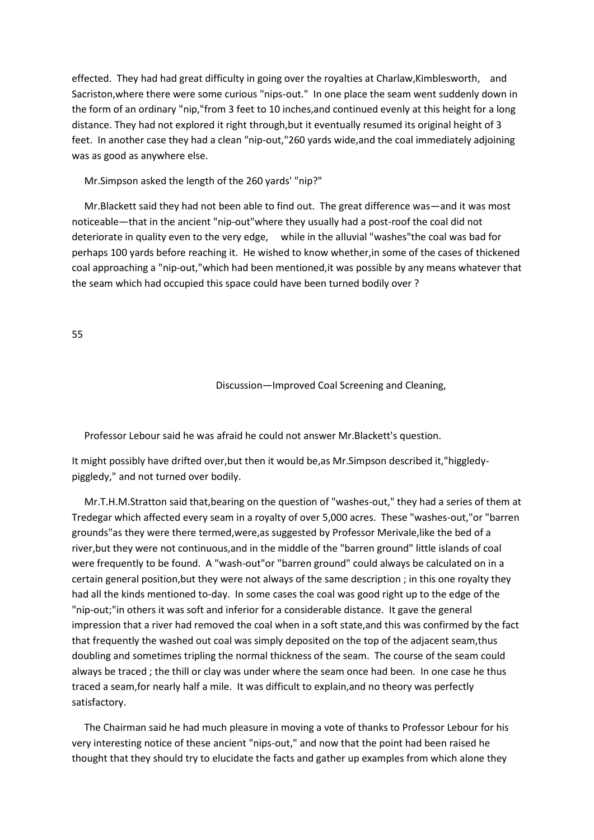effected. They had had great difficulty in going over the royalties at Charlaw,Kimblesworth, and Sacriston,where there were some curious "nips-out." In one place the seam went suddenly down in the form of an ordinary "nip,"from 3 feet to 10 inches,and continued evenly at this height for a long distance. They had not explored it right through,but it eventually resumed its original height of 3 feet. In another case they had a clean "nip-out,"260 yards wide,and the coal immediately adjoining was as good as anywhere else.

Mr.Simpson asked the length of the 260 yards' "nip?"

 Mr.Blackett said they had not been able to find out. The great difference was—and it was most noticeable—that in the ancient "nip-out"where they usually had a post-roof the coal did not deteriorate in quality even to the very edge, while in the alluvial "washes"the coal was bad for perhaps 100 yards before reaching it. He wished to know whether,in some of the cases of thickened coal approaching a "nip-out,"which had been mentioned,it was possible by any means whatever that the seam which had occupied this space could have been turned bodily over ?

55

Discussion—Improved Coal Screening and Cleaning,

Professor Lebour said he was afraid he could not answer Mr.Blackett's question.

It might possibly have drifted over,but then it would be,as Mr.Simpson described it,"higgledypiggledy," and not turned over bodily.

 Mr.T.H.M.Stratton said that,bearing on the question of "washes-out," they had a series of them at Tredegar which affected every seam in a royalty of over 5,000 acres. These "washes-out,"or "barren grounds"as they were there termed,were,as suggested by Professor Merivale,like the bed of a river,but they were not continuous,and in the middle of the "barren ground" little islands of coal were frequently to be found. A "wash-out"or "barren ground" could always be calculated on in a certain general position,but they were not always of the same description ; in this one royalty they had all the kinds mentioned to-day. In some cases the coal was good right up to the edge of the "nip-out;"in others it was soft and inferior for a considerable distance. It gave the general impression that a river had removed the coal when in a soft state,and this was confirmed by the fact that frequently the washed out coal was simply deposited on the top of the adjacent seam,thus doubling and sometimes tripling the normal thickness of the seam. The course of the seam could always be traced ; the thill or clay was under where the seam once had been. In one case he thus traced a seam,for nearly half a mile. It was difficult to explain,and no theory was perfectly satisfactory.

 The Chairman said he had much pleasure in moving a vote of thanks to Professor Lebour for his very interesting notice of these ancient "nips-out," and now that the point had been raised he thought that they should try to elucidate the facts and gather up examples from which alone they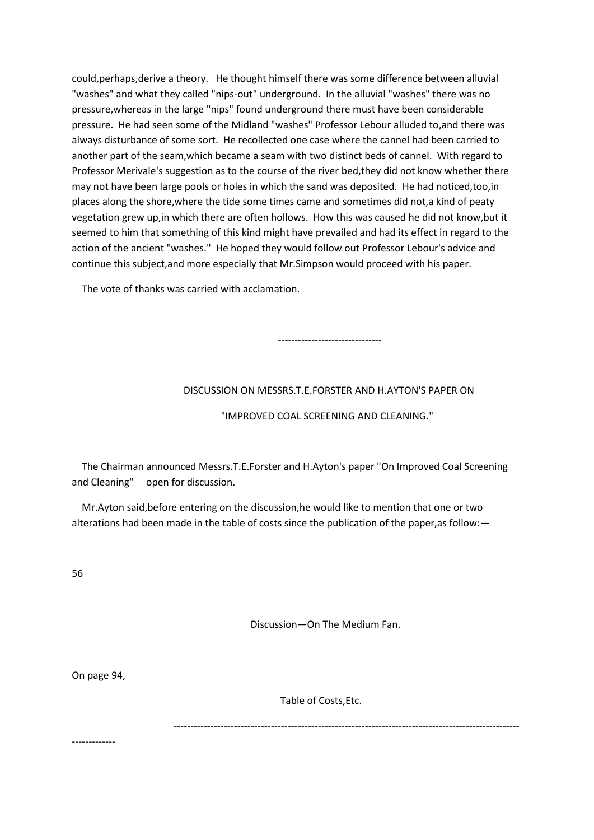could,perhaps,derive a theory. He thought himself there was some difference between alluvial "washes" and what they called "nips-out" underground. In the alluvial "washes" there was no pressure,whereas in the large "nips" found underground there must have been considerable pressure. He had seen some of the Midland "washes" Professor Lebour alluded to,and there was always disturbance of some sort. He recollected one case where the cannel had been carried to another part of the seam,which became a seam with two distinct beds of cannel. With regard to Professor Merivale's suggestion as to the course of the river bed,they did not know whether there may not have been large pools or holes in which the sand was deposited. He had noticed,too,in places along the shore,where the tide some times came and sometimes did not,a kind of peaty vegetation grew up,in which there are often hollows. How this was caused he did not know,but it seemed to him that something of this kind might have prevailed and had its effect in regard to the action of the ancient "washes." He hoped they would follow out Professor Lebour's advice and continue this subject,and more especially that Mr.Simpson would proceed with his paper.

The vote of thanks was carried with acclamation.

## DISCUSSION ON MESSRS.T.E.FORSTER AND H.AYTON'S PAPER ON

-------------------------------

## "IMPROVED COAL SCREENING AND CLEANING."

 The Chairman announced Messrs.T.E.Forster and H.Ayton's paper "On Improved Coal Screening and Cleaning" open for discussion.

 Mr.Ayton said,before entering on the discussion,he would like to mention that one or two alterations had been made in the table of costs since the publication of the paper,as follow:—

56

Discussion—On The Medium Fan.

On page 94,

Table of Costs,Etc.

-------------------------------------------------------------------------------------------------------

-------------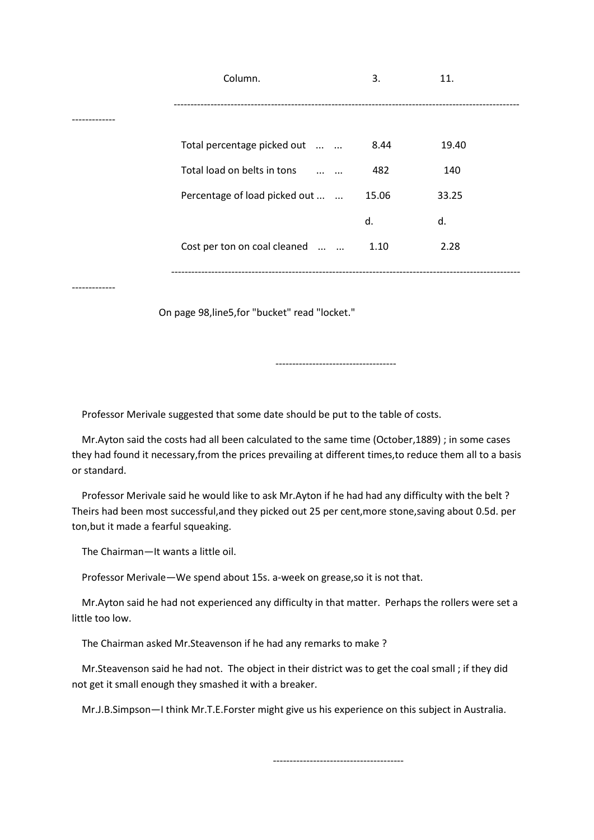|            | Column.                                          | 3.    | 11.   |
|------------|--------------------------------------------------|-------|-------|
|            |                                                  |       |       |
|            |                                                  |       |       |
|            | Total percentage picked out                      | 8.44  | 19.40 |
|            | Total load on belts in tons<br>$\cdots$ $\cdots$ | 482   | 140   |
|            | Percentage of load picked out                    | 15.06 | 33.25 |
|            |                                                  | d.    | d.    |
|            | Cost per ton on coal cleaned                     | 1.10  | 2.28  |
|            |                                                  |       |       |
| ---------- |                                                  |       |       |

On page 98,line5,for "bucket" read "locket."

Professor Merivale suggested that some date should be put to the table of costs.

 Mr.Ayton said the costs had all been calculated to the same time (October,1889) ; in some cases they had found it necessary,from the prices prevailing at different times,to reduce them all to a basis or standard.

------------------------------------

 Professor Merivale said he would like to ask Mr.Ayton if he had had any difficulty with the belt ? Theirs had been most successful,and they picked out 25 per cent,more stone,saving about 0.5d. per ton,but it made a fearful squeaking.

The Chairman—It wants a little oil.

Professor Merivale—We spend about 15s. a-week on grease,so it is not that.

 Mr.Ayton said he had not experienced any difficulty in that matter. Perhaps the rollers were set a little too low.

The Chairman asked Mr.Steavenson if he had any remarks to make ?

 Mr.Steavenson said he had not. The object in their district was to get the coal small ; if they did not get it small enough they smashed it with a breaker.

Mr.J.B.Simpson—I think Mr.T.E.Forster might give us his experience on this subject in Australia.

---------------------------------------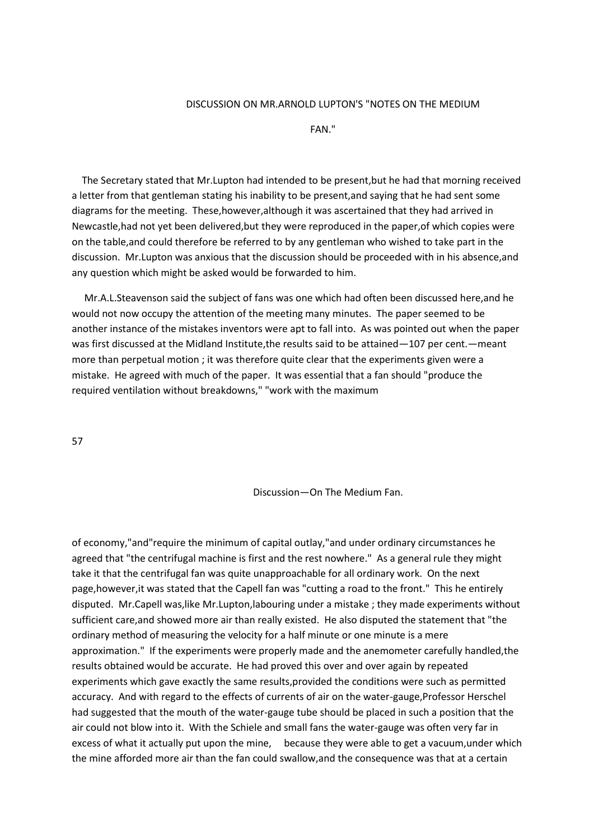## DISCUSSION ON MR.ARNOLD LUPTON'S "NOTES ON THE MEDIUM

FAN."

 The Secretary stated that Mr.Lupton had intended to be present,but he had that morning received a letter from that gentleman stating his inability to be present,and saying that he had sent some diagrams for the meeting. These,however,although it was ascertained that they had arrived in Newcastle,had not yet been delivered,but they were reproduced in the paper,of which copies were on the table,and could therefore be referred to by any gentleman who wished to take part in the discussion. Mr.Lupton was anxious that the discussion should be proceeded with in his absence,and any question which might be asked would be forwarded to him.

 Mr.A.L.Steavenson said the subject of fans was one which had often been discussed here,and he would not now occupy the attention of the meeting many minutes. The paper seemed to be another instance of the mistakes inventors were apt to fall into. As was pointed out when the paper was first discussed at the Midland Institute,the results said to be attained—107 per cent.—meant more than perpetual motion ; it was therefore quite clear that the experiments given were a mistake. He agreed with much of the paper. It was essential that a fan should "produce the required ventilation without breakdowns," "work with the maximum

57

Discussion—On The Medium Fan.

of economy,"and"require the minimum of capital outlay,"and under ordinary circumstances he agreed that "the centrifugal machine is first and the rest nowhere." As a general rule they might take it that the centrifugal fan was quite unapproachable for all ordinary work. On the next page,however,it was stated that the Capell fan was "cutting a road to the front." This he entirely disputed. Mr.Capell was,like Mr.Lupton,labouring under a mistake ; they made experiments without sufficient care,and showed more air than really existed. He also disputed the statement that "the ordinary method of measuring the velocity for a half minute or one minute is a mere approximation." If the experiments were properly made and the anemometer carefully handled,the results obtained would be accurate. He had proved this over and over again by repeated experiments which gave exactly the same results,provided the conditions were such as permitted accuracy. And with regard to the effects of currents of air on the water-gauge,Professor Herschel had suggested that the mouth of the water-gauge tube should be placed in such a position that the air could not blow into it. With the Schiele and small fans the water-gauge was often very far in excess of what it actually put upon the mine, because they were able to get a vacuum,under which the mine afforded more air than the fan could swallow,and the consequence was that at a certain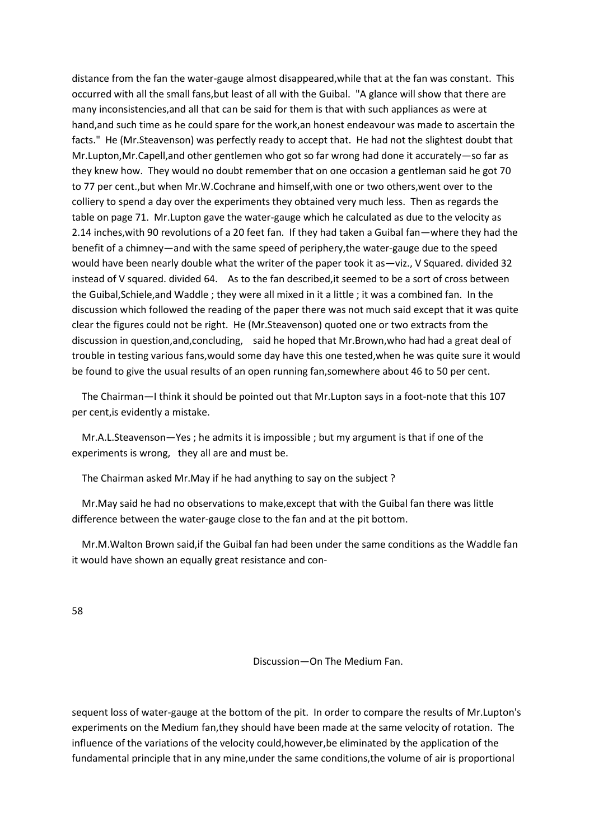distance from the fan the water-gauge almost disappeared,while that at the fan was constant. This occurred with all the small fans,but least of all with the Guibal. "A glance will show that there are many inconsistencies,and all that can be said for them is that with such appliances as were at hand,and such time as he could spare for the work,an honest endeavour was made to ascertain the facts." He (Mr.Steavenson) was perfectly ready to accept that. He had not the slightest doubt that Mr.Lupton,Mr.Capell,and other gentlemen who got so far wrong had done it accurately—so far as they knew how. They would no doubt remember that on one occasion a gentleman said he got 70 to 77 per cent.,but when Mr.W.Cochrane and himself,with one or two others,went over to the colliery to spend a day over the experiments they obtained very much less. Then as regards the table on page 71. Mr.Lupton gave the water-gauge which he calculated as due to the velocity as 2.14 inches,with 90 revolutions of a 20 feet fan. If they had taken a Guibal fan—where they had the benefit of a chimney—and with the same speed of periphery,the water-gauge due to the speed would have been nearly double what the writer of the paper took it as—viz., V Squared. divided 32 instead of V squared. divided 64. As to the fan described,it seemed to be a sort of cross between the Guibal,Schiele,and Waddle ; they were all mixed in it a little ; it was a combined fan. In the discussion which followed the reading of the paper there was not much said except that it was quite clear the figures could not be right. He (Mr.Steavenson) quoted one or two extracts from the discussion in question,and,concluding, said he hoped that Mr.Brown,who had had a great deal of trouble in testing various fans,would some day have this one tested,when he was quite sure it would be found to give the usual results of an open running fan,somewhere about 46 to 50 per cent.

 The Chairman—I think it should be pointed out that Mr.Lupton says in a foot-note that this 107 per cent,is evidently a mistake.

 Mr.A.L.Steavenson—Yes ; he admits it is impossible ; but my argument is that if one of the experiments is wrong, they all are and must be.

The Chairman asked Mr.May if he had anything to say on the subject ?

 Mr.May said he had no observations to make,except that with the Guibal fan there was little difference between the water-gauge close to the fan and at the pit bottom.

 Mr.M.Walton Brown said,if the Guibal fan had been under the same conditions as the Waddle fan it would have shown an equally great resistance and con-

58

Discussion—On The Medium Fan.

sequent loss of water-gauge at the bottom of the pit. In order to compare the results of Mr.Lupton's experiments on the Medium fan,they should have been made at the same velocity of rotation. The influence of the variations of the velocity could,however,be eliminated by the application of the fundamental principle that in any mine,under the same conditions,the volume of air is proportional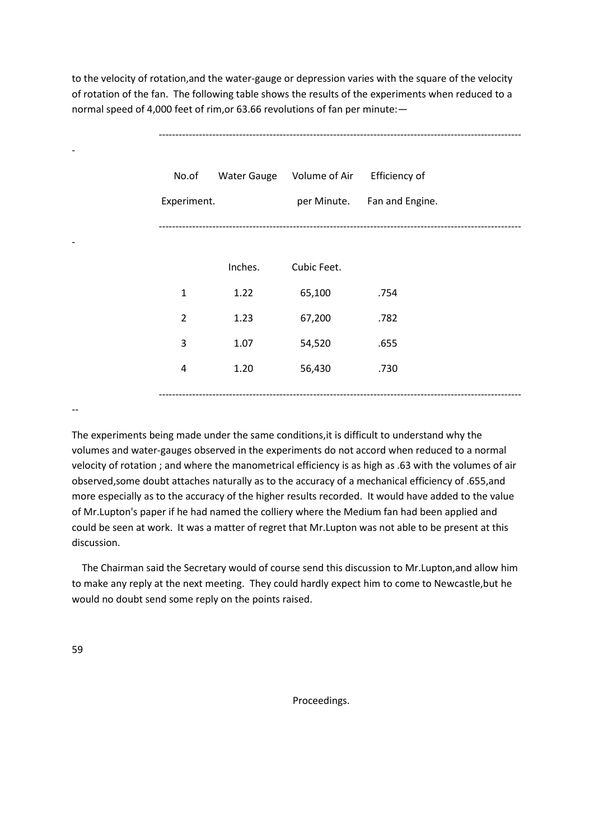to the velocity of rotation,and the water-gauge or depression varies with the square of the velocity of rotation of the fan. The following table shows the results of the experiments when reduced to a normal speed of 4,000 feet of rim,or 63.66 revolutions of fan per minute:—

| Inches.<br>Cubic Feet.<br>$\mathbf 1$<br>1.22<br>65,100<br>.754<br>$\overline{2}$<br>1.23<br>67,200<br>.782<br>3<br>1.07<br>54,520<br>.655<br>1.20<br>56,430<br>.730<br>$\overline{4}$ | No.of<br>Experiment. | <b>Water Gauge</b> | Volume of Air | Efficiency of<br>per Minute. Fan and Engine. |
|----------------------------------------------------------------------------------------------------------------------------------------------------------------------------------------|----------------------|--------------------|---------------|----------------------------------------------|
|                                                                                                                                                                                        |                      |                    |               |                                              |
|                                                                                                                                                                                        |                      |                    |               |                                              |
|                                                                                                                                                                                        |                      |                    |               |                                              |
|                                                                                                                                                                                        |                      |                    |               |                                              |
|                                                                                                                                                                                        |                      |                    |               |                                              |

------------------------------------------------------------------------------------------------------------

--

The experiments being made under the same conditions,it is difficult to understand why the volumes and water-gauges observed in the experiments do not accord when reduced to a normal velocity of rotation ; and where the manometrical efficiency is as high as .63 with the volumes of air observed,some doubt attaches naturally as to the accuracy of a mechanical efficiency of .655,and more especially as to the accuracy of the higher results recorded. It would have added to the value of Mr.Lupton's paper if he had named the colliery where the Medium fan had been applied and could be seen at work. It was a matter of regret that Mr.Lupton was not able to be present at this discussion.

 The Chairman said the Secretary would of course send this discussion to Mr.Lupton,and allow him to make any reply at the next meeting. They could hardly expect him to come to Newcastle,but he would no doubt send some reply on the points raised.

59

Proceedings.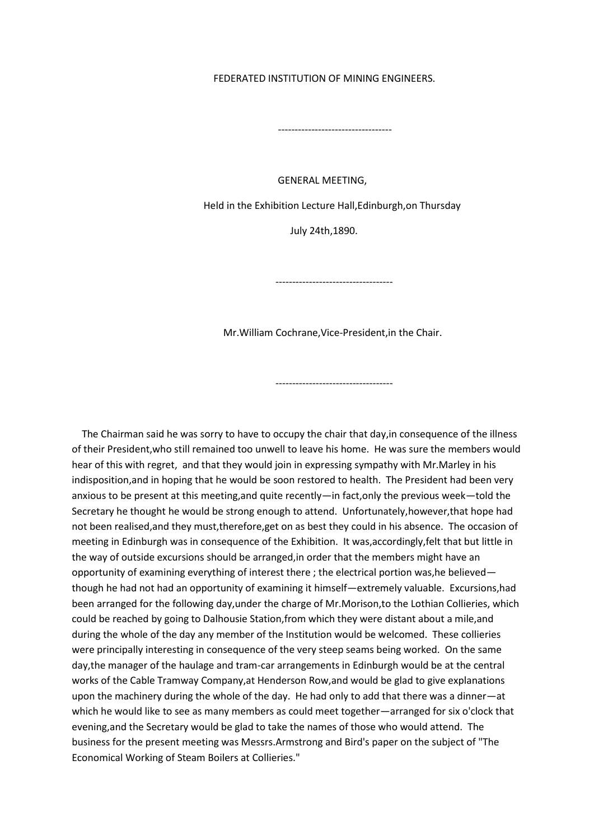#### FEDERATED INSTITUTION OF MINING ENGINEERS.

----------------------------------

#### GENERAL MEETING,

Held in the Exhibition Lecture Hall,Edinburgh,on Thursday

July 24th,1890.

-----------------------------------

Mr.William Cochrane,Vice-President,in the Chair.

-----------------------------------

 The Chairman said he was sorry to have to occupy the chair that day,in consequence of the illness of their President,who still remained too unwell to leave his home. He was sure the members would hear of this with regret, and that they would join in expressing sympathy with Mr.Marley in his indisposition,and in hoping that he would be soon restored to health. The President had been very anxious to be present at this meeting,and quite recently—in fact,only the previous week—told the Secretary he thought he would be strong enough to attend. Unfortunately,however,that hope had not been realised,and they must,therefore,get on as best they could in his absence. The occasion of meeting in Edinburgh was in consequence of the Exhibition. It was,accordingly,felt that but little in the way of outside excursions should be arranged,in order that the members might have an opportunity of examining everything of interest there ; the electrical portion was,he believed though he had not had an opportunity of examining it himself—extremely valuable. Excursions,had been arranged for the following day,under the charge of Mr.Morison,to the Lothian Collieries, which could be reached by going to Dalhousie Station,from which they were distant about a mile,and during the whole of the day any member of the Institution would be welcomed. These collieries were principally interesting in consequence of the very steep seams being worked. On the same day,the manager of the haulage and tram-car arrangements in Edinburgh would be at the central works of the Cable Tramway Company,at Henderson Row,and would be glad to give explanations upon the machinery during the whole of the day. He had only to add that there was a dinner—at which he would like to see as many members as could meet together—arranged for six o'clock that evening,and the Secretary would be glad to take the names of those who would attend. The business for the present meeting was Messrs.Armstrong and Bird's paper on the subject of "The Economical Working of Steam Boilers at Collieries."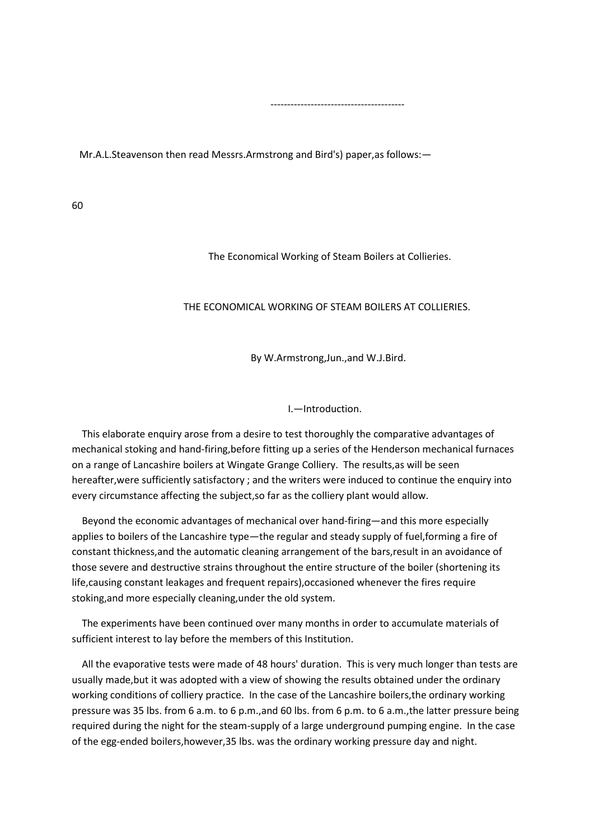Mr.A.L.Steavenson then read Messrs.Armstrong and Bird's) paper,as follows:—

----------------------------------------

60

The Economical Working of Steam Boilers at Collieries.

## THE ECONOMICAL WORKING OF STEAM BOILERS AT COLLIERIES.

By W.Armstrong,Jun.,and W.J.Bird.

I.—Introduction.

 This elaborate enquiry arose from a desire to test thoroughly the comparative advantages of mechanical stoking and hand-firing,before fitting up a series of the Henderson mechanical furnaces on a range of Lancashire boilers at Wingate Grange Colliery. The results,as will be seen hereafter,were sufficiently satisfactory ; and the writers were induced to continue the enquiry into every circumstance affecting the subject,so far as the colliery plant would allow.

 Beyond the economic advantages of mechanical over hand-firing—and this more especially applies to boilers of the Lancashire type—the regular and steady supply of fuel,forming a fire of constant thickness,and the automatic cleaning arrangement of the bars,result in an avoidance of those severe and destructive strains throughout the entire structure of the boiler (shortening its life,causing constant leakages and frequent repairs),occasioned whenever the fires require stoking,and more especially cleaning,under the old system.

 The experiments have been continued over many months in order to accumulate materials of sufficient interest to lay before the members of this Institution.

 All the evaporative tests were made of 48 hours' duration. This is very much longer than tests are usually made,but it was adopted with a view of showing the results obtained under the ordinary working conditions of colliery practice. In the case of the Lancashire boilers,the ordinary working pressure was 35 lbs. from 6 a.m. to 6 p.m.,and 60 lbs. from 6 p.m. to 6 a.m.,the latter pressure being required during the night for the steam-supply of a large underground pumping engine. In the case of the egg-ended boilers,however,35 lbs. was the ordinary working pressure day and night.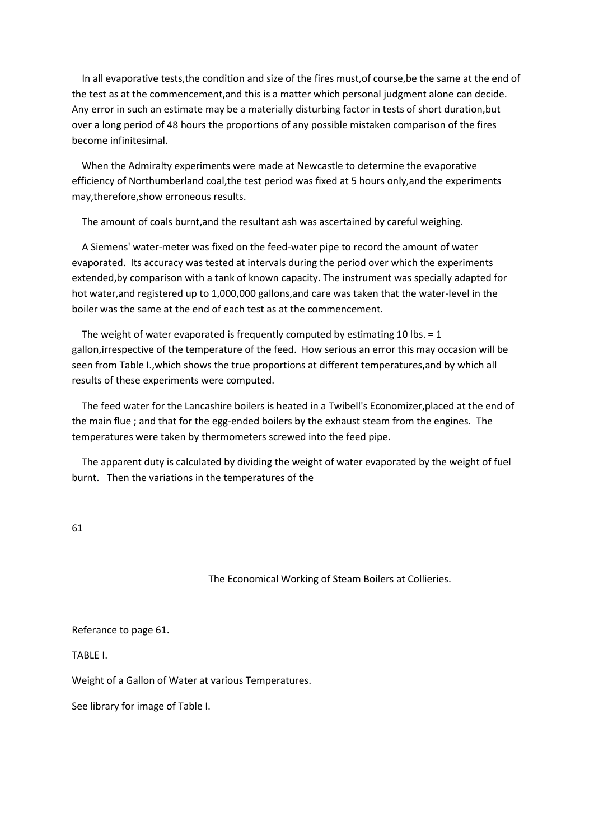In all evaporative tests, the condition and size of the fires must, of course, be the same at the end of the test as at the commencement,and this is a matter which personal judgment alone can decide. Any error in such an estimate may be a materially disturbing factor in tests of short duration,but over a long period of 48 hours the proportions of any possible mistaken comparison of the fires become infinitesimal.

 When the Admiralty experiments were made at Newcastle to determine the evaporative efficiency of Northumberland coal,the test period was fixed at 5 hours only,and the experiments may,therefore,show erroneous results.

The amount of coals burnt,and the resultant ash was ascertained by careful weighing.

 A Siemens' water-meter was fixed on the feed-water pipe to record the amount of water evaporated. Its accuracy was tested at intervals during the period over which the experiments extended,by comparison with a tank of known capacity. The instrument was specially adapted for hot water,and registered up to 1,000,000 gallons,and care was taken that the water-level in the boiler was the same at the end of each test as at the commencement.

The weight of water evaporated is frequently computed by estimating 10 lbs.  $= 1$ gallon,irrespective of the temperature of the feed. How serious an error this may occasion will be seen from Table I.,which shows the true proportions at different temperatures,and by which all results of these experiments were computed.

 The feed water for the Lancashire boilers is heated in a Twibell's Economizer,placed at the end of the main flue ; and that for the egg-ended boilers by the exhaust steam from the engines. The temperatures were taken by thermometers screwed into the feed pipe.

 The apparent duty is calculated by dividing the weight of water evaporated by the weight of fuel burnt. Then the variations in the temperatures of the

61

The Economical Working of Steam Boilers at Collieries.

Referance to page 61.

TABLE I.

Weight of a Gallon of Water at various Temperatures.

See library for image of Table I.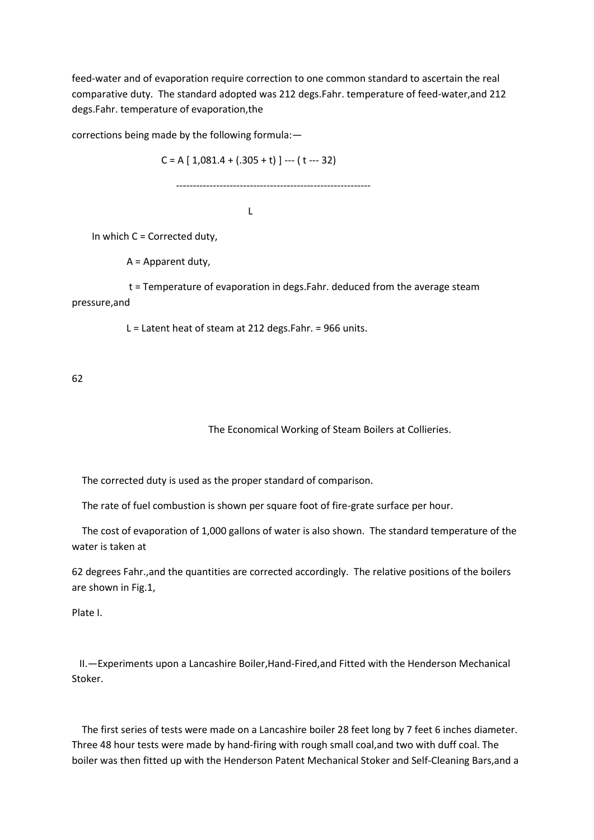feed-water and of evaporation require correction to one common standard to ascertain the real comparative duty. The standard adopted was 212 degs.Fahr. temperature of feed-water,and 212 degs.Fahr. temperature of evaporation,the

corrections being made by the following formula:—

 $C = A [ 1,081.4 + (.305 + t) ] -- (t -- 32)$ 

----------------------------------------------------------

**Little State Control** 

In which  $C =$  Corrected duty,

A = Apparent duty,

 t = Temperature of evaporation in degs.Fahr. deduced from the average steam pressure,and

L = Latent heat of steam at 212 degs.Fahr. = 966 units.

62

The Economical Working of Steam Boilers at Collieries.

The corrected duty is used as the proper standard of comparison.

The rate of fuel combustion is shown per square foot of fire-grate surface per hour.

 The cost of evaporation of 1,000 gallons of water is also shown. The standard temperature of the water is taken at

62 degrees Fahr.,and the quantities are corrected accordingly. The relative positions of the boilers are shown in Fig.1,

Plate I.

 II.—Experiments upon a Lancashire Boiler,Hand-Fired,and Fitted with the Henderson Mechanical Stoker.

 The first series of tests were made on a Lancashire boiler 28 feet long by 7 feet 6 inches diameter. Three 48 hour tests were made by hand-firing with rough small coal,and two with duff coal. The boiler was then fitted up with the Henderson Patent Mechanical Stoker and Self-Cleaning Bars,and a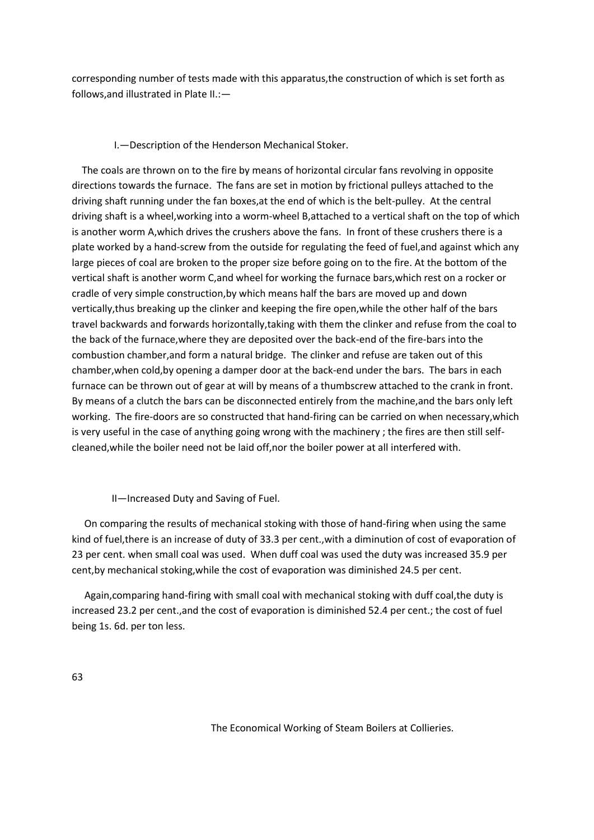corresponding number of tests made with this apparatus,the construction of which is set forth as follows,and illustrated in Plate II.:—

# I.—Description of the Henderson Mechanical Stoker.

 The coals are thrown on to the fire by means of horizontal circular fans revolving in opposite directions towards the furnace. The fans are set in motion by frictional pulleys attached to the driving shaft running under the fan boxes,at the end of which is the belt-pulley. At the central driving shaft is a wheel,working into a worm-wheel B,attached to a vertical shaft on the top of which is another worm A,which drives the crushers above the fans. In front of these crushers there is a plate worked by a hand-screw from the outside for regulating the feed of fuel,and against which any large pieces of coal are broken to the proper size before going on to the fire. At the bottom of the vertical shaft is another worm C,and wheel for working the furnace bars,which rest on a rocker or cradle of very simple construction,by which means half the bars are moved up and down vertically,thus breaking up the clinker and keeping the fire open,while the other half of the bars travel backwards and forwards horizontally,taking with them the clinker and refuse from the coal to the back of the furnace,where they are deposited over the back-end of the fire-bars into the combustion chamber,and form a natural bridge. The clinker and refuse are taken out of this chamber,when cold,by opening a damper door at the back-end under the bars. The bars in each furnace can be thrown out of gear at will by means of a thumbscrew attached to the crank in front. By means of a clutch the bars can be disconnected entirely from the machine,and the bars only left working. The fire-doors are so constructed that hand-firing can be carried on when necessary,which is very useful in the case of anything going wrong with the machinery ; the fires are then still selfcleaned,while the boiler need not be laid off,nor the boiler power at all interfered with.

II—Increased Duty and Saving of Fuel.

 On comparing the results of mechanical stoking with those of hand-firing when using the same kind of fuel,there is an increase of duty of 33.3 per cent.,with a diminution of cost of evaporation of 23 per cent. when small coal was used. When duff coal was used the duty was increased 35.9 per cent,by mechanical stoking,while the cost of evaporation was diminished 24.5 per cent.

 Again,comparing hand-firing with small coal with mechanical stoking with duff coal,the duty is increased 23.2 per cent.,and the cost of evaporation is diminished 52.4 per cent.; the cost of fuel being 1s. 6d. per ton less.

The Economical Working of Steam Boilers at Collieries.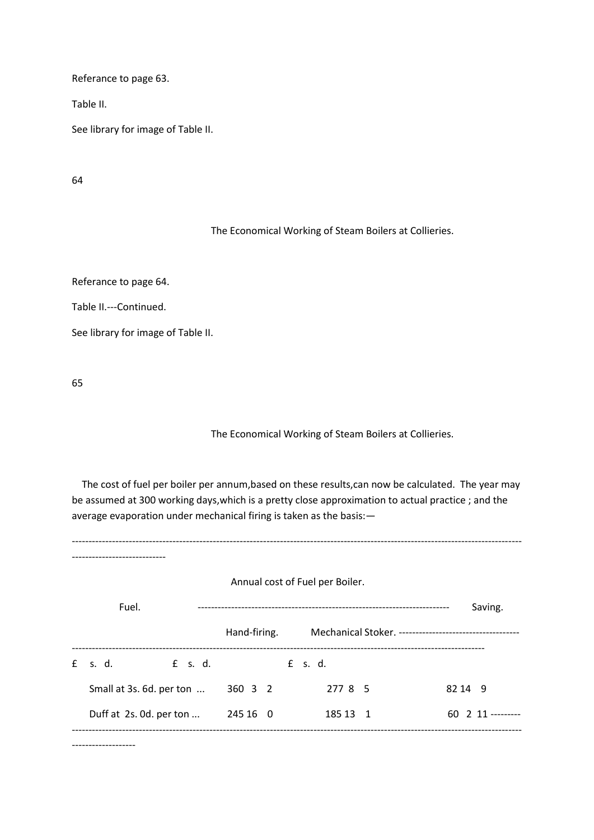Referance to page 63.

Table II.

See library for image of Table II.

64

The Economical Working of Steam Boilers at Collieries.

Referance to page 64.

Table II.---Continued.

See library for image of Table II.

65

## The Economical Working of Steam Boilers at Collieries.

 The cost of fuel per boiler per annum,based on these results,can now be calculated. The year may be assumed at 300 working days,which is a pretty close approximation to actual practice ; and the average evaporation under mechanical firing is taken as the basis:—

-------------------------------------------------------------------------------------------------------------------------------------- ---------------------------- Annual cost of Fuel per Boiler. Fuel. --------------------------------------------------------------------------- Saving. Hand-firing. Mechanical Stoker. ------------------------------------ --------------------------------------------------------------------------------------------------------------------------- £ s. d. £ s. d. £ s. d. Small at 3s. 6d. per ton ... 360 3 2 277 8 5 82 14 9 Duff at 2s. 0d. per ton ... 245 16 0 185 13 1 60 2 11 ----------------------------------------------------------------------------------------------------------------------------------------------

-------------------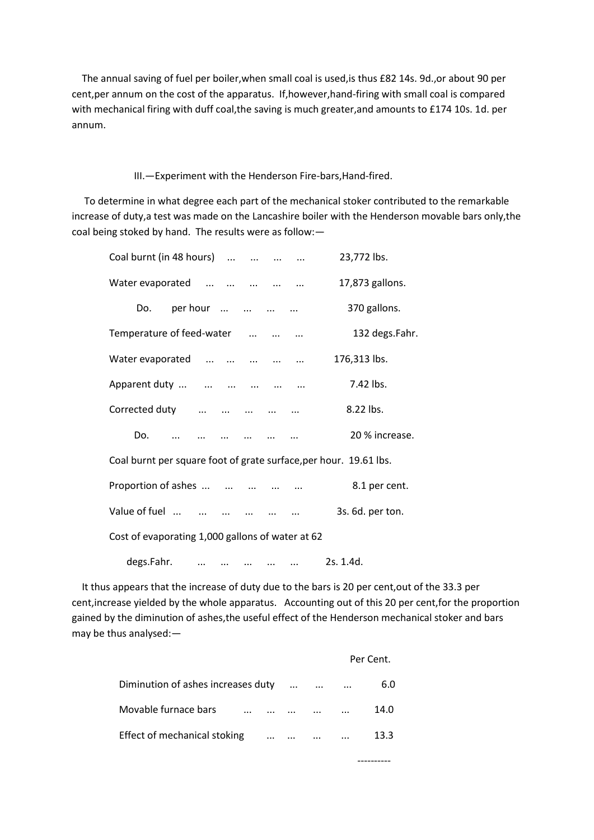The annual saving of fuel per boiler,when small coal is used,is thus £82 14s. 9d.,or about 90 per cent,per annum on the cost of the apparatus. If,however,hand-firing with small coal is compared with mechanical firing with duff coal,the saving is much greater,and amounts to £174 10s. 1d. per annum.

## III.—Experiment with the Henderson Fire-bars,Hand-fired.

 To determine in what degree each part of the mechanical stoker contributed to the remarkable increase of duty,a test was made on the Lancashire boiler with the Henderson movable bars only,the coal being stoked by hand. The results were as follow:—

| Coal burnt (in 48 hours)                         |           |               |          | 23,772 lbs.                                                       |
|--------------------------------------------------|-----------|---------------|----------|-------------------------------------------------------------------|
| Water evaporated                                 |           |               |          | 17,873 gallons.                                                   |
| Do.                                              |           |               | per hour | 370 gallons.                                                      |
| Temperature of feed-water                        |           |               |          | 132 degs.Fahr.                                                    |
| Water evaporated                                 |           |               |          | 176,313 lbs.                                                      |
| Apparent duty                                    |           |               |          | 7.42 lbs.                                                         |
| Corrected duty                                   |           |               |          | 8.22 lbs.                                                         |
| Do.                                              |           |               |          | 20 % increase.                                                    |
|                                                  |           |               |          | Coal burnt per square foot of grate surface, per hour. 19.61 lbs. |
| Proportion of ashes                              |           |               |          | 8.1 per cent.                                                     |
| Value of fuel                                    |           | $\sim$ $\sim$ |          | 3s. 6d. per ton.                                                  |
| Cost of evaporating 1,000 gallons of water at 62 |           |               |          |                                                                   |
| degs.Fahr.                                       | $\ddotsc$ |               |          | 2s. 1.4d.                                                         |

 It thus appears that the increase of duty due to the bars is 20 per cent,out of the 33.3 per cent,increase yielded by the whole apparatus. Accounting out of this 20 per cent,for the proportion gained by the diminution of ashes,the useful effect of the Henderson mechanical stoker and bars may be thus analysed:—

|                                    |          |          |          |                   | Per Cent. |
|------------------------------------|----------|----------|----------|-------------------|-----------|
| Diminution of ashes increases duty |          | $\cdots$ |          | $\cdots$ $\cdots$ | 6.0       |
| Movable furnace bars<br>$\cdots$   |          |          |          |                   | 14.0      |
| Effect of mechanical stoking       | $\cdots$ | $\cdots$ | $\cdots$ |                   | 13.3      |
|                                    |          |          |          |                   |           |

----------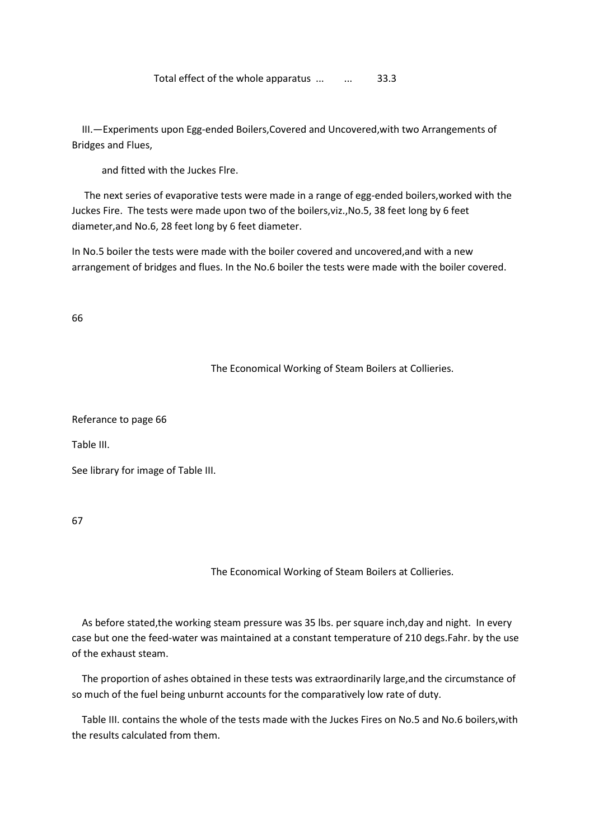Total effect of the whole apparatus ... ... 33.3

 III.—Experiments upon Egg-ended Boilers,Covered and Uncovered,with two Arrangements of Bridges and Flues,

and fitted with the Juckes Flre.

 The next series of evaporative tests were made in a range of egg-ended boilers,worked with the Juckes Fire. The tests were made upon two of the boilers,viz.,No.5, 38 feet long by 6 feet diameter,and No.6, 28 feet long by 6 feet diameter.

In No.5 boiler the tests were made with the boiler covered and uncovered,and with a new arrangement of bridges and flues. In the No.6 boiler the tests were made with the boiler covered.

66

The Economical Working of Steam Boilers at Collieries.

Referance to page 66

Table III.

See library for image of Table III.

67

The Economical Working of Steam Boilers at Collieries.

 As before stated,the working steam pressure was 35 lbs. per square inch,day and night. In every case but one the feed-water was maintained at a constant temperature of 210 degs.Fahr. by the use of the exhaust steam.

 The proportion of ashes obtained in these tests was extraordinarily large,and the circumstance of so much of the fuel being unburnt accounts for the comparatively low rate of duty.

 Table III. contains the whole of the tests made with the Juckes Fires on No.5 and No.6 boilers,with the results calculated from them.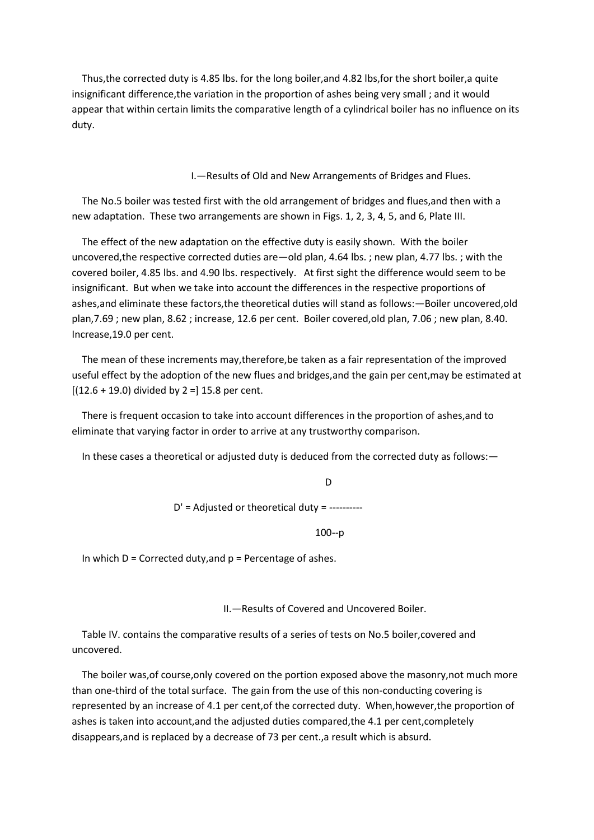Thus,the corrected duty is 4.85 lbs. for the long boiler,and 4.82 lbs,for the short boiler,a quite insignificant difference,the variation in the proportion of ashes being very small ; and it would appear that within certain limits the comparative length of a cylindrical boiler has no influence on its duty.

I.—Results of Old and New Arrangements of Bridges and Flues.

 The No.5 boiler was tested first with the old arrangement of bridges and flues,and then with a new adaptation. These two arrangements are shown in Figs. 1, 2, 3, 4, 5, and 6, Plate III.

 The effect of the new adaptation on the effective duty is easily shown. With the boiler uncovered,the respective corrected duties are—old plan, 4.64 lbs. ; new plan, 4.77 lbs. ; with the covered boiler, 4.85 lbs. and 4.90 lbs. respectively. At first sight the difference would seem to be insignificant. But when we take into account the differences in the respective proportions of ashes,and eliminate these factors,the theoretical duties will stand as follows:—Boiler uncovered,old plan,7.69 ; new plan, 8.62 ; increase, 12.6 per cent. Boiler covered,old plan, 7.06 ; new plan, 8.40. Increase,19.0 per cent.

 The mean of these increments may,therefore,be taken as a fair representation of the improved useful effect by the adoption of the new flues and bridges,and the gain per cent,may be estimated at  $[(12.6 + 19.0)$  divided by 2 = 15.8 per cent.

 There is frequent occasion to take into account differences in the proportion of ashes,and to eliminate that varying factor in order to arrive at any trustworthy comparison.

In these cases a theoretical or adjusted duty is deduced from the corrected duty as follows:—

**District of the Contract of the Contract of the Contract of the Contract of the Contract of the Contract of th** D' = Adjusted or theoretical duty = ----------

100--p

In which  $D =$  Corrected duty, and  $p =$  Percentage of ashes.

II.—Results of Covered and Uncovered Boiler.

 Table IV. contains the comparative results of a series of tests on No.5 boiler,covered and uncovered.

 The boiler was,of course,only covered on the portion exposed above the masonry,not much more than one-third of the total surface. The gain from the use of this non-conducting covering is represented by an increase of 4.1 per cent,of the corrected duty. When,however,the proportion of ashes is taken into account,and the adjusted duties compared,the 4.1 per cent,completely disappears,and is replaced by a decrease of 73 per cent.,a result which is absurd.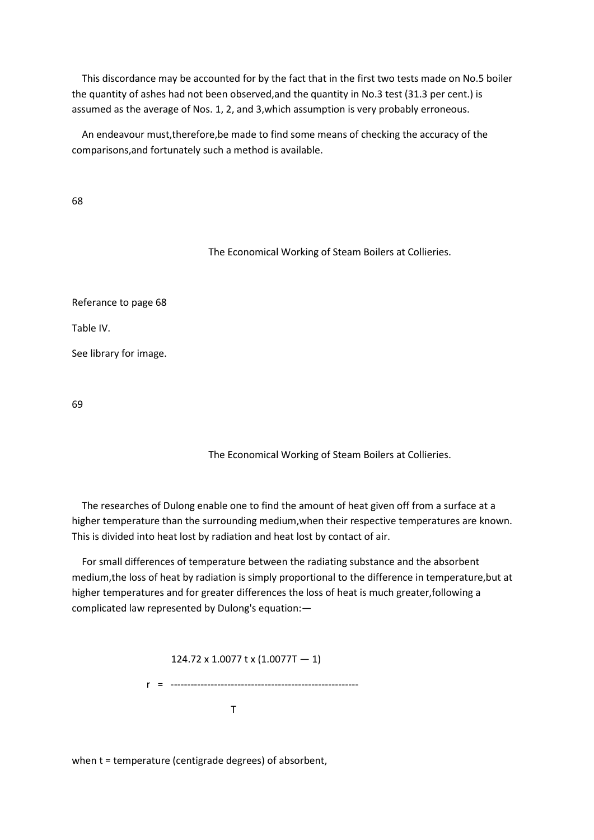This discordance may be accounted for by the fact that in the first two tests made on No.5 boiler the quantity of ashes had not been observed,and the quantity in No.3 test (31.3 per cent.) is assumed as the average of Nos. 1, 2, and 3,which assumption is very probably erroneous.

 An endeavour must,therefore,be made to find some means of checking the accuracy of the comparisons,and fortunately such a method is available.

68

The Economical Working of Steam Boilers at Collieries.

Referance to page 68

Table IV.

See library for image.

69

The Economical Working of Steam Boilers at Collieries.

 The researches of Dulong enable one to find the amount of heat given off from a surface at a higher temperature than the surrounding medium,when their respective temperatures are known. This is divided into heat lost by radiation and heat lost by contact of air.

 For small differences of temperature between the radiating substance and the absorbent medium,the loss of heat by radiation is simply proportional to the difference in temperature,but at higher temperatures and for greater differences the loss of heat is much greater,following a complicated law represented by Dulong's equation:—

 124.72 x 1.0077 t x (1.0077T — 1) r = -------------------------------------------------------- **The Community of the Community of The Community of The Community of The Community of The Community of The Community** 

when t = temperature (centigrade degrees) of absorbent,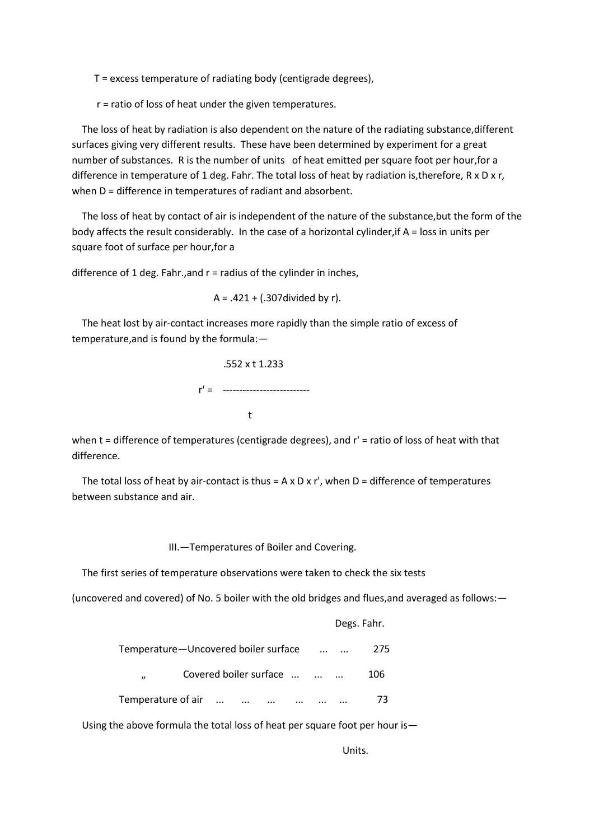T = excess temperature of radiating body (centigrade degrees),

r = ratio of loss of heat under the given temperatures.

The loss of heat by radiation is also dependent on the nature of the radiating substance, different surfaces giving very different results. These have been determined by experiment for a great number of substances. R is the number of units of heat emitted per square foot per hour,for a difference in temperature of 1 deg. Fahr. The total loss of heat by radiation is,therefore, R x D x r, when D = difference in temperatures of radiant and absorbent.

 The loss of heat by contact of air is independent of the nature of the substance,but the form of the body affects the result considerably. In the case of a horizontal cylinder,if A = loss in units per square foot of surface per hour,for a

difference of 1 deg. Fahr., and  $r =$  radius of the cylinder in inches,

 $A = .421 + (.307 \text{divided by r}).$ 

 The heat lost by air-contact increases more rapidly than the simple ratio of excess of temperature,and is found by the formula:—

 .552 x t 1.233  $r' =$  --------------------------the contract of the contract of the contract of the contract of the contract of the contract of the contract o

when t = difference of temperatures (centigrade degrees), and r' = ratio of loss of heat with that difference.

The total loss of heat by air-contact is thus =  $A \times D \times r'$ , when  $D =$  difference of temperatures between substance and air.

III.—Temperatures of Boiler and Covering.

The first series of temperature observations were taken to check the six tests

(uncovered and covered) of No. 5 boiler with the old bridges and flues,and averaged as follows:—

|                                             | Degs. Fahr. |
|---------------------------------------------|-------------|
| Temperature-Uncovered boiler surface        | 275         |
| Covered boiler surface<br>$^{\prime\prime}$ | 106         |
| Temperature of air                          | 73          |

Using the above formula the total loss of heat per square foot per hour is—

Units.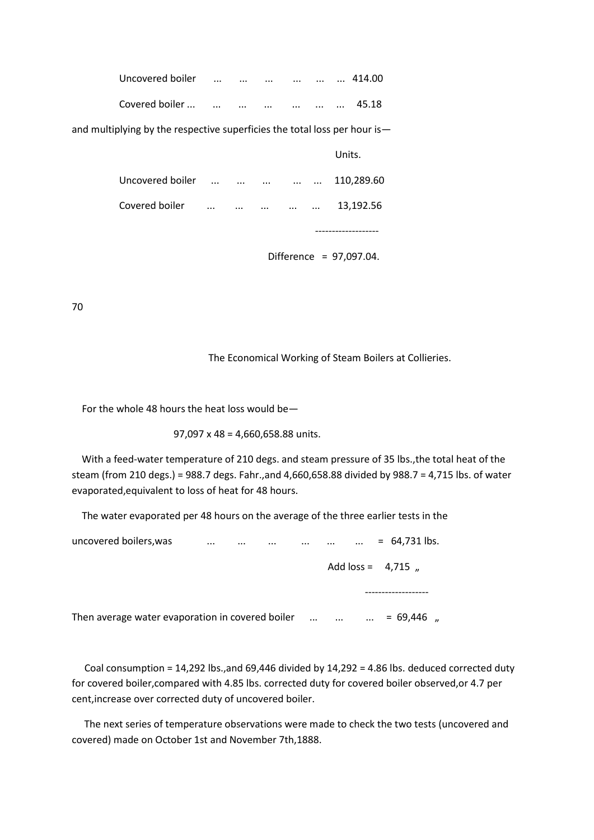| Covered boiler                                                            |                   |  |        | 13,192.56  |
|---------------------------------------------------------------------------|-------------------|--|--------|------------|
| Uncovered boiler                                                          | $\cdots$ $\cdots$ |  |        | 110,289.60 |
|                                                                           |                   |  | Units. |            |
| and multiplying by the respective superficies the total loss per hour is— |                   |  |        |            |
| Covered boiler                                                            |                   |  |        | 45.18      |
| Uncovered boiler                                                          |                   |  |        | 414.00     |

Difference = 97,097.04.

70

The Economical Working of Steam Boilers at Collieries.

For the whole 48 hours the heat loss would be—

97,097 x 48 = 4,660,658.88 units.

 With a feed-water temperature of 210 degs. and steam pressure of 35 lbs.,the total heat of the steam (from 210 degs.) = 988.7 degs. Fahr.,and 4,660,658.88 divided by 988.7 = 4,715 lbs. of water evaporated,equivalent to loss of heat for 48 hours.

The water evaporated per 48 hours on the average of the three earlier tests in the

| uncovered boilers, was                           | $\cdots$<br>$\cdots$ | $\sim 100$ km s $^{-1}$ |                                     | $\cdots$ | $= 64,731$ lbs.      |  |
|--------------------------------------------------|----------------------|-------------------------|-------------------------------------|----------|----------------------|--|
|                                                  |                      |                         |                                     |          | Add $loss = 4,715$ , |  |
|                                                  |                      |                         |                                     |          |                      |  |
| Then average water evaporation in covered boiler |                      |                         | $\cdots$ $\cdots$ $\cdots$ $\cdots$ |          | $= 69,446$ ,         |  |

 Coal consumption = 14,292 lbs.,and 69,446 divided by 14,292 = 4.86 lbs. deduced corrected duty for covered boiler,compared with 4.85 lbs. corrected duty for covered boiler observed,or 4.7 per cent,increase over corrected duty of uncovered boiler.

 The next series of temperature observations were made to check the two tests (uncovered and covered) made on October 1st and November 7th,1888.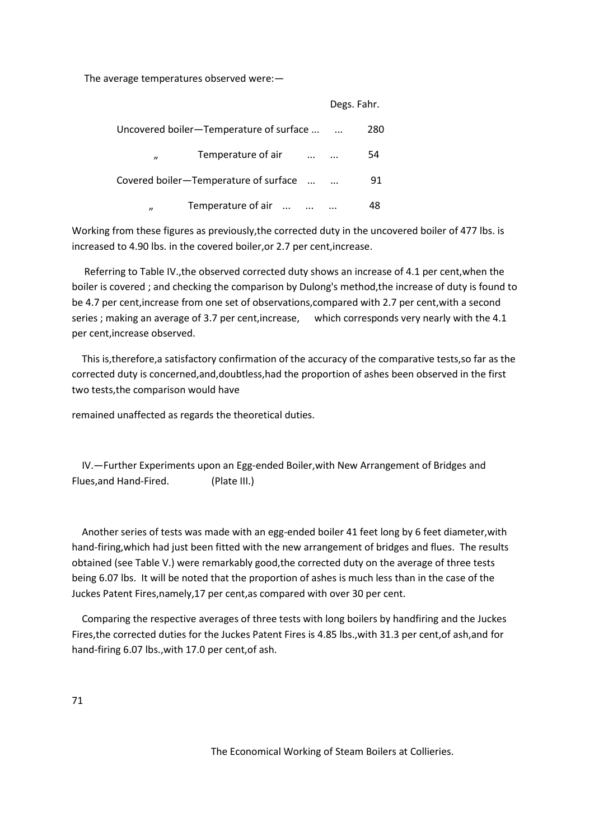The average temperatures observed were:—

|                                                              | Degs. Fahr. |     |
|--------------------------------------------------------------|-------------|-----|
| Uncovered boiler—Temperature of surface                      |             | 280 |
| Temperature of air<br>$\cdots$ $\cdots$<br>$^{\prime\prime}$ |             | 54  |
| Covered boiler-Temperature of surface                        |             | 91  |
| Temperature of air<br>$\boldsymbol{\eta}$                    |             | 48  |

Working from these figures as previously,the corrected duty in the uncovered boiler of 477 lbs. is increased to 4.90 lbs. in the covered boiler,or 2.7 per cent,increase.

 Referring to Table IV.,the observed corrected duty shows an increase of 4.1 per cent,when the boiler is covered ; and checking the comparison by Dulong's method,the increase of duty is found to be 4.7 per cent,increase from one set of observations,compared with 2.7 per cent,with a second series ; making an average of 3.7 per cent,increase, which corresponds very nearly with the 4.1 per cent,increase observed.

 This is,therefore,a satisfactory confirmation of the accuracy of the comparative tests,so far as the corrected duty is concerned,and,doubtless,had the proportion of ashes been observed in the first two tests,the comparison would have

remained unaffected as regards the theoretical duties.

 IV.—Further Experiments upon an Egg-ended Boiler,with New Arrangement of Bridges and Flues,and Hand-Fired. (Plate III.)

 Another series of tests was made with an egg-ended boiler 41 feet long by 6 feet diameter,with hand-firing,which had just been fitted with the new arrangement of bridges and flues. The results obtained (see Table V.) were remarkably good,the corrected duty on the average of three tests being 6.07 lbs. It will be noted that the proportion of ashes is much less than in the case of the Juckes Patent Fires,namely,17 per cent,as compared with over 30 per cent.

 Comparing the respective averages of three tests with long boilers by handfiring and the Juckes Fires,the corrected duties for the Juckes Patent Fires is 4.85 lbs.,with 31.3 per cent,of ash,and for hand-firing 6.07 lbs.,with 17.0 per cent,of ash.

71

The Economical Working of Steam Boilers at Collieries.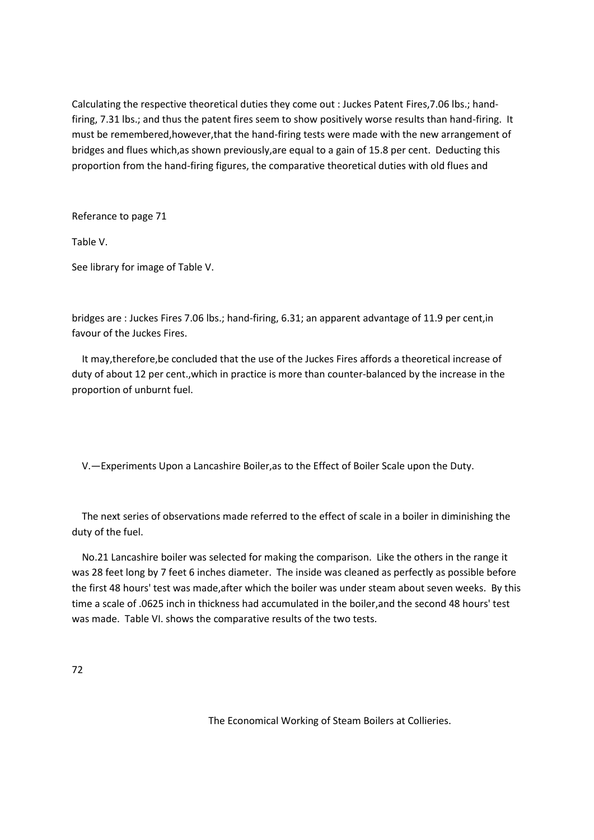Calculating the respective theoretical duties they come out : Juckes Patent Fires,7.06 lbs.; handfiring, 7.31 lbs.; and thus the patent fires seem to show positively worse results than hand-firing. It must be remembered,however,that the hand-firing tests were made with the new arrangement of bridges and flues which,as shown previously,are equal to a gain of 15.8 per cent. Deducting this proportion from the hand-firing figures, the comparative theoretical duties with old flues and

Referance to page 71

Table V.

See library for image of Table V.

bridges are : Juckes Fires 7.06 lbs.; hand-firing, 6.31; an apparent advantage of 11.9 per cent,in favour of the Juckes Fires.

 It may,therefore,be concluded that the use of the Juckes Fires affords a theoretical increase of duty of about 12 per cent.,which in practice is more than counter-balanced by the increase in the proportion of unburnt fuel.

V.—Experiments Upon a Lancashire Boiler,as to the Effect of Boiler Scale upon the Duty.

 The next series of observations made referred to the effect of scale in a boiler in diminishing the duty of the fuel.

 No.21 Lancashire boiler was selected for making the comparison. Like the others in the range it was 28 feet long by 7 feet 6 inches diameter. The inside was cleaned as perfectly as possible before the first 48 hours' test was made,after which the boiler was under steam about seven weeks. By this time a scale of .0625 inch in thickness had accumulated in the boiler,and the second 48 hours' test was made. Table VI. shows the comparative results of the two tests.

72

The Economical Working of Steam Boilers at Collieries.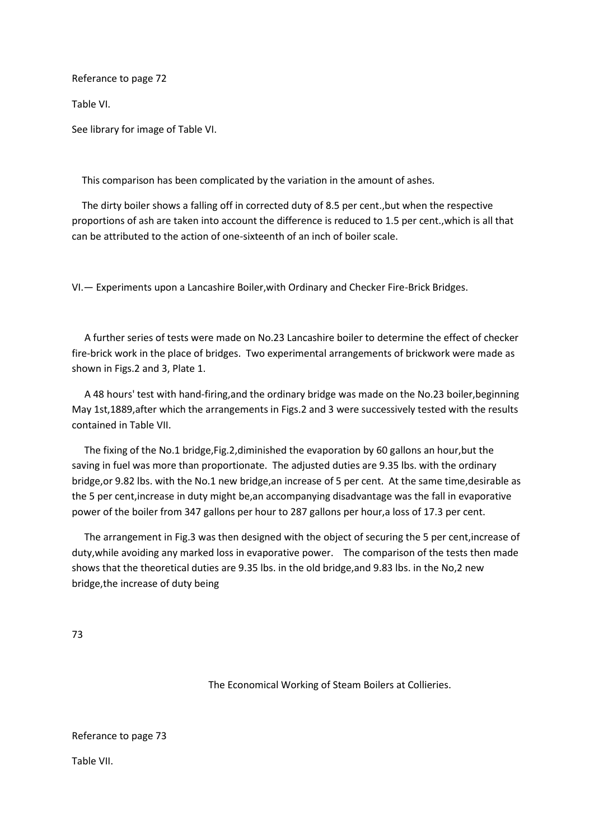Referance to page 72

Table VI.

See library for image of Table VI.

This comparison has been complicated by the variation in the amount of ashes.

 The dirty boiler shows a falling off in corrected duty of 8.5 per cent.,but when the respective proportions of ash are taken into account the difference is reduced to 1.5 per cent.,which is all that can be attributed to the action of one-sixteenth of an inch of boiler scale.

VI.— Experiments upon a Lancashire Boiler,with Ordinary and Checker Fire-Brick Bridges.

 A further series of tests were made on No.23 Lancashire boiler to determine the effect of checker fire-brick work in the place of bridges. Two experimental arrangements of brickwork were made as shown in Figs.2 and 3, Plate 1.

 A 48 hours' test with hand-firing,and the ordinary bridge was made on the No.23 boiler,beginning May 1st,1889,after which the arrangements in Figs.2 and 3 were successively tested with the results contained in Table VII.

 The fixing of the No.1 bridge,Fig.2,diminished the evaporation by 60 gallons an hour,but the saving in fuel was more than proportionate. The adjusted duties are 9.35 lbs. with the ordinary bridge,or 9.82 lbs. with the No.1 new bridge,an increase of 5 per cent. At the same time,desirable as the 5 per cent,increase in duty might be,an accompanying disadvantage was the fall in evaporative power of the boiler from 347 gallons per hour to 287 gallons per hour,a loss of 17.3 per cent.

 The arrangement in Fig.3 was then designed with the object of securing the 5 per cent,increase of duty,while avoiding any marked loss in evaporative power. The comparison of the tests then made shows that the theoretical duties are 9.35 lbs. in the old bridge,and 9.83 lbs. in the No,2 new bridge,the increase of duty being

73

The Economical Working of Steam Boilers at Collieries.

Referance to page 73

Table VII.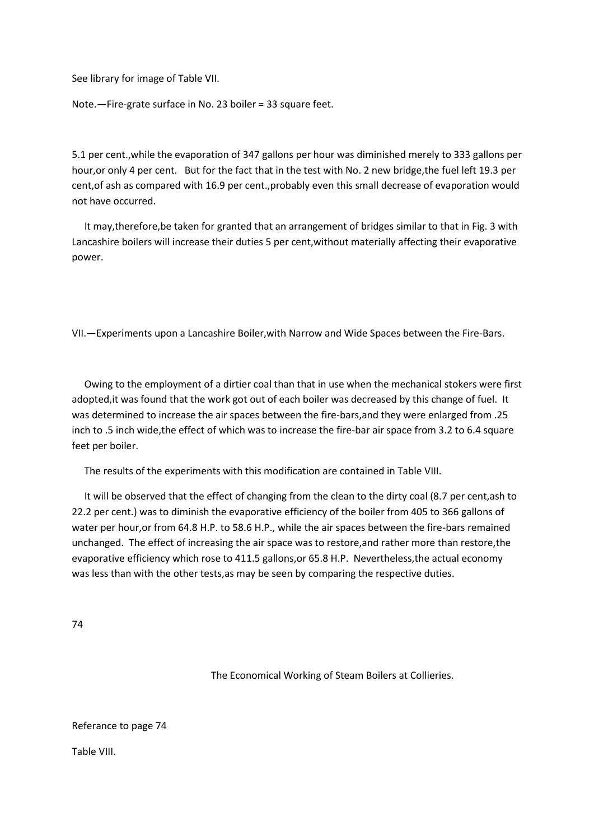See library for image of Table VII.

Note.—Fire-grate surface in No. 23 boiler = 33 square feet.

5.1 per cent.,while the evaporation of 347 gallons per hour was diminished merely to 333 gallons per hour, or only 4 per cent. But for the fact that in the test with No. 2 new bridge, the fuel left 19.3 per cent,of ash as compared with 16.9 per cent.,probably even this small decrease of evaporation would not have occurred.

 It may,therefore,be taken for granted that an arrangement of bridges similar to that in Fig. 3 with Lancashire boilers will increase their duties 5 per cent,without materially affecting their evaporative power.

VII.—Experiments upon a Lancashire Boiler,with Narrow and Wide Spaces between the Fire-Bars.

 Owing to the employment of a dirtier coal than that in use when the mechanical stokers were first adopted,it was found that the work got out of each boiler was decreased by this change of fuel. It was determined to increase the air spaces between the fire-bars,and they were enlarged from .25 inch to .5 inch wide,the effect of which was to increase the fire-bar air space from 3.2 to 6.4 square feet per boiler.

The results of the experiments with this modification are contained in Table VIII.

 It will be observed that the effect of changing from the clean to the dirty coal (8.7 per cent,ash to 22.2 per cent.) was to diminish the evaporative efficiency of the boiler from 405 to 366 gallons of water per hour,or from 64.8 H.P. to 58.6 H.P., while the air spaces between the fire-bars remained unchanged. The effect of increasing the air space was to restore,and rather more than restore,the evaporative efficiency which rose to 411.5 gallons,or 65.8 H.P. Nevertheless,the actual economy was less than with the other tests,as may be seen by comparing the respective duties.

74

The Economical Working of Steam Boilers at Collieries.

Referance to page 74

Table VIII.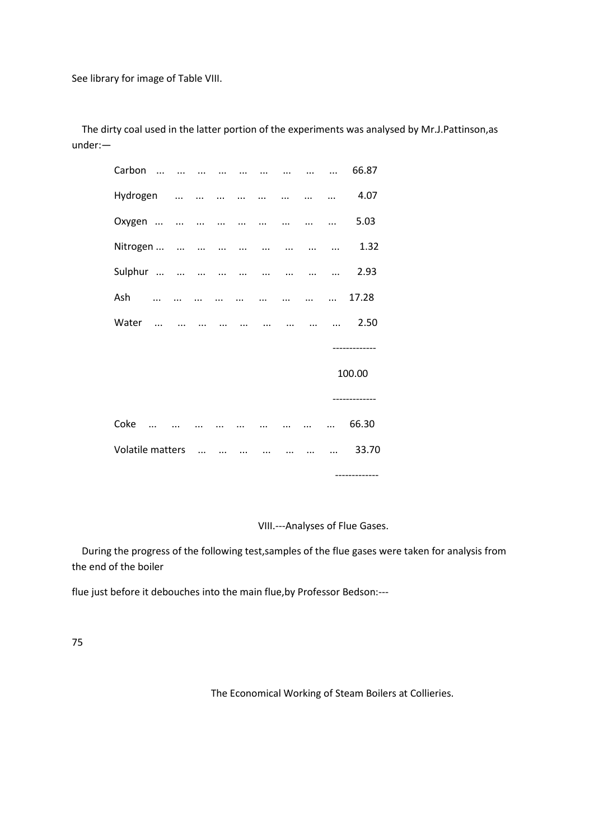See library for image of Table VIII.

 The dirty coal used in the latter portion of the experiments was analysed by Mr.J.Pattinson,as under:—

| Carbon           | $\ddotsc$                   |          | $\sim$ $\sim$ |                   | $\ddotsc$     | $\dddotsc$    | $\dddotsc$ |               |            | 66.87         |
|------------------|-----------------------------|----------|---------------|-------------------|---------------|---------------|------------|---------------|------------|---------------|
| Hydrogen         |                             |          |               |                   |               |               |            | $\sim$ $\sim$ | $\dddotsc$ | 4.07          |
| Oxygen           |                             |          |               |                   |               |               |            |               | $\dddotsc$ | 5.03          |
|                  |                             |          |               |                   |               |               |            |               |            | 1.32          |
| Sulphur          |                             |          |               |                   |               |               |            |               |            | 2.93          |
| Ash              | $\cdots$                    | $\cdots$ |               |                   |               | $\frac{1}{2}$ |            | $\dddotsc$    | $\cdots$   | 17.28         |
| Water            | $\sim$ $\sim$ $\sim$ $\sim$ |          |               |                   |               | $\cdots$      |            | $\cdots$      |            | 2.50          |
|                  |                             |          |               |                   |               |               |            |               |            |               |
|                  |                             |          |               |                   |               |               |            |               |            | 100.00        |
|                  |                             |          |               |                   |               |               |            |               |            |               |
| Coke             |                             |          |               |                   | $\sim$        |               |            |               | $\dddotsc$ | 66.30         |
| Volatile matters |                             |          |               | $\cdots$ $\cdots$ | $\sim$ $\sim$ |               |            |               |            | 33.70         |
|                  |                             |          |               |                   |               |               |            |               |            | ------------- |

VIII.---Analyses of Flue Gases.

 During the progress of the following test,samples of the flue gases were taken for analysis from the end of the boiler

flue just before it debouches into the main flue,by Professor Bedson:---

75

The Economical Working of Steam Boilers at Collieries.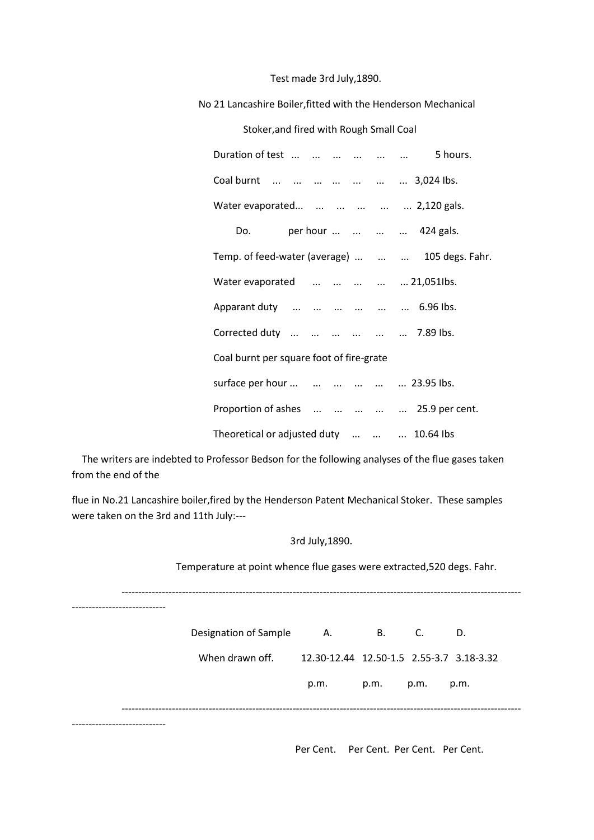#### Test made 3rd July,1890.

No 21 Lancashire Boiler,fitted with the Henderson Mechanical

#### Stoker,and fired with Rough Small Coal

| Duration of test       5 hours.                  |  |
|--------------------------------------------------|--|
| Coal burnt        3,024 lbs.                     |  |
| Water evaporated      2,120 gals.                |  |
| per hour     424 gals.<br>Do.                    |  |
| Temp. of feed-water (average)    105 degs. Fahr. |  |
| Water evaporated      21,051lbs.                 |  |
| Apparant duty       6.96 lbs.                    |  |
| Corrected duty       7.89 lbs.                   |  |
| Coal burnt per square foot of fire-grate         |  |
| surface per hour       23.95 lbs.                |  |
| Proportion of ashes      25.9 per cent.          |  |
| Theoretical or adjusted duty    10.64 lbs        |  |

 The writers are indebted to Professor Bedson for the following analyses of the flue gases taken from the end of the

flue in No.21 Lancashire boiler,fired by the Henderson Patent Mechanical Stoker. These samples were taken on the 3rd and 11th July:---

## 3rd July,1890.

-----------------------------------------------------------------------------------------------------------------------

Temperature at point whence flue gases were extracted,520 degs. Fahr.

---------------------------- Designation of Sample A. B. C. D. When drawn off. 12.30-12.44 12.50-1.5 2.55-3.7 3.18-3.32 p.m. p.m. p.m. p.m. -----------------------------------------------------------------------------------------------------------------------

----------------------------

Per Cent. Per Cent. Per Cent. Per Cent.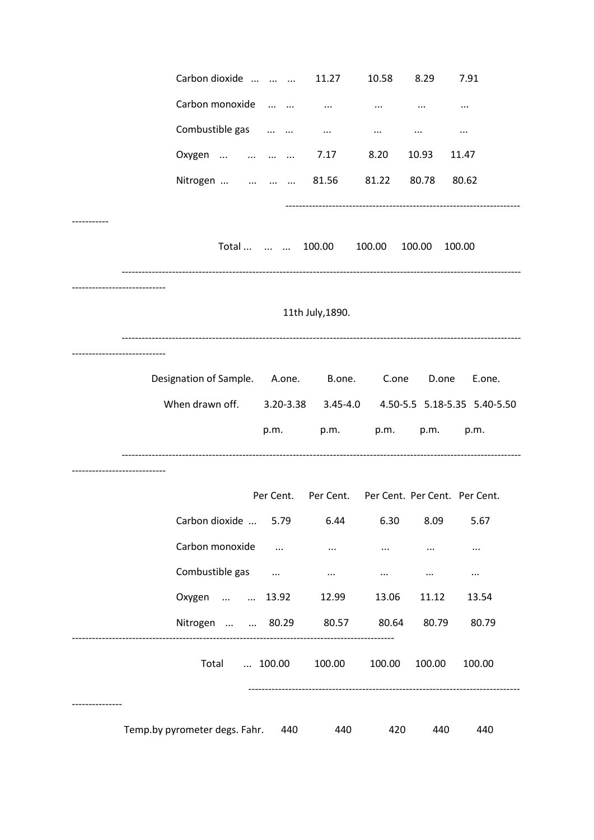| Carbon dioxide                |                  | 11.27                                   | 10.58    | 8.29     | 7.91                                                    |
|-------------------------------|------------------|-----------------------------------------|----------|----------|---------------------------------------------------------|
| Carbon monoxide               |                  | $\cdots$                                | $\cdots$ | $\cdots$ | $\cdots$                                                |
| Combustible gas               |                  | $\cdots$                                | $\cdots$ | $\cdots$ | $\cdots$                                                |
| Oxygen                        |                  | 7.17                                    | 8.20     | 10.93    | 11.47                                                   |
| Nitrogen     81.56            |                  |                                         | 81.22    | 80.78    | 80.62                                                   |
|                               |                  |                                         |          |          |                                                         |
|                               | Total    100.00  |                                         | 100.00   | 100.00   | 100.00                                                  |
|                               |                  |                                         |          |          |                                                         |
|                               |                  | 11th July, 1890.                        |          |          |                                                         |
|                               |                  |                                         |          |          |                                                         |
| Designation of Sample. A.one. |                  | B.one.                                  | C.one    | D.one    | E.one.                                                  |
| When drawn off.               |                  |                                         |          |          | 3.20-3.38   3.45-4.0   4.50-5.5   5.18-5.35   5.40-5.50 |
|                               | p.m.             | p.m.                                    | p.m.     | p.m.     | p.m.                                                    |
|                               |                  |                                         |          |          |                                                         |
|                               | Per Cent.        | Per Cent. Per Cent. Per Cent. Per Cent. |          |          |                                                         |
| Carbon dioxide                | 5.79             | 6.44                                    | 6.30     | 8.09     | 5.67                                                    |
| Carbon monoxide               | $\ldots$         | $\cdots$                                | $\cdots$ | $\cdots$ | $\cdots$                                                |
| Combustible gas               | $\sim$ 100 $\pm$ | $\cdots$                                | $\cdots$ | $\cdots$ | $\cdots$                                                |
| Oxygen   13.92                |                  | 12.99                                   | 13.06    | 11.12    | 13.54                                                   |
| Nitrogen   80.29              |                  | 80.57                                   | 80.64    | 80.79    | 80.79                                                   |
| Total                         | 100.00           | 100.00                                  | 100.00   | 100.00   | 100.00                                                  |
| Temp.by pyrometer degs. Fahr. | 440              | 440                                     | 420      | 440      | 440                                                     |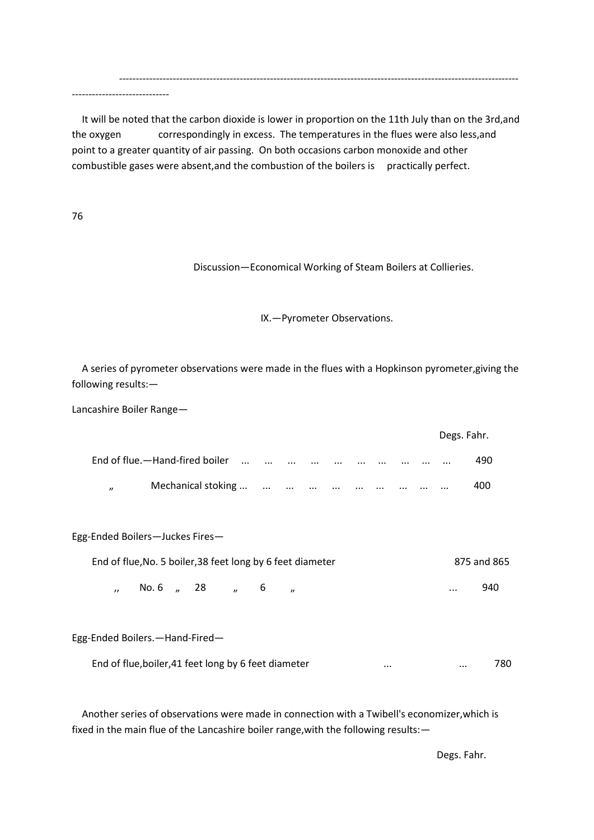It will be noted that the carbon dioxide is lower in proportion on the 11th July than on the 3rd,and the oxygen correspondingly in excess. The temperatures in the flues were also less,and point to a greater quantity of air passing. On both occasions carbon monoxide and other combustible gases were absent, and the combustion of the boilers is practically perfect.

-----------------------------------------------------------------------------------------------------------------------

76

Discussion—Economical Working of Steam Boilers at Collieries.

IX.—Pyrometer Observations.

 A series of pyrometer observations were made in the flues with a Hopkinson pyrometer,giving the following results:—

Lancashire Boiler Range—

-----------------------------

|                     |                                |          |                                                                                                                  |          |          |          |                   |          |          | Degs. Fahr. |     |
|---------------------|--------------------------------|----------|------------------------------------------------------------------------------------------------------------------|----------|----------|----------|-------------------|----------|----------|-------------|-----|
|                     | End of flue.—Hand-fired boiler | $\cdots$ | $\cdots$                                                                                                         | $\cdots$ | $\cdots$ | $\cdots$ | $\cdots$ $\cdots$ | $\cdots$ | $\cdots$ | $\cdots$    | 490 |
| $\boldsymbol{\eta}$ | Mechanical stoking             |          | and the company of the company of the company of the company of the company of the company of the company of the |          |          |          |                   | $\cdots$ | $\cdots$ | $\cdots$    | 400 |

Egg-Ended Boilers—Juckes Fires— End of flue,No. 5 boiler,38 feet long by 6 feet diameter 875 and 865

,, No. 6 ,, 28 ,, 6 ,, 340

Egg-Ended Boilers.—Hand-Fired—

End of flue,boiler,41 feet long by 6 feet diameter ... ... 780

 Another series of observations were made in connection with a Twibell's economizer,which is fixed in the main flue of the Lancashire boiler range,with the following results:—

Degs. Fahr.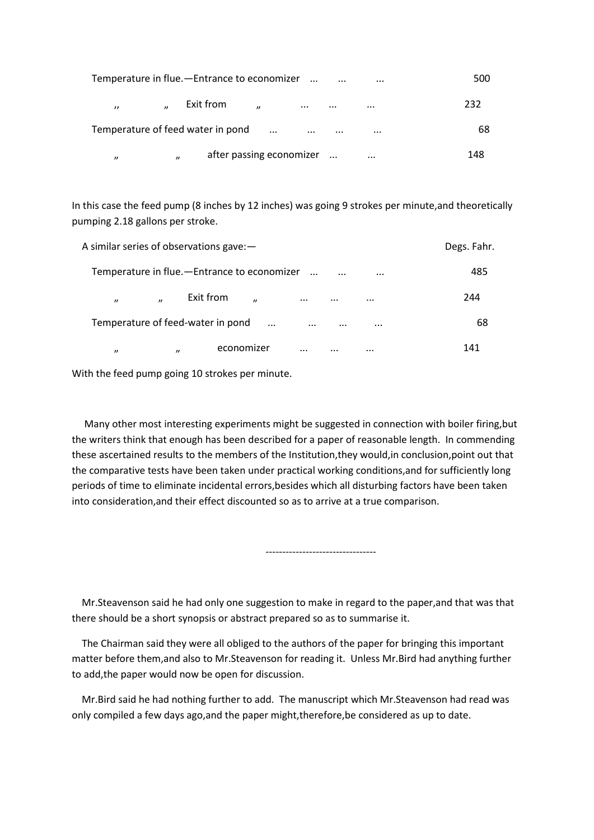| Temperature in flue.-Entrance to economizer                                | $\cdots$<br>$\cdots$ | 500 |
|----------------------------------------------------------------------------|----------------------|-----|
| Exit from<br>$\overline{u}$<br>$\prime$<br>$\boldsymbol{\eta}$<br>$\cdots$ | $\cdots$<br>$\cdots$ | 232 |
| Temperature of feed water in pond<br>$\dddotsc$<br>$\cdots$                | $\cdots$<br>$\cdots$ | 68  |
| after passing economizer<br>$^{\prime\prime}$<br>$^{\prime\prime}$         | $\cdots$             | 148 |

In this case the feed pump (8 inches by 12 inches) was going 9 strokes per minute,and theoretically pumping 2.18 gallons per stroke.

|                                          | A similar series of observations gave: -      |                      |          |     |  |  |  |  |
|------------------------------------------|-----------------------------------------------|----------------------|----------|-----|--|--|--|--|
|                                          | Temperature in flue. - Entrance to economizer | $\dddotsc$           | $\cdots$ | 485 |  |  |  |  |
| $\overline{ }$<br>$\boldsymbol{\eta}$    | Exit from<br>$\overline{u}$                   | $\cdots$<br>$\cdots$ | $\cdots$ | 244 |  |  |  |  |
| Temperature of feed-water in pond        | $\dddotsc$                                    | $\cdots$<br>$\cdots$ | $\cdots$ | 68  |  |  |  |  |
| $\boldsymbol{\eta}$<br>$^{\prime\prime}$ | economizer                                    | $\cdots$<br>$\cdots$ | $\cdots$ | 141 |  |  |  |  |

With the feed pump going 10 strokes per minute.

 Many other most interesting experiments might be suggested in connection with boiler firing,but the writers think that enough has been described for a paper of reasonable length. In commending these ascertained results to the members of the Institution,they would,in conclusion,point out that the comparative tests have been taken under practical working conditions,and for sufficiently long periods of time to eliminate incidental errors,besides which all disturbing factors have been taken into consideration,and their effect discounted so as to arrive at a true comparison.

 Mr.Steavenson said he had only one suggestion to make in regard to the paper,and that was that there should be a short synopsis or abstract prepared so as to summarise it.

---------------------------------

 The Chairman said they were all obliged to the authors of the paper for bringing this important matter before them,and also to Mr.Steavenson for reading it. Unless Mr.Bird had anything further to add,the paper would now be open for discussion.

 Mr.Bird said he had nothing further to add. The manuscript which Mr.Steavenson had read was only compiled a few days ago,and the paper might,therefore,be considered as up to date.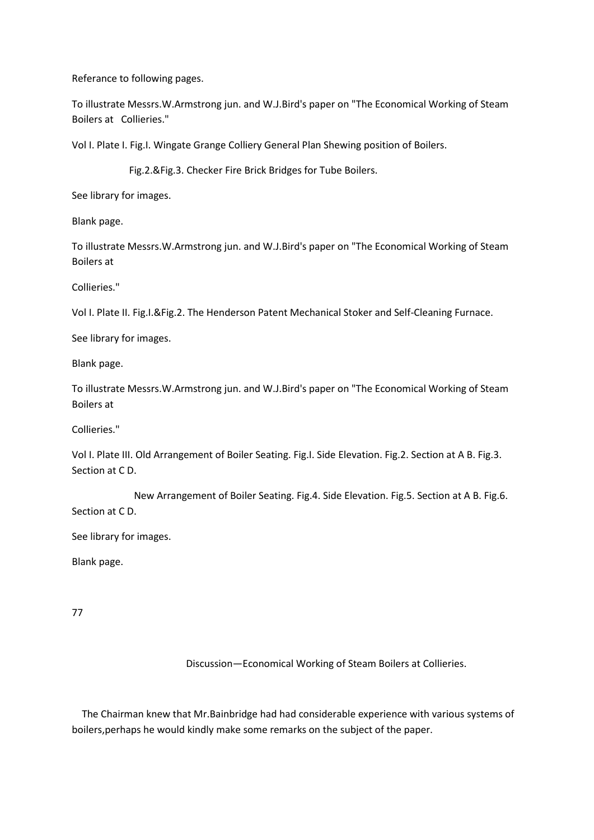Referance to following pages.

To illustrate Messrs.W.Armstrong jun. and W.J.Bird's paper on "The Economical Working of Steam Boilers at Collieries."

Vol I. Plate I. Fig.I. Wingate Grange Colliery General Plan Shewing position of Boilers.

Fig.2.&Fig.3. Checker Fire Brick Bridges for Tube Boilers.

See library for images.

Blank page.

To illustrate Messrs.W.Armstrong jun. and W.J.Bird's paper on "The Economical Working of Steam Boilers at

Collieries."

Vol I. Plate II. Fig.I.&Fig.2. The Henderson Patent Mechanical Stoker and Self-Cleaning Furnace.

See library for images.

Blank page.

To illustrate Messrs.W.Armstrong jun. and W.J.Bird's paper on "The Economical Working of Steam Boilers at

Collieries."

Vol I. Plate III. Old Arrangement of Boiler Seating. Fig.I. Side Elevation. Fig.2. Section at A B. Fig.3. Section at C D.

 New Arrangement of Boiler Seating. Fig.4. Side Elevation. Fig.5. Section at A B. Fig.6. Section at C D.

See library for images.

Blank page.

77

Discussion—Economical Working of Steam Boilers at Collieries.

 The Chairman knew that Mr.Bainbridge had had considerable experience with various systems of boilers,perhaps he would kindly make some remarks on the subject of the paper.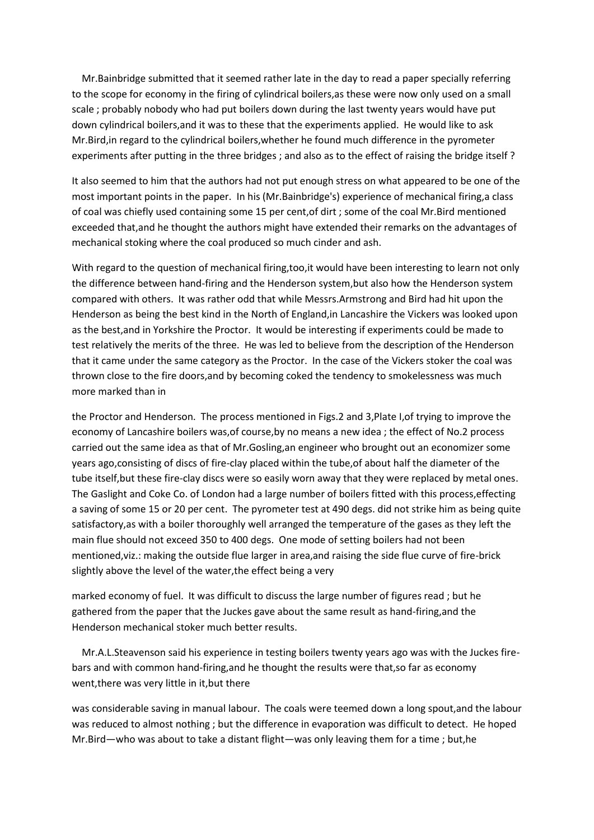Mr.Bainbridge submitted that it seemed rather late in the day to read a paper specially referring to the scope for economy in the firing of cylindrical boilers,as these were now only used on a small scale ; probably nobody who had put boilers down during the last twenty years would have put down cylindrical boilers,and it was to these that the experiments applied. He would like to ask Mr.Bird,in regard to the cylindrical boilers,whether he found much difference in the pyrometer experiments after putting in the three bridges ; and also as to the effect of raising the bridge itself ?

It also seemed to him that the authors had not put enough stress on what appeared to be one of the most important points in the paper. In his (Mr.Bainbridge's) experience of mechanical firing,a class of coal was chiefly used containing some 15 per cent,of dirt ; some of the coal Mr.Bird mentioned exceeded that,and he thought the authors might have extended their remarks on the advantages of mechanical stoking where the coal produced so much cinder and ash.

With regard to the question of mechanical firing,too,it would have been interesting to learn not only the difference between hand-firing and the Henderson system,but also how the Henderson system compared with others. It was rather odd that while Messrs.Armstrong and Bird had hit upon the Henderson as being the best kind in the North of England,in Lancashire the Vickers was looked upon as the best,and in Yorkshire the Proctor. It would be interesting if experiments could be made to test relatively the merits of the three. He was led to believe from the description of the Henderson that it came under the same category as the Proctor. In the case of the Vickers stoker the coal was thrown close to the fire doors,and by becoming coked the tendency to smokelessness was much more marked than in

the Proctor and Henderson. The process mentioned in Figs.2 and 3,Plate I,of trying to improve the economy of Lancashire boilers was,of course,by no means a new idea ; the effect of No.2 process carried out the same idea as that of Mr.Gosling,an engineer who brought out an economizer some years ago,consisting of discs of fire-clay placed within the tube,of about half the diameter of the tube itself,but these fire-clay discs were so easily worn away that they were replaced by metal ones. The Gaslight and Coke Co. of London had a large number of boilers fitted with this process,effecting a saving of some 15 or 20 per cent. The pyrometer test at 490 degs. did not strike him as being quite satisfactory,as with a boiler thoroughly well arranged the temperature of the gases as they left the main flue should not exceed 350 to 400 degs. One mode of setting boilers had not been mentioned,viz.: making the outside flue larger in area,and raising the side flue curve of fire-brick slightly above the level of the water,the effect being a very

marked economy of fuel. It was difficult to discuss the large number of figures read ; but he gathered from the paper that the Juckes gave about the same result as hand-firing,and the Henderson mechanical stoker much better results.

 Mr.A.L.Steavenson said his experience in testing boilers twenty years ago was with the Juckes firebars and with common hand-firing,and he thought the results were that,so far as economy went, there was very little in it, but there

was considerable saving in manual labour. The coals were teemed down a long spout,and the labour was reduced to almost nothing ; but the difference in evaporation was difficult to detect. He hoped Mr.Bird—who was about to take a distant flight—was only leaving them for a time ; but,he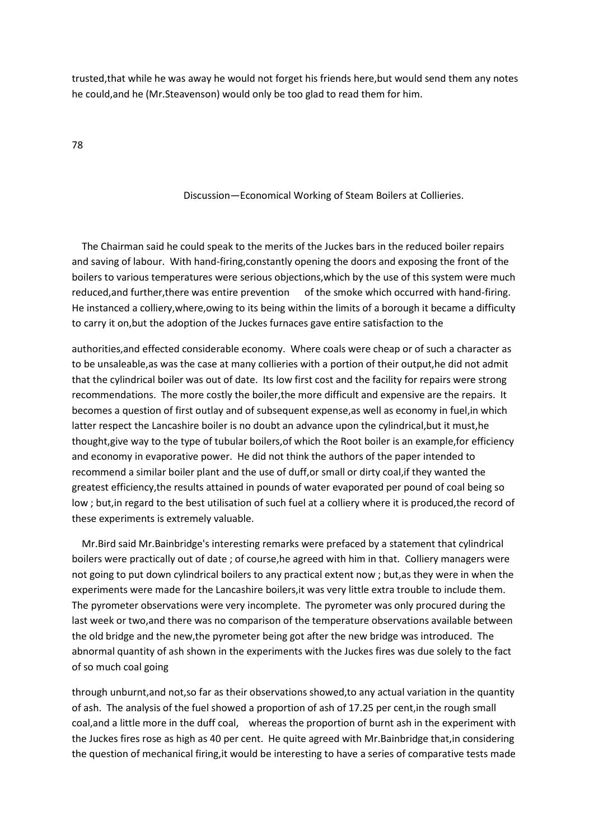trusted,that while he was away he would not forget his friends here,but would send them any notes he could,and he (Mr.Steavenson) would only be too glad to read them for him.

78

#### Discussion—Economical Working of Steam Boilers at Collieries.

 The Chairman said he could speak to the merits of the Juckes bars in the reduced boiler repairs and saving of labour. With hand-firing,constantly opening the doors and exposing the front of the boilers to various temperatures were serious objections,which by the use of this system were much reduced,and further,there was entire prevention of the smoke which occurred with hand-firing. He instanced a colliery,where,owing to its being within the limits of a borough it became a difficulty to carry it on,but the adoption of the Juckes furnaces gave entire satisfaction to the

authorities,and effected considerable economy. Where coals were cheap or of such a character as to be unsaleable,as was the case at many collieries with a portion of their output,he did not admit that the cylindrical boiler was out of date. Its low first cost and the facility for repairs were strong recommendations. The more costly the boiler,the more difficult and expensive are the repairs. It becomes a question of first outlay and of subsequent expense,as well as economy in fuel,in which latter respect the Lancashire boiler is no doubt an advance upon the cylindrical,but it must,he thought,give way to the type of tubular boilers,of which the Root boiler is an example,for efficiency and economy in evaporative power. He did not think the authors of the paper intended to recommend a similar boiler plant and the use of duff,or small or dirty coal,if they wanted the greatest efficiency,the results attained in pounds of water evaporated per pound of coal being so low ; but,in regard to the best utilisation of such fuel at a colliery where it is produced,the record of these experiments is extremely valuable.

 Mr.Bird said Mr.Bainbridge's interesting remarks were prefaced by a statement that cylindrical boilers were practically out of date ; of course,he agreed with him in that. Colliery managers were not going to put down cylindrical boilers to any practical extent now ; but,as they were in when the experiments were made for the Lancashire boilers,it was very little extra trouble to include them. The pyrometer observations were very incomplete. The pyrometer was only procured during the last week or two,and there was no comparison of the temperature observations available between the old bridge and the new,the pyrometer being got after the new bridge was introduced. The abnormal quantity of ash shown in the experiments with the Juckes fires was due solely to the fact of so much coal going

through unburnt,and not,so far as their observations showed,to any actual variation in the quantity of ash. The analysis of the fuel showed a proportion of ash of 17.25 per cent,in the rough small coal,and a little more in the duff coal, whereas the proportion of burnt ash in the experiment with the Juckes fires rose as high as 40 per cent. He quite agreed with Mr.Bainbridge that,in considering the question of mechanical firing,it would be interesting to have a series of comparative tests made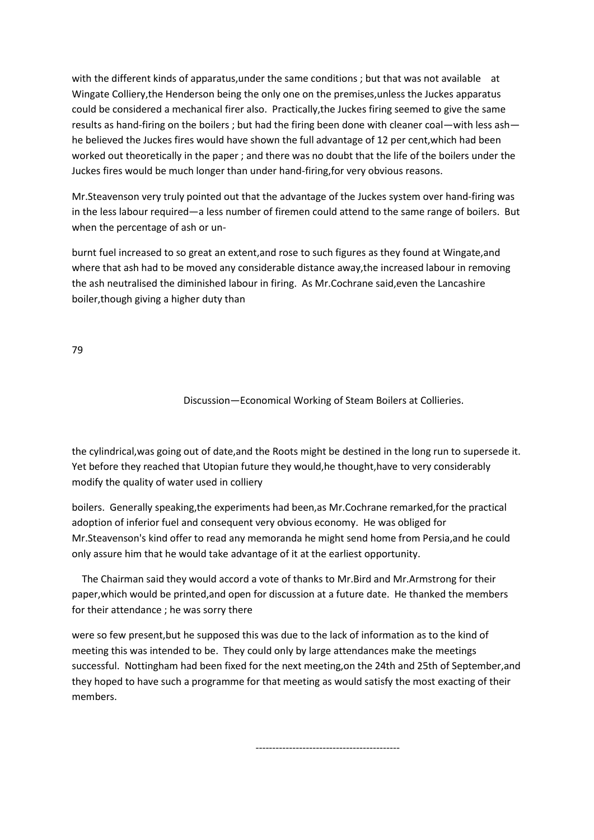with the different kinds of apparatus, under the same conditions; but that was not available at Wingate Colliery,the Henderson being the only one on the premises,unless the Juckes apparatus could be considered a mechanical firer also. Practically,the Juckes firing seemed to give the same results as hand-firing on the boilers ; but had the firing been done with cleaner coal—with less ash he believed the Juckes fires would have shown the full advantage of 12 per cent,which had been worked out theoretically in the paper ; and there was no doubt that the life of the boilers under the Juckes fires would be much longer than under hand-firing,for very obvious reasons.

Mr.Steavenson very truly pointed out that the advantage of the Juckes system over hand-firing was in the less labour required—a less number of firemen could attend to the same range of boilers. But when the percentage of ash or un-

burnt fuel increased to so great an extent,and rose to such figures as they found at Wingate,and where that ash had to be moved any considerable distance away,the increased labour in removing the ash neutralised the diminished labour in firing. As Mr.Cochrane said,even the Lancashire boiler,though giving a higher duty than

79

Discussion—Economical Working of Steam Boilers at Collieries.

the cylindrical,was going out of date,and the Roots might be destined in the long run to supersede it. Yet before they reached that Utopian future they would,he thought,have to very considerably modify the quality of water used in colliery

boilers. Generally speaking,the experiments had been,as Mr.Cochrane remarked,for the practical adoption of inferior fuel and consequent very obvious economy. He was obliged for Mr.Steavenson's kind offer to read any memoranda he might send home from Persia,and he could only assure him that he would take advantage of it at the earliest opportunity.

 The Chairman said they would accord a vote of thanks to Mr.Bird and Mr.Armstrong for their paper,which would be printed,and open for discussion at a future date. He thanked the members for their attendance ; he was sorry there

were so few present,but he supposed this was due to the lack of information as to the kind of meeting this was intended to be. They could only by large attendances make the meetings successful. Nottingham had been fixed for the next meeting,on the 24th and 25th of September,and they hoped to have such a programme for that meeting as would satisfy the most exacting of their members.

-------------------------------------------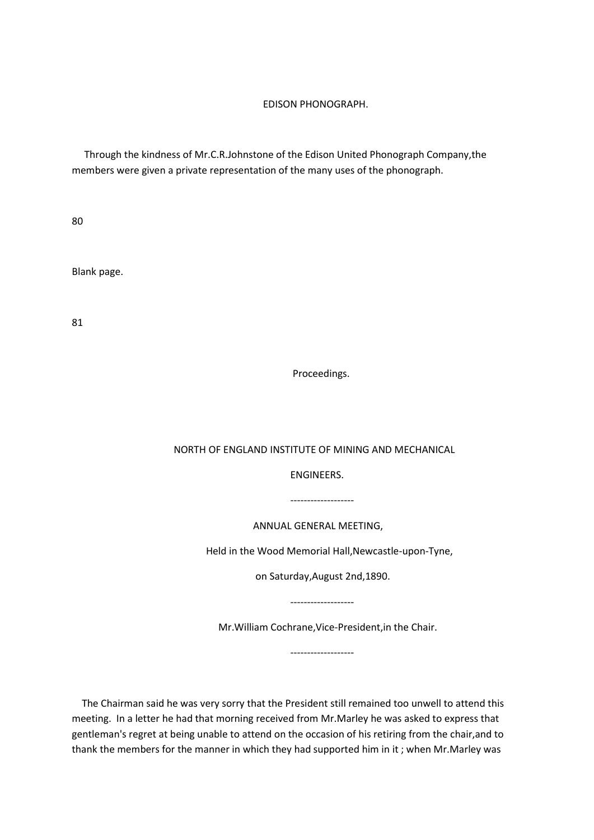#### EDISON PHONOGRAPH.

 Through the kindness of Mr.C.R.Johnstone of the Edison United Phonograph Company,the members were given a private representation of the many uses of the phonograph.

80

Blank page.

81

Proceedings.

#### NORTH OF ENGLAND INSTITUTE OF MINING AND MECHANICAL

ENGINEERS.

-------------------

ANNUAL GENERAL MEETING,

Held in the Wood Memorial Hall,Newcastle-upon-Tyne,

on Saturday,August 2nd,1890.

-------------------

-------------------

Mr.William Cochrane,Vice-President,in the Chair.

 The Chairman said he was very sorry that the President still remained too unwell to attend this meeting. In a letter he had that morning received from Mr.Marley he was asked to express that gentleman's regret at being unable to attend on the occasion of his retiring from the chair,and to thank the members for the manner in which they had supported him in it ; when Mr.Marley was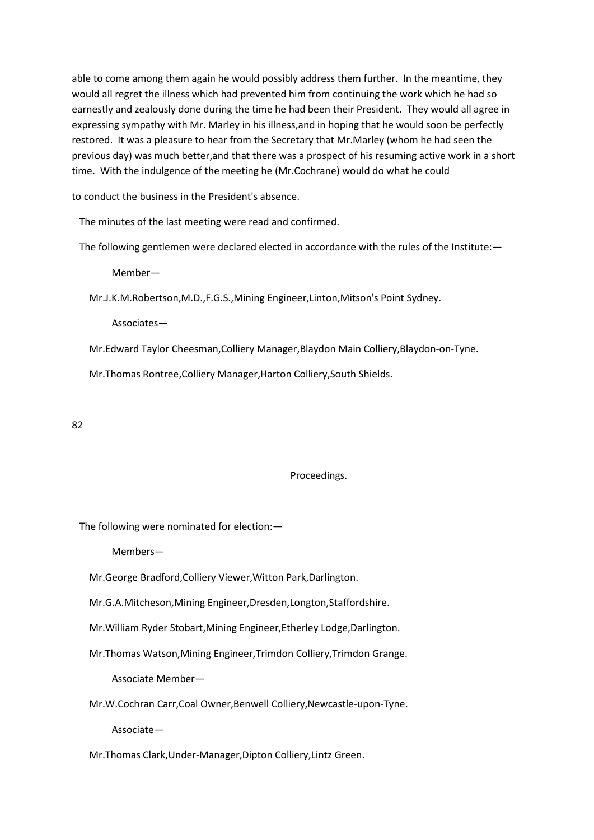able to come among them again he would possibly address them further. In the meantime, they would all regret the illness which had prevented him from continuing the work which he had so earnestly and zealously done during the time he had been their President. They would all agree in expressing sympathy with Mr. Marley in his illness,and in hoping that he would soon be perfectly restored. It was a pleasure to hear from the Secretary that Mr.Marley (whom he had seen the previous day) was much better,and that there was a prospect of his resuming active work in a short time. With the indulgence of the meeting he (Mr.Cochrane) would do what he could

to conduct the business in the President's absence.

The minutes of the last meeting were read and confirmed.

The following gentlemen were declared elected in accordance with the rules of the Institute:—

Member—

Mr.J.K.M.Robertson,M.D.,F.G.S.,Mining Engineer,Linton,Mitson's Point Sydney.

Associates—

Mr.Edward Taylor Cheesman,Colliery Manager,Blaydon Main Colliery,Blaydon-on-Tyne.

Mr.Thomas Rontree,Colliery Manager,Harton Colliery,South Shields.

82

#### Proceedings.

The following were nominated for election:—

Members—

Mr.George Bradford,Colliery Viewer,Witton Park,Darlington.

Mr.G.A.Mitcheson,Mining Engineer,Dresden,Longton,Staffordshire.

Mr.William Ryder Stobart,Mining Engineer,Etherley Lodge,Darlington.

Mr.Thomas Watson,Mining Engineer,Trimdon Colliery,Trimdon Grange.

Associate Member—

Mr.W.Cochran Carr,Coal Owner,Benwell Colliery,Newcastle-upon-Tyne.

Associate—

Mr.Thomas Clark,Under-Manager,Dipton Colliery,Lintz Green.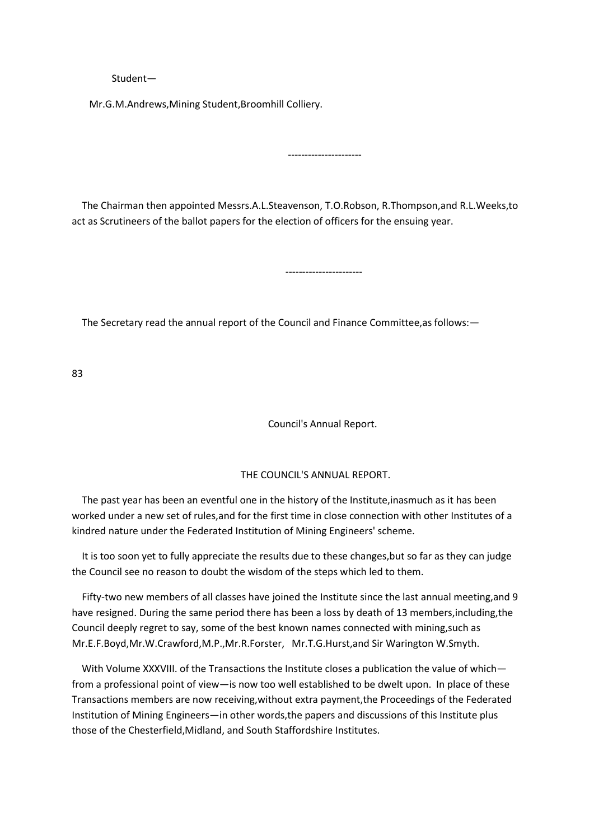#### Student—

Mr.G.M.Andrews,Mining Student,Broomhill Colliery.

-----------------------

 The Chairman then appointed Messrs.A.L.Steavenson, T.O.Robson, R.Thompson,and R.L.Weeks,to act as Scrutineers of the ballot papers for the election of officers for the ensuing year.

----------------------

The Secretary read the annual report of the Council and Finance Committee,as follows:—

83

Council's Annual Report.

#### THE COUNCIL'S ANNUAL REPORT.

 The past year has been an eventful one in the history of the Institute,inasmuch as it has been worked under a new set of rules,and for the first time in close connection with other Institutes of a kindred nature under the Federated Institution of Mining Engineers' scheme.

 It is too soon yet to fully appreciate the results due to these changes,but so far as they can judge the Council see no reason to doubt the wisdom of the steps which led to them.

 Fifty-two new members of all classes have joined the Institute since the last annual meeting,and 9 have resigned. During the same period there has been a loss by death of 13 members,including,the Council deeply regret to say, some of the best known names connected with mining,such as Mr.E.F.Boyd,Mr.W.Crawford,M.P.,Mr.R.Forster, Mr.T.G.Hurst,and Sir Warington W.Smyth.

With Volume XXXVIII. of the Transactions the Institute closes a publication the value of which from a professional point of view—is now too well established to be dwelt upon. In place of these Transactions members are now receiving,without extra payment,the Proceedings of the Federated Institution of Mining Engineers—in other words,the papers and discussions of this Institute plus those of the Chesterfield,Midland, and South Staffordshire Institutes.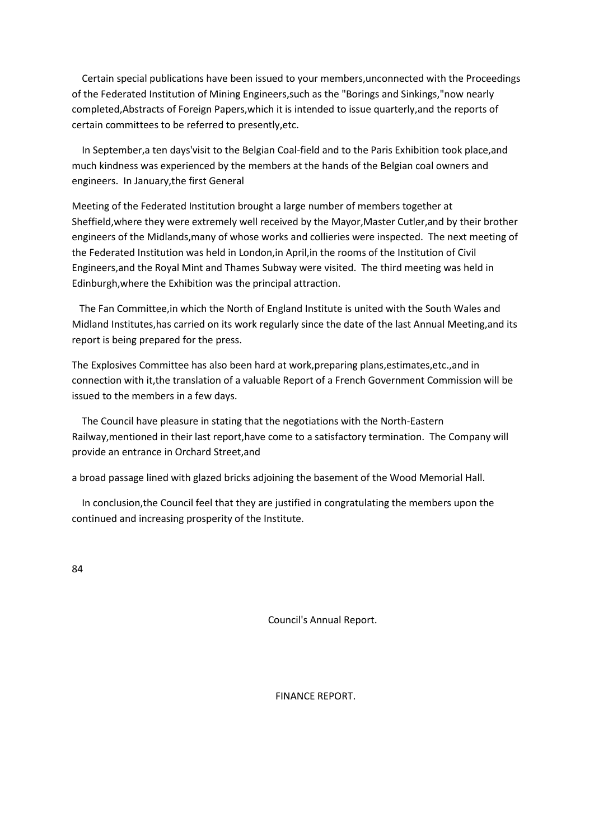Certain special publications have been issued to your members,unconnected with the Proceedings of the Federated Institution of Mining Engineers,such as the "Borings and Sinkings,"now nearly completed,Abstracts of Foreign Papers,which it is intended to issue quarterly,and the reports of certain committees to be referred to presently,etc.

 In September,a ten days'visit to the Belgian Coal-field and to the Paris Exhibition took place,and much kindness was experienced by the members at the hands of the Belgian coal owners and engineers. In January,the first General

Meeting of the Federated Institution brought a large number of members together at Sheffield,where they were extremely well received by the Mayor,Master Cutler,and by their brother engineers of the Midlands,many of whose works and collieries were inspected. The next meeting of the Federated Institution was held in London,in April,in the rooms of the Institution of Civil Engineers,and the Royal Mint and Thames Subway were visited. The third meeting was held in Edinburgh,where the Exhibition was the principal attraction.

 The Fan Committee,in which the North of England Institute is united with the South Wales and Midland Institutes,has carried on its work regularly since the date of the last Annual Meeting,and its report is being prepared for the press.

The Explosives Committee has also been hard at work,preparing plans,estimates,etc.,and in connection with it,the translation of a valuable Report of a French Government Commission will be issued to the members in a few days.

 The Council have pleasure in stating that the negotiations with the North-Eastern Railway,mentioned in their last report,have come to a satisfactory termination. The Company will provide an entrance in Orchard Street,and

a broad passage lined with glazed bricks adjoining the basement of the Wood Memorial Hall.

 In conclusion,the Council feel that they are justified in congratulating the members upon the continued and increasing prosperity of the Institute.

84

Council's Annual Report.

FINANCE REPORT.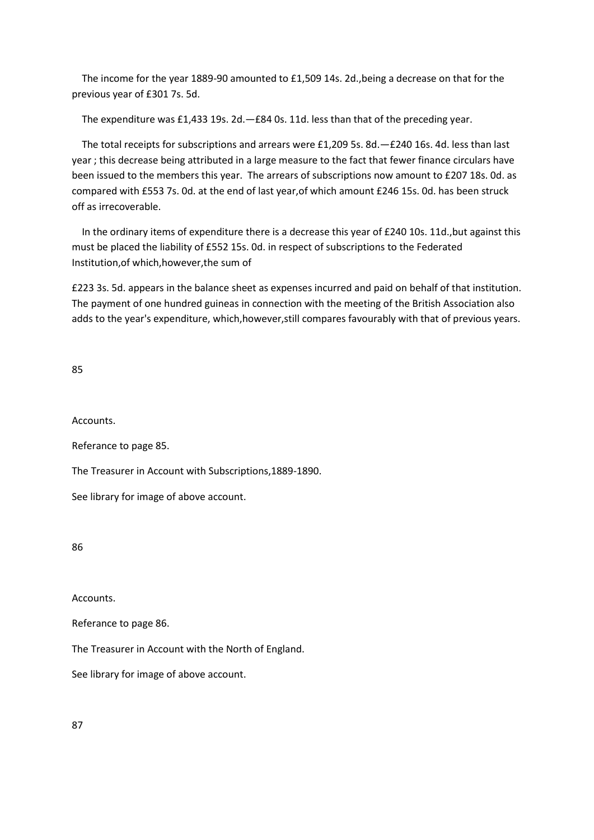The income for the year 1889-90 amounted to £1,509 14s. 2d.,being a decrease on that for the previous year of £301 7s. 5d.

The expenditure was £1,433 19s. 2d.—£84 0s. 11d. less than that of the preceding year.

 The total receipts for subscriptions and arrears were £1,209 5s. 8d.—£240 16s. 4d. less than last year ; this decrease being attributed in a large measure to the fact that fewer finance circulars have been issued to the members this year. The arrears of subscriptions now amount to £207 18s. 0d. as compared with £553 7s. 0d. at the end of last year,of which amount £246 15s. 0d. has been struck off as irrecoverable.

 In the ordinary items of expenditure there is a decrease this year of £240 10s. 11d.,but against this must be placed the liability of £552 15s. 0d. in respect of subscriptions to the Federated Institution,of which,however,the sum of

£223 3s. 5d. appears in the balance sheet as expenses incurred and paid on behalf of that institution. The payment of one hundred guineas in connection with the meeting of the British Association also adds to the year's expenditure, which,however,still compares favourably with that of previous years.

85

Accounts.

Referance to page 85.

The Treasurer in Account with Subscriptions,1889-1890.

See library for image of above account.

86

Accounts.

Referance to page 86.

The Treasurer in Account with the North of England.

See library for image of above account.

87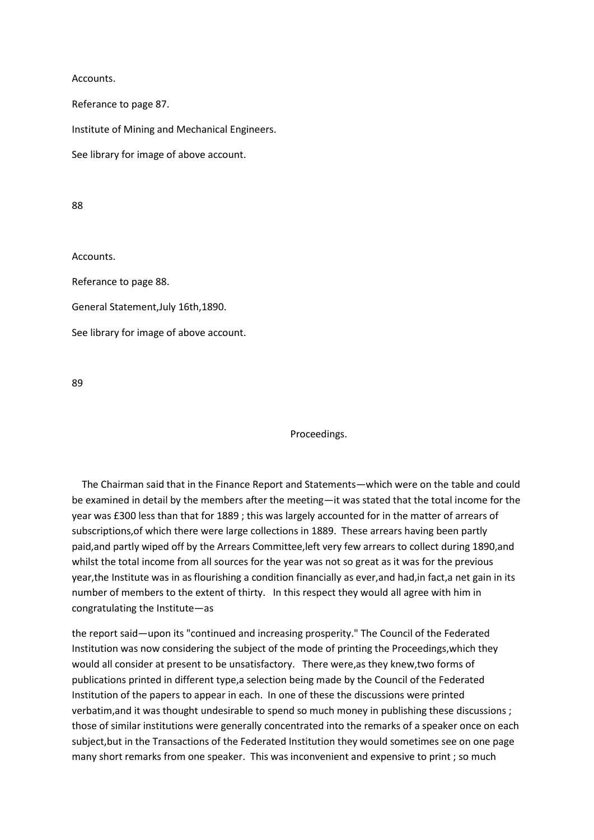Accounts.

Referance to page 87.

Institute of Mining and Mechanical Engineers.

See library for image of above account.

88

Accounts.

Referance to page 88.

General Statement,July 16th,1890.

See library for image of above account.

89

Proceedings.

 The Chairman said that in the Finance Report and Statements—which were on the table and could be examined in detail by the members after the meeting—it was stated that the total income for the year was £300 less than that for 1889 ; this was largely accounted for in the matter of arrears of subscriptions,of which there were large collections in 1889. These arrears having been partly paid,and partly wiped off by the Arrears Committee,left very few arrears to collect during 1890,and whilst the total income from all sources for the year was not so great as it was for the previous year,the Institute was in as flourishing a condition financially as ever, and had, in fact, a net gain in its number of members to the extent of thirty. In this respect they would all agree with him in congratulating the Institute—as

the report said—upon its "continued and increasing prosperity." The Council of the Federated Institution was now considering the subject of the mode of printing the Proceedings,which they would all consider at present to be unsatisfactory. There were,as they knew,two forms of publications printed in different type,a selection being made by the Council of the Federated Institution of the papers to appear in each. In one of these the discussions were printed verbatim,and it was thought undesirable to spend so much money in publishing these discussions ; those of similar institutions were generally concentrated into the remarks of a speaker once on each subject,but in the Transactions of the Federated Institution they would sometimes see on one page many short remarks from one speaker. This was inconvenient and expensive to print ; so much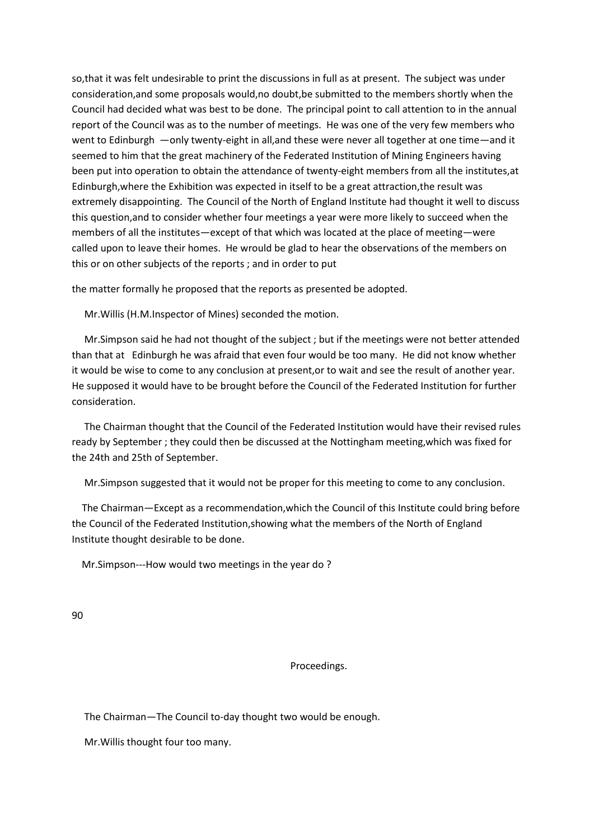so,that it was felt undesirable to print the discussions in full as at present. The subject was under consideration,and some proposals would,no doubt,be submitted to the members shortly when the Council had decided what was best to be done. The principal point to call attention to in the annual report of the Council was as to the number of meetings. He was one of the very few members who went to Edinburgh —only twenty-eight in all,and these were never all together at one time—and it seemed to him that the great machinery of the Federated Institution of Mining Engineers having been put into operation to obtain the attendance of twenty-eight members from all the institutes,at Edinburgh,where the Exhibition was expected in itself to be a great attraction,the result was extremely disappointing. The Council of the North of England Institute had thought it well to discuss this question,and to consider whether four meetings a year were more likely to succeed when the members of all the institutes—except of that which was located at the place of meeting—were called upon to leave their homes. He wrould be glad to hear the observations of the members on this or on other subjects of the reports ; and in order to put

the matter formally he proposed that the reports as presented be adopted.

Mr.Willis (H.M.Inspector of Mines) seconded the motion.

 Mr.Simpson said he had not thought of the subject ; but if the meetings were not better attended than that at Edinburgh he was afraid that even four would be too many. He did not know whether it would be wise to come to any conclusion at present,or to wait and see the result of another year. He supposed it would have to be brought before the Council of the Federated Institution for further consideration.

 The Chairman thought that the Council of the Federated Institution would have their revised rules ready by September ; they could then be discussed at the Nottingham meeting,which was fixed for the 24th and 25th of September.

Mr.Simpson suggested that it would not be proper for this meeting to come to any conclusion.

 The Chairman—Except as a recommendation,which the Council of this Institute could bring before the Council of the Federated Institution,showing what the members of the North of England Institute thought desirable to be done.

Mr.Simpson---How would two meetings in the year do ?

90

Proceedings.

The Chairman—The Council to-day thought two would be enough.

Mr.Willis thought four too many.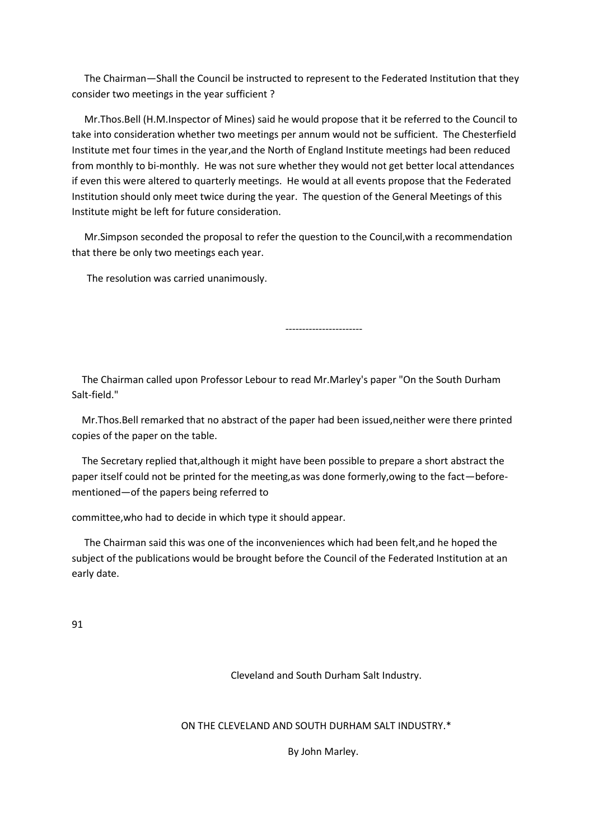The Chairman—Shall the Council be instructed to represent to the Federated Institution that they consider two meetings in the year sufficient ?

 Mr.Thos.Bell (H.M.Inspector of Mines) said he would propose that it be referred to the Council to take into consideration whether two meetings per annum would not be sufficient. The Chesterfield Institute met four times in the year,and the North of England Institute meetings had been reduced from monthly to bi-monthly. He was not sure whether they would not get better local attendances if even this were altered to quarterly meetings. He would at all events propose that the Federated Institution should only meet twice during the year. The question of the General Meetings of this Institute might be left for future consideration.

 Mr.Simpson seconded the proposal to refer the question to the Council,with a recommendation that there be only two meetings each year.

The resolution was carried unanimously.

-----------------------

 The Chairman called upon Professor Lebour to read Mr.Marley's paper "On the South Durham Salt-field."

 Mr.Thos.Bell remarked that no abstract of the paper had been issued,neither were there printed copies of the paper on the table.

 The Secretary replied that,although it might have been possible to prepare a short abstract the paper itself could not be printed for the meeting,as was done formerly,owing to the fact—beforementioned—of the papers being referred to

committee,who had to decide in which type it should appear.

 The Chairman said this was one of the inconveniences which had been felt,and he hoped the subject of the publications would be brought before the Council of the Federated Institution at an early date.

91

Cleveland and South Durham Salt Industry.

ON THE CLEVELAND AND SOUTH DURHAM SALT INDUSTRY.\*

By John Marley.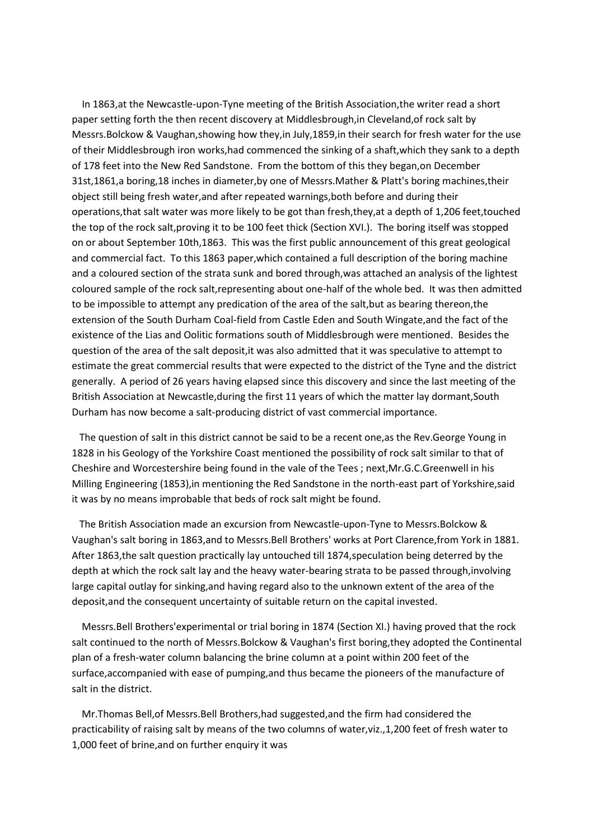In 1863,at the Newcastle-upon-Tyne meeting of the British Association,the writer read a short paper setting forth the then recent discovery at Middlesbrough,in Cleveland,of rock salt by Messrs.Bolckow & Vaughan,showing how they,in July,1859,in their search for fresh water for the use of their Middlesbrough iron works,had commenced the sinking of a shaft,which they sank to a depth of 178 feet into the New Red Sandstone. From the bottom of this they began,on December 31st,1861,a boring,18 inches in diameter,by one of Messrs.Mather & Platt's boring machines,their object still being fresh water,and after repeated warnings,both before and during their operations,that salt water was more likely to be got than fresh,they,at a depth of 1,206 feet,touched the top of the rock salt,proving it to be 100 feet thick (Section XVI.). The boring itself was stopped on or about September 10th,1863. This was the first public announcement of this great geological and commercial fact. To this 1863 paper,which contained a full description of the boring machine and a coloured section of the strata sunk and bored through,was attached an analysis of the lightest coloured sample of the rock salt,representing about one-half of the whole bed. It was then admitted to be impossible to attempt any predication of the area of the salt,but as bearing thereon,the extension of the South Durham Coal-field from Castle Eden and South Wingate,and the fact of the existence of the Lias and Oolitic formations south of Middlesbrough were mentioned. Besides the question of the area of the salt deposit,it was also admitted that it was speculative to attempt to estimate the great commercial results that were expected to the district of the Tyne and the district generally. A period of 26 years having elapsed since this discovery and since the last meeting of the British Association at Newcastle,during the first 11 years of which the matter lay dormant,South Durham has now become a salt-producing district of vast commercial importance.

 The question of salt in this district cannot be said to be a recent one,as the Rev.George Young in 1828 in his Geology of the Yorkshire Coast mentioned the possibility of rock salt similar to that of Cheshire and Worcestershire being found in the vale of the Tees ; next,Mr.G.C.Greenwell in his Milling Engineering (1853),in mentioning the Red Sandstone in the north-east part of Yorkshire,said it was by no means improbable that beds of rock salt might be found.

 The British Association made an excursion from Newcastle-upon-Tyne to Messrs.Bolckow & Vaughan's salt boring in 1863,and to Messrs.Bell Brothers' works at Port Clarence,from York in 1881. After 1863,the salt question practically lay untouched till 1874,speculation being deterred by the depth at which the rock salt lay and the heavy water-bearing strata to be passed through,involving large capital outlay for sinking,and having regard also to the unknown extent of the area of the deposit,and the consequent uncertainty of suitable return on the capital invested.

 Messrs.Bell Brothers'experimental or trial boring in 1874 (Section XI.) having proved that the rock salt continued to the north of Messrs.Bolckow & Vaughan's first boring,they adopted the Continental plan of a fresh-water column balancing the brine column at a point within 200 feet of the surface,accompanied with ease of pumping,and thus became the pioneers of the manufacture of salt in the district.

 Mr.Thomas Bell,of Messrs.Bell Brothers,had suggested,and the firm had considered the practicability of raising salt by means of the two columns of water,viz.,1,200 feet of fresh water to 1,000 feet of brine,and on further enquiry it was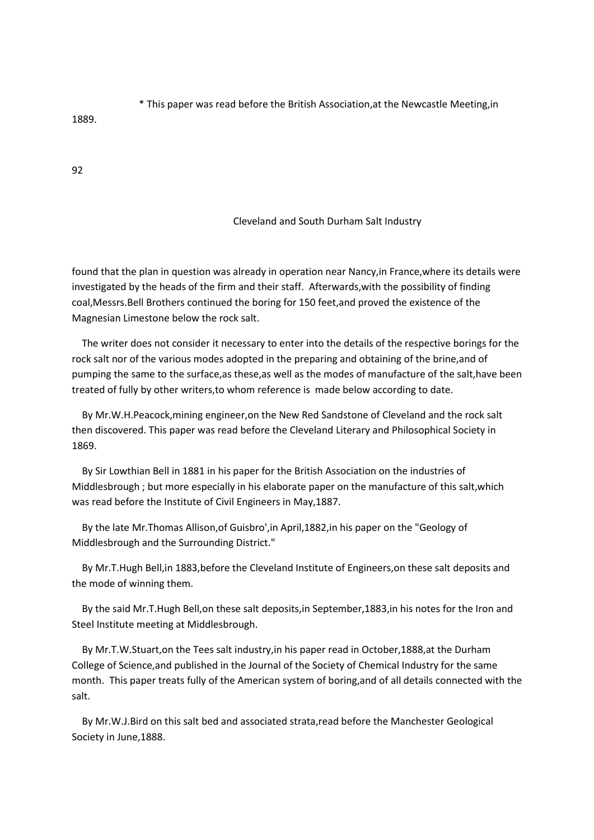\* This paper was read before the British Association,at the Newcastle Meeting,in

1889.

92

#### Cleveland and South Durham Salt Industry

found that the plan in question was already in operation near Nancy,in France,where its details were investigated by the heads of the firm and their staff. Afterwards,with the possibility of finding coal,Messrs.Bell Brothers continued the boring for 150 feet,and proved the existence of the Magnesian Limestone below the rock salt.

 The writer does not consider it necessary to enter into the details of the respective borings for the rock salt nor of the various modes adopted in the preparing and obtaining of the brine,and of pumping the same to the surface,as these,as well as the modes of manufacture of the salt,have been treated of fully by other writers,to whom reference is made below according to date.

 By Mr.W.H.Peacock,mining engineer,on the New Red Sandstone of Cleveland and the rock salt then discovered. This paper was read before the Cleveland Literary and Philosophical Society in 1869.

 By Sir Lowthian Bell in 1881 in his paper for the British Association on the industries of Middlesbrough ; but more especially in his elaborate paper on the manufacture of this salt,which was read before the Institute of Civil Engineers in May,1887.

 By the late Mr.Thomas Allison,of Guisbro',in April,1882,in his paper on the "Geology of Middlesbrough and the Surrounding District."

 By Mr.T.Hugh Bell,in 1883,before the Cleveland Institute of Engineers,on these salt deposits and the mode of winning them.

 By the said Mr.T.Hugh Bell,on these salt deposits,in September,1883,in his notes for the Iron and Steel Institute meeting at Middlesbrough.

 By Mr.T.W.Stuart,on the Tees salt industry,in his paper read in October,1888,at the Durham College of Science,and published in the Journal of the Society of Chemical Industry for the same month. This paper treats fully of the American system of boring,and of all details connected with the salt.

 By Mr.W.J.Bird on this salt bed and associated strata,read before the Manchester Geological Society in June,1888.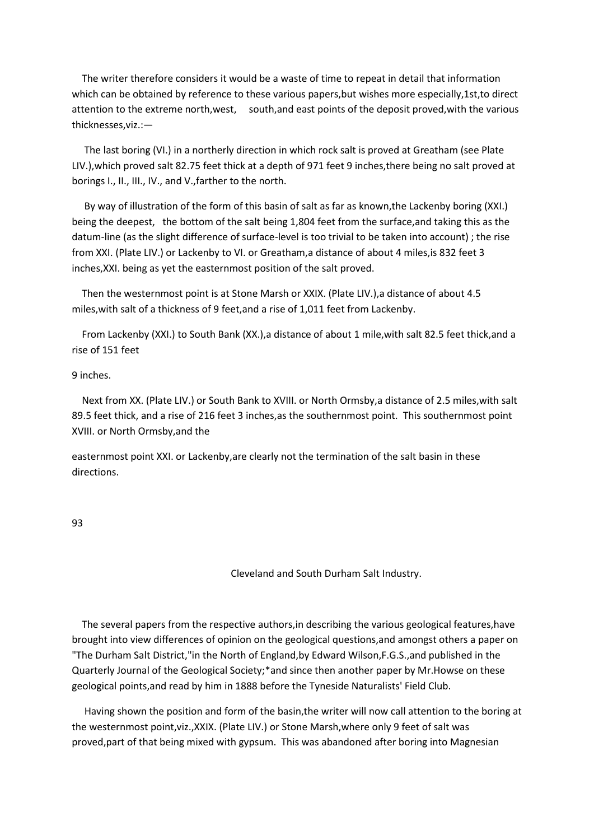The writer therefore considers it would be a waste of time to repeat in detail that information which can be obtained by reference to these various papers,but wishes more especially,1st,to direct attention to the extreme north,west, south,and east points of the deposit proved,with the various thicknesses,viz.:—

 The last boring (VI.) in a northerly direction in which rock salt is proved at Greatham (see Plate LIV.),which proved salt 82.75 feet thick at a depth of 971 feet 9 inches,there being no salt proved at borings I., II., III., IV., and V.,farther to the north.

 By way of illustration of the form of this basin of salt as far as known,the Lackenby boring (XXI.) being the deepest, the bottom of the salt being 1,804 feet from the surface,and taking this as the datum-line (as the slight difference of surface-level is too trivial to be taken into account) ; the rise from XXI. (Plate LIV.) or Lackenby to VI. or Greatham,a distance of about 4 miles,is 832 feet 3 inches,XXI. being as yet the easternmost position of the salt proved.

 Then the westernmost point is at Stone Marsh or XXIX. (Plate LIV.),a distance of about 4.5 miles,with salt of a thickness of 9 feet,and a rise of 1,011 feet from Lackenby.

 From Lackenby (XXI.) to South Bank (XX.),a distance of about 1 mile,with salt 82.5 feet thick,and a rise of 151 feet

#### 9 inches.

 Next from XX. (Plate LIV.) or South Bank to XVIII. or North Ormsby,a distance of 2.5 miles,with salt 89.5 feet thick, and a rise of 216 feet 3 inches,as the southernmost point. This southernmost point XVIII. or North Ormsby,and the

easternmost point XXI. or Lackenby,are clearly not the termination of the salt basin in these directions.

93

Cleveland and South Durham Salt Industry.

 The several papers from the respective authors,in describing the various geological features,have brought into view differences of opinion on the geological questions,and amongst others a paper on "The Durham Salt District,"in the North of England,by Edward Wilson,F.G.S.,and published in the Quarterly Journal of the Geological Society;\*and since then another paper by Mr.Howse on these geological points,and read by him in 1888 before the Tyneside Naturalists' Field Club.

 Having shown the position and form of the basin,the writer will now call attention to the boring at the westernmost point,viz.,XXIX. (Plate LIV.) or Stone Marsh,where only 9 feet of salt was proved,part of that being mixed with gypsum. This was abandoned after boring into Magnesian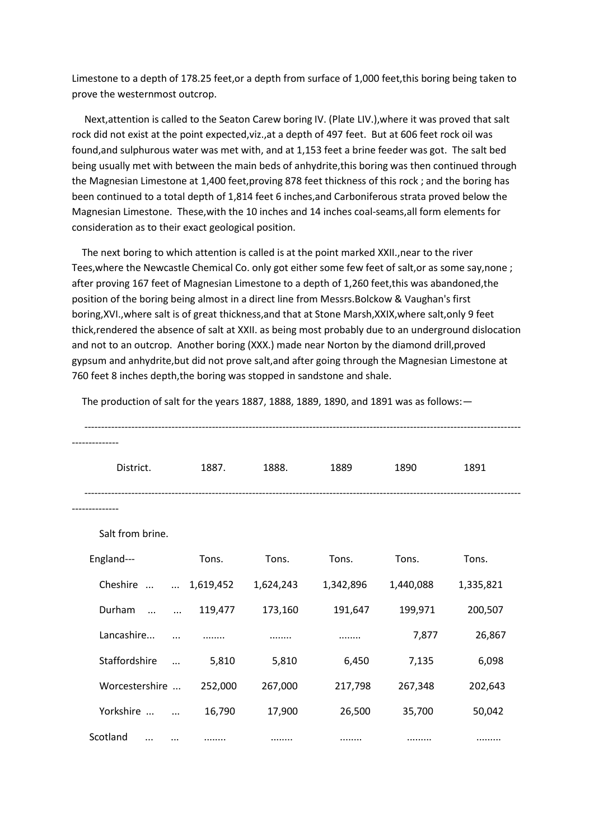Limestone to a depth of 178.25 feet,or a depth from surface of 1,000 feet,this boring being taken to prove the westernmost outcrop.

 Next,attention is called to the Seaton Carew boring IV. (Plate LIV.),where it was proved that salt rock did not exist at the point expected,viz.,at a depth of 497 feet. But at 606 feet rock oil was found,and sulphurous water was met with, and at 1,153 feet a brine feeder was got. The salt bed being usually met with between the main beds of anhydrite,this boring was then continued through the Magnesian Limestone at 1,400 feet,proving 878 feet thickness of this rock ; and the boring has been continued to a total depth of 1,814 feet 6 inches,and Carboniferous strata proved below the Magnesian Limestone. These,with the 10 inches and 14 inches coal-seams,all form elements for consideration as to their exact geological position.

 The next boring to which attention is called is at the point marked XXII.,near to the river Tees,where the Newcastle Chemical Co. only got either some few feet of salt,or as some say,none ; after proving 167 feet of Magnesian Limestone to a depth of 1,260 feet,this was abandoned,the position of the boring being almost in a direct line from Messrs.Bolckow & Vaughan's first boring,XVI.,where salt is of great thickness,and that at Stone Marsh,XXIX,where salt,only 9 feet thick,rendered the absence of salt at XXII. as being most probably due to an underground dislocation and not to an outcrop. Another boring (XXX.) made near Norton by the diamond drill,proved gypsum and anhydrite,but did not prove salt,and after going through the Magnesian Limestone at 760 feet 8 inches depth,the boring was stopped in sandstone and shale.

| District.            |           | 1887.     | 1888.     | 1889      | 1890      | 1891      |  |
|----------------------|-----------|-----------|-----------|-----------|-----------|-----------|--|
|                      |           |           |           |           |           |           |  |
| Salt from brine.     |           |           |           |           |           |           |  |
| England---           |           | Tons.     | Tons.     | Tons.     | Tons.     | Tons.     |  |
| Cheshire             | $\cdots$  | 1,619,452 | 1,624,243 | 1,342,896 | 1,440,088 | 1,335,821 |  |
| Durham<br>$\ddotsc$  | $\ddotsc$ | 119,477   | 173,160   | 191,647   | 199,971   | 200,507   |  |
| Lancashire           | $\cdots$  |           |           |           | 7,877     | 26,867    |  |
| Staffordshire        | $\ddotsc$ | 5,810     | 5,810     | 6,450     | 7,135     | 6,098     |  |
| Worcestershire       |           | 252,000   | 267,000   | 217,798   | 267,348   | 202,643   |  |
| Yorkshire            | $\ddotsc$ | 16,790    | 17,900    | 26,500    | 35,700    | 50,042    |  |
| Scotland<br>$\cdots$ |           |           | .         |           |           |           |  |

The production of salt for the years 1887, 1888, 1889, 1890, and 1891 was as follows:—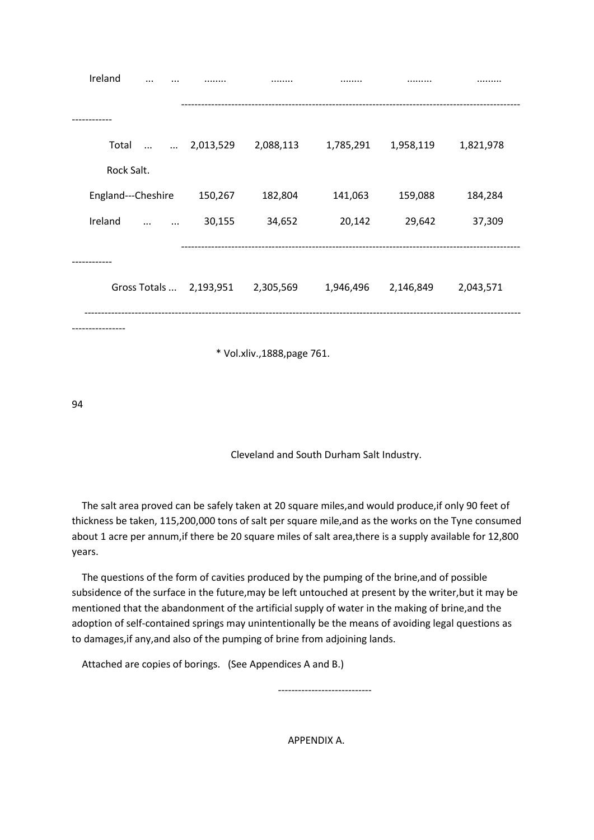| Ireland<br>                                                                 |  |           |           | .         |           |           |  |  |  |  |
|-----------------------------------------------------------------------------|--|-----------|-----------|-----------|-----------|-----------|--|--|--|--|
|                                                                             |  |           |           |           |           |           |  |  |  |  |
| Total                                                                       |  | 2,013,529 | 2,088,113 | 1,785,291 | 1,958,119 | 1,821,978 |  |  |  |  |
| Rock Salt.                                                                  |  |           |           |           |           |           |  |  |  |  |
| England---Cheshire                                                          |  | 150,267   | 182,804   | 141,063   | 159,088   | 184,284   |  |  |  |  |
| Ireland<br>$\ddotsc$                                                        |  | 30,155    | 34,652    | 20,142    | 29,642    | 37,309    |  |  |  |  |
|                                                                             |  |           |           |           |           |           |  |  |  |  |
| 2,305,569<br>Gross Totals  2,193,951<br>1,946,496<br>2,146,849<br>2,043,571 |  |           |           |           |           |           |  |  |  |  |
|                                                                             |  |           |           |           |           |           |  |  |  |  |
| * Vol.xliv., 1888, page 761.                                                |  |           |           |           |           |           |  |  |  |  |

94

Cleveland and South Durham Salt Industry.

 The salt area proved can be safely taken at 20 square miles,and would produce,if only 90 feet of thickness be taken, 115,200,000 tons of salt per square mile,and as the works on the Tyne consumed about 1 acre per annum,if there be 20 square miles of salt area,there is a supply available for 12,800 years.

 The questions of the form of cavities produced by the pumping of the brine,and of possible subsidence of the surface in the future,may be left untouched at present by the writer,but it may be mentioned that the abandonment of the artificial supply of water in the making of brine,and the adoption of self-contained springs may unintentionally be the means of avoiding legal questions as to damages,if any,and also of the pumping of brine from adjoining lands.

Attached are copies of borings. (See Appendices A and B.)

----------------------------

APPENDIX A.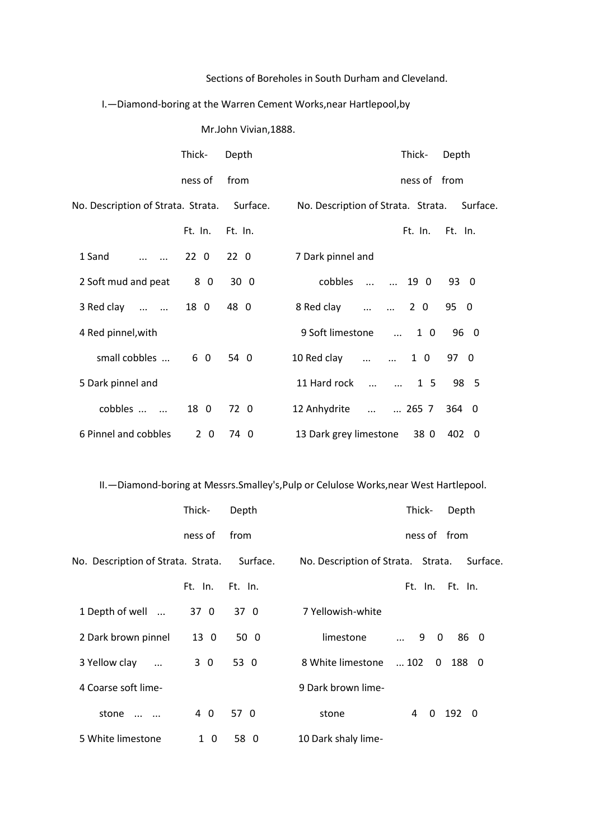### Sections of Boreholes in South Durham and Cleveland.

### I.—Diamond-boring at the Warren Cement Works,near Hartlepool,by

Mr.John Vivian,1888.

|                                             | Thick-          | Depth           | Thick-<br>Depth                                |
|---------------------------------------------|-----------------|-----------------|------------------------------------------------|
|                                             | ness of         | from            | ness of from                                   |
| No. Description of Strata. Strata. Surface. |                 |                 | No. Description of Strata. Strata. Surface.    |
|                                             | Ft. In.         | Ft. In.         | Ft. In. Ft. In.                                |
| 1 Sand                                      | 22 <sub>0</sub> | 22 <sub>0</sub> | 7 Dark pinnel and                              |
| 2 Soft mud and peat                         | 80              | 30 <sub>0</sub> | cobbles<br>$\ldots$ $\ldots$ 19 0<br>93 0      |
| 3 Red clay                                  | 18 0            | 48 0            | 95 0<br>8 Red clay   2 0                       |
| 4 Red pinnel, with                          |                 |                 | 9 Soft limestone<br>96 0<br>$\ldots$ 10        |
| small cobbles                               | 60              | 54 0            | 10 Red clay<br>1 0<br>97 0                     |
| 5 Dark pinnel and                           |                 |                 | 11 Hard rock   1 5<br>98 5                     |
| cobbles                                     | 18 0            | 72 0            | 12 Anhydrite<br>$\dots$ $\dots$ 265 7<br>364 0 |
| 6 Pinnel and cobbles                        | $2\quad0$       | 74 0            | 13 Dark grey limestone<br>38 0<br>402 0        |

II.—Diamond-boring at Messrs.Smalley's,Pulp or Celulose Works,near West Hartlepool.

|                                             | Thick-    | Depth   |                                    | Thick-                      | Depth           |
|---------------------------------------------|-----------|---------|------------------------------------|-----------------------------|-----------------|
|                                             | ness of   | from    |                                    | ness of from                |                 |
| No. Description of Strata. Strata. Surface. |           |         | No. Description of Strata. Strata. |                             | Surface.        |
|                                             | Ft. In.   | Ft. In. |                                    |                             | Ft. In. Ft. In. |
| 1 Depth of well                             | 37 0      | 37 0    | 7 Yellowish-white                  |                             |                 |
| 2 Dark brown pinnel                         | 13 0      | 50 0    | limestone                          | $\ldots$ 9 0                | 86 0            |
| 3 Yellow clay                               | 3 0       | 53 0    | 8 White limestone                  | $\dots$ 102<br>$\mathbf{0}$ | 188 0           |
| 4 Coarse soft lime-                         |           |         | 9 Dark brown lime-                 |                             |                 |
| stone<br>$\sim$ $\sim$                      | 4 0       | 57 0    | stone                              | 4<br>$\Omega$               | 192 0           |
| 5 White limestone                           | $1\quad0$ | 58 0    | 10 Dark shaly lime-                |                             |                 |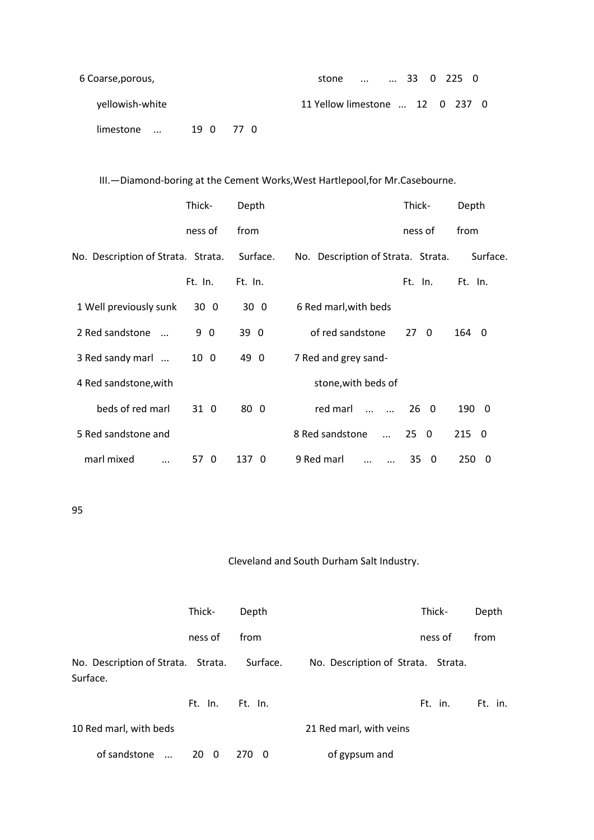| 6 Coarse, porous, |      |     | 33 0 225 0<br>stone             |
|-------------------|------|-----|---------------------------------|
| yellowish-white   |      |     | 11 Yellow limestone  12 0 237 0 |
| limestone         | 19 O | 770 |                                 |

III.—Diamond-boring at the Cement Works,West Hartlepool,for Mr.Casebourne.

|                                    | Thick-  | Depth           |                                        | Thick-       | Depth    |
|------------------------------------|---------|-----------------|----------------------------------------|--------------|----------|
|                                    | ness of | from            |                                        | ness of      | from     |
| No. Description of Strata. Strata. |         | Surface.        | No. Description of Strata. Strata.     |              | Surface. |
|                                    | Ft. In. | Ft. In.         |                                        | Ft. In.      | Ft. In.  |
| 1 Well previously sunk             | 30 0    | 30 <sub>0</sub> | 6 Red marl, with beds                  |              |          |
| 2 Red sandstone                    | 9 0     | 39 0            | of red sandstone                       | $27 \quad 0$ | 164<br>0 |
| 3 Red sandy marl                   | 10 0    | 49 0            | 7 Red and grey sand-                   |              |          |
| 4 Red sandstone, with              |         |                 | stone, with beds of                    |              |          |
| beds of red marl                   | 31 0    | 80 0            | red marl<br>$\ddotsc$<br>$\sim$ $\sim$ | $26 \quad 0$ | 190 0    |
| 5 Red sandstone and                |         |                 | 8 Red sandstone<br>$\ddotsc$           | $25 \quad 0$ | 2150     |
| marl mixed                         | 57 0    | 137 0           | 9 Red marl                             | 35 0         | 250<br>0 |

95

### Cleveland and South Durham Salt Industry.

|                                                | Thick-       | Depth      |                                    | Thick-  | Depth   |
|------------------------------------------------|--------------|------------|------------------------------------|---------|---------|
|                                                | ness of      | from       |                                    | ness of | from    |
| No. Description of Strata. Strata.<br>Surface. |              | Surface.   | No. Description of Strata. Strata. |         |         |
|                                                | Ft. In.      | Ft. In.    |                                    | Ft. in. | Ft. in. |
| 10 Red marl, with beds                         |              |            | 21 Red marl, with veins            |         |         |
| of sandstone<br>$\sim$                         | $20 \quad 0$ | 270<br>- 0 | of gypsum and                      |         |         |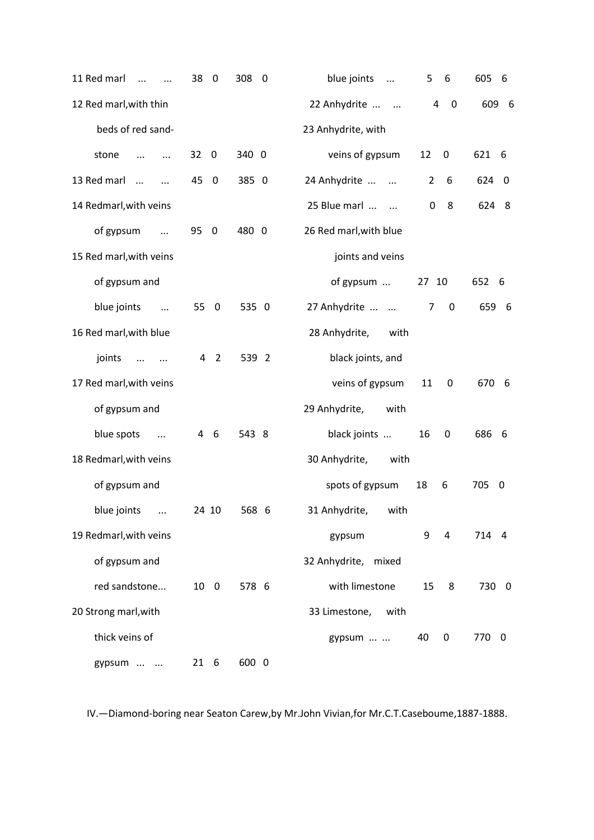| 11 Red marl<br>$\dddotsc$<br>$\dddotsc$ | 38<br>0                        | 308<br>$\mathbf 0$ | blue joints<br>$\ddots$ | 6<br>5                                    | 605<br>- 6            |
|-----------------------------------------|--------------------------------|--------------------|-------------------------|-------------------------------------------|-----------------------|
| 12 Red marl, with thin                  |                                |                    | 22 Anhydrite            | $\overline{a}$<br>$\mathbf 0$             | 609 6                 |
| beds of red sand-                       |                                |                    | 23 Anhydrite, with      |                                           |                       |
| stone<br>$\dddotsc$<br>$\cdots$         | 32<br>$\overline{\phantom{0}}$ | 340 0              | veins of gypsum         | 12<br>$\mathbf 0$                         | 621 6                 |
| 13 Red marl<br>$\cdots$<br>$\dddotsc$   | 45 0                           | 385 0              | 24 Anhydrite            | 6<br>$\mathbf{2}$                         | 624<br>$\overline{0}$ |
| 14 Redmarl, with veins                  |                                |                    | 25 Blue marl            | 8<br>0                                    | 624<br>- 8            |
| of gypsum<br>$\dddotsc$                 | 95 0                           | 480 0              | 26 Red marl, with blue  |                                           |                       |
| 15 Red marl, with veins                 |                                |                    | joints and veins        |                                           |                       |
| of gypsum and                           |                                |                    | of gypsum               | 27 10                                     | 652 6                 |
| blue joints<br>$\cdots$                 | 55 0                           | 535 0              | 27 Anhydrite            | $\overline{7}$<br>$\overline{\mathbf{0}}$ | 659 6                 |
| 16 Red marl, with blue                  |                                |                    | 28 Anhydrite,<br>with   |                                           |                       |
| joints<br>$\cdots$<br>$\cdots$          | 4 2                            | 539 2              | black joints, and       |                                           |                       |
| 17 Red marl, with veins                 |                                |                    | veins of gypsum         | 11<br>0                                   | 670 6                 |
| of gypsum and                           |                                |                    | 29 Anhydrite,<br>with   |                                           |                       |
| blue spots<br>$\dddotsc$                | 4 6                            | 543 8              | black joints            | 16<br>0                                   | 686<br>- 6            |
| 18 Redmarl, with veins                  |                                |                    | 30 Anhydrite,<br>with   |                                           |                       |
| of gypsum and                           |                                |                    | spots of gypsum         | 18<br>6                                   | 705<br>0              |
| blue joints<br>$\ddots$                 | 24 10                          | 568 6              | 31 Anhydrite,<br>with   |                                           |                       |
| 19 Redmarl, with veins                  |                                |                    | gypsum                  | 9<br>4                                    | 714 4                 |
| of gypsum and                           |                                |                    | 32 Anhydrite, mixed     |                                           |                       |
| red sandstone                           | 10 0                           | 578 6              | with limestone          | 15<br>8                                   | 730 0                 |
| 20 Strong marl, with                    |                                |                    | 33 Limestone, with      |                                           |                       |
| thick veins of                          |                                |                    | gypsum                  | 40<br>0                                   | 770 0                 |
| gypsum                                  | 21 6                           | 600 0              |                         |                                           |                       |

IV.—Diamond-boring near Seaton Carew,by Mr.John Vivian,for Mr.C.T.Caseboume,1887-1888.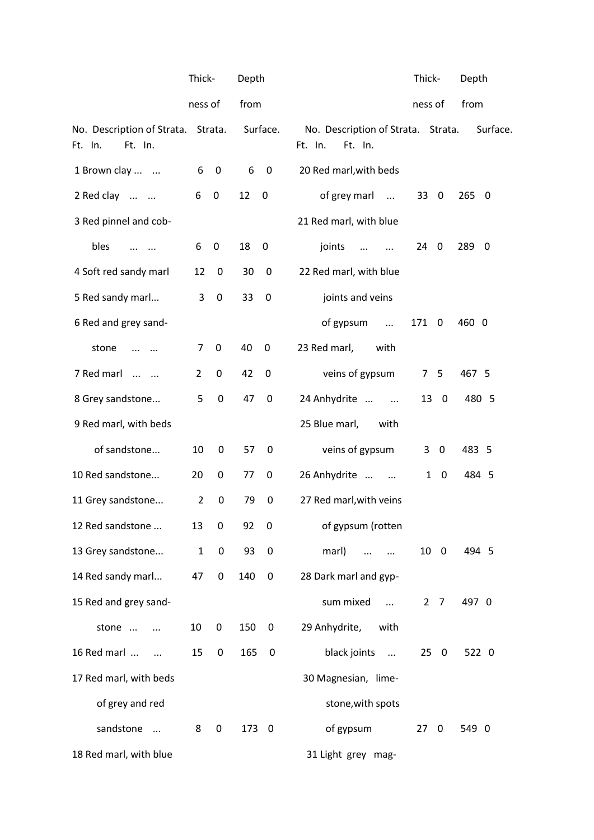|                                                          | Thick-         |                  | Depth |             |                                                          | Thick-              | Depth      |
|----------------------------------------------------------|----------------|------------------|-------|-------------|----------------------------------------------------------|---------------------|------------|
|                                                          | ness of        |                  | from  |             |                                                          | ness of             | from       |
| No. Description of Strata. Strata.<br>Ft. In.<br>Ft. In. |                |                  |       | Surface.    | No. Description of Strata. Strata.<br>Ft. In.<br>Ft. In. |                     | Surface.   |
| 1 Brown clay                                             | 6              | $\mathbf 0$      | 6     | $\mathbf 0$ | 20 Red marl, with beds                                   |                     |            |
| 2 Red clay                                               | 6              | $\overline{0}$   | 12    | $\mathbf 0$ | of grey marl                                             | 33 0                | 265 0      |
| 3 Red pinnel and cob-                                    |                |                  |       |             | 21 Red marl, with blue                                   |                     |            |
| bles<br>$\cdots$ $\cdots$                                | 6              | 0                | 18    | 0           | joints<br>$\cdots$                                       | $24 \quad 0$        | 289<br>- 0 |
| 4 Soft red sandy marl                                    | 12             | $\mathbf 0$      | 30    | 0           | 22 Red marl, with blue                                   |                     |            |
| 5 Red sandy marl                                         | 3              | 0                | 33    | $\mathbf 0$ | joints and veins                                         |                     |            |
| 6 Red and grey sand-                                     |                |                  |       |             | of gypsum<br>$\cdots$                                    | 171 0               | 460 0      |
| stone                                                    | 7              | 0                | 40    | $\mathbf 0$ | 23 Red marl,<br>with                                     |                     |            |
| 7 Red marl                                               | 2              | 0                | 42    | 0           | veins of gypsum                                          | 5<br>7 <sup>7</sup> | 467 5      |
| 8 Grey sandstone                                         | 5              | 0                | 47    | $\mathbf 0$ | 24 Anhydrite                                             | 13 0                | 480 5      |
| 9 Red marl, with beds                                    |                |                  |       |             | 25 Blue marl,<br>with                                    |                     |            |
| of sandstone                                             | 10             | 0                | 57    | 0           | veins of gypsum                                          | 3<br>0              | 483 5      |
| 10 Red sandstone                                         | 20             | 0                | 77    | 0           | 26 Anhydrite                                             | 1<br>$\mathbf 0$    | 484 5      |
| 11 Grey sandstone                                        | $\overline{2}$ | 0                | 79    | 0           | 27 Red marl, with veins                                  |                     |            |
| 12 Red sandstone                                         | 13             | $\boldsymbol{0}$ | 92    | 0           | of gypsum (rotten                                        |                     |            |
| 13 Grey sandstone                                        | $\mathbf{1}$   | $\mathbf 0$      | 93    | $\pmb{0}$   | marl)<br>$\cdots$<br>$\cdots$                            | 10 <sub>0</sub>     | 494 5      |
| 14 Red sandy marl                                        | 47             | 0                | 140   | $\mathbf 0$ | 28 Dark marl and gyp-                                    |                     |            |
| 15 Red and grey sand-                                    |                |                  |       |             | sum mixed<br>$\dddotsc$                                  | $2 \overline{7}$    | 497 0      |
| stone<br>$\ddotsc$                                       | 10             | 0                | 150   | 0           | 29 Anhydrite,<br>with                                    |                     |            |
| 16 Red marl<br>$\sim$ $\sim$                             | 15             | 0                | 165   | $\mathbf 0$ | black joints<br>$\cdots$                                 | 250                 | 522 0      |
| 17 Red marl, with beds                                   |                |                  |       |             | 30 Magnesian, lime-                                      |                     |            |
| of grey and red                                          |                |                  |       |             | stone, with spots                                        |                     |            |
| sandstone                                                | 8              | 0                | 173 0 |             | of gypsum                                                | 270                 | 549 0      |
| 18 Red marl, with blue                                   |                |                  |       |             | 31 Light grey mag-                                       |                     |            |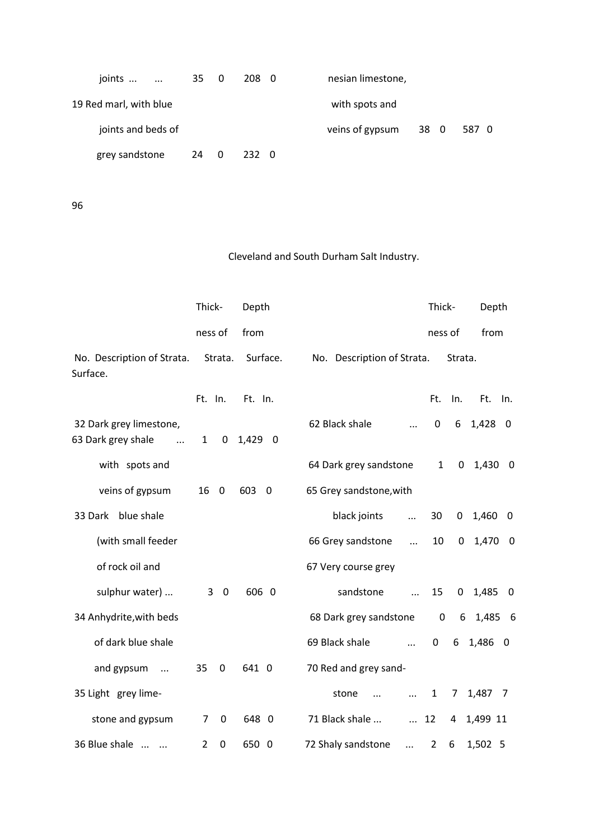| joints                 | 35 0 |                         | 208 0 | nesian limestone,       |      |
|------------------------|------|-------------------------|-------|-------------------------|------|
| 19 Red marl, with blue |      |                         |       | with spots and          |      |
| joints and beds of     |      |                         |       | veins of gypsum<br>38 0 | 5870 |
| grey sandstone         | 24   | $\overline{\mathbf{0}}$ | 232 0 |                         |      |

96

# Cleveland and South Durham Salt Industry.

|                                                           | Thick-       |             | Depth    |                            |            | Thick-           |             | Depth    |                |
|-----------------------------------------------------------|--------------|-------------|----------|----------------------------|------------|------------------|-------------|----------|----------------|
|                                                           | ness of      |             | from     |                            |            | ness of          |             | from     |                |
| No. Description of Strata.<br>Surface.                    |              | Strata.     | Surface. | No. Description of Strata. |            |                  | Strata.     |          |                |
|                                                           | Ft. In.      |             | Ft. In.  |                            |            | Ft.              | In.         | Ft.      | In.            |
| 32 Dark grey limestone,<br>63 Dark grey shale<br>$\ddots$ | $\mathbf{1}$ | 0           | 1,429 0  | 62 Black shale             | $\cdots$   | $\mathbf 0$      | 6           | 1,428    | $\overline{0}$ |
| with spots and                                            |              |             |          | 64 Dark grey sandstone     |            | $\mathbf{1}$     | $\mathbf 0$ | 1,430 0  |                |
| veins of gypsum                                           | 16           | $\mathbf 0$ | 603 0    | 65 Grey sandstone, with    |            |                  |             |          |                |
| 33 Dark blue shale                                        |              |             |          | black joints               | $\ddotsc$  | 30               | 0           | 1,460    | $\overline{0}$ |
| (with small feeder                                        |              |             |          | 66 Grey sandstone          | $\ddots$   | 10               | $\mathbf 0$ | 1,470 0  |                |
| of rock oil and                                           |              |             |          | 67 Very course grey        |            |                  |             |          |                |
| sulphur water)                                            |              | 30          | 606 0    | sandstone                  | $\ddotsc$  | 15               | $\mathbf 0$ | 1,485    | $\mathbf{0}$   |
| 34 Anhydrite, with beds                                   |              |             |          | 68 Dark grey sandstone     |            | $\boldsymbol{0}$ | 6           | 1,485 6  |                |
| of dark blue shale                                        |              |             |          | 69 Black shale             | $\dddotsc$ | 0                | 6           | 1,486 0  |                |
| and gypsum<br>$\overline{\phantom{a}}$                    | 35           | $\mathbf 0$ | 641 0    | 70 Red and grey sand-      |            |                  |             |          |                |
| 35 Light grey lime-                                       |              |             |          | stone                      | $\dddotsc$ | $\mathbf{1}$     | $7^{\circ}$ | 1,487 7  |                |
| stone and gypsum                                          | 7            | $\mathbf 0$ | 648 0    | 71 Black shale             | $\cdots$   | 12               | 4           | 1,499 11 |                |
| 36 Blue shale                                             | 2            | 0           | 650 0    | 72 Shaly sandstone         | $\dddotsc$ | $\overline{2}$   | 6           | 1,502 5  |                |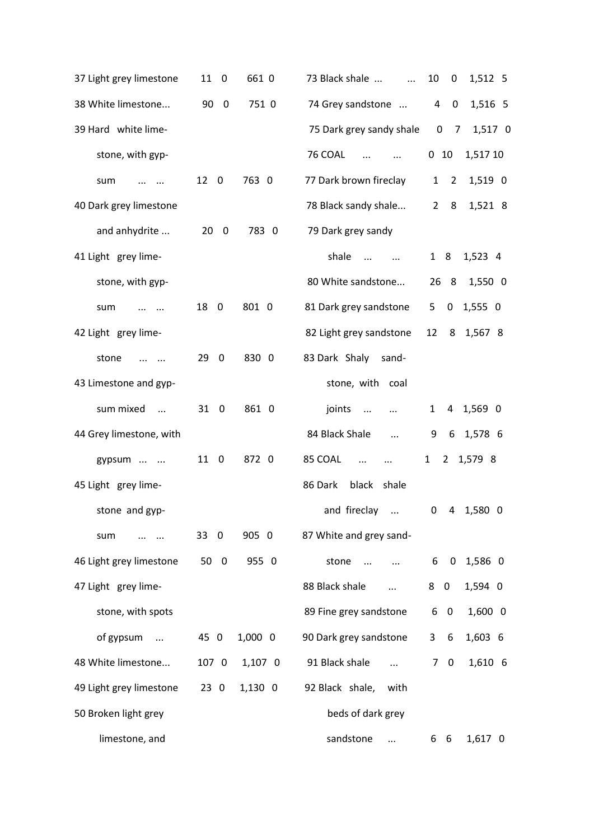| 37 Light grey limestone               | 11 0                          | 661 0     | 73 Black shale<br>$\cdots$          | 10<br>$\mathbf 0$<br>1,512 5     |
|---------------------------------------|-------------------------------|-----------|-------------------------------------|----------------------------------|
| 38 White limestone                    | 90 0                          | 751 0     | 74 Grey sandstone                   | 1,516 5<br>$\mathbf 0$<br>4      |
| 39 Hard white lime-                   |                               |           | 75 Dark grey sandy shale            | 0 <sub>7</sub><br>1,517 0        |
| stone, with gyp-                      |                               |           | 76 COAL<br>$\cdots$<br>$\ldots$     | 1,517 10<br>0 <sub>10</sub>      |
| sum                                   | 12 0                          | 763 0     | 77 Dark brown fireclay              | 1<br>$\overline{2}$<br>1,519 0   |
| 40 Dark grey limestone                |                               |           | 78 Black sandy shale                | $\overline{2}$<br>8<br>1,521 8   |
| and anhydrite                         | 20<br>$\overline{0}$          | 783 0     | 79 Dark grey sandy                  |                                  |
| 41 Light grey lime-                   |                               |           | shale<br>$\cdots$<br>$\cdots$       | $1 \quad 8$<br>1,523 4           |
| stone, with gyp-                      |                               |           | 80 White sandstone                  | 26 8<br>1,550 0                  |
| sum<br>$\ddotsc$                      | 18<br>$\overline{0}$          | 801 0     | 81 Dark grey sandstone              | $0$ 1,555 0<br>5                 |
| 42 Light grey lime-                   |                               |           | 82 Light grey sandstone             | 12<br>8<br>1,567 8               |
| stone<br>$\cdots$                     | 29<br>$\overline{0}$          | 830 0     | 83 Dark Shaly<br>sand-              |                                  |
| 43 Limestone and gyp-                 |                               |           | stone, with coal                    |                                  |
| sum mixed<br>$\sim$                   | 31 0                          | 861 0     | joints<br>$\sim$ $\sim$<br>$\ddots$ | 4 1,569 0<br>$\mathbf{1}$        |
| 44 Grey limestone, with               |                               |           | 84 Black Shale<br>$\cdots$          | 6 1,578 6<br>9                   |
| gypsum                                | 11 0                          | 872 0     | 85 COAL<br>$\ddotsc$<br>$\ldots$    | 2 1,579 8<br>$\mathbf{1}$        |
| 45 Light grey lime-                   |                               |           | 86 Dark<br>black shale              |                                  |
| stone and gyp-                        |                               |           | and fireclay<br>$\cdots$            | 4 1,580 0<br>0                   |
| sum                                   | 33<br>$\mathbf 0$             | 905 0     | 87 White and grey sand-             |                                  |
| 46 Light grey limestone               | 50<br>$\overline{\mathbf{0}}$ | 955 0     | stone                               | 1,586 0<br>6<br>$\mathbf 0$      |
| 47 Light grey lime-                   |                               |           | 88 Black shale<br>$\cdots$          | 1,594 0<br>8<br>0                |
| stone, with spots                     |                               |           | 89 Fine grey sandstone              | $1,600$ 0<br>6<br>$\overline{0}$ |
| of gypsum<br>$\overline{\phantom{a}}$ | 45 0                          | $1,000$ 0 | 90 Dark grey sandstone              | 1,603 6<br>3<br>6                |
| 48 White limestone                    | 107 0                         | 1,107 0   | 91 Black shale<br>$\cdots$          | 1,610 6<br>7<br>$\overline{0}$   |
| 49 Light grey limestone               | 230                           | $1,130$ 0 | 92 Black shale,<br>with             |                                  |
| 50 Broken light grey                  |                               |           | beds of dark grey                   |                                  |
| limestone, and                        |                               |           | sandstone<br>$\cdots$               | 1,617 0<br>66                    |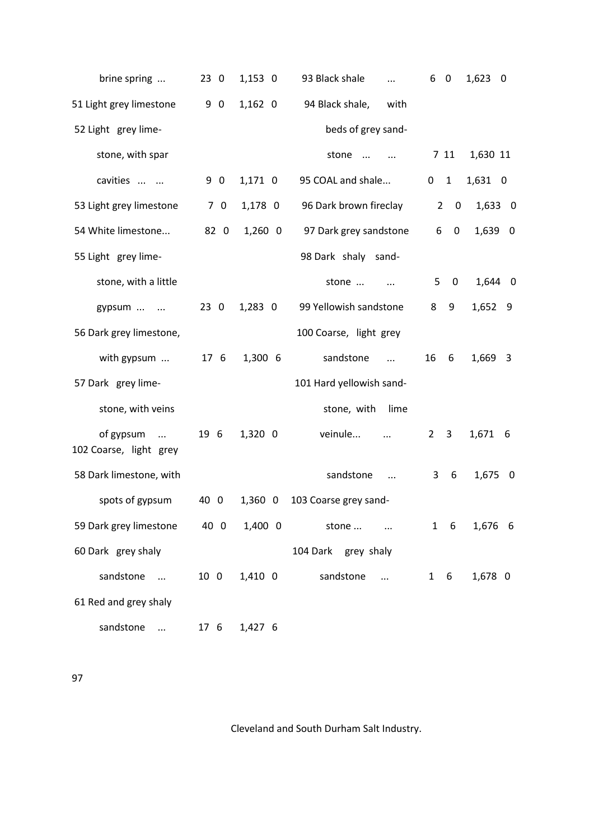| brine spring                                             | 230  | $1,153$ 0 | 93 Black shale<br>$\cdots$ | 6<br>$\overline{0}$             | $1,623$ 0    |
|----------------------------------------------------------|------|-----------|----------------------------|---------------------------------|--------------|
| 51 Light grey limestone                                  | 9 0  | $1,162$ 0 | 94 Black shale,<br>with    |                                 |              |
| 52 Light grey lime-                                      |      |           | beds of grey sand-         |                                 |              |
| stone, with spar                                         |      |           | stone                      | 7 11                            | 1,630 11     |
| cavities                                                 | 9 0  | 1,171 0   | 95 COAL and shale          | $\overline{1}$<br>0             | 1,631 0      |
| 53 Light grey limestone                                  | 70   | 1,178 0   | 96 Dark brown fireclay     | $\overline{2}$<br>0             | $1,633$ 0    |
| 54 White limestone                                       | 82 0 | $1,260$ 0 | 97 Dark grey sandstone     | 6<br>$\mathbf{0}$               | 1,639 0      |
| 55 Light grey lime-                                      |      |           | 98 Dark shaly sand-        |                                 |              |
| stone, with a little                                     |      |           | stone<br>$\ddotsc$         | $5\quad 0$                      | 1,644 0      |
| gypsum                                                   | 230  | $1,283$ 0 | 99 Yellowish sandstone     | 8<br>9                          | 1,652 9      |
| 56 Dark grey limestone,                                  |      |           | 100 Coarse, light grey     |                                 |              |
| with gypsum                                              | 176  | 1,300 6   | sandstone<br>$\dddotsc$    | 16<br>6                         | 1,669 3      |
| 57 Dark grey lime-                                       |      |           | 101 Hard yellowish sand-   |                                 |              |
| stone, with veins                                        |      |           | stone, with<br>lime        |                                 |              |
| of gypsum<br>$\sim$ 100 $\sim$<br>102 Coarse, light grey | 19 6 | 1,320 0   | veinule                    | $\mathbf{3}$<br>$\mathbf{2}$    | 1,671<br>- 6 |
| 58 Dark limestone, with                                  |      |           | sandstone                  | 3<br>6                          | 1,675 0      |
| spots of gypsum                                          | 40 0 | $1,360$ 0 | 103 Coarse grey sand-      |                                 |              |
| 59 Dark grey limestone                                   | 40 0 | $1,400$ 0 | stone<br>$\ddotsc$         | $6\overline{6}$<br>$\mathbf{1}$ | 1,676 6      |
| 60 Dark grey shaly                                       |      |           | 104 Dark grey shaly        |                                 |              |
| sandstone<br>$\ddots$                                    | 10 0 | 1,410 0   | sandstone<br>$\cdots$      | $\mathbf{1}$<br>6               | 1,678 0      |
| 61 Red and grey shaly                                    |      |           |                            |                                 |              |
| sandstone<br>$\cdots$                                    | 17 6 | 1,427 6   |                            |                                 |              |

97

Cleveland and South Durham Salt Industry.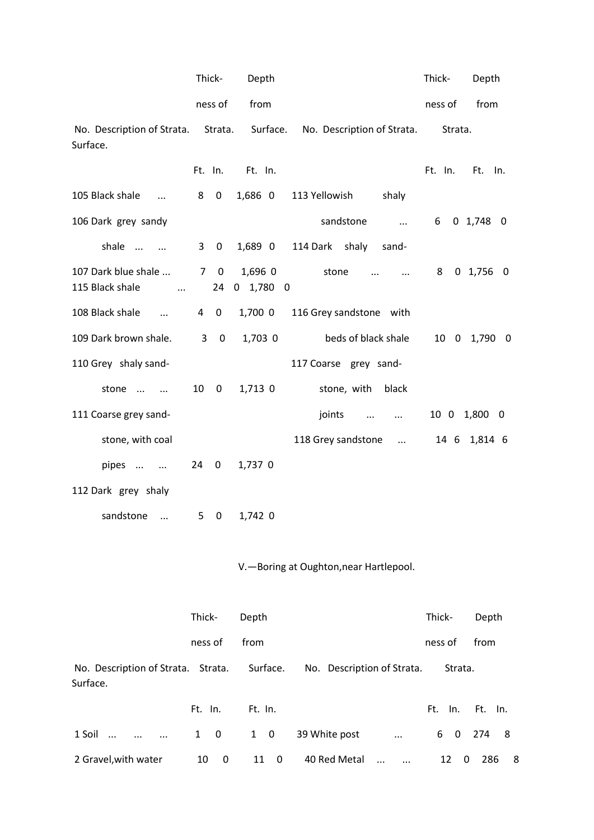|                                                    |    | Thick-      | Depth                  |                                                                        | Thick-  | Depth        |
|----------------------------------------------------|----|-------------|------------------------|------------------------------------------------------------------------|---------|--------------|
|                                                    |    | ness of     | from                   |                                                                        | ness of | from         |
| Surface.                                           |    |             |                        | No. Description of Strata. Strata. Surface. No. Description of Strata. | Strata. |              |
|                                                    |    |             | Ft. In. Ft. In.        |                                                                        | Ft. In. | Ft.<br>In.   |
| 105 Black shale                                    | 8  | 0           | 1,686 0                | 113 Yellowish<br>shaly                                                 |         |              |
| 106 Dark grey sandy                                |    |             |                        | sandstone<br>$\mathbf{r}$ and $\mathbf{r}$                             |         | 6 0 1,748 0  |
| shale                                              |    | $3 \quad 0$ | 1,689 0                | 114 Dark shaly sand-                                                   |         |              |
| 107 Dark blue shale<br>115 Black shale<br>$\cdots$ |    | 7 0<br>24   | 1,696 0<br>$0$ 1,780 0 | stone<br>$\dddotsc$<br>$\dddotsc$                                      |         | 8 0 1,756 0  |
| 108 Black shale<br>$\sim$ $\sim$ $\sim$            |    | $4\quad 0$  | 1,700 0                | 116 Grey sandstone with                                                |         |              |
| 109 Dark brown shale. 3 0                          |    |             | 1,703 0                | beds of black shale                                                    |         | 10 0 1,790 0 |
| 110 Grey shaly sand-                               |    |             |                        | 117 Coarse grey sand-                                                  |         |              |
| stone                                              | 10 | $\mathbf 0$ | 1,713 0                | stone, with black                                                      |         |              |
| 111 Coarse grey sand-                              |    |             |                        | joints<br>$\mathbf{r}$ and $\mathbf{r}$ and $\mathbf{r}$               |         | 10 0 1,800 0 |
| stone, with coal                                   |    |             |                        | 118 Grey sandstone                                                     |         | 14 6 1,814 6 |
| pipes                                              |    | 24 0        | 1,737 0                |                                                                        |         |              |
| 112 Dark grey shaly                                |    |             |                        |                                                                        |         |              |
| sandstone                                          | 5  | $\mathbf 0$ | 1,742 0                |                                                                        |         |              |

# V.—Boring at Oughton,near Hartlepool.

|                                                         | Thick-             | Depth       |                            |                        | Thick-           | Depth      |
|---------------------------------------------------------|--------------------|-------------|----------------------------|------------------------|------------------|------------|
|                                                         | ness of            | from        |                            |                        | ness of          | from       |
| No. Description of Strata. Strata. Surface.<br>Surface. |                    |             | No. Description of Strata. |                        | Strata.          |            |
|                                                         | Ft. In.            | Ft. In.     |                            |                        | Ft. In. Ft. In.  |            |
| 1 Soil<br>$\dddotsc$                                    | $1 \quad 0$        | $1 \quad 0$ | 39 White post              | $\ddots$               | $\mathbf 0$<br>6 | 274<br>- 8 |
| 2 Gravel, with water                                    | 10<br>$\mathbf{0}$ | 11 0        | 40 Red Metal               | $\dddotsc$<br>$\cdots$ | 12<br>0          | 286<br>8   |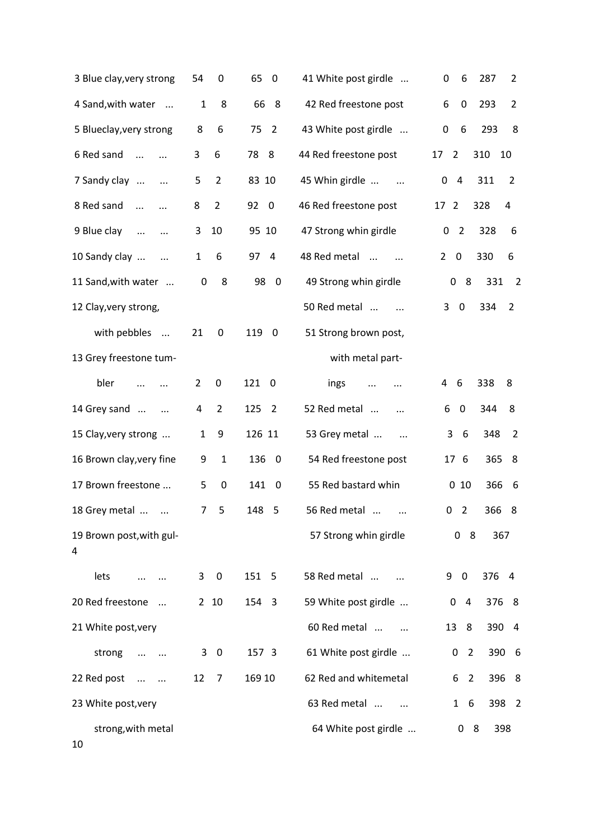| 3 Blue clay, very strong             | 54           | $\boldsymbol{0}$        | 65<br>$\mathbf 0$               | 41 White post girdle       | $\pmb{0}$<br>6<br>287<br>2              |
|--------------------------------------|--------------|-------------------------|---------------------------------|----------------------------|-----------------------------------------|
| 4 Sand, with water<br>$\cdots$       | $\mathbf{1}$ | 8                       | 66<br>- 8                       | 42 Red freestone post      | 6<br>$\pmb{0}$<br>293<br>$\overline{2}$ |
| 5 Blueclay, very strong              | 8            | 6                       | 75<br>$\overline{2}$            | 43 White post girdle       | $\pmb{0}$<br>6<br>293<br>8              |
| 6 Red sand<br>$\dddotsc$             | 3            | 6                       | 78<br>8                         | 44 Red freestone post      | 17<br>$\overline{2}$<br>310<br>10       |
| 7 Sandy clay<br>$\cdots$             | 5            | $\overline{2}$          | 83 10                           | 45 Whin girdle<br>$\cdots$ | 0<br>4<br>311<br>2                      |
| 8 Red sand<br>$\cdots$<br>$\ddotsc$  | 8            | $\overline{2}$          | 92<br>$\mathbf 0$               | 46 Red freestone post      | 17<br>$\overline{2}$<br>328<br>4        |
| 9 Blue clay<br>$\ddots$<br>          | 3            | 10                      | 95 10                           | 47 Strong whin girdle      | 0<br>$\overline{2}$<br>328<br>6         |
| 10 Sandy clay                        | 1            | 6                       | 97<br>$\overline{4}$            | 48 Red metal               | 330<br>0<br>6<br>$\mathbf{2}$           |
| 11 Sand, with water                  | 0            | 8                       | 98<br>$\overline{0}$            | 49 Strong whin girdle      | 8<br>331<br>0<br>$\overline{2}$         |
| 12 Clay, very strong,                |              |                         |                                 | 50 Red metal               | 3<br>$\pmb{0}$<br>334<br>2              |
| with pebbles<br>$\ldots$             | 21           | $\pmb{0}$               | 119<br>$\mathbf 0$              | 51 Strong brown post,      |                                         |
| 13 Grey freestone tum-               |              |                         |                                 | with metal part-           |                                         |
| bler                                 | 2            | $\pmb{0}$               | 121<br>$\overline{0}$           | ings<br><br>               | 338<br>4<br>6<br>8                      |
| 14 Grey sand<br>$\cdots$<br>$\ddots$ | 4            | $\overline{2}$          | 125<br>$\overline{2}$           | 52 Red metal               | 6<br>$\mathbf 0$<br>344<br>8            |
| 15 Clay, very strong                 | 1            | 9                       | 126 11                          | 53 Grey metal<br>$\cdots$  | 6<br>$\overline{2}$<br>3<br>348         |
| 16 Brown clay, very fine             | 9            | $1\,$                   | 136<br>$\overline{\phantom{0}}$ | 54 Red freestone post      | 365<br>8<br>17 6                        |
| 17 Brown freestone                   | 5            | $\mathbf 0$             | 141 0                           | 55 Red bastard whin        | 010<br>366<br>6                         |
| 18 Grey metal                        | 7            | 5                       | 148<br>- 5                      | 56 Red metal               | 0<br>$\overline{2}$<br>366<br>8         |
| 19 Brown post, with gul-<br>4        |              |                         |                                 | 57 Strong whin girdle      | 0<br>8<br>367                           |
| lets                                 | 3            | $\overline{\mathbf{0}}$ | 151 5                           | 58 Red metal               | 376 4<br>9<br>$\mathbf 0$               |
| 20 Red freestone<br>$\cdots$         |              | 2 <sub>10</sub>         | 154 3                           | 59 White post girdle       | 0 <sub>4</sub><br>376 8                 |
| 21 White post, very                  |              |                         |                                 | 60 Red metal               | 13 8<br>390 4                           |
| strong<br>$\ldots$<br>$\ldots$       |              | $3 \quad 0$             | 157 3                           | 61 White post girdle       | 0<br>$\overline{2}$<br>390 6            |
| 22 Red post<br>$\ddotsc$<br>$\ldots$ | 12           | $\overline{7}$          | 169 10                          | 62 Red and whitemetal      | 6<br>$\overline{2}$<br>396 8            |
| 23 White post, very                  |              |                         |                                 | 63 Red metal               | 6<br>398 2<br>$\mathbf{1}$              |
| strong, with metal<br>10             |              |                         |                                 | 64 White post girdle       | - 8<br>398<br>0                         |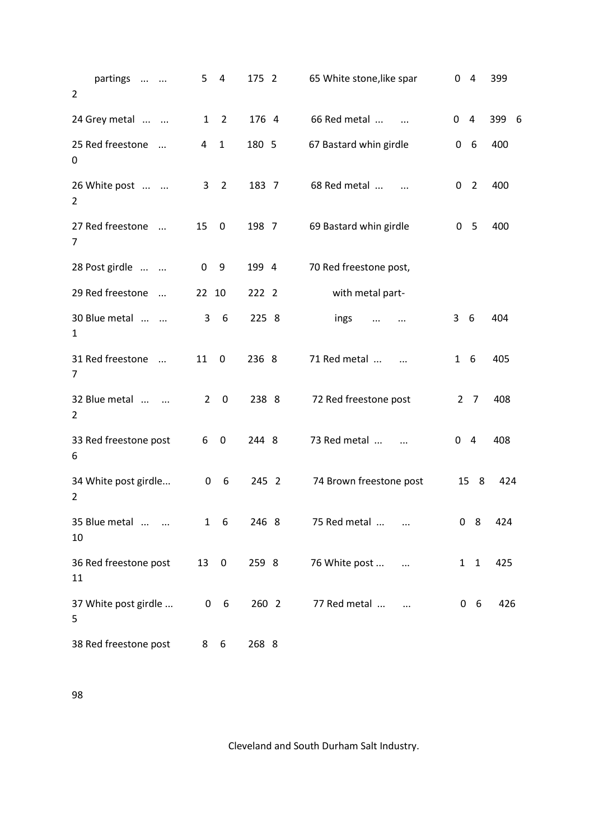| partings<br>$\overline{2}$        | 4<br>5                        | 175 2 | 65 White stone, like spar      | 0<br>4                | 399      |
|-----------------------------------|-------------------------------|-------|--------------------------------|-----------------------|----------|
| 24 Grey metal                     | $\overline{2}$<br>1           | 176 4 | 66 Red metal                   | 0<br>4                | 399<br>6 |
| 25 Red freestone<br>$\cdots$<br>0 | $\mathbf{1}$<br>4             | 180 5 | 67 Bastard whin girdle         | 6<br>0                | 400      |
| 26 White post<br>2                | $\overline{2}$<br>3           | 183 7 | 68 Red metal                   | $\overline{2}$<br>0   | 400      |
| 27 Red freestone<br>$\cdots$<br>7 | 15<br>$\mathbf 0$             | 198 7 | 69 Bastard whin girdle         | 0<br>-5               | 400      |
| 28 Post girdle                    | $\boldsymbol{0}$<br>9         | 199 4 | 70 Red freestone post,         |                       |          |
| 29 Red freestone<br>$\cdots$      | 22 10                         | 222 2 | with metal part-               |                       |          |
| 30 Blue metal<br>$\mathbf{1}$     | 3<br>6                        | 225 8 | ings<br>                       | 3<br>6                | 404      |
| 31 Red freestone<br>$\sim$<br>7   | $\mathbf 0$<br>11             | 236 8 | 71 Red metal<br>$\cdots$       | $\mathbf{1}$<br>6     | 405      |
| 32 Blue metal<br>2                | $\overline{2}$<br>$\mathbf 0$ | 238 8 | 72 Red freestone post          | $\overline{2}$<br>- 7 | 408      |
| 33 Red freestone post<br>6        | 6<br>$\boldsymbol{0}$         | 244 8 | 73 Red metal<br>$\ddotsc$      | $\overline{4}$<br>0   | 408      |
| 34 White post girdle<br>2         | 0<br>6                        | 245 2 | 74 Brown freestone post        | 15<br>8               | 424      |
| 35 Blue metal<br>10               | $1\quad 6$                    | 246 8 | 75 Red metal                   | 0 <sub>8</sub>        | 424      |
| 36 Red freestone post<br>11       | 130                           | 259 8 | 76 White post<br>$\sim$ $\sim$ | $1\quad1$             | 425      |
| 37 White post girdle<br>5         | $0\quad 6$                    | 260 2 | 77 Red metal                   | 0 <sub>6</sub>        | 426      |
| 38 Red freestone post             | 6<br>8                        | 268 8 |                                |                       |          |

98

Cleveland and South Durham Salt Industry.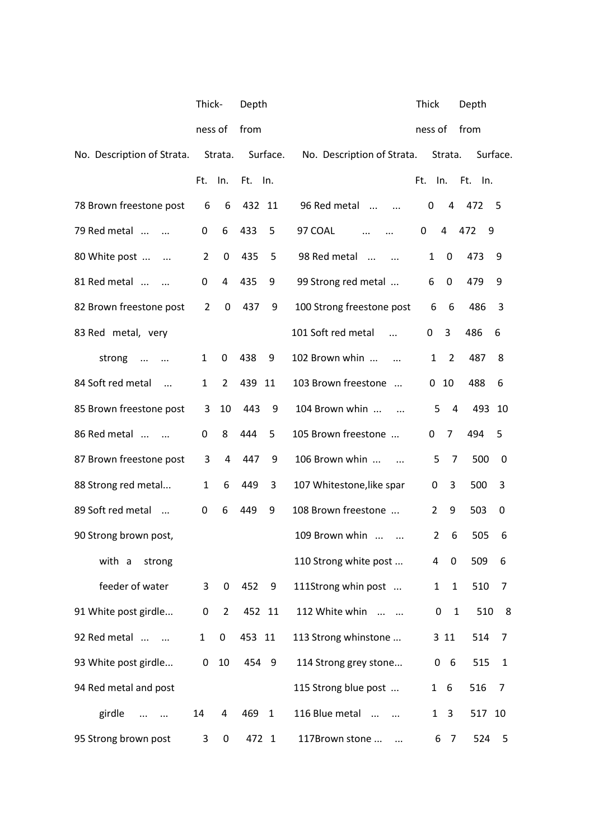|                                          | Thick-         |                  | Depth   |              |                            | Thick          |                   | Depth    |          |
|------------------------------------------|----------------|------------------|---------|--------------|----------------------------|----------------|-------------------|----------|----------|
|                                          | ness of        |                  | from    |              |                            | ness of        |                   | from     |          |
| No. Description of Strata.               |                | Strata.          |         | Surface.     | No. Description of Strata. |                | Strata.           |          | Surface. |
|                                          | Ft.            | In.              | Ft. In. |              |                            | Ft. In.        |                   | Ft. In.  |          |
| 78 Brown freestone post                  | 6              | 6                | 432 11  |              | 96 Red metal<br>$\dddotsc$ | 0              | 4                 | 472      | - 5      |
| 79 Red metal<br>$\sim$                   | 0              | 6                | 433     | 5            | 97 COAL                    | 0              | $\overline{4}$    | 472<br>9 |          |
| 80 White post<br>$\cdots$                | $\overline{2}$ | 0                | 435     | 5            | 98 Red metal               | $\mathbf{1}$   | 0                 | 473      | 9        |
| 81 Red metal<br>$\sim$                   | 0              | 4                | 435     | 9            | 99 Strong red metal        | 6              | 0                 | 479      | 9        |
| 82 Brown freestone post                  | 2              | 0                | 437     | 9            | 100 Strong freestone post  | 6              | 6                 | 486      | 3        |
| 83 Red metal, very                       |                |                  |         |              | 101 Soft red metal         | 0              | 3                 | 486      | 6        |
| strong<br>$\ddotsc$                      | $\mathbf{1}$   | 0                | 438     | 9            | 102 Brown whin             | 1              | 2                 | 487      | 8        |
| 84 Soft red metal<br>$\dddotsc$          | $\mathbf{1}$   | 2                | 439     | 11           | 103 Brown freestone        | 0              | 10                | 488      | 6        |
| 85 Brown freestone post                  | 3              | 10               | 443     | 9            | 104 Brown whin             | 5              | 4                 | 493 10   |          |
| 86 Red metal<br>$\overline{\phantom{a}}$ | 0              | 8                | 444     | 5            | 105 Brown freestone        | 0              | 7                 | 494      | 5        |
| 87 Brown freestone post                  | 3              | 4                | 447     | 9            | 106 Brown whin             | 5              | 7                 | 500      | 0        |
| 88 Strong red metal                      | $\mathbf{1}$   | 6                | 449     | 3            | 107 Whitestone, like spar  | 0              | 3                 | 500      | 3        |
| 89 Soft red metal                        | 0              | 6                | 449     | 9            | 108 Brown freestone        | $\overline{2}$ | 9                 | 503      | 0        |
| 90 Strong brown post,                    |                |                  |         |              | 109 Brown whin             | $\overline{2}$ | 6                 | 505      | 6        |
| with a<br>strong                         |                |                  |         |              | 110 Strong white post      | 4              | $\mathbf 0$       | 509      | 6        |
| feeder of water                          | 3              | 0                | 452     | 9            | 111Strong whin post        | $\mathbf{1}$   | $\mathbf{1}$      | 510      | 7        |
| 91 White post girdle                     | 0              | $\overline{2}$   |         | 452 11       | 112 White whin             |                | 0<br>$\mathbf{1}$ | 510      | 8        |
| 92 Red metal                             | $\mathbf{1}$   | 0                | 453 11  |              | 113 Strong whinstone       |                | 3 11              | 514      | 7        |
| 93 White post girdle                     | 0              | 10               | 454 9   |              | 114 Strong grey stone      |                | 0 <sub>6</sub>    | 515      | 1        |
| 94 Red metal and post                    |                |                  |         |              | 115 Strong blue post       |                | $1\quad 6$        | 516      | 7        |
| girdle<br>$\cdots$<br>$\cdots$           | 14             | 4                | 469     | $\mathbf{1}$ | 116 Blue metal             | $\mathbf{1}$   | $\overline{3}$    | 517 10   |          |
| 95 Strong brown post                     | 3              | $\boldsymbol{0}$ | 472 1   |              | 117Brown stone<br>$\cdots$ |                | 6 7               | 524 5    |          |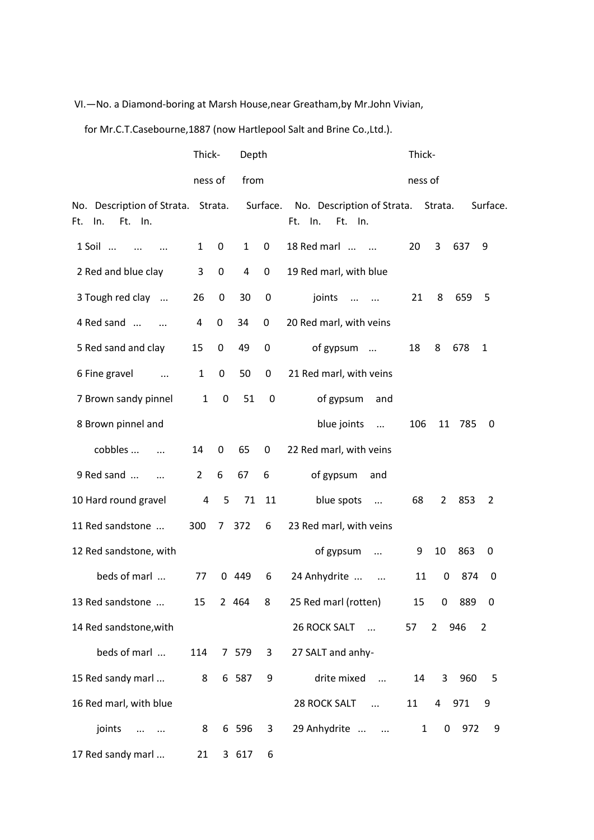### VI.—No. a Diamond-boring at Marsh House,near Greatham,by Mr.John Vivian,

for Mr.C.T.Casebourne,1887 (now Hartlepool Salt and Brine Co.,Ltd.).

|                                                     | Thick-         |             | Depth        |             |                                                  |         | Thick-            |       |          |  |  |
|-----------------------------------------------------|----------------|-------------|--------------|-------------|--------------------------------------------------|---------|-------------------|-------|----------|--|--|
|                                                     | ness of        |             | from         |             |                                                  | ness of |                   |       |          |  |  |
| No. Description of Strata.<br>In.<br>Ft. In.<br>Ft. |                | Strata.     |              | Surface.    | No. Description of Strata.<br>Ft. In.<br>Ft. In. |         | Strata.           |       | Surface. |  |  |
| 1 Soil<br>$\cdots$                                  | $\mathbf{1}$   | $\mathbf 0$ | $\mathbf{1}$ | 0           | 18 Red marl                                      | 20      | 3                 | 637   | 9        |  |  |
| 2 Red and blue clay                                 | 3              | 0           | 4            | 0           | 19 Red marl, with blue                           |         |                   |       |          |  |  |
| 3 Tough red clay                                    | 26             | 0           | 30           | 0           | joints<br>$\ddots$<br>$\sim$ $\sim$              | 21      | 8                 | 659   | 5        |  |  |
| 4 Red sand                                          | 4              | 0           | 34           | 0           | 20 Red marl, with veins                          |         |                   |       |          |  |  |
| 5 Red sand and clay                                 | 15             | 0           | 49           | $\mathbf 0$ | of gypsum                                        | 18      | 8                 | 678   | 1        |  |  |
| 6 Fine gravel<br>$\ldots$                           | $\mathbf{1}$   | $\mathbf 0$ | 50           | $\mathbf 0$ | 21 Red marl, with veins                          |         |                   |       |          |  |  |
| 7 Brown sandy pinnel                                | $\mathbf{1}$   | $\pmb{0}$   | 51           | 0           | of gypsum<br>and                                 |         |                   |       |          |  |  |
| 8 Brown pinnel and                                  |                |             |              |             | blue joints<br>$\dddotsc$                        | 106     | 11                | 785   | 0        |  |  |
| cobbles<br>$\dddotsc$                               | 14             | 0           | 65           | 0           | 22 Red marl, with veins                          |         |                   |       |          |  |  |
| 9 Red sand<br>$\dddotsc$                            | $\overline{2}$ | 6           | 67           | 6           | of gypsum<br>and                                 |         |                   |       |          |  |  |
| 10 Hard round gravel                                | $\overline{a}$ | 5           | 71           | 11          | blue spots<br>$\dddotsc$                         | 68      | $\mathbf{2}$      | 853   | 2        |  |  |
| 11 Red sandstone                                    | 300            |             | 7 372        | 6           | 23 Red marl, with veins                          |         |                   |       |          |  |  |
| 12 Red sandstone, with                              |                |             |              |             | of gypsum<br>$\cdots$                            | 9       | 10                | 863   | 0        |  |  |
| beds of marl                                        | 77             |             | 0 449        | 6           | 24 Anhydrite<br>$\ddotsc$                        | 11      | 0                 | 874   | 0        |  |  |
| 13 Red sandstone                                    | 15             |             | 2 464        | 8           | 25 Red marl (rotten)                             | 15      | 0                 | 889 0 |          |  |  |
| 14 Red sandstone, with                              |                |             |              |             | 26 ROCK SALT<br>$\cdots$                         | 57      | $\mathbf{2}$      | 946   | 2        |  |  |
| beds of marl                                        | 114            |             | 7 579        | 3           | 27 SALT and anhy-                                |         |                   |       |          |  |  |
| 15 Red sandy marl                                   | 8              |             | 6 587        | 9           | drite mixed<br>$\dddotsc$                        | 14      | 3                 | 960   | 5        |  |  |
| 16 Red marl, with blue                              |                |             |              |             | 28 ROCK SALT<br>$\sim$ $\sim$                    | 11      | $4 -$             | 971   | 9        |  |  |
| joints<br>$\ldots$ . $\ldots$                       | 8              |             | 6 596        | 3           | 29 Anhydrite                                     |         | $\mathbf{1}$<br>0 | 972   | 9        |  |  |
| 17 Red sandy marl                                   | 21             |             | 3 617        | 6           |                                                  |         |                   |       |          |  |  |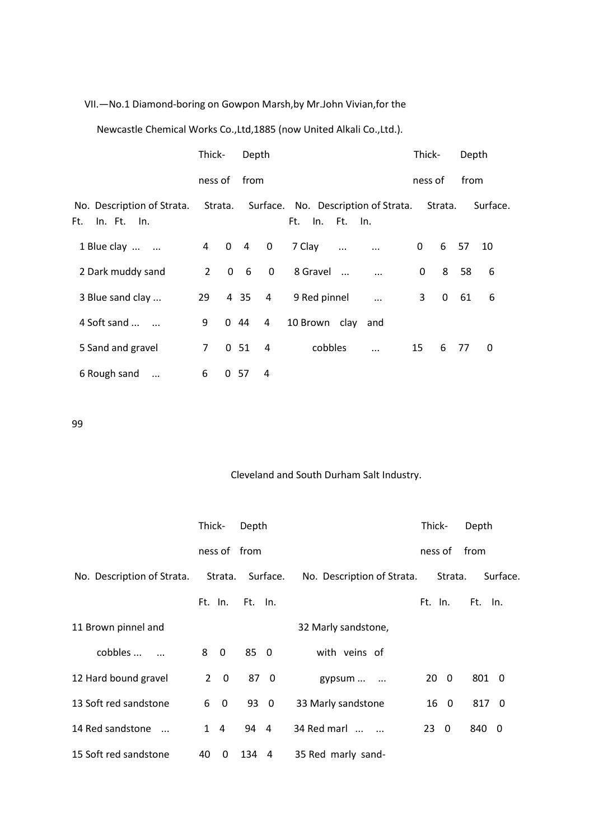#### VII.—No.1 Diamond-boring on Gowpon Marsh,by Mr.John Vivian,for the

Newcastle Chemical Works Co.,Ltd,1885 (now United Alkali Co.,Ltd.).

|                                                  | Thick-         |         | Depth      |                |               |               |                                             | Thick-      |             | Depth |          |
|--------------------------------------------------|----------------|---------|------------|----------------|---------------|---------------|---------------------------------------------|-------------|-------------|-------|----------|
|                                                  | ness of        |         | from       |                |               |               |                                             | ness of     |             | from  |          |
| No. Description of Strata.<br>In. Ft. In.<br>Ft. |                | Strata. |            |                | Ft.           | In. Ft. In.   | Surface. No. Description of Strata. Strata. |             |             |       | Surface. |
| 1 Blue clay                                      |                |         | 4 0 4 0    |                | 7 Clay        | $\sim$ $\sim$ |                                             | 0           | 6           | 57    | 10       |
| 2 Dark muddy sand                                | $\overline{2}$ |         | $0\quad 6$ | $\mathbf 0$    | 8 Gravel      |               | $\ddotsc$                                   | $\mathbf 0$ | 8           | 58    | 6        |
| 3 Blue sand clay                                 | 29             |         | 4 3 5      | $\overline{4}$ | 9 Red pinnel  |               | $\dddotsc$                                  | 3           | $\mathbf 0$ | 61    | 6        |
| 4 Soft sand                                      | 9              |         | 0.44       | $\overline{4}$ | 10 Brown clay |               | and                                         |             |             |       |          |
| 5 Sand and gravel                                | $\overline{7}$ |         | 0.51       | 4              | cobbles       |               | $\ddotsc$                                   | 15          |             | 6 77  | 0        |
| 6 Rough sand<br>$\cdots$                         | 6              |         | 0.57       | 4              |               |               |                                             |             |             |       |          |

99

## Cleveland and South Durham Salt Industry.

|                            | Thick- |                         | Depth        |          |                            | Thick-    |         | Depth   |          |
|----------------------------|--------|-------------------------|--------------|----------|----------------------------|-----------|---------|---------|----------|
|                            |        |                         | ness of from |          |                            | ness of   |         | from    |          |
| No. Description of Strata. |        | Strata.                 |              | Surface. | No. Description of Strata. |           | Strata. |         | Surface. |
|                            |        | Ft. In.                 | Ft. In.      |          |                            | Ft. In.   |         | Ft. In. |          |
| 11 Brown pinnel and        |        |                         |              |          | 32 Marly sandstone,        |           |         |         |          |
| cobbles                    | 8      | $\overline{\mathbf{0}}$ | 85 0         |          | with veins of              |           |         |         |          |
| 12 Hard bound gravel       |        | $2 \quad 0$             |              | 87 0     | gypsum                     | $20 \t 0$ |         | 801 0   |          |
| 13 Soft red sandstone      | 6      | $\overline{\mathbf{0}}$ | 93 0         |          | 33 Marly sandstone         |           | 16 0    | 817 0   |          |
| 14 Red sandstone           |        | $1 \quad 4$             | 94 4         |          | 34 Red marl                | 23 0      |         | 840 0   |          |
| 15 Soft red sandstone      | 40     | 0                       | 134          | - 4      | 35 Red marly sand-         |           |         |         |          |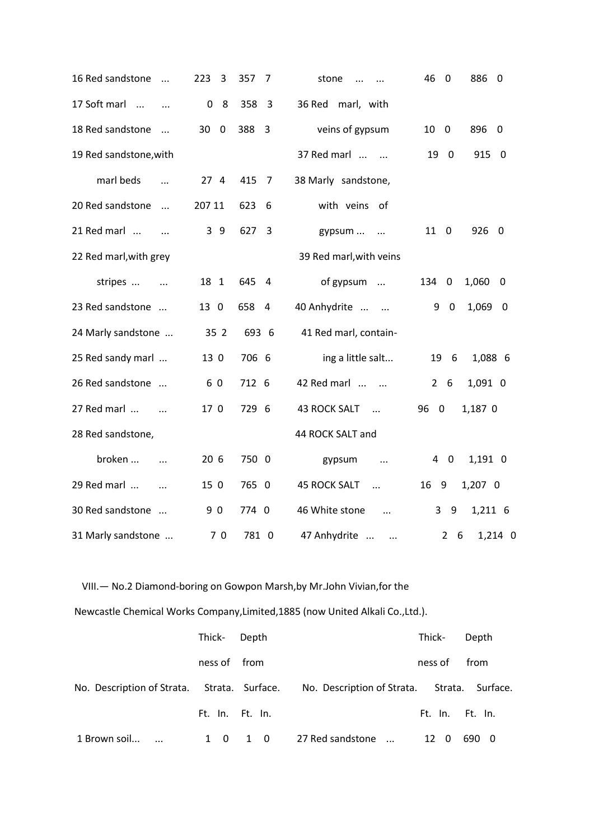| 16 Red sandstone<br>$\dddotsc$ | 223<br>3          | 357<br>7              | stone<br>$\cdots$                 | 46<br>886<br>$\mathbf 0$<br>- 0        |
|--------------------------------|-------------------|-----------------------|-----------------------------------|----------------------------------------|
| 17 Soft marl                   | 8<br>0            | 358<br>$\overline{3}$ | 36 Red<br>marl, with              |                                        |
| 18 Red sandstone<br>$\cdot$    | 30<br>$\mathbf 0$ | 388<br>3              | veins of gypsum                   | 896<br>10<br>0<br>0                    |
| 19 Red sandstone, with         |                   |                       | 37 Red marl                       | 19<br>$\overline{\mathbf{0}}$<br>915 0 |
| marl beds                      | 274               | 415<br>$\overline{7}$ | 38 Marly sandstone,               |                                        |
| 20 Red sandstone<br>$\cdots$   | 207 11            | 623<br>6              | with veins of                     |                                        |
| 21 Red marl<br>$\cdots$        | 3 9               | 627<br>3              | gypsum<br>$\sim$ $\sim$           | 926 0<br>11<br>$\overline{\mathbf{0}}$ |
| 22 Red marl, with grey         |                   |                       | 39 Red marl, with veins           |                                        |
| stripes<br>$\cdots$            | 18 1              | 645<br>4              | of gypsum                         | 1,060<br>134 0<br>- 0                  |
| 23 Red sandstone               | 13 0              | 658<br>4              | 40 Anhydrite                      | 1,069 0<br>9<br>$\mathbf 0$            |
| 24 Marly sandstone             | 35 2              | 693 6                 | 41 Red marl, contain-             |                                        |
| 25 Red sandy marl              | 13 0              | 706 6                 | ing a little salt                 | 19<br>6<br>1,088 6                     |
| 26 Red sandstone               | 60                | 712 6                 | 42 Red marl                       | 1,091 0<br>$2^{\circ}$<br>6            |
| 27 Red marl<br>$\sim$ $\sim$   | 17 0              | 729 6                 | <b>43 ROCK SALT</b><br>$\sim$     | 96<br>$\overline{0}$<br>1,187 0        |
| 28 Red sandstone,              |                   |                       | 44 ROCK SALT and                  |                                        |
| broken<br>$\dddotsc$           | 20 <sub>6</sub>   | 750 0                 | gypsum<br>$\cdots$                | 1,191 0<br>4<br>$\overline{0}$         |
| 29 Red marl<br>$\dddotsc$      | 15 0              | 765 0                 | <b>45 ROCK SALT</b><br>$\dddotsc$ | 1,207 0<br>16 9                        |
| 30 Red sandstone               | 90                | 774 0                 | 46 White stone<br>$\cdots$        | 3<br>1,211 6<br>9                      |
| 31 Marly sandstone             | 70                | 781 0                 | 47 Anhydrite<br>$\cdots$          | 1,214 0<br>$\overline{2}$<br>- 6       |

VIII.— No.2 Diamond-boring on Gowpon Marsh,by Mr.John Vivian,for the

Newcastle Chemical Works Company,Limited,1885 (now United Alkali Co.,Ltd.).

|                                             | Thick- Depth        |     |                                             | Thick-          | Depth |
|---------------------------------------------|---------------------|-----|---------------------------------------------|-----------------|-------|
|                                             | ness of from        |     |                                             | ness of         | from  |
| No. Description of Strata. Strata. Surface. |                     |     | No. Description of Strata. Strata. Surface. |                 |       |
|                                             | Ft. In. Ft. In.     |     |                                             | Ft. In. Ft. In. |       |
| 1 Brown soil                                | - 0<br>$\mathbf{1}$ | 1 0 | 27 Red sandstone<br>$\cdots$                | 12<br>- 0       | 690 0 |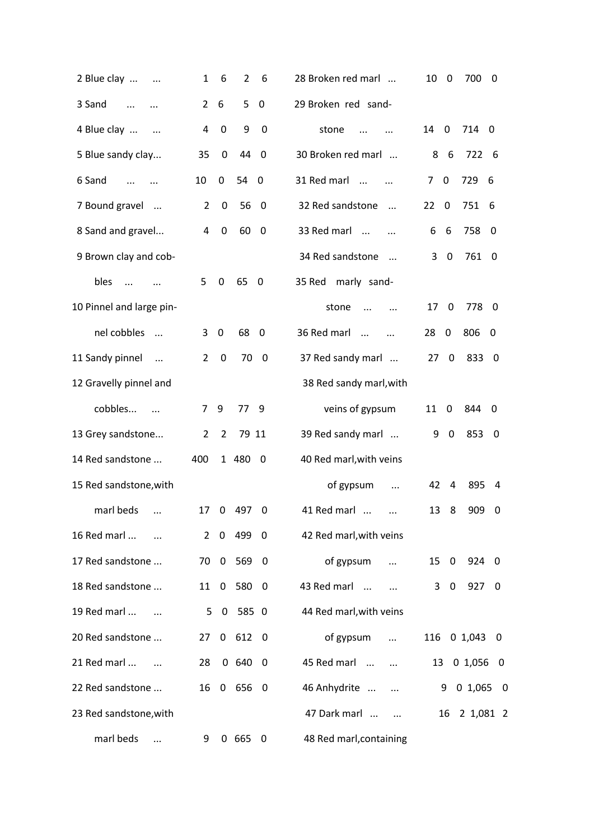| 2 Blue clay                                 | 1              | 6                | $\overline{2}$ | 6                        | 28 Broken red marl             | 10             | 0              | 700           | 0           |
|---------------------------------------------|----------------|------------------|----------------|--------------------------|--------------------------------|----------------|----------------|---------------|-------------|
| 3 Sand<br>$\cdots$                          | $\overline{2}$ | 6                | 5              | $\mathbf 0$              | 29 Broken red sand-            |                |                |               |             |
| 4 Blue clay<br>$\cdots$                     | 4              | $\mathbf 0$      | 9              | 0                        | stone                          | 14             | $\mathbf 0$    | 714 0         |             |
| 5 Blue sandy clay                           | 35             | 0                | 44             | $\mathbf 0$              | 30 Broken red marl             | 8              | 6              | 722 6         |             |
| 6 Sand<br>$\dddotsc$                        | 10             | 0                | 54             | $\overline{\phantom{0}}$ | 31 Red marl                    | $\overline{7}$ | 0              | 729           | - 6         |
| 7 Bound gravel                              | $\overline{2}$ | $\boldsymbol{0}$ | 56             | 0                        | 32 Red sandstone<br>$\dddotsc$ | 22             | 0              | 751           | 6           |
| 8 Sand and gravel                           | 4              | $\boldsymbol{0}$ | 60             | 0                        | 33 Red marl                    | 6              | 6              | 758           | 0           |
| 9 Brown clay and cob-                       |                |                  |                |                          | 34 Red sandstone<br>$\dddotsc$ | 3              | 0              | 761 0         |             |
| bles<br>$\dddotsc$                          | 5              | 0                | 65             | - 0                      | 35 Red<br>marly sand-          |                |                |               |             |
| 10 Pinnel and large pin-                    |                |                  |                |                          | stone<br>$\dddotsc$            | 17             | $\mathbf 0$    | 778           | - 0         |
| nel cobbles<br>$\cdot$                      | 3              | $\mathbf 0$      | 68             | $\mathbf 0$              | 36 Red marl<br>$\dddotsc$      | 28             | $\mathbf 0$    | 806           | - 0         |
| 11 Sandy pinnel<br>$\overline{\phantom{a}}$ | 2              | $\boldsymbol{0}$ | 70             | $\boldsymbol{0}$         | 37 Red sandy marl              | 27             | $\mathbf 0$    | 833           | $\mathbf 0$ |
| 12 Gravelly pinnel and                      |                |                  |                |                          | 38 Red sandy marl, with        |                |                |               |             |
| cobbles<br>$\overline{\phantom{a}}$         | 7              | 9                | 77 9           |                          | veins of gypsum                | 11             | 0              | 844           | - 0         |
| 13 Grey sandstone                           | $\overline{2}$ | $\overline{2}$   | 79 11          |                          | 39 Red sandy marl              | 9              | $\mathbf 0$    | 853           | - 0         |
| 14 Red sandstone                            | 400            |                  | 1 480          | $\overline{\mathbf{0}}$  | 40 Red marl, with veins        |                |                |               |             |
| 15 Red sandstone, with                      |                |                  |                |                          | of gypsum<br>$\cdots$          | 42             | 4              | 895           | 4           |
| marl beds<br>$\ddotsc$                      | 17             | 0                | 497            | 0                        | 41 Red marl<br>$\cdots$        | 13             | 8              | 909           | 0           |
| 16 Red marl                                 |                |                  | 2 0 499 0      |                          | 42 Red marl, with veins        |                |                |               |             |
| 17 Red sandstone                            |                |                  | 70 0 569 0     |                          | of gypsum<br>$\dddotsc$        | 15 0           |                | 924 0         |             |
| 18 Red sandstone                            |                |                  | 11 0 580 0     |                          | 43 Red marl<br>$\cdots$        | 3              | $\overline{0}$ | 927 0         |             |
| 19 Red marl                                 |                |                  | 5 0 585 0      |                          | 44 Red marl, with veins        |                |                |               |             |
| 20 Red sandstone                            | 27             |                  | 0 612 0        |                          | of gypsum<br>$\cdots$          |                |                | 116 0 1,043 0 |             |
| 21 Red marl                                 | 28             |                  | 06400          |                          | 45 Red marl<br>$\cdots$        | 13             |                | 0 1,056 0     |             |
| 22 Red sandstone                            |                |                  | 16 0 656 0     |                          | 46 Anhydrite<br>$\ddots$       |                | 9              | 0 1,065 0     |             |
| 23 Red sandstone, with                      |                |                  |                |                          | 47 Dark marl                   |                | 16             | 2 1,081 2     |             |
| marl beds                                   | 9              |                  | 0 665          | 0                        | 48 Red marl, containing        |                |                |               |             |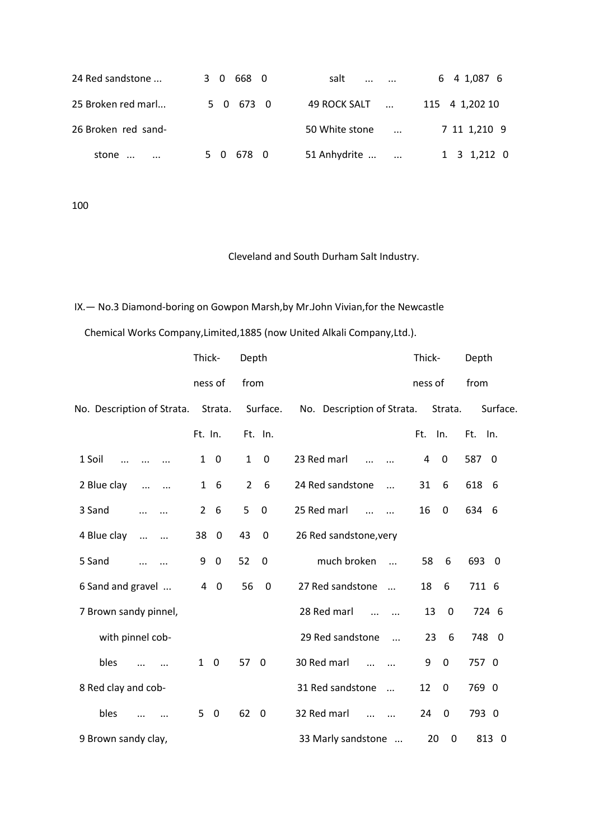| 24 Red sandstone    | 3 0 668 0 | salt<br>$\cdots$ $\cdots$      | 6 4 1,087 6    |
|---------------------|-----------|--------------------------------|----------------|
| 25 Broken red marl  | 5 0 673 0 | 49 ROCK SALT                   | 115 4 1,202 10 |
| 26 Broken red sand- |           | 50 White stone<br>$\mathbf{r}$ | 7 11 1,210 9   |
| stone               | 5 0 678 0 | 51 Anhydrite                   | 1 3 1,212 0    |

100

# Cleveland and South Durham Salt Industry.

# IX.— No.3 Diamond-boring on Gowpon Marsh,by Mr.John Vivian,for the Newcastle

Chemical Works Company,Limited,1885 (now United Alkali Company,Ltd.).

|                                        | Thick-                         | Depth                       |                                              | Thick-            | Depth                           |
|----------------------------------------|--------------------------------|-----------------------------|----------------------------------------------|-------------------|---------------------------------|
|                                        | ness of                        | from                        |                                              | ness of           | from                            |
| No. Description of Strata.             | Strata.                        | Surface.                    | No. Description of Strata.                   | Strata.           | Surface.                        |
|                                        | Ft. In.                        | Ft. In.                     |                                              | Ft.<br>In.        | Ft. In.                         |
| 1 Soil<br>$\cdots$                     | $\overline{0}$<br>$\mathbf{1}$ | $\mathbf{1}$<br>$\mathbf 0$ | 23 Red marl<br>$\ddotsc$                     | 0<br>4            | 587<br>$\overline{\phantom{0}}$ |
| 2 Blue clay<br>$\cdots$<br>$\cdots$    | -6<br>$\mathbf{1}$             | 2<br>6                      | 24 Red sandstone<br>$\dddotsc$               | 31<br>6           | 618<br>- 6                      |
| 3 Sand<br>$\cdots$                     | $\overline{2}$<br>6            | 5<br>$\overline{0}$         | 25 Red marl<br>$\ddotsc$<br>$\cdots$         | 16<br>0           | 634 6                           |
| 4 Blue clay<br>$\dddotsc$<br>$\ddotsc$ | 38<br>$\mathbf 0$              | 43<br>$\mathbf 0$           | 26 Red sandstone, very                       |                   |                                 |
| 5 Sand<br>$\ddotsc$                    | 9<br>$\mathbf 0$               | 52<br>$\mathbf 0$           | much broken<br>$\dddot{\phantom{0}}$         | 58<br>6           | 693 0                           |
| 6 Sand and gravel                      | 4<br>$\boldsymbol{0}$          | 56<br>0                     | 27 Red sandstone<br>$\dddotsc$               | 18<br>6           | 711 6                           |
| 7 Brown sandy pinnel,                  |                                |                             | 28 Red marl                                  | 13<br>$\Omega$    | 724 6                           |
| with pinnel cob-                       |                                |                             | 29 Red sandstone<br>$\dddotsc$               | 23<br>6           | 748 0                           |
| bles                                   | $\mathbf{1}$<br>$\overline{0}$ | 57<br>$\mathbf 0$           | 30 Red marl<br>$\ddotsc$                     | 9<br>$\Omega$     | 757 0                           |
| 8 Red clay and cob-                    |                                |                             | 31 Red sandstone<br>$\overline{\phantom{a}}$ | 12<br>$\mathbf 0$ | 769 0                           |
| bles                                   | 5<br>$\overline{0}$            | 62<br>$\overline{0}$        | 32 Red marl<br>$\ddotsc$                     | 24<br>$\Omega$    | 793 0                           |
| 9 Brown sandy clay,                    |                                |                             | 33 Marly sandstone                           | $\mathbf 0$<br>20 | 813 0                           |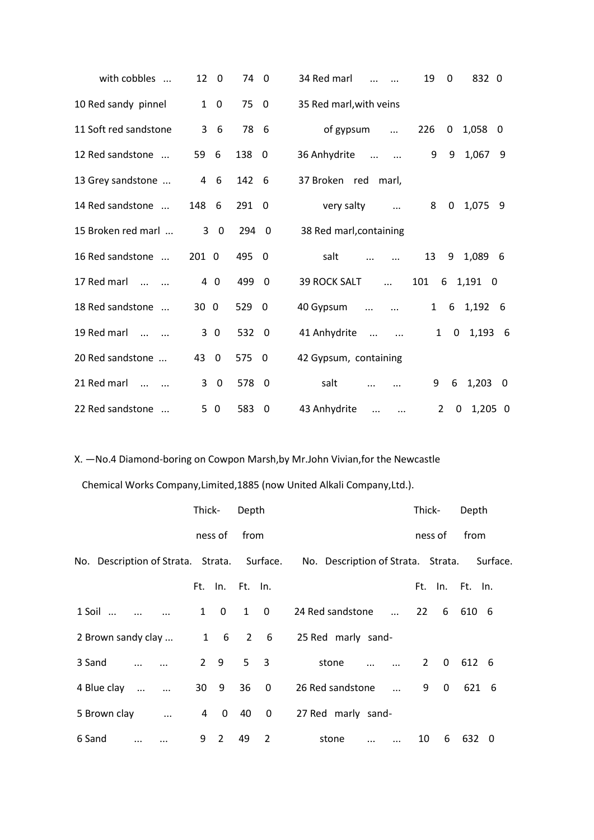| with cobbles                | 12<br>$\mathbf{0}$            | 74    | $\overline{0}$           | 34 Red marl                          | 19             | 0              | 832 0     |     |
|-----------------------------|-------------------------------|-------|--------------------------|--------------------------------------|----------------|----------------|-----------|-----|
| 10 Red sandy pinnel         | $\mathbf{1}$<br>$\mathbf 0$   | 75    | $\overline{0}$           | 35 Red marl, with veins              |                |                |           |     |
| 11 Soft red sandstone       | 3<br>6                        | 78    | -6                       | of gypsum<br>$\ddots$                | 226            | 0              | 1,058     | - 0 |
| 12 Red sandstone            | 59<br>6                       | 138   | - 0                      | 36 Anhydrite<br>$\ddots$<br>$\cdots$ | 9              | 9              | 1,067 9   |     |
| 13 Grey sandstone           | $\overline{4}$<br>6           | 142 6 |                          | 37 Broken red<br>marl,               |                |                |           |     |
| 14 Red sandstone            | 148<br>- 6                    | 291   | $\overline{0}$           | very salty<br>$\ddots$               | 8              | $\mathbf{0}$   | 1,075     | -9  |
| 15 Broken red marl          | $\mathbf 0$<br>3              | 294 0 |                          | 38 Red marl, containing              |                |                |           |     |
| 16 Red sandstone            | 201 0                         | 495   | - 0                      | salt                                 | 13             | 9              | 1,089     | - 6 |
| 17 Red marl<br>$\mathbf{r}$ | 4 0                           | 499   | $\overline{0}$           | <b>39 ROCK SALT</b><br>$\dddotsc$    | 101            |                | 6 1,191 0 |     |
| 18 Red sandstone            | 30 0                          | 529   | - 0                      | 40 Gypsum<br>$\dddotsc$              | $\mathbf{1}$   | 6              | 1,192 6   |     |
| 19 Red marl<br>$\dddotsc$   | 30                            | 532   | $\overline{\phantom{0}}$ | 41 Anhydrite<br>$\dddotsc$           | $\mathbf{1}$   | $\overline{0}$ | $1,193$ 6 |     |
| 20 Red sandstone            | 43<br>$\overline{\mathbf{0}}$ | 575   | $\overline{\phantom{0}}$ | 42 Gypsum, containing                |                |                |           |     |
| 21 Red marl<br>$\ddotsc$    | 3<br>$\Omega$                 | 578   | - 0                      | salt                                 | 9              | 6              | 1,203     | - 0 |
| 22 Red sandstone            | 50                            | 583   | 0                        | 43 Anhydrite<br>$\dddotsc$           | $\overline{2}$ | 0              | 1,205 0   |     |

X. —No.4 Diamond-boring on Cowpon Marsh,by Mr.John Vivian,for the Newcastle

Chemical Works Company,Limited,1885 (now United Alkali Company,Ltd.).

|                                | Thick-         |                          | Depth  |                |                                                                                         |    | Thick-            | Depth               |  |
|--------------------------------|----------------|--------------------------|--------|----------------|-----------------------------------------------------------------------------------------|----|-------------------|---------------------|--|
|                                |                | ness of                  | from   |                |                                                                                         |    | ness of           | from                |  |
|                                |                |                          |        |                | No. Description of Strata. Strata. Surface. No. Description of Strata. Strata. Surface. |    |                   |                     |  |
|                                |                | Ft. In. Ft. In.          |        |                |                                                                                         |    |                   | Ft. In. Ft. In.     |  |
| $1$ Soil $\ldots$              |                | 1 0                      |        | $1 \quad 0$    | 24 Red sandstone                                                                        |    |                   | 22 6 610 6          |  |
| 2 Brown sandy clay             |                | $1\quad 6\quad 2\quad 6$ |        |                | 25 Red marly sand-                                                                      |    |                   |                     |  |
| 3 Sand<br>$\dddotsc$           |                | $2 \quad 9$              |        | 5 <sub>3</sub> | stone<br>$\cdots$ $\cdots$ $\cdots$                                                     |    | $2^{\circ}$       | $0\quad 612\quad 6$ |  |
| 4 Blue clay<br>$\sim$ $\sim$   |                | 30 9                     |        | $36 \quad 0$   | 26 Red sandstone<br>$\cdots$                                                            |    | 9<br>$\mathbf{0}$ | 621 6               |  |
| 5 Brown clay<br>$\cdots$       | $\overline{4}$ |                          | $0$ 40 | 0              | 27 Red marly sand-                                                                      |    |                   |                     |  |
| 6 Sand<br>$\cdots$<br>$\cdots$ | 9              | 2                        | 49     | 2              | stone<br>$\cdots$<br>$\ddotsc$                                                          | 10 | 6                 | 632 0               |  |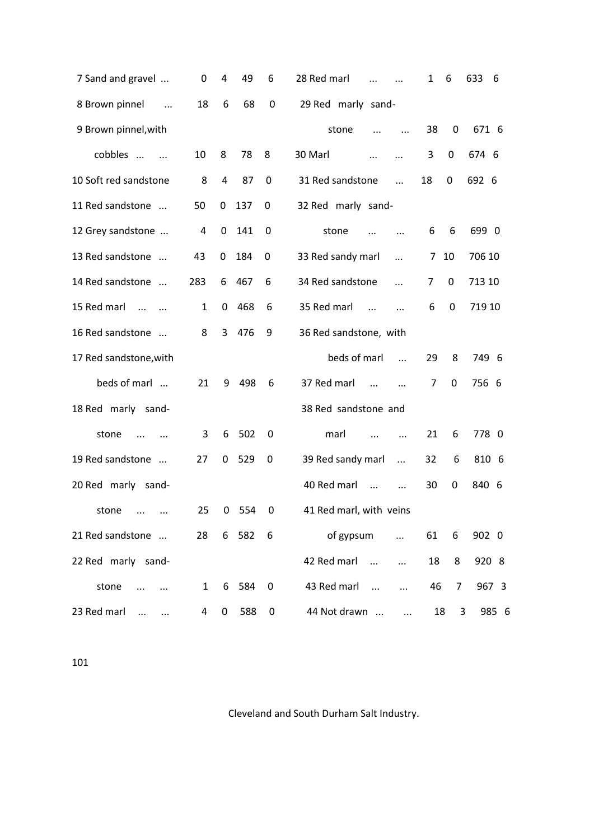| 7 Sand and gravel              | 0            | 4 | 49    | 6           | 28 Red marl               | $\cdots$   | $\mathbf{1}$ | 6  | 633<br>6 |
|--------------------------------|--------------|---|-------|-------------|---------------------------|------------|--------------|----|----------|
| 8 Brown pinnel<br>$\ddotsc$    | 18           | 6 | 68    | 0           | 29 Red marly sand-        |            |              |    |          |
| 9 Brown pinnel, with           |              |   |       |             | stone<br>$\cdots$         | $\cdots$   | 38           | 0  | 671 6    |
| cobbles<br>$\sim$ $\sim$       | 10           | 8 | 78    | 8           | 30 Marl<br>$\cdots$       | $\ddotsc$  | 3            | 0  | 674 6    |
| 10 Soft red sandstone          | 8            | 4 | 87    | $\mathbf 0$ | 31 Red sandstone          | $\dddotsc$ | 18           | 0  | 692 6    |
| 11 Red sandstone               | 50           | 0 | 137   | 0           | 32 Red marly sand-        |            |              |    |          |
| 12 Grey sandstone              | 4            | 0 | 141   | 0           | stone<br>$\ddotsc$        | $\ddotsc$  | 6            | 6  | 699 0    |
| 13 Red sandstone               | 43           | 0 | 184   | 0           | 33 Red sandy marl         | $\cdots$   | 7            | 10 | 706 10   |
| 14 Red sandstone               | 283          | 6 | 467   | 6           | 34 Red sandstone          | $\dddotsc$ | 7            | 0  | 713 10   |
| 15 Red marl<br>$\dddotsc$      | 1            | 0 | 468   | 6           | 35 Red marl<br>$\dddotsc$ |            | 6            | 0  | 719 10   |
| 16 Red sandstone               | 8            | 3 | 476   | 9           | 36 Red sandstone, with    |            |              |    |          |
| 17 Red sandstone, with         |              |   |       |             | beds of marl              | $\dddotsc$ | 29           | 8  | 749 6    |
| beds of marl                   | 21           | 9 | 498   | 6           | 37 Red marl<br>$\dddotsc$ | $\cdots$   | 7            | 0  | 756 6    |
| 18 Red marly<br>sand-          |              |   |       |             | 38 Red sandstone and      |            |              |    |          |
| stone<br>$\cdots$              | 3            | 6 | 502   | 0           | marl<br>$\dddotsc$        | $\dddotsc$ | 21           | 6  | 778 0    |
| 19 Red sandstone               | 27           | 0 | 529   | 0           | 39 Red sandy marl         | $\ddots$   | 32           | 6  | 810 6    |
| 20 Red marly<br>sand-          |              |   |       |             | 40 Red marl<br>$\dddotsc$ | $\cdots$   | 30           | 0  | 840 6    |
| stone<br>$\cdots$<br>$\ddotsc$ | 25           | 0 | 554   | 0           | 41 Red marl, with veins   |            |              |    |          |
| 21 Red sandstone               | 28           |   | 6 582 | 6           | of gypsum                 | $\dddotsc$ | 61           | 6  | 902 0    |
| 22 Red marly sand-             |              |   |       |             | 42 Red marl<br>$\dddotsc$ |            | 18           | 8  | 920 8    |
| stone                          | $\mathbf{1}$ | 6 | 584   | $\pmb{0}$   | 43 Red marl               | $\cdots$   | 46           | 7  | 967 3    |
| 23 Red marl                    | 4            | 0 | 588   | 0           | 44 Not drawn              |            | 18           | 3  | 985 6    |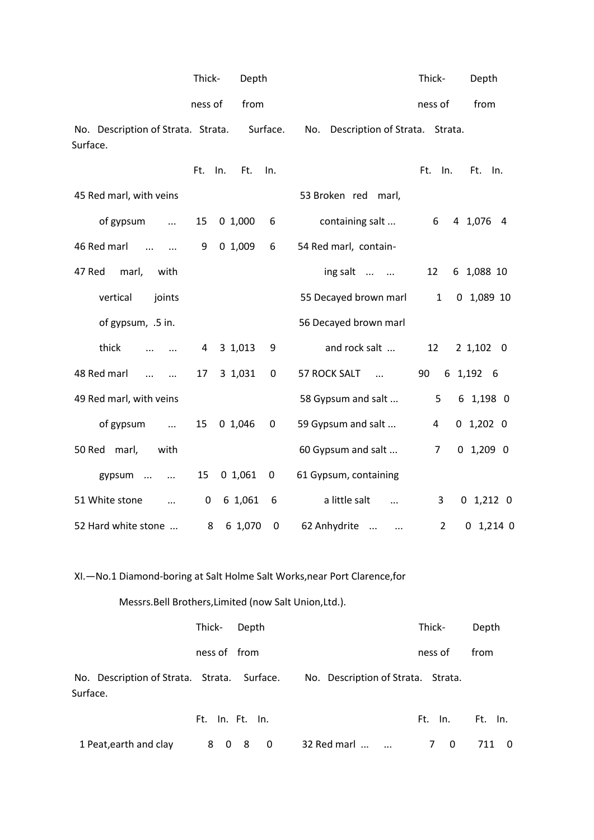|                                                | Thick-     | Depth    |             |                                       | Thick-         | Depth        |
|------------------------------------------------|------------|----------|-------------|---------------------------------------|----------------|--------------|
|                                                | ness of    | from     |             |                                       | ness of        | from         |
| No. Description of Strata. Strata.<br>Surface. |            | Surface. |             | No.<br>Description of Strata. Strata. |                |              |
|                                                | Ft.<br>In. | Ft.      | In.         |                                       | Ft.<br>In.     | Ft. In.      |
| 45 Red marl, with veins                        |            |          |             | 53 Broken red marl,                   |                |              |
| of gypsum<br>$\dddotsc$                        | 15         | 01,000   | 6           | containing salt                       | 6              | 4 1,076 4    |
| 46 Red marl<br>$\dddotsc$<br>$\ddotsc$         | 9          | 01,009   | 6           | 54 Red marl, contain-                 |                |              |
| 47 Red<br>marl,<br>with                        |            |          |             | ing salt                              | 12             | 6 1,088 10   |
| vertical<br>joints                             |            |          |             | 55 Decayed brown marl                 | $\mathbf{1}$   | $0$ 1,089 10 |
| of gypsum, .5 in.                              |            |          |             | 56 Decayed brown marl                 |                |              |
| thick                                          | 4          | 3 1,013  | 9           | and rock salt                         | 12             | 2 1,102 0    |
| 48 Red marl<br>$\dddotsc$<br>$\dddotsc$        | 17         | 3 1,031  | 0           | 57 ROCK SALT<br>$\cdots$              | 90             | 6 1,192 6    |
| 49 Red marl, with veins                        |            |          |             | 58 Gypsum and salt                    | 5              | 6 1,198 0    |
| of gypsum<br>$\dddotsc$                        | 15         | 0 1,046  | 0           | 59 Gypsum and salt                    | 4              | $0$ 1,202 0  |
| 50 Red marl,<br>with                           |            |          |             | 60 Gypsum and salt                    | $\overline{7}$ | $0$ 1,209 0  |
| gypsum<br>$\cdots$                             | 15         | 01,061   | $\mathbf 0$ | 61 Gypsum, containing                 |                |              |
| 51 White stone<br>$\cdots$                     | 0          | 6 1,061  | 6           | a little salt<br>$\dddotsc$           | 3              | $0$ 1,212 0  |
| 52 Hard white stone                            | 8          | 6 1,070  | $\mathbf 0$ | 62 Anhydrite<br>$\cdots$<br>$\ddots$  | $\overline{2}$ | $0$ 1,214 0  |

XI.—No.1 Diamond-boring at Salt Holme Salt Works,near Port Clarence,for

Messrs.Bell Brothers,Limited (now Salt Union,Ltd.).

|                                                         | Thick- Depth |                                    | Thick-  | Depth |
|---------------------------------------------------------|--------------|------------------------------------|---------|-------|
|                                                         | ness of from |                                    | ness of | from  |
| No. Description of Strata. Strata. Surface.<br>Surface. |              | No. Description of Strata. Strata. |         |       |

|                                                        | Ft. In. Ft. In. |  |  | Ft. In. Ft. In. |  |
|--------------------------------------------------------|-----------------|--|--|-----------------|--|
| 1 Peat, earth and clay 3 0 8 0 32 Red marl   7 0 711 0 |                 |  |  |                 |  |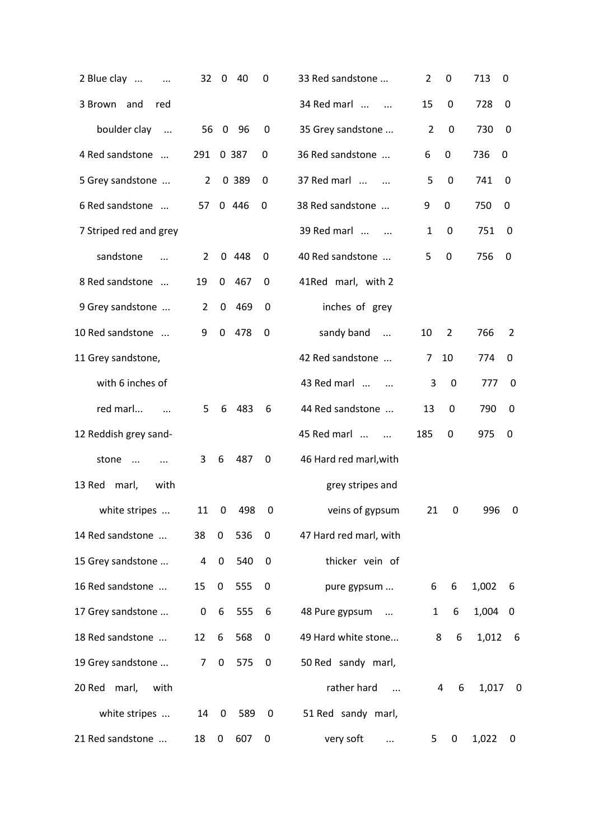| 2 Blue clay<br>$\ddotsc$      | 32             | $\overline{\mathbf{0}}$ | 40    | 0                | 33 Red sandstone           | 2              | 0                | 713   | 0                        |
|-------------------------------|----------------|-------------------------|-------|------------------|----------------------------|----------------|------------------|-------|--------------------------|
| 3 Brown and<br>red            |                |                         |       |                  | 34 Red marl<br>$\cdots$    | 15             | 0                | 728   | 0                        |
| boulder clay<br>$\sim$ $\sim$ |                | 56 0                    | -96   | 0                | 35 Grey sandstone          | $\overline{2}$ | $\pmb{0}$        | 730   | 0                        |
| 4 Red sandstone               | 291            |                         | 0 387 | 0                | 36 Red sandstone           | 6              | 0                | 736   | 0                        |
| 5 Grey sandstone              | $\overline{2}$ |                         | 0 389 | 0                | 37 Red marl                | 5              | $\mathbf 0$      | 741   | 0                        |
| 6 Red sandstone               | 57             |                         | 0446  | 0                | 38 Red sandstone           | 9              | $\mathbf 0$      | 750   | $\boldsymbol{0}$         |
| 7 Striped red and grey        |                |                         |       |                  | 39 Red marl                | 1              | 0                | 751   | 0                        |
| sandstone<br>$\cdots$         | 2              |                         | 0.448 | 0                | 40 Red sandstone           | 5              | 0                | 756   | 0                        |
| 8 Red sandstone               | 19             | $\mathbf 0$             | 467   | 0                | 41Red marl, with 2         |                |                  |       |                          |
| 9 Grey sandstone              | $\overline{2}$ | 0                       | 469   | 0                | inches of grey             |                |                  |       |                          |
| 10 Red sandstone              | 9              | $\mathbf 0$             | 478   | $\boldsymbol{0}$ | sandy band<br>$\ddotsc$    | 10             | 2                | 766   | 2                        |
| 11 Grey sandstone,            |                |                         |       |                  | 42 Red sandstone           | 7              | 10               | 774   | 0                        |
| with 6 inches of              |                |                         |       |                  | 43 Red marl                | 3              | $\boldsymbol{0}$ | 777   | 0                        |
| red marl<br>$\dddotsc$        | 5              | 6                       | 483   | 6                | 44 Red sandstone           | 13             | $\mathbf 0$      | 790   | 0                        |
| 12 Reddish grey sand-         |                |                         |       |                  | 45 Red marl<br>$\dddotsc$  | 185            | 0                | 975   | 0                        |
| stone<br>$\cdots$<br>$\cdots$ | 3              | 6                       | 487   | 0                | 46 Hard red marl, with     |                |                  |       |                          |
| 13 Red<br>marl,<br>with       |                |                         |       |                  | grey stripes and           |                |                  |       |                          |
| white stripes                 | 11             | 0                       | 498   | 0                | veins of gypsum            | 21             | 0                | 996   | 0                        |
| 14 Red sandstone              | 38             | 0                       | 536   | 0                | 47 Hard red marl, with     |                |                  |       |                          |
| 15 Grey sandstone             | 4              | $\boldsymbol{0}$        | 540   | 0                | thicker vein of            |                |                  |       |                          |
| 16 Red sandstone              | 15             | 0                       | 555   | 0                | pure gypsum                | 6              | 6                | 1,002 | 6                        |
| 17 Grey sandstone             | 0              | 6                       | 555   | 6                | 48 Pure gypsum<br>$\cdots$ | $\mathbf{1}$   | 6                | 1,004 | $\overline{\mathbf{0}}$  |
| 18 Red sandstone              | 12             | 6                       | 568   | $\mathbf 0$      | 49 Hard white stone        |                | 6<br>8           | 1,012 | $-6$                     |
| 19 Grey sandstone             | $\overline{7}$ | $\boldsymbol{0}$        | 575   | $\mathbf 0$      | 50 Red sandy marl,         |                |                  |       |                          |
| 20 Red marl,<br>with          |                |                         |       |                  | rather hard<br>$\cdots$    |                | 4<br>6           | 1,017 | $\mathbf 0$              |
| white stripes                 | 14             | 0                       | 589   | 0                | 51 Red sandy marl,         |                |                  |       |                          |
| 21 Red sandstone              | 18             | 0                       | 607   | 0                | very soft<br>$\cdots$      | 5              | 0                | 1,022 | $\overline{\phantom{0}}$ |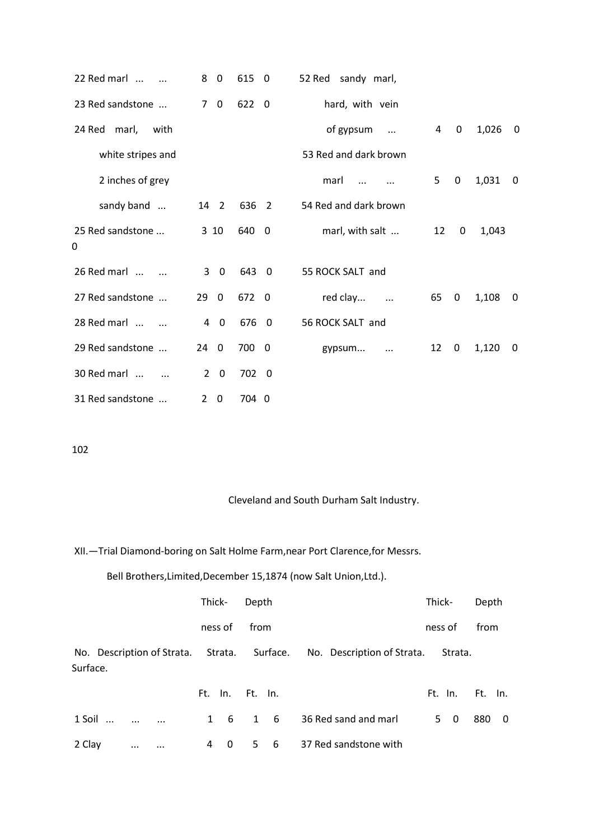| 22 Red marl<br>$\dddotsc$ | 8<br>$\mathbf{0}$                | 615 0 | 52 Red sandy marl,      |                |             |       |             |
|---------------------------|----------------------------------|-------|-------------------------|----------------|-------------|-------|-------------|
| 23 Red sandstone          | $7\quad0$                        | 622 0 | hard, with vein         |                |             |       |             |
| 24 Red marl,<br>with      |                                  |       | of gypsum<br>$\dddotsc$ | $\overline{4}$ | $\mathbf 0$ | 1,026 | - 0         |
| white stripes and         |                                  |       | 53 Red and dark brown   |                |             |       |             |
| 2 inches of grey          |                                  |       | marl                    | 5              | $\pmb{0}$   | 1,031 | $\mathbf 0$ |
| sandy band                | 14 2                             | 636 2 | 54 Red and dark brown   |                |             |       |             |
| 25 Red sandstone<br>0     | 310                              | 640 0 | marl, with salt         | 12             | 0           | 1,043 |             |
| 26 Red marl               | $3 \quad 0$                      | 643 0 | 55 ROCK SALT and        |                |             |       |             |
| 27 Red sandstone          | 29<br>$\mathbf 0$                | 672 0 | red clay<br>$\cdots$    | 65             | 0           | 1,108 | 0           |
| 28 Red marl               | $\overline{4}$<br>$\overline{0}$ | 676 0 | 56 ROCK SALT and        |                |             |       |             |
| 29 Red sandstone          | $24\quad0$                       | 700 0 | gypsum<br>$\ddotsc$     | 12             | 0           | 1,120 | - 0         |
| 30 Red marl               | $2 \quad 0$                      | 702 0 |                         |                |             |       |             |
| 31 Red sandstone          | $2 \quad 0$                      | 704 0 |                         |                |             |       |             |

## Cleveland and South Durham Salt Industry.

XII.—Trial Diamond-boring on Salt Holme Farm,near Port Clarence,for Messrs.

## Bell Brothers,Limited,December 15,1874 (now Salt Union,Ltd.).

|                                                         |          |          | Thick-       |                 | Depth |            |                            | Thick-  |                         | Depth   |     |
|---------------------------------------------------------|----------|----------|--------------|-----------------|-------|------------|----------------------------|---------|-------------------------|---------|-----|
|                                                         |          |          |              | ness of         | from  |            |                            | ness of |                         | from    |     |
| No. Description of Strata. Strata. Surface.<br>Surface. |          |          |              |                 |       |            | No. Description of Strata. |         | Strata.                 |         |     |
|                                                         |          |          |              | Ft. In. Ft. In. |       |            |                            |         | Ft. In.                 | Ft. In. |     |
| 1 Soil<br>$\dddotsc$                                    |          | $\cdots$ | $\mathbf{1}$ | - 6             |       | $1\quad 6$ | 36 Red sand and marl       | 5.      | $\overline{\mathbf{0}}$ | 880     | - 0 |
| 2 Clay                                                  | $\cdots$ | $\cdots$ | 4            | 0               | 5.    | - 6        | 37 Red sandstone with      |         |                         |         |     |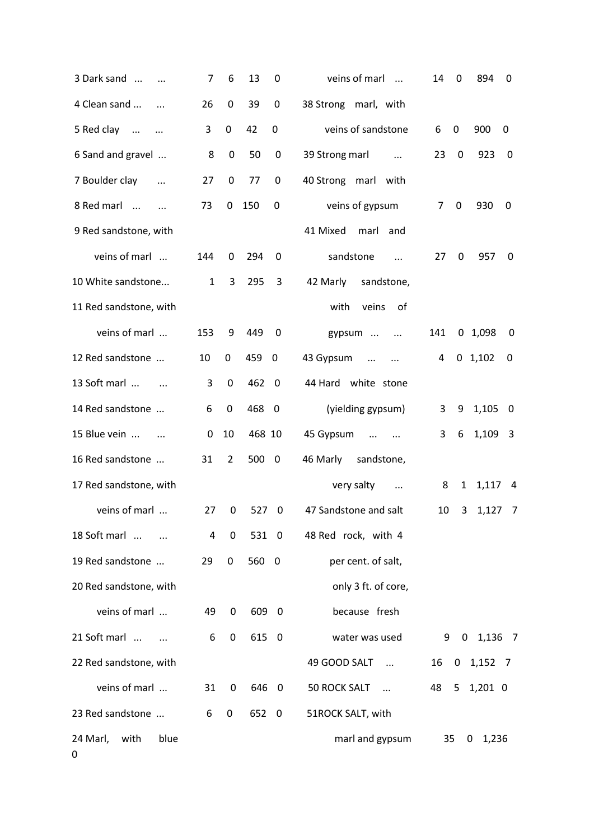| 3 Dark sand                   | 7            | 6                | 13     | 0                       | veins of marl<br>$\overline{\phantom{a}}$ | 14             | 0            | 894         | 0                       |
|-------------------------------|--------------|------------------|--------|-------------------------|-------------------------------------------|----------------|--------------|-------------|-------------------------|
| 4 Clean sand                  | 26           | $\boldsymbol{0}$ | 39     | 0                       | 38 Strong marl, with                      |                |              |             |                         |
| 5 Red clay<br>$\ldots$        | 3            | $\pmb{0}$        | 42     | $\boldsymbol{0}$        | veins of sandstone                        | 6              | 0            | 900         | 0                       |
| 6 Sand and gravel             | 8            | $\pmb{0}$        | 50     | $\mathbf 0$             | 39 Strong marl<br>$\sim$ $\sim$           | 23             | $\mathbf 0$  | 923         | $\overline{0}$          |
| 7 Boulder clay<br>$\ddotsc$   | 27           | $\mathbf 0$      | 77     | $\boldsymbol{0}$        | 40 Strong marl with                       |                |              |             |                         |
| 8 Red marl                    | 73           | $\mathbf 0$      | 150    | 0                       | veins of gypsum                           | $\overline{7}$ | 0            | 930         | 0                       |
| 9 Red sandstone, with         |              |                  |        |                         | 41 Mixed<br>marl and                      |                |              |             |                         |
| veins of marl                 | 144          | 0                | 294    | $\mathbf 0$             | sandstone<br>$\dddotsc$                   | 27             | 0            | 957         | $\boldsymbol{0}$        |
| 10 White sandstone            | $\mathbf{1}$ | 3                | 295    | 3                       | 42 Marly<br>sandstone,                    |                |              |             |                         |
| 11 Red sandstone, with        |              |                  |        |                         | veins<br>with<br>of                       |                |              |             |                         |
| veins of marl                 | 153          | 9                | 449    | $\mathbf 0$             | gypsum<br>$\cdots$                        | 141            |              | 0 1,098     | $\boldsymbol{0}$        |
| 12 Red sandstone              | 10           | 0                | 459 0  |                         | 43 Gypsum<br>$\cdots$<br>$\ddotsc$        | 4              |              | $0$ 1,102   | 0                       |
| 13 Soft marl<br>$\sim$ $\sim$ | 3            | $\boldsymbol{0}$ | 462 0  |                         | 44 Hard white stone                       |                |              |             |                         |
| 14 Red sandstone              | 6            | $\pmb{0}$        | 468 0  |                         | (yielding gypsum)                         | 3              | 9            | 1,105       | $\overline{\mathbf{0}}$ |
| 15 Blue vein<br>$\cdots$      | 0            | 10               | 468 10 |                         | 45 Gypsum<br>$\cdots$<br>$\cdots$         | 3              | 6            | 1,109 3     |                         |
| 16 Red sandstone              | 31           | $\overline{2}$   | 500    | $\overline{\mathbf{0}}$ | sandstone,<br>46 Marly                    |                |              |             |                         |
| 17 Red sandstone, with        |              |                  |        |                         | very salty<br>$\cdots$                    | 8              | $\mathbf{1}$ | 1,117 4     |                         |
| veins of marl                 | 27           | 0                | 527    | 0                       | 47 Sandstone and salt                     | 10             | 3            | $1,127$ 7   |                         |
| 18 Soft marl                  | 4            | 0                | 531 0  |                         | 48 Red rock, with 4                       |                |              |             |                         |
| 19 Red sandstone              | 29           | 0                | 560 0  |                         | per cent. of salt,                        |                |              |             |                         |
| 20 Red sandstone, with        |              |                  |        |                         | only 3 ft. of core,                       |                |              |             |                         |
| veins of marl                 | 49           | 0                | 609 0  |                         | because fresh                             |                |              |             |                         |
| 21 Soft marl                  | 6            | $\mathbf 0$      | 615 0  |                         | water was used                            | 9              |              | $0$ 1,136 7 |                         |
| 22 Red sandstone, with        |              |                  |        |                         | 49 GOOD SALT<br>$\ddots$                  | 16             |              | $0$ 1,152 7 |                         |
| veins of marl                 | 31           | 0                | 646 0  |                         | <b>50 ROCK SALT</b><br>$\sim$             | 48             | 5            | $1,201$ 0   |                         |
| 23 Red sandstone              | 6            | 0                | 652 0  |                         | 51ROCK SALT, with                         |                |              |             |                         |
| 24 Marl,<br>with<br>blue<br>0 |              |                  |        |                         | marl and gypsum                           | 35             |              | 1,236<br>0  |                         |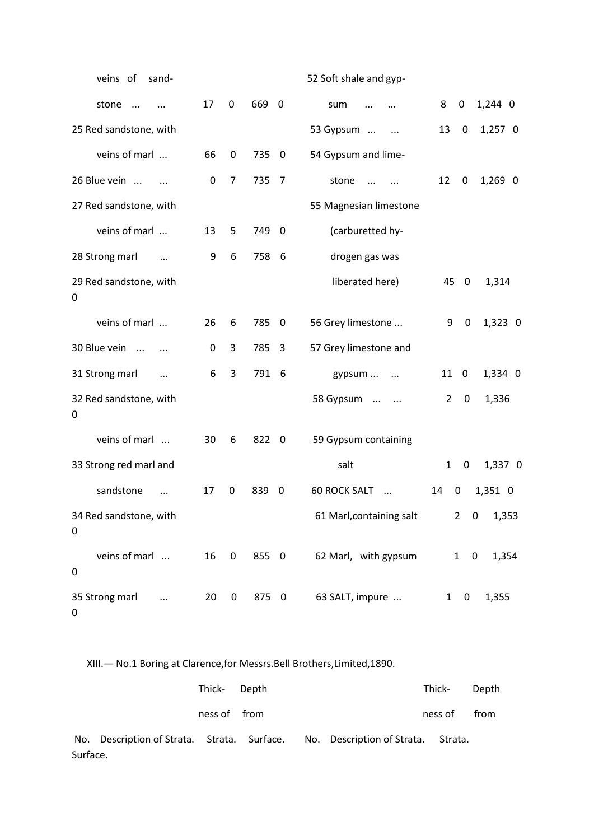| veins of<br>sand-                |                  |                         |       |                         | 52 Soft shale and gyp-          |              |             |                   |
|----------------------------------|------------------|-------------------------|-------|-------------------------|---------------------------------|--------------|-------------|-------------------|
| stone<br>$\cdots$<br>$\ddotsc$   | 17               | 0                       | 669 0 |                         | sum<br>$\cdots$                 | 8            | 0           | 1,244 0           |
| 25 Red sandstone, with           |                  |                         |       |                         | 53 Gypsum<br>$\ldots$           | 13           | 0           | 1,257 0           |
| veins of marl                    | 66               | 0                       | 735   | $\overline{\mathbf{0}}$ | 54 Gypsum and lime-             |              |             |                   |
| 26 Blue vein                     | $\boldsymbol{0}$ | 7                       | 735   | $\overline{7}$          | stone<br>$\dddotsc$<br>$\ddots$ | 12           | 0           | 1,269 0           |
| 27 Red sandstone, with           |                  |                         |       |                         | 55 Magnesian limestone          |              |             |                   |
| veins of marl                    | 13               | 5                       | 749   | - 0                     | (carburetted hy-                |              |             |                   |
| 28 Strong marl<br>$\cdots$       | 9                | 6                       | 758   | -6                      | drogen gas was                  |              |             |                   |
| 29 Red sandstone, with<br>0      |                  |                         |       |                         | liberated here)                 | 45           | 0           | 1,314             |
| veins of marl                    | 26               | 6                       | 785   | $\mathbf 0$             | 56 Grey limestone               | 9            | 0           | 1,323 0           |
| 30 Blue vein<br>$\cdots$         | 0                | 3                       | 785   | 3                       | 57 Grey limestone and           |              |             |                   |
| 31 Strong marl<br>$\ddotsc$      | 6                | 3                       | 791   | 6                       | gypsum<br>$\cdots$              | 11           | 0           | 1,334 0           |
| 32 Red sandstone, with<br>0      |                  |                         |       |                         | 58 Gypsum<br>$\ddots$           | 2            | $\mathbf 0$ | 1,336             |
| veins of marl                    | 30               | 6                       | 822   | 0                       | 59 Gypsum containing            |              |             |                   |
| 33 Strong red marl and           |                  |                         |       |                         | salt                            | $\mathbf{1}$ | 0           | 1,337 0           |
| sandstone<br>$\ddotsc$           | 17               | $\pmb{0}$               | 839   | 0                       | <b>60 ROCK SALT</b><br>$\ddots$ | 14           | $\pmb{0}$   | 1,351 0           |
| 34 Red sandstone, with<br>0      |                  |                         |       |                         | 61 Marl, containing salt        |              |             | $2 \t 0 \t 1,353$ |
| veins of marl<br>0               | 16               | $\overline{\mathbf{0}}$ | 855 0 |                         | 62 Marl, with gypsum            |              | $1 \quad 0$ | 1,354             |
| 35 Strong marl<br>$\ddotsc$<br>0 | 20               | $\boldsymbol{0}$        | 875 0 |                         | 63 SALT, impure                 |              | $1 \quad 0$ | 1,355             |

XIII.— No.1 Boring at Clarence,for Messrs.Bell Brothers,Limited,1890.

|          |                                                                                | Thick- Depth |  | Thick-  | Depth |
|----------|--------------------------------------------------------------------------------|--------------|--|---------|-------|
|          |                                                                                | ness of from |  | ness of | from  |
|          | No. Description of Strata. Strata. Surface. No. Description of Strata. Strata. |              |  |         |       |
| Surface. |                                                                                |              |  |         |       |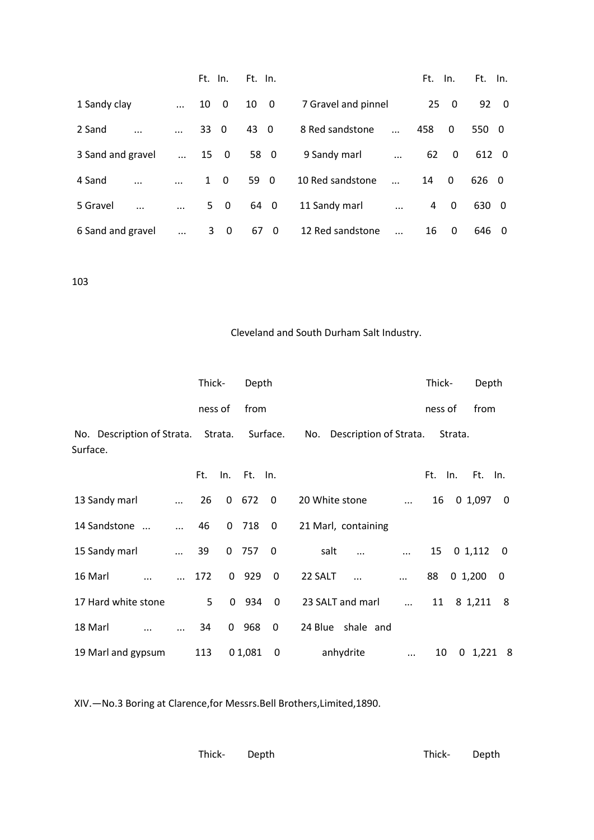|                      |            | Ft. In.                        | Ft. In.                       |                     |           | Ft. | In.          | Ft.<br>In.           |
|----------------------|------------|--------------------------------|-------------------------------|---------------------|-----------|-----|--------------|----------------------|
| 1 Sandy clay         | $\dddotsc$ | 10<br>$\overline{0}$           | 10<br>$\overline{0}$          | 7 Gravel and pinnel |           |     | 250          | 92<br>$\overline{0}$ |
| 2 Sand<br>           |            | 33 0                           | 43<br>- 0                     | 8 Red sandstone     | $\ddotsc$ | 458 | $\mathbf{0}$ | 550 0                |
| 3 Sand and gravel    | $\cdots$   | 15 0                           | 58 0                          | 9 Sandy marl        | $\ddotsc$ | 62  | $\mathbf{0}$ | 612 0                |
| 4 Sand<br>           | $\cdots$   | $\mathbf{1}$<br>$\overline{0}$ | 59 0                          | 10 Red sandstone    |           | 14  | $\Omega$     | 626 0                |
| 5 Gravel<br>$\cdots$ | $\cdots$   | 5<br>$\overline{\mathbf{0}}$   | 64 0                          | 11 Sandy marl       | $\cdots$  | 4   | $\Omega$     | 630<br>- 0           |
| 6 Sand and gravel    | $\ddotsc$  | 3<br>$\overline{\mathbf{0}}$   | 67<br>$\overline{\mathbf{0}}$ | 12 Red sandstone    |           | 16  | 0            | 646<br>- 0           |

## Cleveland and South Durham Salt Industry.

|                                                         |            | Thick-         |              | Depth       |                          |                            |           |            | Thick-  |         | Depth         |                         |
|---------------------------------------------------------|------------|----------------|--------------|-------------|--------------------------|----------------------------|-----------|------------|---------|---------|---------------|-------------------------|
|                                                         |            | ness of        |              | from        |                          |                            |           |            | ness of |         | from          |                         |
| No. Description of Strata. Strata. Surface.<br>Surface. |            |                |              |             |                          | No. Description of Strata. |           |            |         | Strata. |               |                         |
|                                                         |            | Ft.            |              | In. Ft. In. |                          |                            |           |            | Ft. In. |         | Ft. In.       |                         |
| 13 Sandy marl                                           |            | 26             | 0            | 672         | $\overline{\mathbf{0}}$  | 20 White stone             |           | $\cdots$   | 16      |         | $0, 1, 097$ 0 |                         |
| 14 Sandstone                                            | $\dddotsc$ | 46             |              | $0$ 718 $0$ |                          | 21 Marl, containing        |           |            |         |         |               |                         |
| 15 Sandy marl                                           | $\ldots$   | 39             |              | $0$ 757     | $\overline{\mathbf{0}}$  | salt                       |           |            | 15      |         | $0\;1,112$    | $\overline{\mathbf{0}}$ |
| 16 Marl                                                 |            | 172            |              | 0 929       | $\overline{\phantom{0}}$ | 22 SALT                    | $\cdots$  | $\cdots$   | 88      |         | 0, 1, 200     | 0                       |
| 17 Hard white stone                                     |            | 5 <sup>1</sup> |              | $0$ 934 $0$ |                          | 23 SALT and marl           |           | $\cdots$   |         |         | 11 8 1,211 8  |                         |
| 18 Marl                                                 |            | 34             | $\mathbf{0}$ | 968         | 0                        | 24 Blue shale and          |           |            |         |         |               |                         |
| 19 Marl and gypsum                                      |            | 113            |              | 0 1,081     | $\overline{\mathbf{0}}$  |                            | anhydrite | $\dddotsc$ | 10      |         | 0, 1, 221, 8  |                         |

XIV.—No.3 Boring at Clarence,for Messrs.Bell Brothers,Limited,1890.

| Thick- Depth |  | Thick- Depth |  |
|--------------|--|--------------|--|
|              |  |              |  |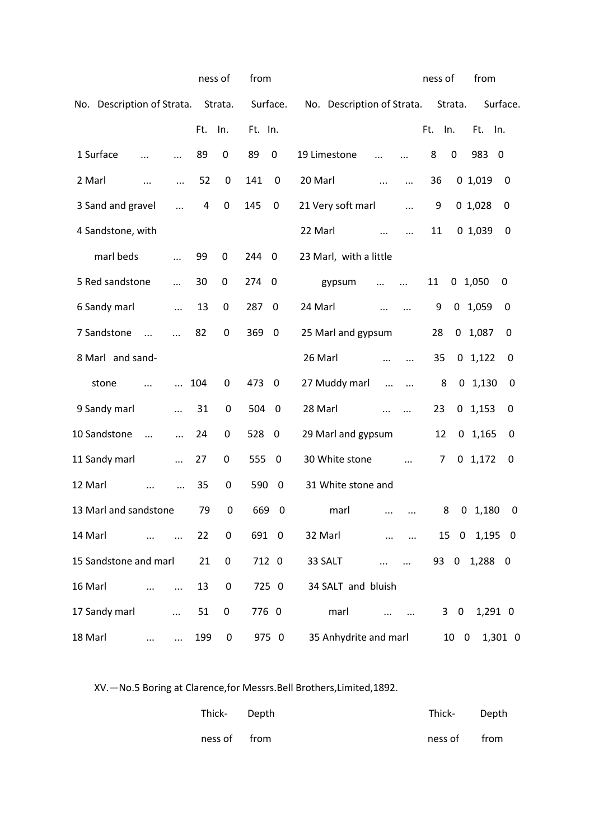|                            |               |            |     | ness of          | from    |                         |                            |           |           | ness of |                               | from         |                  |
|----------------------------|---------------|------------|-----|------------------|---------|-------------------------|----------------------------|-----------|-----------|---------|-------------------------------|--------------|------------------|
| No. Description of Strata. |               |            |     | Strata.          |         | Surface.                | No. Description of Strata. |           |           |         | Strata.                       |              | Surface.         |
|                            |               |            | Ft. | In.              | Ft. In. |                         |                            |           |           | Ft.     | In.                           | Ft.          | In.              |
| 1 Surface                  | $\cdot \cdot$ |            | 89  | 0                | 89      | $\boldsymbol{0}$        | 19 Limestone               | $\ddotsc$ | $\ddotsc$ | 8       | $\mathbf 0$                   | 983          | - 0              |
| 2 Marl                     |               | $\cdots$   | 52  | $\boldsymbol{0}$ | 141     | $\mathbf 0$             | 20 Marl                    | $\ddotsc$ | $\cdots$  | 36      |                               | 01,019       | 0                |
| 3 Sand and gravel          |               | $\dddotsc$ | 4   | $\mathbf 0$      | 145     | $\boldsymbol{0}$        | 21 Very soft marl          |           | $\cdots$  | 9       |                               | 01,028       | 0                |
| 4 Sandstone, with          |               |            |     |                  |         |                         | 22 Marl                    |           |           | 11      |                               | 01,039       | 0                |
| marl beds                  |               | $\cdots$   | 99  | 0                | 244     | $\mathbf 0$             | 23 Marl, with a little     |           |           |         |                               |              |                  |
| 5 Red sandstone            |               |            | 30  | 0                | 274     | 0                       | gypsum                     |           | $\cdots$  | 11      | 0                             | 1,050        | 0                |
| 6 Sandy marl               |               | $\ddotsc$  | 13  | 0                | 287     | 0                       | 24 Marl                    | $\cdots$  | .         | 9       | 0                             | 1,059        | 0                |
| 7 Sandstone                | $\dddotsc$    |            | 82  | 0                | 369     | $\mathbf 0$             | 25 Marl and gypsum         |           |           | 28      | $\mathbf{0}$                  | 1,087        | 0                |
| 8 Marl and sand-           |               |            |     |                  |         |                         | 26 Marl                    | $\cdots$  |           | 35      |                               | $0$ 1,122    | 0                |
| stone                      | $\ddotsc$     | $\ddotsc$  | 104 | 0                | 473     | $\overline{\mathbf{0}}$ | 27 Muddy marl              | $\cdots$  | $\ldots$  | 8       |                               | $0$ 1,130    | $\boldsymbol{0}$ |
| 9 Sandy marl               |               | $\ddotsc$  | 31  | 0                | 504     | $\overline{\mathbf{0}}$ | 28 Marl                    | $\cdots$  | $\ddotsc$ | 23      | 0                             | 1,153        | 0                |
| 10 Sandstone               | $\ddotsc$     | $\ddotsc$  | 24  | 0                | 528     | 0                       | 29 Marl and gypsum         |           |           | 12      | 0                             | 1,165        | 0                |
| 11 Sandy marl              |               | $\dddotsc$ | 27  | 0                | 555     | $\mathbf 0$             | 30 White stone             |           | $\ddotsc$ | 7       |                               | $0$ 1,172    | 0                |
| 12 Marl                    |               | $\cdots$   | 35  | 0                | 590     | $\mathbf 0$             | 31 White stone and         |           |           |         |                               |              |                  |
| 13 Marl and sandstone      |               |            | 79  | 0                | 669     | 0                       | marl                       | $\cdots$  |           |         | 8                             | $0$ 1,180    | $\mathbf 0$      |
| 14 Marl                    |               |            | 22  | 0                | 691 0   |                         | 32 Marl                    |           |           |         | 15 0                          |              | $1,195$ 0        |
| 15 Sandstone and marl      |               |            | 21  | 0                |         | 712 0                   | 33 SALT                    |           |           |         |                               | 93 0 1,288 0 |                  |
| 16 Marl                    |               |            | 13  | 0                |         | 725 0                   | 34 SALT and bluish         |           |           |         |                               |              |                  |
| 17 Sandy marl              |               |            | 51  | 0                | 776 0   |                         | marl                       |           |           |         | $\mathbf 0$<br>3 <sup>7</sup> |              | 1,291 0          |
| 18 Marl                    |               |            | 199 | 0                |         | 975 0                   | 35 Anhydrite and marl      |           |           |         | 10 <sub>0</sub>               |              | 1,301 0          |

XV.—No.5 Boring at Clarence,for Messrs.Bell Brothers,Limited,1892.

| Thick- Depth | Thick- Depth |  |
|--------------|--------------|--|
| ness of from | ness of from |  |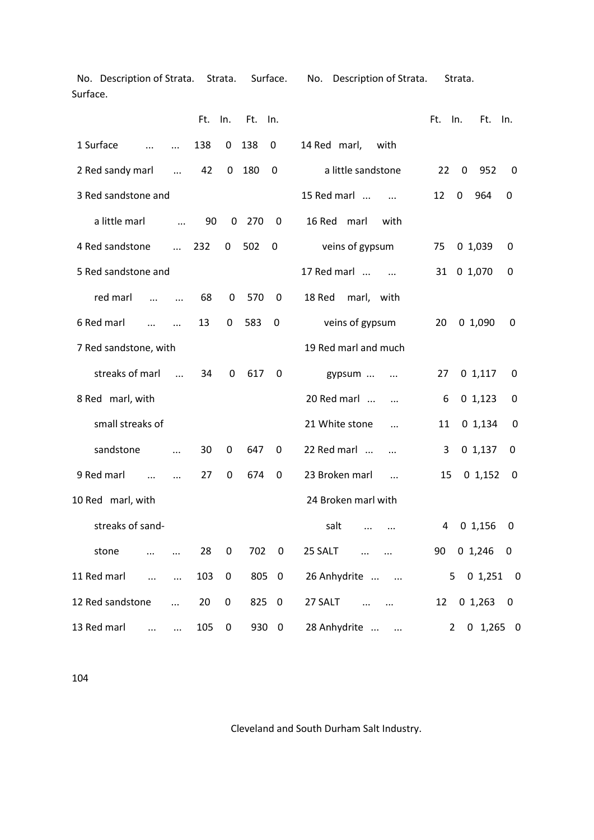No. Description of Strata. Strata. Surface. No. Description of Strata. Strata. Surface.

|                                       | Ft. | In.       | Ft. | In. |                             | Ft.            | In.<br>Ft.  | In.                      |
|---------------------------------------|-----|-----------|-----|-----|-----------------------------|----------------|-------------|--------------------------|
| 1 Surface                             | 138 | 0         | 138 | 0   | with<br>14 Red marl,        |                |             |                          |
| 2 Red sandy marl<br>$\ddotsc$         | 42  | 0         | 180 | 0   | a little sandstone          | 22             | 0<br>952    | 0                        |
| 3 Red sandstone and                   |     |           |     |     | 15 Red marl<br>$\dddotsc$   | 12             | 0<br>964    | 0                        |
| a little marl<br>$\cdots$             | 90  | $\pmb{0}$ | 270 | 0   | 16 Red<br>marl<br>with      |                |             |                          |
| 4 Red sandstone<br>$\dddotsc$         | 232 | 0         | 502 | 0   | veins of gypsum             | 75             | 01,039      | 0                        |
| 5 Red sandstone and                   |     |           |     |     | 17 Red marl<br>$\dddotsc$   | 31             | 0 1,070     | 0                        |
| red marl<br>$\dddotsc$<br>$\dddotsc$  | 68  | 0         | 570 | 0   | 18 Red<br>marl,<br>with     |                |             |                          |
| 6 Red marl<br>$\ddotsc$<br>$\dddotsc$ | 13  | 0         | 583 | 0   | veins of gypsum             | 20             | 01,090      | 0                        |
| 7 Red sandstone, with                 |     |           |     |     | 19 Red marl and much        |                |             |                          |
| streaks of marl<br>$\ddotsc$          | 34  | 0         | 617 | 0   | gypsum<br>$\cdots$          | 27             | 01,117      | 0                        |
| 8 Red marl, with                      |     |           |     |     | 20 Red marl                 | 6              | 01,123      | 0                        |
| small streaks of                      |     |           |     |     | 21 White stone<br>$\ddotsc$ | 11             | 0 1,134     | 0                        |
| sandstone<br>.                        | 30  | 0         | 647 | 0   | 22 Red marl<br>$\ddotsc$    | 3              | 01,137      | 0                        |
| 9 Red marl<br>$\ddotsc$<br>$\ddotsc$  | 27  | 0         | 674 | 0   | 23 Broken marl<br>$\ddotsc$ | 15             | 01,152      | 0                        |
| 10 Red marl, with                     |     |           |     |     | 24 Broken marl with         |                |             |                          |
| streaks of sand-                      |     |           |     |     | salt<br>                    | 4              | 01,156      | 0                        |
| stone<br>.                            | 28  | 0         | 702 | 0   | 25 SALT                     | 90             | 0 1,246     | 0                        |
| 11 Red marl<br>$\ddots$<br>$\dddotsc$ | 103 | 0         | 805 | 0   | 26 Anhydrite<br>$\ddots$    | 5              | 0 1,251     | $\overline{\phantom{0}}$ |
| 12 Red sandstone<br>$\cdots$          | 20  | 0         | 825 | 0   | 27 SALT<br>$\cdots$         | 12             | 01,263      | 0                        |
| 13 Red marl<br>$\cdots$<br>$\ldots$   | 105 | 0         | 930 | 0   | 28 Anhydrite<br>            | $\overline{2}$ | $0$ 1,265 0 |                          |

104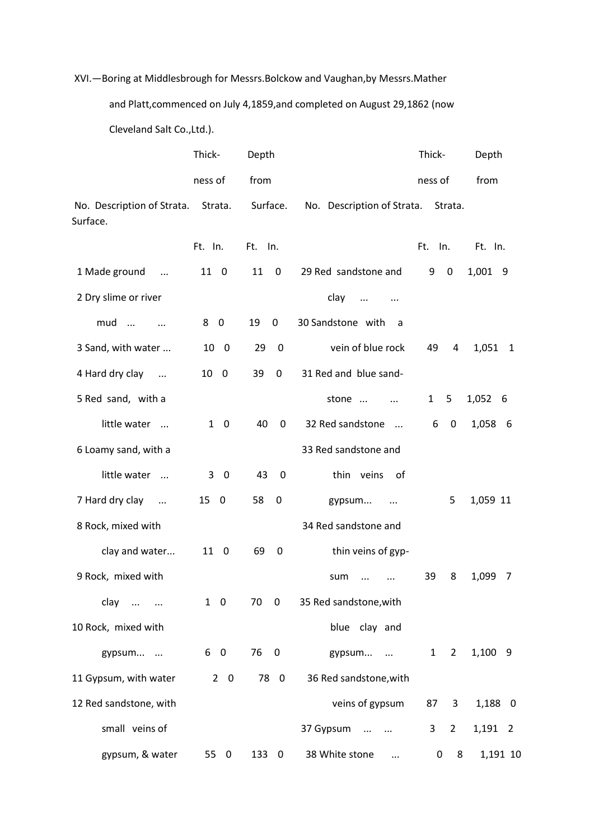## XVI.—Boring at Middlesbrough for Messrs.Bolckow and Vaughan,by Messrs.Mather

and Platt,commenced on July 4,1859,and completed on August 29,1862 (now

Cleveland Salt Co.,Ltd.).

|                                        | Thick-                                  | Depth                         |                               | Thick-                         | Depth      |
|----------------------------------------|-----------------------------------------|-------------------------------|-------------------------------|--------------------------------|------------|
|                                        | ness of                                 | from                          |                               | ness of                        | from       |
| No. Description of Strata.<br>Surface. | Strata.                                 | Surface.                      | No. Description of Strata.    | Strata.                        |            |
|                                        | Ft. In.                                 | Ft. In.                       |                               | Ft.<br>In.                     | Ft. In.    |
| 1 Made ground<br>$\ddots$              | 11 0                                    | 11<br>$\mathbf 0$             | 29 Red sandstone and          | 9<br>0                         | 1,001 9    |
| 2 Dry slime or river                   |                                         |                               | clay<br>$\ddotsc$<br>$\ldots$ |                                |            |
| $mud$<br>$\sim$ $\sim$                 | 8 0                                     | 19<br>0                       | 30 Sandstone with<br>a        |                                |            |
| 3 Sand, with water                     | 10 0                                    | 29<br>$\mathbf 0$             | vein of blue rock             | 49<br>4                        | 1,051<br>1 |
| 4 Hard dry clay<br>$\cdots$            | 10<br>$\overline{\mathbf{0}}$           | 39<br>$\pmb{0}$               | 31 Red and blue sand-         |                                |            |
| 5 Red sand, with a                     |                                         |                               | stone<br>$\ddots$             | $\mathbf{1}$<br>5              | 1,052 6    |
| little water                           | $\mathbf{1}$<br>$\overline{\mathbf{0}}$ | 40<br>0                       | 32 Red sandstone<br>$\cdots$  | 6<br>$\mathbf 0$               | 1,058 6    |
| 6 Loamy sand, with a                   |                                         |                               | 33 Red sandstone and          |                                |            |
| little water                           | 3<br>$\mathbf 0$                        | 43<br>0                       | thin veins<br>-of             |                                |            |
| 7 Hard dry clay<br>$\cdots$            | $15\quad0$                              | 58<br>0                       | gypsum<br>$\ddotsc$           | 5                              | 1,059 11   |
| 8 Rock, mixed with                     |                                         |                               | 34 Red sandstone and          |                                |            |
| clay and water                         | 11 0                                    | 69<br>0                       | thin veins of gyp-            |                                |            |
| 9 Rock, mixed with                     |                                         |                               | sum                           | 39<br>8                        | 1,099<br>7 |
| clay<br>$\cdots$                       | $1\quad 0$                              | 70<br>$\boldsymbol{0}$        | 35 Red sandstone, with        |                                |            |
| 10 Rock, mixed with                    |                                         |                               | blue clay and                 |                                |            |
| gypsum                                 | 6 0                                     | 76<br>$\overline{\mathbf{0}}$ | gypsum                        | 1<br>$2^{\circ}$               | $1,100$ 9  |
| 11 Gypsum, with water                  | $2\quad 0$                              | 78 0                          | 36 Red sandstone, with        |                                |            |
| 12 Red sandstone, with                 |                                         |                               | veins of gypsum               | 87<br>3                        | 1,188 0    |
| small veins of                         |                                         |                               | 37 Gypsum                     | $\mathbf{3}$<br>$\overline{2}$ | 1,191 2    |
| gypsum, & water                        | 55<br>$\mathbf 0$                       | 133 0                         | 38 White stone<br>$\cdots$    | 0<br>8                         | 1,191 10   |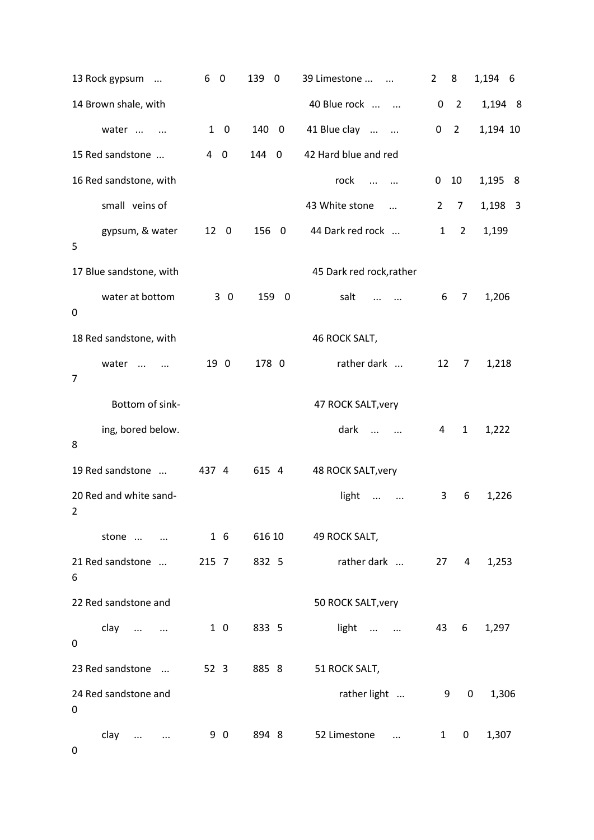| 13 Rock gypsum                      | 6<br>$\mathbf 0$              | 139<br>$\overline{\mathbf{0}}$ | 39 Limestone                   | $\overline{2}$ | 8              | 1,194 6  |
|-------------------------------------|-------------------------------|--------------------------------|--------------------------------|----------------|----------------|----------|
| 14 Brown shale, with                |                               |                                | 40 Blue rock                   | $\mathbf 0$    | $\overline{2}$ | 1,194 8  |
| water<br>$\ddotsc$                  | $1\quad 0$                    | 140 0                          | 41 Blue clay<br>$\sim$ $\sim$  | 0              | $\overline{2}$ | 1,194 10 |
| 15 Red sandstone                    | $\mathbf 0$<br>$\overline{4}$ | 144<br>$\mathbf 0$             | 42 Hard blue and red           |                |                |          |
| 16 Red sandstone, with              |                               |                                | rock<br>$\dddotsc$<br>$\cdots$ | 0              | 10             | 1,195 8  |
| small veins of                      |                               |                                | 43 White stone<br>$\ddotsc$    | $\overline{2}$ | $\overline{7}$ | 1,198 3  |
| gypsum, & water<br>5                | 12<br>$\overline{\mathbf{0}}$ | 156<br>$\overline{\mathbf{0}}$ | 44 Dark red rock               | 1              | $\overline{2}$ | 1,199    |
| 17 Blue sandstone, with             |                               |                                | 45 Dark red rock, rather       |                |                |          |
| water at bottom<br>0                | 30                            | 159<br>$\overline{\mathbf{0}}$ | salt                           | 6              | 7              | 1,206    |
| 18 Red sandstone, with              |                               |                                | 46 ROCK SALT,                  |                |                |          |
| water<br>$\cdots$<br>$\overline{7}$ | 19 0                          | 178 0                          | rather dark                    | 12             | 7              | 1,218    |
| Bottom of sink-                     |                               |                                | 47 ROCK SALT, very             |                |                |          |
| ing, bored below.<br>8              |                               |                                | dark<br>$\cdots$<br>$\ldots$   | 4              | $\mathbf{1}$   | 1,222    |
| 19 Red sandstone                    | 437 4                         | 615 4                          | 48 ROCK SALT, very             |                |                |          |
| 20 Red and white sand-<br>2         |                               |                                | light<br>$\ddotsc$<br>$\cdots$ | 3              | 6              | 1,226    |
| stone                               | $1\quad6$                     | 616 10                         | 49 ROCK SALT,                  |                |                |          |
| 21 Red sandstone<br>6               | 215 7                         | 832 5                          | rather dark                    |                | $27 \quad 4$   | 1,253    |
| 22 Red sandstone and                |                               |                                | 50 ROCK SALT, very             |                |                |          |
| clay<br>0                           | $1\quad0$                     | 833 5                          | light                          | 43             | 6              | 1,297    |
| 23 Red sandstone                    | 52 <sub>3</sub>               | 885 8                          | 51 ROCK SALT,                  |                |                |          |
| 24 Red sandstone and<br>0           |                               |                                | rather light                   | 9              | 0              | 1,306    |
| clay<br>0                           | 9 0                           | 894 8                          | 52 Limestone<br>$\cdots$       | $\mathbf{1}$   | 0              | 1,307    |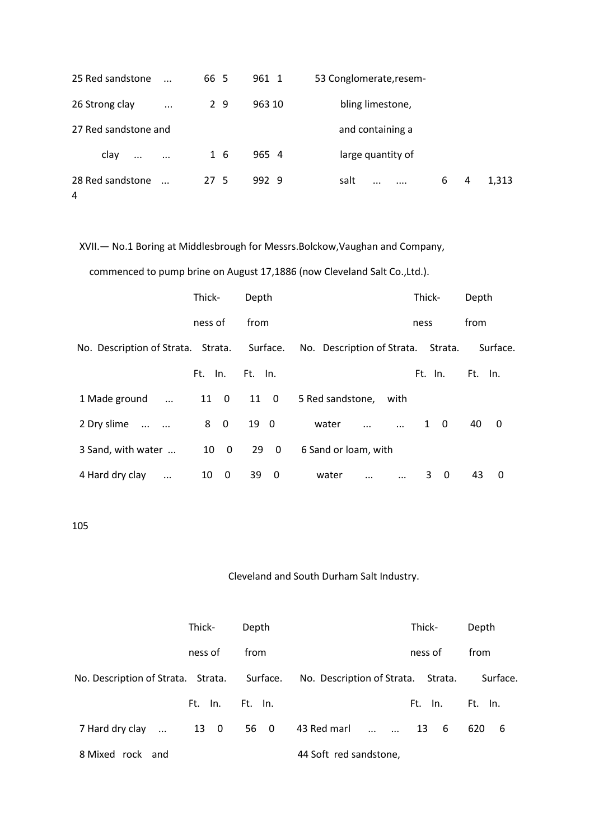| 25 Red sandstone                   | $\ddotsc$ | 66 5 | 961 1  | 53 Conglomerate, resem-        |   |   |       |
|------------------------------------|-----------|------|--------|--------------------------------|---|---|-------|
| 26 Strong clay                     | $\cdots$  | 2 9  | 963 10 | bling limestone,               |   |   |       |
| 27 Red sandstone and               |           |      |        | and containing a               |   |   |       |
| clay<br>$\cdots$                   | $\cdots$  | 1 6  | 965 4  | large quantity of              |   |   |       |
| 28 Red sandstone<br>$\overline{4}$ | $\ddotsc$ | 27 5 | 992 9  | salt<br>$\dddotsc$<br>$\cdots$ | 6 | 4 | 1,313 |

XVII.— No.1 Boring at Middlesbrough for Messrs.Bolckow,Vaughan and Company,

commenced to pump brine on August 17,1886 (now Cleveland Salt Co.,Ltd.).

|                                    | Thick-  | Depth        |                               | Thick-        | Depth      |
|------------------------------------|---------|--------------|-------------------------------|---------------|------------|
|                                    | ness of | from         |                               | ness          | from       |
| No. Description of Strata. Strata. |         | Surface.     | No. Description of Strata.    | Strata.       | Surface.   |
|                                    | Ft. In. | Ft. In.      |                               | Ft. In.       | Ft.<br>In. |
| 1 Made ground<br>$\ddots$          | 11 0    | $11 \quad 0$ | 5 Red sandstone, with         |               |            |
| 2 Dry slime                        | 8 0     | 19 0         | water                         | $1 \quad 0$   | 40<br>0    |
| 3 Sand, with water                 | 10 0    | $29\quad 0$  | 6 Sand or loam, with          |               |            |
| 4 Hard dry clay<br>$\ddotsc$       | 10<br>0 | 39<br>0      | water<br>$\cdots$<br>$\cdots$ | 3<br>$\Omega$ | 43<br>0    |

105

|                                             | Thick-     | Depth   |                                    | Thick-  | Depth      |
|---------------------------------------------|------------|---------|------------------------------------|---------|------------|
|                                             | ness of    | from    |                                    | ness of | from       |
| No. Description of Strata. Strata. Surface. |            |         | No. Description of Strata. Strata. |         | Surface.   |
|                                             | In.<br>Ft. | Ft. In. |                                    | Ft. In. | Ft. In.    |
| 7 Hard dry clay<br>$\dddotsc$               | 13 0       | 56 0    | 43 Red marl                        | 13<br>6 | 620<br>- 6 |
| 8 Mixed rock and                            |            |         | 44 Soft red sandstone,             |         |            |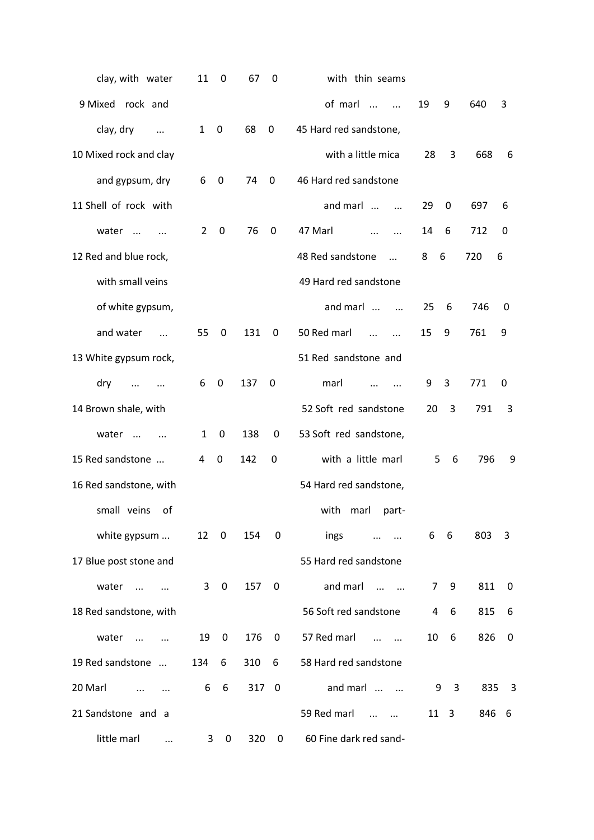| clay, with water                 | 11             | $\mathbf 0$      | 67  | 0                       | with thin seams                     |                |                         |       |                         |
|----------------------------------|----------------|------------------|-----|-------------------------|-------------------------------------|----------------|-------------------------|-------|-------------------------|
| 9 Mixed rock and                 |                |                  |     |                         | of marl<br>$\dddotsc$<br>$\dddotsc$ | 19             | 9                       | 640   | 3                       |
| clay, dry<br>$\cdots$            | $\mathbf{1}$   | $\boldsymbol{0}$ | 68  | $\pmb{0}$               | 45 Hard red sandstone,              |                |                         |       |                         |
| 10 Mixed rock and clay           |                |                  |     |                         | with a little mica                  | 28             | 3                       | 668   | 6                       |
| and gypsum, dry                  | 6              | $\mathbf 0$      | 74  | 0                       | 46 Hard red sandstone               |                |                         |       |                         |
| 11 Shell of rock with            |                |                  |     |                         | and marl<br>$\dddotsc$              | 29             | $\mathbf 0$             | 697   | 6                       |
| water<br>$\dddotsc$<br>$\ddotsc$ | $\overline{2}$ | $\boldsymbol{0}$ | 76  | 0                       | 47 Marl<br>$\cdots$<br>$\cdots$     | 14             | 6                       | 712   | 0                       |
| 12 Red and blue rock,            |                |                  |     |                         | 48 Red sandstone<br>$\dddotsc$      | 8<br>6         |                         | 720   | 6                       |
| with small veins                 |                |                  |     |                         | 49 Hard red sandstone               |                |                         |       |                         |
| of white gypsum,                 |                |                  |     |                         | and marl<br>$\dddotsc$              | 25             | 6                       | 746   | 0                       |
| and water<br>$\dddotsc$          | 55             | 0                | 131 | 0                       | 50 Red marl<br>$\dddotsc$           | 15             | 9                       | 761   | 9                       |
| 13 White gypsum rock,            |                |                  |     |                         | 51 Red sandstone and                |                |                         |       |                         |
| dry<br>$\cdots$<br>$\cdots$      | 6              | $\mathbf 0$      | 137 | $\mathbf 0$             | marl                                | 9              | 3                       | 771   | $\mathbf 0$             |
| 14 Brown shale, with             |                |                  |     |                         | 52 Soft red sandstone               | 20             | 3                       | 791   | 3                       |
| water<br>$\cdots$<br>$\dddotsc$  | $\mathbf{1}$   | $\mathbf 0$      | 138 | 0                       | 53 Soft red sandstone,              |                |                         |       |                         |
| 15 Red sandstone                 | 4              | 0                | 142 | 0                       | with a little marl                  | 5              | 6                       | 796   | 9                       |
| 16 Red sandstone, with           |                |                  |     |                         | 54 Hard red sandstone,              |                |                         |       |                         |
| small veins<br>οf                |                |                  |     |                         | with<br>marl<br>part-               |                |                         |       |                         |
| white gypsum                     | 12             | 0                | 154 | 0                       | ings                                | 6              | $-6$                    | 803   | 3                       |
| 17 Blue post stone and           |                |                  |     |                         | 55 Hard red sandstone               |                |                         |       |                         |
| water<br>$\dddotsc$              | 3              | $\mathbf 0$      | 157 | 0                       | and marl<br>$\cdots$ $\cdots$       | $\overline{7}$ | 9                       | 811   | 0                       |
| 18 Red sandstone, with           |                |                  |     |                         | 56 Soft red sandstone               | 4              | 6                       | 815   | 6                       |
| water<br>$\dddotsc$              | 19             | 0                | 176 | 0                       | 57 Red marl<br>$\cdots$ $\cdots$    | 10             | 6                       | 826   | $\mathbf 0$             |
| 19 Red sandstone                 | 134            | 6                | 310 | 6                       | 58 Hard red sandstone               |                |                         |       |                         |
| 20 Marl                          | 6              | 6                | 317 | $\overline{\mathbf{0}}$ | and marl                            | 9              | $\overline{\mathbf{3}}$ | 835   | $\overline{\mathbf{3}}$ |
| 21 Sandstone and a               |                |                  |     |                         | 59 Red marl<br>$\cdots$ $\cdots$    | $11 \quad 3$   |                         | 846 6 |                         |
| little marl<br>$\cdots$          | 3              | 0                | 320 | 0                       | 60 Fine dark red sand-              |                |                         |       |                         |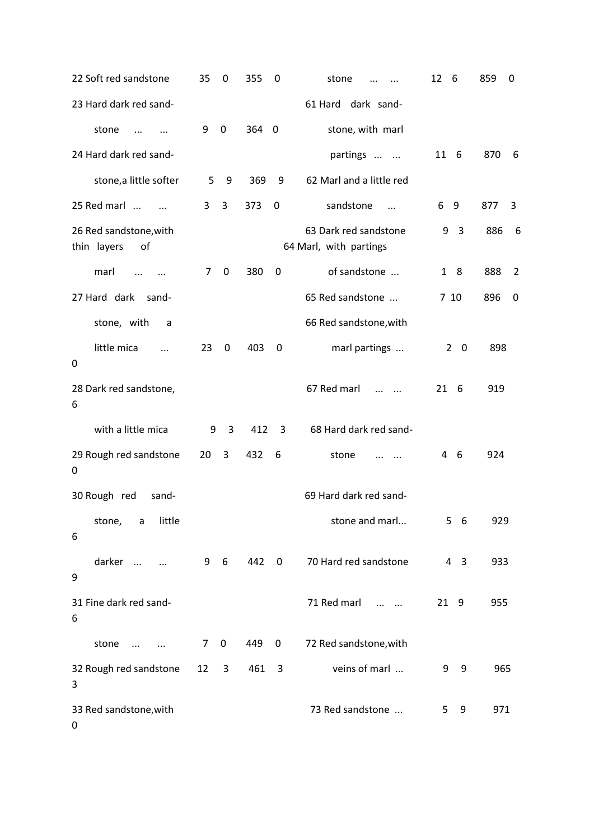| 22 Soft red sandstone                       | 35             | $\mathbf 0$             | 355   | $\mathbf 0$      | stone                                           | 12<br>- 6                    | 859<br>0 |  |
|---------------------------------------------|----------------|-------------------------|-------|------------------|-------------------------------------------------|------------------------------|----------|--|
| 23 Hard dark red sand-                      |                |                         |       |                  | 61 Hard dark sand-                              |                              |          |  |
| stone<br>$\cdots$<br>$\ddotsc$              | 9              | $\overline{0}$          | 364 0 |                  | stone, with marl                                |                              |          |  |
| 24 Hard dark red sand-                      |                |                         |       |                  | partings                                        | 11 6                         | 870 6    |  |
| stone, a little softer                      | 5              | 9                       | 369   | 9                | 62 Marl and a little red                        |                              |          |  |
| 25 Red marl<br>$\cdot$                      | 3              | $\overline{3}$          | 373   | $\mathbf 0$      | sandstone<br>$\dddotsc$                         | 6<br>- 9                     | 877<br>3 |  |
| 26 Red sandstone, with<br>thin layers<br>of |                |                         |       |                  | 63 Dark red sandstone<br>64 Marl, with partings | $\overline{\mathbf{3}}$<br>9 | 886<br>6 |  |
| marl<br>$\cdots$<br>$\ddots$                | $\overline{7}$ | $\boldsymbol{0}$        | 380   | $\mathbf 0$      | of sandstone                                    | 18                           | 888<br>2 |  |
| 27 Hard dark sand-                          |                |                         |       |                  | 65 Red sandstone                                | 7 10                         | 896<br>0 |  |
| stone, with<br>a                            |                |                         |       |                  | 66 Red sandstone, with                          |                              |          |  |
| little mica<br>$\cdots$<br>$\pmb{0}$        | 23             | 0                       | 403   | $\boldsymbol{0}$ | marl partings                                   | $2^{\circ}$<br>0             | 898      |  |
| 28 Dark red sandstone,<br>6                 |                |                         |       |                  | 67 Red marl<br>$\cdots$ $\cdots$                | $21\quad 6$                  | 919      |  |
| with a little mica                          | 9              | $\overline{3}$          | 412   | 3                | 68 Hard dark red sand-                          |                              |          |  |
| 29 Rough red sandstone<br>$\boldsymbol{0}$  | 20             | 3                       | 432   | $6\overline{6}$  | stone<br>$\cdots$                               | - 6<br>4                     | 924      |  |
| 30 Rough red<br>sand-                       |                |                         |       |                  | 69 Hard dark red sand-                          |                              |          |  |
| little<br>stone,<br>a<br>6                  |                |                         |       |                  | stone and marl                                  | $5\quad 6$                   | 929      |  |
| darker<br>$\ddots$<br>$\boldsymbol{9}$      |                | 9 6                     | 442 0 |                  | 70 Hard red sandstone                           | $4 \quad 3$                  | 933      |  |
| 31 Fine dark red sand-<br>6                 |                |                         |       |                  | 71 Red marl<br>$\cdots$ $\cdots$                | 21 9                         | 955      |  |
| stone<br>$\ldots$<br>$\sim$ $\sim$          | $\overline{7}$ | $\boldsymbol{0}$        | 449   | $\overline{0}$   | 72 Red sandstone, with                          |                              |          |  |
| 32 Rough red sandstone<br>3                 | 12             | $\overline{\mathbf{3}}$ | 461   | $\mathbf{3}$     | veins of marl                                   | 9<br>9                       | 965      |  |
| 33 Red sandstone, with<br>$\pmb{0}$         |                |                         |       |                  | 73 Red sandstone                                | 5 9                          | 971      |  |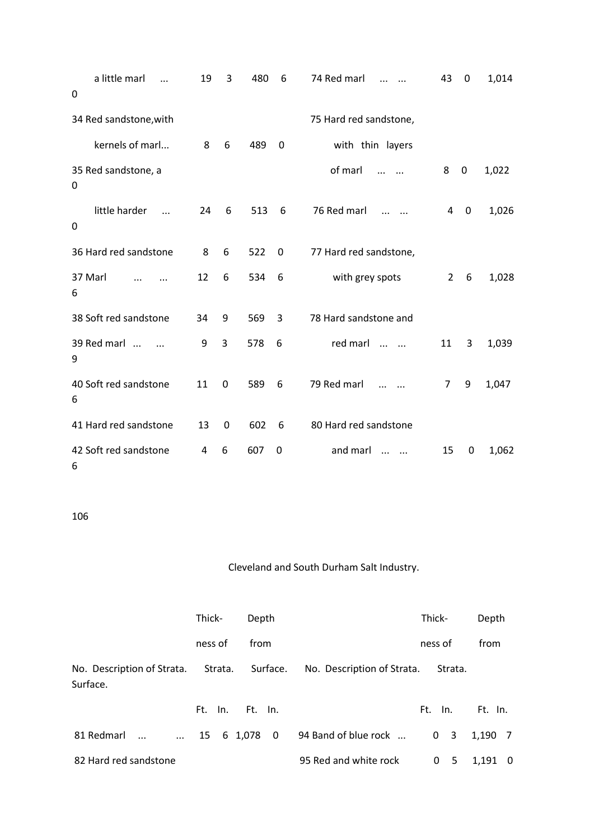| a little marl<br>0              | 19 | 3           | 480 | 6 | 74 Red marl            | 43             | $\mathbf 0$ | 1,014 |
|---------------------------------|----|-------------|-----|---|------------------------|----------------|-------------|-------|
| 34 Red sandstone, with          |    |             |     |   | 75 Hard red sandstone, |                |             |       |
| kernels of marl                 | 8  | 6           | 489 | 0 | with thin layers       |                |             |       |
| 35 Red sandstone, a<br>0        |    |             |     |   | of marl                | 8              | $\mathbf 0$ | 1,022 |
| little harder<br>$\ddotsc$<br>0 | 24 | 6           | 513 | 6 | 76 Red marl            | 4              | 0           | 1,026 |
| 36 Hard red sandstone           | 8  | 6           | 522 | 0 | 77 Hard red sandstone, |                |             |       |
| 37 Marl<br>6                    | 12 | 6           | 534 | 6 | with grey spots        | $\overline{2}$ | 6           | 1,028 |
| 38 Soft red sandstone           | 34 | 9           | 569 | 3 | 78 Hard sandstone and  |                |             |       |
| 39 Red marl<br>9                | 9  | 3           | 578 | 6 | red marl<br>$\dddotsc$ | 11             | 3           | 1,039 |
| 40 Soft red sandstone<br>6      | 11 | $\mathbf 0$ | 589 | 6 | 79 Red marl            | 7              | 9           | 1,047 |
| 41 Hard red sandstone           | 13 | $\mathbf 0$ | 602 | 6 | 80 Hard red sandstone  |                |             |       |
| 42 Soft red sandstone<br>6      | 4  | 6           | 607 | 0 | and marl<br>$\ddotsc$  | 15             | 0           | 1,062 |

|                        | Thick-       | Depth   |                                                                        | Thick-         | Depth     |  |
|------------------------|--------------|---------|------------------------------------------------------------------------|----------------|-----------|--|
|                        | ness of      | from    |                                                                        | ness of        | from      |  |
| Surface.               |              |         | No. Description of Strata. Strata. Surface. No. Description of Strata. | Strata.        |           |  |
|                        | Ft. In.      | Ft. In. |                                                                        | Ft. In.        | Ft. In.   |  |
| 81 Redmarl<br>$\cdots$ | 15 6 1,078 0 |         | 94 Band of blue rock                                                   | 0 <sup>3</sup> | 1,190 7   |  |
| 82 Hard red sandstone  |              |         | 95 Red and white rock                                                  | 0 <sub>5</sub> | $1,191$ 0 |  |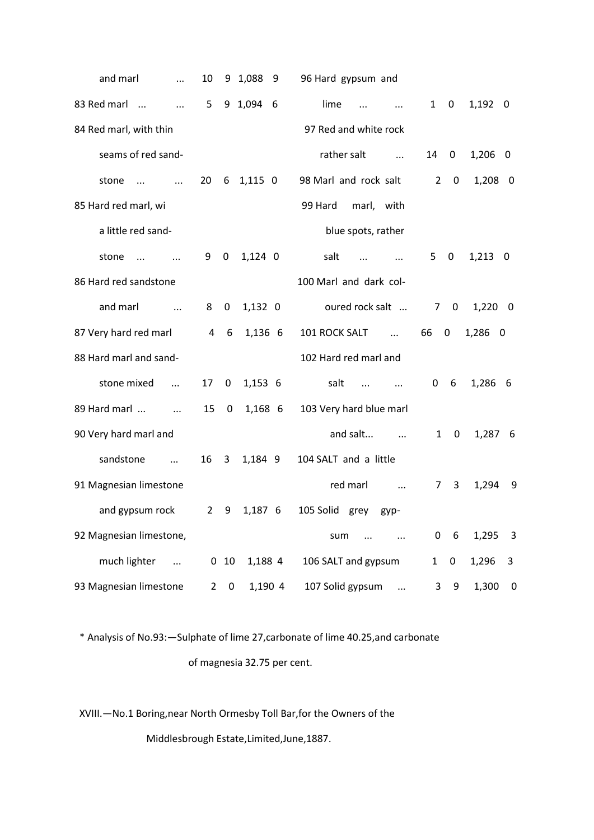| and marl<br>$\ddotsc$                  | 10             |                  | 9 1,088 9 | 96 Hard gypsum and                                                 |                |                  |            |
|----------------------------------------|----------------|------------------|-----------|--------------------------------------------------------------------|----------------|------------------|------------|
| 83 Red marl<br>$\cdots$                | 5              |                  | 9 1,094 6 | lime<br>$\dddotsc$<br>$\dddotsc$                                   | $1 \quad$      | $\boldsymbol{0}$ | $1,192$ 0  |
| 84 Red marl, with thin                 |                |                  |           | 97 Red and white rock                                              |                |                  |            |
| seams of red sand-                     |                |                  |           | rather salt<br>$\sim$ $\sim$ $\sim$                                | 14             | 0                | $1,206$ 0  |
| stone<br>$\cdots$<br>$\ddotsc$         | 20             | 6                | $1,115$ 0 | 98 Marl and rock salt                                              | $\overline{2}$ | $\mathbf 0$      | $1,208$ 0  |
| 85 Hard red marl, wi                   |                |                  |           | 99 Hard<br>marl, with                                              |                |                  |            |
| a little red sand-                     |                |                  |           | blue spots, rather                                                 |                |                  |            |
| stone<br>$\cdots$                      | 9              | $\boldsymbol{0}$ | $1,124$ 0 | salt<br>$\cdots$<br>$\dddotsc$                                     | $5\quad 0$     |                  | $1,213$ 0  |
| 86 Hard red sandstone                  |                |                  |           | 100 Marl and dark col-                                             |                |                  |            |
| and marl<br>$\sim$ $\sim$              | 8              | $\mathbf 0$      | $1,132$ 0 | oured rock salt                                                    | 7 <sup>7</sup> | 0                | $1,220$ 0  |
| 87 Very hard red marl                  | $\overline{4}$ | 6                | 1,136 6   | 101 ROCK SALT                                                      | 66             | $\mathbf 0$      | 1,286 0    |
| 88 Hard marl and sand-                 |                |                  |           | 102 Hard red marl and                                              |                |                  |            |
| stone mixed<br>$\ddots$                | 17             | 0                | $1,153$ 6 | salt<br>$\mathbf{1}$ and $\mathbf{1}$ and $\mathbf{1}$<br>$\cdots$ | 0              | - 6              | 1,286 6    |
| 89 Hard marl<br>$\sim$ $\sim$ $\sim$   | 15             | $\mathbf 0$      | 1,168 6   | 103 Very hard blue marl                                            |                |                  |            |
| 90 Very hard marl and                  |                |                  |           | and salt                                                           | $\mathbf{1}$   | 0                | 1,287 6    |
| sandstone<br>$\mathbf{r} = \mathbf{r}$ | 16             | 3                | 1,184 9   | 104 SALT and a little                                              |                |                  |            |
| 91 Magnesian limestone                 |                |                  |           | red marl<br>$\cdots$                                               | 7 <sup>7</sup> | 3                | 9<br>1,294 |
| and gypsum rock                        | $\mathbf{2}$   | 9                | 1,187 6   | 105 Solid<br>grey<br>gyp-                                          |                |                  |            |
| 92 Magnesian limestone,                |                |                  |           | sum                                                                | 0              | 6                | 1,295<br>3 |
| much lighter                           |                | $0\quad 10$      | 1,188 4   | 106 SALT and gypsum                                                | $\mathbf{1}$   | $\pmb{0}$        | 1,296<br>3 |
| 93 Magnesian limestone                 | $2^{\circ}$    | 0                | 1,190 4   | 107 Solid gypsum<br>$\cdots$                                       | 3 <sup>7</sup> | 9                | 1,300<br>0 |

 \* Analysis of No.93:—Sulphate of lime 27,carbonate of lime 40.25,and carbonate of magnesia 32.75 per cent.

XVIII.—No.1 Boring,near North Ormesby Toll Bar,for the Owners of the

Middlesbrough Estate,Limited,June,1887.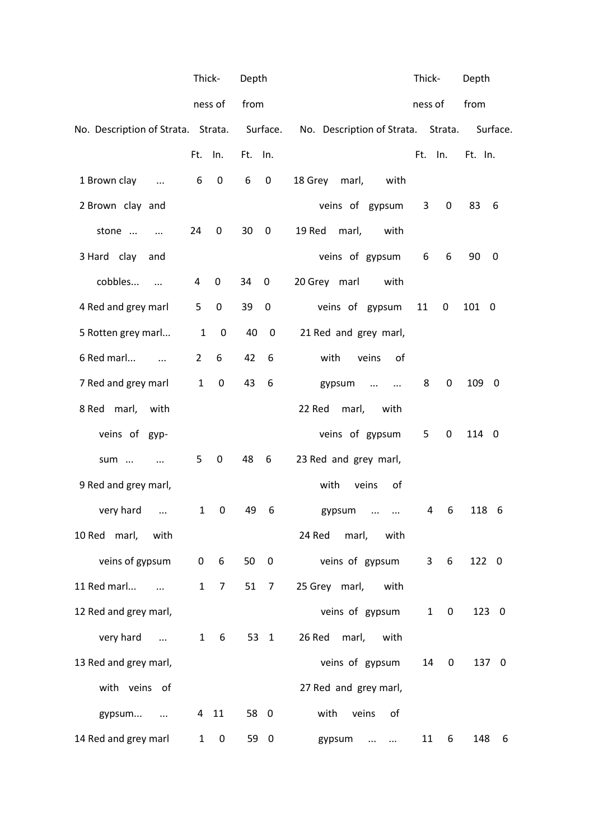|                                             | Thick-         |                 | Depth   |                         |                                    | Thick-       |                     | Depth      |
|---------------------------------------------|----------------|-----------------|---------|-------------------------|------------------------------------|--------------|---------------------|------------|
|                                             |                | ness of         | from    |                         |                                    | ness of      |                     | from       |
| No. Description of Strata. Strata. Surface. |                |                 |         |                         | No. Description of Strata. Strata. |              |                     | Surface.   |
|                                             | Ft.            | In.             | Ft. In. |                         |                                    | Ft.          | ln.                 | Ft. In.    |
| 1 Brown clay<br>$\ddotsc$                   | 6              | $\pmb{0}$       | 6       | $\boldsymbol{0}$        | 18 Grey<br>marl,<br>with           |              |                     |            |
| 2 Brown clay and                            |                |                 |         |                         | veins of gypsum                    | 3            | $\mathbf 0$         | 83<br>6    |
| stone<br>$\sim$ $\sim$                      | 24             | 0               | 30      | $\mathbf 0$             | 19 Red<br>marl,<br>with            |              |                     |            |
| 3 Hard clay and                             |                |                 |         |                         | veins of gypsum                    | 6            | 6                   | 90<br>0    |
| cobbles                                     | 4              | 0               | 34      | $\mathbf 0$             | 20 Grey marl<br>with               |              |                     |            |
| 4 Red and grey marl                         | 5 <sub>1</sub> | $\mathbf 0$     | 39      | $\pmb{0}$               | veins of gypsum                    | 11           | 0                   | 101 0      |
| 5 Rotten grey marl                          | $\mathbf{1}$   | $\mathbf 0$     | 40      | $\mathbf 0$             | 21 Red and grey marl,              |              |                     |            |
| 6 Red marl<br>$\cdots$                      | $\overline{2}$ | 6               | 42      | 6                       | with<br>veins<br>of                |              |                     |            |
| 7 Red and grey marl                         | $\mathbf{1}$   | $\mathbf 0$     | 43      | 6                       | gypsum<br>$\ldots$<br>$\cdots$     | 8            | 0                   | 109 0      |
| 8 Red marl,<br>with                         |                |                 |         |                         | 22 Red<br>marl,<br>with            |              |                     |            |
| veins of gyp-                               |                |                 |         |                         | veins of gypsum                    | 5            | 0                   | 114 0      |
| sum                                         | 5              | 0               | 48      | 6                       | 23 Red and grey marl,              |              |                     |            |
| 9 Red and grey marl,                        |                |                 |         |                         | veins<br>with<br>of                |              |                     |            |
| very hard<br>$\cdots$                       | $\mathbf{1}$   | 0               | 49      | 6                       | gypsum<br>$\cdots$<br>$\cdots$     | 4            | 6                   | 118<br>- 6 |
| 10 Red marl, with                           |                |                 |         |                         | 24 Red marl,<br>with               |              |                     |            |
| veins of gypsum                             | 0              | $6\overline{6}$ | 50      | $\overline{\mathbf{0}}$ | veins of gypsum                    |              | 6<br>3 <sup>7</sup> | 122 0      |
| 11 Red marl<br>$\cdots$                     | $\mathbf{1}$   | $\overline{7}$  | 51 7    |                         | 25 Grey marl,<br>with              |              |                     |            |
| 12 Red and grey marl,                       |                |                 |         |                         | veins of gypsum                    | $\mathbf{1}$ | 0                   | 123 0      |
| very hard                                   | $\mathbf{1}$   | 6               |         | 53 1                    | 26 Red<br>marl,<br>with            |              |                     |            |
| 13 Red and grey marl,                       |                |                 |         |                         | veins of gypsum                    | 14           | 0                   | 137 0      |
| with veins of                               |                |                 |         |                         | 27 Red and grey marl,              |              |                     |            |
| gypsum                                      |                | 4 11            | 58 0    |                         | veins<br>with<br>of                |              |                     |            |
| 14 Red and grey marl                        | $1 \quad$      | $\bf{0}$        |         | 59 0                    | gypsum                             | 11           | 6                   | 148<br>6   |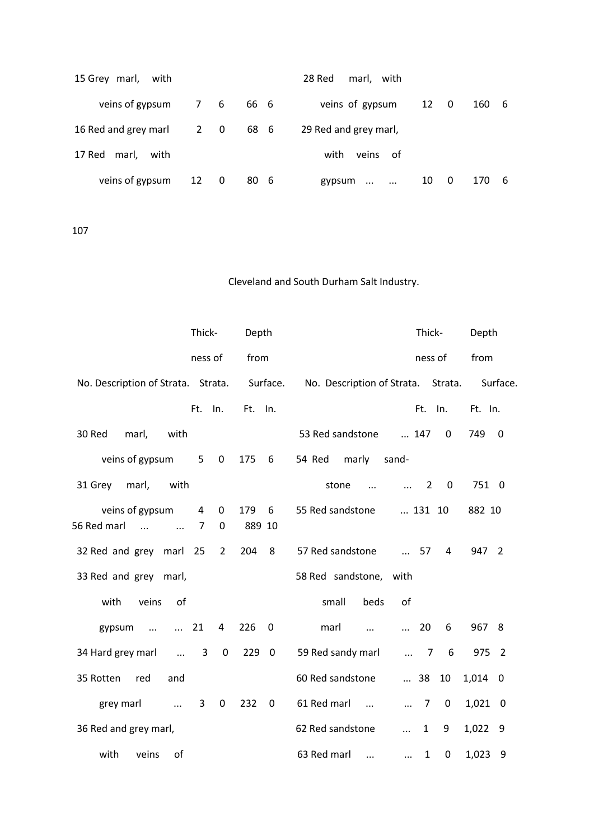| 15 Grey marl, with       |      |     |      | 28 Red<br>marl, with        |      |                         |            |
|--------------------------|------|-----|------|-----------------------------|------|-------------------------|------------|
| veins of gypsum          |      | 7 6 | 66 6 | veins of gypsum             | 12 0 |                         | 160<br>- 6 |
| 16 Red and grey marl 2 0 |      |     | 686  | 29 Red and grey marl,       |      |                         |            |
| 17 Red marl, with        |      |     |      | with<br>veins of            |      |                         |            |
| veins of gypsum          | 12 0 |     | 80 6 | gypsum<br>$\cdots$ $\cdots$ | 10   | $\overline{\mathbf{0}}$ | 170<br>- 6 |

|                                                        | Thick-  |                | Depth         |                         |                                    | Thick-                       |                          | Depth     |             |
|--------------------------------------------------------|---------|----------------|---------------|-------------------------|------------------------------------|------------------------------|--------------------------|-----------|-------------|
|                                                        | ness of |                | from          |                         |                                    |                              | ness of                  | from      |             |
| No. Description of Strata. Strata.                     |         |                |               | Surface.                | No. Description of Strata. Strata. |                              |                          |           | Surface.    |
|                                                        | Ft.     | In.            | Ft.           | In.                     |                                    |                              | Ft. In.                  | Ft. In.   |             |
| marl,<br>with<br>30 Red                                |         |                |               |                         | 53 Red sandstone                   | 147                          | $\mathbf 0$              | 749       | $\mathbf 0$ |
| veins of gypsum                                        | 5       | 0              | 175           | 6                       | 54 Red<br>marly<br>sand-           |                              |                          |           |             |
| 31 Grey<br>marl,<br>with                               |         |                |               |                         | stone<br>$\dddotsc$                | 2<br>$\cdots$                | $\overline{\phantom{0}}$ | 751 0     |             |
| veins of gypsum<br>56 Red marl<br>$\cdots$<br>$\cdots$ | 4<br>7  | 0<br>0         | 179<br>889 10 | 6                       | 55 Red sandstone                   | 131 10                       |                          | 882 10    |             |
| 32 Red and grey marl                                   | 25      | $\overline{2}$ | 204           | 8                       | 57 Red sandstone                   | $\dots$ 57                   | $\overline{4}$           | 947 2     |             |
| 33 Red and grey marl,                                  |         |                |               |                         | 58 Red sandstone, with             |                              |                          |           |             |
| with<br>veins<br>of                                    |         |                |               |                         | beds<br>of<br>small                |                              |                          |           |             |
| gypsum<br>$\cdots$<br>$\cdots$                         | 21      | $\overline{4}$ | 226           | $\mathbf 0$             | marl<br>$\cdots$<br>$\cdots$       | 20                           | 6                        | 967 8     |             |
| 34 Hard grey marl<br>$\sim$ $\sim$                     | 3       | $\mathbf 0$    | 229           | $\overline{\mathbf{0}}$ | 59 Red sandy marl                  | $\overline{7}$<br>$\dddotsc$ | 6                        | 975 2     |             |
| 35 Rotten<br>red<br>and                                |         |                |               |                         | 60 Red sandstone                   | $\ldots$ 38                  | 10                       | $1,014$ 0 |             |
| grey marl<br>$\ddotsc$                                 | 3       | 0              | 232           | $\boldsymbol{0}$        | 61 Red marl<br>$\cdots$            | $\overline{7}$<br>$\dddotsc$ | $\mathbf{0}$             | $1,021$ 0 |             |
| 36 Red and grey marl,                                  |         |                |               |                         | 62 Red sandstone<br>$\dddotsc$     | $\mathbf{1}$                 | 9                        | 1,022 9   |             |
| with<br>veins<br>of                                    |         |                |               |                         | 63 Red marl<br>$\cdots$            | $\mathbf{1}$<br>$\cdots$     | $\mathbf 0$              | 1,023     | -9          |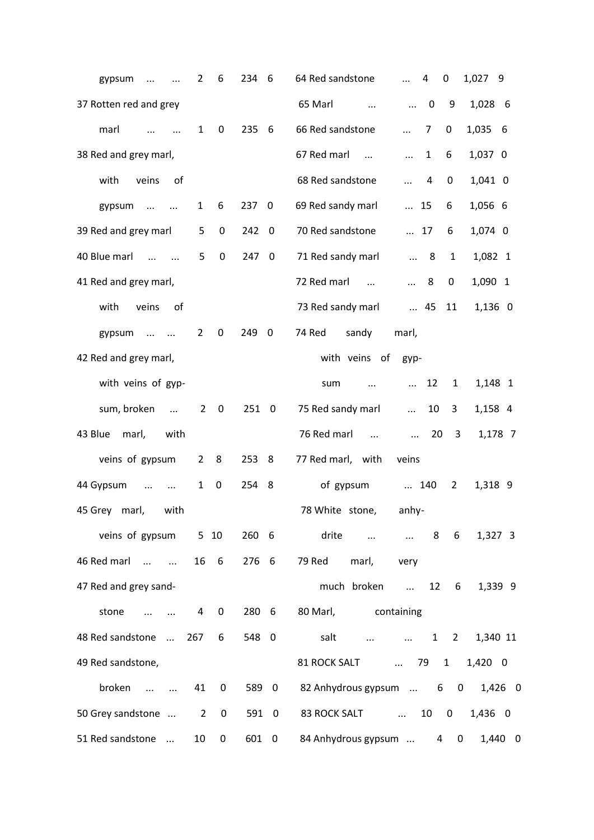| gypsum<br>$\cdots$                                       | 2<br>$\cdots$                 | 6           | 234   | 6                       | 64 Red sandstone<br>0<br>1,027 9<br>4<br>$\ddots$                                              |
|----------------------------------------------------------|-------------------------------|-------------|-------|-------------------------|------------------------------------------------------------------------------------------------|
| 37 Rotten red and grey                                   |                               |             |       |                         | 65 Marl<br>$\mathbf 0$<br>9<br>1,028 6<br>$\cdots$<br>$\dddotsc$                               |
| marl<br>$\cdots$                                         | $\mathbf{1}$<br>$\dddotsc$    | 0           | 235   | 6                       | 66 Red sandstone<br>7<br>0<br>1,035 6<br>$\dddotsc$                                            |
| 38 Red and grey marl,                                    |                               |             |       |                         | 67 Red marl<br>$\mathbf{1}$<br>1,037 0<br>6<br>$\cdots$<br>$\ddots$                            |
| with<br>veins                                            | of                            |             |       |                         | 68 Red sandstone<br>1,041 0<br>4<br>0<br>$\cdots$                                              |
| gypsum<br>$\cdots$                                       | $\mathbf{1}$<br>$\sim$ $\sim$ | 6           | 237 0 |                         | 69 Red sandy marl<br>1,056 6<br>$\cdots$<br>15<br>6                                            |
| 39 Red and grey marl                                     | 5                             | 0           | 242   | $\overline{\mathbf{0}}$ | 70 Red sandstone<br>1,074 0<br>$\dots$ 17<br>6                                                 |
| 40 Blue marl<br>$\cdots$ $\cdots$                        | 5                             | $\mathbf 0$ | 247   | $\overline{\mathbf{0}}$ | 71 Red sandy marl<br>$\mathbf{1}$<br>1,082 1<br>8<br>$\dddotsc$                                |
| 41 Red and grey marl,                                    |                               |             |       |                         | 72 Red marl<br>8<br>1,090 1<br>0<br>$\cdots$<br>$\cdots$                                       |
| with<br>veins                                            | οf                            |             |       |                         | 73 Red sandy marl<br>$\ldots$ 45<br>11<br>1,136 0                                              |
| gypsum<br>$\ddotsc$                                      | $\overline{2}$<br>$\ddotsc$   | 0           | 249 0 |                         | 74 Red<br>sandy<br>marl,                                                                       |
| 42 Red and grey marl,                                    |                               |             |       |                         | with veins of<br>gyp-                                                                          |
| with veins of gyp-                                       |                               |             |       |                         | 12<br>1,148 1<br>$\mathbf{1}$<br>sum<br>$\cdots$<br>$\cdots$                                   |
| sum, broken                                              | $\overline{2}$<br>$\cdots$    | 0           | 251 0 |                         | 75 Red sandy marl<br>10<br>3<br>1,158 4<br>$\cdots$                                            |
| 43 Blue<br>marl,                                         | with                          |             |       |                         | 76 Red marl<br>20<br>3<br>1,178 7<br>$\cdots$<br>$\cdots$                                      |
| veins of gypsum                                          | $\overline{2}$                | 8           | 253   | -8                      | 77 Red marl, with<br>veins                                                                     |
| 44 Gypsum<br>$\ddots$                                    | $\mathbf{1}$<br>$\cdots$      | $\mathbf 0$ | 254   | 8                       | of gypsum<br>140<br>$\overline{2}$<br>1,318 9                                                  |
| 45 Grey marl,                                            | with                          |             |       |                         | 78 White stone,<br>anhy-                                                                       |
| veins of gypsum 5 10                                     |                               |             | 260 6 |                         | drite<br>8 6<br>1,327 3<br>$\mathbf{r}$ and $\mathbf{r}$ are all $\mathbf{r}$ and $\mathbf{r}$ |
| 46 Red marl                                              |                               | 16 6        | 276 6 |                         | 79 Red<br>marl,<br>very                                                                        |
| 47 Red and grey sand-                                    |                               |             |       |                         | much broken<br>1,339 9<br>12<br>6<br>$\cdots$                                                  |
| stone<br>$\sim$ $\sim$                                   | $\overline{4}$                | 0           | 280 6 |                         | 80 Marl,<br>containing                                                                         |
| 48 Red sandstone  267                                    |                               | 6           | 548 0 |                         | salt<br>$\ldots$ 1 2<br>1,340 11<br><b>ALCOHOL:</b>                                            |
| 49 Red sandstone,                                        |                               |             |       |                         | 79 1<br>1,420 0<br>81 ROCK SALT                                                                |
| broken<br>$\mathbf{r}$ and $\mathbf{r}$ and $\mathbf{r}$ | 41                            | 0           | 589 0 |                         | 82 Anhydrous gypsum  6 0 1,426 0                                                               |
| 50 Grey sandstone  2                                     |                               | 0           | 591 0 |                         | 83 ROCK SALT  10 0<br>1,436 0                                                                  |
| 51 Red sandstone                                         | 10                            | 0           | 601 0 |                         | 84 Anhydrous gypsum  4<br>1,440 0<br>$\mathbf{0}$                                              |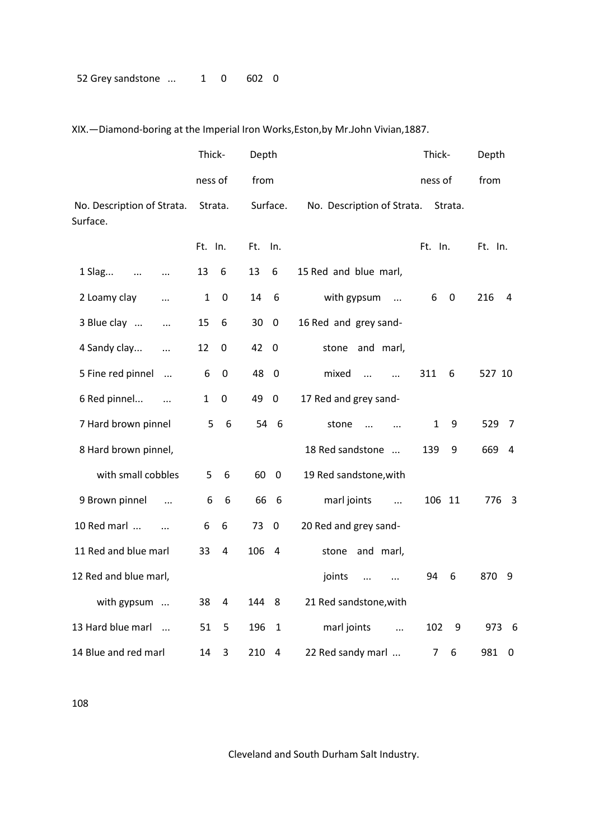XIX.—Diamond-boring at the Imperial Iron Works,Eston,by Mr.John Vivian,1887.

|                                        | Thick-  |                 | Depth |                         |                                   | Thick-  |           | Depth                 |
|----------------------------------------|---------|-----------------|-------|-------------------------|-----------------------------------|---------|-----------|-----------------------|
|                                        | ness of |                 | from  |                         |                                   | ness of |           | from                  |
| No. Description of Strata.<br>Surface. | Strata. |                 |       | Surface.                | No. Description of Strata.        |         | Strata.   |                       |
|                                        | Ft. In. |                 | Ft.   | In.                     |                                   | Ft. In. |           | Ft. In.               |
| 1 Slag<br>$\ldots$<br>$\ldots$         | 13      | 6               | 13    | 6                       | 15 Red and blue marl,             |         |           |                       |
| 2 Loamy clay<br>$\cdots$               | 1       | $\mathbf 0$     | 14    | 6                       | with gypsum<br>$\cdots$           | 6       | $\pmb{0}$ | 216<br>4              |
| 3 Blue clay<br>$\cdots$                | 15      | 6               | 30    | $\mathbf 0$             | 16 Red and grey sand-             |         |           |                       |
| 4 Sandy clay<br>$\cdots$               | 12      | 0               | 42    | $\overline{\mathbf{0}}$ | stone and marl,                   |         |           |                       |
| 5 Fine red pinnel<br>$\cdots$          | 6       | 0               | 48    | - 0                     | mixed<br>$\dddotsc$<br>$\dddotsc$ | 311     | 6         | 527 10                |
| 6 Red pinnel<br>$\cdots$               | 1       | 0               | 49    | $\mathbf 0$             | 17 Red and grey sand-             |         |           |                       |
| 7 Hard brown pinnel                    | 5       | $6\phantom{1}6$ | 54    | 6                       | stone<br>$\dddotsc$<br>$\dddotsc$ | 1       | 9         | 529<br>7              |
| 8 Hard brown pinnel,                   |         |                 |       |                         | 18 Red sandstone                  | 139     | 9         | 669<br>$\overline{4}$ |
| with small cobbles                     | 5       | 6               | 60    | $\overline{\mathbf{0}}$ | 19 Red sandstone, with            |         |           |                       |
| 9 Brown pinnel<br>$\ddots$             | 6       | 6               | 66    | 6                       | marl joints<br>$\dddotsc$         | 106 11  |           | 776 3                 |
| 10 Red marl                            | 6       | 6               | 73    | $\mathbf 0$             | 20 Red and grey sand-             |         |           |                       |
| 11 Red and blue marl                   | 33      | 4               | 106   | 4                       | stone and marl,                   |         |           |                       |
| 12 Red and blue marl,                  |         |                 |       |                         | joints<br>$\ddots$<br>$\ddotsc$   | 94      | 6         | 870 9                 |
| with gypsum                            | 38      | 4               | 144   | 8                       | 21 Red sandstone, with            |         |           |                       |
| 13 Hard blue marl                      | 51      | 5               | 196   | 1                       | marl joints<br>$\ddotsc$          | 102     | 9         | 973 6                 |
| 14 Blue and red marl                   | 14      | 3               | 210   | 4                       | 22 Red sandy marl                 | 7       | 6         | 981<br>0              |

108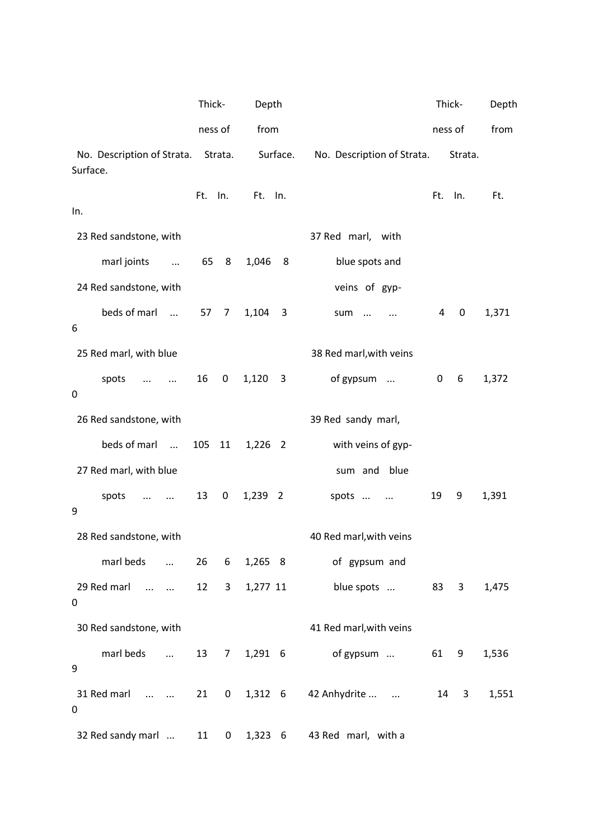|                                                             | Thick- |                  | Depth        |                         |                                       | Thick-         |         | Depth |
|-------------------------------------------------------------|--------|------------------|--------------|-------------------------|---------------------------------------|----------------|---------|-------|
|                                                             |        | ness of          | from         |                         |                                       | ness of        |         | from  |
| No. Description of Strata.<br>Surface.                      |        | Strata.          |              | Surface.                | No. Description of Strata.            |                | Strata. |       |
|                                                             | Ft.    | In.              | Ft. In.      |                         |                                       | Ft.            | In.     | Ft.   |
| In.                                                         |        |                  |              |                         |                                       |                |         |       |
| 23 Red sandstone, with                                      |        |                  |              |                         | 37 Red marl, with                     |                |         |       |
| marl joints<br>$\ddots$                                     | 65     | 8                | 1,046        | 8                       | blue spots and                        |                |         |       |
| 24 Red sandstone, with                                      |        |                  |              |                         | veins of gyp-                         |                |         |       |
| beds of marl<br>6                                           | 57     | 7                | 1,104        | 3                       | sum<br>$\cdot$                        | $\overline{a}$ | 0       | 1,371 |
| 25 Red marl, with blue                                      |        |                  |              |                         | 38 Red marl, with veins               |                |         |       |
| spots<br>$\cdots$<br>$\mathbf 0$                            | 16     | $\boldsymbol{0}$ | 1,120        | $\overline{\mathbf{3}}$ | of gypsum                             | 0              | 6       | 1,372 |
| 26 Red sandstone, with                                      |        |                  |              |                         | 39 Red sandy marl,                    |                |         |       |
| beds of marl                                                | 105    | 11               | 1,226 2      |                         | with veins of gyp-                    |                |         |       |
| 27 Red marl, with blue                                      |        |                  |              |                         | blue<br>sum and                       |                |         |       |
| spots<br>$\cdots$<br>$\cdots$<br>9                          | 13     | 0                | 1,239 2      |                         | spots<br>$\cdots$                     | 19             | 9       | 1,391 |
| 28 Red sandstone, with                                      |        |                  |              |                         | 40 Red marl, with veins               |                |         |       |
|                                                             |        |                  |              |                         | marl beds  26 6 1,265 8 of gypsum and |                |         |       |
| 29 Red marl<br>$\sim$ $\sim$<br>0                           | 12     |                  | 3 1,277 11   |                         | blue spots                            |                | 83 3    | 1,475 |
| 30 Red sandstone, with                                      |        |                  |              |                         | 41 Red marl, with veins               |                |         |       |
| marl beds<br>9                                              |        |                  | 13 7 1,291 6 |                         | of gypsum                             |                | 61 9    | 1,536 |
| 31 Red marl   21 0 1,312 6 42 Anhydrite<br>$\boldsymbol{0}$ |        |                  |              |                         |                                       | 14             | 3       | 1,551 |
| 32 Red sandy marl                                           | 11     | $\mathbf{0}$     |              | 1,323 6                 | 43 Red marl, with a                   |                |         |       |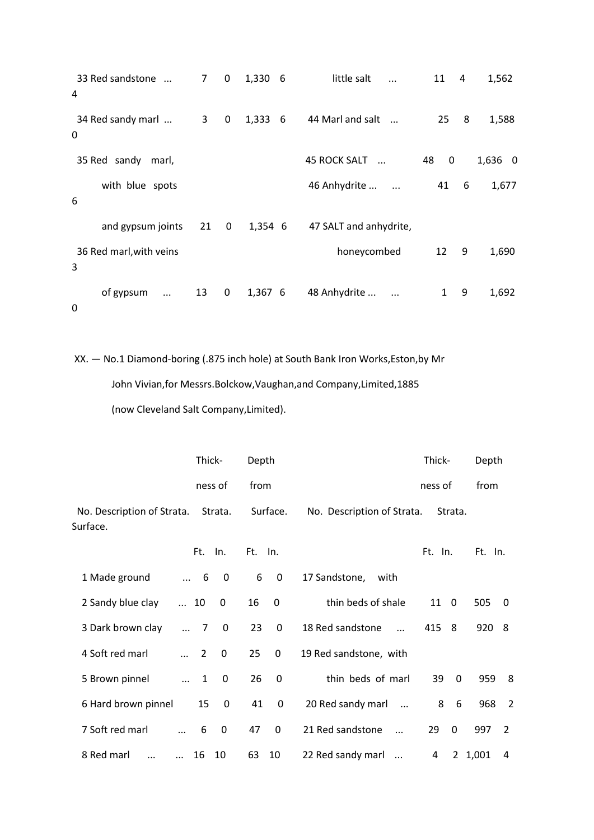| 33 Red sandstone<br>4                 | 7  | $\mathbf{0}$ | 1,330 6      | little salt                       | 11      | 4 | 1,562   |
|---------------------------------------|----|--------------|--------------|-----------------------------------|---------|---|---------|
| 34 Red sandy marl<br>0                | 3  | 0            | 1,333<br>- 6 | 44 Marl and salt                  | 25      | 8 | 1,588   |
| 35 Red sandy<br>marl,                 |    |              |              | <b>45 ROCK SALT</b><br>$\dddotsc$ | 48<br>0 |   | 1,636 0 |
| with blue spots<br>6                  |    |              |              | 46 Anhydrite<br>$\ddotsc$         | 41      | 6 | 1,677   |
| and gypsum joints                     | 21 | 0            | 1,354 6      | 47 SALT and anhydrite,            |         |   |         |
| 36 Red marl, with veins<br>3          |    |              |              | honeycombed                       | 12      | 9 | 1,690   |
| of gypsum<br>$\ldots$<br>$\mathbf{0}$ | 13 | 0            | 1,367 6      | 48 Anhydrite<br>$\cdots$          | 1       | 9 | 1,692   |

XX. — No.1 Diamond-boring (.875 inch hole) at South Bank Iron Works,Eston,by Mr John Vivian,for Messrs.Bolckow,Vaughan,and Company,Limited,1885

(now Cleveland Salt Company,Limited).

|                                        |                            | Thick-                  | Depth   |              |                                 | Thick-     |              | Depth   |                |
|----------------------------------------|----------------------------|-------------------------|---------|--------------|---------------------------------|------------|--------------|---------|----------------|
|                                        |                            | ness of                 | from    |              |                                 | ness of    |              | from    |                |
| No. Description of Strata.<br>Surface. |                            | Strata.                 |         | Surface.     | No. Description of Strata.      |            | Strata.      |         |                |
|                                        | Ft.                        | In.                     | Ft. In. |              |                                 | Ft. In.    |              | Ft. In. |                |
| 1 Made ground                          | $\dots$ 6                  | $\overline{\mathbf{0}}$ | 6       | $\mathbf 0$  | 17 Sandstone,<br>with           |            |              |         |                |
| 2 Sandy blue clay                      | $\ldots$ 10                | 0                       | 16      | 0            | thin beds of shale              | $11\quad0$ |              | 505     | $\mathbf 0$    |
| 3 Dark brown clay                      | 7<br>$\cdots$              | 0                       | 23      | 0            | 18 Red sandstone<br>$\dddotsc$  | 415 8      |              | 920 8   |                |
| 4 Soft red marl                        | $\overline{2}$<br>$\cdots$ | 0                       | 25      | 0            | 19 Red sandstone, with          |            |              |         |                |
| 5 Brown pinnel                         | $\mathbf{1}$<br>$\cdots$   | 0                       | 26      | $\mathbf{0}$ | thin beds of marl               | 39         | $\mathbf{0}$ | 959     | 8              |
| 6 Hard brown pinnel                    | 15                         | $\mathbf 0$             | 41      | 0            | 20 Red sandy marl<br>$\dddotsc$ | 8          | 6            | 968     | $\overline{2}$ |
| 7 Soft red marl<br>$\dddotsc$          | 6                          | 0                       | 47      | $\mathbf{0}$ | 21 Red sandstone<br>$\dddotsc$  | 29         | $\mathbf{0}$ | 997     | 2              |
| 8 Red marl<br>$\cdots$<br>$\ddotsc$    | 16                         | 10                      | 63      | - 10         | 22 Red sandy marl               | 4          |              | 2 1,001 | 4              |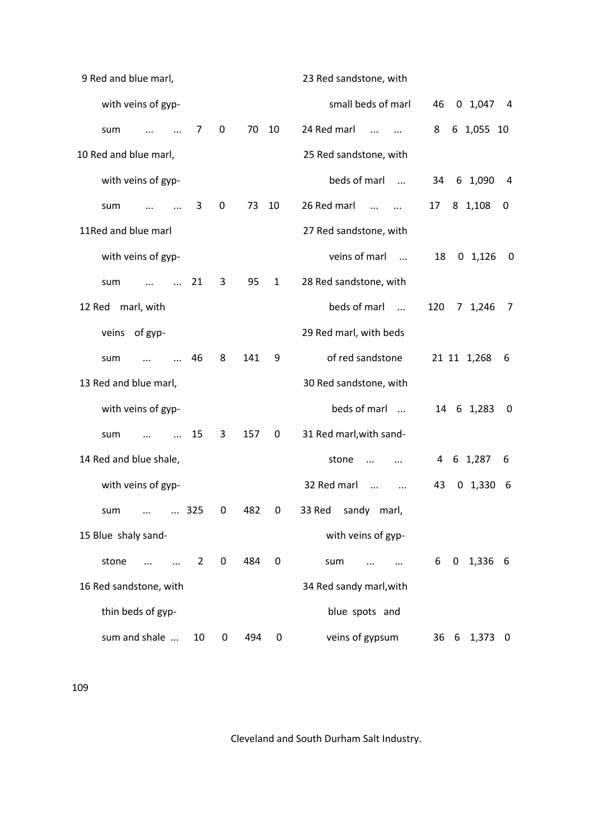| 9 Red and blue marl,    |             |     |              | 23 Red sandstone, with                   |                                       |
|-------------------------|-------------|-----|--------------|------------------------------------------|---------------------------------------|
| with veins of gyp-      |             |     |              | small beds of marl                       | 46<br>0, 1,047<br>- 4                 |
| 7<br>sum                | 0           | 70  | 10           | 24 Red marl<br>$\dddotsc$                | 8<br>6 1,055 10                       |
| 10 Red and blue marl,   |             |     |              | 25 Red sandstone, with                   |                                       |
| with veins of gyp-      |             |     |              | beds of marl<br>$\overline{\phantom{a}}$ | 6 1,090<br>34<br>4                    |
| 3<br>sum                | $\mathbf 0$ | 73  | 10           | 26 Red marl<br>$\dddotsc$                | 17<br>8 1,108<br>0                    |
| 11Red and blue marl     |             |     |              | 27 Red sandstone, with                   |                                       |
| with veins of gyp-      |             |     |              | veins of marl                            | 18<br>$0 \t1,126$<br>$\boldsymbol{0}$ |
| 21<br>sum               | 3           | 95  | $\mathbf{1}$ | 28 Red sandstone, with                   |                                       |
| 12 Red<br>marl, with    |             |     |              | beds of marl<br>$\cdots$                 | 120<br>7 1,246<br>7                   |
| veins of gyp-           |             |     |              | 29 Red marl, with beds                   |                                       |
| 46<br>sum               | 8           | 141 | 9            | of red sandstone                         | 21 11 1,268<br>6                      |
| 13 Red and blue marl,   |             |     |              | 30 Red sandstone, with                   |                                       |
| with veins of gyp-      |             |     |              | beds of marl                             | 14 6 1,283<br>0                       |
| 15<br>sum<br>$\ddotsc$  | 3           | 157 | 0            | 31 Red marl, with sand-                  |                                       |
| 14 Red and blue shale,  |             |     |              | stone<br>$\ddotsc$                       | 6 1,287<br>4<br>6                     |
| with veins of gyp-      |             |     |              | 32 Red marl<br>$\cdots$<br>$\ddotsc$     | 43<br>0, 1, 330<br>- 6                |
| 325<br>sum<br>$\cdots$  | 0           | 482 | 0            | 33 Red<br>sandy marl,                    |                                       |
| 15 Blue shaly sand-     |             |     |              | with veins of gyp-                       |                                       |
| stone<br>$\overline{2}$ | $\mathbf 0$ | 484 | $\mathbf 0$  | sum                                      | $0$ 1,336 6<br>6                      |
| 16 Red sandstone, with  |             |     |              | 34 Red sandy marl, with                  |                                       |
| thin beds of gyp-       |             |     |              | blue spots and                           |                                       |
| sum and shale<br>10     | 0           | 494 | 0            | veins of gypsum                          | 36 6 1,373 0                          |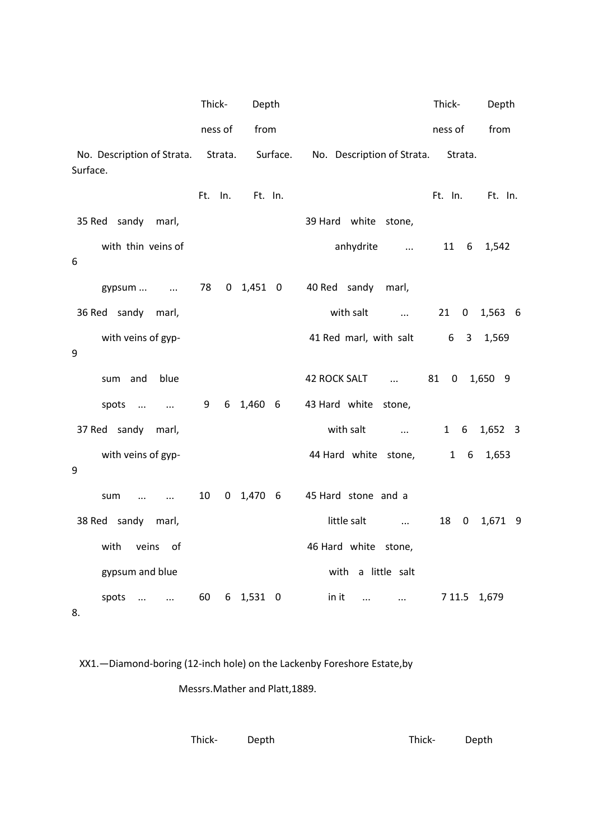|                                        | Thick-     | Depth            |                                 | Thick-            | Depth   |
|----------------------------------------|------------|------------------|---------------------------------|-------------------|---------|
|                                        | ness of    | from             |                                 | ness of           | from    |
| No. Description of Strata.<br>Surface. |            | Strata. Surface. | No. Description of Strata.      | Strata.           |         |
|                                        | Ft.<br>In. | Ft. In.          |                                 | Ft. In.           | Ft. In. |
| 35 Red sandy marl,                     |            |                  | 39 Hard white stone,            |                   |         |
| with thin veins of<br>6                |            |                  | anhydrite                       | 11 6              | 1,542   |
| gypsum   78                            |            |                  | 0 1,451 0 40 Red sandy<br>marl, |                   |         |
| 36 Red sandy marl,                     |            |                  | with salt                       | 21<br>$\mathbf 0$ | 1,563 6 |
| with veins of gyp-<br>9                |            |                  | 41 Red marl, with salt 6 3      |                   | 1,569   |
| blue<br>sum and                        |            |                  | 42 ROCK SALT                    | 81<br>$\mathbf 0$ | 1,650 9 |
| spots<br>$\sim$ 100 $\mu$              | 9<br>6     | $1,460$ 6        | 43 Hard white stone,            |                   |         |
| 37 Red sandy marl,                     |            |                  | with salt<br>$\cdots$           | 1 6               | 1,652 3 |
| with veins of gyp-<br>9                |            |                  | 44 Hard white stone,            | $1\quad 6$        | 1,653   |
| sum<br>$\sim$ $\sim$<br>$\cdots$       | 10         | $0$ 1,470 6      | 45 Hard stone and a             |                   |         |
| 38 Red sandy marl,                     |            |                  | little salt<br>$\sim$ $\sim$    | 18 0              | 1,671 9 |
| with<br>veins of                       |            |                  | 46 Hard white stone,            |                   |         |
| gypsum and blue                        |            |                  | with a little salt              |                   |         |
| spots<br>$\cdots$<br>$\dddotsc$<br>8.  | 60<br>6    | 1,531 0          | in it<br>$\cdots$<br>$\cdots$   | 7 1 1.5           | 1,679   |

XX1.—Diamond-boring (12-inch hole) on the Lackenby Foreshore Estate,by

Messrs.Mather and Platt,1889.

| Thick- Depth | Thick- Depth |
|--------------|--------------|
|--------------|--------------|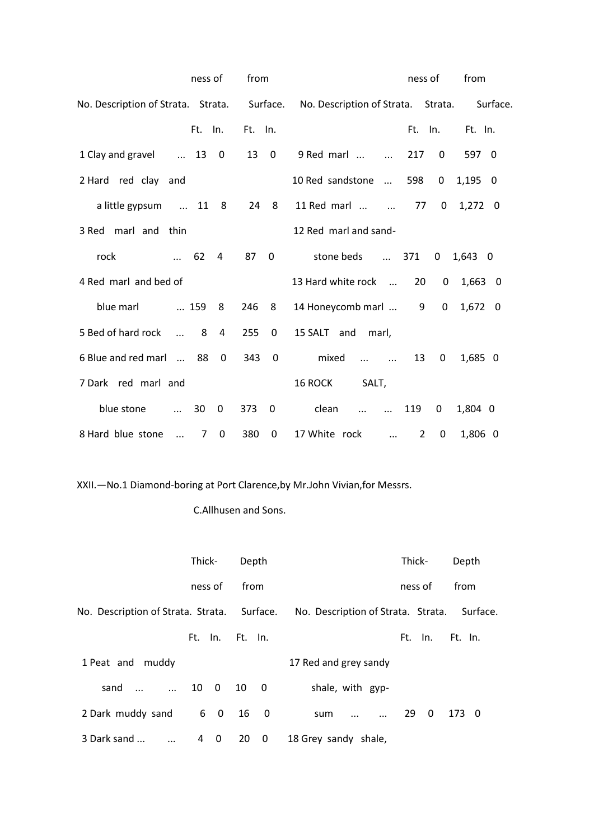|                                     | ness of     |             | from     |             | ness of<br>from                                                       |  |
|-------------------------------------|-------------|-------------|----------|-------------|-----------------------------------------------------------------------|--|
| No. Description of Strata. Strata.  |             |             | Surface. |             | No. Description of Strata. Strata.<br>Surface.                        |  |
|                                     | Ft. In.     |             | Ft. In.  |             | Ft.<br>Ft. In.<br>In.                                                 |  |
| 1 Clay and gravel                   | $\dots$ 13  | 0           | 13       | $\mathbf 0$ | 9 Red marl<br>217<br>$\mathbf{0}$<br>597 0                            |  |
| 2 Hard red clay and                 |             |             |          |             | 10 Red sandstone<br>598<br>1,195<br>0<br>- 0                          |  |
| a little gypsum  11 8               |             |             |          | 24 8        | 11 Red marl<br>$1,272$ 0<br>77<br>$\Omega$                            |  |
| 3 Red marl and thin                 |             |             |          |             | 12 Red marl and sand-                                                 |  |
| rock<br>$\cdots$                    | 62          | 4           | 87       | $\mathbf 0$ | stone beds<br>371<br>$\mathbf{0}$<br>$1,643$ 0                        |  |
| 4 Red marl and bed of               |             |             |          |             | 13 Hard white rock<br>20<br>0<br>$1,663$ 0                            |  |
| blue marl                           | 159         | 8           | 246      | - 8         | 14 Honeycomb marl<br>9<br>0<br>1,672 0                                |  |
| 5 Bed of hard rock<br>$\sim$ $\sim$ | 8           | 4           | 255      | 0           | 15 SALT and<br>marl,                                                  |  |
| 6 Blue and red marl  88             |             | $\Omega$    | 343      | 0           | mixed<br>1,685 0<br>13<br>0<br>$\cdots$ $\cdots$                      |  |
| 7 Dark red marl and                 |             |             |          |             | 16 ROCK<br>SALT,                                                      |  |
| blue stone<br>$\cdots$              | 30          | $\mathbf 0$ | 373      | 0           | clean<br>119<br>0<br>1,804 0<br>$\dddotsc$<br>$\dddotsc$              |  |
| 8 Hard blue stone<br>$\dddotsc$     | $7^{\circ}$ | $\mathbf 0$ | 380      | 0           | 17 White rock<br>1,806 0<br>$\overline{2}$<br>$\mathbf 0$<br>$\cdots$ |  |

XXII.—No.1 Diamond-boring at Port Clarence,by Mr.John Vivian,for Messrs.

# C.Allhusen and Sons.

|                         | Thick-          |      | Depth          | Thick-<br>Depth                                                                         |
|-------------------------|-----------------|------|----------------|-----------------------------------------------------------------------------------------|
|                         | ness of         | from |                | ness of<br>from                                                                         |
|                         |                 |      |                | No. Description of Strata. Strata. Surface. No. Description of Strata. Strata. Surface. |
|                         | Ft. In. Ft. In. |      |                | Ft. In.<br>- Ft. In.                                                                    |
| 1 Peat and muddy        |                 |      |                | 17 Red and grey sandy                                                                   |
| sand                    | 10 0            | 10   | $\overline{0}$ | shale, with gyp-                                                                        |
| 2 Dark muddy sand       | 6 0             |      | 16 0           | $29\quad 0$<br>173 0<br>sum                                                             |
| 3 Dark sand<br>$\ddots$ | 4 0             | 20   | $\overline{0}$ | 18 Grey sandy shale,                                                                    |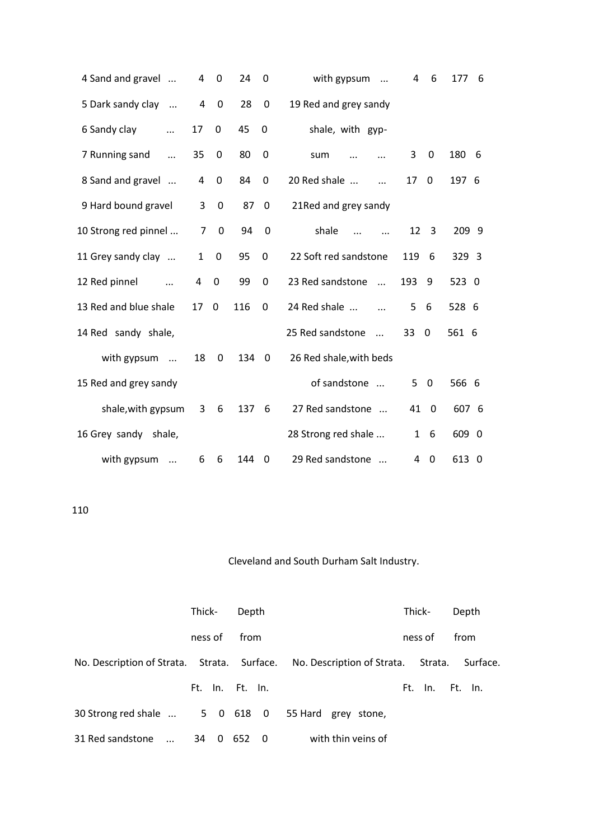| 4 Sand and gravel             | 4              | 0           | 24    | $\mathbf 0$ | with gypsum<br>$\dddotsc$      | 4            | 6              | 177<br>6   |
|-------------------------------|----------------|-------------|-------|-------------|--------------------------------|--------------|----------------|------------|
| 5 Dark sandy clay<br>$\ddots$ | $\overline{a}$ | 0           | 28    | $\pmb{0}$   | 19 Red and grey sandy          |              |                |            |
| 6 Sandy clay<br>$\ddotsc$     | 17             | 0           | 45    | 0           | shale, with gyp-               |              |                |            |
| 7 Running sand<br>$\ddotsc$   | 35             | 0           | 80    | 0           | sum                            | 3            | 0              | 180<br>- 6 |
| 8 Sand and gravel             | 4              | $\mathbf 0$ | 84    | $\mathbf 0$ | 20 Red shale<br>$\dddotsc$     | 17           | 0              | 197 6      |
| 9 Hard bound gravel           | 3              | 0           | 87    | 0           | 21Red and grey sandy           |              |                |            |
| 10 Strong red pinnel          | 7              | 0           | 94    | 0           | shale                          | 12           | 3              | 209 9      |
| 11 Grey sandy clay            | 1              | 0           | 95    | 0           | 22 Soft red sandstone          | 119          | 6              | 329 3      |
| 12 Red pinnel                 | 4              | $\mathbf 0$ | 99    | $\mathbf 0$ | 23 Red sandstone               | 193          | 9              | 523 0      |
| 13 Red and blue shale         | 17             | $\mathbf 0$ | 116   | 0           | 24 Red shale                   | 5            | 6              | 528 6      |
| 14 Red sandy shale,           |                |             |       |             | 25 Red sandstone<br>$\dddotsc$ | 33           | $\Omega$       | 561 6      |
| with gypsum                   | 18             | 0           | 134 0 |             | 26 Red shale, with beds        |              |                |            |
| 15 Red and grey sandy         |                |             |       |             | of sandstone                   | 5            | $\overline{0}$ | 566 6      |
| shale, with gypsum            | 3              | 6           | 137   | 6           | 27 Red sandstone               | 41           | $\mathbf{0}$   | 607 6      |
| 16 Grey sandy<br>shale,       |                |             |       |             | 28 Strong red shale            | $\mathbf{1}$ | 6              | 609 0      |
| with gypsum<br>$\ddotsc$      | 6              | 6           | 144   | 0           | 29 Red sandstone               | 4            | $\theta$       | 613 0      |

|                                                                                | Thick-  |                | Depth           |                |                    | Thick-  | Depth           |
|--------------------------------------------------------------------------------|---------|----------------|-----------------|----------------|--------------------|---------|-----------------|
|                                                                                | ness of |                | from            |                |                    | ness of | from            |
| No. Description of Strata. Strata. Surface. No. Description of Strata. Strata. |         |                |                 |                |                    |         | Surface.        |
|                                                                                |         |                | Ft. In. Ft. In. |                |                    |         | Ft. In. Ft. In. |
| 30 Strong red shale  5 0 618 0 55 Hard grey stone,                             |         |                |                 |                |                    |         |                 |
| 31 Red sandstone<br>$\dddotsc$                                                 | 34      | $\overline{0}$ | 652             | $\overline{0}$ | with thin veins of |         |                 |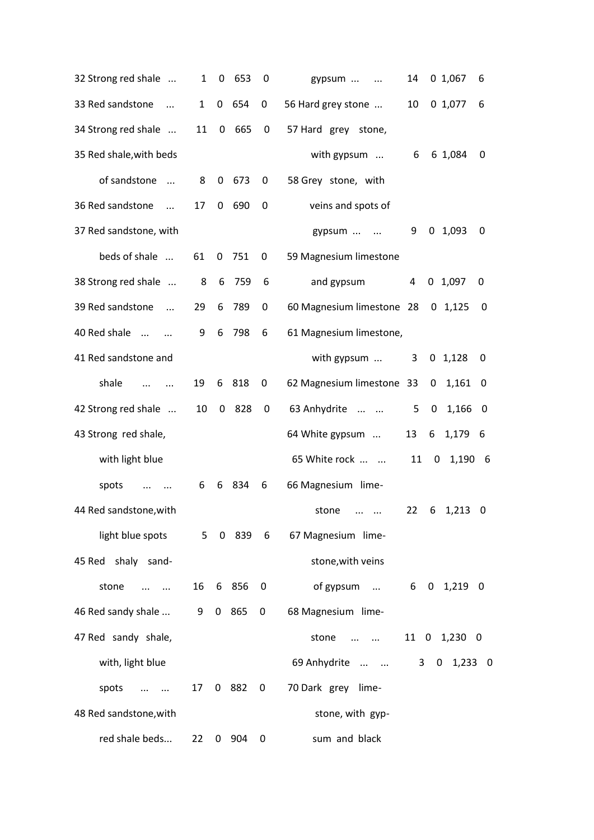| 32 Strong red shale           | 1            | 0        | 653        | 0                | gypsum<br>$\ldots$                            | 14 |                | 0, 1,067     | 6   |
|-------------------------------|--------------|----------|------------|------------------|-----------------------------------------------|----|----------------|--------------|-----|
| 33 Red sandstone<br>$\ddots$  | $\mathbf{1}$ | 0        | 654        | 0                | 56 Hard grey stone                            | 10 |                | 0, 1, 077    | 6   |
| 34 Strong red shale           | 11           | $\bf{0}$ | 665        | 0                | 57 Hard grey stone,                           |    |                |              |     |
| 35 Red shale, with beds       |              |          |            |                  | with gypsum                                   | 6  |                | 6 1,084      | 0   |
| of sandstone<br>$\cdots$      | 8            | 0        | 673        | 0                | 58 Grey stone, with                           |    |                |              |     |
| 36 Red sandstone<br>$\ddotsc$ | 17           | 0        | 690        | 0                | veins and spots of                            |    |                |              |     |
| 37 Red sandstone, with        |              |          |            |                  | gypsum                                        | 9  |                | 0, 1,093     | 0   |
| beds of shale                 | 61           | 0        | 751        | 0                | 59 Magnesium limestone                        |    |                |              |     |
| 38 Strong red shale           | 8            | 6        | 759        | 6                | and gypsum                                    | 4  |                | $0$ 1,097    | 0   |
| 39 Red sandstone<br>$\ddotsc$ | 29           | 6        | 789        | 0                | 60 Magnesium limestone 28                     |    |                | 0, 1, 125    | 0   |
| 40 Red shale<br>$\cdots$      | 9            | 6        | 798        | 6                | 61 Magnesium limestone,                       |    |                |              |     |
| 41 Red sandstone and          |              |          |            |                  | with gypsum                                   | 3  |                | $0$ 1,128    | 0   |
| shale<br>$\cdots$<br>$\ddots$ | 19           | 6        | 818        | 0                | 62 Magnesium limestone 33                     |    | 0              | 1,161        | 0   |
| 42 Strong red shale           | 10           | 0        | 828        | 0                | 63 Anhydrite                                  | 5  | 0              | 1,166        | 0   |
| 43 Strong red shale,          |              |          |            |                  | 64 White gypsum                               | 13 | 6              | 1,179        | - 6 |
| with light blue               |              |          |            |                  | 65 White rock                                 | 11 | $\mathbf{0}$   | 1,190 6      |     |
| spots<br>$\ddotsc$            | 6            | 6        | -834       | 6                | 66 Magnesium lime-                            |    |                |              |     |
| 44 Red sandstone, with        |              |          |            |                  | stone<br>$\cdots$<br>$\cdots$                 | 22 | 6              | 1,213        | 0   |
|                               |              |          |            |                  | light blue spots 5 0 839 6 67 Magnesium lime- |    |                |              |     |
| 45 Red shaly sand-            |              |          |            |                  | stone, with veins                             |    |                |              |     |
| stone<br>$\cdots$ $\cdots$    |              |          | 16 6 856 0 |                  | of gypsum                                     |    |                | 6 0 1,219 0  |     |
| 46 Red sandy shale  9 0 865   |              |          |            | $\boldsymbol{0}$ | 68 Magnesium lime-                            |    |                |              |     |
| 47 Red sandy shale,           |              |          |            |                  | stone<br>$\cdots$ $\cdots$                    |    |                | 11 0 1,230 0 |     |
| with, light blue              |              |          |            |                  | 69 Anhydrite                                  |    | 3 <sup>7</sup> | $0$ 1,233 0  |     |
| spots                         |              |          | 17 0 882 0 |                  | 70 Dark grey lime-                            |    |                |              |     |
| 48 Red sandstone, with        |              |          |            |                  | stone, with gyp-                              |    |                |              |     |
| red shale beds                | 22           |          | 0 904      | 0                | sum and black                                 |    |                |              |     |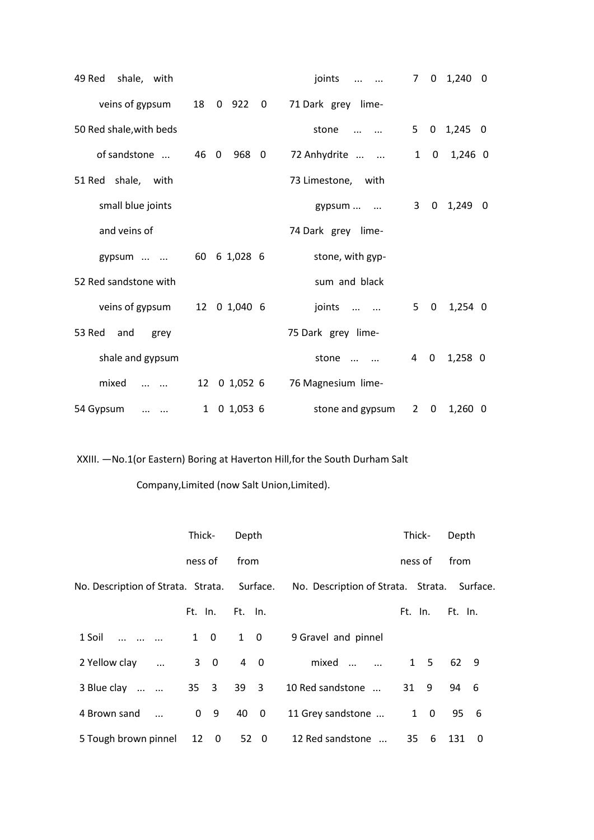| 49 Red<br>shale, with      |                   | joints             | 7            | $\mathbf{0}$ | 1,240<br>0             |
|----------------------------|-------------------|--------------------|--------------|--------------|------------------------|
| veins of gypsum            | 18<br>$0$ 922 $0$ | 71 Dark grey lime- |              |              |                        |
| 50 Red shale, with beds    |                   | stone              | 5            |              | $0 \quad 1,245$<br>- 0 |
| of sandstone               | 968 0<br>46 0     | 72 Anhydrite       | $\mathbf{1}$ | 0            | 1,246 0                |
| 51 Red shale, with         |                   | 73 Limestone, with |              |              |                        |
| small blue joints          |                   | gypsum             | 3            | $\mathbf{0}$ | 1,249<br>- 0           |
| and veins of               |                   | 74 Dark grey lime- |              |              |                        |
| gypsum                     | 60 6 1,028 6      | stone, with gyp-   |              |              |                        |
| 52 Red sandstone with      |                   | sum and black      |              |              |                        |
| veins of gypsum            | 0 1,040 6<br>12   | joints             | 5            | $\mathbf 0$  | $1,254$ 0              |
| 53 Red<br>and<br>grey      |                   | 75 Dark grey lime- |              |              |                        |
| shale and gypsum           |                   | stone              | 4            | 0            | $1,258$ 0              |
| mixed<br>$\cdots$ $\cdots$ | 0 1,052 6<br>12   | 76 Magnesium lime- |              |              |                        |
| 54 Gypsum<br>$\cdots$      | 1 0 1,053 6       | stone and gypsum   |              | $2 \quad 0$  | $1,260$ 0              |

XXIII. —No.1(or Eastern) Boring at Haverton Hill,for the South Durham Salt

Company,Limited (now Salt Union,Limited).

|                                             | Thick-                        | Depth                         |                                             | Thick-  |             | Depth   |          |
|---------------------------------------------|-------------------------------|-------------------------------|---------------------------------------------|---------|-------------|---------|----------|
|                                             | ness of                       | from                          |                                             | ness of |             | from    |          |
| No. Description of Strata. Strata. Surface. |                               |                               | No. Description of Strata. Strata. Surface. |         |             |         |          |
|                                             | Ft. In. Ft. In.               |                               |                                             | Ft. In. |             | Ft. In. |          |
| 1 Soil                                      | $1 \quad 0$                   | $1 \quad 0$                   | 9 Gravel and pinnel                         |         |             |         |          |
| 2 Yellow clay                               | $3 \quad 0$                   | 4 0                           | mixed                                       |         | $1\quad 5$  | 62 9    |          |
| 3 Blue clay                                 | $35 \quad 3$                  | 39 3                          | 10 Red sandstone                            | 31 9    |             | 94      | - 6      |
| 4 Brown sand                                | 0 <sub>9</sub>                | 40<br>$\overline{\mathbf{0}}$ | 11 Grey sandstone                           |         | $1 \quad 0$ | 95 6    |          |
| 5 Tough brown pinnel                        | 12<br>$\overline{\mathbf{0}}$ | 52 0                          | 12 Red sandstone                            | 35      | 6           | 131     | $\Omega$ |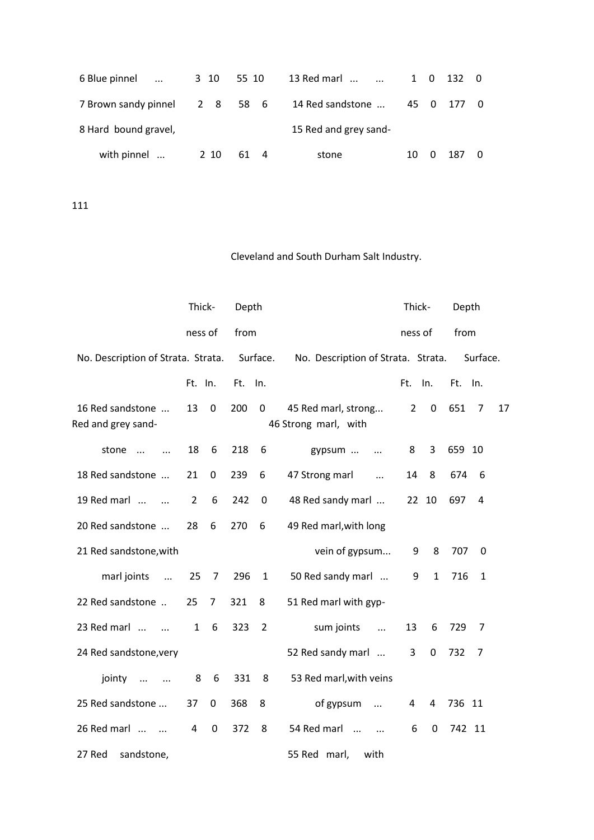| 6 Blue pinnel                 |      | 3 10 55 10 | 13 Red marl           |    |   | 1 0 132 0  |  |
|-------------------------------|------|------------|-----------------------|----|---|------------|--|
| 7 Brown sandy pinnel 2 8 58 6 |      |            | 14 Red sandstone      |    |   | 45 0 177 0 |  |
| 8 Hard bound gravel,          |      |            | 15 Red and grey sand- |    |   |            |  |
| with pinnel                   | 2 10 | 614        | stone                 | 10 | 0 | 187        |  |

|                                         | Thick-         |             | Depth   |                |                                             | Thick-         |              | Depth   |              |
|-----------------------------------------|----------------|-------------|---------|----------------|---------------------------------------------|----------------|--------------|---------|--------------|
|                                         | ness of        |             | from    |                |                                             | ness of        |              | from    |              |
| No. Description of Strata. Strata.      |                |             |         | Surface.       | No. Description of Strata. Strata.          |                |              |         | Surface.     |
|                                         | Ft. In.        |             | Ft. In. |                |                                             | Ft. In.        |              | Ft. In. |              |
| 16 Red sandstone<br>Red and grey sand-  | 13             | 0           | 200     | 0              | 45 Red marl, strong<br>46 Strong marl, with | $\overline{2}$ | 0            | 651     | 17<br>7      |
| stone<br>$\cdots$<br>$\dddotsc$         | 18             | 6           | 218     | 6              | gypsum<br>$\cdots$                          | 8              | 3            | 659 10  |              |
| 18 Red sandstone                        | 21             | 0           | 239     | 6              | 47 Strong marl<br>$\ddots$                  | 14             | 8            | 674     | 6            |
| 19 Red marl<br>$\cdots$                 | $\overline{2}$ | 6           | 242     | $\mathbf 0$    | 48 Red sandy marl                           | 22             | 10           | 697     | 4            |
| 20 Red sandstone                        | 28             | 6           | 270     | 6              | 49 Red marl, with long                      |                |              |         |              |
| 21 Red sandstone, with                  |                |             |         |                | vein of gypsum                              | 9              | 8            | 707     | 0            |
| marl joints<br>$\ldots$                 | 25             | 7           | 296     | $\mathbf{1}$   | 50 Red sandy marl                           | 9              | $\mathbf{1}$ | 716     | $\mathbf{1}$ |
| 22 Red sandstone                        | 25             | 7           | 321     | 8              | 51 Red marl with gyp-                       |                |              |         |              |
| 23 Red marl<br>$\overline{\phantom{a}}$ | $\mathbf{1}$   | 6           | 323     | $\overline{2}$ | sum joints<br>$\dddotsc$                    | 13             | 6            | 729     | 7            |
| 24 Red sandstone, very                  |                |             |         |                | 52 Red sandy marl                           | 3              | 0            | 732     | 7            |
| jointy<br>$\cdots$<br>$\sim$ $\sim$     | 8              | 6           | 331     | 8              | 53 Red marl, with veins                     |                |              |         |              |
| 25 Red sandstone                        | 37             | 0           | 368     | 8              | of gypsum<br>$\cdots$                       | 4              | 4            | 736 11  |              |
| 26 Red marl                             | 4              | $\mathbf 0$ | 372     | 8              | 54 Red marl                                 | 6              | $\mathbf 0$  | 742 11  |              |
| 27 Red<br>sandstone,                    |                |             |         |                | 55 Red marl,<br>with                        |                |              |         |              |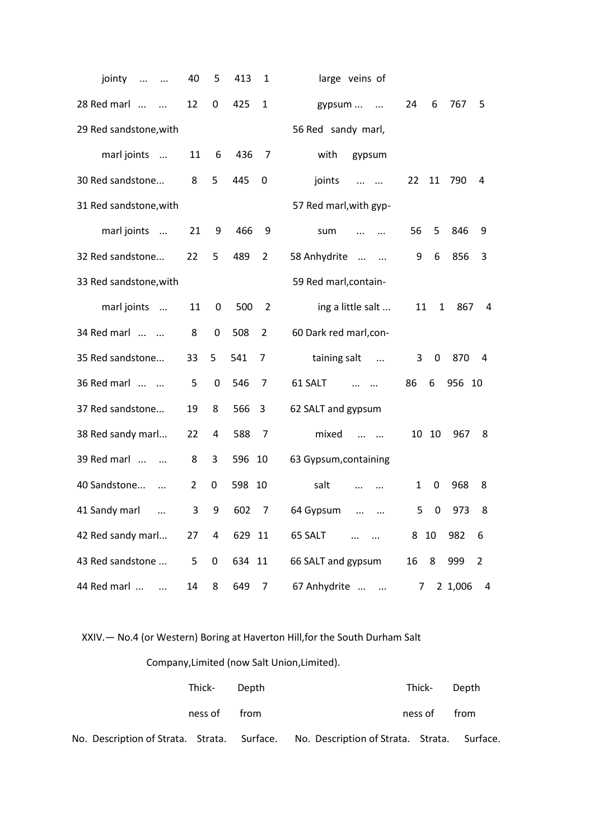| jointy<br>$\ddots$<br>$\ldots$          | 40             | 5              | 413    | 1              | large veins of                 |    |              |         |                |
|-----------------------------------------|----------------|----------------|--------|----------------|--------------------------------|----|--------------|---------|----------------|
| 28 Red marl<br>$\dddotsc$<br>$\dddotsc$ | 12             | 0              | 425    | 1              | gypsum<br>$\ddotsc$            | 24 | 6            | 767     | 5              |
| 29 Red sandstone, with                  |                |                |        |                | 56 Red sandy marl,             |    |              |         |                |
| marl joints                             | 11             | 6              | 436    | $\overline{7}$ | with<br>gypsum                 |    |              |         |                |
| 30 Red sandstone                        | 8              | 5              | 445    | $\mathbf 0$    | joints<br>$\cdots$<br>$\cdots$ | 22 | 11           | 790     | 4              |
| 31 Red sandstone, with                  |                |                |        |                | 57 Red marl, with gyp-         |    |              |         |                |
| marl joints<br>$\cdots$                 | 21             | 9              | 466    | 9              | sum                            | 56 | 5            | 846     | 9              |
| 32 Red sandstone                        | 22             | 5              | 489    | 2              | 58 Anhydrite<br>$\ddots$       | 9  | 6            | 856     | 3              |
| 33 Red sandstone, with                  |                |                |        |                | 59 Red marl, contain-          |    |              |         |                |
| marl joints                             | 11             | 0              | 500    | 2              | ing a little salt              | 11 | $\mathbf{1}$ | 867     | 4              |
| 34 Red marl                             | 8              | 0              | 508    | $\overline{2}$ | 60 Dark red marl,con-          |    |              |         |                |
| 35 Red sandstone                        | 33             | 5              | 541    | 7              | taining salt<br>$\ddots$       | 3  | 0            | 870     | 4              |
| 36 Red marl                             | 5              | 0              | 546    | 7              | 61 SALT                        | 86 | 6            | 956 10  |                |
| 37 Red sandstone                        | 19             | 8              | 566    | 3              | 62 SALT and gypsum             |    |              |         |                |
| 38 Red sandy marl                       | 22             | 4              | 588    | 7              | mixed<br>$\cdots$ $\cdots$     | 10 | 10           | 967     | 8              |
| 39 Red marl                             | 8              | 3              | 596    | 10             | 63 Gypsum, containing          |    |              |         |                |
| 40 Sandstone<br>$\dddotsc$              | $\overline{2}$ | 0              | 598    | 10             | salt<br>$\cdots$<br>$\cdots$   | 1  | 0            | 968     | 8              |
| 41 Sandy marl<br>$\ddotsc$              | 3              | 9              | 602    | 7              | 64 Gypsum                      | 5  | 0            | 973     | 8              |
| 42 Red sandy marl                       | 27             | $\overline{a}$ | 629 11 |                | 65 SALT                        | 8  | 10           | 982     | 6              |
| 43 Red sandstone                        | 5              | $\pmb{0}$      | 634 11 |                | 66 SALT and gypsum             | 16 | 8            | 999     | $\overline{2}$ |
| 44 Red marl<br>$\dddotsc$               | 14             | 8              | 649    | 7              | 67 Anhydrite                   | 7  |              | 2 1,006 | $\overline{a}$ |

XXIV.— No.4 (or Western) Boring at Haverton Hill,for the South Durham Salt

# Company,Limited (now Salt Union,Limited).

|  | Thick- Depth |      |                                                                                         | Thick- Depth |      |
|--|--------------|------|-----------------------------------------------------------------------------------------|--------------|------|
|  | ness of      | from |                                                                                         | ness of      | from |
|  |              |      | No. Description of Strata. Strata. Surface. No. Description of Strata. Strata. Surface. |              |      |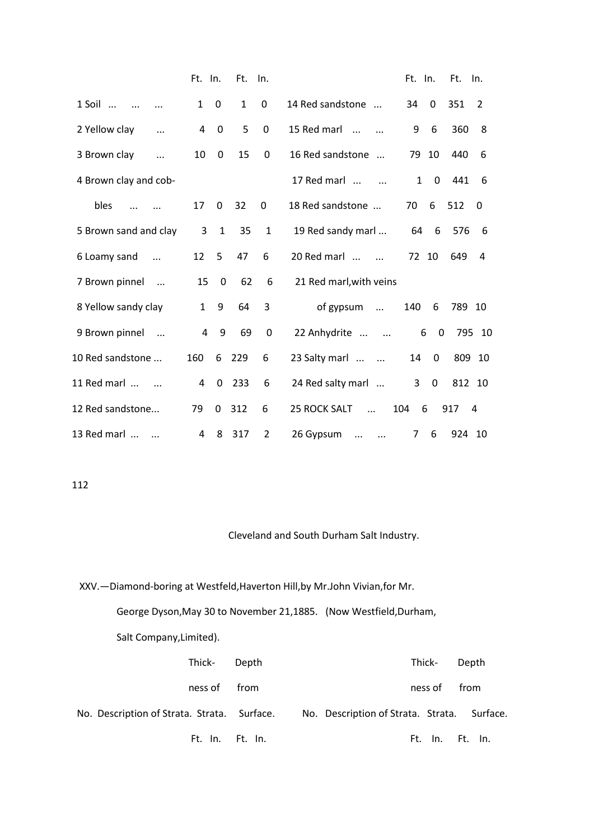|                              | Ft. In.        |              | Ft. In.      |              |                                   | Ft. In.        |             | Ft. In. |                |
|------------------------------|----------------|--------------|--------------|--------------|-----------------------------------|----------------|-------------|---------|----------------|
| $1$ Soil                     | $\mathbf{1}$   | 0            | $\mathbf{1}$ | $\mathbf 0$  | 14 Red sandstone                  | 34             | $\Omega$    | 351     | $\overline{2}$ |
| 2 Yellow clay<br>$\cdots$    | 4              | 0            | 5            | 0            | 15 Red marl                       | 9              | 6           | 360     | 8              |
| 3 Brown clay<br>$\cdots$     | 10             | 0            | 15           | 0            | 16 Red sandstone                  | 79             | 10          | 440     | 6              |
| 4 Brown clay and cob-        |                |              |              |              | 17 Red marl                       | $\mathbf{1}$   | 0           | 441     | 6              |
| bles                         | 17             | $\Omega$     | 32           | $\Omega$     | 18 Red sandstone                  | 70             | 6           | 512     | $\Omega$       |
| 5 Brown sand and clay        | 3              | $\mathbf{1}$ | 35           | $\mathbf{1}$ | 19 Red sandy marl                 | 64             | 6           | 576     | 6              |
| 6 Loamy sand<br>$\dddotsc$   | 12             | 5            | 47           | 6            | 20 Red marl                       | 72 10          |             | 649     | 4              |
| 7 Brown pinnel<br>$\sim$     | 15             | 0            | 62           | 6            | 21 Red marl, with veins           |                |             |         |                |
| 8 Yellow sandy clay          | $\mathbf{1}$   | 9            | 64           | 3            | of gypsum                         | 140            | 6           | 789 10  |                |
| 9 Brown pinnel<br>$\cdots$   | $\overline{4}$ | 9            | 69           | 0            | 22 Anhydrite<br>$\cdots$          | 6              | $\mathbf 0$ |         | 795 10         |
| 10 Red sandstone             | 160            | 6            | 229          | 6            | 23 Salty marl                     | 14             | 0           | 809 10  |                |
| 11 Red marl                  | 4              | 0            | 233          | 6            | 24 Red salty marl                 | $\overline{3}$ | $\mathbf 0$ | 812 10  |                |
| 12 Red sandstone             | 79             | 0            | 312          | 6            | <b>25 ROCK SALT</b><br>$\dddotsc$ | 104<br>6       | 917         |         | 4              |
| 13 Red marl<br>$\sim$ $\sim$ | 4              | 8            | 317          | 2            | 26 Gypsum<br>$\cdots$<br>$\cdots$ | $\overline{7}$ | 6           | 924 10  |                |

## Cleveland and South Durham Salt Industry.

XXV.—Diamond-boring at Westfeld,Haverton Hill,by Mr.John Vivian,for Mr.

George Dyson,May 30 to November 21,1885. (Now Westfield,Durham,

Salt Company,Limited).

| Thick- Depth                                                                            |  | Thick-  | Depth           |
|-----------------------------------------------------------------------------------------|--|---------|-----------------|
| ness of from                                                                            |  | ness of | from            |
| No. Description of Strata. Strata. Surface. No. Description of Strata. Strata. Surface. |  |         |                 |
| Ft. In. Ft. In.                                                                         |  |         | Ft. In. Ft. In. |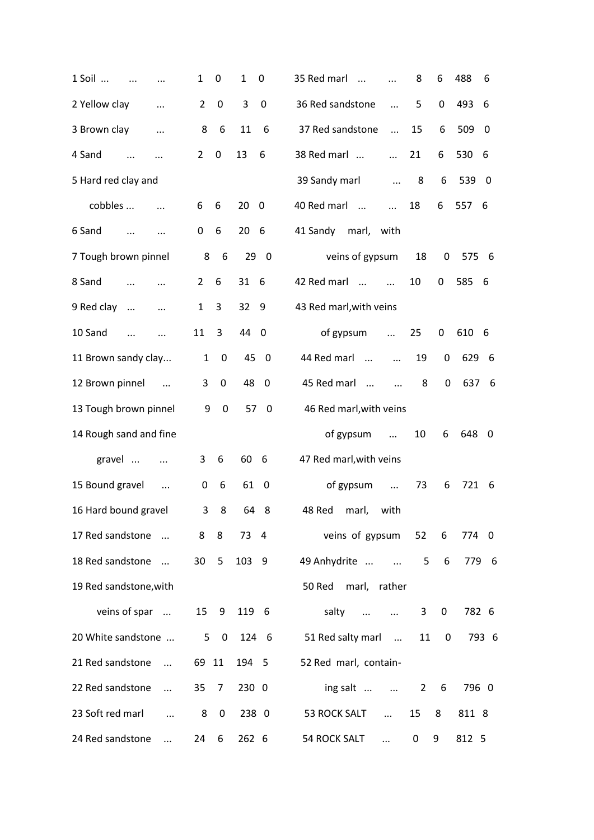| 1 Soil<br>$\ddotsc$                | 1               | 0           | 1     | 0                       | 488<br>35 Red marl<br>8<br>6<br>6<br>$\cdots$                          |  |
|------------------------------------|-----------------|-------------|-------|-------------------------|------------------------------------------------------------------------|--|
| 2 Yellow clay<br>$\ddotsc$         | $\overline{2}$  | 0           | 3     | 0                       | 36 Red sandstone<br>5<br>0<br>493<br>6<br>$\ddotsc$                    |  |
| 3 Brown clay<br>$\ddotsc$          | 8               | 6           | 11    | 6                       | 37 Red sandstone<br>15<br>6<br>509<br>$\ddotsc$<br>- 0                 |  |
| 4 Sand<br>$\dddotsc$<br>$\cdots$   | $\overline{2}$  | $\mathbf 0$ | 13    | 6                       | 38 Red marl<br>21<br>6<br>530 6<br>$\dddotsc$                          |  |
| 5 Hard red clay and                |                 |             |       |                         | 39 Sandy marl<br>8<br>6<br>539<br>$\overline{\phantom{0}}$<br>$\cdots$ |  |
| cobbles                            | 6               | 6           | 20    | $\mathbf 0$             | 40 Red marl<br>18<br>557<br>6<br>- 6<br>$\ddots$                       |  |
| 6 Sand<br>$\cdots$                 | 0               | 6           | 20    | 6                       | 41 Sandy marl, with                                                    |  |
| 7 Tough brown pinnel               | 8               | 6           |       | 290                     | veins of gypsum<br>18<br>0<br>575<br>- 6                               |  |
| 8 Sand<br>$\cdots$                 | 2               | 6           | 31    | - 6                     | 585 6<br>42 Red marl<br>10<br>0<br>$\dddotsc$                          |  |
| 9 Red clay<br>$\ddots$<br>$\cdots$ | $\mathbf{1}$    | 3           | 32    | 9                       | 43 Red marl, with veins                                                |  |
| 10 Sand<br>$\dddotsc$              | 11              | 3           | 44    | $\overline{\mathbf{0}}$ | of gypsum<br>25<br>0<br>610 6<br>$\dddotsc$                            |  |
| 11 Brown sandy clay                | $\mathbf{1}$    | $\mathbf 0$ | 45    | $\overline{\mathbf{0}}$ | 44 Red marl<br>19<br>0<br>629<br>- 6<br>$\dddotsc$                     |  |
| 12 Brown pinnel<br>$\sim$ $\sim$   | 3               | $\mathbf 0$ | 48    | - 0                     | 45 Red marl<br>8<br>637<br>0<br>- 6<br>$\ddots$                        |  |
| 13 Tough brown pinnel              | 9               | $\mathbf 0$ | 57    | $\overline{\mathbf{0}}$ | 46 Red marl, with veins                                                |  |
| 14 Rough sand and fine             |                 |             |       |                         | of gypsum<br>10<br>6<br>648<br>- 0<br>$\cdots$                         |  |
| gravel<br>$\ldots$                 | 3               | 6           | 60    | -6                      | 47 Red marl, with veins                                                |  |
| 15 Bound gravel<br>$\cdots$        | 0               | 6           | 61    | - 0                     | of gypsum<br>73<br>6<br>721 6<br>$\cdots$                              |  |
| 16 Hard bound gravel               | 3               | 8           | 64    | - 8                     | 48 Red<br>marl,<br>with                                                |  |
| 17 Red sandstone                   | 8               | 8           | 73 4  |                         | veins of gypsum<br>52<br>6<br>774 0                                    |  |
| 18 Red sandstone                   | 30 <sup>2</sup> | 5           | 103 9 |                         | $6\overline{6}$<br>49 Anhydrite<br>5<br>779 6                          |  |
| 19 Red sandstone, with             |                 |             |       |                         | 50 Red<br>marl, rather                                                 |  |
| veins of spar                      | 15              | 9           | 119 6 |                         | salty<br>782 6<br>0<br>3                                               |  |
| 20 White sandstone                 |                 | $5\quad 0$  |       | 124 6                   | $\mathbf 0$<br>51 Red salty marl<br>11<br>793 6                        |  |
| 21 Red sandstone                   | 69 11           |             | 194 5 |                         | 52 Red marl, contain-                                                  |  |
| 22 Red sandstone<br>$\dddotsc$     | 35              | 7           | 230 0 |                         | ing salt<br>796 0<br>$2^{\circ}$<br>-6                                 |  |
| 23 Soft red marl<br>$\cdots$       | 8               | $\mathbf 0$ | 238 0 |                         | 53 ROCK SALT<br>15<br>8<br>811 8<br>$\cdots$                           |  |
| 24 Red sandstone<br>$\dddotsc$     | 24              | 6           | 262 6 |                         | 54 ROCK SALT<br>9<br>812 5<br>0<br>$\dddotsc$                          |  |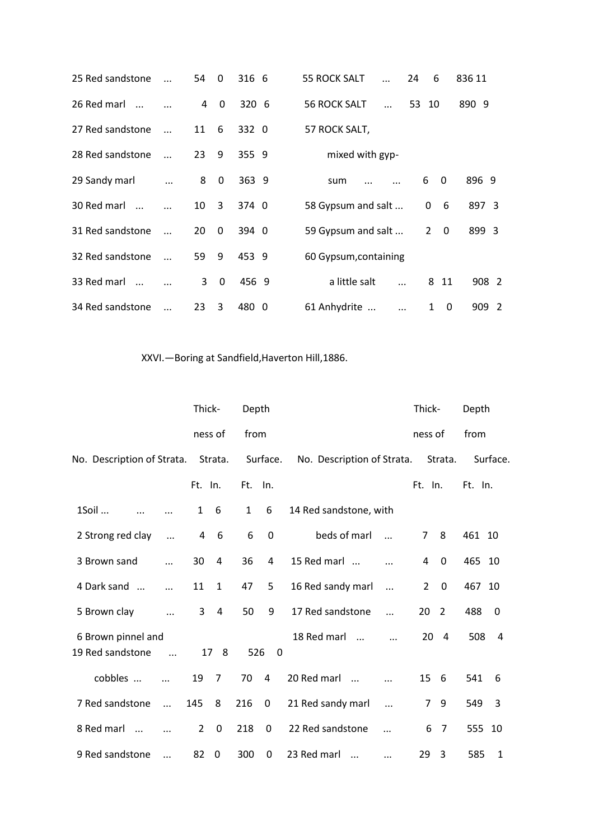| 25 Red sandstone |            | 54             | $\Omega$     | 316 6 |  | <b>55 ROCK SALT</b>   | $\ddotsc$  | 24    | 6              |              | 836 11 |       |  |
|------------------|------------|----------------|--------------|-------|--|-----------------------|------------|-------|----------------|--------------|--------|-------|--|
| 26 Red marl      |            | $\overline{4}$ | $\mathbf{0}$ | 3206  |  | <b>56 ROCK SALT</b>   | $\dddotsc$ | 53 10 |                |              | 890 9  |       |  |
| 27 Red sandstone | $\dddotsc$ | 11             | 6            | 332 0 |  | 57 ROCK SALT,         |            |       |                |              |        |       |  |
| 28 Red sandstone | $\ddotsc$  | 23             | 9            | 355 9 |  | mixed with gyp-       |            |       |                |              |        |       |  |
| 29 Sandy marl    |            | 8              | $\mathbf 0$  | 363 9 |  | sum                   |            |       | 6              | 0            | 896 9  |       |  |
| 30 Red marl      |            | 10             | 3            | 374 0 |  | 58 Gypsum and salt    |            |       | 0              | 6            | 897 3  |       |  |
| 31 Red sandstone |            | 20             | $\Omega$     | 394 0 |  | 59 Gypsum and salt    |            |       | $\overline{2}$ | $\Omega$     | 899 3  |       |  |
| 32 Red sandstone |            | 59             | 9            | 453 9 |  | 60 Gypsum, containing |            |       |                |              |        |       |  |
| 33 Red marl      |            | $\mathbf{3}$   | $\Omega$     | 456 9 |  | a little salt         |            |       |                | 8 11         |        | 908 2 |  |
| 34 Red sandstone |            | 23             | 3            | 480 0 |  | 61 Anhydrite          | $\ddotsc$  |       | 1              | $\mathbf{0}$ |        | 909 2 |  |

# XXVI.—Boring at Sandfield,Haverton Hill,1886.

|                                        |            | Thick-         |                | Depth        |             |                            |            | Thick-         |                | Depth   |          |
|----------------------------------------|------------|----------------|----------------|--------------|-------------|----------------------------|------------|----------------|----------------|---------|----------|
|                                        |            | ness of        |                | from         |             |                            |            | ness of        |                | from    |          |
| No. Description of Strata.             |            |                | Strata.        |              | Surface.    | No. Description of Strata. |            |                | Strata.        |         | Surface. |
|                                        |            | Ft. In.        |                | Ft.          | In.         |                            |            | Ft. In.        |                | Ft. In. |          |
| 1Soil                                  |            | $\mathbf{1}$   | 6              | $\mathbf{1}$ | 6           | 14 Red sandstone, with     |            |                |                |         |          |
| 2 Strong red clay                      | $\ddotsc$  | $\overline{a}$ | 6              | 6            | 0           | beds of marl               | $\dddotsc$ | 7              | 8              | 461 10  |          |
| 3 Brown sand                           | $\ddotsc$  | 30             | 4              | 36           | 4           | 15 Red marl                |            | 4              | 0              | 465 10  |          |
| 4 Dark sand                            |            | 11             | $\mathbf{1}$   | 47           | 5           | 16 Red sandy marl          | $\ddots$   | $\overline{2}$ | $\mathbf 0$    | 467 10  |          |
| 5 Brown clay                           | $\ddots$   | 3              | $\overline{4}$ | 50           | 9           | 17 Red sandstone           | $\dddotsc$ | 20             | $\overline{2}$ | 488     | 0        |
| 6 Brown pinnel and<br>19 Red sandstone | $\dddotsc$ |                | 17 8           | 526          | $\Omega$    | 18 Red marl<br>$\cdots$    |            | 20             | $\overline{4}$ | 508     | 4        |
| cobbles                                | $\ddotsc$  | 19             | 7              | 70           | 4           | 20 Red marl<br>$\dddotsc$  | $\cdots$   | 15             | - 6            | 541     | 6        |
| 7 Red sandstone                        | $\ddots$   | 145            | 8              | 216          | $\mathbf 0$ | 21 Red sandy marl          | $\ddotsc$  | 7              | 9              | 549     | 3        |
| 8 Red marl<br>$\cdots$                 |            | $\overline{2}$ | 0              | 218          | 0           | 22 Red sandstone           |            | 6              | $\overline{7}$ | 555     | 10       |
| 9 Red sandstone                        | .          | 82             | $\mathbf 0$    | 300          | 0           | 23 Red marl<br>$\cdots$    | $\cdots$   | 29             | 3              | 585     | 1        |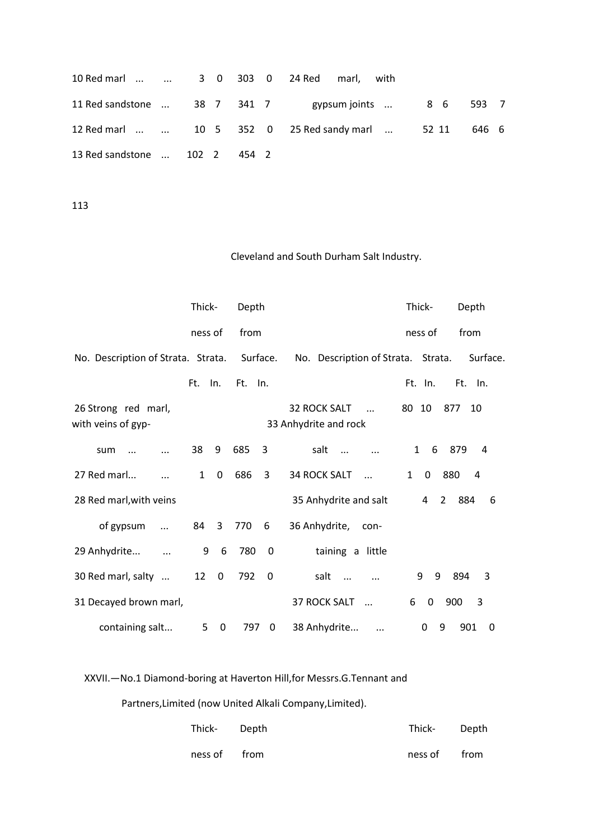|                               |  |  | 10 Red marl   3 0 303 0 24 Red marl, with             |       |
|-------------------------------|--|--|-------------------------------------------------------|-------|
|                               |  |  | 11 Red sandstone  38 7 341 7 sypsum joints  8 6 593 7 |       |
|                               |  |  | 12 Red marl   10 5 352 0 25 Red sandy marl  52 11     | 646 6 |
| 13 Red sandstone  102 2 454 2 |  |  |                                                       |       |

### Cleveland and South Durham Salt Industry.

|                                             | Thick-       |                               | Depth   |                         |                                                 | Thick-                       | Depth                    |
|---------------------------------------------|--------------|-------------------------------|---------|-------------------------|-------------------------------------------------|------------------------------|--------------------------|
|                                             | ness of      |                               | from    |                         |                                                 | ness of                      | from                     |
| No. Description of Strata. Strata. Surface. |              |                               |         |                         | No. Description of Strata. Strata.              |                              | Surface.                 |
|                                             | Ft.          | In.                           | Ft. In. |                         |                                                 | Ft. In.                      | Ft. In.                  |
| 26 Strong red marl,<br>with veins of gyp-   |              |                               |         |                         | 32 ROCK SALT<br>$\sim$<br>33 Anhydrite and rock | 80 10                        | 877 10                   |
| sum                                         | 38           | 9                             | 685     | 3                       | salt<br>$\dddotsc$                              | $\mathbf{1}$<br>6            | 879<br>4                 |
| 27 Red marl                                 | $\mathbf{1}$ | $\mathbf 0$                   | 686     | 3                       | <b>34 ROCK SALT</b>                             | $\mathbf{1}$<br>$\mathbf{0}$ | 880<br>$\overline{4}$    |
| 28 Red marl, with veins                     |              |                               |         |                         | 35 Anhydrite and salt                           | 4                            | $\mathbf{2}$<br>884<br>6 |
| of gypsum<br>$\dddotsc$                     |              | 84 3                          | 770     | 6                       | 36 Anhydrite,<br>- con-                         |                              |                          |
| 29 Anhydrite<br>$\ddots$                    | 9            | 6                             | 780     | $\overline{\mathbf{0}}$ | taining a little                                |                              |                          |
| 30 Red marl, salty                          |              | 12 0                          | 792     | $\boldsymbol{0}$        | salt<br>$\cdots$                                | 9<br>9                       | 894<br>3                 |
| 31 Decayed brown marl,                      |              |                               |         |                         | <b>37 ROCK SALT</b><br>$\cdots$                 | 0<br>6                       | 3<br>900                 |
| containing salt                             |              | 5 <sub>1</sub><br>$\mathbf 0$ |         | 797 0                   | 38 Anhydrite                                    | $\Omega$                     | 901<br>9<br>0            |

XXVII.—No.1 Diamond-boring at Haverton Hill,for Messrs.G.Tennant and

Partners,Limited (now United Alkali Company,Limited).

| Thick- Depth | Thick- Depth |  |
|--------------|--------------|--|
| ness of from | ness of from |  |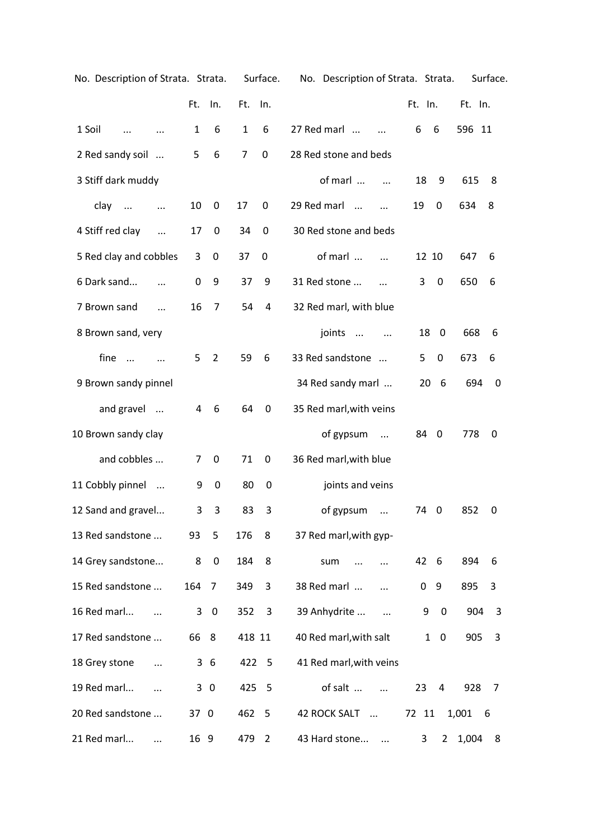| No. Description of Strata. Strata. |              |                         |                | Surface.  | No. Description of Strata. Strata. |              |                         |              | Surface. |
|------------------------------------|--------------|-------------------------|----------------|-----------|------------------------------------|--------------|-------------------------|--------------|----------|
|                                    | Ft.          | In.                     | Ft.            | In.       |                                    | Ft. In.      |                         | Ft. In.      |          |
| 1 Soil<br>$\cdots$                 | $\mathbf{1}$ | 6                       | 1              | 6         | 27 Red marl<br>$\dddotsc$          | 6            | 6                       | 596 11       |          |
| 2 Red sandy soil                   | 5            | 6                       | $\overline{7}$ | $\pmb{0}$ | 28 Red stone and beds              |              |                         |              |          |
| 3 Stiff dark muddy                 |              |                         |                |           | of marl<br>$\cdots$                | 18           | 9                       | 615          | 8        |
| clay<br>$\ddots$<br>$\cdots$       | 10           | 0                       | 17             | 0         | 29 Red marl<br>$\dddotsc$          | 19           | 0                       | 634          | 8        |
| 4 Stiff red clay<br>$\ddotsc$      | 17           | 0                       | 34             | 0         | 30 Red stone and beds              |              |                         |              |          |
| 5 Red clay and cobbles             | 3            | $\mathbf 0$             | 37             | 0         | of marl                            | 12 10        |                         | 647          | 6        |
| 6 Dark sand                        | $\Omega$     | 9                       | 37             | 9         | 31 Red stone                       | 3            | $\mathbf 0$             | 650          | 6        |
| 7 Brown sand                       | 16           | 7                       | 54             | 4         | 32 Red marl, with blue             |              |                         |              |          |
| 8 Brown sand, very                 |              |                         |                |           | joints<br>$\ldots$ $\ldots$        | 18           | $\overline{\mathbf{0}}$ | 668          | 6        |
| fine<br>$\dddotsc$                 | 5            | $\overline{2}$          | 59             | 6         | 33 Red sandstone                   | 5            | $\mathbf 0$             | 673          | 6        |
| 9 Brown sandy pinnel               |              |                         |                |           | 34 Red sandy marl                  | 20           | - 6                     | 694          | 0        |
| and gravel                         | 4            | 6                       | 64             | 0         | 35 Red marl, with veins            |              |                         |              |          |
| 10 Brown sandy clay                |              |                         |                |           | of gypsum<br>$\cdots$              | 84           | $\overline{0}$          | 778          | 0        |
| and cobbles                        | 7            | 0                       | 71             | 0         | 36 Red marl, with blue             |              |                         |              |          |
| 11 Cobbly pinnel                   | 9            | $\boldsymbol{0}$        | 80             | 0         | joints and veins                   |              |                         |              |          |
| 12 Sand and gravel                 | 3            | 3                       | 83             | 3         | of gypsum<br>$\dddotsc$            | 74 0         |                         | 852          | 0        |
| 13 Red sandstone                   | 93           | 5                       | 176            | 8         | 37 Red marl, with gyp-             |              |                         |              |          |
| 14 Grey sandstone                  | 8            | $\mathbf 0$             | 184            | 8         | sum                                | 42           | -6                      | 894          | 6        |
| 15 Red sandstone                   | 164          | 7                       | 349            | 3         | 38 Red marl                        | 0            | 9                       | 895          | 3        |
| 16 Red marl                        | 3            | $\overline{\mathbf{0}}$ | 352            | 3         | 39 Anhydrite                       | 9            | $\pmb{0}$               | 904          | 3        |
| 17 Red sandstone                   | 66 8         |                         | 418 11         |           | 40 Red marl, with salt             | $\mathbf{1}$ | $\mathbf 0$             | 905          | 3        |
| 18 Grey stone<br>$\ddotsc$         |              | 36                      | 422 5          |           | 41 Red marl, with veins            |              |                         |              |          |
| 19 Red marl<br>$\ddotsc$           |              | 30                      | 425 5          |           | of salt<br>$\ddots$                | 23           | 4                       | 928          | 7        |
| 20 Red sandstone                   | 37 0         |                         | 462 5          |           | 42 ROCK SALT                       | 72 11        |                         | 1,001<br>- 6 |          |
| 21 Red marl                        | 16 9         |                         | 479 2          |           | 43 Hard stone                      | 3            | $2^{\circ}$             | 1,004 8      |          |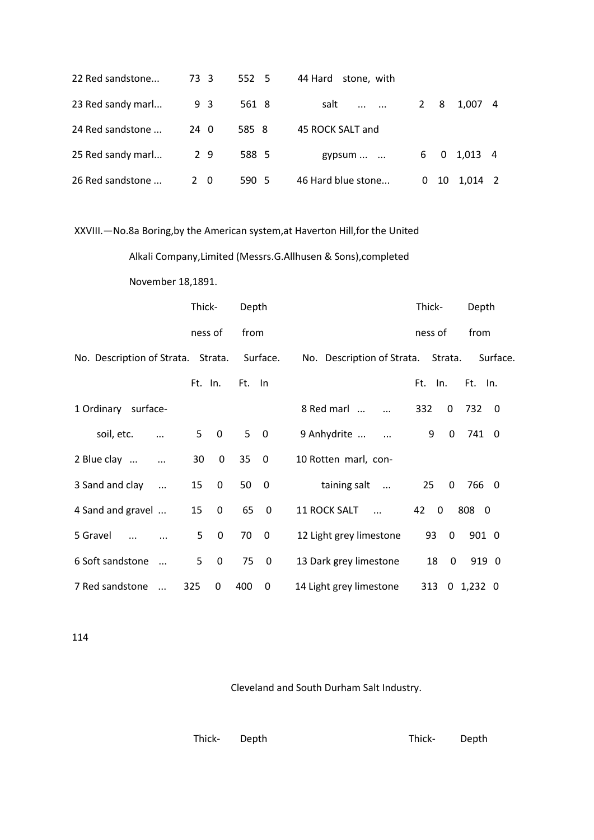| 22 Red sandstone  | 73 3        | 552 5 | 44 Hard stone, with       |             |    |             |                |
|-------------------|-------------|-------|---------------------------|-------------|----|-------------|----------------|
| 23 Red sandy marl | 93          | 561 8 | salt<br>$\cdots$ $\cdots$ | $2 \quad 8$ |    | 1.007 4     |                |
| 24 Red sandstone  | $24 \ 0$    | 585 8 | 45 ROCK SALT and          |             |    |             |                |
| 25 Red sandy marl | 29          | 588 5 | gypsum $\dots$ $\dots$    |             |    | 6 0 1,013 4 |                |
| 26 Red sandstone  | $2 \quad 0$ | 590 5 | 46 Hard blue stone        | 0           | 10 | 1.014       | $\overline{2}$ |

XXVIII.—No.8a Boring,by the American system,at Haverton Hill,for the United

Alkali Company,Limited (Messrs.G.Allhusen & Sons),completed

November 18,1891.

|                                             | Thick-  |                         | Depth  |                         |                                    | Thick-  |              | Depth         |  |
|---------------------------------------------|---------|-------------------------|--------|-------------------------|------------------------------------|---------|--------------|---------------|--|
|                                             | ness of |                         | from   |                         |                                    | ness of |              | from          |  |
| No. Description of Strata. Strata. Surface. |         |                         |        |                         | No. Description of Strata. Strata. |         |              | Surface.      |  |
|                                             | Ft. In. |                         | Ft. In |                         |                                    | Ft. In. |              | Ft. In.       |  |
| 1 Ordinary surface-                         |         |                         |        |                         | 8 Red marl                         | 332     | $\Omega$     | 732 0         |  |
| soil, etc.                                  | 5       | $\overline{\mathbf{0}}$ | 50     |                         | 9 Anhydrite<br>$\ddotsc$           | 9       | $\mathbf 0$  | 741 0         |  |
| 2 Blue clay                                 | 30      | 0                       | 35     | $\overline{\mathbf{0}}$ | 10 Rotten marl, con-               |         |              |               |  |
| 3 Sand and clay<br>$\dddotsc$               | 15      | $\mathbf 0$             | 500    |                         | taining salt                       | 25      | 0            | 766 0         |  |
| 4 Sand and gravel                           | 15      | $\mathbf 0$             | 65     | $\overline{\mathbf{0}}$ | 11 ROCK SALT<br>$\mathbf{u}$       | 42      | $\mathbf{0}$ | 808 0         |  |
| 5 Gravel                                    | 5       | 0                       | 70     | $\overline{\mathbf{0}}$ | 12 Light grey limestone            | 93      | 0            | 901 0         |  |
| 6 Soft sandstone                            | 5       | 0                       | 75     | $\overline{\mathbf{0}}$ | 13 Dark grey limestone             | 18      | $\mathbf 0$  | 919 0         |  |
| 7 Red sandstone<br>$\dddotsc$               | 325     | 0                       | 400    | 0                       | 14 Light grey limestone            |         |              | 313 0 1,232 0 |  |

114

Cleveland and South Durham Salt Industry.

Thick- Depth Thick- Depth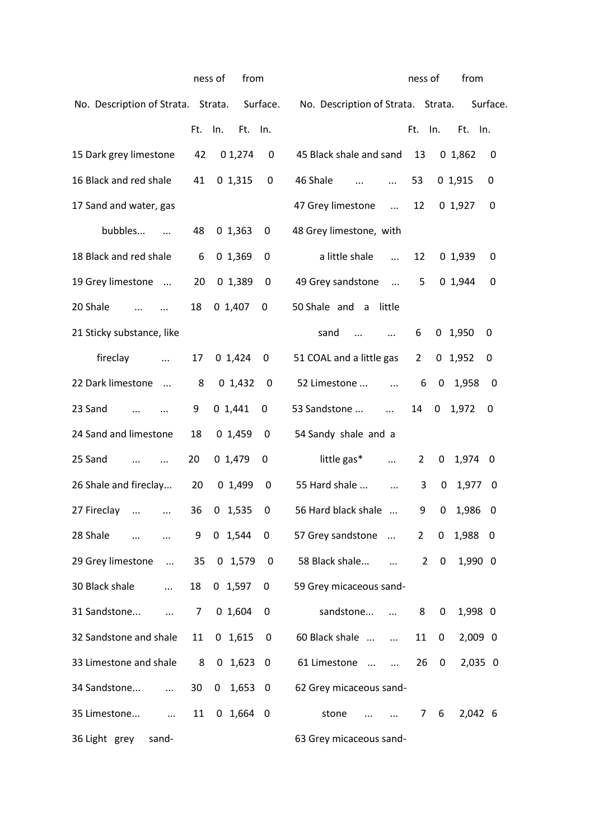|                                             |         | ness of<br>from |                          |                                    | ness of        |             | from           |   |
|---------------------------------------------|---------|-----------------|--------------------------|------------------------------------|----------------|-------------|----------------|---|
| No. Description of Strata. Strata. Surface. |         |                 |                          | No. Description of Strata. Strata. |                |             | Surface.       |   |
|                                             | Ft. In. | Ft. In.         |                          |                                    | Ft. In.        |             | Ft. In.        |   |
| 15 Dark grey limestone                      | 42      | 01,274          | 0                        | 45 Black shale and sand            | 13             |             | 01,862         | 0 |
| 16 Black and red shale                      | 41      | 01,315          | 0                        | 46 Shale<br>$\dddotsc$<br>$\cdots$ | 53             |             | 01,915<br>0    |   |
| 17 Sand and water, gas                      |         |                 |                          | 47 Grey limestone<br>$\mathbf{m}$  | 12             |             | 0, 1, 927<br>0 |   |
| bubbles                                     | 48      | 0, 1, 363       | 0                        | 48 Grey limestone, with            |                |             |                |   |
| 18 Black and red shale                      | 6       | 01,369          | 0                        | a little shale<br>$\dddotsc$       | 12             |             | 0, 1, 939      | 0 |
| 19 Grey limestone                           | 20      | 01,389          | 0                        | 49 Grey sandstone                  | 5 <sub>1</sub> |             | 01,944<br>0    |   |
| 20 Shale                                    | 18      | 0, 1, 407       | 0                        | 50 Shale and a little              |                |             |                |   |
| 21 Sticky substance, like                   |         |                 |                          | sand                               | 6              |             | $0$ 1,950<br>0 |   |
| fireclay<br>$\ddots$                        | 17      | 0,1,424         | 0                        | 51 COAL and a little gas           | $\overline{2}$ |             | $0$ 1,952<br>0 |   |
| 22 Dark limestone                           | 8       | 0 1,432         | 0                        | 52 Limestone                       | 6              | $\mathbf 0$ | 1,958          | 0 |
| 23 Sand<br>$\dddotsc$                       | 9       | 01,441          | 0                        | 53 Sandstone<br>$\cdots$           | 14             |             | $0$ 1,972<br>0 |   |
| 24 Sand and limestone                       | 18      | 0, 1,459        | 0                        | 54 Sandy shale and a               |                |             |                |   |
| 25 Sand                                     | 20      | 0, 1, 479       | 0                        | little gas*<br>$\cdots$            | $\mathbf{2}$   | 0           | 1,974 0        |   |
| 26 Shale and fireclay                       | 20      | 01,499          | 0                        | 55 Hard shale<br>$\ddots$          | 3              | 0           | 1,977 0        |   |
| 27 Fireclay<br>$\cdots$<br>$\ddots$         | 36      | $0$ 1,535       | 0                        | 56 Hard black shale                | 9              | 0           | 1,986          | 0 |
| 28 Shale<br>$\cdots$                        | 9       | $0 \t1,544$     | $\mathbf 0$              | 57 Grey sandstone                  | $2^{\circ}$    | $\mathbf 0$ | 1,988 0        |   |
| 29 Grey limestone  35 0 1,579               |         |                 | $\overline{\phantom{0}}$ | 58 Black shale<br>$\dddotsc$       | $\mathbf{2}$   | $\mathbf 0$ | 1,990 0        |   |
| 30 Black shale<br>$\cdots$                  | 18      | $0$ 1,597       | 0                        | 59 Grey micaceous sand-            |                |             |                |   |
| 31 Sandstone<br>$\ddots$                    | 7       | 0 1,604         | 0                        | sandstone<br>$\cdots$              | 8              | 0           | 1,998 0        |   |
| 32 Sandstone and shale                      | 11      | 0 1,615         | 0                        | 60 Black shale                     | 11             | $\mathbf 0$ | $2,009$ 0      |   |
| 33 Limestone and shale                      | 8       | $0\quad 1,623$  | $\overline{\mathbf{0}}$  | 61 Limestone                       | 26             | 0           | 2,035 0        |   |
| 34 Sandstone<br>$\dddotsc$                  | 30      | $0$ 1,653 0     |                          | 62 Grey micaceous sand-            |                |             |                |   |
| 35 Limestone<br>$\sim 100$ and              | 11      | $0$ 1,664 0     |                          | stone<br>$\sim$ $\sim$             | $7^{\circ}$    | 6           | 2,042 6        |   |
| 36 Light grey<br>sand-                      |         |                 |                          | 63 Grey micaceous sand-            |                |             |                |   |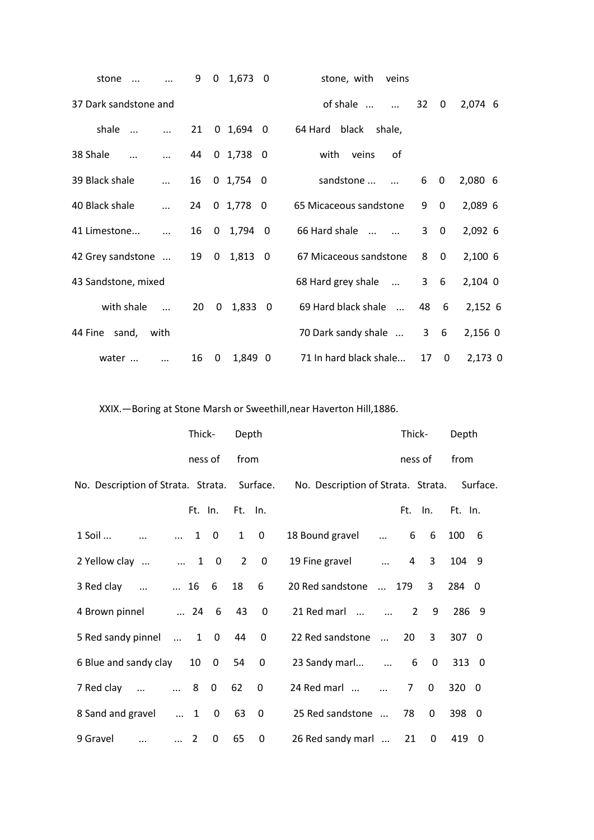| stone                 |            | 9  | $\mathbf{0}$ | 1,673           | - 0                     | stone, with<br>veins       |            |             |           |
|-----------------------|------------|----|--------------|-----------------|-------------------------|----------------------------|------------|-------------|-----------|
| 37 Dark sandstone and |            |    |              |                 |                         | of shale<br>$\sim$ $\sim$  | 32         | 0           | 2,074 6   |
| shale                 |            | 21 |              | 0 1,694 0       |                         | black<br>64 Hard<br>shale, |            |             |           |
| 38 Shale<br>$\ddotsc$ | $\cdots$   | 44 |              | $0\,1.738\,0$   |                         | with<br>veins<br>0f        |            |             |           |
| 39 Black shale        | $\dddotsc$ | 16 |              | $0 \t1.754 \t0$ |                         | sandstone                  | 6          | 0           | $2,080$ 6 |
| 40 Black shale        | $\dddotsc$ | 24 |              | 0, 1,778, 0     |                         | 65 Micaceous sandstone     | 9          | $\mathbf 0$ | 2,089 6   |
| 41 Limestone          | $\cdots$   | 16 |              | $0 \quad 1,794$ | - 0                     | 66 Hard shale              | 3          | 0           | 2,092 6   |
| 42 Grey sandstone     |            | 19 | 0            | 1,813           | $\overline{\mathbf{0}}$ | 67 Micaceous sandstone     | 8          | 0           | 2,100 6   |
| 43 Sandstone, mixed   |            |    |              |                 |                         | 68 Hard grey shale         | $3\quad 6$ |             | $2,104$ 0 |
| with shale            | $\ddotsc$  | 20 | $\mathbf{0}$ | 1,833 0         |                         | 69 Hard black shale        | 48         | $6^{\circ}$ | 2,152 6   |
| 44 Fine<br>sand,      | with       |    |              |                 |                         | 70 Dark sandy shale        |            | $3\quad 6$  | 2,156 0   |
| water                 | $\dddotsc$ | 16 | 0            | 1,849 0         |                         | 71 In hard black shale     | 17         | $\mathbf 0$ | 2,173 0   |

XXIX.—Boring at Stone Marsh or Sweethill,near Haverton Hill,1886.

|                                                | Thick-     |                 | Depth       |                         |                                             | Thick-         |                | Depth       |  |
|------------------------------------------------|------------|-----------------|-------------|-------------------------|---------------------------------------------|----------------|----------------|-------------|--|
|                                                |            | ness of         | from        |                         |                                             | ness of        |                | from        |  |
| No. Description of Strata. Strata. Surface.    |            |                 |             |                         | No. Description of Strata. Strata. Surface. |                |                |             |  |
|                                                |            | Ft. In. Ft. In. |             |                         |                                             |                | Ft. In.        | Ft. In.     |  |
| $\dots$ $\dots$ 1 0<br>1 Soil                  |            |                 | $1 \quad 0$ |                         | 18 Bound gravel                             |                | 6 6            | 100 6       |  |
| 2 Yellow clay   1 0 2 0                        |            |                 |             |                         | 19 Fine gravel                              | $\overline{4}$ | $\overline{3}$ | 104 9       |  |
| 3 Red clay   16 6                              |            |                 | 18          | 6                       | 20 Red sandstone  179                       |                | 3 <sup>7</sup> | 284 0       |  |
| 4 Brown pinnel  24 6                           |            |                 | 43          | $\mathbf{0}$            | 21 Red marl                                 |                | $2 \quad 9$    | 286 9       |  |
| 5 Red sandy pinnel  1 0                        |            |                 | 44          | $\overline{0}$          | 22 Red sandstone                            | <b>20</b>      |                | 3 307 0     |  |
| 6 Blue and sandy clay 10 0 54                  |            |                 |             | 0                       | 23 Sandy marl $\ldots$ 6                    |                |                | $0$ 313 $0$ |  |
| $\ldots$ 8 0 62<br>7 Red clay<br>$\sim$ $\sim$ |            |                 |             | $\mathbf 0$             | 24 Red marl                                 | $7^{\circ}$    | $\Omega$       | 3200        |  |
| 8 Sand and gravel  1 0                         |            |                 | 63          | $\overline{\mathbf{0}}$ | 25 Red sandstone                            | 78             | $\Omega$       | 398 0       |  |
| 9 Gravel<br>$\dddotsc$                         | $\cdots$ 2 | $\mathbf 0$     | 65          | 0                       | 26 Red sandy marl                           | 21             | $\mathbf{0}$   | 419 0       |  |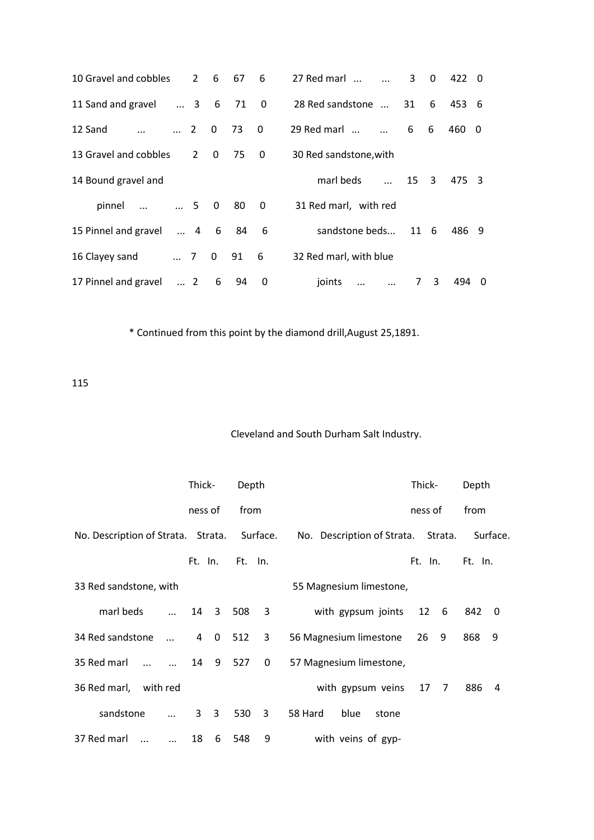| 10 Gravel and cobbles           |            | $2 \quad 6$    |              | 67  | 6                        | 27 Red marl<br>3<br>$\mathbf 0$<br>422 0                       |
|---------------------------------|------------|----------------|--------------|-----|--------------------------|----------------------------------------------------------------|
| 11 Sand and gravel              |            | $\ldots$ 3 6   |              | 71  | $\overline{\phantom{0}}$ | 28 Red sandstone<br>6<br>31<br>453 6                           |
| 12 Sand                         |            | $\ldots$ 2 0   |              | 73  | $\mathbf{0}$             | 29 Red marl<br>6<br>6<br>460 0                                 |
| 13 Gravel and cobbles           |            | $\overline{2}$ | $\mathbf{0}$ | 75  | $\overline{\mathbf{0}}$  | 30 Red sandstone, with                                         |
| 14 Bound gravel and             |            |                |              |     |                          | marl beds<br>15 3<br>475 3<br>$\cdots$                         |
| $\ldots$ $\ldots$ 5 0<br>pinnel |            |                |              | -80 | $\overline{\phantom{0}}$ | 31 Red marl, with red                                          |
| 15 Pinnel and gravel            |            | $\ldots$ 4 6   |              | 84  | - 6                      | sandstone beds<br>11 6<br>486 9                                |
| 16 Clayey sand                  |            |                | $\ldots$ 7 0 | 91  | 6                        | 32 Red marl, with blue                                         |
| 17 Pinnel and gravel            | $\cdots$ 2 |                | 6            | 94  | 0                        | 3<br>joints<br>494<br>$7^{\circ}$<br>0<br>$\cdots$<br>$\cdots$ |

\* Continued from this point by the diamond drill,August 25,1891.

115

# Cleveland and South Durham Salt Industry.

|                                             |               | Thick-      |   | Depth           |                         |                                    | Thick- |         | Depth   |          |
|---------------------------------------------|---------------|-------------|---|-----------------|-------------------------|------------------------------------|--------|---------|---------|----------|
|                                             |               | ness of     |   | from            |                         |                                    |        | ness of | from    |          |
| No. Description of Strata. Strata. Surface. |               |             |   |                 |                         | No. Description of Strata. Strata. |        |         |         | Surface. |
|                                             |               |             |   | Ft. In. Ft. In. |                         |                                    |        | Ft. In. | Ft. In. |          |
| 33 Red sandstone, with                      |               |             |   |                 |                         | 55 Magnesium limestone,            |        |         |         |          |
| marl beds                                   | $\dddotsc$    |             |   | 14 3 508        | $\overline{\mathbf{3}}$ | with gypsum joints 12 6            |        |         | 842 0   |          |
| 34 Red sandstone                            |               |             |   | 4 0 512         | 3                       | 56 Magnesium limestone 26 9        |        |         | 868     | 9        |
| 35 Red marl<br>$\mathbf{r}$                 | $\sim$ $\sim$ |             |   | 14 9 527        | $\mathbf 0$             | 57 Magnesium limestone,            |        |         |         |          |
| 36 Red marl, with red                       |               |             |   |                 |                         | with gypsum veins 17 7             |        |         | 886     | 4        |
| sandstone                                   |               | $3 \quad 3$ |   | 530 3           |                         | 58 Hard<br>blue<br>stone           |        |         |         |          |
| 37 Red marl<br>$\dddotsc$                   | $\ddotsc$     | 18          | 6 | 548             | 9                       | with veins of gyp-                 |        |         |         |          |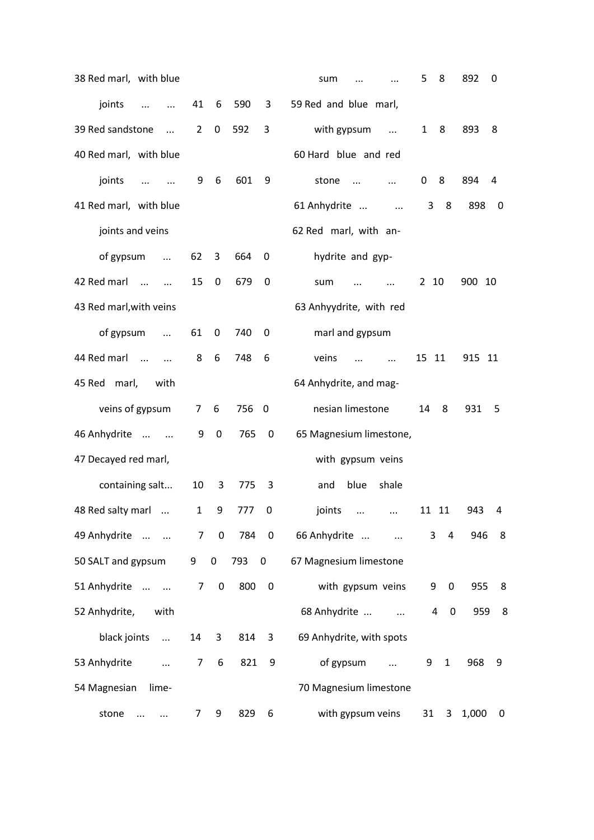| 38 Red marl, with blue                |                |                         |       |                         | sum                              | 5            | 8                             | 892    | 0           |
|---------------------------------------|----------------|-------------------------|-------|-------------------------|----------------------------------|--------------|-------------------------------|--------|-------------|
| joints<br>$\ddotsc$<br>$\cdots$       | 41             | 6                       | 590   | 3                       | 59 Red and blue marl,            |              |                               |        |             |
| 39 Red sandstone<br>$\dddotsc$        | $\overline{2}$ | 0                       | 592   | 3                       | with gypsum<br>$\ddotsc$         | $\mathbf{1}$ | 8                             | 893    | 8           |
| 40 Red marl, with blue                |                |                         |       |                         | 60 Hard blue and red             |              |                               |        |             |
| joints<br>$\cdots$                    | 9              | 6                       | 601   | 9                       | stone<br>$\cdots$                | $\mathbf 0$  | 8                             | 894    | 4           |
| 41 Red marl, with blue                |                |                         |       |                         | 61 Anhydrite<br>$\ddotsc$        | 3            | 8                             | 898    | 0           |
| joints and veins                      |                |                         |       |                         | 62 Red marl, with an-            |              |                               |        |             |
| of gypsum<br>$\ddots$                 | 62             | 3                       | 664   | 0                       | hydrite and gyp-                 |              |                               |        |             |
| 42 Red marl<br>$\cdots$<br>$\dddotsc$ | 15             | 0                       | 679   | 0                       | sum                              | 2 10         |                               | 900 10 |             |
| 43 Red marl, with veins               |                |                         |       |                         | 63 Anhyydrite, with red          |              |                               |        |             |
| of gypsum<br>$\ddots$                 | 61             | 0                       | 740   | 0                       | marl and gypsum                  |              |                               |        |             |
| 44 Red marl<br>$\sim$<br>$\cdots$     | 8              | 6                       | 748   | 6                       | veins<br>$\cdots$<br>$\ddotsc$   | 15 11        |                               | 915 11 |             |
| 45 Red marl,<br>with                  |                |                         |       |                         | 64 Anhydrite, and mag-           |              |                               |        |             |
| veins of gypsum                       | 7 <sup>7</sup> | 6                       | 756   | $\overline{\mathbf{0}}$ | nesian limestone                 | 14           | 8                             | 931    | 5           |
| 46 Anhydrite<br>$\sim$ $\sim$         | 9              | 0                       | 765   | $\boldsymbol{0}$        | 65 Magnesium limestone,          |              |                               |        |             |
| 47 Decayed red marl,                  |                |                         |       |                         | with gypsum veins                |              |                               |        |             |
| containing salt                       | 10             | 3                       | 775   | 3                       | blue<br>shale<br>and             |              |                               |        |             |
| 48 Red salty marl<br>$\dddotsc$       | $\mathbf{1}$   | 9                       | 777   | 0                       | joints<br>$\dddotsc$<br>$\cdots$ |              | 11 11                         | 943    | 4           |
| 49 Anhydrite                          | 7              | $\overline{\mathbf{0}}$ | 784   | $\overline{\mathbf{0}}$ | 66 Anhydrite                     | 3            | 4                             | 946    | 8           |
| 50 SALT and gypsum                    | 9              | $\mathbf 0$             | 793 0 |                         | 67 Magnesium limestone           |              |                               |        |             |
| 51 Anhydrite                          | 7              | $\boldsymbol{0}$        | 800   | $\overline{\mathbf{0}}$ | with gypsum veins                | 9            | 0                             | 955    | 8           |
| 52 Anhydrite,<br>with                 |                |                         |       |                         | 68 Anhydrite                     |              | $\mathbf 0$<br>$\overline{4}$ | 959    | 8           |
| black joints<br>$\ddots$              | 14             | 3                       | 814   | 3                       | 69 Anhydrite, with spots         |              |                               |        |             |
| 53 Anhydrite<br>$\cdots$              | $\overline{7}$ | 6                       | 821   | 9                       | of gypsum<br>$\cdots$            | 9            | $\mathbf{1}$                  | 968    | 9           |
| 54 Magnesian<br>lime-                 |                |                         |       |                         | 70 Magnesium limestone           |              |                               |        |             |
| stone                                 | 7              | 9                       | 829   | 6                       | with gypsum veins                | 31           | 3                             | 1,000  | $\mathbf 0$ |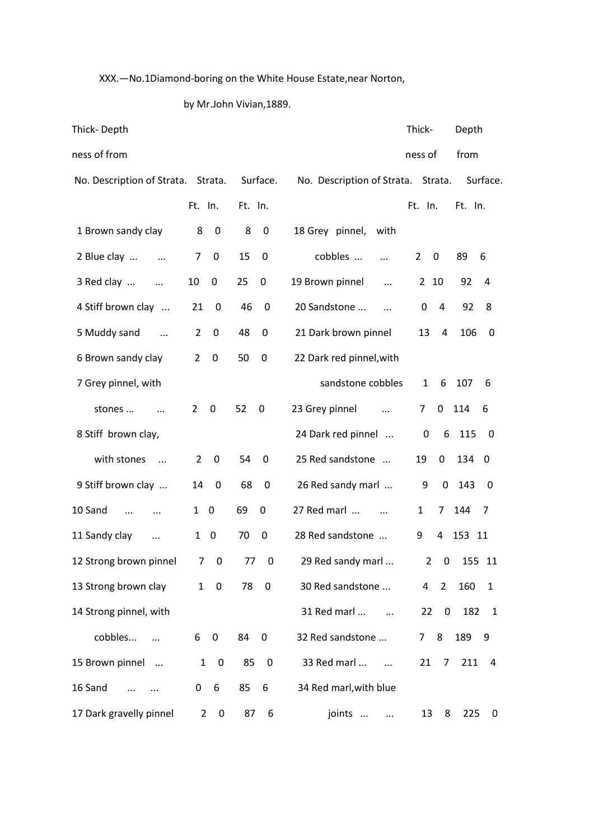XXX.—No.1Diamond-boring on the White House Estate,near Norton,

# by Mr.John Vivian,1889.

| Thick-Depth                |                                 |                                |                                    | Thick-                 | Depth                           |
|----------------------------|---------------------------------|--------------------------------|------------------------------------|------------------------|---------------------------------|
| ness of from               |                                 |                                |                                    | ness of                | from                            |
| No. Description of Strata. | Strata.                         | Surface.                       | No. Description of Strata. Strata. |                        | Surface.                        |
|                            | Ft. In.                         | Ft. In.                        |                                    | Ft. In.                | Ft. In.                         |
| 1 Brown sandy clay         | 8<br>0                          | 8<br>$\pmb{0}$                 | 18 Grey pinnel,<br>with            |                        |                                 |
| 2 Blue clay                | 7<br>$\mathbf 0$                | 15<br>0                        | cobbles<br>$\cdots$                | $\overline{2}$<br>0    | 89<br>6                         |
| 3 Red clay<br>$\ddotsc$    | 0<br>10                         | 25<br>$\mathbf 0$              | 19 Brown pinnel<br>$\ddotsc$       | 10<br>$\overline{2}$   | 92<br>4                         |
| 4 Stiff brown clay         | 21<br>0                         | 46<br>0                        | 20 Sandstone<br>$\cdots$           | 4<br>0                 | 92<br>8                         |
| 5 Muddy sand<br>$\sim$     | 0<br>2                          | 48<br>0                        | 21 Dark brown pinnel               | 13<br>4                | 106<br>0                        |
| 6 Brown sandy clay         | 2<br>$\Omega$                   | 50<br>0                        | 22 Dark red pinnel, with           |                        |                                 |
| 7 Grey pinnel, with        |                                 |                                | sandstone cobbles                  | 6<br>$\mathbf{1}$      | 107<br>6                        |
| stones                     | $\overline{2}$<br>0             | 52<br>$\boldsymbol{0}$         | 23 Grey pinnel                     | 0<br>7                 | 114<br>6                        |
| 8 Stiff brown clay,        |                                 |                                | 24 Dark red pinnel                 | $\mathbf 0$<br>6       | 115<br>0                        |
| with stones<br>$\cdots$    | 2<br>0                          | 54<br>0                        | 25 Red sandstone                   | 19<br>0                | 134<br>- 0                      |
| 9 Stiff brown clay         | 14<br>$\mathbf 0$               | 68<br>$\boldsymbol{0}$         | 26 Red sandy marl                  | 0<br>9                 | 143<br>0                        |
| 10 Sand<br>$\dddotsc$      | $\boldsymbol{0}$<br>1           | 69<br>0                        | 27 Red marl<br>$\cdots$            | $\mathbf{1}$<br>7      | 144<br>7                        |
| 11 Sandy clay<br>$\ddotsc$ | 1<br>0                          | 70<br>0                        | 28 Red sandstone                   | 9<br>4                 | 153<br>11                       |
| 12 Strong brown pinnel     | 7<br>$\mathbf 0$                | 77<br>0                        | 29 Red sandy marl                  | $\overline{2}$<br>0    | 155 11                          |
| 13 Strong brown clay       | $1 \quad 0$                     | 78<br>$\mathbf 0$              | 30 Red sandstone                   | $4\quad 2$             | 160<br>$\mathbf{1}$             |
| 14 Strong pinnel, with     |                                 |                                | 31 Red marl<br>$\ddotsc$           | 22<br>$\boldsymbol{0}$ | 182<br>$\overline{\phantom{a}}$ |
| cobbles                    | 6<br>$\pmb{0}$                  | 84<br>$\pmb{0}$                | 32 Red sandstone                   | 8<br>7 <sup>7</sup>    | 189<br>9                        |
| 15 Brown pinnel            | $1 \quad 0$                     | 85<br>$\overline{\phantom{0}}$ | 33 Red marl                        | $21 \quad 7$           | 211 4                           |
| 16 Sand                    | 6<br>$\mathbf{0}$               | 85<br>6                        | 34 Red marl, with blue             |                        |                                 |
| 17 Dark gravelly pinnel    | $2^{\circ}$<br>$\boldsymbol{0}$ | 87<br>6                        | joints<br>$\cdots$                 | 13<br>8                | 225<br>0                        |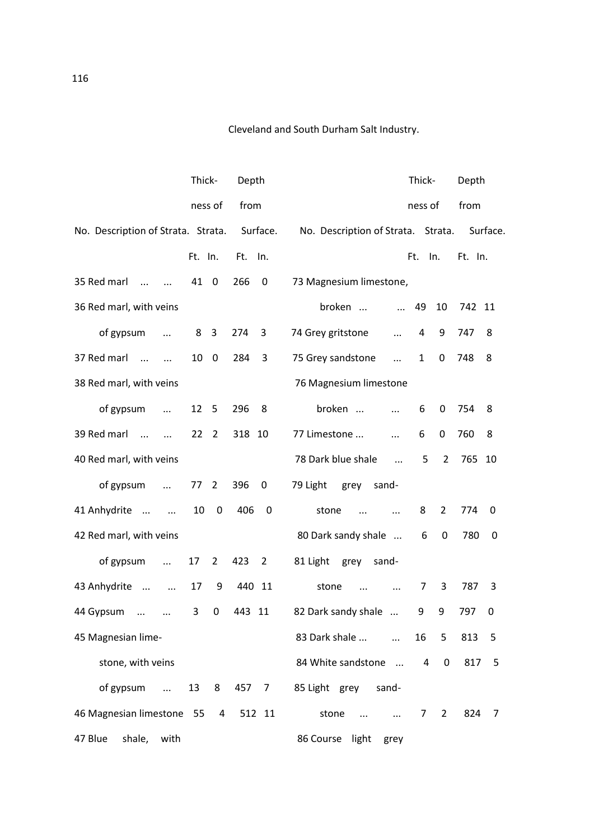Cleveland and South Durham Salt Industry.

|                                                       | Thick-               | Depth              | Thick-<br>Depth                                                            |
|-------------------------------------------------------|----------------------|--------------------|----------------------------------------------------------------------------|
|                                                       | ness of              | from               | from<br>ness of                                                            |
| No. Description of Strata. Strata.                    |                      | Surface.           | No. Description of Strata. Strata.<br>Surface.                             |
|                                                       | Ft. In.              | Ft. In.            | Ft.<br>In.<br>Ft. In.                                                      |
| 35 Red marl<br>$\cdots$<br>$\cdots$                   | 41 0                 | 266<br>0           | 73 Magnesium limestone,                                                    |
| 36 Red marl, with veins                               |                      |                    | broken<br>49<br>10<br>742 11<br>$\cdots$                                   |
| of gypsum<br>$\ldots$                                 | 8 <sup>3</sup>       | 274<br>3           | 74 Grey gritstone<br>4<br>9<br>747<br>8<br>$\ddotsc$                       |
| 37 Red marl<br>$\dddotsc$<br>$\overline{\phantom{a}}$ | 10<br>0              | 284<br>3           | 748<br>8<br>75 Grey sandstone<br>$\mathbf{1}$<br>0<br>$\dddotsc$           |
| 38 Red marl, with veins                               |                      |                    | 76 Magnesium limestone                                                     |
| of gypsum<br>$\ddotsc$                                | 12 5                 | 296<br>8           | broken<br>754<br>6<br>0<br>8<br>$\cdots$                                   |
| 39 Red marl<br>$\sim$ $\sim$<br>$\dddotsc$            | 22 <sub>2</sub>      | 318 10             | 77 Limestone<br>6<br>0<br>760<br>8<br>$\dddotsc$                           |
| 40 Red marl, with veins                               |                      |                    | 78 Dark blue shale<br>5<br>$\overline{2}$<br>765 10<br>$\dddotsc$          |
| of gypsum<br>$\sim$ $\sim$                            | 77 <sub>2</sub>      | 396<br>0           | 79 Light<br>grey<br>sand-                                                  |
| 41 Anhydrite<br>$\cdots$                              | $\pmb{0}$<br>10      | 406<br>$\mathbf 0$ | 8<br>$\overline{2}$<br>774<br>stone<br>0<br>$\cdots$<br>$\ddotsc$          |
| 42 Red marl, with veins                               |                      |                    | 80 Dark sandy shale<br>0<br>780<br>6<br>0                                  |
| of gypsum<br>$\ddots$                                 | 17<br>$\overline{2}$ | 423<br>2           | 81 Light<br>grey<br>sand-                                                  |
| 43 Anhydrite<br>$\ddotsc$                             | 9<br>17              | 440 11             | 3<br>7<br>787<br>3<br>stone<br>$\dddotsc$<br>$\dddotsc$                    |
| 44 Gypsum<br>$\ldots$<br>$\cdots$                     | 3<br>0               | 443 11             | 82 Dark sandy shale<br>9<br>9<br>797<br>0                                  |
| 45 Magnesian lime-                                    |                      |                    | 83 Dark shale<br>16<br>813<br>5<br>5                                       |
| stone, with veins                                     |                      |                    | 84 White sandstone<br>817<br>4<br>$\overline{0}$<br>5                      |
| of gypsum                                             | 13                   | 8 457 7            | 85 Light grey sand-                                                        |
| 46 Magnesian limestone 55 4 512 11                    |                      |                    | stone<br>824 7<br>$\overline{7}$<br>$\overline{2}$<br>$\cdots$<br>$\cdots$ |
| 47 Blue<br>shale, with                                |                      |                    | 86 Course light grey                                                       |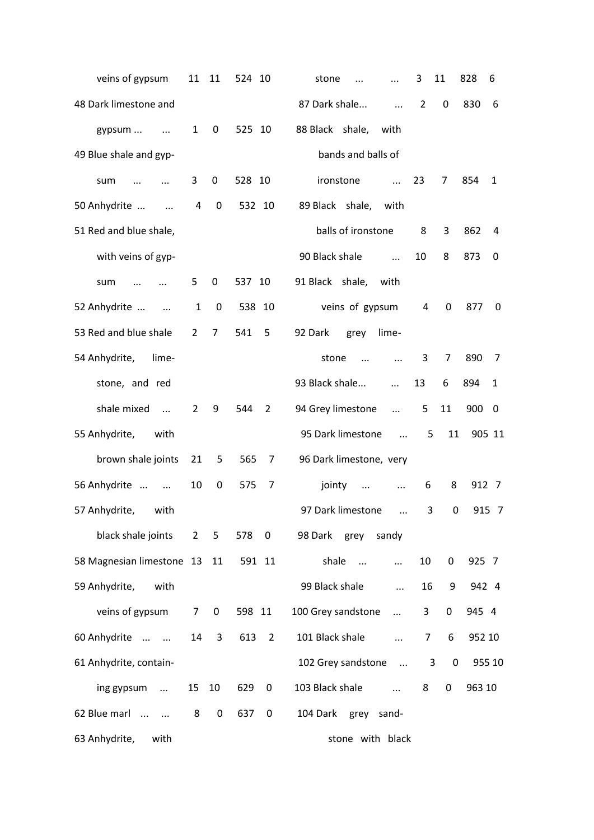| veins of gypsum                     | 11              | 11             | 524 10 |                | 828<br>3<br>11<br>stone<br>6<br>$\ddotsc$                                    |
|-------------------------------------|-----------------|----------------|--------|----------------|------------------------------------------------------------------------------|
| 48 Dark limestone and               |                 |                |        |                | $\overline{2}$<br>830<br>87 Dark shale<br>0<br>6<br>$\ddots$                 |
| gypsum                              | $\mathbf{1}$    | 0              | 525 10 |                | 88 Black shale,<br>with                                                      |
| 49 Blue shale and gyp-              |                 |                |        |                | bands and balls of                                                           |
| sum<br>$\ddotsc$                    | 3               | 0              | 528 10 |                | 23<br>ironstone<br>7<br>854<br>1<br>$\ddotsc$                                |
| 50 Anhydrite<br>$\dddotsc$          | 4               | 0              | 532 10 |                | 89 Black shale,<br>with                                                      |
| 51 Red and blue shale,              |                 |                |        |                | balls of ironstone<br>3<br>8<br>862<br>4                                     |
| with veins of gyp-                  |                 |                |        |                | 8<br>90 Black shale<br>10<br>873<br>0<br>$\dddotsc$                          |
| sum                                 | 5.              | 0              | 537 10 |                | 91 Black shale, with                                                         |
| 52 Anhydrite<br>$\sim$ $\sim$       | $\mathbf{1}$    | 0              | 538 10 |                | veins of gypsum<br>4<br>0<br>877<br>0                                        |
| 53 Red and blue shale               | $\overline{2}$  | $\overline{7}$ | 541    | 5              | 92 Dark<br>lime-<br>grey                                                     |
| 54 Anhydrite,<br>lime-              |                 |                |        |                | stone<br>3<br>7<br>890<br>7<br>$\cdots$<br>$\ddotsc$                         |
| stone, and red                      |                 |                |        |                | 93 Black shale<br>13<br>6<br>894<br>$\mathbf{1}$<br>$\cdots$                 |
| shale mixed<br>$\cdots$             | $\overline{2}$  | 9              | 544    | 2              | 94 Grey limestone<br>11<br>5<br>900<br>0<br>$\ddots$                         |
| 55 Anhydrite, with                  |                 |                |        |                | 95 Dark limestone<br>11<br>5<br>905 11<br>$\dddotsc$                         |
| brown shale joints                  | 21              | 5              | 565    | $\overline{7}$ | 96 Dark limestone, very                                                      |
| 56 Anhydrite                        | 10              | 0              | 575    | 7              | 8<br>912 7<br>jointy<br>6<br>$\cdots$<br>$\cdots$                            |
| 57 Anhydrite,<br>with               |                 |                |        |                | 97 Dark limestone<br>3<br>0<br>915 7<br>$\dddotsc$                           |
| black shale joints 2 5              |                 |                | 578 0  |                | 98 Dark grey sandy                                                           |
| 58 Magnesian limestone 13 11 591 11 |                 |                |        |                | shale<br>10<br>0<br>925 7<br>$\mathbf{u}$<br>$\cdots$                        |
| 59 Anhydrite,<br>with               |                 |                |        |                | 99 Black shale<br>942 4<br>16<br>9<br>$\cdots$                               |
| veins of gypsum                     |                 | $7\quad 0$     | 598 11 |                | 100 Grey sandstone<br>3<br>0<br>945 4<br>$\cdots$                            |
| 60 Anhydrite                        | 14              | 3              | 613    | $\overline{2}$ | 101 Black shale<br>$\overline{7}$<br>6<br>952 10<br>$\cdots$                 |
| 61 Anhydrite, contain-              |                 |                |        |                | 102 Grey sandstone<br>$\mathbf 0$<br>3<br>955 10<br>$\mathbf{m}$             |
| ing gypsum                          | 15 <sub>1</sub> | 10             | 629    | $\mathbf 0$    | 103 Black shale<br>963 10<br>8<br>0<br>$\mathbf{r}$ . The state $\mathbf{r}$ |
| 62 Blue marl                        | 8               | $\pmb{0}$      | 637    | $\mathbf 0$    | 104 Dark<br>grey sand-                                                       |
| 63 Anhydrite,<br>with               |                 |                |        |                | stone with black                                                             |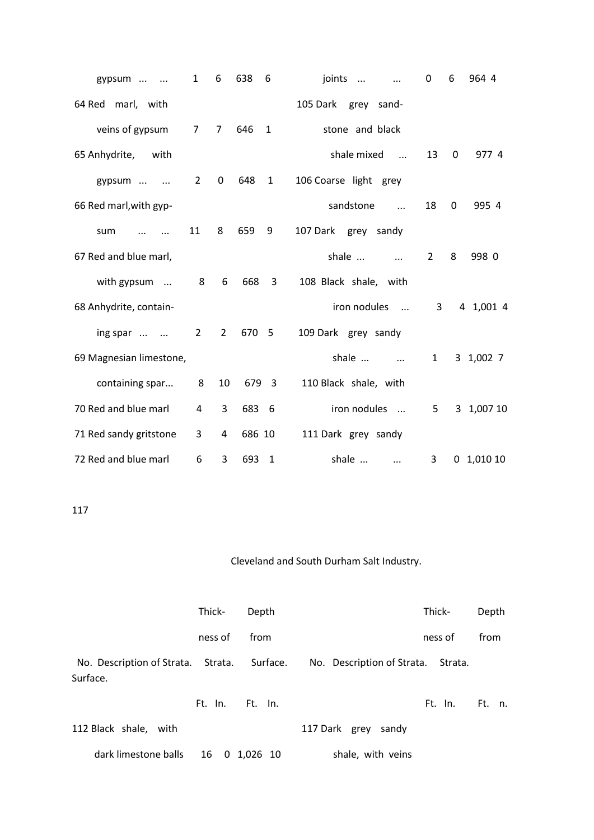| gypsum<br>$\sim$ $\sim$ | $\mathbf{1}$   | 6              | 638    | 6                       | joints<br>$\cdots$<br>$\ldots$ | 0              | 6        | 964 4        |
|-------------------------|----------------|----------------|--------|-------------------------|--------------------------------|----------------|----------|--------------|
| 64 Red marl, with       |                |                |        |                         | 105 Dark grey sand-            |                |          |              |
| veins of gypsum         | $\overline{7}$ | $\overline{7}$ | 646    | $\mathbf{1}$            | stone and black                |                |          |              |
| 65 Anhydrite,<br>with   |                |                |        |                         | shale mixed                    | 13             | $\Omega$ | 977 4        |
| gypsum<br>$\cdots$      | $\overline{2}$ | $\mathbf 0$    | 648    | $\mathbf{1}$            | 106 Coarse light grey          |                |          |              |
| 66 Red marl, with gyp-  |                |                |        |                         | sandstone<br>$\ddotsc$         | 18             | 0        | 995 4        |
| sum<br>$\cdots$         | 11             | 8              | 659    | 9                       | 107 Dark grey sandy            |                |          |              |
| 67 Red and blue marl,   |                |                |        |                         | shale<br>$\ddotsc$             | $\overline{2}$ | 8        | 998 0        |
| with gypsum             | 8              | 6              | 668    | $\overline{\mathbf{3}}$ | 108 Black shale, with          |                |          |              |
| 68 Anhydrite, contain-  |                |                |        |                         | iron nodules<br>$\cdots$       | 3              |          | 4 1,001 4    |
| ing spar                | $2^{\circ}$    | $\overline{2}$ | 670 5  |                         | 109 Dark grey sandy            |                |          |              |
| 69 Magnesian limestone, |                |                |        |                         | shale<br>$\dddotsc$            | $\mathbf{1}$   |          | 3 1,002 7    |
| containing spar         | 8              | 10             |        | 679 3                   | 110 Black shale, with          |                |          |              |
| 70 Red and blue marl    | 4              | 3              | 683    | - 6                     | iron nodules                   | 5              |          | 3 1,007 10   |
| 71 Red sandy gritstone  | 3              | 4              | 686 10 |                         | 111 Dark grey sandy            |                |          |              |
| 72 Red and blue marl    | 6              | 3              | 693    | 1                       | shale<br>$\ddotsc$             | 3              |          | $0$ 1,010 10 |

# 117

# Cleveland and South Durham Salt Industry.

|                                                         | Thick-  | Depth           |                                    | Thick-  | Depth  |
|---------------------------------------------------------|---------|-----------------|------------------------------------|---------|--------|
|                                                         | ness of | from            |                                    | ness of | from   |
| No. Description of Strata. Strata. Surface.<br>Surface. |         |                 | No. Description of Strata. Strata. |         |        |
|                                                         |         | Ft. In. Ft. In. |                                    | Ft. In. | Ft. n. |
| 112 Black shale, with                                   |         |                 | 117 Dark grey sandy                |         |        |
| dark limestone balls                                    | 16      | 0 1.026 10      | shale, with veins                  |         |        |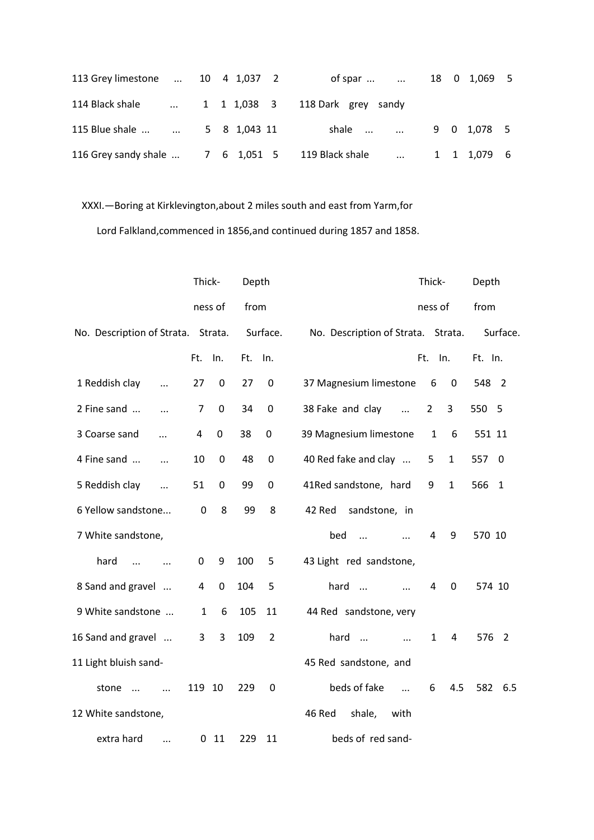| 113 Grey limestone  10 4 1,037 2 |  |  | of spar                 18     0   1,069     5                 |  |  |
|----------------------------------|--|--|----------------------------------------------------------------|--|--|
|                                  |  |  | 114 Black shale  1 1 1,038 3 118 Dark grey sandy               |  |  |
|                                  |  |  |                                                                |  |  |
|                                  |  |  | 116 Grey sandy shale  7 6 1,051 5 119 Black shale  1 1 1,079 6 |  |  |

# XXXI.—Boring at Kirklevington,about 2 miles south and east from Yarm,for

Lord Falkland,commenced in 1856,and continued during 1857 and 1858.

|                                    | Thick-       |             | Depth |                | Depth<br>Thick-                                                   |  |
|------------------------------------|--------------|-------------|-------|----------------|-------------------------------------------------------------------|--|
|                                    |              | ness of     | from  |                | from<br>ness of                                                   |  |
| No. Description of Strata. Strata. |              |             |       | Surface.       | No. Description of Strata. Strata.<br>Surface.                    |  |
|                                    | Ft.          | In.         | Ft.   | In.            | Ft.<br>In.<br>Ft. In.                                             |  |
| 1 Reddish clay<br>$\ddotsc$        | 27           | 0           | 27    | $\mathbf 0$    | 37 Magnesium limestone<br>6<br>$\mathbf 0$<br>548<br>- 2          |  |
| 2 Fine sand<br>$\ddotsc$           | 7            | 0           | 34    | $\mathbf 0$    | 38 Fake and clay<br>$\overline{2}$<br>3<br>550<br>-5<br>$\cdots$  |  |
| 3 Coarse sand<br>$\ddotsc$         | 4            | $\mathbf 0$ | 38    | 0              | 39 Magnesium limestone<br>6<br>551 11<br>1                        |  |
| 4 Fine sand<br>$\dddotsc$          | 10           | $\mathbf 0$ | 48    | $\mathbf 0$    | 40 Red fake and clay<br>$\mathbf{1}$<br>557<br>5<br>0             |  |
| 5 Reddish clay<br>$\ddotsc$        | 51           | 0           | 99    | $\mathbf 0$    | 41Red sandstone, hard<br>$\mathbf{1}$<br>566<br>9<br>$\mathbf{1}$ |  |
| 6 Yellow sandstone                 | 0            | 8           | 99    | 8              | 42 Red<br>sandstone, in                                           |  |
| 7 White sandstone,                 |              |             |       |                | bed<br>570 10<br>4<br>9<br>$\ddotsc$<br>$\cdots$                  |  |
| hard<br>$\ddotsc$<br>$\ddotsc$     | 0            | 9           | 100   | 5              | 43 Light red sandstone,                                           |  |
| 8 Sand and gravel                  | 4            | 0           | 104   | 5              | hard<br>0<br>4<br>574 10<br>$\cdots$<br>$\ddotsc$                 |  |
| 9 White sandstone                  | $\mathbf{1}$ | 6           | 105   | 11             | 44 Red sandstone, very                                            |  |
| 16 Sand and gravel                 | 3            | 3           | 109   | $\overline{2}$ | hard<br>$\mathbf{1}$<br>4<br>576 2<br>$\sim$ $\sim$<br>$\dddotsc$ |  |
| 11 Light bluish sand-              |              |             |       |                | 45 Red sandstone, and                                             |  |
| stone<br>$\cdots$<br>$\dddotsc$    | 119          | 10          | 229   | $\mathbf 0$    | beds of fake<br>4.5<br>582<br>6<br>6.5<br>$\dddotsc$              |  |
| 12 White sandstone,                |              |             |       |                | 46 Red<br>shale,<br>with                                          |  |
| extra hard<br>$\dddotsc$           | 0            | 11          | 229   | 11             | beds of red sand-                                                 |  |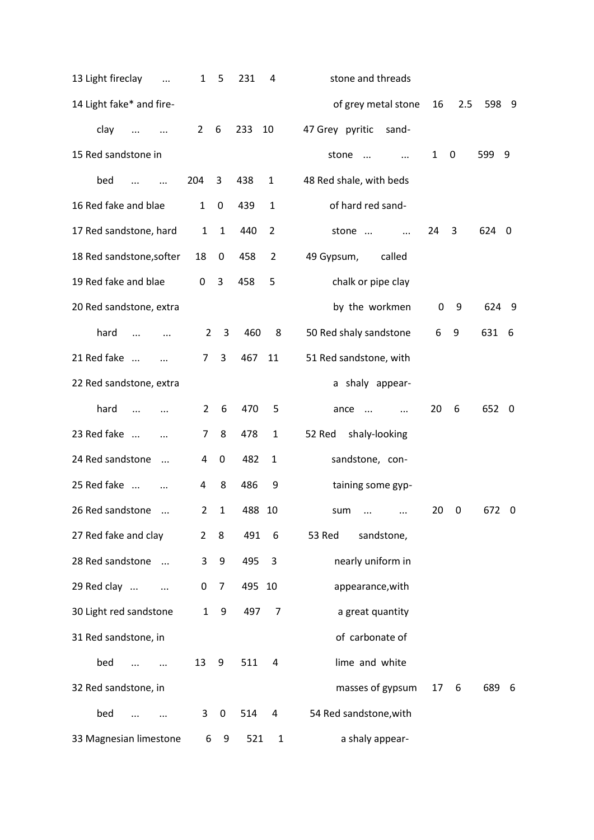| 13 Light fireclay<br>$\cdots$  | 1              | 5              | 231    | 4              | stone and threads             |    |             |       |     |
|--------------------------------|----------------|----------------|--------|----------------|-------------------------------|----|-------------|-------|-----|
| 14 Light fake* and fire-       |                |                |        |                | of grey metal stone           | 16 | 2.5         | 598 9 |     |
| clay<br>$\ddotsc$              | $\overline{2}$ | 6              | 233    | 10             | 47 Grey pyritic<br>sand-      |    |             |       |     |
| 15 Red sandstone in            |                |                |        |                | stone<br>$\cdots$<br>$\cdots$ | 1  | $\mathbf 0$ | 599   | 9   |
| bed<br>$\cdots$<br>$\ldots$    | 204            | 3              | 438    | $\mathbf{1}$   | 48 Red shale, with beds       |    |             |       |     |
| 16 Red fake and blae           | $\mathbf{1}$   | 0              | 439    | $\mathbf{1}$   | of hard red sand-             |    |             |       |     |
| 17 Red sandstone, hard         | $\mathbf{1}$   | $\mathbf{1}$   | 440    | 2              | stone<br>$\cdots$             | 24 | 3           | 624   | - 0 |
| 18 Red sandstone, softer       | 18             | 0              | 458    | $\overline{2}$ | 49 Gypsum,<br>called          |    |             |       |     |
| 19 Red fake and blae           | 0              | 3              | 458    | 5              | chalk or pipe clay            |    |             |       |     |
| 20 Red sandstone, extra        |                |                |        |                | by the workmen                | 0  | 9           | 624 9 |     |
| hard<br>$\cdots$<br>$\cdots$   | $\overline{2}$ | 3              | 460    | 8              | 50 Red shaly sandstone        | 6  | 9           | 631   | - 6 |
| 21 Red fake                    | 7              | 3              | 467    | 11             | 51 Red sandstone, with        |    |             |       |     |
| 22 Red sandstone, extra        |                |                |        |                | a shaly appear-               |    |             |       |     |
| hard                           | $\overline{2}$ | 6              | 470    | 5              | ance<br>$\ddots$<br>$\ddotsc$ | 20 | 6           | 652 0 |     |
| 23 Red fake<br>$\cdots$        | 7              | 8              | 478    | 1              | 52 Red<br>shaly-looking       |    |             |       |     |
| 24 Red sandstone<br>$\dddotsc$ | 4              | $\pmb{0}$      | 482    | 1              | sandstone, con-               |    |             |       |     |
| 25 Red fake                    | 4              | 8              | 486    | 9              | taining some gyp-             |    |             |       |     |
| 26 Red sandstone               | 2              | $\mathbf{1}$   | 488    | 10             | sum<br>$\cdots$<br>           | 20 | 0           | 672   | - 0 |
| 27 Red fake and clay           | $\overline{2}$ | 8              | 491    | 6              | 53 Red<br>sandstone,          |    |             |       |     |
| 28 Red sandstone               | 3              | 9              | 495    | 3              | nearly uniform in             |    |             |       |     |
| 29 Red clay                    | 0              | $\overline{7}$ | 495 10 |                | appearance, with              |    |             |       |     |
| 30 Light red sandstone         | $\mathbf{1}$   | 9              | 497    | $\overline{7}$ | a great quantity              |    |             |       |     |
| 31 Red sandstone, in           |                |                |        |                | of carbonate of               |    |             |       |     |
| bed                            | 13             | 9              | 511    | 4              | lime and white                |    |             |       |     |
| 32 Red sandstone, in           |                |                |        |                | masses of gypsum              | 17 | 6           | 689   | - 6 |
| bed                            | 3              | $\pmb{0}$      | 514    | 4              | 54 Red sandstone, with        |    |             |       |     |
| 33 Magnesian limestone         | 6              | 9              | 521    | $\mathbf{1}$   | a shaly appear-               |    |             |       |     |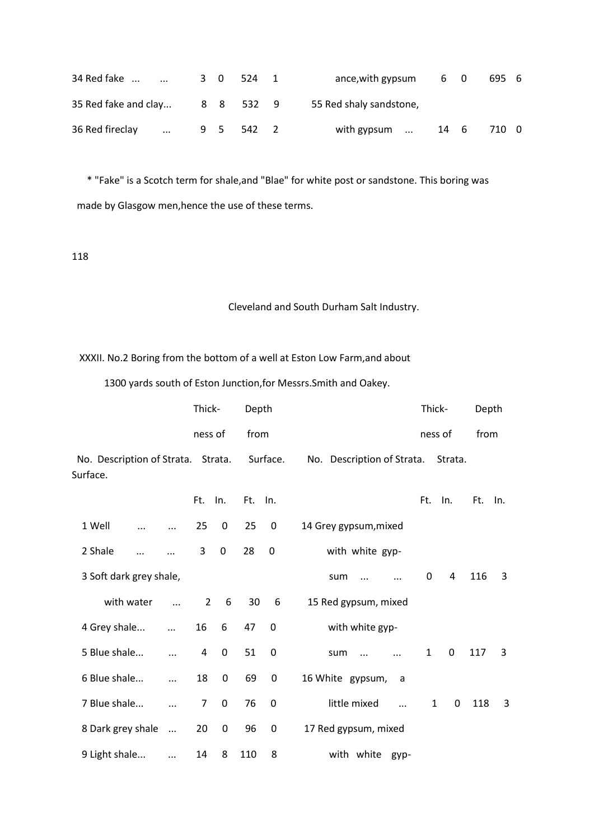| 34 Red fake          | $\cdots$ | 3 0 |     | 524       | ance, with gypsum       | 60   | 695 6 |  |
|----------------------|----------|-----|-----|-----------|-------------------------|------|-------|--|
| 35 Red fake and clay |          |     |     | 8 8 532 9 | 55 Red shaly sandstone, |      |       |  |
| 36 Red fireclay      | $\cdots$ |     | 9 5 | 542 2     | with gypsum             | 14 6 | 710 0 |  |

 \* "Fake" is a Scotch term for shale,and "Blae" for white post or sandstone. This boring was made by Glasgow men,hence the use of these terms.

# 118

# Cleveland and South Durham Salt Industry.

XXXII. No.2 Boring from the bottom of a well at Eston Low Farm,and about

1300 yards south of Eston Junction,for Messrs.Smith and Oakey.

|                                                | Thick-         |                  | Depth   |           |                             | Thick-       |         | Depth   |   |
|------------------------------------------------|----------------|------------------|---------|-----------|-----------------------------|--------------|---------|---------|---|
|                                                | ness of        |                  | from    |           |                             | ness of      |         | from    |   |
| No. Description of Strata. Strata.<br>Surface. |                |                  |         | Surface.  | No. Description of Strata.  |              | Strata. |         |   |
|                                                | Ft. In.        |                  | Ft. In. |           |                             | Ft.          | In.     | Ft. In. |   |
| 1 Well<br>$\dddotsc$                           | 25             | 0                | 25      | 0         | 14 Grey gypsum, mixed       |              |         |         |   |
| 2 Shale                                        | 3              | $\mathbf 0$      | 28      | $\pmb{0}$ | with white gyp-             |              |         |         |   |
| 3 Soft dark grey shale,                        |                |                  |         |           | sum<br>$\cdots$<br>$\cdots$ | $\Omega$     | 4       | 116     | 3 |
| with water<br>$\dddotsc$                       | $\overline{2}$ | 6                | 30      | 6         | 15 Red gypsum, mixed        |              |         |         |   |
| 4 Grey shale<br>$\cdots$                       | 16             | 6                | 47      | 0         | with white gyp-             |              |         |         |   |
| 5 Blue shale<br>$\cdots$                       | 4              | $\mathbf 0$      | 51      | 0         | sum<br>$\cdots$             | $\mathbf{1}$ | 0       | 117     | 3 |
| 6 Blue shale<br>$\ddotsc$                      | 18             | $\boldsymbol{0}$ | 69      | $\pmb{0}$ | 16 White gypsum,<br>- a     |              |         |         |   |
| 7 Blue shale<br>$\ddotsc$                      | 7              | $\mathbf 0$      | 76      | 0         | little mixed<br>$\dddotsc$  | $\mathbf{1}$ | 0       | 118     | 3 |
| 8 Dark grey shale<br>$\ddots$                  | 20             | $\mathbf 0$      | 96      | 0         | 17 Red gypsum, mixed        |              |         |         |   |
| 9 Light shale<br>$\cdots$                      | 14             | 8                | 110     | 8         | with white<br>gyp-          |              |         |         |   |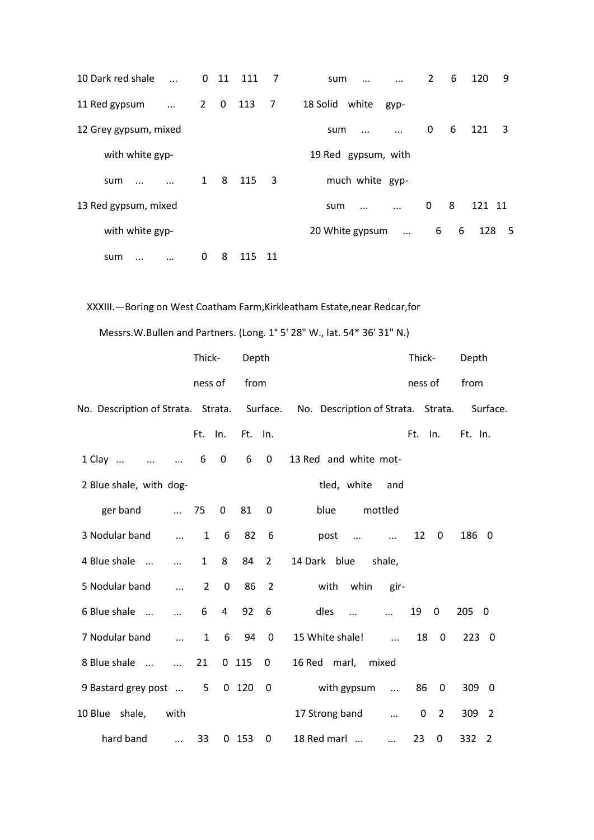| 10 Dark red shale<br>$\dddotsc$ |              | $0$ 11         | 111 | -7             | sum<br>$\cdots$             | $\overline{2}$ | 6 | 120<br>9   |
|---------------------------------|--------------|----------------|-----|----------------|-----------------------------|----------------|---|------------|
| 11 Red gypsum<br>$\cdots$       | $2^{\circ}$  | $\overline{0}$ | 113 | $\overline{7}$ | 18 Solid white<br>gyp-      |                |   |            |
| 12 Grey gypsum, mixed           |              |                |     |                | sum<br>$\ddotsc$            | 0              | 6 | 121<br>3   |
| with white gyp-                 |              |                |     |                | 19 Red gypsum, with         |                |   |            |
| sum<br>$\cdots$                 | $\mathbf{1}$ | 8              | 115 | 3              | much white gyp-             |                |   |            |
| 13 Red gypsum, mixed            |              |                |     |                | sum<br>$\cdots$<br>$\cdots$ | 0              | 8 | 121 11     |
| with white gyp-                 |              |                |     |                | 20 White gypsum<br>$\ddots$ | 6              | 6 | 128<br>- 5 |
| sum<br>$\cdots$                 | 0            | 8              | 115 | 11             |                             |                |   |            |

# XXXIII.—Boring on West Coatham Farm,Kirkleatham Estate,near Redcar,for

Messrs.W.Bullen and Partners. (Long. 1° 5' 28" W., lat. 54\* 36' 31" N.)

|                                         | Thick-                        | Depth                              | Thick-<br>Depth                                                                         |  |
|-----------------------------------------|-------------------------------|------------------------------------|-----------------------------------------------------------------------------------------|--|
|                                         | ness of                       | from                               | from<br>ness of                                                                         |  |
|                                         |                               |                                    | No. Description of Strata. Strata. Surface. No. Description of Strata. Strata. Surface. |  |
|                                         | Ft.<br>In.                    | Ft. In.                            | Ft. In.<br>Ft.<br>In.                                                                   |  |
| $1$ Clay<br>$\dddotsc$<br>$\sim$ $\sim$ | 6<br>$\mathbf 0$              | 6<br>$\mathbf 0$                   | 13 Red and white mot-                                                                   |  |
| 2 Blue shale, with dog-                 |                               |                                    | tled, white<br>and                                                                      |  |
| ger band<br>$\cdots$                    | 75<br>$\mathbf{0}$            | 81<br>0                            | blue<br>mottled                                                                         |  |
| 3 Nodular band<br>$\dddotsc$            | $6^{\circ}$<br>$\mathbf{1}$   | 82<br>6                            | 12 <sup>2</sup><br>186 0<br>post<br>$\overline{\mathbf{0}}$<br>$\cdots$<br>$\cdots$     |  |
| 4 Blue shale<br>$\dddotsc$              | 8<br>$\mathbf{1}$             | 84<br>$\overline{2}$               | 14 Dark blue<br>shale,                                                                  |  |
| 5 Nodular band<br>$\cdots$              | $\mathbf 0$<br>$\overline{2}$ | 86<br>$\overline{2}$               | with whin<br>gir-                                                                       |  |
| 6 Blue shale<br>$\dddotsc$              | 6                             | $4\overline{ }$<br>92<br>6         | dles<br>19<br>0<br>205 0<br>$\dddotsc$<br>$\dddotsc$                                    |  |
| 7 Nodular band<br>$\cdots$              | 6<br>$\mathbf{1}$             | 94<br>$\overline{\mathbf{0}}$      | 15 White shale!<br>18<br>$\mathbf 0$<br>2230<br>$\mathbf{r}$                            |  |
| 8 Blue shale<br>$\dddotsc$              | 21                            | $0$ 115<br>$\mathbf 0$             | 16 Red marl, mixed                                                                      |  |
| 9 Bastard grey post  5                  |                               | $0$ 120<br>$\overline{\mathbf{0}}$ | with gypsum<br>86<br>309 0<br>$\overline{\mathbf{0}}$<br>$\mathbf{r}$ and $\mathbf{r}$  |  |
| 10 Blue shale,<br>with                  |                               |                                    | 17 Strong band<br>0<br>$\overline{2}$<br>309<br>$\overline{2}$<br>$\dddotsc$            |  |
| hard band<br>$\dddotsc$                 | 33                            | $0$ 153<br>0                       | 23<br>332<br>18 Red marl<br>0<br>$\overline{2}$<br>$\cdots$                             |  |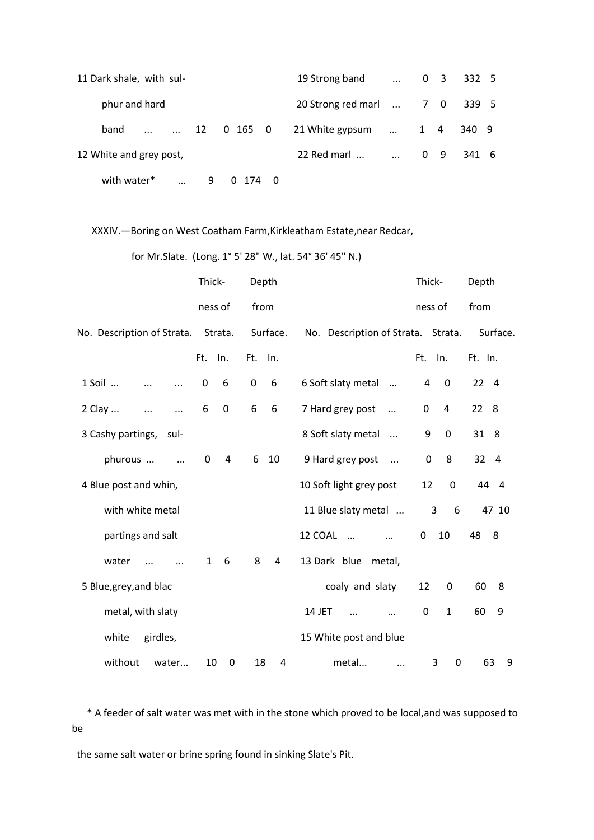| 11 Dark shale, with sul-            | 19 Strong band          | $\cdots$     |  | $0 \t3 \t332 \t5$ |  |
|-------------------------------------|-------------------------|--------------|--|-------------------|--|
| phur and hard                       | 20 Strong red marl  7 0 |              |  | 339 5             |  |
| $\ldots$ 12 0 165 0<br>band         | 21 White gypsum         | $\ldots$ 1 4 |  | 340 9             |  |
| 12 White and grey post,             | 22 Red marl             | $\ldots$ 0 9 |  | 341 6             |  |
| with water*<br>9<br>0<br>$\dddotsc$ | -174<br>0               |              |  |                   |  |

XXXIV.—Boring on West Coatham Farm,Kirkleatham Estate,near Redcar,

for Mr.Slate. (Long. 1° 5' 28" W., lat. 54° 36' 45" N.)

|                                 | Thick-              | Depth    |                                    | Thick-                      | Depth                |
|---------------------------------|---------------------|----------|------------------------------------|-----------------------------|----------------------|
|                                 | ness of             | from     |                                    | ness of                     | from                 |
| No. Description of Strata.      | Strata.             | Surface. | No. Description of Strata. Strata. |                             | Surface.             |
|                                 | Ft. In.             | Ft. In.  |                                    | Ft. In.                     | Ft. In.              |
| 1 Soil<br>$\ddotsc$             | 0<br>6              | 0<br>6   | 6 Soft slaty metal<br>$\dddotsc$   | 0<br>4                      | 22<br>$\overline{4}$ |
| 2 Clay<br>$\cdots$<br>$\ddotsc$ | 6<br>$\mathbf 0$    | 6<br>6   | 7 Hard grey post<br>$\cdots$       | $\boldsymbol{0}$<br>4       | 22 8                 |
| 3 Cashy partings,<br>sul-       |                     |          | 8 Soft slaty metal<br>$\cdots$     | 9<br>$\mathbf 0$            | 31 8                 |
| phurous<br>$\dddotsc$           | $\overline{a}$<br>0 | 10<br>6  | 9 Hard grey post<br>$\ddots$       | 8<br>$\mathbf 0$            | 32<br>$\overline{4}$ |
| 4 Blue post and whin,           |                     |          | 10 Soft light grey post            | 12<br>$\mathbf 0$           | 44 4                 |
| with white metal                |                     |          | 11 Blue slaty metal                | 3<br>6                      | 47 10                |
| partings and salt               |                     |          | 12 COAL<br>$\dddotsc$<br>$\cdots$  | 10<br>0                     | 48<br>8              |
| water                           | 6<br>$\mathbf{1}$   | 8<br>4   | 13 Dark blue<br>metal,             |                             |                      |
| 5 Blue, grey, and blac          |                     |          | coaly and slaty                    | 12<br>0                     | 60<br>8              |
| metal, with slaty               |                     |          | 14 JET<br>$\dddotsc$<br>$\cdots$   | $\mathbf{1}$<br>$\mathbf 0$ | 60<br>9              |
| white<br>girdles,               |                     |          | 15 White post and blue             |                             |                      |
| without<br>water                | 10<br>0             | 18<br>4  | metal<br>$\cdots$                  | 3<br>0                      | 63<br>9              |

 \* A feeder of salt water was met with in the stone which proved to be local,and was supposed to be

the same salt water or brine spring found in sinking Slate's Pit.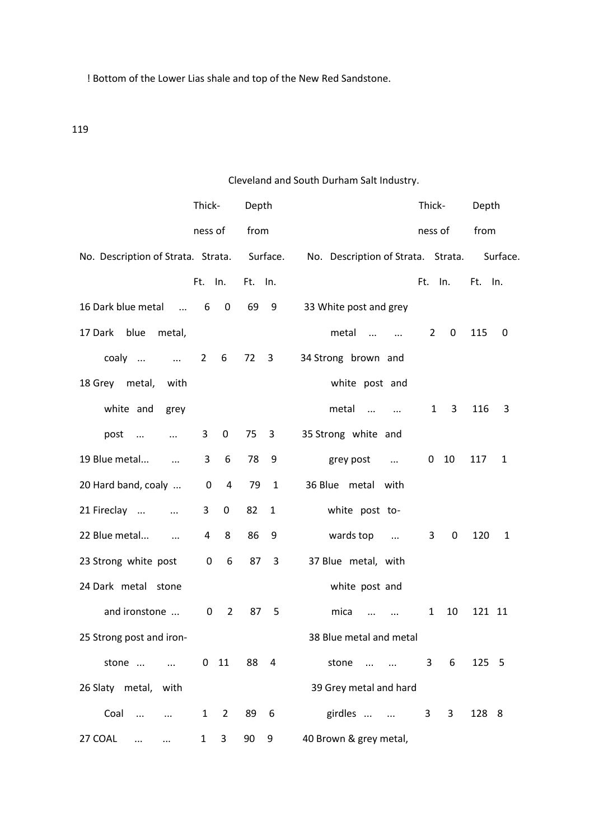! Bottom of the Lower Lias shale and top of the New Red Sandstone.

# 119

# Cleveland and South Durham Salt Industry.

|                                             | Thick-                         | Depth                         | Thick-<br>Depth                                                       |
|---------------------------------------------|--------------------------------|-------------------------------|-----------------------------------------------------------------------|
|                                             | ness of                        | from                          | from<br>ness of                                                       |
| No. Description of Strata. Strata. Surface. |                                |                               | No. Description of Strata. Strata.<br>Surface.                        |
|                                             | Ft. In.                        | Ft. In.                       | Ft. In.<br>Ft. In.                                                    |
| 16 Dark blue metal<br>$\sim$ $\sim$ $\sim$  | $\mathbf 0$<br>6               | 69<br>9                       | 33 White post and grey                                                |
| blue<br>17 Dark<br>metal,                   |                                |                               | metal<br>0<br>115<br>$\overline{2}$<br>0<br>$\mathbf{m} = \mathbf{m}$ |
| coaly<br>$\ldots$ 2                         | 6                              | 72<br>3                       | 34 Strong brown and                                                   |
| 18 Grey metal,<br>with                      |                                |                               | white post and                                                        |
| white and<br>grey                           |                                |                               | metal<br>$\mathbf{1}$<br>3<br>116<br>3<br>$\cdots$<br>$\sim$ $\sim$   |
| post<br>$\cdots$                            | 3<br>$\boldsymbol{0}$          | 75<br>$\overline{\mathbf{3}}$ | 35 Strong white and                                                   |
| 19 Blue metal<br>$\ddots$                   | 6<br>3                         | 78<br>9                       | 117<br>grey post<br>$\mathbf{0}$<br>10<br>$\mathbf{1}$<br>$\cdots$    |
| 20 Hard band, coaly                         | $\pmb{0}$<br>$\overline{a}$    | 79<br>$\mathbf{1}$            | 36 Blue metal with                                                    |
| 21 Fireclay<br>$\ddots$                     | 3<br>0                         | 82<br>$\mathbf{1}$            | white post to-                                                        |
| 22 Blue metal<br>$\ldots$                   | 8<br>4                         | 86<br>9                       | wards top<br>0<br>120<br>3<br>1<br>$\sim$ $\sim$                      |
| 23 Strong white post                        | $\mathbf 0$<br>6               | 87<br>3                       | 37 Blue metal, with                                                   |
| 24 Dark metal stone                         |                                |                               | white post and                                                        |
| and ironstone                               | $\overline{2}$<br>0            | 87<br>5                       | 10<br>121 11<br>mica<br>1                                             |
| 25 Strong post and iron-                    |                                |                               | 38 Blue metal and metal                                               |
| stone                                       |                                | 0 11 88 4                     | 6<br>125 5<br>stone<br>3 <sup>7</sup>                                 |
| 26 Slaty metal, with                        |                                |                               | 39 Grey metal and hard                                                |
| Coal<br>$\cdots$<br>$\cdots$                | $\mathbf{1}$<br>$\overline{2}$ | 89 6                          | girdles<br>3 <sup>7</sup><br>3<br>128 8                               |
| 27 COAL<br>$\ldots$                         | 3 <sup>7</sup><br>$\mathbf{1}$ | 90<br>9                       | 40 Brown & grey metal,                                                |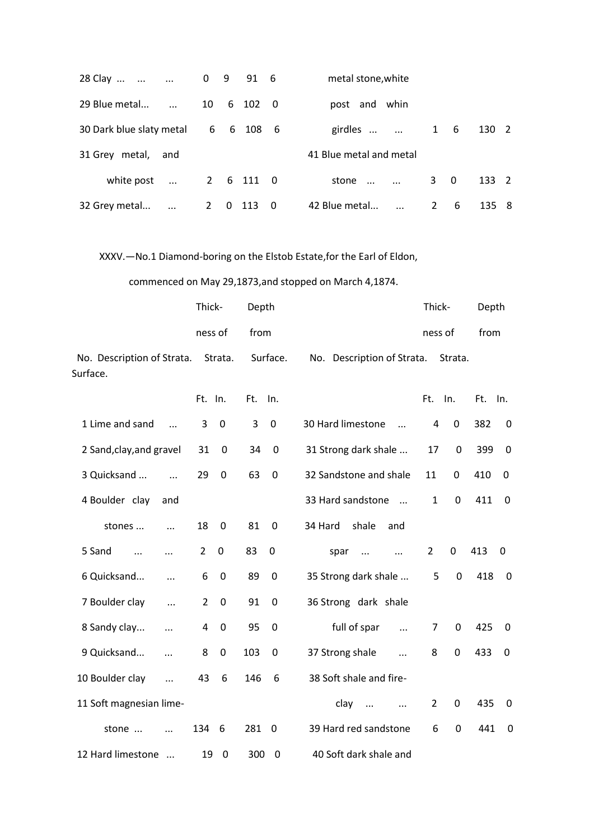| 28 Clay<br>$\cdots$<br>$\ddotsc$ | $0 \t 9 \t 91 \t 6$           | metal stone, white                          |                     |
|----------------------------------|-------------------------------|---------------------------------------------|---------------------|
| 29 Blue metal                    | 10<br>6 102<br>$\overline{0}$ | post and whin                               |                     |
| 30 Dark blue slaty metal         | 6<br>6<br>108 6               | girdles<br>$\mathbf{1}$<br>- 6<br>$\cdots$  | 130<br><sup>2</sup> |
| 31 Grey metal, and               |                               | 41 Blue metal and metal                     |                     |
| white post<br>$\dddotsc$         | 2 6 111 0                     | 3<br>- 0<br>stone<br>$\cdots$<br>$\dddotsc$ | 133 2               |
| 32 Grey metal<br>$\cdots$        | 113<br>2<br>- 0<br>0          | 2<br>42 Blue metal<br>- 6<br>$\dddotsc$     | 135 8               |

XXXV.—No.1 Diamond-boring on the Elstob Estate,for the Earl of Eldon,

commenced on May 29,1873,and stopped on March 4,1874.

|                                        | Thick-                        | Depth              |                  |                                 | Thick-         |             | Depth   |             |
|----------------------------------------|-------------------------------|--------------------|------------------|---------------------------------|----------------|-------------|---------|-------------|
|                                        | ness of                       | from               |                  |                                 | ness of        |             | from    |             |
| No. Description of Strata.<br>Surface. | Strata.                       |                    | Surface.         | No. Description of Strata.      |                | Strata.     |         |             |
|                                        | Ft. In.                       | Ft.                | In.              |                                 | Ft. In.        |             | Ft. In. |             |
| 1 Lime and sand<br>$\dddotsc$          | $\mathbf 0$<br>3              | 3                  | $\mathbf 0$      | 30 Hard limestone<br>$\ddotsc$  | 4              | $\mathbf 0$ | 382     | 0           |
| 2 Sand, clay, and gravel               | 31<br>0                       | 34                 | $\boldsymbol{0}$ | 31 Strong dark shale            | 17             | 0           | 399     | 0           |
| 3 Quicksand<br>$\cdots$                | $\mathbf 0$<br>29             | 63                 | $\boldsymbol{0}$ | 32 Sandstone and shale          | 11             | 0           | 410     | 0           |
| 4 Boulder clay<br>and                  |                               |                    |                  | 33 Hard sandstone<br>$\dddotsc$ | $\mathbf{1}$   | $\mathbf 0$ | 411     | $\Omega$    |
| stones<br>$\ddotsc$                    | 18<br>$\mathbf 0$             | 81                 | $\mathbf 0$      | shale<br>34 Hard<br>and         |                |             |         |             |
| 5 Sand<br>$\dddotsc$<br>$\cdots$       | $\overline{2}$<br>$\mathbf 0$ | 83                 | 0                | spar<br>$\dddotsc$<br>$\cdots$  | $\overline{2}$ | $\mathbf 0$ | 413     | 0           |
| 6 Quicksand<br>$\ddotsc$               | 6<br>$\mathbf 0$              | 89                 | $\mathbf 0$      | 35 Strong dark shale            | 5              | $\mathbf 0$ | 418     | 0           |
| 7 Boulder clay<br>$\ddotsc$            | $\mathbf 0$<br>$\overline{2}$ | 91                 | $\mathbf 0$      | 36 Strong dark shale            |                |             |         |             |
| 8 Sandy clay<br>                       | 4<br>$\mathbf 0$              | 95                 | $\mathbf 0$      | full of spar<br>$\cdots$        | $\overline{7}$ | 0           | 425     | 0           |
| 9 Quicksand<br>$\cdots$                | 8<br>0                        | 103                | 0                | 37 Strong shale<br>$\dddotsc$   | 8              | $\mathbf 0$ | 433     | 0           |
| 10 Boulder clay<br>$\ddotsc$           | 43<br>6                       | 146                | 6                | 38 Soft shale and fire-         |                |             |         |             |
| 11 Soft magnesian lime-                |                               |                    |                  | clay<br>$\dddotsc$<br>$\cdots$  | $\overline{2}$ | 0           | 435     | 0           |
| stone<br>$\ddotsc$                     | 134<br>- 6                    | 281                | $\mathbf 0$      | 39 Hard red sandstone           | 6              | $\mathbf 0$ | 441     | $\mathbf 0$ |
| 12 Hard limestone<br>$\dddotsc$        | 19                            | 300<br>$\mathbf 0$ | $\mathbf 0$      | 40 Soft dark shale and          |                |             |         |             |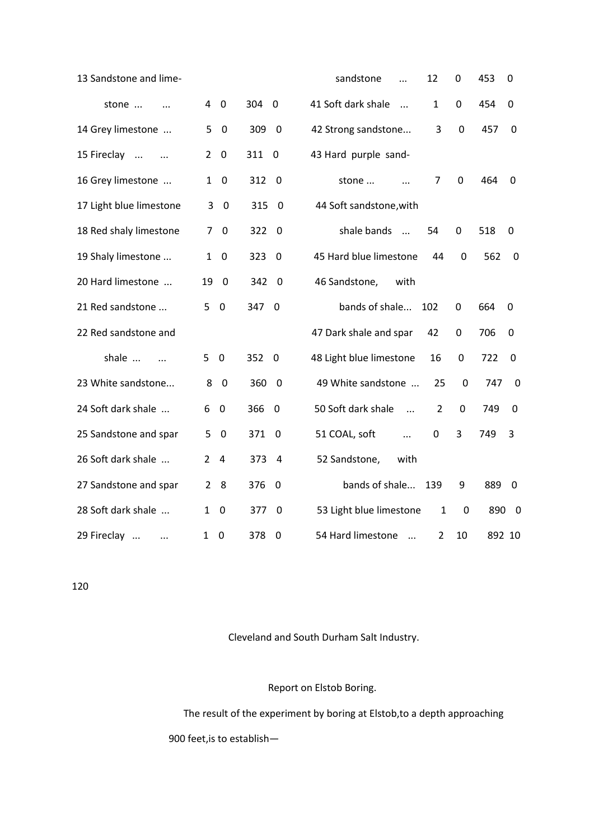| 13 Sandstone and lime-       |                               |                                | sandstone<br>12<br>$\ddotsc$                       | $\mathbf 0$      | 453<br>0                       |
|------------------------------|-------------------------------|--------------------------------|----------------------------------------------------|------------------|--------------------------------|
| stone<br>$\dddotsc$          | 40                            | 304 0                          | 41 Soft dark shale<br>$\mathbf{1}$<br>$\dddotsc$   | $\mathbf 0$      | 454<br>$\Omega$                |
| 14 Grey limestone            | 5<br>$\mathbf 0$              | 309<br>- 0                     | 42 Strong sandstone<br>3                           | 0                | 457<br>0                       |
| 15 Fireclay<br>$\sim$ $\sim$ | $\mathbf 0$<br>$\overline{2}$ | 311 0                          | 43 Hard purple sand-                               |                  |                                |
| 16 Grey limestone            | $\mathbf 0$<br>$\mathbf{1}$   | 312<br>- 0                     | 7<br>stone<br>$\dddotsc$                           | 0                | 464<br>0                       |
| 17 Light blue limestone      | 3<br>$\overline{0}$           | 315<br>$\overline{0}$          | 44 Soft sandstone, with                            |                  |                                |
| 18 Red shaly limestone       | $\overline{7}$<br>$\mathbf 0$ | 322<br>- 0                     | shale bands<br>54<br>$\cdots$                      | 0                | 518<br>0                       |
| 19 Shaly limestone           | $\mathbf 0$<br>$\mathbf{1}$   | 323<br>- 0                     | 45 Hard blue limestone<br>44                       | 0                | 562<br>0                       |
| 20 Hard limestone            | 19<br>- 0                     | 342 0                          | 46 Sandstone,<br>with                              |                  |                                |
| 21 Red sandstone             | 5<br>$\overline{0}$           | 347 0                          | bands of shale<br>102                              | 0                | 664<br>0                       |
| 22 Red sandstone and         |                               |                                | 47 Dark shale and spar<br>42                       | 0                | 706<br>0                       |
| shale<br>$\cdots$            | 5<br>$\overline{0}$           | 352 0                          | 48 Light blue limestone<br>16                      | 0                | 722<br>0                       |
| 23 White sandstone           | 8<br>$\overline{0}$           | 360 0                          | 49 White sandstone<br>25                           | 0                | 747<br>0                       |
| 24 Soft dark shale           | $\overline{0}$<br>6           | 366<br>$\overline{\mathbf{0}}$ | 50 Soft dark shale<br>$\overline{2}$<br>$\dddotsc$ | $\mathbf 0$      | 749<br>0                       |
| 25 Sandstone and spar        | 5<br>$\overline{0}$           | 371<br>$\overline{\mathbf{0}}$ | 51 COAL, soft<br>0<br>$\dddotsc$                   | 3                | 749<br>3                       |
| 26 Soft dark shale           | 24                            | 373 4                          | 52 Sandstone,<br>with                              |                  |                                |
| 27 Sandstone and spar        | 8<br>$2^{\circ}$              | 376<br>- 0                     | bands of shale<br>139                              | 9                | 889<br>$\overline{\mathbf{0}}$ |
| 28 Soft dark shale           | $\mathbf 0$<br>$\mathbf{1}$   | 377<br>- 0                     | 53 Light blue limestone<br>$\mathbf{1}$            | $\boldsymbol{0}$ | 890 0                          |
| 29 Fireclay<br>$\cdots$      | 0<br>1                        | 378<br>0                       | 54 Hard limestone<br>2<br>$\dddotsc$               | 10               | 892 10                         |

120

Cleveland and South Durham Salt Industry.

Report on Elstob Boring.

 The result of the experiment by boring at Elstob,to a depth approaching 900 feet,is to establish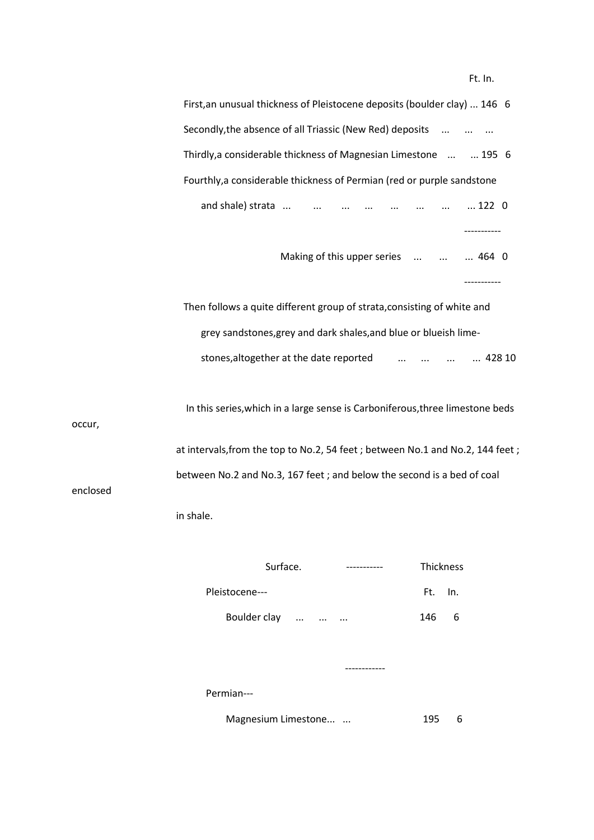Ft. In.

| First, an unusual thickness of Pleistocene deposits (boulder clay)  146 6     |  |
|-------------------------------------------------------------------------------|--|
| Secondly, the absence of all Triassic (New Red) deposits                      |  |
| Thirdly, a considerable thickness of Magnesian Limestone   195 6              |  |
| Fourthly, a considerable thickness of Permian (red or purple sandstone        |  |
|                                                                               |  |
|                                                                               |  |
| Making of this upper series    464 0                                          |  |
|                                                                               |  |
| Then follows a quite different group of strata, consisting of white and       |  |
| grey sandstones, grey and dark shales, and blue or blueish lime-              |  |
| stones, altogether at the date reported<br>428 10                             |  |
|                                                                               |  |
| In this series, which in a large sense is Carboniferous, three limestone beds |  |

occur,

enclosed

 at intervals,from the top to No.2, 54 feet ; between No.1 and No.2, 144 feet ; between No.2 and No.3, 167 feet ; and below the second is a bed of coal

in shale.

| Surface.       | ----------- | Thickness |   |
|----------------|-------------|-----------|---|
| Pleistocene--- |             | Ft. In.   |   |
| Boulder clay   | $\cdots$    | 146       | 6 |
|                |             |           |   |
|                |             |           |   |

Permian---

Magnesium Limestone... ... 195 6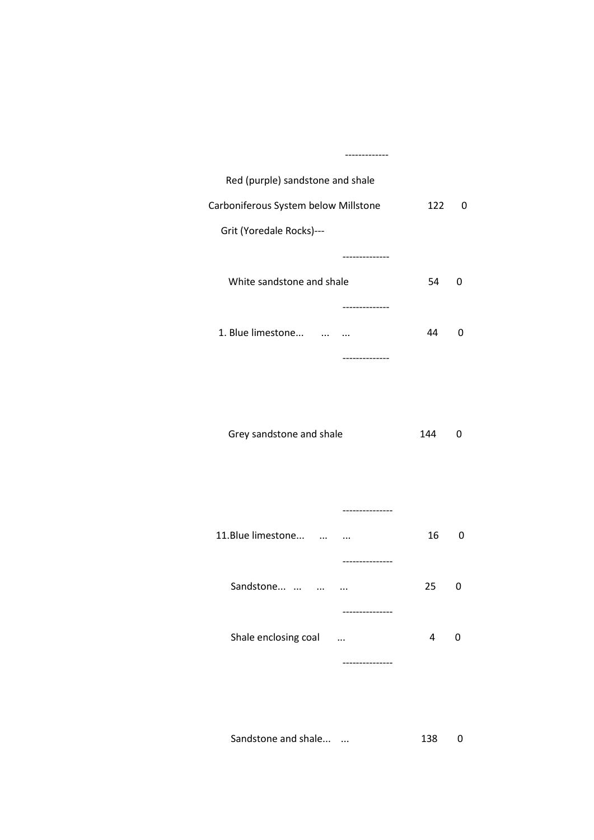| Red (purple) sandstone and shale     |     |              |
|--------------------------------------|-----|--------------|
| Carboniferous System below Millstone | 122 | $\Omega$     |
| Grit (Yoredale Rocks)---             |     |              |
|                                      |     |              |
| White sandstone and shale            | 54  | <sup>0</sup> |
|                                      |     |              |
| 1. Blue limestone<br>                | 44  | n            |
| --------------                       |     |              |

Grey sandstone and shale 144 0

|                                       | ----------- |    |              |
|---------------------------------------|-------------|----|--------------|
| 11. Blue limestone                    |             | 16 | 0            |
|                                       | ----------- |    |              |
| Sandstone                             | $\ddotsc$   | 25 | <sup>0</sup> |
|                                       | ----------- |    |              |
| Shale enclosing coal<br>$\sim$ $\sim$ |             | 4  | $\mathbf{U}$ |
|                                       | ----------  |    |              |

Sandstone and shale... ... 138 0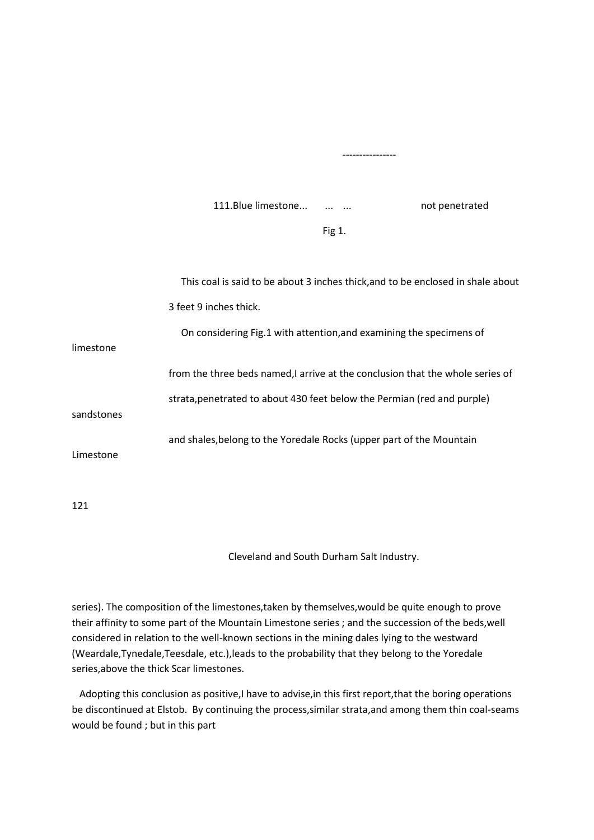111. Blue limestone... ... ... ... not penetrated

 $\Box$  Fig 1.

|            | This coal is said to be about 3 inches thick, and to be enclosed in shale about |
|------------|---------------------------------------------------------------------------------|
|            | 3 feet 9 inches thick.                                                          |
| limestone  | On considering Fig.1 with attention, and examining the specimens of             |
|            | from the three beds named, I arrive at the conclusion that the whole series of  |
| sandstones | strata, penetrated to about 430 feet below the Permian (red and purple)         |
| Limestone  | and shales, belong to the Yoredale Rocks (upper part of the Mountain            |
|            |                                                                                 |

----------------

121

Cleveland and South Durham Salt Industry.

series). The composition of the limestones,taken by themselves,would be quite enough to prove their affinity to some part of the Mountain Limestone series ; and the succession of the beds,well considered in relation to the well-known sections in the mining dales lying to the westward (Weardale,Tynedale,Teesdale, etc.),leads to the probability that they belong to the Yoredale series,above the thick Scar limestones.

 Adopting this conclusion as positive,I have to advise,in this first report,that the boring operations be discontinued at Elstob. By continuing the process,similar strata,and among them thin coal-seams would be found ; but in this part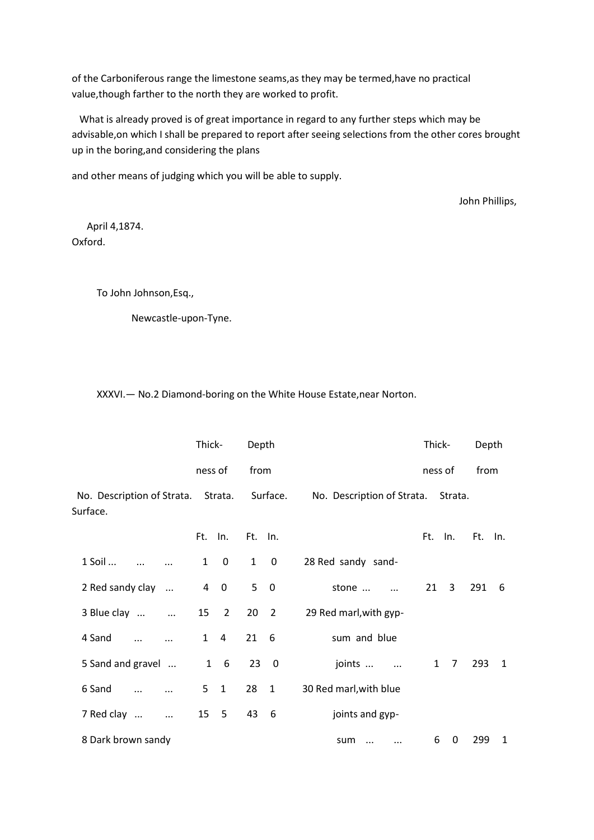of the Carboniferous range the limestone seams,as they may be termed,have no practical value,though farther to the north they are worked to profit.

 What is already proved is of great importance in regard to any further steps which may be advisable,on which I shall be prepared to report after seeing selections from the other cores brought up in the boring,and considering the plans

and other means of judging which you will be able to supply.

John Phillips,

 April 4,1874. Oxford.

To John Johnson,Esq.,

Newcastle-upon-Tyne.

XXXVI.— No.2 Diamond-boring on the White House Estate,near Norton.

|                                                | Thick-         |                         | Depth           |                         |                            | Thick-  |             | Depth |     |
|------------------------------------------------|----------------|-------------------------|-----------------|-------------------------|----------------------------|---------|-------------|-------|-----|
|                                                |                | ness of                 | from            |                         |                            | ness of |             | from  |     |
| No. Description of Strata. Strata.<br>Surface. |                |                         |                 | Surface.                | No. Description of Strata. |         | Strata.     |       |     |
|                                                |                | Ft. In.                 | Ft. In.         |                         |                            | Ft. In. |             | Ft.   | In. |
| 1 Soil                                         | $\mathbf{1}$   | $\overline{0}$          | $\mathbf{1}$    | 0                       | 28 Red sandy sand-         |         |             |       |     |
| 2 Red sandy clay<br>$\ddots$                   | $\overline{4}$ | $\overline{\mathbf{0}}$ | 5               | $\overline{\mathbf{0}}$ | stone<br>$\cdots$          | 21      | 3           | 291   | -6  |
| 3 Blue clay<br>$\ddots$                        | 15             | $\overline{2}$          | 20 <sub>2</sub> |                         | 29 Red marl, with gyp-     |         |             |       |     |
| 4 Sand                                         | $\mathbf{1}$   | 4                       | 21              | $6\overline{6}$         | sum and blue               |         |             |       |     |
| 5 Sand and gravel                              |                | $1\quad 6$              |                 | 230                     | joints                     |         | $1 \quad 7$ | 293   | 1   |
| 6 Sand                                         | 5              | $\mathbf{1}$            | 28 1            |                         | 30 Red marl, with blue     |         |             |       |     |
| 7 Red clay<br>$\ldots$                         |                | 15 5                    | 43 6            |                         | joints and gyp-            |         |             |       |     |
| 8 Dark brown sandy                             |                |                         |                 |                         | sum<br>$\cdots$<br>        | 6       | 0           | 299   | 1   |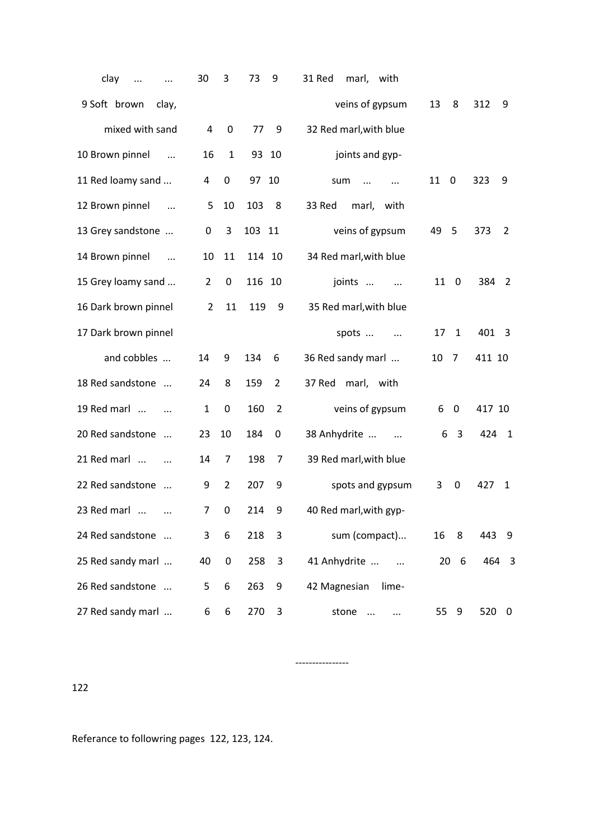| clay<br>$\cdots$                 | 30             | 3                | 73<br>9               | 31 Red<br>marl, with          |                                |                       |
|----------------------------------|----------------|------------------|-----------------------|-------------------------------|--------------------------------|-----------------------|
| 9 Soft brown<br>clay,            |                |                  |                       | veins of gypsum               | 13<br>8                        | 312<br>9              |
| mixed with sand                  | 4              | $\mathbf 0$      | 77<br>9               | 32 Red marl, with blue        |                                |                       |
| 10 Brown pinnel<br>$\cdots$      | 16             | $\mathbf{1}$     | 93 10                 | joints and gyp-               |                                |                       |
| 11 Red loamy sand                | 4              | 0                | 97 10                 | sum<br>$\ddots$<br>$\ddotsc$  | 11<br>$\overline{\phantom{0}}$ | 323<br>9              |
| 12 Brown pinnel<br>$\ddots$      | 5              | 10               | 103<br>8              | 33 Red<br>marl,<br>with       |                                |                       |
| 13 Grey sandstone                | 0              | 3                | 103 11                | veins of gypsum               | 49 5                           | 373<br>$\overline{2}$ |
| 14 Brown pinnel<br>$\sim$ $\sim$ | 10             | 11               | 114 10                | 34 Red marl, with blue        |                                |                       |
| 15 Grey loamy sand               | $\overline{2}$ | $\mathbf 0$      | 116 10                | joints<br>$\ddotsc$           | 11 0                           | 384 2                 |
| 16 Dark brown pinnel             | $\overline{2}$ | 11               | 119<br>9              | 35 Red marl, with blue        |                                |                       |
| 17 Dark brown pinnel             |                |                  |                       | spots                         | 17<br>1                        | 401 3                 |
| and cobbles                      | 14             | 9                | 134<br>6              | 36 Red sandy marl             | 10<br>$\overline{7}$           | 411 10                |
| 18 Red sandstone                 | 24             | 8                | 159<br>$\overline{2}$ | 37 Red marl, with             |                                |                       |
| 19 Red marl                      | $\mathbf{1}$   | $\boldsymbol{0}$ | 160<br>$\overline{2}$ | veins of gypsum               | 6<br>0                         | 417 10                |
| 20 Red sandstone                 | 23             | 10               | 184<br>0              | 38 Anhydrite<br>$\sim$ $\sim$ | $\overline{3}$<br>6            | 424<br>$\overline{1}$ |
| 21 Red marl                      | 14             | 7                | 198<br>7              | 39 Red marl, with blue        |                                |                       |
| 22 Red sandstone                 | 9              | $\overline{2}$   | 207<br>9              | spots and gypsum              | 3<br>0                         | 427<br>$\mathbf{1}$   |
| 23 Red marl                      | 7              | 0                | 214<br>9              | 40 Red marl, with gyp-        |                                |                       |
| 24 Red sandstone                 | 3              | 6                | 218<br>3              | sum (compact)                 | 16<br>8                        | 443<br>- 9            |
| 25 Red sandy marl                | 40             | 0                | 258<br>3              | 41 Anhydrite                  | 20 <sub>6</sub>                | 464 3                 |
| 26 Red sandstone                 | 5              | 6                | 263<br>9              | 42 Magnesian<br>lime-         |                                |                       |
| 27 Red sandy marl                | 6              | 6                | 3<br>270              | stone<br>$\cdots$<br>         | 55<br>9                        | 520<br>$\overline{0}$ |

----------------

122

Referance to followring pages 122, 123, 124.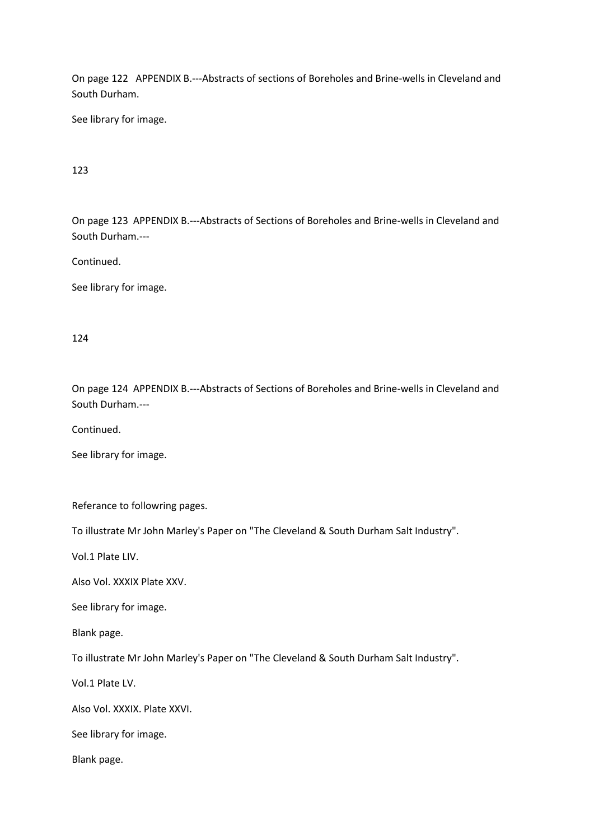On page 122 APPENDIX B.---Abstracts of sections of Boreholes and Brine-wells in Cleveland and South Durham.

See library for image.

## 123

On page 123 APPENDIX B.---Abstracts of Sections of Boreholes and Brine-wells in Cleveland and South Durham.---

Continued.

See library for image.

### 124

On page 124 APPENDIX B.---Abstracts of Sections of Boreholes and Brine-wells in Cleveland and South Durham.---

Continued.

See library for image.

Referance to followring pages.

To illustrate Mr John Marley's Paper on "The Cleveland & South Durham Salt Industry".

Vol.1 Plate LIV.

Also Vol. XXXIX Plate XXV.

See library for image.

Blank page.

To illustrate Mr John Marley's Paper on "The Cleveland & South Durham Salt Industry".

Vol.1 Plate LV.

Also Vol. XXXIX. Plate XXVI.

See library for image.

Blank page.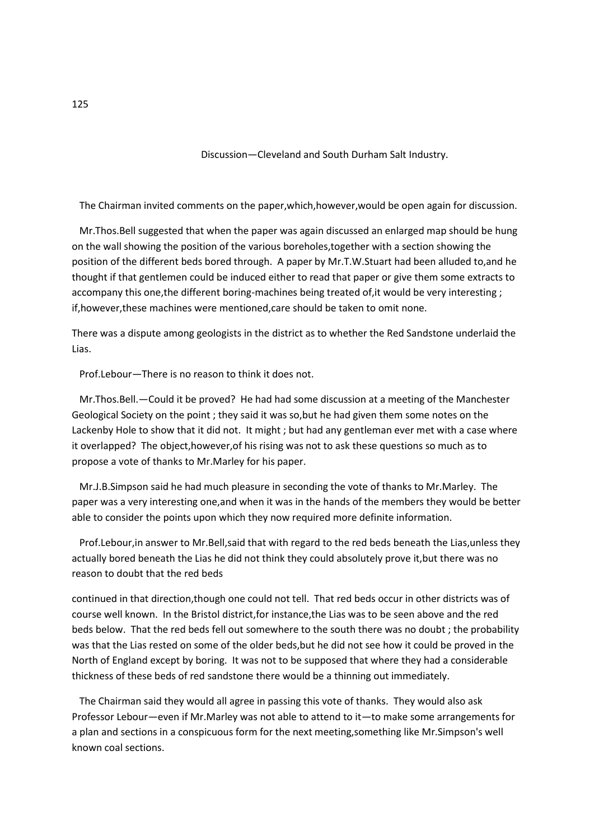### Discussion—Cleveland and South Durham Salt Industry.

The Chairman invited comments on the paper,which,however,would be open again for discussion.

 Mr.Thos.Bell suggested that when the paper was again discussed an enlarged map should be hung on the wall showing the position of the various boreholes,together with a section showing the position of the different beds bored through. A paper by Mr.T.W.Stuart had been alluded to,and he thought if that gentlemen could be induced either to read that paper or give them some extracts to accompany this one,the different boring-machines being treated of,it would be very interesting ; if,however,these machines were mentioned,care should be taken to omit none.

There was a dispute among geologists in the district as to whether the Red Sandstone underlaid the Lias.

Prof.Lebour—There is no reason to think it does not.

 Mr.Thos.Bell.—Could it be proved? He had had some discussion at a meeting of the Manchester Geological Society on the point ; they said it was so,but he had given them some notes on the Lackenby Hole to show that it did not. It might ; but had any gentleman ever met with a case where it overlapped? The object,however,of his rising was not to ask these questions so much as to propose a vote of thanks to Mr.Marley for his paper.

 Mr.J.B.Simpson said he had much pleasure in seconding the vote of thanks to Mr.Marley. The paper was a very interesting one,and when it was in the hands of the members they would be better able to consider the points upon which they now required more definite information.

 Prof.Lebour,in answer to Mr.Bell,said that with regard to the red beds beneath the Lias,unless they actually bored beneath the Lias he did not think they could absolutely prove it,but there was no reason to doubt that the red beds

continued in that direction,though one could not tell. That red beds occur in other districts was of course well known. In the Bristol district,for instance,the Lias was to be seen above and the red beds below. That the red beds fell out somewhere to the south there was no doubt ; the probability was that the Lias rested on some of the older beds,but he did not see how it could be proved in the North of England except by boring. It was not to be supposed that where they had a considerable thickness of these beds of red sandstone there would be a thinning out immediately.

 The Chairman said they would all agree in passing this vote of thanks. They would also ask Professor Lebour—even if Mr.Marley was not able to attend to it—to make some arrangements for a plan and sections in a conspicuous form for the next meeting,something like Mr.Simpson's well known coal sections.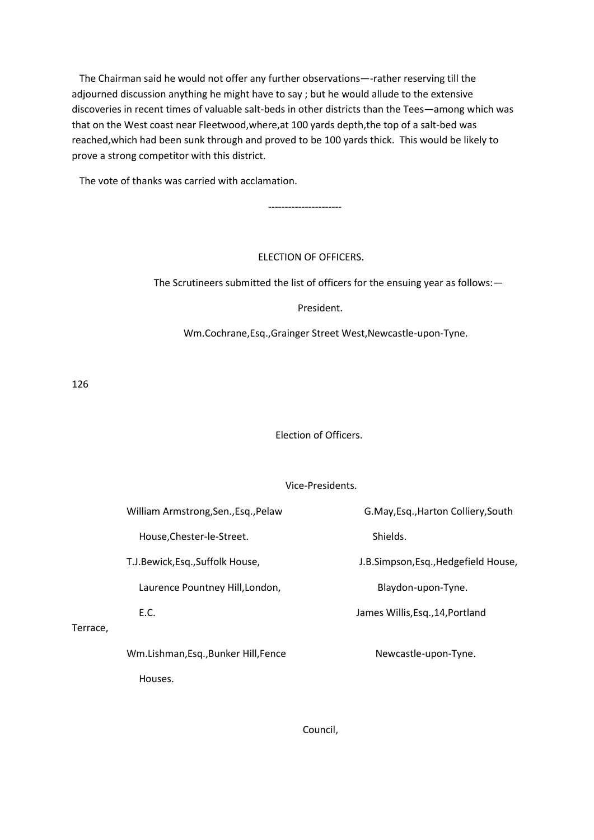The Chairman said he would not offer any further observations—-rather reserving till the adjourned discussion anything he might have to say ; but he would allude to the extensive discoveries in recent times of valuable salt-beds in other districts than the Tees—among which was that on the West coast near Fleetwood,where,at 100 yards depth,the top of a salt-bed was reached,which had been sunk through and proved to be 100 yards thick. This would be likely to prove a strong competitor with this district.

The vote of thanks was carried with acclamation.

### ELECTION OF OFFICERS.

----------------------

The Scrutineers submitted the list of officers for the ensuing year as follows:—

President.

Wm.Cochrane,Esq.,Grainger Street West,Newcastle-upon-Tyne.

126

# Election of Officers.

#### Vice-Presidents.

|          | William Armstrong, Sen., Esq., Pelaw | G.May, Esq., Harton Colliery, South  |
|----------|--------------------------------------|--------------------------------------|
|          | House, Chester-le-Street.            | Shields.                             |
|          | T.J.Bewick, Esq., Suffolk House,     | J.B.Simpson, Esq., Hedgefield House, |
|          | Laurence Pountney Hill, London,      | Blaydon-upon-Tyne.                   |
|          | E.C.                                 | James Willis, Esq., 14, Portland     |
| Terrace, |                                      |                                      |
|          | Wm.Lishman, Esq., Bunker Hill, Fence | Newcastle-upon-Tyne.                 |
|          | Houses.                              |                                      |

Council,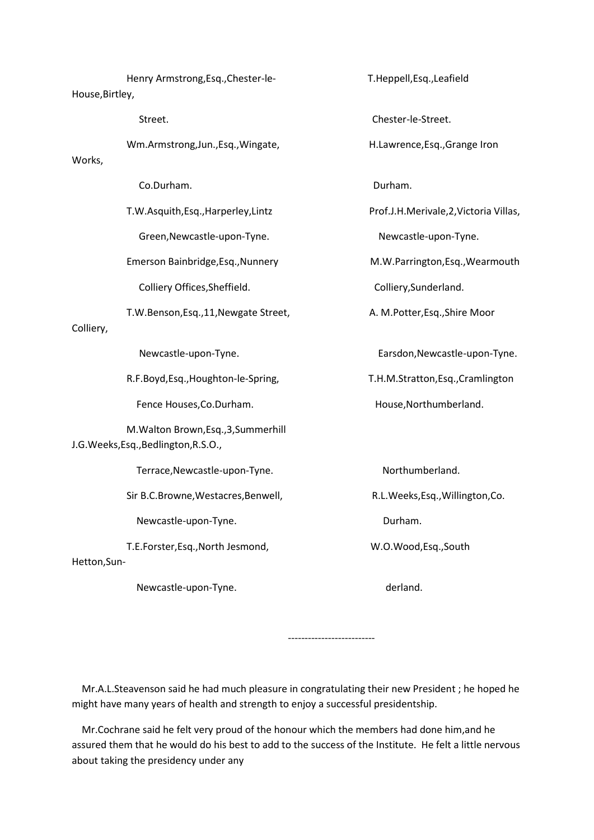Henry Armstrong,Esq.,Chester-le- T.Heppell,Esq.,Leafield House,Birtley, Street. Chester-le-Street. Wm.Armstrong,Jun.,Esq.,Wingate, The H.Lawrence,Esq.,Grange Iron Works, Co.Durham. Durham. T.W.Asquith,Esq.,Harperley,Lintz Prof.J.H.Merivale,2,Victoria Villas, Green,Newcastle-upon-Tyne. Newcastle-upon-Tyne. Emerson Bainbridge,Esq.,Nunnery M.W.Parrington,Esq.,Wearmouth Colliery Offices, Sheffield. The Colliery, Sunderland. T.W.Benson,Esq.,11, Newgate Street, A. M.Potter, Esq., Shire Moor Colliery, Newcastle-upon-Tyne. Earsdon,Newcastle-upon-Tyne. R.F.Boyd,Esq.,Houghton-le-Spring, T.H.M.Stratton,Esq.,Cramlington Fence Houses, Co.Durham. The mass of the House, Northumberland. M.Walton Brown,Esq.,3,Summerhill J.G.Weeks,Esq.,Bedlington,R.S.O., Terrace, Newcastle-upon-Tyne. Northumberland. Sir B.C.Browne, Westacres, Benwell, The R.L.Weeks, Esq., Willington, Co. Newcastle-upon-Tyne. The control of the Durham. T.E.Forster,Esq.,North Jesmond, W.O.Wood,Esq.,South Hetton,Sun-

Newcastle-upon-Tyne. The control of the derland.

--------------------------

 Mr.A.L.Steavenson said he had much pleasure in congratulating their new President ; he hoped he might have many years of health and strength to enjoy a successful presidentship.

 Mr.Cochrane said he felt very proud of the honour which the members had done him,and he assured them that he would do his best to add to the success of the Institute. He felt a little nervous about taking the presidency under any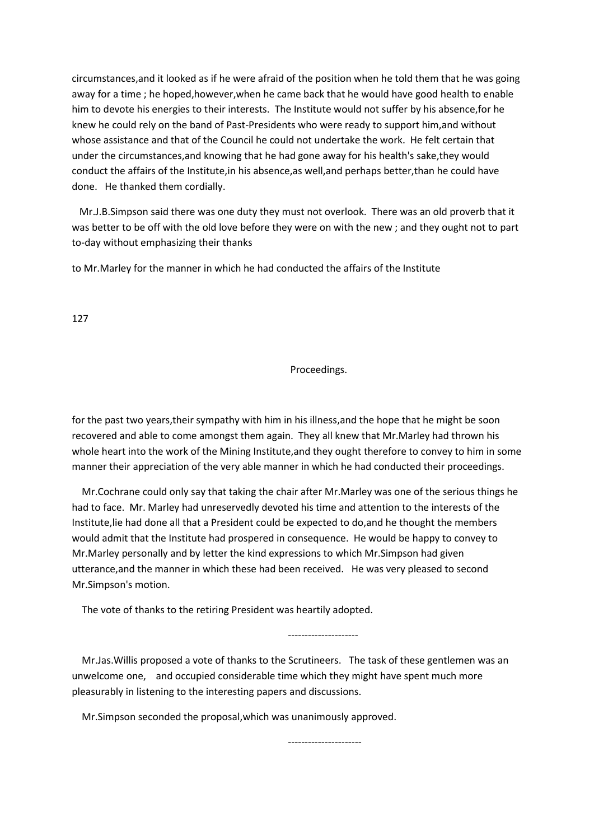circumstances,and it looked as if he were afraid of the position when he told them that he was going away for a time ; he hoped,however,when he came back that he would have good health to enable him to devote his energies to their interests. The Institute would not suffer by his absence,for he knew he could rely on the band of Past-Presidents who were ready to support him,and without whose assistance and that of the Council he could not undertake the work. He felt certain that under the circumstances,and knowing that he had gone away for his health's sake,they would conduct the affairs of the Institute,in his absence,as well,and perhaps better,than he could have done. He thanked them cordially.

 Mr.J.B.Simpson said there was one duty they must not overlook. There was an old proverb that it was better to be off with the old love before they were on with the new ; and they ought not to part to-day without emphasizing their thanks

to Mr.Marley for the manner in which he had conducted the affairs of the Institute

127

Proceedings.

for the past two years,their sympathy with him in his illness,and the hope that he might be soon recovered and able to come amongst them again. They all knew that Mr.Marley had thrown his whole heart into the work of the Mining Institute,and they ought therefore to convey to him in some manner their appreciation of the very able manner in which he had conducted their proceedings.

 Mr.Cochrane could only say that taking the chair after Mr.Marley was one of the serious things he had to face. Mr. Marley had unreservedly devoted his time and attention to the interests of the Institute,lie had done all that a President could be expected to do,and he thought the members would admit that the Institute had prospered in consequence. He would be happy to convey to Mr.Marley personally and by letter the kind expressions to which Mr.Simpson had given utterance,and the manner in which these had been received. He was very pleased to second Mr.Simpson's motion.

The vote of thanks to the retiring President was heartily adopted.

---------------------

 Mr.Jas.Willis proposed a vote of thanks to the Scrutineers. The task of these gentlemen was an unwelcome one, and occupied considerable time which they might have spent much more pleasurably in listening to the interesting papers and discussions.

Mr.Simpson seconded the proposal,which was unanimously approved.

----------------------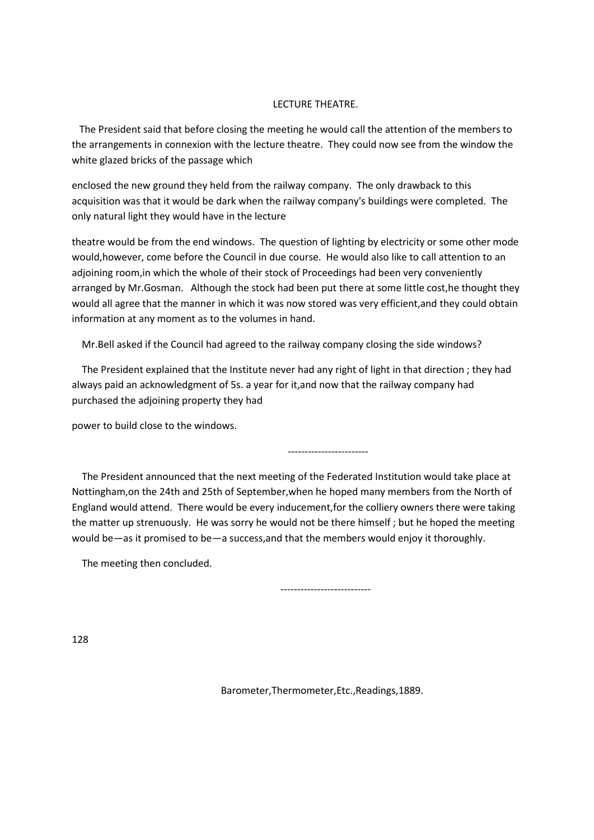### LECTURE THEATRE.

 The President said that before closing the meeting he would call the attention of the members to the arrangements in connexion with the lecture theatre. They could now see from the window the white glazed bricks of the passage which

enclosed the new ground they held from the railway company. The only drawback to this acquisition was that it would be dark when the railway company's buildings were completed. The only natural light they would have in the lecture

theatre would be from the end windows. The question of lighting by electricity or some other mode would,however, come before the Council in due course. He would also like to call attention to an adjoining room,in which the whole of their stock of Proceedings had been very conveniently arranged by Mr.Gosman. Although the stock had been put there at some little cost,he thought they would all agree that the manner in which it was now stored was very efficient,and they could obtain information at any moment as to the volumes in hand.

Mr.Bell asked if the Council had agreed to the railway company closing the side windows?

 The President explained that the Institute never had any right of light in that direction ; they had always paid an acknowledgment of 5s. a year for it,and now that the railway company had purchased the adjoining property they had

power to build close to the windows.

 The President announced that the next meeting of the Federated Institution would take place at Nottingham,on the 24th and 25th of September,when he hoped many members from the North of England would attend. There would be every inducement,for the colliery owners there were taking the matter up strenuously. He was sorry he would not be there himself ; but he hoped the meeting would be—as it promised to be—a success,and that the members would enjoy it thoroughly.

The meeting then concluded.

---------------------------

------------------------

128

Barometer,Thermometer,Etc.,Readings,1889.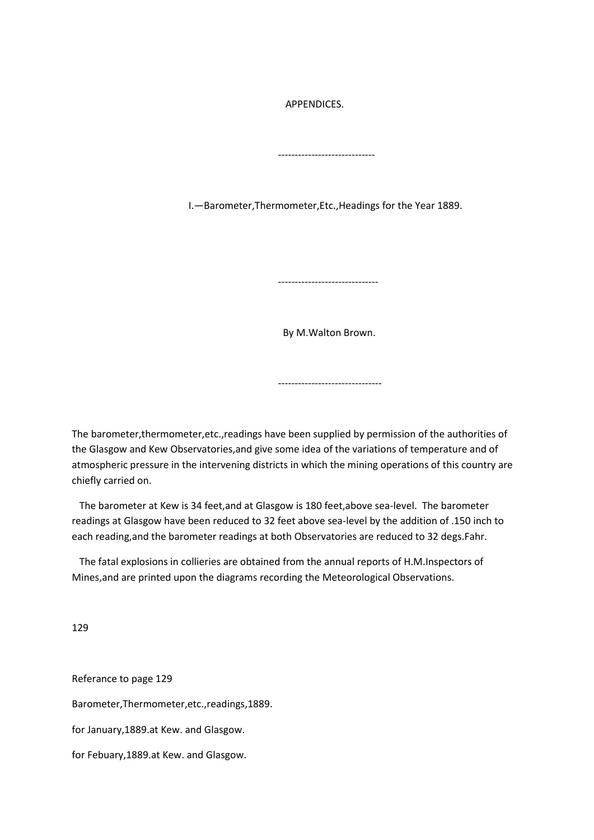APPENDICES.

I.—Barometer,Thermometer,Etc.,Headings for the Year 1889.

-----------------------------

------------------------------

By M.Walton Brown.

-------------------------------

The barometer,thermometer,etc.,readings have been supplied by permission of the authorities of the Glasgow and Kew Observatories,and give some idea of the variations of temperature and of atmospheric pressure in the intervening districts in which the mining operations of this country are chiefly carried on.

 The barometer at Kew is 34 feet,and at Glasgow is 180 feet,above sea-level. The barometer readings at Glasgow have been reduced to 32 feet above sea-level by the addition of .150 inch to each reading,and the barometer readings at both Observatories are reduced to 32 degs.Fahr.

 The fatal explosions in collieries are obtained from the annual reports of H.M.Inspectors of Mines,and are printed upon the diagrams recording the Meteorological Observations.

129

Referance to page 129 Barometer,Thermometer,etc.,readings,1889. for January,1889.at Kew. and Glasgow. for Febuary,1889.at Kew. and Glasgow.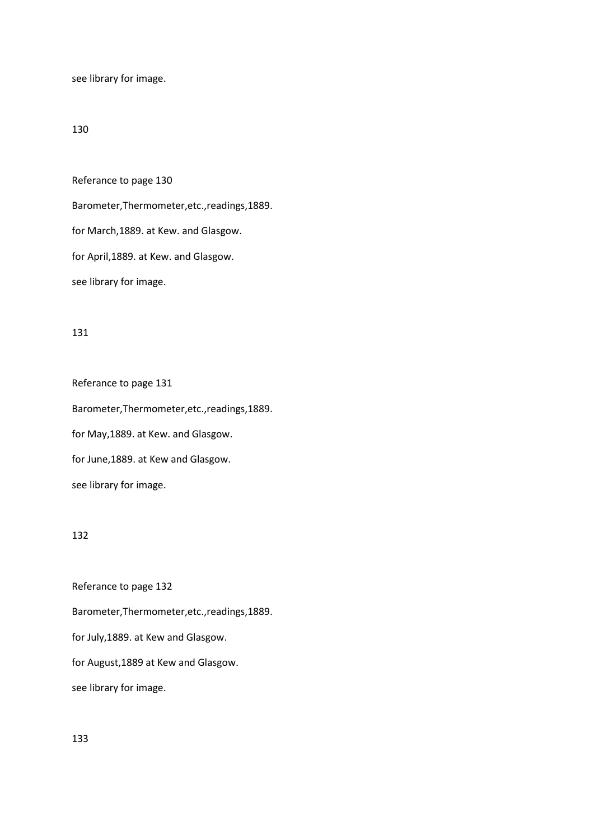see library for image.

## 130

Referance to page 130 Barometer,Thermometer,etc.,readings,1889. for March,1889. at Kew. and Glasgow. for April,1889. at Kew. and Glasgow.

see library for image.

### 131

Referance to page 131 Barometer,Thermometer,etc.,readings,1889. for May,1889. at Kew. and Glasgow. for June,1889. at Kew and Glasgow. see library for image.

### 132

Referance to page 132 Barometer,Thermometer,etc.,readings,1889. for July,1889. at Kew and Glasgow. for August,1889 at Kew and Glasgow. see library for image.

133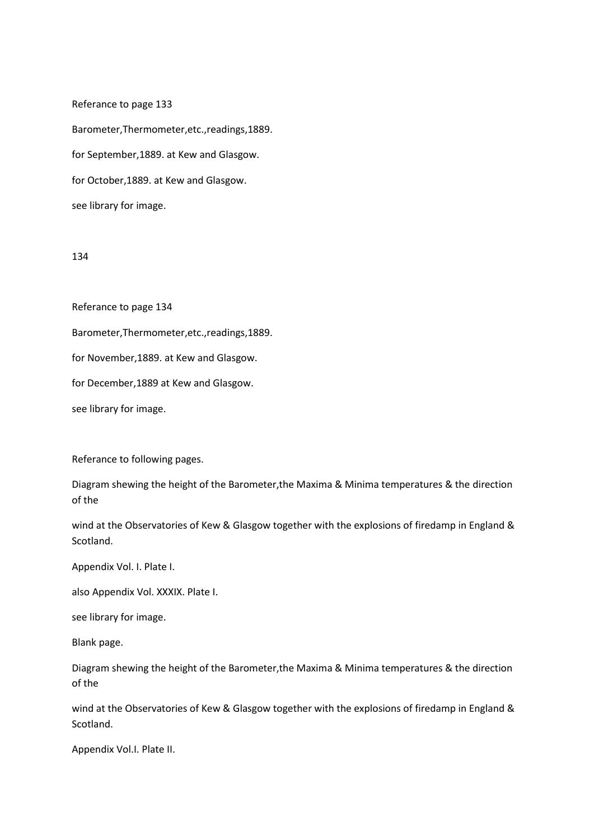Referance to page 133 Barometer,Thermometer,etc.,readings,1889. for September,1889. at Kew and Glasgow. for October,1889. at Kew and Glasgow. see library for image.

### 134

Referance to page 134

Barometer,Thermometer,etc.,readings,1889.

for November,1889. at Kew and Glasgow.

for December,1889 at Kew and Glasgow.

see library for image.

Referance to following pages.

Diagram shewing the height of the Barometer,the Maxima & Minima temperatures & the direction of the

wind at the Observatories of Kew & Glasgow together with the explosions of firedamp in England & Scotland.

Appendix Vol. I. Plate I.

also Appendix Vol. XXXIX. Plate I.

see library for image.

Blank page.

Diagram shewing the height of the Barometer,the Maxima & Minima temperatures & the direction of the

wind at the Observatories of Kew & Glasgow together with the explosions of firedamp in England & Scotland.

Appendix Vol.I. Plate II.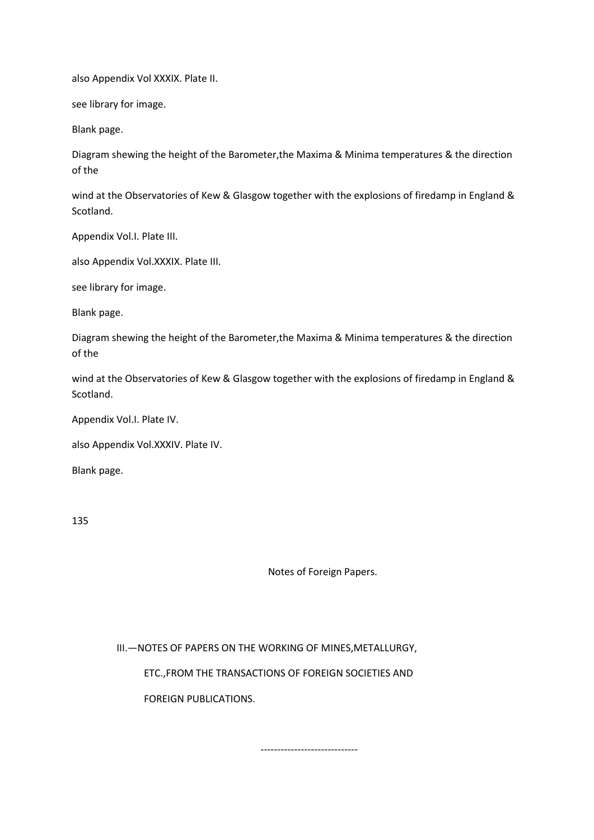also Appendix Vol XXXIX. Plate II.

see library for image.

Blank page.

Diagram shewing the height of the Barometer,the Maxima & Minima temperatures & the direction of the

wind at the Observatories of Kew & Glasgow together with the explosions of firedamp in England & Scotland.

Appendix Vol.I. Plate III.

also Appendix Vol.XXXIX. Plate III.

see library for image.

Blank page.

Diagram shewing the height of the Barometer,the Maxima & Minima temperatures & the direction of the

wind at the Observatories of Kew & Glasgow together with the explosions of firedamp in England & Scotland.

Appendix Vol.I. Plate IV.

also Appendix Vol.XXXIV. Plate IV.

Blank page.

135

Notes of Foreign Papers.

-----------------------------

 III.—NOTES OF PAPERS ON THE WORKING OF MINES,METALLURGY, ETC.,FROM THE TRANSACTIONS OF FOREIGN SOCIETIES AND

FOREIGN PUBLICATIONS.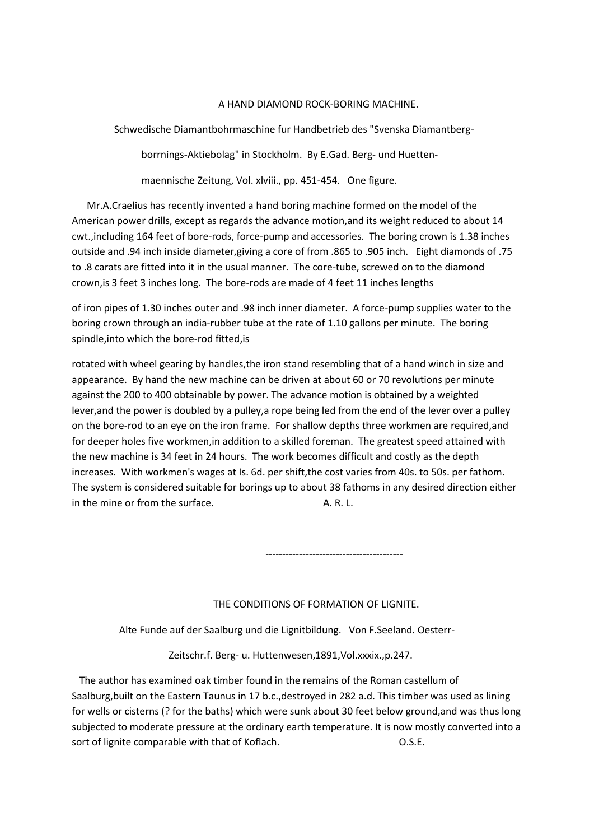### A HAND DIAMOND ROCK-BORING MACHINE.

Schwedische Diamantbohrmaschine fur Handbetrieb des "Svenska Diamantberg-

borrnings-Aktiebolag" in Stockholm. By E.Gad. Berg- und Huetten-

maennische Zeitung, Vol. xlviii., pp. 451-454. One figure.

 Mr.A.Craelius has recently invented a hand boring machine formed on the model of the American power drills, except as regards the advance motion,and its weight reduced to about 14 cwt.,including 164 feet of bore-rods, force-pump and accessories. The boring crown is 1.38 inches outside and .94 inch inside diameter,giving a core of from .865 to .905 inch. Eight diamonds of .75 to .8 carats are fitted into it in the usual manner. The core-tube, screwed on to the diamond crown,is 3 feet 3 inches long. The bore-rods are made of 4 feet 11 inches lengths

of iron pipes of 1.30 inches outer and .98 inch inner diameter. A force-pump supplies water to the boring crown through an india-rubber tube at the rate of 1.10 gallons per minute. The boring spindle,into which the bore-rod fitted,is

rotated with wheel gearing by handles,the iron stand resembling that of a hand winch in size and appearance. By hand the new machine can be driven at about 60 or 70 revolutions per minute against the 200 to 400 obtainable by power. The advance motion is obtained by a weighted lever,and the power is doubled by a pulley,a rope being led from the end of the lever over a pulley on the bore-rod to an eye on the iron frame. For shallow depths three workmen are required,and for deeper holes five workmen,in addition to a skilled foreman. The greatest speed attained with the new machine is 34 feet in 24 hours. The work becomes difficult and costly as the depth increases. With workmen's wages at Is. 6d. per shift,the cost varies from 40s. to 50s. per fathom. The system is considered suitable for borings up to about 38 fathoms in any desired direction either in the mine or from the surface. A. R. L.

#### THE CONDITIONS OF FORMATION OF LIGNITE.

Alte Funde auf der Saalburg und die Lignitbildung. Von F.Seeland. Oesterr-

-----------------------------------------

Zeitschr.f. Berg- u. Huttenwesen,1891,Vol.xxxix.,p.247.

 The author has examined oak timber found in the remains of the Roman castellum of Saalburg,built on the Eastern Taunus in 17 b.c.,destroyed in 282 a.d. This timber was used as lining for wells or cisterns (? for the baths) which were sunk about 30 feet below ground,and was thus long subjected to moderate pressure at the ordinary earth temperature. It is now mostly converted into a sort of lignite comparable with that of Koflach.  $O.S.E.$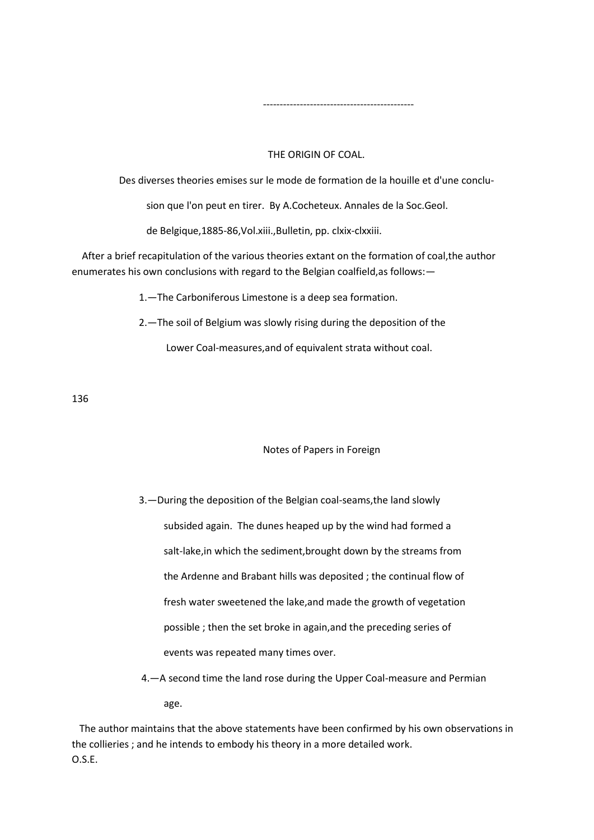#### THE ORIGIN OF COAL.

Des diverses theories emises sur le mode de formation de la houille et d'une conclu-

sion que l'on peut en tirer. By A.Cocheteux. Annales de la Soc.Geol.

de Belgique,1885-86,Vol.xiii.,Bulletin, pp. clxix-clxxiii.

---------------------------------------------

 After a brief recapitulation of the various theories extant on the formation of coal,the author enumerates his own conclusions with regard to the Belgian coalfield,as follows:—

1.—The Carboniferous Limestone is a deep sea formation.

2.—The soil of Belgium was slowly rising during the deposition of the

Lower Coal-measures,and of equivalent strata without coal.

136

#### Notes of Papers in Foreign

 3.—During the deposition of the Belgian coal-seams,the land slowly subsided again. The dunes heaped up by the wind had formed a salt-lake,in which the sediment,brought down by the streams from the Ardenne and Brabant hills was deposited ; the continual flow of fresh water sweetened the lake,and made the growth of vegetation possible ; then the set broke in again,and the preceding series of events was repeated many times over.

 4.—A second time the land rose during the Upper Coal-measure and Permian age.

 The author maintains that the above statements have been confirmed by his own observations in the collieries ; and he intends to embody his theory in a more detailed work. O.S.E.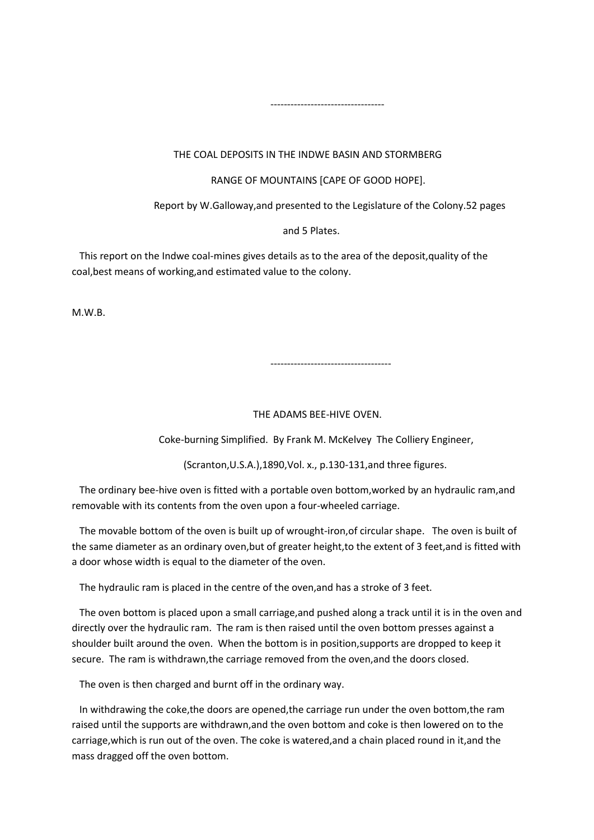### THE COAL DEPOSITS IN THE INDWE BASIN AND STORMBERG

#### RANGE OF MOUNTAINS [CAPE OF GOOD HOPE].

Report by W.Galloway,and presented to the Legislature of the Colony.52 pages

#### and 5 Plates.

 This report on the Indwe coal-mines gives details as to the area of the deposit,quality of the coal,best means of working,and estimated value to the colony.

----------------------------------

M.W.B.

------------------------------------

#### THE ADAMS BEE-HIVE OVEN.

Coke-burning Simplified. By Frank M. McKelvey The Colliery Engineer,

(Scranton,U.S.A.),1890,Vol. x., p.130-131,and three figures.

 The ordinary bee-hive oven is fitted with a portable oven bottom,worked by an hydraulic ram,and removable with its contents from the oven upon a four-wheeled carriage.

 The movable bottom of the oven is built up of wrought-iron,of circular shape. The oven is built of the same diameter as an ordinary oven,but of greater height,to the extent of 3 feet,and is fitted with a door whose width is equal to the diameter of the oven.

The hydraulic ram is placed in the centre of the oven,and has a stroke of 3 feet.

 The oven bottom is placed upon a small carriage,and pushed along a track until it is in the oven and directly over the hydraulic ram. The ram is then raised until the oven bottom presses against a shoulder built around the oven. When the bottom is in position,supports are dropped to keep it secure. The ram is withdrawn,the carriage removed from the oven,and the doors closed.

The oven is then charged and burnt off in the ordinary way.

 In withdrawing the coke,the doors are opened,the carriage run under the oven bottom,the ram raised until the supports are withdrawn,and the oven bottom and coke is then lowered on to the carriage,which is run out of the oven. The coke is watered,and a chain placed round in it,and the mass dragged off the oven bottom.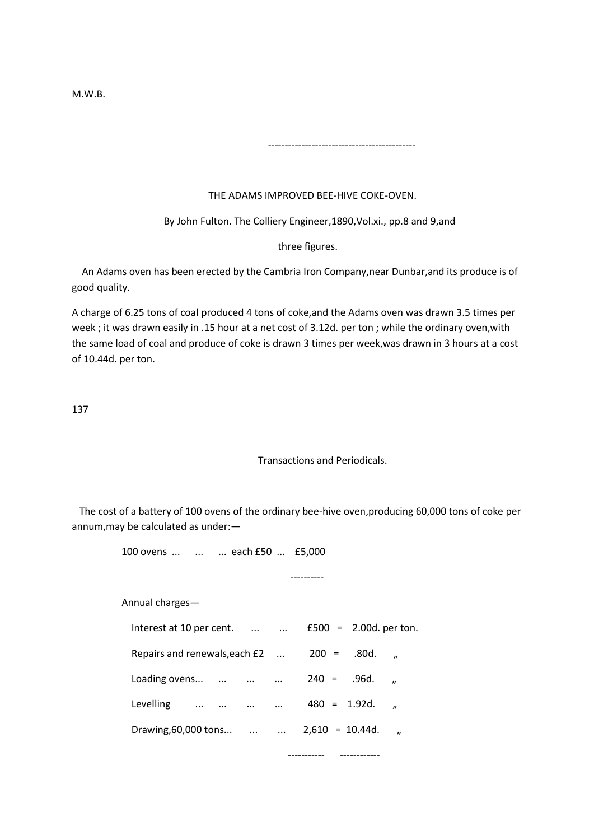M.W.B.

# THE ADAMS IMPROVED BEE-HIVE COKE-OVEN.

--------------------------------------------

By John Fulton. The Colliery Engineer,1890,Vol.xi., pp.8 and 9,and

three figures.

 An Adams oven has been erected by the Cambria Iron Company,near Dunbar,and its produce is of good quality.

A charge of 6.25 tons of coal produced 4 tons of coke,and the Adams oven was drawn 3.5 times per week ; it was drawn easily in .15 hour at a net cost of 3.12d. per ton ; while the ordinary oven,with the same load of coal and produce of coke is drawn 3 times per week,was drawn in 3 hours at a cost of 10.44d. per ton.

137

### Transactions and Periodicals.

----------- ------------

 The cost of a battery of 100 ovens of the ordinary bee-hive oven,producing 60,000 tons of coke per annum,may be calculated as under:—

100 ovens ... ... ... each £50 ... £5,000

----------

Annual charges—

| Interest at 10 per cent.       |          | $\cdots$   |                    | $£500 = 2.00d.$ per ton. |                |
|--------------------------------|----------|------------|--------------------|--------------------------|----------------|
| Repairs and renewals, each £2  |          |            | $200 =$            | .80d.                    | $\overline{v}$ |
| Loading ovens                  | $\cdots$ | $\cdots$   | $240 = 0.96d$ .    |                          | $\overline{v}$ |
| Levelling<br>$\cdots$ $\cdots$ | $\cdots$ | $\cdots$   | $480 = 1.92d$ .    |                          | $\overline{u}$ |
| Drawing, 60,000 tons           |          | $\dddotsc$ | $2,610 = 10.44d$ . |                          | "              |
|                                |          |            |                    |                          |                |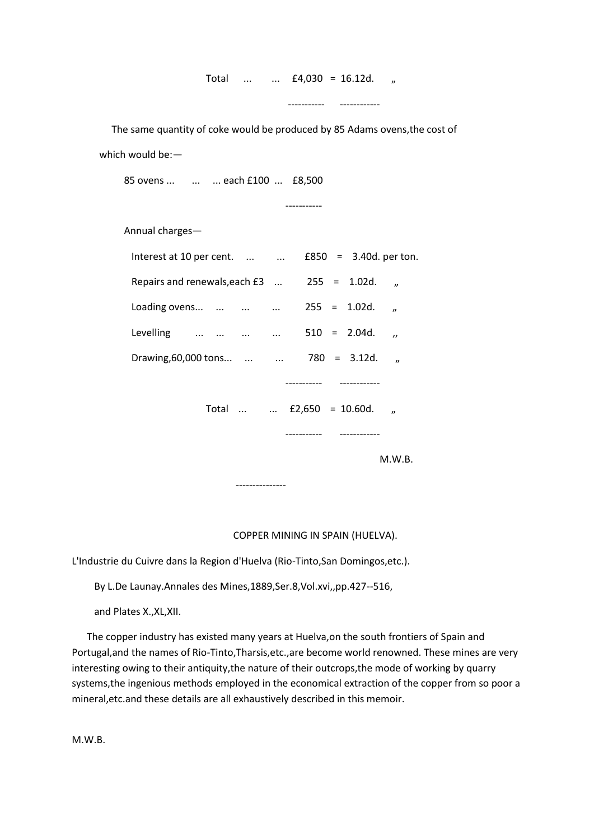Total ... ... £4,030 = 16.12d. "

----------- ------------

 The same quantity of coke would be produced by 85 Adams ovens,the cost of which would be:—

85 ovens ... ... ... each £100 ... £8,500

-----------

Annual charges—

| Interest at 10 per cent.                        |                          |                 |  |                 | $£850 = 3.40d.$ per ton. |
|-------------------------------------------------|--------------------------|-----------------|--|-----------------|--------------------------|
| Repairs and renewals, each $£3$ $255 = 1.02d$ . |                          |                 |  |                 | $\boldsymbol{\eta}$      |
| Loading ovens                                   |                          |                 |  | $255 = 1.02d$ . | $\boldsymbol{v}$         |
| Levelling                                       |                          |                 |  | $510 = 2.04d$ . | $\overline{\phantom{a}}$ |
| Drawing, 60,000 tons                            |                          |                 |  | $780 = 3.12d$ . | $\boldsymbol{\eta}$      |
|                                                 |                          |                 |  |                 |                          |
|                                                 | Total   £2,650 = 10.60d. |                 |  |                 | $\boldsymbol{v}$         |
|                                                 |                          |                 |  |                 |                          |
|                                                 |                          |                 |  |                 | M.W.B.                   |
|                                                 |                          | --------------- |  |                 |                          |

COPPER MINING IN SPAIN (HUELVA).

L'Industrie du Cuivre dans la Region d'Huelva (Rio-Tinto,San Domingos,etc.).

By L.De Launay.Annales des Mines,1889,Ser.8,Vol.xvi,,pp.427--516,

and Plates X.,XL,XII.

 The copper industry has existed many years at Huelva,on the south frontiers of Spain and Portugal,and the names of Rio-Tinto,Tharsis,etc.,are become world renowned. These mines are very interesting owing to their antiquity,the nature of their outcrops,the mode of working by quarry systems,the ingenious methods employed in the economical extraction of the copper from so poor a mineral,etc.and these details are all exhaustively described in this memoir.

M.W.B.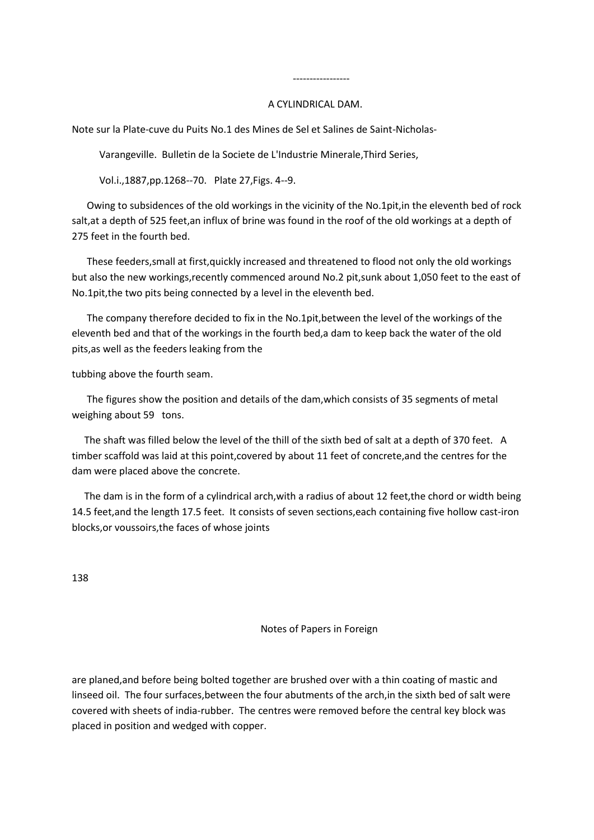## A CYLINDRICAL DAM.

Note sur la Plate-cuve du Puits No.1 des Mines de Sel et Salines de Saint-Nicholas-

Varangeville. Bulletin de la Societe de L'Industrie Minerale,Third Series,

Vol.i.,1887,pp.1268--70. Plate 27,Figs. 4--9.

-----------------

 Owing to subsidences of the old workings in the vicinity of the No.1pit,in the eleventh bed of rock salt,at a depth of 525 feet,an influx of brine was found in the roof of the old workings at a depth of 275 feet in the fourth bed.

 These feeders,small at first,quickly increased and threatened to flood not only the old workings but also the new workings,recently commenced around No.2 pit,sunk about 1,050 feet to the east of No.1pit,the two pits being connected by a level in the eleventh bed.

 The company therefore decided to fix in the No.1pit,between the level of the workings of the eleventh bed and that of the workings in the fourth bed,a dam to keep back the water of the old pits,as well as the feeders leaking from the

tubbing above the fourth seam.

 The figures show the position and details of the dam,which consists of 35 segments of metal weighing about 59 tons.

 The shaft was filled below the level of the thill of the sixth bed of salt at a depth of 370 feet. A timber scaffold was laid at this point,covered by about 11 feet of concrete,and the centres for the dam were placed above the concrete.

The dam is in the form of a cylindrical arch, with a radius of about 12 feet, the chord or width being 14.5 feet,and the length 17.5 feet. It consists of seven sections,each containing five hollow cast-iron blocks,or voussoirs,the faces of whose joints

138

Notes of Papers in Foreign

are planed,and before being bolted together are brushed over with a thin coating of mastic and linseed oil. The four surfaces,between the four abutments of the arch,in the sixth bed of salt were covered with sheets of india-rubber. The centres were removed before the central key block was placed in position and wedged with copper.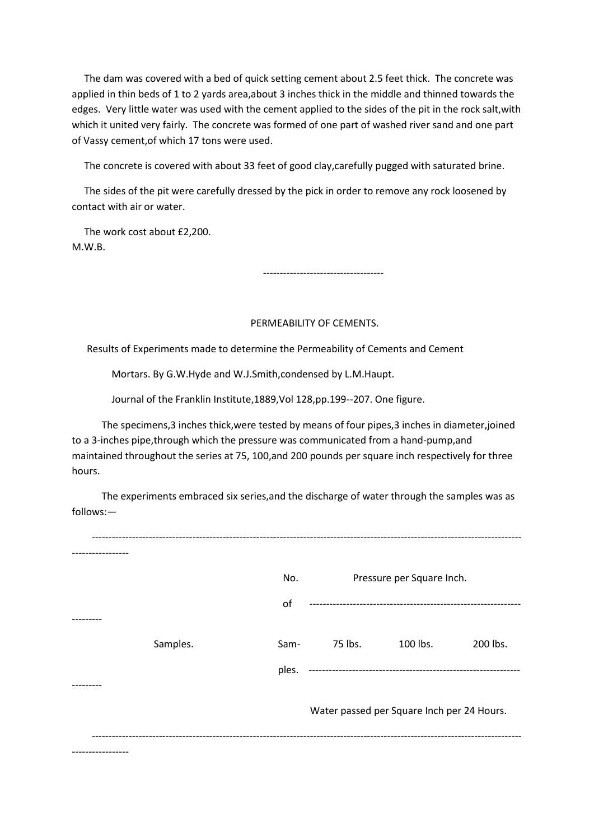The dam was covered with a bed of quick setting cement about 2.5 feet thick. The concrete was applied in thin beds of 1 to 2 yards area,about 3 inches thick in the middle and thinned towards the edges. Very little water was used with the cement applied to the sides of the pit in the rock salt,with which it united very fairly. The concrete was formed of one part of washed river sand and one part of Vassy cement,of which 17 tons were used.

The concrete is covered with about 33 feet of good clay,carefully pugged with saturated brine.

 The sides of the pit were carefully dressed by the pick in order to remove any rock loosened by contact with air or water.

 The work cost about £2,200. M.W.B.

------------------------------------

# PERMEABILITY OF CEMENTS.

Results of Experiments made to determine the Permeability of Cements and Cement

Mortars. By G.W.Hyde and W.J.Smith,condensed by L.M.Haupt.

Journal of the Franklin Institute,1889,Vol 128,pp.199--207. One figure.

 The specimens,3 inches thick,were tested by means of four pipes,3 inches in diameter,joined to a 3-inches pipe,through which the pressure was communicated from a hand-pump,and maintained throughout the series at 75, 100,and 200 pounds per square inch respectively for three hours.

 The experiments embraced six series,and the discharge of water through the samples was as follows:—

| No.   |         |          |                                                                         |
|-------|---------|----------|-------------------------------------------------------------------------|
| of    |         |          |                                                                         |
|       |         |          |                                                                         |
| Sam-  | 75 lbs. | 100 lbs. | 200 lbs.                                                                |
| ples. |         |          |                                                                         |
|       |         |          |                                                                         |
|       |         |          |                                                                         |
|       |         |          |                                                                         |
|       |         |          | Pressure per Square Inch.<br>Water passed per Square Inch per 24 Hours. |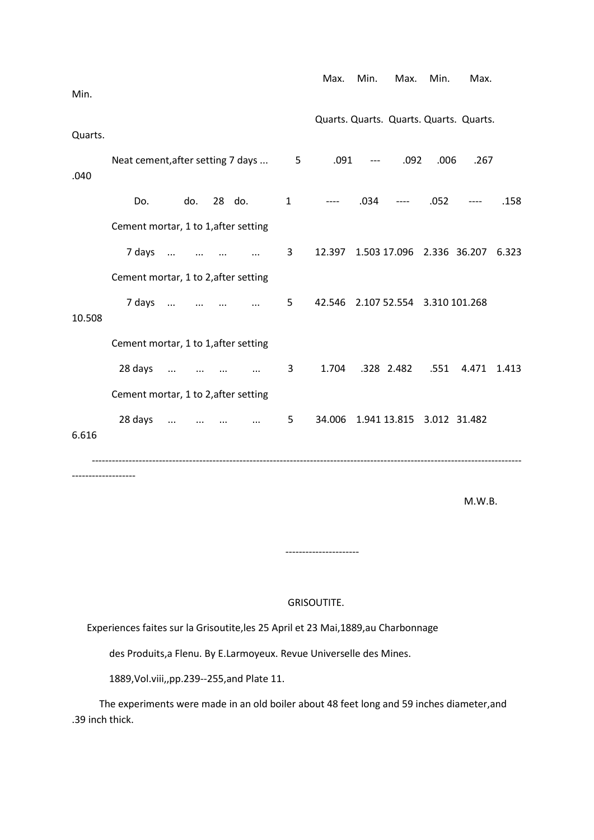| Min.    |                                      |          |                                   |          |                 | Max.                                                    | Min. | Max.                                                            | Min. | Max.                                    |       |
|---------|--------------------------------------|----------|-----------------------------------|----------|-----------------|---------------------------------------------------------|------|-----------------------------------------------------------------|------|-----------------------------------------|-------|
|         |                                      |          |                                   |          |                 |                                                         |      |                                                                 |      | Quarts. Quarts. Quarts. Quarts. Quarts. |       |
| Quarts. |                                      |          |                                   |          |                 |                                                         |      |                                                                 |      |                                         |       |
| .040    | Neat cement, after setting 7 days    |          |                                   |          | $5\overline{)}$ | .091                                                    |      | .092<br>$\begin{array}{ccc} - & - & - \\ - & - & - \end{array}$ | .006 | .267                                    |       |
|         | Do.                                  | do.      |                                   | 28 do.   | $\mathbf{1}$    | $\sim$ $\sim$ $\sim$ $\sim$ $\sim$ $\sim$ $\sim$ $\sim$ |      | $.034$ ----                                                     | .052 | $---$                                   | .158  |
|         | Cement mortar, 1 to 1, after setting |          |                                   |          |                 |                                                         |      |                                                                 |      |                                         |       |
|         |                                      | 7 days   |                                   |          | 3               |                                                         |      |                                                                 |      | 12.397 1.503 17.096 2.336 36.207 6.323  |       |
|         | Cement mortar, 1 to 2, after setting |          |                                   |          |                 |                                                         |      |                                                                 |      |                                         |       |
|         |                                      | 7 days   |                                   |          | 5               |                                                         |      | 42.546 2.107 52.554 3.310 101.268                               |      |                                         |       |
| 10.508  |                                      |          |                                   |          |                 |                                                         |      |                                                                 |      |                                         |       |
|         | Cement mortar, 1 to 1, after setting |          |                                   |          |                 |                                                         |      |                                                                 |      |                                         |       |
|         | 28 days                              | $\cdots$ | the company of the company of the | $\cdots$ | 3               | 1.704                                                   |      | .328 2.482 .551                                                 |      | 4.471                                   | 1.413 |
|         | Cement mortar, 1 to 2, after setting |          |                                   |          |                 |                                                         |      |                                                                 |      |                                         |       |
| 6.616   | 28 days                              | $\cdots$ | $\cdots$                          | $\cdots$ | 5               |                                                         |      | 34.006 1.941 13.815 3.012 31.482                                |      |                                         |       |
|         |                                      |          |                                   |          |                 |                                                         |      |                                                                 |      |                                         |       |
|         |                                      |          |                                   |          |                 |                                                         |      |                                                                 |      |                                         |       |

M.W.B.

### GRISOUTITE.

----------------------

Experiences faites sur la Grisoutite,les 25 April et 23 Mai,1889,au Charbonnage

des Produits,a Flenu. By E.Larmoyeux. Revue Universelle des Mines.

1889,Vol.viii,,pp.239--255,and Plate 11.

 The experiments were made in an old boiler about 48 feet long and 59 inches diameter,and .39 inch thick.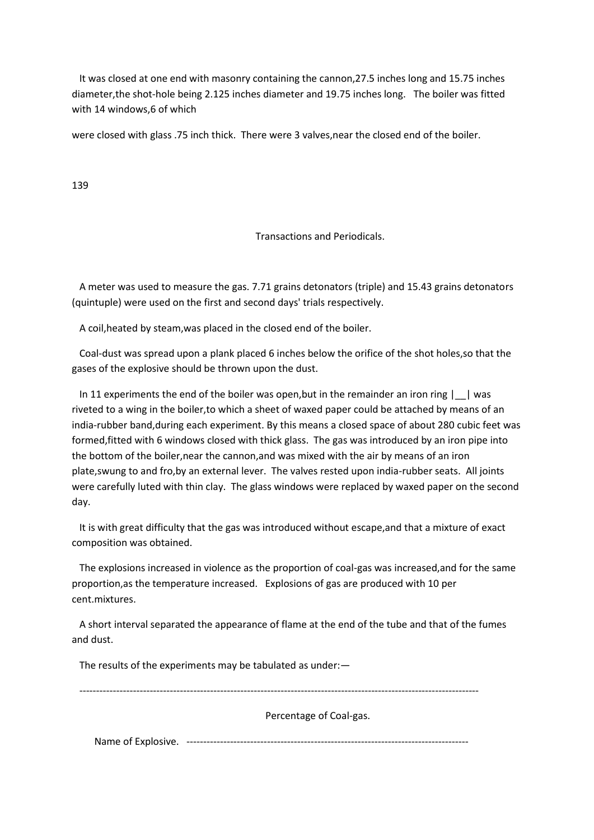It was closed at one end with masonry containing the cannon,27.5 inches long and 15.75 inches diameter,the shot-hole being 2.125 inches diameter and 19.75 inches long. The boiler was fitted with 14 windows,6 of which

were closed with glass .75 inch thick. There were 3 valves,near the closed end of the boiler.

139

Transactions and Periodicals.

 A meter was used to measure the gas. 7.71 grains detonators (triple) and 15.43 grains detonators (quintuple) were used on the first and second days' trials respectively.

A coil,heated by steam,was placed in the closed end of the boiler.

 Coal-dust was spread upon a plank placed 6 inches below the orifice of the shot holes,so that the gases of the explosive should be thrown upon the dust.

 In 11 experiments the end of the boiler was open,but in the remainder an iron ring |\_\_| was riveted to a wing in the boiler,to which a sheet of waxed paper could be attached by means of an india-rubber band,during each experiment. By this means a closed space of about 280 cubic feet was formed,fitted with 6 windows closed with thick glass. The gas was introduced by an iron pipe into the bottom of the boiler,near the cannon,and was mixed with the air by means of an iron plate,swung to and fro,by an external lever. The valves rested upon india-rubber seats. All joints were carefully luted with thin clay. The glass windows were replaced by waxed paper on the second day.

 It is with great difficulty that the gas was introduced without escape,and that a mixture of exact composition was obtained.

 The explosions increased in violence as the proportion of coal-gas was increased,and for the same proportion,as the temperature increased. Explosions of gas are produced with 10 per cent.mixtures.

 A short interval separated the appearance of flame at the end of the tube and that of the fumes and dust.

The results of the experiments may be tabulated as under:—

-----------------------------------------------------------------------------------------------------------------------

Percentage of Coal-gas.

Name of Explosive. ------------------------------------------------------------------------------------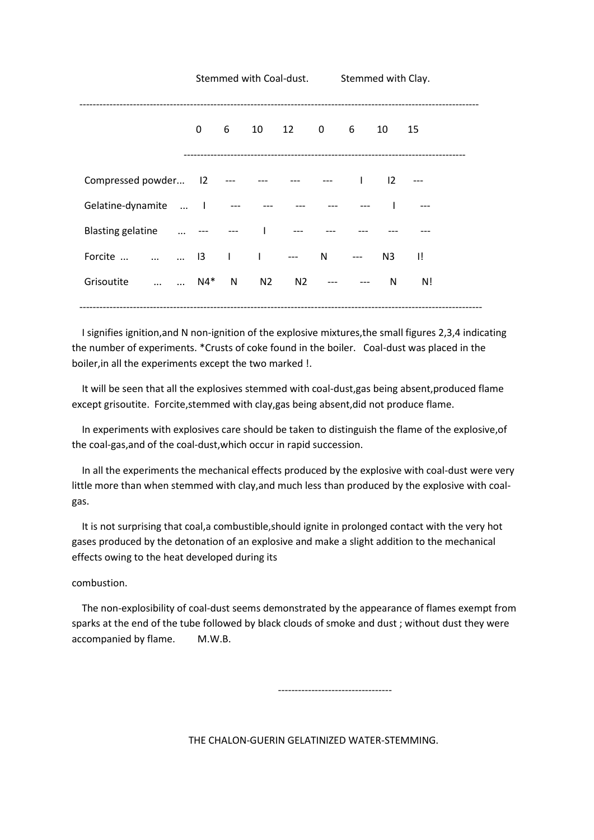|                                          |              |   |    | Stemmed with Coal-dust.                                                                                         | Stemmed with Clay.       |                |     |
|------------------------------------------|--------------|---|----|-----------------------------------------------------------------------------------------------------------------|--------------------------|----------------|-----|
|                                          | $\mathbf{0}$ | 6 |    | 10 12 0 6                                                                                                       |                          | 10 15          |     |
| Compressed powder 12 --- --- --- --- --- |              |   |    |                                                                                                                 | <b>Contract Contract</b> | $\overline{2}$ |     |
| Gelatine-dynamite  I                     |              |   |    | المساور المساور المساور المساور المساور المساور المساور المساور المساور المساور المساور المساور المساور المساور |                          |                |     |
| Blasting gelatine  --- --- I ---         |              |   |    |                                                                                                                 |                          |                |     |
| Forcite    13       ---                  |              |   |    |                                                                                                                 | N ---                    | N3             | -II |
| N4*<br>Grisoutite                        |              | N | N2 |                                                                                                                 | N2 --- ---               | N              | N!  |
|                                          |              |   |    |                                                                                                                 |                          |                |     |

 I signifies ignition,and N non-ignition of the explosive mixtures,the small figures 2,3,4 indicating the number of experiments. \*Crusts of coke found in the boiler. Coal-dust was placed in the boiler,in all the experiments except the two marked !.

 It will be seen that all the explosives stemmed with coal-dust,gas being absent,produced flame except grisoutite. Forcite,stemmed with clay,gas being absent,did not produce flame.

 In experiments with explosives care should be taken to distinguish the flame of the explosive,of the coal-gas,and of the coal-dust,which occur in rapid succession.

 In all the experiments the mechanical effects produced by the explosive with coal-dust were very little more than when stemmed with clay,and much less than produced by the explosive with coalgas.

 It is not surprising that coal,a combustible,should ignite in prolonged contact with the very hot gases produced by the detonation of an explosive and make a slight addition to the mechanical effects owing to the heat developed during its

combustion.

 The non-explosibility of coal-dust seems demonstrated by the appearance of flames exempt from sparks at the end of the tube followed by black clouds of smoke and dust ; without dust they were accompanied by flame. M.W.B.

----------------------------------

THE CHALON-GUERIN GELATINIZED WATER-STEMMING.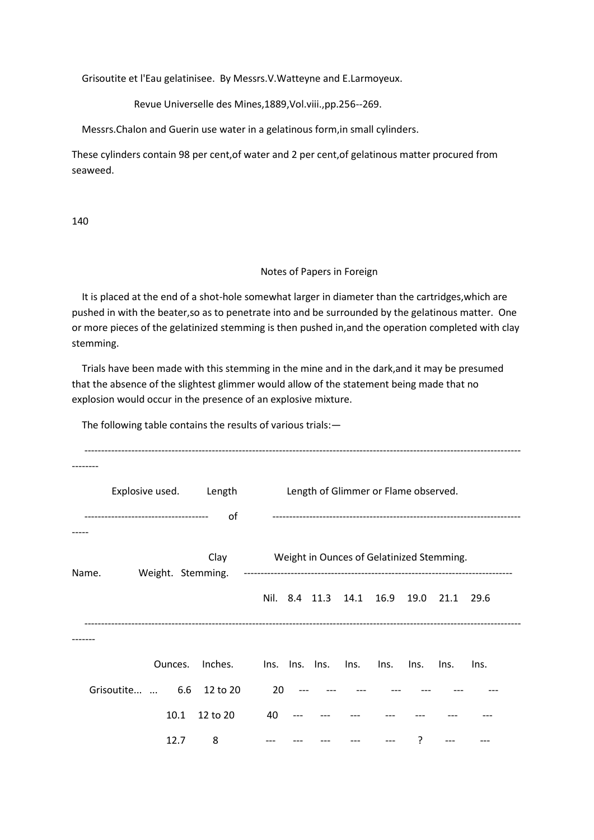Grisoutite et l'Eau gelatinisee. By Messrs.V.Watteyne and E.Larmoyeux.

Revue Universelle des Mines,1889,Vol.viii.,pp.256--269.

Messrs.Chalon and Guerin use water in a gelatinous form,in small cylinders.

These cylinders contain 98 per cent,of water and 2 per cent,of gelatinous matter procured from seaweed.

140

#### Notes of Papers in Foreign

 It is placed at the end of a shot-hole somewhat larger in diameter than the cartridges,which are pushed in with the beater,so as to penetrate into and be surrounded by the gelatinous matter. One or more pieces of the gelatinized stemming is then pushed in,and the operation completed with clay stemming.

 Trials have been made with this stemming in the mine and in the dark,and it may be presumed that the absence of the slightest glimmer would allow of the statement being made that no explosion would occur in the presence of an explosive mixture.

The following table contains the results of various trials:—

|       | Explosive used. Length          |         |                           |    |                |                 | Length of Glimmer or Flame observed. |      |                                           |      |  |
|-------|---------------------------------|---------|---------------------------|----|----------------|-----------------|--------------------------------------|------|-------------------------------------------|------|--|
|       | ------------------------------- |         | οf                        |    |                |                 |                                      |      |                                           |      |  |
| Name. |                                 |         | Clay<br>Weight. Stemming. |    |                |                 |                                      |      | Weight in Ounces of Gelatinized Stemming. |      |  |
|       |                                 |         |                           |    |                |                 | Nil. 8.4 11.3 14.1 16.9              |      | 19.0 21.1                                 | 29.6 |  |
|       |                                 |         |                           |    |                |                 |                                      |      |                                           |      |  |
|       |                                 | Ounces. | Inches.                   |    | Ins. Ins. Ins. | $\mathsf{Ins.}$ | Ins.                                 | Ins. | Ins.                                      | Ins. |  |
|       | Grisoutite  6.6                 |         | 12 to 20                  | 20 |                |                 |                                      |      |                                           |      |  |
|       |                                 | 10.1    | 12 to 20                  | 40 |                |                 |                                      |      |                                           |      |  |
|       |                                 | 12.7    | 8                         |    |                |                 |                                      | ?    |                                           |      |  |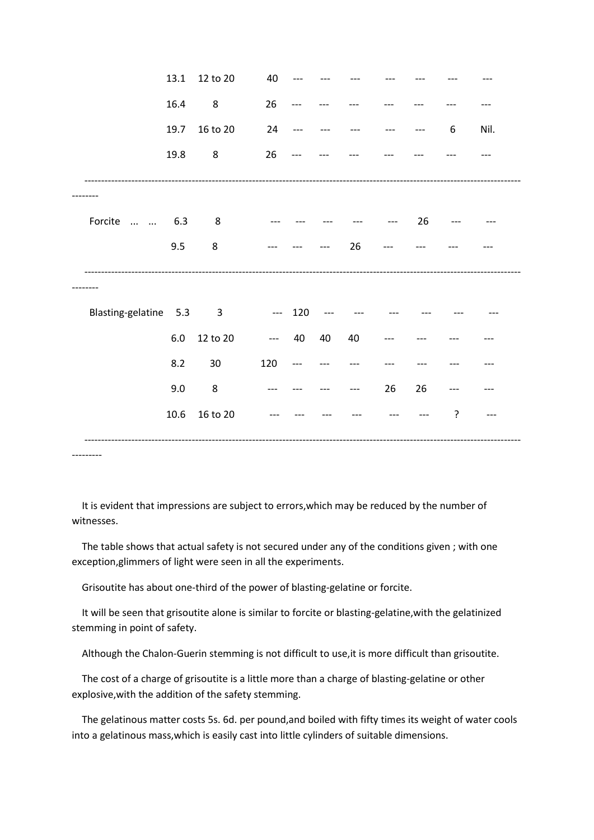|                                      | 13.1    | 12 to 20                | 40        |       |    |    |    |    |   |      |
|--------------------------------------|---------|-------------------------|-----------|-------|----|----|----|----|---|------|
|                                      | 16.4    | $\bf 8$                 | 26        |       |    |    |    |    |   |      |
|                                      | 19.7    | 16 to 20                | 24        | $---$ |    |    |    |    | 6 | Nil. |
|                                      | 19.8    | 8                       | 26        |       |    |    |    |    |   |      |
|                                      |         |                         |           |       |    |    |    |    |   |      |
| Forcite<br>$\sim 10^{11}$ km $^{-1}$ | 6.3     | 8                       |           |       |    |    |    | 26 |   |      |
|                                      | 9.5     | 8                       |           |       |    | 26 |    |    |   |      |
|                                      |         |                         |           |       |    |    |    |    |   |      |
| Blasting-gelatine 5.3                |         | $\overline{\mathbf{3}}$ | $- - 120$ |       |    |    |    |    |   |      |
|                                      | $6.0\,$ | 12 to 20                | $---$     | 40    | 40 | 40 |    |    |   |      |
|                                      | 8.2     | 30                      | 120       | ---   |    |    |    |    |   |      |
|                                      | 9.0     | 8                       |           |       |    |    | 26 | 26 |   |      |
|                                      | 10.6    | 16 to 20                |           |       |    |    |    |    | ? |      |

---------

 It is evident that impressions are subject to errors,which may be reduced by the number of witnesses.

 The table shows that actual safety is not secured under any of the conditions given ; with one exception,glimmers of light were seen in all the experiments.

Grisoutite has about one-third of the power of blasting-gelatine or forcite.

 It will be seen that grisoutite alone is similar to forcite or blasting-gelatine,with the gelatinized stemming in point of safety.

Although the Chalon-Guerin stemming is not difficult to use,it is more difficult than grisoutite.

 The cost of a charge of grisoutite is a little more than a charge of blasting-gelatine or other explosive,with the addition of the safety stemming.

 The gelatinous matter costs 5s. 6d. per pound,and boiled with fifty times its weight of water cools into a gelatinous mass,which is easily cast into little cylinders of suitable dimensions.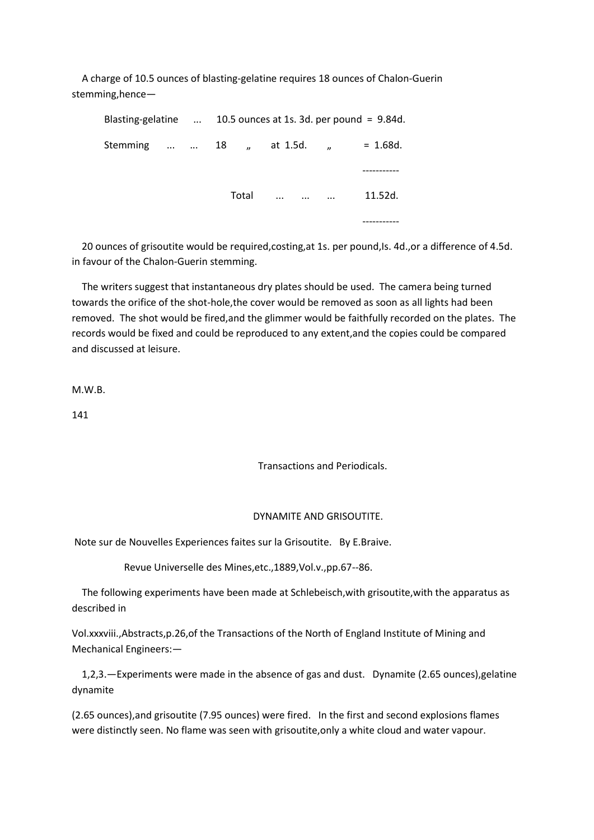A charge of 10.5 ounces of blasting-gelatine requires 18 ounces of Chalon-Guerin stemming,hence—

|                                     |  | Blasting-gelatine $\ldots$ 10.5 ounces at 1s. 3d. per pound = 9.84d. |  |                   |  |         |  |  |
|-------------------------------------|--|----------------------------------------------------------------------|--|-------------------|--|---------|--|--|
| Stemming   18 , at 1.5d. , = 1.68d. |  |                                                                      |  |                   |  |         |  |  |
|                                     |  |                                                                      |  |                   |  |         |  |  |
|                                     |  | Total                                                                |  | $\cdots$ $\cdots$ |  | 11.52d. |  |  |
|                                     |  |                                                                      |  |                   |  |         |  |  |

20 ounces of grisoutite would be required, costing, at 1s. per pound, Is. 4d., or a difference of 4.5d. in favour of the Chalon-Guerin stemming.

 The writers suggest that instantaneous dry plates should be used. The camera being turned towards the orifice of the shot-hole,the cover would be removed as soon as all lights had been removed. The shot would be fired,and the glimmer would be faithfully recorded on the plates. The records would be fixed and could be reproduced to any extent,and the copies could be compared and discussed at leisure.

M.W.B.

141

Transactions and Periodicals.

#### DYNAMITE AND GRISOUTITE.

Note sur de Nouvelles Experiences faites sur la Grisoutite. By E.Braive.

Revue Universelle des Mines,etc.,1889,Vol.v.,pp.67--86.

 The following experiments have been made at Schlebeisch,with grisoutite,with the apparatus as described in

Vol.xxxviii.,Abstracts,p.26,of the Transactions of the North of England Institute of Mining and Mechanical Engineers:—

 1,2,3.—Experiments were made in the absence of gas and dust. Dynamite (2.65 ounces),gelatine dynamite

(2.65 ounces),and grisoutite (7.95 ounces) were fired. In the first and second explosions flames were distinctly seen. No flame was seen with grisoutite,only a white cloud and water vapour.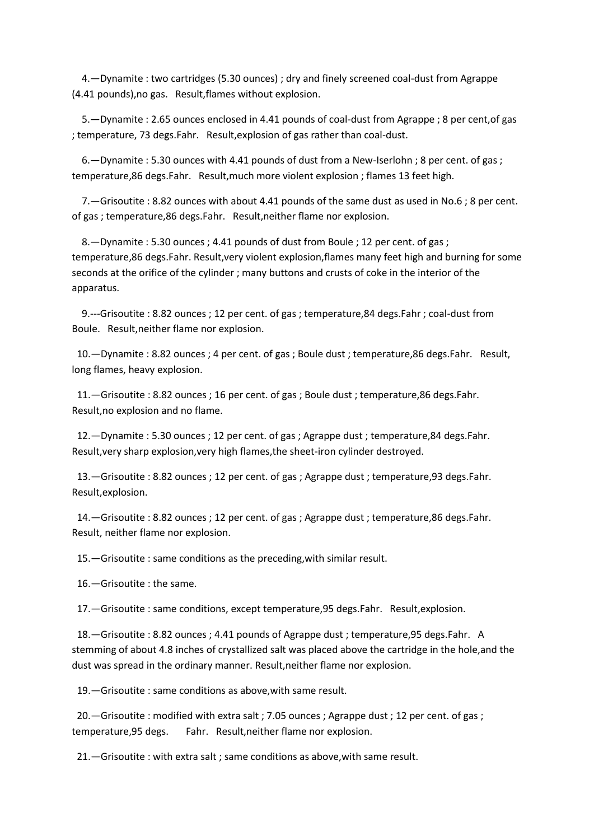4.—Dynamite : two cartridges (5.30 ounces) ; dry and finely screened coal-dust from Agrappe (4.41 pounds),no gas. Result,flames without explosion.

 5.—Dynamite : 2.65 ounces enclosed in 4.41 pounds of coal-dust from Agrappe ; 8 per cent,of gas ; temperature, 73 degs.Fahr. Result,explosion of gas rather than coal-dust.

 6.—Dynamite : 5.30 ounces with 4.41 pounds of dust from a New-Iserlohn ; 8 per cent. of gas ; temperature,86 degs.Fahr. Result,much more violent explosion ; flames 13 feet high.

 7.—Grisoutite : 8.82 ounces with about 4.41 pounds of the same dust as used in No.6 ; 8 per cent. of gas ; temperature,86 degs.Fahr. Result,neither flame nor explosion.

 8.—Dynamite : 5.30 ounces ; 4.41 pounds of dust from Boule ; 12 per cent. of gas ; temperature,86 degs.Fahr. Result,very violent explosion,flames many feet high and burning for some seconds at the orifice of the cylinder ; many buttons and crusts of coke in the interior of the apparatus.

 9.---Grisoutite : 8.82 ounces ; 12 per cent. of gas ; temperature,84 degs.Fahr ; coal-dust from Boule. Result,neither flame nor explosion.

 10.—Dynamite : 8.82 ounces ; 4 per cent. of gas ; Boule dust ; temperature,86 degs.Fahr. Result, long flames, heavy explosion.

 11.—Grisoutite : 8.82 ounces ; 16 per cent. of gas ; Boule dust ; temperature,86 degs.Fahr. Result,no explosion and no flame.

 12.—Dynamite : 5.30 ounces ; 12 per cent. of gas ; Agrappe dust ; temperature,84 degs.Fahr. Result,very sharp explosion,very high flames,the sheet-iron cylinder destroyed.

 13.—Grisoutite : 8.82 ounces ; 12 per cent. of gas ; Agrappe dust ; temperature,93 degs.Fahr. Result,explosion.

 14.—Grisoutite : 8.82 ounces ; 12 per cent. of gas ; Agrappe dust ; temperature,86 degs.Fahr. Result, neither flame nor explosion.

15.—Grisoutite : same conditions as the preceding,with similar result.

16.—Grisoutite : the same.

17.—Grisoutite : same conditions, except temperature,95 degs.Fahr. Result,explosion.

 18.—Grisoutite : 8.82 ounces ; 4.41 pounds of Agrappe dust ; temperature,95 degs.Fahr. A stemming of about 4.8 inches of crystallized salt was placed above the cartridge in the hole,and the dust was spread in the ordinary manner. Result,neither flame nor explosion.

19.—Grisoutite : same conditions as above,with same result.

 20.—Grisoutite : modified with extra salt ; 7.05 ounces ; Agrappe dust ; 12 per cent. of gas ; temperature,95 degs. Fahr. Result,neither flame nor explosion.

21.—Grisoutite : with extra salt ; same conditions as above,with same result.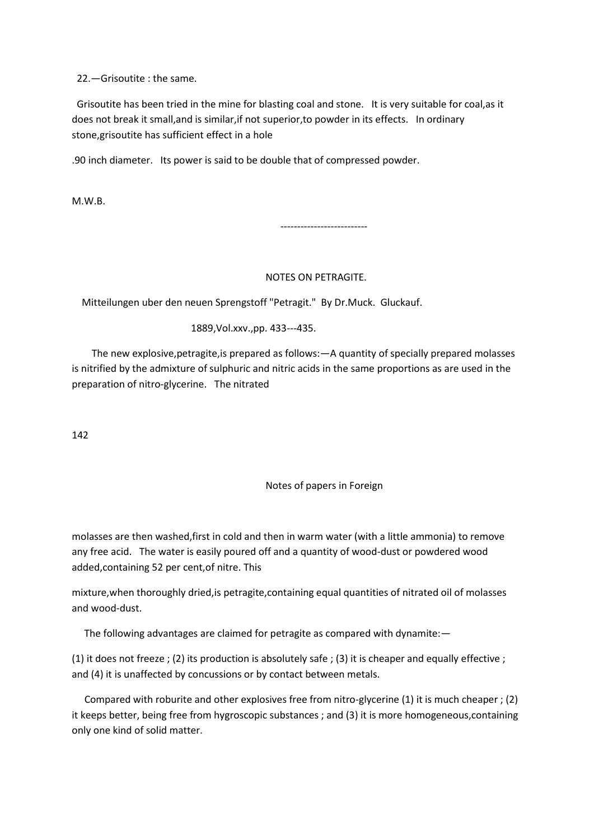22.—Grisoutite : the same.

 Grisoutite has been tried in the mine for blasting coal and stone. It is very suitable for coal,as it does not break it small,and is similar,if not superior,to powder in its effects. In ordinary stone,grisoutite has sufficient effect in a hole

.90 inch diameter. Its power is said to be double that of compressed powder.

M.W.B.

--------------------------

# NOTES ON PETRAGITE.

Mitteilungen uber den neuen Sprengstoff "Petragit." By Dr.Muck. Gluckauf.

1889,Vol.xxv.,pp. 433---435.

 The new explosive,petragite,is prepared as follows:—A quantity of specially prepared molasses is nitrified by the admixture of sulphuric and nitric acids in the same proportions as are used in the preparation of nitro-glycerine. The nitrated

142

Notes of papers in Foreign

molasses are then washed,first in cold and then in warm water (with a little ammonia) to remove any free acid. The water is easily poured off and a quantity of wood-dust or powdered wood added,containing 52 per cent,of nitre. This

mixture,when thoroughly dried,is petragite,containing equal quantities of nitrated oil of molasses and wood-dust.

The following advantages are claimed for petragite as compared with dynamite:—

(1) it does not freeze ; (2) its production is absolutely safe ; (3) it is cheaper and equally effective ; and (4) it is unaffected by concussions or by contact between metals.

 Compared with roburite and other explosives free from nitro-glycerine (1) it is much cheaper ; (2) it keeps better, being free from hygroscopic substances ; and (3) it is more homogeneous,containing only one kind of solid matter.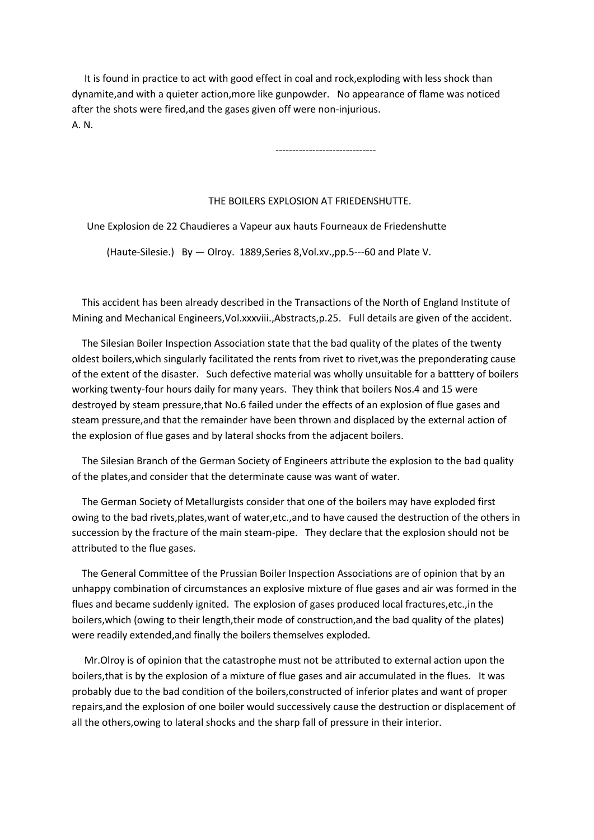It is found in practice to act with good effect in coal and rock,exploding with less shock than dynamite,and with a quieter action,more like gunpowder. No appearance of flame was noticed after the shots were fired,and the gases given off were non-injurious. A. N.

------------------------------

#### THE BOILERS EXPLOSION AT FRIEDENSHUTTE.

Une Explosion de 22 Chaudieres a Vapeur aux hauts Fourneaux de Friedenshutte

(Haute-Silesie.) By — Olroy. 1889,Series 8,Vol.xv.,pp.5---60 and Plate V.

 This accident has been already described in the Transactions of the North of England Institute of Mining and Mechanical Engineers,Vol.xxxviii.,Abstracts,p.25. Full details are given of the accident.

 The Silesian Boiler Inspection Association state that the bad quality of the plates of the twenty oldest boilers,which singularly facilitated the rents from rivet to rivet,was the preponderating cause of the extent of the disaster. Such defective material was wholly unsuitable for a batttery of boilers working twenty-four hours daily for many years. They think that boilers Nos.4 and 15 were destroyed by steam pressure,that No.6 failed under the effects of an explosion of flue gases and steam pressure,and that the remainder have been thrown and displaced by the external action of the explosion of flue gases and by lateral shocks from the adjacent boilers.

 The Silesian Branch of the German Society of Engineers attribute the explosion to the bad quality of the plates,and consider that the determinate cause was want of water.

 The German Society of Metallurgists consider that one of the boilers may have exploded first owing to the bad rivets,plates,want of water,etc.,and to have caused the destruction of the others in succession by the fracture of the main steam-pipe. They declare that the explosion should not be attributed to the flue gases.

 The General Committee of the Prussian Boiler Inspection Associations are of opinion that by an unhappy combination of circumstances an explosive mixture of flue gases and air was formed in the flues and became suddenly ignited. The explosion of gases produced local fractures,etc.,in the boilers,which (owing to their length,their mode of construction,and the bad quality of the plates) were readily extended,and finally the boilers themselves exploded.

 Mr.Olroy is of opinion that the catastrophe must not be attributed to external action upon the boilers,that is by the explosion of a mixture of flue gases and air accumulated in the flues. It was probably due to the bad condition of the boilers,constructed of inferior plates and want of proper repairs,and the explosion of one boiler would successively cause the destruction or displacement of all the others,owing to lateral shocks and the sharp fall of pressure in their interior.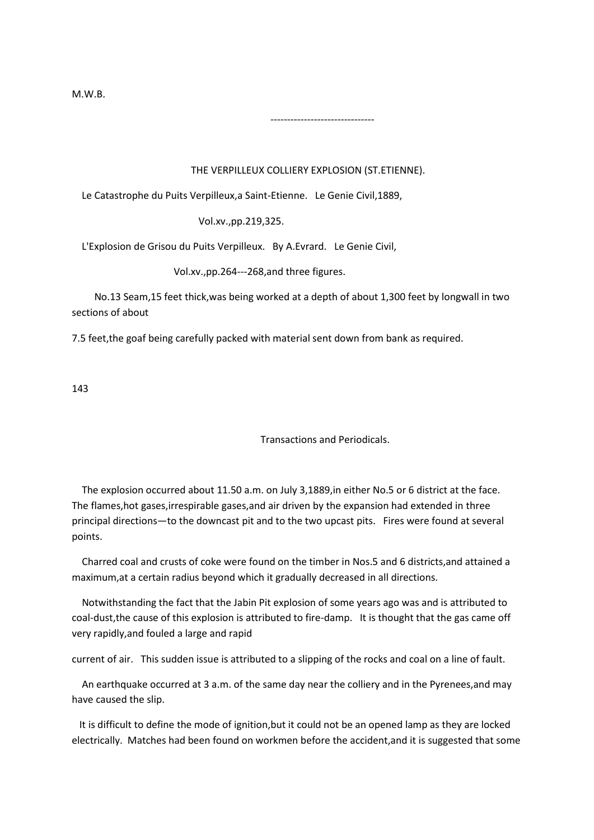M.W.B.

# THE VERPILLEUX COLLIERY EXPLOSION (ST.ETIENNE).

Le Catastrophe du Puits Verpilleux,a Saint-Etienne. Le Genie Civil,1889,

-------------------------------

Vol.xv.,pp.219,325.

L'Explosion de Grisou du Puits Verpilleux. By A.Evrard. Le Genie Civil,

Vol.xv.,pp.264---268,and three figures.

 No.13 Seam,15 feet thick,was being worked at a depth of about 1,300 feet by longwall in two sections of about

7.5 feet,the goaf being carefully packed with material sent down from bank as required.

143

Transactions and Periodicals.

 The explosion occurred about 11.50 a.m. on July 3,1889,in either No.5 or 6 district at the face. The flames,hot gases,irrespirable gases,and air driven by the expansion had extended in three principal directions—to the downcast pit and to the two upcast pits. Fires were found at several points.

 Charred coal and crusts of coke were found on the timber in Nos.5 and 6 districts,and attained a maximum,at a certain radius beyond which it gradually decreased in all directions.

 Notwithstanding the fact that the Jabin Pit explosion of some years ago was and is attributed to coal-dust,the cause of this explosion is attributed to fire-damp. It is thought that the gas came off very rapidly,and fouled a large and rapid

current of air. This sudden issue is attributed to a slipping of the rocks and coal on a line of fault.

 An earthquake occurred at 3 a.m. of the same day near the colliery and in the Pyrenees,and may have caused the slip.

 It is difficult to define the mode of ignition,but it could not be an opened lamp as they are locked electrically. Matches had been found on workmen before the accident,and it is suggested that some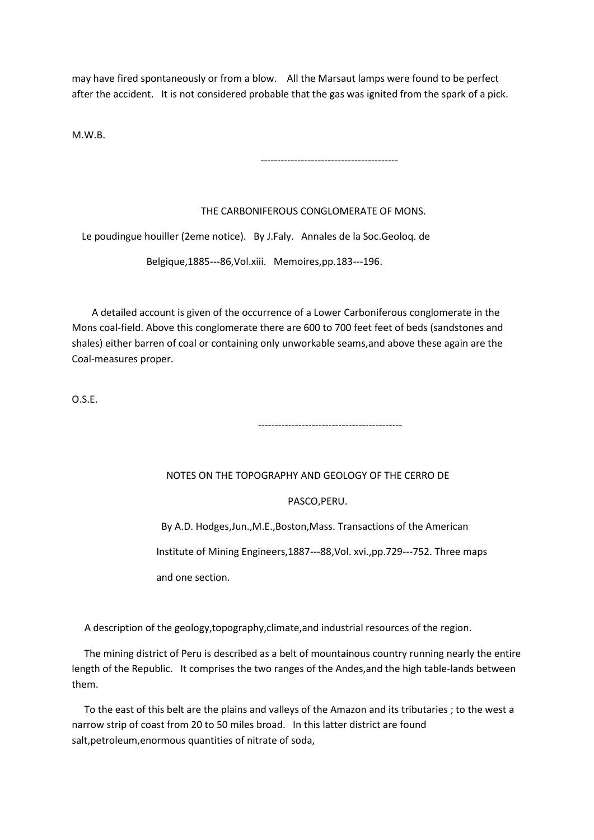may have fired spontaneously or from a blow. All the Marsaut lamps were found to be perfect after the accident. It is not considered probable that the gas was ignited from the spark of a pick.

M.W.B.

-----------------------------------------

# THE CARBONIFEROUS CONGLOMERATE OF MONS.

Le poudingue houiller (2eme notice). By J.Faly. Annales de la Soc.Geoloq. de

-------------------------------------------

Belgique,1885---86,Vol.xiii. Memoires,pp.183---196.

 A detailed account is given of the occurrence of a Lower Carboniferous conglomerate in the Mons coal-field. Above this conglomerate there are 600 to 700 feet feet of beds (sandstones and shales) either barren of coal or containing only unworkable seams,and above these again are the Coal-measures proper.

O.S.E.

# NOTES ON THE TOPOGRAPHY AND GEOLOGY OF THE CERRO DE

PASCO,PERU.

 By A.D. Hodges,Jun.,M.E.,Boston,Mass. Transactions of the American Institute of Mining Engineers,1887---88,Vol. xvi.,pp.729---752. Three maps and one section.

A description of the geology,topography,climate,and industrial resources of the region.

 The mining district of Peru is described as a belt of mountainous country running nearly the entire length of the Republic. It comprises the two ranges of the Andes,and the high table-lands between them.

 To the east of this belt are the plains and valleys of the Amazon and its tributaries ; to the west a narrow strip of coast from 20 to 50 miles broad. In this latter district are found salt,petroleum,enormous quantities of nitrate of soda,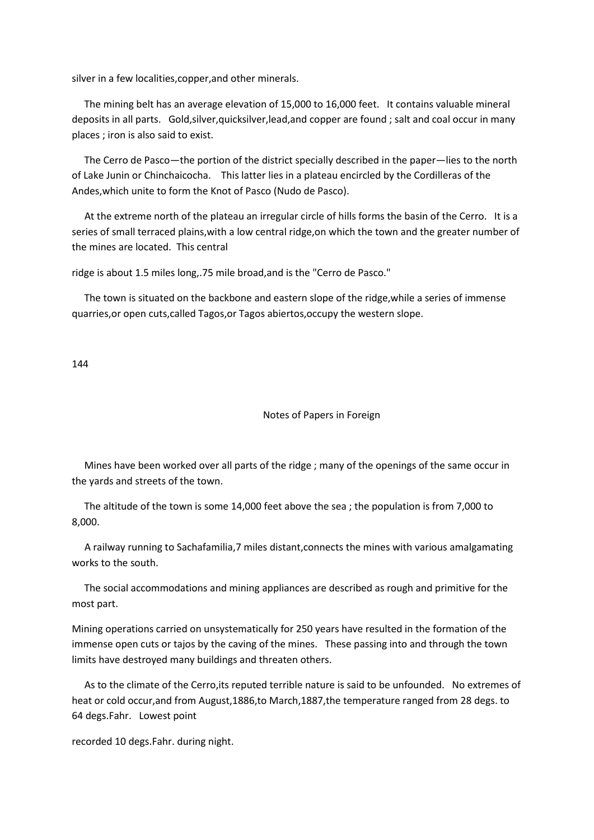silver in a few localities,copper,and other minerals.

 The mining belt has an average elevation of 15,000 to 16,000 feet. It contains valuable mineral deposits in all parts. Gold,silver,quicksilver,lead,and copper are found ; salt and coal occur in many places ; iron is also said to exist.

 The Cerro de Pasco—the portion of the district specially described in the paper—lies to the north of Lake Junin or Chinchaicocha. This latter lies in a plateau encircled by the Cordilleras of the Andes,which unite to form the Knot of Pasco (Nudo de Pasco).

 At the extreme north of the plateau an irregular circle of hills forms the basin of the Cerro. It is a series of small terraced plains,with a low central ridge,on which the town and the greater number of the mines are located. This central

ridge is about 1.5 miles long,.75 mile broad,and is the "Cerro de Pasco."

 The town is situated on the backbone and eastern slope of the ridge,while a series of immense quarries,or open cuts,called Tagos,or Tagos abiertos,occupy the western slope.

144

#### Notes of Papers in Foreign

 Mines have been worked over all parts of the ridge ; many of the openings of the same occur in the yards and streets of the town.

 The altitude of the town is some 14,000 feet above the sea ; the population is from 7,000 to 8,000.

 A railway running to Sachafamilia,7 miles distant,connects the mines with various amalgamating works to the south.

 The social accommodations and mining appliances are described as rough and primitive for the most part.

Mining operations carried on unsystematically for 250 years have resulted in the formation of the immense open cuts or tajos by the caving of the mines. These passing into and through the town limits have destroyed many buildings and threaten others.

 As to the climate of the Cerro,its reputed terrible nature is said to be unfounded. No extremes of heat or cold occur,and from August,1886,to March,1887,the temperature ranged from 28 degs. to 64 degs.Fahr. Lowest point

recorded 10 degs.Fahr. during night.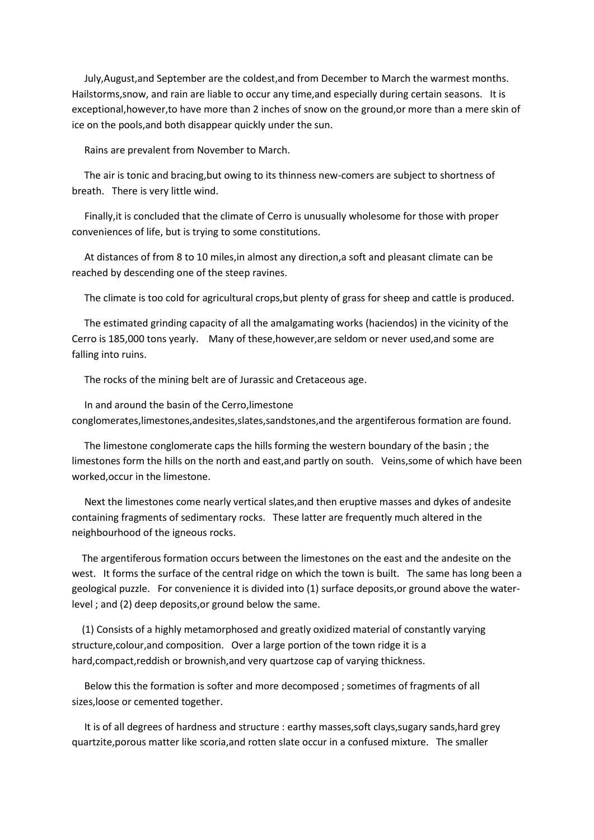July,August,and September are the coldest,and from December to March the warmest months. Hailstorms,snow, and rain are liable to occur any time,and especially during certain seasons. It is exceptional,however,to have more than 2 inches of snow on the ground,or more than a mere skin of ice on the pools,and both disappear quickly under the sun.

Rains are prevalent from November to March.

 The air is tonic and bracing,but owing to its thinness new-comers are subject to shortness of breath. There is very little wind.

 Finally,it is concluded that the climate of Cerro is unusually wholesome for those with proper conveniences of life, but is trying to some constitutions.

 At distances of from 8 to 10 miles,in almost any direction,a soft and pleasant climate can be reached by descending one of the steep ravines.

The climate is too cold for agricultural crops,but plenty of grass for sheep and cattle is produced.

 The estimated grinding capacity of all the amalgamating works (haciendos) in the vicinity of the Cerro is 185,000 tons yearly. Many of these,however,are seldom or never used,and some are falling into ruins.

The rocks of the mining belt are of Jurassic and Cretaceous age.

 In and around the basin of the Cerro,limestone conglomerates,limestones,andesites,slates,sandstones,and the argentiferous formation are found.

 The limestone conglomerate caps the hills forming the western boundary of the basin ; the limestones form the hills on the north and east,and partly on south. Veins,some of which have been worked,occur in the limestone.

 Next the limestones come nearly vertical slates,and then eruptive masses and dykes of andesite containing fragments of sedimentary rocks. These latter are frequently much altered in the neighbourhood of the igneous rocks.

 The argentiferous formation occurs between the limestones on the east and the andesite on the west. It forms the surface of the central ridge on which the town is built. The same has long been a geological puzzle. For convenience it is divided into (1) surface deposits,or ground above the waterlevel ; and (2) deep deposits,or ground below the same.

 (1) Consists of a highly metamorphosed and greatly oxidized material of constantly varying structure,colour,and composition. Over a large portion of the town ridge it is a hard,compact,reddish or brownish,and very quartzose cap of varying thickness.

 Below this the formation is softer and more decomposed ; sometimes of fragments of all sizes,loose or cemented together.

 It is of all degrees of hardness and structure : earthy masses,soft clays,sugary sands,hard grey quartzite,porous matter like scoria,and rotten slate occur in a confused mixture. The smaller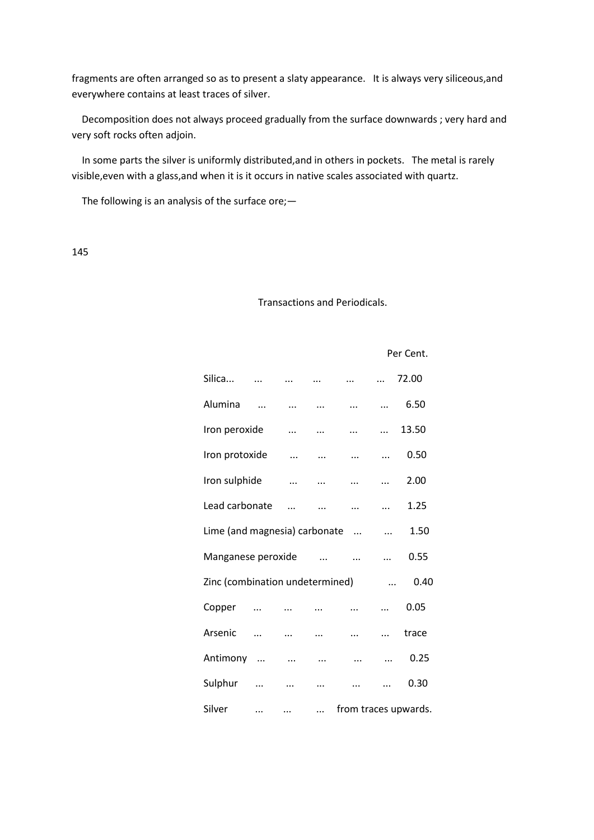fragments are often arranged so as to present a slaty appearance. It is always very siliceous,and everywhere contains at least traces of silver.

 Decomposition does not always proceed gradually from the surface downwards ; very hard and very soft rocks often adjoin.

 In some parts the silver is uniformly distributed,and in others in pockets. The metal is rarely visible,even with a glass,and when it is it occurs in native scales associated with quartz.

The following is an analysis of the surface ore;—

145

# Transactions and Periodicals.

Per Cent.

| Silica                          |            |            |           |              | $\cdots$  | 72.00                |
|---------------------------------|------------|------------|-----------|--------------|-----------|----------------------|
| Alumina                         |            | $\cdots$   | $\cdots$  |              |           | 6.50                 |
| Iron peroxide                   |            | $\ddotsc$  | $\ddotsc$ | $\ddotsc$    | $\cdots$  | 13.50                |
| Iron protoxide                  |            | $\dddotsc$ | $\ddotsc$ | $\cdots$     | $\cdots$  | 0.50                 |
| Iron sulphide                   |            | $\ddotsc$  | $\cdots$  | $\cdots$     | $\ddotsc$ | 2.00                 |
| Lead carbonate                  |            |            |           | $\cdots$     |           | 1.25                 |
| Lime (and magnesia) carbonate   |            |            |           | $\mathbf{u}$ | $\ddots$  | 1.50                 |
| Manganese peroxide              |            |            | $\ddots$  | $\dddotsc$   | $\cdots$  | 0.55                 |
| Zinc (combination undetermined) |            |            |           |              | $\cdots$  | 0.40                 |
| Copper                          | $\cdots$   |            | $\cdots$  | $\ddotsc$    |           | 0.05                 |
| Arsenic                         | $\cdots$   | $\cdots$   | $\cdots$  | $\ldots$     | $\ddotsc$ | trace                |
| Antimony                        | $\ldots$ . | $\ldots$   | $\cdots$  |              |           | 0.25                 |
| Sulphur                         | $\cdots$   | $\cdots$   | $\ddotsc$ |              | $\cdots$  | 0.30                 |
| Silver                          | $\cdots$   | $\cdots$   | $\ldots$  |              |           | from traces upwards. |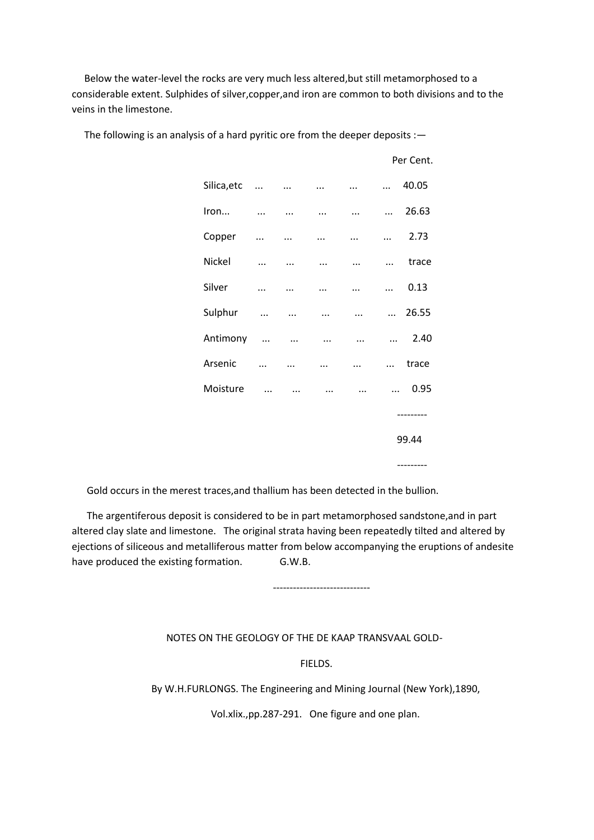Below the water-level the rocks are very much less altered,but still metamorphosed to a considerable extent. Sulphides of silver,copper,and iron are common to both divisions and to the veins in the limestone.

|             |                             |           |           |           |            | Per Cent.  |
|-------------|-----------------------------|-----------|-----------|-----------|------------|------------|
| Silica, etc | $\sim$ $\sim$ $\sim$ $\sim$ |           | $\cdots$  | $\ddots$  | $\cdots$   | 40.05      |
| Iron        | $\cdots$                    | $\ddotsc$ | $\cdots$  | $\ddotsc$ | $\cdots$   | 26.63      |
| Copper      | $\ddotsc$                   | $\cdots$  | $\cdots$  | $\cdots$  | $\ddotsc$  | 2.73       |
| Nickel      | $\cdots$                    | $\ddotsc$ | $\cdots$  | $\ddotsc$ | $\cdots$   | trace      |
| Silver      | $\cdots$                    | $\cdots$  | $\cdots$  | $\ddotsc$ | $\cdots$   | 0.13       |
| Sulphur     | $\ddotsc$                   | $\ddotsc$ | $\cdots$  | $\ddotsc$ |            | $$ 26.55   |
| Antimony    | $\ddotsc$                   | $\ddotsc$ | $\cdots$  | $\cdots$  | $\dddotsc$ | 2.40       |
| Arsenic     | $\cdots$                    | $\ddotsc$ | $\ddotsc$ | $\cdots$  | $\ddotsc$  | trace      |
| Moisture    | $\dddotsc$                  | $\cdots$  | $\cdots$  | $\cdots$  | $\dddotsc$ | 0.95       |
|             |                             |           |           |           |            | ---------- |
|             |                             |           |           |           |            | 99.44      |
|             |                             |           |           |           |            | ---------- |

The following is an analysis of a hard pyritic ore from the deeper deposits :-

Gold occurs in the merest traces,and thallium has been detected in the bullion.

 The argentiferous deposit is considered to be in part metamorphosed sandstone,and in part altered clay slate and limestone. The original strata having been repeatedly tilted and altered by ejections of siliceous and metalliferous matter from below accompanying the eruptions of andesite have produced the existing formation. G.W.B.

-----------------------------

NOTES ON THE GEOLOGY OF THE DE KAAP TRANSVAAL GOLD-

FIELDS.

By W.H.FURLONGS. The Engineering and Mining Journal (New York),1890,

Vol.xlix.,pp.287-291. One figure and one plan.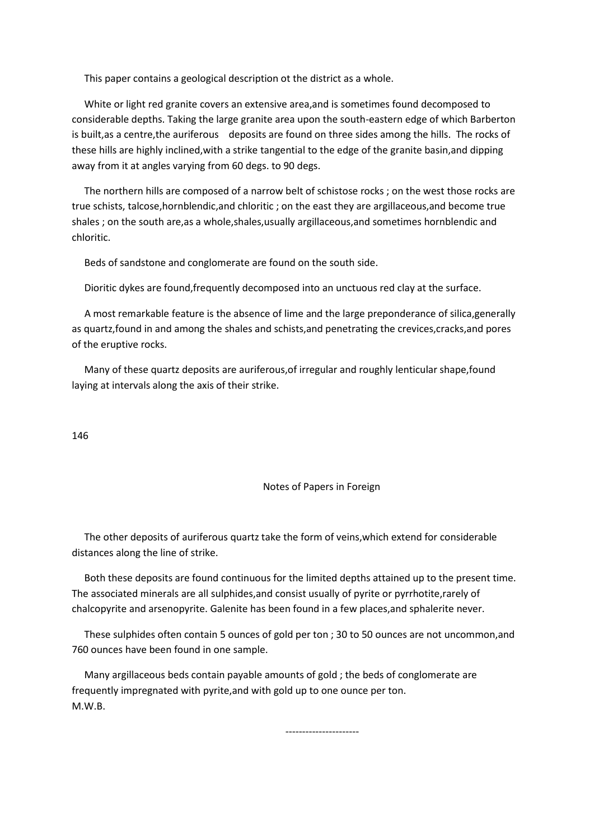This paper contains a geological description ot the district as a whole.

 White or light red granite covers an extensive area,and is sometimes found decomposed to considerable depths. Taking the large granite area upon the south-eastern edge of which Barberton is built,as a centre,the auriferous deposits are found on three sides among the hills. The rocks of these hills are highly inclined,with a strike tangential to the edge of the granite basin,and dipping away from it at angles varying from 60 degs. to 90 degs.

 The northern hills are composed of a narrow belt of schistose rocks ; on the west those rocks are true schists, talcose,hornblendic,and chloritic ; on the east they are argillaceous,and become true shales ; on the south are,as a whole,shales,usually argillaceous,and sometimes hornblendic and chloritic.

Beds of sandstone and conglomerate are found on the south side.

Dioritic dykes are found,frequently decomposed into an unctuous red clay at the surface.

 A most remarkable feature is the absence of lime and the large preponderance of silica,generally as quartz,found in and among the shales and schists,and penetrating the crevices,cracks,and pores of the eruptive rocks.

 Many of these quartz deposits are auriferous,of irregular and roughly lenticular shape,found laying at intervals along the axis of their strike.

146

#### Notes of Papers in Foreign

 The other deposits of auriferous quartz take the form of veins,which extend for considerable distances along the line of strike.

 Both these deposits are found continuous for the limited depths attained up to the present time. The associated minerals are all sulphides,and consist usually of pyrite or pyrrhotite,rarely of chalcopyrite and arsenopyrite. Galenite has been found in a few places,and sphalerite never.

 These sulphides often contain 5 ounces of gold per ton ; 30 to 50 ounces are not uncommon,and 760 ounces have been found in one sample.

 Many argillaceous beds contain payable amounts of gold ; the beds of conglomerate are frequently impregnated with pyrite,and with gold up to one ounce per ton. M.W.B.

----------------------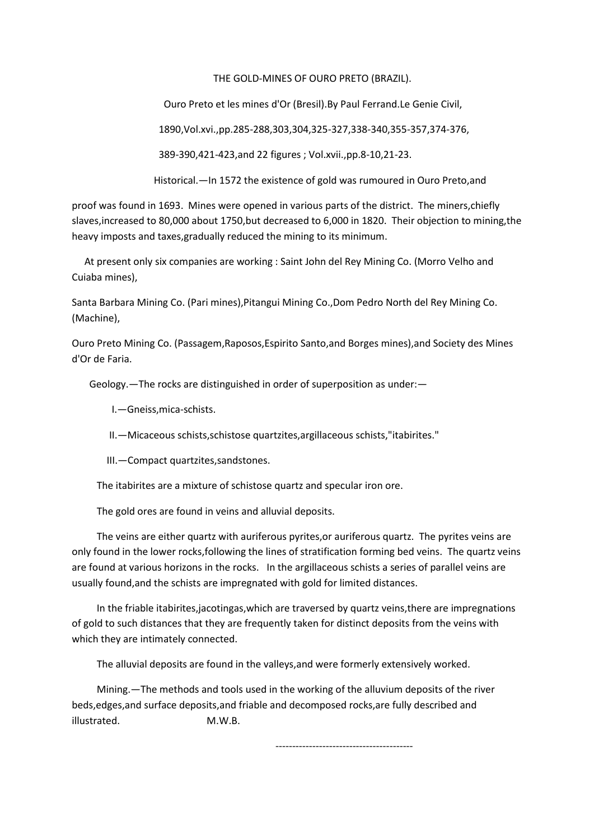## THE GOLD-MINES OF OURO PRETO (BRAZIL).

Ouro Preto et les mines d'Or (Bresil).By Paul Ferrand.Le Genie Civil,

1890,Vol.xvi.,pp.285-288,303,304,325-327,338-340,355-357,374-376,

389-390,421-423,and 22 figures ; Vol.xvii.,pp.8-10,21-23.

Historical.—In 1572 the existence of gold was rumoured in Ouro Preto,and

proof was found in 1693. Mines were opened in various parts of the district. The miners,chiefly slaves,increased to 80,000 about 1750,but decreased to 6,000 in 1820. Their objection to mining,the heavy imposts and taxes,gradually reduced the mining to its minimum.

 At present only six companies are working : Saint John del Rey Mining Co. (Morro Velho and Cuiaba mines),

Santa Barbara Mining Co. (Pari mines),Pitangui Mining Co.,Dom Pedro North del Rey Mining Co. (Machine),

Ouro Preto Mining Co. (Passagem,Raposos,Espirito Santo,and Borges mines),and Society des Mines d'Or de Faria.

Geology.—The rocks are distinguished in order of superposition as under:—

I.—Gneiss,mica-schists.

II.—Micaceous schists,schistose quartzites,argillaceous schists,"itabirites."

III.—Compact quartzites,sandstones.

The itabirites are a mixture of schistose quartz and specular iron ore.

The gold ores are found in veins and alluvial deposits.

 The veins are either quartz with auriferous pyrites,or auriferous quartz. The pyrites veins are only found in the lower rocks,following the lines of stratification forming bed veins. The quartz veins are found at various horizons in the rocks. In the argillaceous schists a series of parallel veins are usually found,and the schists are impregnated with gold for limited distances.

 In the friable itabirites,jacotingas,which are traversed by quartz veins,there are impregnations of gold to such distances that they are frequently taken for distinct deposits from the veins with which they are intimately connected.

The alluvial deposits are found in the valleys,and were formerly extensively worked.

 Mining.—The methods and tools used in the working of the alluvium deposits of the river beds,edges,and surface deposits,and friable and decomposed rocks,are fully described and illustrated. M.W.B.

-----------------------------------------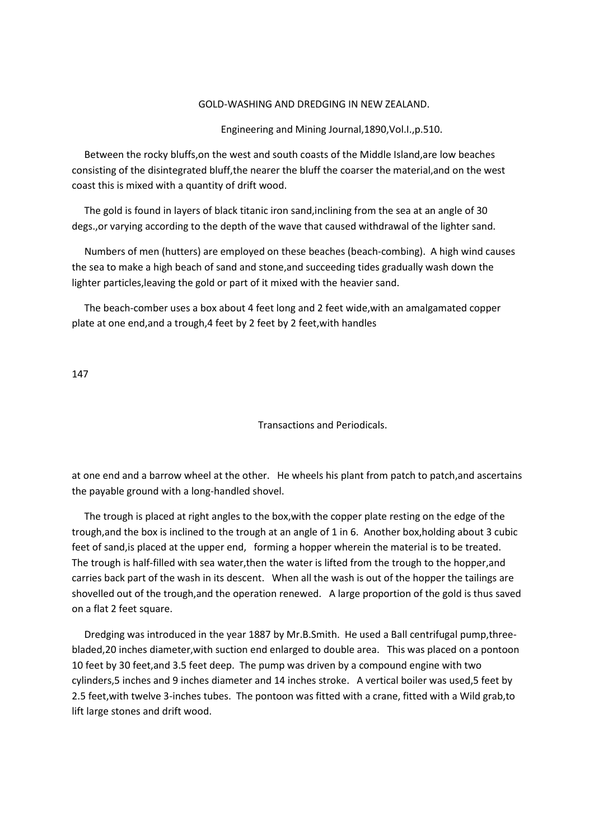#### GOLD-WASHING AND DREDGING IN NEW ZEALAND.

Engineering and Mining Journal,1890,Vol.I.,p.510.

 Between the rocky bluffs,on the west and south coasts of the Middle Island,are low beaches consisting of the disintegrated bluff,the nearer the bluff the coarser the material,and on the west coast this is mixed with a quantity of drift wood.

 The gold is found in layers of black titanic iron sand,inclining from the sea at an angle of 30 degs.,or varying according to the depth of the wave that caused withdrawal of the lighter sand.

 Numbers of men (hutters) are employed on these beaches (beach-combing). A high wind causes the sea to make a high beach of sand and stone,and succeeding tides gradually wash down the lighter particles,leaving the gold or part of it mixed with the heavier sand.

 The beach-comber uses a box about 4 feet long and 2 feet wide,with an amalgamated copper plate at one end,and a trough,4 feet by 2 feet by 2 feet,with handles

147

Transactions and Periodicals.

at one end and a barrow wheel at the other. He wheels his plant from patch to patch,and ascertains the payable ground with a long-handled shovel.

 The trough is placed at right angles to the box,with the copper plate resting on the edge of the trough,and the box is inclined to the trough at an angle of 1 in 6. Another box,holding about 3 cubic feet of sand,is placed at the upper end, forming a hopper wherein the material is to be treated. The trough is half-filled with sea water,then the water is lifted from the trough to the hopper,and carries back part of the wash in its descent. When all the wash is out of the hopper the tailings are shovelled out of the trough,and the operation renewed. A large proportion of the gold is thus saved on a flat 2 feet square.

 Dredging was introduced in the year 1887 by Mr.B.Smith. He used a Ball centrifugal pump,threebladed,20 inches diameter,with suction end enlarged to double area. This was placed on a pontoon 10 feet by 30 feet,and 3.5 feet deep. The pump was driven by a compound engine with two cylinders,5 inches and 9 inches diameter and 14 inches stroke. A vertical boiler was used,5 feet by 2.5 feet,with twelve 3-inches tubes. The pontoon was fitted with a crane, fitted with a Wild grab,to lift large stones and drift wood.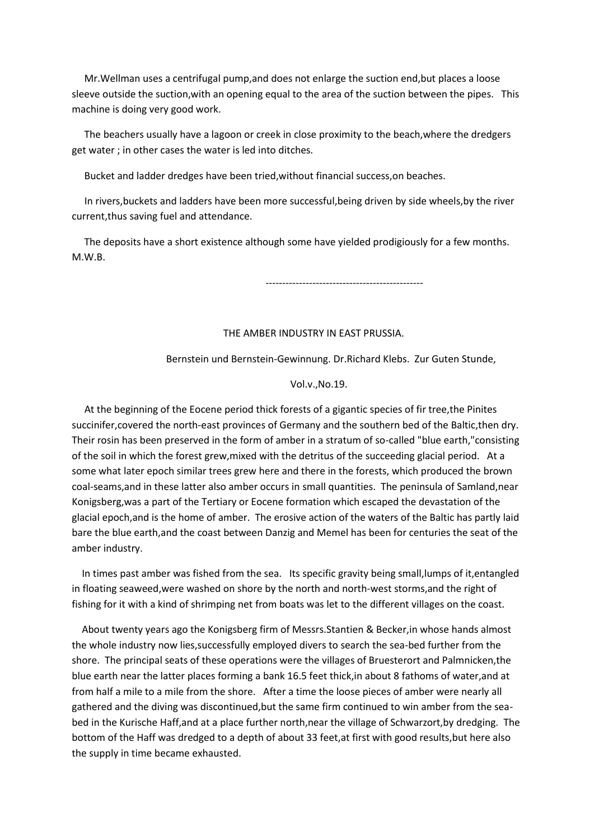Mr.Wellman uses a centrifugal pump,and does not enlarge the suction end,but places a loose sleeve outside the suction,with an opening equal to the area of the suction between the pipes. This machine is doing very good work.

 The beachers usually have a lagoon or creek in close proximity to the beach,where the dredgers get water ; in other cases the water is led into ditches.

Bucket and ladder dredges have been tried,without financial success,on beaches.

 In rivers,buckets and ladders have been more successful,being driven by side wheels,by the river current,thus saving fuel and attendance.

 The deposits have a short existence although some have yielded prodigiously for a few months. M.W.B.

-----------------------------------------------

### THE AMBER INDUSTRY IN EAST PRUSSIA.

## Bernstein und Bernstein-Gewinnung. Dr.Richard Klebs. Zur Guten Stunde,

#### Vol.v.,No.19.

 At the beginning of the Eocene period thick forests of a gigantic species of fir tree,the Pinites succinifer,covered the north-east provinces of Germany and the southern bed of the Baltic,then dry. Their rosin has been preserved in the form of amber in a stratum of so-called "blue earth,"consisting of the soil in which the forest grew,mixed with the detritus of the succeeding glacial period. At a some what later epoch similar trees grew here and there in the forests, which produced the brown coal-seams,and in these latter also amber occurs in small quantities. The peninsula of Samland,near Konigsberg,was a part of the Tertiary or Eocene formation which escaped the devastation of the glacial epoch,and is the home of amber. The erosive action of the waters of the Baltic has partly laid bare the blue earth,and the coast between Danzig and Memel has been for centuries the seat of the amber industry.

 In times past amber was fished from the sea. Its specific gravity being small,lumps of it,entangled in floating seaweed,were washed on shore by the north and north-west storms,and the right of fishing for it with a kind of shrimping net from boats was let to the different villages on the coast.

 About twenty years ago the Konigsberg firm of Messrs.Stantien & Becker,in whose hands almost the whole industry now lies,successfully employed divers to search the sea-bed further from the shore. The principal seats of these operations were the villages of Bruesterort and Palmnicken,the blue earth near the latter places forming a bank 16.5 feet thick,in about 8 fathoms of water,and at from half a mile to a mile from the shore. After a time the loose pieces of amber were nearly all gathered and the diving was discontinued,but the same firm continued to win amber from the seabed in the Kurische Haff,and at a place further north,near the village of Schwarzort,by dredging. The bottom of the Haff was dredged to a depth of about 33 feet,at first with good results,but here also the supply in time became exhausted.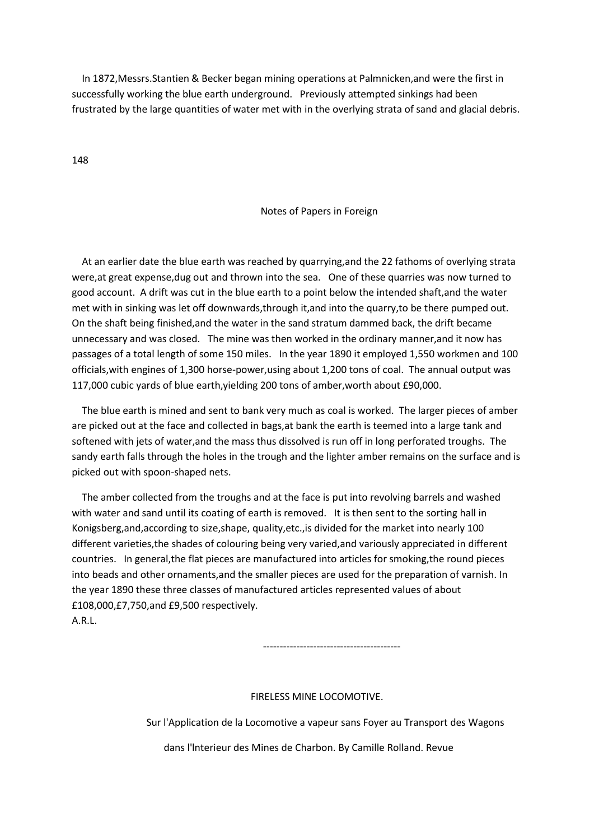In 1872,Messrs.Stantien & Becker began mining operations at Palmnicken,and were the first in successfully working the blue earth underground. Previously attempted sinkings had been frustrated by the large quantities of water met with in the overlying strata of sand and glacial debris.

148

#### Notes of Papers in Foreign

 At an earlier date the blue earth was reached by quarrying,and the 22 fathoms of overlying strata were,at great expense,dug out and thrown into the sea. One of these quarries was now turned to good account. A drift was cut in the blue earth to a point below the intended shaft,and the water met with in sinking was let off downwards, through it, and into the quarry, to be there pumped out. On the shaft being finished,and the water in the sand stratum dammed back, the drift became unnecessary and was closed. The mine was then worked in the ordinary manner,and it now has passages of a total length of some 150 miles. In the year 1890 it employed 1,550 workmen and 100 officials,with engines of 1,300 horse-power,using about 1,200 tons of coal. The annual output was 117,000 cubic yards of blue earth,yielding 200 tons of amber,worth about £90,000.

 The blue earth is mined and sent to bank very much as coal is worked. The larger pieces of amber are picked out at the face and collected in bags,at bank the earth is teemed into a large tank and softened with jets of water,and the mass thus dissolved is run off in long perforated troughs. The sandy earth falls through the holes in the trough and the lighter amber remains on the surface and is picked out with spoon-shaped nets.

 The amber collected from the troughs and at the face is put into revolving barrels and washed with water and sand until its coating of earth is removed. It is then sent to the sorting hall in Konigsberg,and,according to size,shape, quality,etc.,is divided for the market into nearly 100 different varieties,the shades of colouring being very varied,and variously appreciated in different countries. In general,the flat pieces are manufactured into articles for smoking,the round pieces into beads and other ornaments,and the smaller pieces are used for the preparation of varnish. In the year 1890 these three classes of manufactured articles represented values of about £108,000,£7,750,and £9,500 respectively. A.R.L.

-----------------------------------------

#### FIRELESS MINE LOCOMOTIVE.

Sur l'Application de la Locomotive a vapeur sans Foyer au Transport des Wagons

dans l'lnterieur des Mines de Charbon. By Camille Rolland. Revue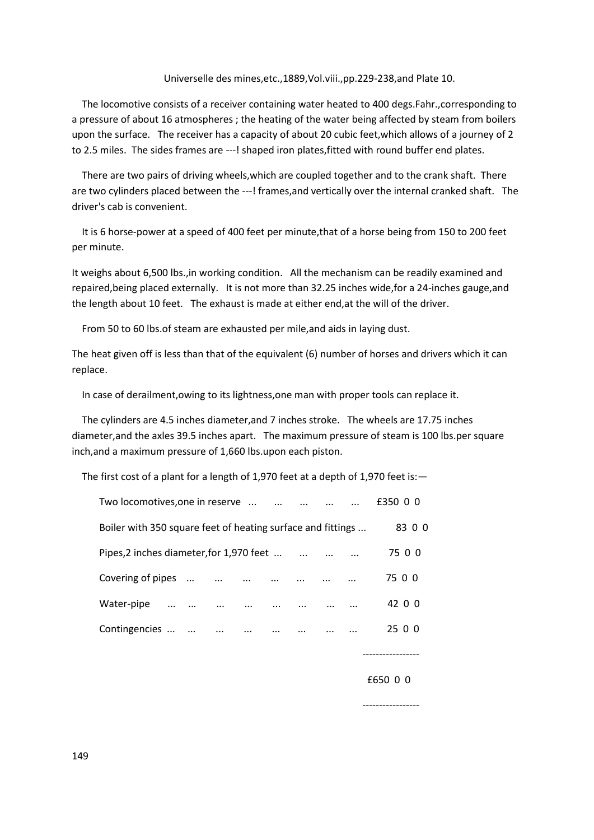#### Universelle des mines,etc.,1889,Vol.viii.,pp.229-238,and Plate 10.

 The locomotive consists of a receiver containing water heated to 400 degs.Fahr.,corresponding to a pressure of about 16 atmospheres ; the heating of the water being affected by steam from boilers upon the surface. The receiver has a capacity of about 20 cubic feet,which allows of a journey of 2 to 2.5 miles. The sides frames are ---! shaped iron plates,fitted with round buffer end plates.

 There are two pairs of driving wheels,which are coupled together and to the crank shaft. There are two cylinders placed between the ---! frames, and vertically over the internal cranked shaft. The driver's cab is convenient.

 It is 6 horse-power at a speed of 400 feet per minute,that of a horse being from 150 to 200 feet per minute.

It weighs about 6,500 lbs.,in working condition. All the mechanism can be readily examined and repaired,being placed externally. It is not more than 32.25 inches wide,for a 24-inches gauge,and the length about 10 feet. The exhaust is made at either end,at the will of the driver.

From 50 to 60 lbs.of steam are exhausted per mile,and aids in laying dust.

The heat given off is less than that of the equivalent (6) number of horses and drivers which it can replace.

In case of derailment,owing to its lightness,one man with proper tools can replace it.

 The cylinders are 4.5 inches diameter,and 7 inches stroke. The wheels are 17.75 inches diameter,and the axles 39.5 inches apart. The maximum pressure of steam is 100 lbs.per square inch,and a maximum pressure of 1,660 lbs.upon each piston.

The first cost of a plant for a length of 1,970 feet at a depth of 1,970 feet is:—

| Two locomotives, one in reserve                             |          |          | $\dddotsc$ | $\ddotsc$ |  | £350 0 0 |
|-------------------------------------------------------------|----------|----------|------------|-----------|--|----------|
| Boiler with 350 square feet of heating surface and fittings |          |          |            |           |  | 83 0 0   |
| Pipes, 2 inches diameter, for 1,970 feet                    |          |          |            |           |  | 75 0 0   |
| Covering of pipes                                           |          |          |            |           |  | 75 0 0   |
| Water-pipe                                                  |          |          |            |           |  | 42 0 0   |
| Contingencies                                               | $\cdots$ | $\cdots$ |            |           |  | 25 0 0   |
|                                                             |          |          |            |           |  |          |

-----------------

#### £650 0 0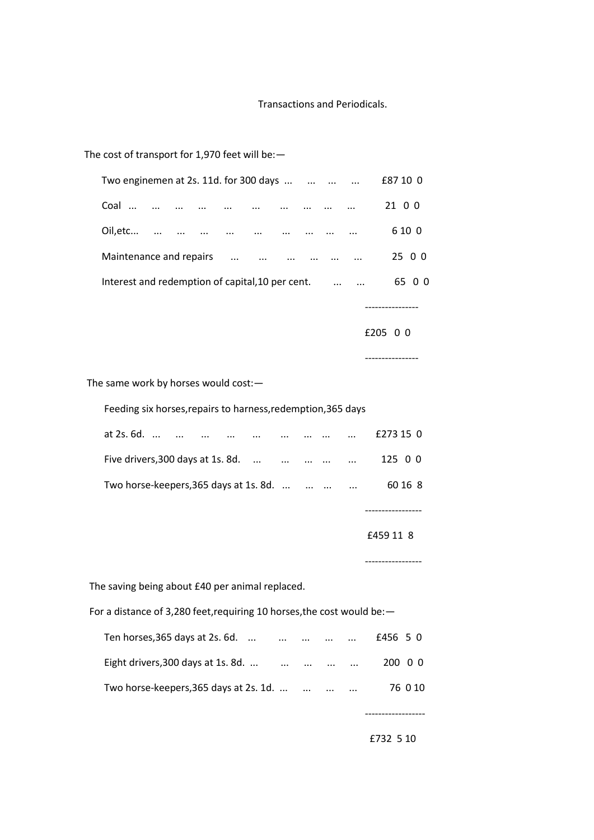# Transactions and Periodicals.

## The cost of transport for 1,970 feet will be:—

| Two enginemen at 2s. 11d. for 300 days $\dots$ $\dots$ $\dots$ |  |            |               |                                   |                                         |          | $\cdots$ | £87 10 0 |
|----------------------------------------------------------------|--|------------|---------------|-----------------------------------|-----------------------------------------|----------|----------|----------|
| Coal                                                           |  |            |               |                                   |                                         |          | $\cdots$ | 21 0 0   |
| Oil, etc                                                       |  |            |               |                                   |                                         |          |          | 6 10 0   |
| Maintenance and repairs                                        |  | $\dddotsc$ | $\sim$ $\sim$ | <b>Contract Contract Contract</b> | $\Delta\Delta\omega$ and $\Delta\omega$ | $\cdots$ | $\cdots$ | 25 0 0   |
| Interest and redemption of capital, 10 per cent.               |  |            |               |                                   |                                         |          | $\cdots$ | 6500     |
|                                                                |  |            |               |                                   |                                         |          |          |          |

£205 0 0

----------------

----------------

The same work by horses would cost:—

Feeding six horses,repairs to harness,redemption,365 days

| at $2s.6d.$                                                                    | $\cdots$ |  |  | $\cdots$ | £273 15 0 |
|--------------------------------------------------------------------------------|----------|--|--|----------|-----------|
| Five drivers, 300 days at 1s. 8d. $\ldots$ $\ldots$ $\ldots$ $\ldots$ $\ldots$ |          |  |  |          | 125 0 0   |
| Two horse-keepers, 365 days at 1s. 8d.                                         |          |  |  |          | 60 16 8   |
|                                                                                |          |  |  |          |           |

£459 11 8

-----------------

The saving being about £40 per animal replaced.

For a distance of 3,280 feet, requiring 10 horses, the cost would be: -

| Ten horses, $365$ days at $2s.6d.$     | $\cdots$ | $\cdots$ | $\cdots$ | $\cdots$ | £456 5 0 |  |
|----------------------------------------|----------|----------|----------|----------|----------|--|
| Eight drivers, 300 days at 1s. 8d.     | $\cdots$ | $\cdots$ | $\cdots$ | $\cdots$ | 200 0 0  |  |
| Two horse-keepers, 365 days at 2s. 1d. |          | $\cdots$ | $\cdots$ | $\cdots$ | 76 0 10  |  |

£732 5 10

------------------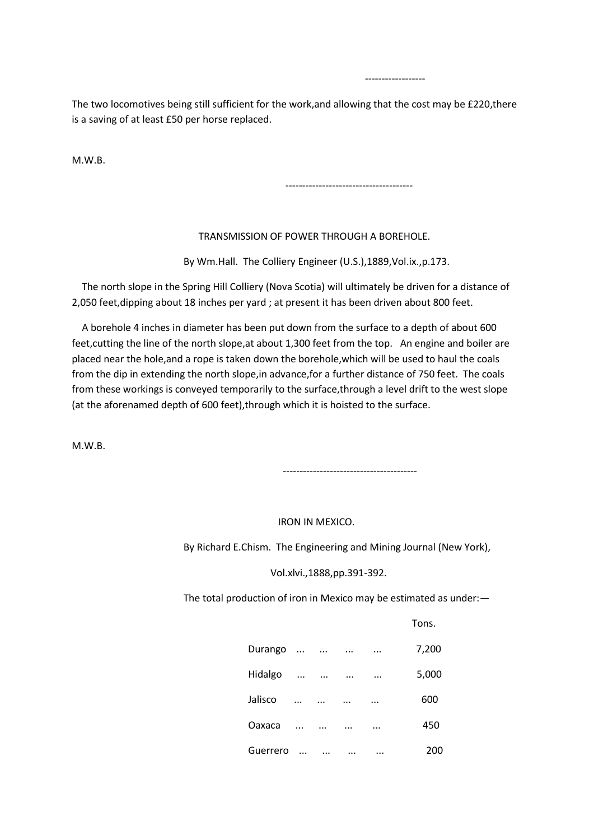The two locomotives being still sufficient for the work,and allowing that the cost may be £220,there is a saving of at least £50 per horse replaced.

------------------

M.W.B.

--------------------------------------

# TRANSMISSION OF POWER THROUGH A BOREHOLE.

By Wm.Hall. The Colliery Engineer (U.S.),1889,Vol.ix.,p.173.

 The north slope in the Spring Hill Colliery (Nova Scotia) will ultimately be driven for a distance of 2,050 feet,dipping about 18 inches per yard ; at present it has been driven about 800 feet.

 A borehole 4 inches in diameter has been put down from the surface to a depth of about 600 feet,cutting the line of the north slope,at about 1,300 feet from the top. An engine and boiler are placed near the hole,and a rope is taken down the borehole,which will be used to haul the coals from the dip in extending the north slope,in advance,for a further distance of 750 feet. The coals from these workings is conveyed temporarily to the surface,through a level drift to the west slope (at the aforenamed depth of 600 feet),through which it is hoisted to the surface.

M.W.B.

----------------------------------------

# IRON IN MEXICO.

By Richard E.Chism. The Engineering and Mining Journal (New York),

Vol.xlvi.,1888,pp.391-392.

The total production of iron in Mexico may be estimated as under:—

**Tons.** The contract of the contract of the contract of the contract of the contract of the contract of the contract of the contract of the contract of the contract of the contract of the contract of the contract of the co

| Durango  |            |            |                       | $\cdots$ | 7,200 |
|----------|------------|------------|-----------------------|----------|-------|
| Hidalgo  | $\cdots$   |            | التبدي المتداب التبدي |          | 5,000 |
| Jalisco  | $\dddotsc$ | $\cdots$   | $\cdots$              | $\cdots$ | 600   |
| Oaxaca   | $\dddotsc$ | $\dddotsc$ | $\cdots$              | $\cdots$ | 450   |
| Guerrero | $\ddotsc$  | $\cdots$   | $\cdots$              | $\cdots$ | 200   |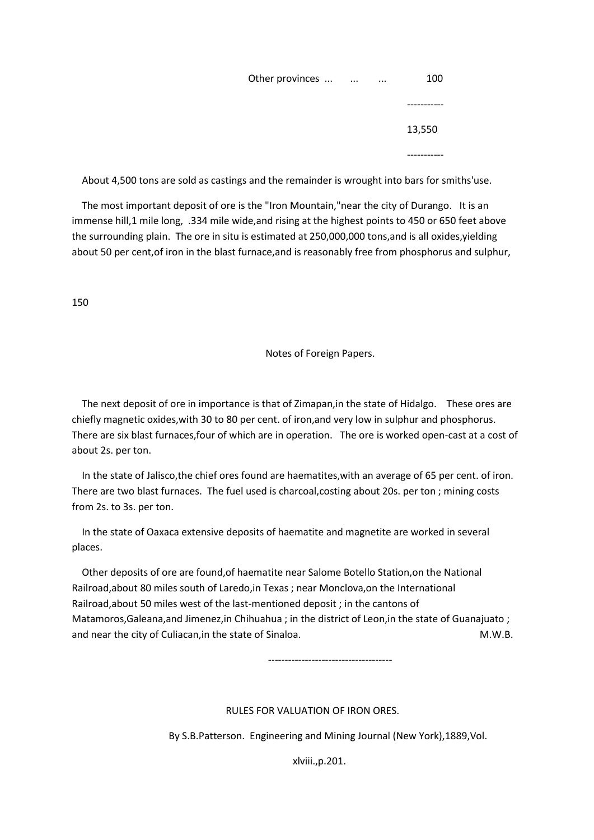| Other provinces |  | 100     |
|-----------------|--|---------|
|                 |  | ------- |
|                 |  | 13,550  |
|                 |  | ------  |

About 4,500 tons are sold as castings and the remainder is wrought into bars for smiths'use.

 The most important deposit of ore is the "Iron Mountain,"near the city of Durango. It is an immense hill,1 mile long, .334 mile wide,and rising at the highest points to 450 or 650 feet above the surrounding plain. The ore in situ is estimated at 250,000,000 tons,and is all oxides,yielding about 50 per cent,of iron in the blast furnace,and is reasonably free from phosphorus and sulphur,

150

Notes of Foreign Papers.

 The next deposit of ore in importance is that of Zimapan,in the state of Hidalgo. These ores are chiefly magnetic oxides,with 30 to 80 per cent. of iron,and very low in sulphur and phosphorus. There are six blast furnaces,four of which are in operation. The ore is worked open-cast at a cost of about 2s. per ton.

 In the state of Jalisco,the chief ores found are haematites,with an average of 65 per cent. of iron. There are two blast furnaces. The fuel used is charcoal,costing about 20s. per ton ; mining costs from 2s. to 3s. per ton.

 In the state of Oaxaca extensive deposits of haematite and magnetite are worked in several places.

 Other deposits of ore are found,of haematite near Salome Botello Station,on the National Railroad,about 80 miles south of Laredo,in Texas ; near Monclova,on the International Railroad,about 50 miles west of the last-mentioned deposit ; in the cantons of Matamoros,Galeana,and Jimenez,in Chihuahua ; in the district of Leon,in the state of Guanajuato ; and near the city of Culiacan, in the state of Sinaloa. M.W.B.

-------------------------------------

# RULES FOR VALUATION OF IRON ORES.

By S.B.Patterson. Engineering and Mining Journal (New York),1889,Vol.

xlviii.,p.201.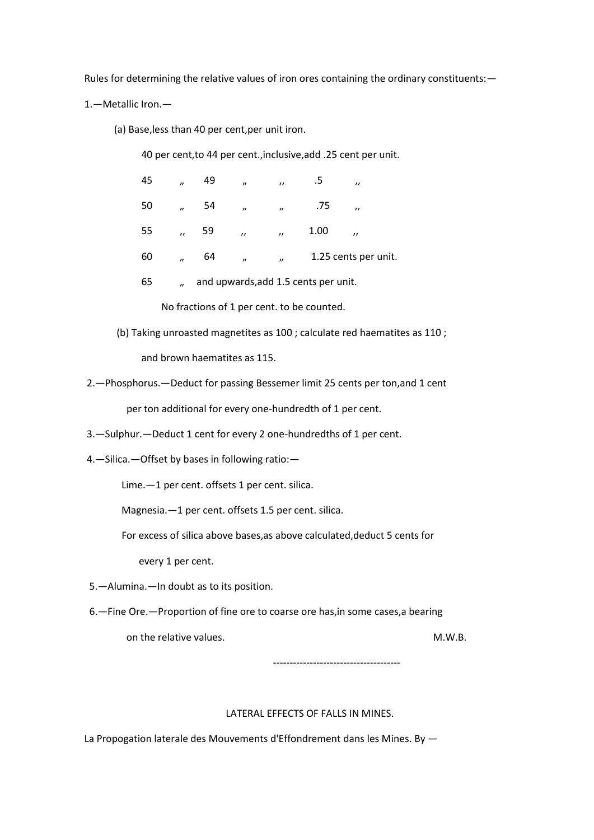Rules for determining the relative values of iron ores containing the ordinary constituents:—

1.—Metallic Iron.—

(a) Base,less than 40 per cent,per unit iron.

40 per cent,to 44 per cent.,inclusive,add .25 cent per unit.

| 45 | $\boldsymbol{\eta}$ | 49 | $\boldsymbol{\eta}$ | $\prime$                    | .5                                   | $^{\prime}$             |  |
|----|---------------------|----|---------------------|-----------------------------|--------------------------------------|-------------------------|--|
| 50 | $\overline{v}$      | 54 | $\boldsymbol{\eta}$ | $\overline{\boldsymbol{v}}$ | .75                                  | $\overline{\mathbf{z}}$ |  |
| 55 | $\overline{ }$      | 59 | $\overline{v}$      | $\overline{U}$              | 1.00                                 | $^{\prime}$             |  |
| 60 | $\overline{u}$      | 64 | $\boldsymbol{\eta}$ | $\overline{\phantom{a}}$    |                                      | 1.25 cents per unit.    |  |
| 65 | $\mathbf{r}$        |    |                     |                             | and upwards, add 1.5 cents per unit. |                         |  |

No fractions of 1 per cent. to be counted.

(b) Taking unroasted magnetites as 100 ; calculate red haematites as 110 ;

and brown haematites as 115.

2.—Phosphorus.—Deduct for passing Bessemer limit 25 cents per ton,and 1 cent

per ton additional for every one-hundredth of 1 per cent.

- 3.—Sulphur.—Deduct 1 cent for every 2 one-hundredths of 1 per cent.
- 4.—Silica.—Offset by bases in following ratio:—

Lime.—1 per cent. offsets 1 per cent. silica.

Magnesia.—1 per cent. offsets 1.5 per cent. silica.

For excess of silica above bases,as above calculated,deduct 5 cents for

every 1 per cent.

5.—Alumina.—In doubt as to its position.

6.—Fine Ore.—Proportion of fine ore to coarse ore has,in some cases,a bearing

on the relative values. The contraction of the relative values.

--------------------------------------

#### LATERAL EFFECTS OF FALLS IN MINES.

La Propogation laterale des Mouvements d'Effondrement dans les Mines. By —